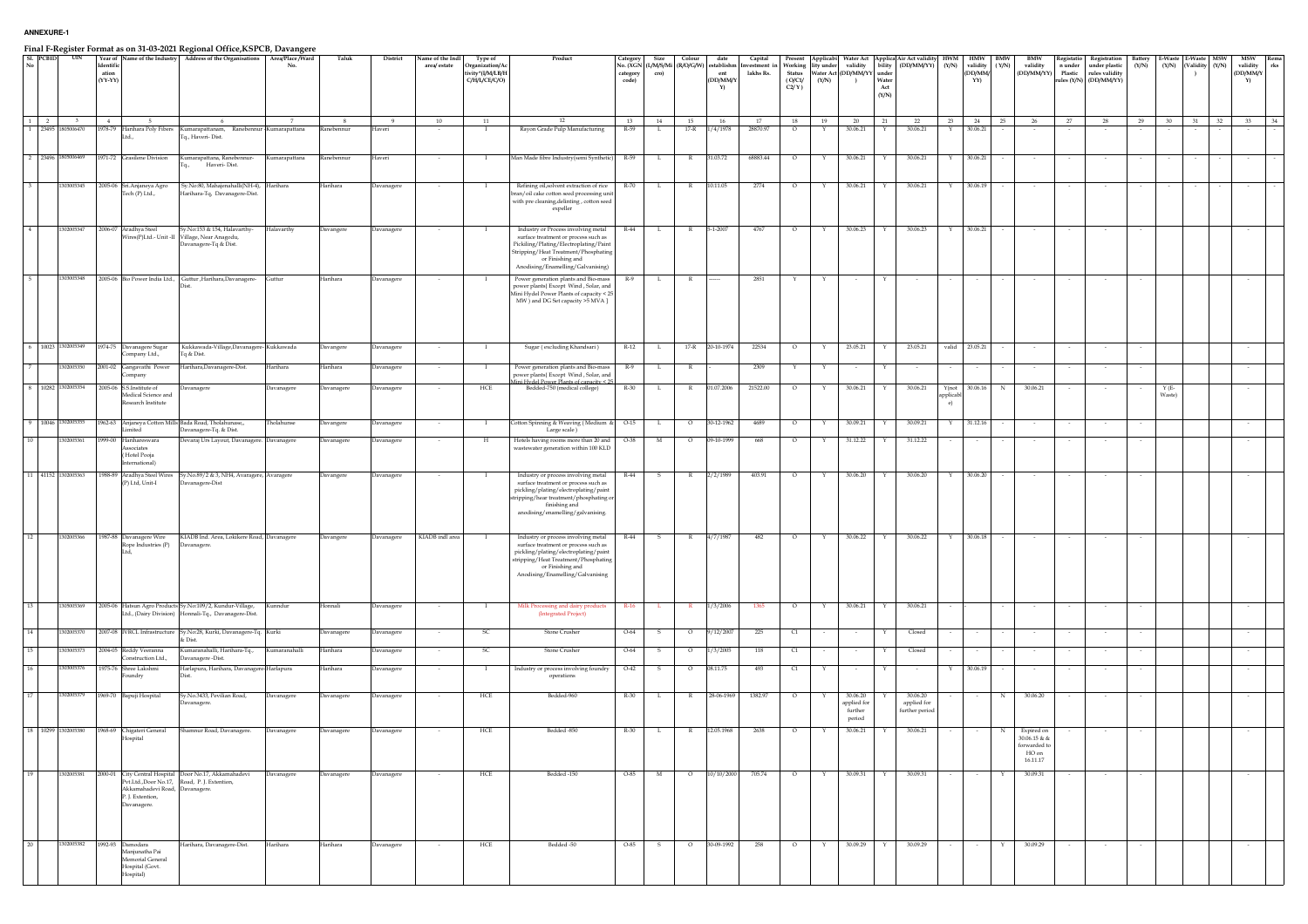|          |                     |                         |                                 |                                                                                        | Final F-Register Format as on 31-03-2021 Regional Office, KSPCB, Davangere                                        |               |            |                   |                                  |                                                                 |                                                                                                                                                                                                                        |                               |              |              |                                                                         |                                    |                          |                                          |                                                  |                                                                    |                                                                                                     |                                  |                                             |    |                                                                |                       |                                                                           |                  |                   |                           |     |                                          |              |
|----------|---------------------|-------------------------|---------------------------------|----------------------------------------------------------------------------------------|-------------------------------------------------------------------------------------------------------------------|---------------|------------|-------------------|----------------------------------|-----------------------------------------------------------------|------------------------------------------------------------------------------------------------------------------------------------------------------------------------------------------------------------------------|-------------------------------|--------------|--------------|-------------------------------------------------------------------------|------------------------------------|--------------------------|------------------------------------------|--------------------------------------------------|--------------------------------------------------------------------|-----------------------------------------------------------------------------------------------------|----------------------------------|---------------------------------------------|----|----------------------------------------------------------------|-----------------------|---------------------------------------------------------------------------|------------------|-------------------|---------------------------|-----|------------------------------------------|--------------|
| SL PCBID |                     | UIN                     | Identific<br>ation<br>$(YY-YY)$ |                                                                                        | Year of Name of the Industry Address of the Organisations Area/Place/Ward                                         | No.           | Taluk      | District          | Name of the Indl<br>area/ estate | Type of<br>Organization/Ac<br>tivity*(I/M/LB/H<br>C/H/L/CE/C/O) | Product                                                                                                                                                                                                                | ategory.<br>category<br>code) | Size<br>cro) | Colour       | date<br>No. (XGN (L/M/S/Mi (R/O/G/W) establishn<br>ent<br>(DD/MM/Y<br>Y | Capital<br>vestment i<br>lakhs Rs. | Status<br>(O/C1/<br>C2/Y | Applicabi<br>Working lity under<br>(Y/N) | validity<br>Water Act (DD/MM/YY<br>$\rightarrow$ | bility<br>under<br>Water<br>$\operatorname{\mathbf{Act}}$<br>(Y/N) | Water Act Applica Air Act validity<br>(DD/MM/YY)                                                    | <b>HWM</b><br>(Y/N)              | HMW BMW<br>validity (Y/N)<br>(DD/MM/<br>YY) |    | BMW<br>validity<br>(DD/MM/YY) Plastic                          | Registatio<br>n under | Registration<br>under plastic<br>rules validity<br>rules (Y/N) (DD/MM/YY) | Battery<br>(Y/N) | E-Waste<br>(Y/N)  | E-Waste<br>Validity (Y/N) | MSW | <b>MSW</b><br>validity<br>(DD/MM/Y<br>Y) | $_{\rm rks}$ |
| 1        | $\overline{2}$      | $\overline{\mathbf{3}}$ | $-4$                            | -5                                                                                     | -6                                                                                                                |               | 8          | -9                | 10                               | 11                                                              | 12                                                                                                                                                                                                                     | 13                            | 14           | 15           | 16                                                                      | 17                                 | 18                       | 19                                       | 20                                               | 21                                                                 | 22                                                                                                  | 23                               | 24                                          | 25 | 26                                                             | 27                    | 28                                                                        | 29               | 30                | 31                        | 32  | 33                                       |              |
|          | 23495               | 006470                  |                                 | 978-79 Harihara Poly Fibers                                                            | Kumarapattanam, Ranebennur                                                                                        | Kumarapattana | anebennur  | laveri            |                                  | л.                                                              | Rayon Grade Pulp Manufacturing                                                                                                                                                                                         | R-59                          | L.           | $17-R$       | /4/1978                                                                 | 28870.97                           | $\circ$                  | Y                                        | 30.06.21                                         | Y                                                                  | 30.06.21                                                                                            | Y                                | 30.06.21                                    |    |                                                                |                       |                                                                           |                  |                   |                           |     |                                          |              |
|          |                     |                         |                                 |                                                                                        | To., Haveri-Dist.                                                                                                 |               |            |                   |                                  |                                                                 |                                                                                                                                                                                                                        |                               |              |              |                                                                         |                                    |                          |                                          |                                                  |                                                                    |                                                                                                     |                                  |                                             |    |                                                                |                       |                                                                           |                  |                   |                           |     |                                          |              |
|          | 2 23496 1805006469  |                         |                                 | 1971-72 Grasilene Division                                                             | Kumarapattana, Ranebennur-<br>Haveri-Dist.                                                                        | Kumarapattana | kanebennur | Haveri            |                                  | <b>I</b>                                                        | Man Made fibre Industry(semi Synthetic)                                                                                                                                                                                | R-59                          | L.           | $\mathbb{R}$ | 31.03.72                                                                | 68883.44                           | $\circ$                  | Y                                        | 30.06.21                                         | Y                                                                  | 30.06.21                                                                                            | Y                                | 30.06.21                                    |    |                                                                |                       |                                                                           |                  |                   |                           |     |                                          |              |
| -3.      |                     | 1303005345              |                                 | 2005-06 Sri.Anjaneya Agro<br>Fech (P) Ltd.,                                            | Sy.No:80, Mahajenahalli(NH-4), Harihara<br>Harihara-Tq, Davanagere-Dist.                                          |               | Iarihara   | Davanagere        |                                  |                                                                 | Refining oil, solvent extraction of rice<br>bran/oil cake cotton seed processing uni<br>with pre cleaning, delinting, cotton seed<br>expeller                                                                          | R-70                          | L.           | R.           | 10.11.05                                                                | 2774                               | $\circ$                  |                                          | 30.06.21                                         | Y                                                                  | 30.06.21                                                                                            | Y                                | 30.06.19                                    |    |                                                                |                       |                                                                           |                  |                   |                           |     |                                          |              |
| 4        |                     | 1302005347              |                                 | 2006-07 Aradhya Steel                                                                  | Sy.No:153 & 154, Halavarthy-<br>Vires(P)Ltd.- Unit -II Village, Near Anagodu,<br>Davanagere-Tq & Dist.            | Halavarthy    | Davangere  | Davanagere        |                                  | $\mathbf{I}$                                                    | Industry or Process involving metal<br>surface treatment or process such as<br>Pickiling/Plating/Electroplating/Paint<br>Stripping/Heat Treatment/Phosphating<br>or Finishing and<br>Anodising/Enamelling/Galvanising) | $R-44$                        | $\mathbf L$  | $\mathbb{R}$ | $5 - 1 - 2007$                                                          | 4767                               | $\circ$                  | Y                                        | 30.06.23                                         | Y                                                                  | 30.06.23                                                                                            | Y                                | 30.06.21                                    |    |                                                                |                       |                                                                           |                  |                   |                           |     |                                          |              |
|          |                     | 1303005348              |                                 |                                                                                        | 2005-06 Bio Power India Ltd., Guttur , Harihara, Davanagere-                                                      | Guttur        | Iarihara   | <b>Javanagere</b> |                                  |                                                                 | Power generation plants and Bio-mass<br>power plants{ Except Wind, Solar, and<br>Mini Hydel Power Plants of capacity < 25<br>MW ) and DG Set capacity >5 MVA ]                                                         | R-9                           | - L          | к            |                                                                         | 2851                               |                          |                                          |                                                  |                                                                    |                                                                                                     |                                  |                                             |    |                                                                |                       |                                                                           |                  |                   |                           |     |                                          |              |
|          | 6 10023 1302005349  |                         |                                 | 1974-75 Davanagere Sugar                                                               | Kukkawada-Village,Davanagere- Kukkawada                                                                           |               | Davangere  | Davanagere        |                                  | $\mathbf{I}$                                                    | Sugar (excluding Khandsari)                                                                                                                                                                                            | $R-12$                        | L.           |              | 17-R 20-10-1974                                                         | 22534                              | $\circ$                  | Y                                        | 23.05.21                                         | Y                                                                  | 23.05.21                                                                                            | valid 23.05.21                   |                                             |    |                                                                |                       | $\sim$                                                                    |                  |                   |                           |     |                                          |              |
|          |                     |                         |                                 | ompany Ltd.,<br>2001-02 Gangavathi Power                                               | Tq & Dist.<br>Harihara, Davanagere-Dist.                                                                          |               |            |                   |                                  |                                                                 |                                                                                                                                                                                                                        |                               |              |              |                                                                         | 2309                               |                          |                                          |                                                  |                                                                    |                                                                                                     |                                  |                                             |    |                                                                |                       |                                                                           |                  |                   |                           |     |                                          |              |
|          |                     | 302005350               |                                 | mpany                                                                                  |                                                                                                                   | Iarihara      | larihara   | <b>Javanagere</b> |                                  |                                                                 | Power generation plants and Bio-mass<br>power plants{ Except Wind, Solar, and                                                                                                                                          | $R-9$                         |              | - R          |                                                                         |                                    |                          |                                          | $\sim$                                           | Y                                                                  |                                                                                                     |                                  |                                             |    |                                                                |                       |                                                                           |                  |                   |                           |     |                                          |              |
|          | 8 10282 1302005354  |                         |                                 | 2005-06 S.S.Institute of<br>Medical Science and<br>esearch Institute                   | Davanagere                                                                                                        | Davanagere    | Davanagere | Davanagere        |                                  | ${\rm HCE}$                                                     | ini Hydel Power Plants of canacity < 25<br>Bedded-750 (medical college)                                                                                                                                                | $R-30$                        | L.           | $\mathbb{R}$ | 01.07.2006                                                              | 21522.00                           | $\circ$                  | Y                                        | 30.06.21                                         | Y                                                                  | 30.06.21                                                                                            | Y(not<br>pplicab<br>$\epsilon$ ) | 30.06.16                                    |    | 30.06.21                                                       |                       |                                                                           |                  | $Y(E -$<br>Waste) |                           |     |                                          |              |
|          | 9 10046 1302005355  |                         | 1962-63                         | imited                                                                                 | Anjaneya Cotton Mills Bada Road, Tholahunase,,<br>Davanagere-Tq. & Dist.                                          | holahunse     | Javangere  | <b>Javanagere</b> |                                  | - 1                                                             | Cotton Spinning & Weaving (Medium &<br>Large scale)                                                                                                                                                                    | $O-15$                        | L            | $\circ$      | 30-12-1962                                                              | 4689                               | $\circ$                  | Y                                        | 30.09.21                                         |                                                                    | 30.09.21                                                                                            | Υ                                | 31.12.16                                    |    | $\sim$                                                         |                       | $\sim$                                                                    |                  |                   |                           |     |                                          |              |
| 10       |                     | 302005361               |                                 | 999-00 Harihareswara<br><i>ssociates</i><br>(Hotel Pooja<br>nternational)              | Devaraj Urs Layout, Davanagere. Davanagere                                                                        |               | Davanagere | Davanagere        |                                  | $_{\rm H}$                                                      | Hotels having rooms more than 20 and<br>wastewater generation within 100 KLD                                                                                                                                           | O-38                          | $_{\rm M}$   | $\circ$      | 09-10-1999                                                              | 668                                | $\circ$                  |                                          | 31.12.22                                         | $\mathbf{Y}$                                                       | 31.12.22                                                                                            |                                  |                                             |    |                                                                |                       |                                                                           |                  |                   |                           |     |                                          |              |
|          | 11 41152 1302005363 |                         |                                 | 988-89 Aradhya Steel Wires<br>(P) Ltd, Unit-I                                          | Sy.No.89/2 & 3, NH4, Avaragere, Avaragere<br>Davanagere-Dist                                                      |               | Javangere  | Davanagere        |                                  |                                                                 | Industry or process involving metal<br>surface treatment or process such as<br>pickling/plating/electroplating/paint<br>stripping/hear treatment/phosphating or<br>finishing and<br>anodising/enamelling/galvanising.  | $R-44$                        |              | R            | 2/2/1989                                                                | 403.91                             | $\circ$                  |                                          | 30.06.20                                         |                                                                    | 30.06.20                                                                                            |                                  | 30.06.20                                    |    |                                                                |                       |                                                                           |                  |                   |                           |     |                                          |              |
| 12       | 1302005366          |                         |                                 | 1987-88 Davanagere Wire<br>Rope Industries (P)<br>T td                                 | KIADB Ind. Area, Lokikere Road, Davanagere<br>Davanagere                                                          |               | Davangere  | Davanagere        | KIADB indl area                  | $\mathbf{I}$                                                    | Industry or process involving metal<br>surface treatment or process such as<br>pickling/plating/electroplating/paint<br>stripping/Heat Treatment/Phosphating<br>or Finishing and<br>Anodising/Enamelling/Galvanising   | $R-44$                        | s.           | R.           | 4/7/1987                                                                | 482                                | $\circ$                  | Y                                        | 30.06.22                                         | Y                                                                  | 30.06.22                                                                                            | Y                                | 30.06.18                                    |    |                                                                |                       |                                                                           |                  |                   |                           |     |                                          |              |
| 13       |                     | 1305005369              |                                 |                                                                                        | 2005-06 Hatsun Agro Products Sy.No:109/2, Kundur-Village,<br>Ltd., (Dairy Division) Honnali-Tq., Davanagere-Dist. | Kunndur       | Honnali    | Davanagere        |                                  | $\mathbf{I}$                                                    | Milk Processing and dairy products<br>(Integrated Project)                                                                                                                                                             | $R-16$                        |              | $\mathbb{R}$ | 1/3/2006                                                                | 1365                               | $\circ$                  | Y                                        | 30.06.21                                         | Y                                                                  | 30.06.21                                                                                            |                                  |                                             |    |                                                                |                       | $\sim$                                                                    |                  |                   |                           |     |                                          |              |
| 14       |                     | 302005370               |                                 |                                                                                        | 2007-08 IVRCL Infrastructure Sy.No:28, Kurki, Davanagere-Tq. Kurki<br>& Dist.                                     |               | Javanagere | <b>Javanagere</b> |                                  |                                                                 | Stone Crusher                                                                                                                                                                                                          | $O - 64$                      |              | $\circ$      | /12/200                                                                 | 225                                | $\mathsf{C}1$            |                                          |                                                  |                                                                    | Closed                                                                                              |                                  |                                             |    |                                                                |                       |                                                                           |                  |                   |                           |     |                                          |              |
| 15       |                     | 30300537                | 2004-05                         | Reddy Veeranna<br>onstruction Ltd.,                                                    | Kumaranahalli, Harihara-Tq.,<br>Davanagere-Dist.                                                                  | umaranahall   | Iarihara   | avanager          |                                  |                                                                 | Stone Crusher                                                                                                                                                                                                          | $O - 64$                      |              | $\circ$      | /3/2005                                                                 | 118                                | C1                       |                                          |                                                  |                                                                    | Closed                                                                                              |                                  |                                             |    |                                                                |                       |                                                                           |                  |                   |                           |     |                                          |              |
| 16       |                     | 303005376               |                                 | 1975-76 Shree Lakshmi<br>undry                                                         | Harlapura, Harihara, Davanagere-Harlapura                                                                         |               | Iarihara   | Javanagere        |                                  |                                                                 | Industry or process involving foundry<br>operations                                                                                                                                                                    | $O-42$                        |              | $\circ$      | 08.11.75                                                                | 493                                | C1                       |                                          |                                                  |                                                                    |                                                                                                     |                                  | 30.06.19                                    |    |                                                                |                       |                                                                           |                  |                   |                           |     |                                          |              |
| 17       | 1302005379          |                         |                                 | 1969-70 Bapuji Hospital                                                                | Sy.No.3433, Pevilian Road,<br>Davanagere.                                                                         | Davanagere    | Davanagere | Davanagere        |                                  | HCE                                                             | Bedded-960                                                                                                                                                                                                             | R-30                          | L.           | R            | 28-06-1969                                                              | 1382.97                            | $\circ$                  |                                          | 30.06.20<br>applied for<br>further<br>period     |                                                                    | 30.06.20<br>$% \left\vert \left( \mathbf{r}_{i}\right) \right\rangle$ applied for<br>further period |                                  |                                             | N  | 30.06.20                                                       |                       |                                                                           |                  |                   |                           |     |                                          |              |
|          | 18 10299 1302005380 |                         |                                 | 1968-69 Chigateri General<br>Hospital                                                  | Shamnur Road, Davanagere.                                                                                         | Davanagere    | Davanagere | Davanagere        |                                  | HCE                                                             | Bedded -850                                                                                                                                                                                                            | R-30                          | L.           | $\mathbb{R}$ | 12.05.1968                                                              | 2638                               | $\circ$                  | $\mathbf{Y}$                             | 30.06.21                                         | Y                                                                  | 30.06.21                                                                                            |                                  |                                             | N  | Expired on<br>30.06.15 & &<br>orwarded to<br>HO on<br>16.11.17 |                       |                                                                           |                  |                   |                           |     |                                          |              |
| 19       | 1302005381          |                         |                                 | Akkamahadevi Road, Davanagere.<br>P. J. Extention,<br>Davanagere.                      | 2000-01 City Central Hospital Door No.17, Akkamahadevi<br>Pvt.Ltd.,Door No.17, Road, P. J. Extention,             | Davanagere    | Davanagere | Davanagere        |                                  | HCE                                                             | Bedded -150                                                                                                                                                                                                            | O-85                          | M            | $\circ$      |                                                                         | 10/10/2000 705.74                  | $\circ$                  | Y                                        | 30.09.31                                         | Y                                                                  | 30.09.31                                                                                            | $\sim$                           | $\sim$                                      | Y  | 30.09.31                                                       |                       | $\sim$                                                                    | $\sim$           |                   |                           |     |                                          |              |
| 20       | 1302005382          |                         |                                 | 1992-93 Damodara<br>Manjunatha Pai<br>Memorial General<br>Hospital (Govt.<br>Hospital) | Harihara, Davanagere-Dist.                                                                                        | Harihara      | Harihara   | Davanagere        |                                  | HCE                                                             | Bedded -50                                                                                                                                                                                                             | O-85                          | - S          | $\circ$      | 30-09-1992                                                              | 258                                | $\circ$                  | Y                                        | 30.09.29                                         | Y                                                                  | 30.09.29                                                                                            | $\sim$                           | $\sim$                                      | Y  | 30.09.29                                                       |                       | $\sim$                                                                    |                  |                   |                           |     |                                          |              |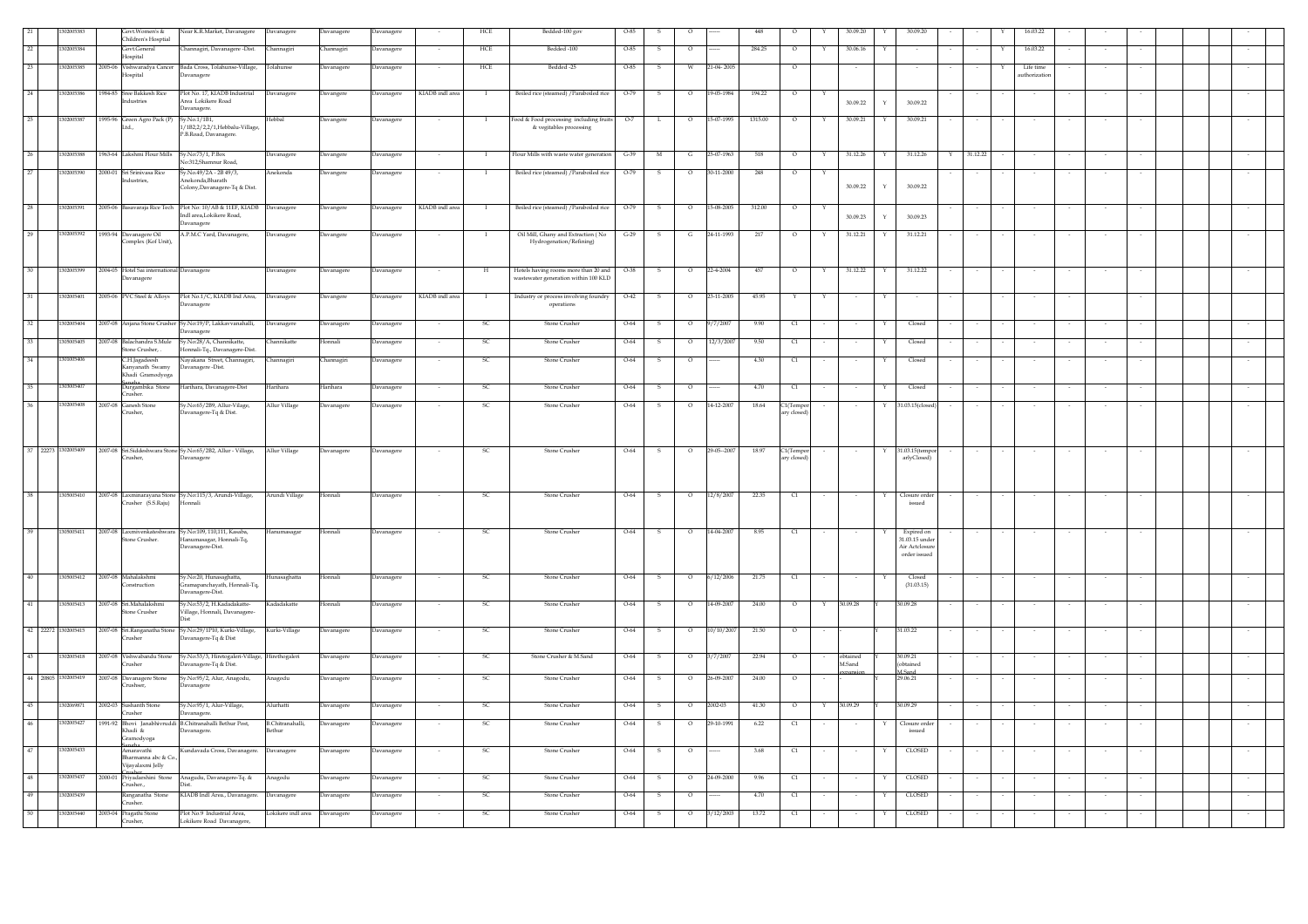|               |                     | Sovt.Women's &<br>Children's Hosptial                                    | Jear K.R.Market, Davanagere                                   | avanagere                     | avanagere      | vanagere          |                 | HCE           | Bedded-100 gov                                                     |        |               |                          |             | 448          |                                  |        | 10.09.20           |              | 30.09.20                       |          | 16.03.22    |                          |  |  |
|---------------|---------------------|--------------------------------------------------------------------------|---------------------------------------------------------------|-------------------------------|----------------|-------------------|-----------------|---------------|--------------------------------------------------------------------|--------|---------------|--------------------------|-------------|--------------|----------------------------------|--------|--------------------|--------------|--------------------------------|----------|-------------|--------------------------|--|--|
| $\mathcal{D}$ | 02005384            | Govt.General<br>Hospital                                                 | Channagiri, Davanagere -Dist.                                 | hannagiri                     | Channagiri     | Davanagere        |                 | <b>HCE</b>    | Bedded -100                                                        | 0-85   |               | $\circ$                  |             | 284.25       | $\circ$                          |        | 30.06.16           |              |                                |          | 16.03.22    |                          |  |  |
| 23            | 302005385           |                                                                          | 2005-06 Vishwaradya Cancer Bada Cross, Tolahunse-Village,     | olahunse                      | Davanagere     | Davanagere        |                 | HCE           | Bedded -25                                                         | 0-85   | s             | W                        | 21-04-2005  |              | $\circ$                          |        |                    |              |                                |          | Life time   |                          |  |  |
|               |                     | Hospital                                                                 | Davanagere                                                    |                               |                |                   |                 |               |                                                                    |        |               |                          |             |              |                                  |        |                    |              |                                |          | uthorizatio |                          |  |  |
| 24            | 1302005386          | 1984-85 Sree Bakkesh Rice<br>Industries                                  | Plot No. 17, KIADB Industrial<br>Area Lokikere Road           | Davanagere                    | Davangere      | Davanagere        | KIADB indl area | $\;$ I        | Boiled rice (steamed) / Paraboiled rice                            | $O-79$ | -S            | $\circ$                  | 19-05-1984  | 194.22       | $\circ$                          |        | 30.09.22           | $\mathbf{v}$ | 30.09.22                       |          |             |                          |  |  |
|               |                     |                                                                          | Davanagere.                                                   |                               |                |                   |                 |               |                                                                    |        |               |                          |             |              |                                  |        |                    |              |                                |          |             |                          |  |  |
| 25            | 1302005387          | 1995-96 Green Agro Pack (P)<br>Ltd.,                                     | Sy.No.1/1B1,<br>1/1B2,2/2,2/1,Hebbalu-Village,                | Hebbal                        | Davangere      | Davanagere        |                 | $\mathbf{I}$  | Food & Food processing including fruits<br>& vegitables processing | $O-7$  | L             | $\circ$                  | 15-07-1995  | 1315.00      | $\circ$                          |        | 30.09.21           |              | 30.09.21                       |          |             |                          |  |  |
|               |                     |                                                                          | P.B.Road, Davanagere.                                         |                               |                |                   |                 |               |                                                                    |        |               |                          |             |              |                                  |        |                    |              |                                |          |             |                          |  |  |
|               | 302005388           | 1963-64 Lakshmi Flour Mills                                              | Sy.No:73/1, P.Box<br>No:312.Shamnur Road.                     | Javanagere                    | Davangere      | avanagere         |                 |               | Flour Mills with waste water generation                            | $G-39$ |               | G                        | 25-07-1963  | 518          |                                  |        | 31.12.26           |              | 31.12.26                       | 31.12.22 |             |                          |  |  |
| 27            | 1302005390          | 2000-01 Sri Srinivasa Rice                                               | Sy.No.49/2A - 2B 49/3,                                        | Anekonda                      | Davangere      | Davanagere        |                 | $\mathbf{I}$  | Boiled rice (steamed) / Paraboiled rice                            | $O-79$ | ${\mathbb S}$ | $\circ$                  | 30-11-2000  | $\sqrt{248}$ | $\circ$                          |        |                    |              |                                |          |             |                          |  |  |
|               |                     | ndustries.                                                               | Anekonda.Bharath<br>Colony, Davanagere-Tq & Dist.             |                               |                |                   |                 |               |                                                                    |        |               |                          |             |              |                                  |        | 30.09.22           | Y            | 30.09.22                       |          |             |                          |  |  |
| 28            | 1302005391          |                                                                          | 2005-06 Basavaraja Rice Tech Plot No: 10/AB & 11EF, KIADB     |                               |                |                   | KIADB indl area | $\bf{I}$      | Boiled rice (steamed) / Paraboiled rice                            | $O-79$ | s             | $\circ$                  | 15-08-2005  | 312.00       | $\circ$                          |        |                    |              |                                |          |             |                          |  |  |
|               |                     |                                                                          | Indl area,Lokikere Road,<br>Davanagere                        | Davanagere                    | Davangere      | <b>Davanagere</b> |                 |               |                                                                    |        |               |                          |             |              |                                  |        | 30.09.23           | $\mathbf{Y}$ | 30.09.23                       |          |             |                          |  |  |
| 29            | 1302005392          | 1993-94 Davanagere Oil                                                   | A.P.M.C Yard, Davanagere,                                     | Davanagere                    | Davangere      | Davanagere        |                 |               | Oil Mill, Ghany and Extraction (No                                 | $G-29$ | s             | $\mathbf{G}$             | 24-11-1993  | 217          | $\circ$                          |        | 31.12.21           |              | 31.12.21                       |          |             |                          |  |  |
|               |                     | Complex (Kof Unit),                                                      |                                                               |                               |                |                   |                 |               | Hydrogenation/Refining)                                            |        |               |                          |             |              |                                  |        |                    |              |                                |          |             |                          |  |  |
| 30            | 1302005399          |                                                                          |                                                               |                               |                |                   |                 |               | Hotels having rooms more than 20 and                               | 0-38   |               |                          | 22-4-2004   | 457          |                                  |        | 31.12.22           |              | 31.12.22                       |          |             |                          |  |  |
|               |                     | 2004-05 Hotel Sai international Davanagere<br>Davanagere                 |                                                               | Davanagere                    | Davanagere     | Davanagere        |                 | H             | wastewater generation within 100 KLD                               |        | s             | $\circ$                  |             |              | $\overline{\phantom{0}}$         |        |                    | Y            |                                |          |             |                          |  |  |
| 31            | 1302005401          |                                                                          | 2005-06 PVC Steel & Alloys Plot No.1/C, KIADB Ind Area,       | Davanagere                    | Davangere      | Davanagere        | KIADB indl area | $\mathbf{I}$  | Industry or process involving foundry                              | $O-42$ | S.            | $\circ$                  | 23-11-2005  | 45.95        | Y                                | Y      | $\sim$             | Y            |                                |          |             |                          |  |  |
|               |                     |                                                                          | avanagere                                                     |                               |                |                   |                 |               | $operations$                                                       |        |               |                          |             |              |                                  |        |                    |              |                                |          |             |                          |  |  |
| 32            | 1302005404          | 2007-08 Anjana Stone Crusher Sy.No:19/P, Lakkavvanahalli,                |                                                               | Davanagere                    | Davanagere     | Davanagere        |                 | - SC          | <b>Stone Crusher</b>                                               | $O-64$ | s.            | $\circ$                  | 9/7/2007    | 9.90         | C1                               |        |                    | Y            | Closed                         |          |             |                          |  |  |
|               | 15005405            | 2007-08 Balachandra S.Mule                                               | Davanagere<br>Sy.No:28/A, Channikatte,                        | hannikatte                    | <b>Ionnali</b> | <b>Javanagere</b> | $\sim$          | <b>SC</b>     | <b>Stone Crusher</b>                                               | O-64   | s             | $\circ$                  | 12/3/2007   | 9.50         | $\alpha$                         |        | $\sim$             | Y            | Closed                         |          |             |                          |  |  |
| 34            | 301005406           | Stone Crusher, .<br>C.H.Jagadeesh                                        | Honnali-Tq., Davanagere-Dist.<br>Nayakana Street, Channagiri, | <b>Thannagiri</b>             | Channagiri     | Davanagere        |                 | - SC          | <b>Stone Crusher</b>                                               | 0-64   | s             | $\circ$                  |             | 4.30         | q                                |        | $\sim$             |              | Closed                         |          |             |                          |  |  |
|               |                     | Kanvanath Swamv<br>Khadi Gramodyoga                                      | Davanagere-Dist.                                              |                               |                |                   |                 |               |                                                                    |        |               |                          |             |              |                                  |        |                    |              |                                |          |             |                          |  |  |
| 35            | 1303005407          | s a b<br>Durgambika Stone                                                | Harihara, Davanagere-Dist                                     | Harihara                      | Harihara       | Davanagere        |                 | - SC          | <b>Stone Crusher</b>                                               | 0-64   |               | $\circ$                  |             | 4.70         | q                                |        |                    |              | Closed                         |          |             |                          |  |  |
| 36            | 1302005408          | Crusher.<br>2007-08 Ganesh Stone                                         | Sy.No:65/2B9, Allur-Vilage,                                   | Allur Village                 | Davanagere     | <b>Javanagere</b> |                 | <sub>SC</sub> | Stone Crusher                                                      | $O-64$ |               | $\circ$                  | 14-12-2007  | 18.64        |                                  |        |                    |              | 31.03.15(closed                |          |             |                          |  |  |
|               |                     | Crusher.                                                                 | Davanagere-Tq & Dist.                                         |                               |                |                   |                 |               |                                                                    |        |               |                          |             |              | C1(Tempor<br>ary closed)         |        |                    |              |                                |          |             |                          |  |  |
|               |                     |                                                                          |                                                               |                               |                |                   |                 |               |                                                                    |        |               |                          |             |              |                                  |        |                    |              |                                |          |             |                          |  |  |
|               | 37 22273 1302005409 | 2007-08 Sri.Siddeshwara Stone Sy.No:65/2B2, Allur - Village,             |                                                               | Allur Village                 | Davanagere     | Davanagere        | $\sim$          | -SC           | Stone Crusher                                                      | $O-64$ | $^{\circ}$ s  | $\overline{\phantom{0}}$ | 29-05--2007 | 18.97        | C1(Tempor                        |        |                    |              | 31.03.15(tempo                 |          |             |                          |  |  |
|               |                     | Crusher,                                                                 | Davanagere                                                    |                               |                |                   |                 |               |                                                                    |        |               |                          |             |              | arv closed                       |        |                    |              | arlyClosed)                    |          |             |                          |  |  |
|               |                     |                                                                          |                                                               |                               |                |                   |                 |               |                                                                    |        |               |                          |             |              |                                  |        |                    |              |                                |          |             |                          |  |  |
|               | 1305005410          | 2007-08 Laxminarayana Stone Sy.No:115/3, Arundi-Village,                 |                                                               | Arundi Village                | Honnali        | Davanagere        |                 | SC            | <b>Stone Crusher</b>                                               | $O-64$ | $\sim$        | $\overline{0}$           | 12/8/2007   | 22.35        | $\alpha$                         |        |                    |              | Closure order                  |          |             |                          |  |  |
|               |                     | Crusher (S.S.Raju) Honnali                                               |                                                               |                               |                |                   |                 |               |                                                                    |        |               |                          |             |              |                                  |        |                    |              | issued                         |          |             |                          |  |  |
|               |                     |                                                                          |                                                               |                               |                |                   |                 |               |                                                                    |        |               |                          |             |              |                                  |        |                    |              |                                |          |             |                          |  |  |
|               | 1305005411          | 2007-08 Laxmivenkateshwara Sy.No:109, 110,111, Kasaba,<br>Stone Crusher. | Hanumasagar, Honnali-Tq,                                      | <b>Ianumasagar</b>            | Honnali        | Davanagere        |                 | <sub>SC</sub> | <b>Stone Crusher</b>                                               | 0-64   | -S            | $\circ$                  | 14-04-2007  | 8.95         | $\alpha$                         |        |                    |              | Expired on<br>31.03.15 under   |          |             |                          |  |  |
|               |                     |                                                                          | Davanagere-Dist.                                              |                               |                |                   |                 |               |                                                                    |        |               |                          |             |              |                                  |        |                    |              | Air Actclosure<br>order issued |          |             |                          |  |  |
|               |                     |                                                                          |                                                               |                               |                |                   |                 |               |                                                                    |        |               |                          |             |              |                                  |        |                    |              |                                |          |             |                          |  |  |
| 40            | 305005412           | 2007-08 Mahalakshmi<br>Construction                                      | Sy.No:20, Hunasaghatta,<br>Gramapanchayath, Honnali-Tq,       | Iunasaghatta                  | Honnali        | Davanagere        | $\sim$          | <sub>SC</sub> | <b>Stone Crusher</b>                                               | O-64   | S.            | $\circ$                  | 6/12/2006   | 21.75        | q                                | $\sim$ | $\sim$             |              | Closed<br>(31.03.15)           |          |             | $\overline{\phantom{a}}$ |  |  |
| 41            |                     |                                                                          | Davanagere-Dist.<br>Sy.No:53/2, H.Kadadakatte-                | Kadadakatte                   | Ionnali        |                   |                 |               |                                                                    |        |               |                          |             |              | $\overline{0}$                   |        |                    |              |                                |          |             |                          |  |  |
|               | 305005413           | 2007-08 Sri.Mahalakshmi<br>Stone Crusher                                 | Village, Honnali, Davanagere-                                 |                               |                | avanagere         |                 | <sub>SC</sub> | Stone Crusher                                                      | O-64   | s             | $\circ$                  | 14-09-2007  | 24.00        |                                  |        | 30.09.28           |              | \$0.09.28                      |          |             |                          |  |  |
|               | 42 22272 1302005415 | 2007-08 Sri.Ranganatha Stone Sy.No:29/1P10, Kurki-Village,               |                                                               | Kurki-Village                 | Davanagere     | Davanagere        | $\sim$          | <sub>SC</sub> | Stone Crusher                                                      | $O-64$ | $\,$ s        | $\circ$                  | 10/10/2007  | 21.50        | $\circ$                          |        |                    |              | 31.03.22                       |          |             |                          |  |  |
|               |                     | Crusher                                                                  | Davanagere-Tq $\&$ Dist                                       |                               |                |                   |                 |               |                                                                    |        |               |                          |             |              |                                  |        |                    |              |                                |          |             |                          |  |  |
| 43            | 1302005418          | 2007-08 Vishwabandu Stone<br>Crusher                                     | Sy.No:53/3, Hiretogaleri-Village,                             | Hirethogaleri                 | Davanagere     | Davanagere        |                 | <b>SC</b>     | Stone Crusher & M.Sand                                             | $O-64$ |               | $\circ$                  | 3/7/2007    | 22.94        | $\circ$                          |        | obtained<br>M.Sand |              | 30.09.21<br>(obtained          |          |             |                          |  |  |
|               | 44 20805 1302005419 | 2007-08 Davanagere Stone                                                 | Davanagere-Tq & Dist.<br>Sy.No:95/2, Alur, Anagodu,           | Anagodu                       | Davanagere     | Davanagere        |                 | <sub>SC</sub> | <b>Stone Crusher</b>                                               | $O-64$ |               | $\circ$                  | 26-09-2007  | 24.00        | $\circ$                          |        | pansior            |              | M.Sand<br>29.06.21             |          |             |                          |  |  |
|               |                     | Crushser.                                                                | Davanagere                                                    |                               |                |                   |                 |               |                                                                    |        |               |                          |             |              |                                  |        |                    |              |                                |          |             |                          |  |  |
| 45            | 02069871            | 2002-03 Sushanth Stone                                                   | Sy.No:95/1, Alur-Village,                                     | <b>Murhatti</b>               | Davanagere     | <b>Davanagere</b> | $\sim$          | <b>SC</b>     | Stone Crusher                                                      | $O-64$ | s             | $\circ$                  | 2002-03     | 41.30        | $\circ$                          | Y      | 30.09.29           |              | 30.09.29                       |          |             | $\sim$                   |  |  |
| 46            | 1302005427          | Crusher<br>1991-92 Bhovi Janabhivruddi B.Chitranahalli Bethur Post,      | Davanagere.                                                   | B.Chitranahalli,              | Davanagere     | Davanagere        |                 | <b>SC</b>     | Stone Crusher                                                      | $O-64$ | S             | $\circ$                  | 29-10-1991  | 6.22         | C1                               |        |                    |              | Closure order                  |          |             |                          |  |  |
|               |                     | Khadi &<br>Gramodyoga                                                    | Davanagere.                                                   | ethur                         |                |                   |                 |               |                                                                    |        |               |                          |             |              |                                  |        |                    |              | issued                         |          |             |                          |  |  |
| 47            | 1302005433          | naha<br>Amaravathi                                                       | Kundavada Cross, Davanagere.                                  | Davanagere                    | Davanagere     | Davanagere        |                 | <sub>SC</sub> | <b>Stone Crusher</b>                                               | $O-64$ | S             | $\circ$                  |             | 3.68         | $\begin{array}{c} 1 \end{array}$ |        |                    |              | <b>CLOSED</b>                  |          |             |                          |  |  |
|               |                     | Bharmanna abc & Co.<br>Vijayalaxmi Jelly                                 |                                                               |                               |                |                   |                 |               |                                                                    |        |               |                          |             |              |                                  |        |                    |              |                                |          |             |                          |  |  |
| 48            | 1302005437          | 2000-01 Priyadarshini Stone<br>Crusher.,                                 | Anagudu, Davanagere-Tq. &<br>Diet.                            | Anagodu                       | Davanagere     | Davanagere        |                 | <sub>SC</sub> | Stone Crusher                                                      | $O-64$ | s             | $\circ$                  | 24-09-2000  | 9.96         | $\alpha$                         |        |                    | Y            | CLOSED                         |          |             |                          |  |  |
| 49            | 1302005439          | Ranganatha Stone                                                         | KIADB Indl Area., Davanagere.                                 | Javanagere                    | Davanagere     | Davanagere        |                 | <b>SC</b>     | Stone Crusher                                                      | $O-64$ |               | $\circ$                  |             | 4.70         | C1                               |        |                    |              | CLOSED                         |          |             |                          |  |  |
| 50            | 1302005440          | Crusher.<br>2003-04 Pragathi Stone                                       | Plot No.9 Industrial Area.                                    | Lokikere indl area Davanagere |                | Davanagere        |                 | -SC           | Stone Crusher                                                      | $O-64$ | s             | $\circ$                  | 3/12/2003   | 13.72        | C1                               |        | $\sim$             | Y            | CLOSED                         |          |             |                          |  |  |
|               |                     | Crusher,                                                                 | Lokikere Road Davanagere,                                     |                               |                |                   |                 |               |                                                                    |        |               |                          |             |              |                                  |        |                    |              |                                |          |             |                          |  |  |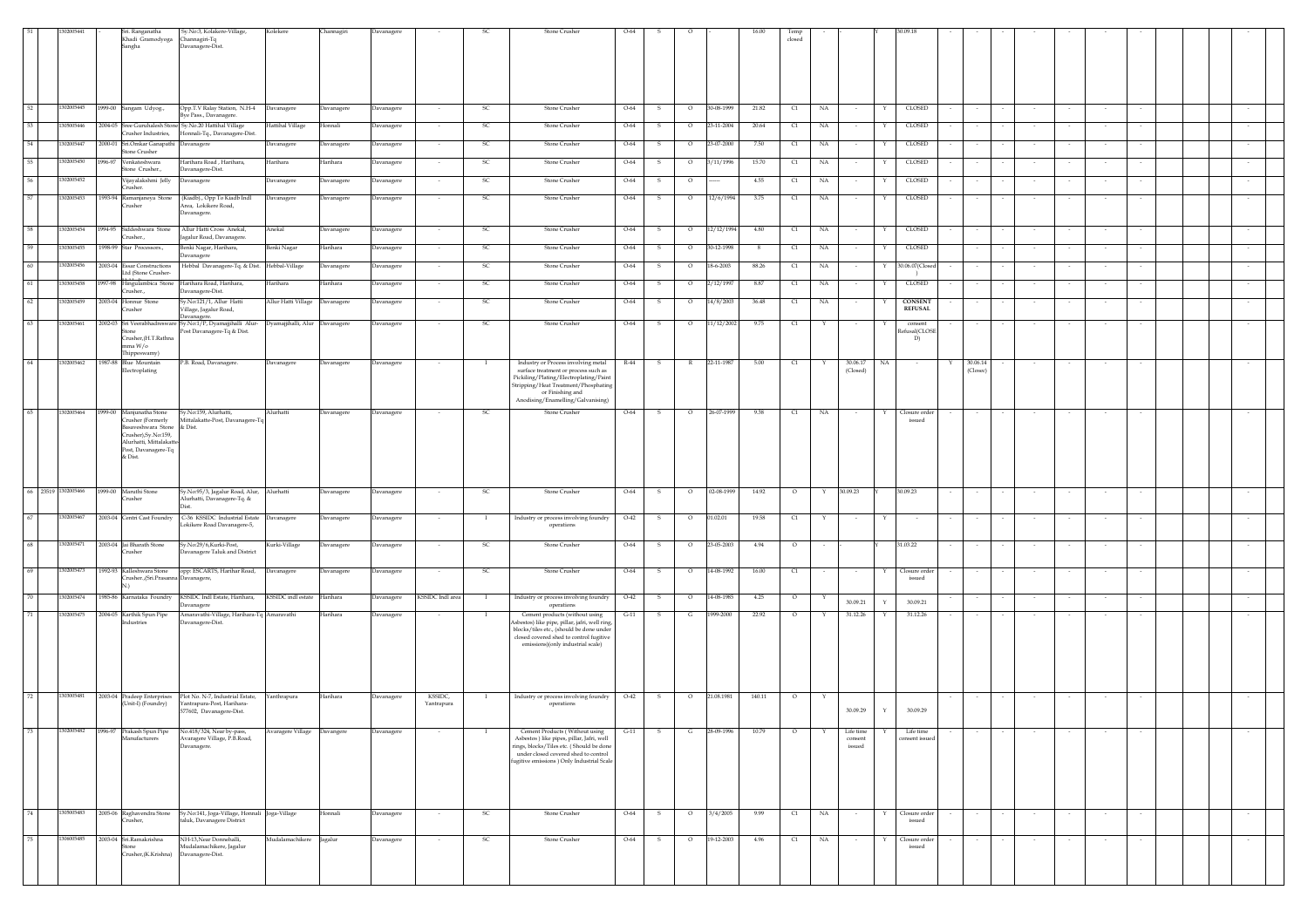|                     |                          |         | Sri. Ranganatha<br>Khadi Gramodyoga<br>Sangha                                                                                                         | Sy.No:3, Kolakere-Village,<br>Channagiri-Tq<br>Davanagere-Dist.                            | Kolekere                        | Channagiri | Davanagere |                       |               | Stone Crusher                                                                                                                                                                                                          | $O-64$ |              |         |              |        | closed                           |             |                                |                                   |                           |        |        |        |        |  |        |
|---------------------|--------------------------|---------|-------------------------------------------------------------------------------------------------------------------------------------------------------|--------------------------------------------------------------------------------------------|---------------------------------|------------|------------|-----------------------|---------------|------------------------------------------------------------------------------------------------------------------------------------------------------------------------------------------------------------------------|--------|--------------|---------|--------------|--------|----------------------------------|-------------|--------------------------------|-----------------------------------|---------------------------|--------|--------|--------|--------|--|--------|
| 52                  | 302005445                |         | 1999-00 Sangam Udyog.,                                                                                                                                | Opp.T.V Ralay Station, N.H-4 Davanagere<br><b>Sye Pass., Davanagere</b>                    |                                 | Davanagere | Davanagere | $\sim$                | - SC          | Stone Crusher                                                                                                                                                                                                          | $O-64$ | s.           | $\circ$ | 30-08-1999   | 21.82  | C1                               | NA          | $\sim$                         | CLOSED<br>Y                       | $\sim$                    | $\sim$ |        | $\sim$ |        |  |        |
| 53                  | 1305005446               |         | Crusher Industries.                                                                                                                                   | 2004-05 Sree Guruhalesh Stone Sy. No.20 Hattihal Village<br>Honnali-Tq., Davanagere-Dist.  | Hattihal Village                | Honnali    | Davanagere |                       | <sub>SC</sub> | Stone Crusher                                                                                                                                                                                                          | $O-64$ | 5            | $\circ$ | 23-11-2004   | 20.64  | C1                               | NA          |                                | CLOSED                            |                           |        |        |        |        |  |        |
| 54                  | 1302005447               |         | 2000-01 Sri.Omkar Ganapathi Davanagere<br>Stone Crusher                                                                                               |                                                                                            | Davanagere                      | Davanagere | Davanagere |                       | SC            | Stone Crusher                                                                                                                                                                                                          | O-64   | s            | $\circ$ | 23-07-2000   | 7.50   | C1                               | NA          |                                | CLOSED<br>Y                       |                           |        |        |        |        |  |        |
| 55                  | 1302005450               |         | 1996-97 Venkateshwara<br>Stone Crusher.,                                                                                                              | Harihara Road, Harihara.<br>Davanagere-Dist.                                               | Harihara                        | Harihara   | Davanagere |                       | - SC          | Stone Crusher                                                                                                                                                                                                          | $O-64$ | -S           | $\circ$ | 3/11/1996    | 15.70  | C1                               | NA          |                                | CLOSED<br>Y                       |                           |        |        |        |        |  |        |
| 56                  | 302005452                |         | Vijayalakshmi Jelly<br>Crusher.                                                                                                                       | Davanagere                                                                                 | Davanagere                      | Davanagere | Davanagere |                       | <sub>SC</sub> | Stone Crusher                                                                                                                                                                                                          | $O-64$ | -S           | $\circ$ |              | 4.55   | C1                               | NA          |                                | <b>CLOSED</b><br>Y                |                           |        |        |        |        |  |        |
| 57                  | 1302005453               |         | 1993-94 Ramanjaneya Stone<br>Crusher                                                                                                                  | (Kiadb)., Opp To Kiadb Indl<br>Area, Lokikere Road,<br>avanagere.                          | Davanagere                      | Davanagere | Davanagere |                       | <sub>SC</sub> | Stone Crusher                                                                                                                                                                                                          | $O-64$ |              | $\circ$ | 12/6/1994    | 3.75   | $\alpha$                         | NA          |                                | CLOSED<br>Y                       |                           |        |        |        |        |  |        |
| 58                  | 1302005454               |         | 1994-95 Siddeshwara Stone<br>Crusher.,                                                                                                                | Allur Hatti Cross Anekal,<br>galur Road, Davanagere                                        | Anekal                          | Davanagere | Davanagere | $\sim$                | - SC          | Stone Crusher                                                                                                                                                                                                          | $O-64$ | -S           | $\circ$ | 12/12/1994   | 4.80   | C1                               | NA          | $\sim$                         | CLOSED<br>Y                       |                           |        |        | $\sim$ |        |  |        |
| 59                  | 33005455                 |         | 1998-99 Star Processors.,                                                                                                                             | Benki Nagar, Harihara,<br>avanagere                                                        | Benki Nagar                     | Harihara   | Davanagere |                       | -SC           | Stone Crusher                                                                                                                                                                                                          | $O-64$ | s            | $\circ$ | 30-12-1998   | - 8    | C1                               | NA          |                                | CLOSED<br>Y                       |                           |        |        |        |        |  |        |
| 60                  | 1302005456               |         | 2003-04 Essar Constructions<br>Ltd (Stone Crusher-                                                                                                    | Hebbal Davanagere-Tq. & Dist. Hebbal-Village                                               |                                 | Davanagere | Davanagere |                       | <sub>SC</sub> | Stone Crusher                                                                                                                                                                                                          | $O-64$ | s            | $\circ$ | 18-6-2003    | 88.26  | C1                               | NA          |                                | 30.06.07(Close                    |                           |        |        |        |        |  |        |
| 61<br>62            | 1303005458<br>1302005459 |         | 1997-98 Hingulambica Stone<br>Crusher.,<br>2003-04 Honnur Stone                                                                                       | Harihara Road, Harihara,<br>avanagere-Dist.<br>Sy.No:121/1, Allur Hatti                    | Harihara<br>Allur Hatti Village | Harihara   | Davanagere |                       | <b>SC</b>     | Stone Crusher<br>Stone Crusher                                                                                                                                                                                         | O-64   | s            | $\circ$ | 2/12/1997    | 8.87   | C1                               | NA          |                                | CLOSED<br><b>CONSENT</b>          |                           |        |        |        |        |  |        |
|                     |                          |         | Crusher                                                                                                                                               | 'illage, Jagalur Road,<br>Javanagere                                                       |                                 | Davanagere | Davanagere |                       | -SC           |                                                                                                                                                                                                                        | $O-64$ | -S           | $\circ$ | 14/8/2003    | 36.48  | C1                               | NA          |                                | <b>REFUSAL</b>                    |                           |        |        |        |        |  |        |
| 63                  | 1302005461               |         | 2002-03 Sri Veerabhadresware<br>Crusher, (H.T.Rathna<br>mma W/o<br>Thippeswamy)                                                                       | Sy.No:1/P, Dyamajjihalli Alur-<br>Post Davanagere-Tq & Dist.                               | Dyamajjihalli, Alur             | Davanagere | Davanagere |                       | <sub>SC</sub> | Stone Crusher                                                                                                                                                                                                          | $O-64$ |              | $\circ$ | 11/12/2002   | 9.75   | C1                               |             |                                | $\,$ consent<br>fusal(CLOSI<br>D) |                           |        |        |        |        |  |        |
| 64                  |                          |         | 1302005462 1987-88 Blue Mountain<br>Electroplating                                                                                                    | P.B. Road, Davanagere.                                                                     | Davanagere                      | Davanagere | Davanagere |                       | - 1           | Industry or Process involving metal<br>surface treatment or process such as<br>Pickiling/Plating/Electroplating/Paint<br>Stripping/Heat Treatment/Phosphating<br>or Finishing and<br>Anodising/Enamelling/Galvanising) | R-44   | $\mathbf{s}$ |         | R 22-11-1987 | 5.00   | C1                               | Y           | 30.06.17<br>(Closed)           | NA                                | 30.06.14<br>Y<br>(Closec) |        |        |        |        |  |        |
|                     | 1302005464               |         | 1999-00 Manjunatha Stone<br>Crusher (Formerly<br>3asayeshwara Stone<br>Crusher).Sv.No:159.<br>Alurhatti, Mittalakat<br>Post, Davanagere-Tq<br>& Dist. | Sy.No:159, Alurhatti,<br>Mittalakatte-Post, Davanagere-Tq<br>& Dist.                       | Alurhatti                       | Davanagere | Davanagere |                       | SC            | Stone Crusher                                                                                                                                                                                                          | $O-64$ | s            | $\circ$ | 26-07-1999   | 9.38   | $\begin{array}{c} 1 \end{array}$ | NA          | $\sim$                         | Closure order<br>issued           |                           |        |        |        |        |  |        |
| 66 23519 1302005466 |                          |         | 1999-00 Maruthi Stone<br>Crusher                                                                                                                      | Sy.No:95/3, Jagalur Road, Alur,<br>Alurhatti, Davanagere-Tq. &                             | Alurhatti                       | Davanagere | Davanagere |                       | SC            | Stone Crusher                                                                                                                                                                                                          | $O-64$ | s            | $\circ$ | 02-08-1999   | 14.92  | $\circ$                          | Y           | 30.09.23                       | 30.09.23                          |                           |        |        |        |        |  |        |
| 67                  | 1302005467               |         | 2003-04 Centri Cast Foundry                                                                                                                           | C-36 KSSIDC Industrial Estate<br>.okikere Road Davanagere-5,                               | Davanagere                      | Davanagere | Davanagere |                       | $\mathbf{I}$  | Industry or process involving foundry<br>operations                                                                                                                                                                    | $O-42$ | s            | $\circ$ | 01.02.01     | 19.58  | C1                               | Y           | $\sim$                         | Y                                 |                           |        |        |        |        |  |        |
| 68                  | 1302005471               |         | 2003-04 Jai Bharath Stone<br>Crusher                                                                                                                  | Sy.No:29/6,Kurki-Post,<br>avanagere Taluk and District                                     | Kurki-Village                   | Davanagere | Davanagere |                       | SC            | Stone Crusher                                                                                                                                                                                                          | O-64   | s            | $\circ$ | 23-05-2003   | 4.94   | $\circ$                          |             |                                | 31.03.22                          |                           |        |        |        |        |  |        |
| 69                  | 1302005473               |         | 1992-93 Kalleshwara Stone<br>Crusher., (Sri.Prasanna Davanagere,<br>N)                                                                                | opp: ESCARTS, Harihar Road,                                                                | Davanagere                      | Davanagere | Davanagere |                       | SC            | Stone Crusher                                                                                                                                                                                                          | $O-64$ | s            | $\circ$ | 14-08-1992   | 16.00  | C1                               |             |                                | Closure order<br>Y<br>issued      |                           |        |        |        |        |  |        |
| 70                  | 302005474                |         | 1985-86 Karnataka Foundry                                                                                                                             | KSSIDC Indl Estate, Harihara,<br>avanagere                                                 | KSSIDC indl estate              | Harihara   | Davanagere | KSSIDC Indl area      | $\mathbf{I}$  | Industry or process involving foundry<br>operations                                                                                                                                                                    | $O-42$ | s            | $\circ$ | 14-08-1985   | 4.25   | $\circ$                          | Y           | 30.09.21                       | 30.09.21<br>Y                     | $\sim$                    | $\sim$ |        | $\sim$ | $\sim$ |  |        |
| $\overline{71}$     | 1302005475               |         | 2004-05 Karthik Spun Pipe<br>Industries                                                                                                               | Amaravathi-Village, Harihara-Tq Amaravathi<br>avanagere-Dist.                              |                                 | Harihara   | Davanagere |                       |               | Cement products (without using<br>sbestos) like pipe, pillar, jafri, well ring,<br>blocks/tiles etc., (should be done under<br>closed covered shed to control fugitive<br>emissions)(only industrial scale)            | $G-11$ | s            | G       | 1999-2000    | 22.92  | $\circ$                          | Y           | 31.12.26                       | Y<br>31.12.26                     |                           |        |        |        |        |  |        |
| 72                  | 1303005481               |         | 2003-04 Pradeep Enterprises<br>(Unit-I) (Foundry)                                                                                                     | Plot No. N-7, Industrial Estate,<br>Yantrapura-Post, Harihara-<br>577602, Davanagere-Dist. | Yanthrapura                     | Harihara   | Davanagere | KSSIDC,<br>Yantrapura |               | Industry or process involving foundry<br>operations                                                                                                                                                                    | $O-42$ | s            | $\circ$ | 21.08.1981   | 140.11 | $\circ$                          | $\mathbf Y$ | 30.09.29                       | $\mathbf Y$<br>30.09.29           |                           |        |        |        |        |  |        |
| $\overline{73}$     | 1302005482               | 1996-97 | Prakash Spun Pipe<br>Manufacturers                                                                                                                    | No.418/324, Near by-pass,<br>Avaragere Village, P.B.Road,<br>avanagere.                    | <b>Waragere Village</b>         | Davangere  | Davanagere |                       |               | Cement Products (Without using<br>Asbestos ) like pipes, pillar, Jafri, well<br>rings, blocks/Tiles etc. (Should be done<br>under closed covered shed to control<br>fugitive emissions ) Only Industrial Scale         | $G-11$ | s            | G       | 28-09-1996   | 10.79  | $\circ$                          |             | Life time<br>consent<br>issued | Life time<br>consent issued       |                           |        |        |        |        |  |        |
| 74                  | 1305005483               |         | 2005-06 Raghavendra Stone<br>Crusher,                                                                                                                 | Sy.No:141, Joga-Village, Honnali Joga-Village<br>taluk, Davanagere District                |                                 | Honnali    | Davanagere | $\sim$                | <sub>SC</sub> | Stone Crusher                                                                                                                                                                                                          | $O-64$ | s            | $\circ$ | 3/4/2005     | 9.99   | $\begin{array}{c} 1 \end{array}$ | NA          | $\sim$                         | Closure order<br>Y<br>issued      |                           | $\sim$ |        | $\sim$ | $\sim$ |  |        |
| 75                  | 306005485                |         | 2003-04 Sri.Ramakrishna<br><b>one</b><br>Crusher, (K.Krishna)                                                                                         | NH-13, Near Donnehalli,<br>Mudalamachikere, Jagalur<br>Davanagere-Dist.                    | fudalamachikere                 | Jagalur    | Davanagere | $\sim$                | -SC           | <b>Stone Crusher</b>                                                                                                                                                                                                   | $O-64$ | s            | $\circ$ | 19-12-2003   | 4.96   | C1                               | NA          | $\sim$                         | Closure order<br>Y<br>issued      | $\sim$                    | $\sim$ | $\sim$ | $\sim$ | $\sim$ |  | $\sim$ |
|                     |                          |         |                                                                                                                                                       |                                                                                            |                                 |            |            |                       |               |                                                                                                                                                                                                                        |        |              |         |              |        |                                  |             |                                |                                   |                           |        |        |        |        |  |        |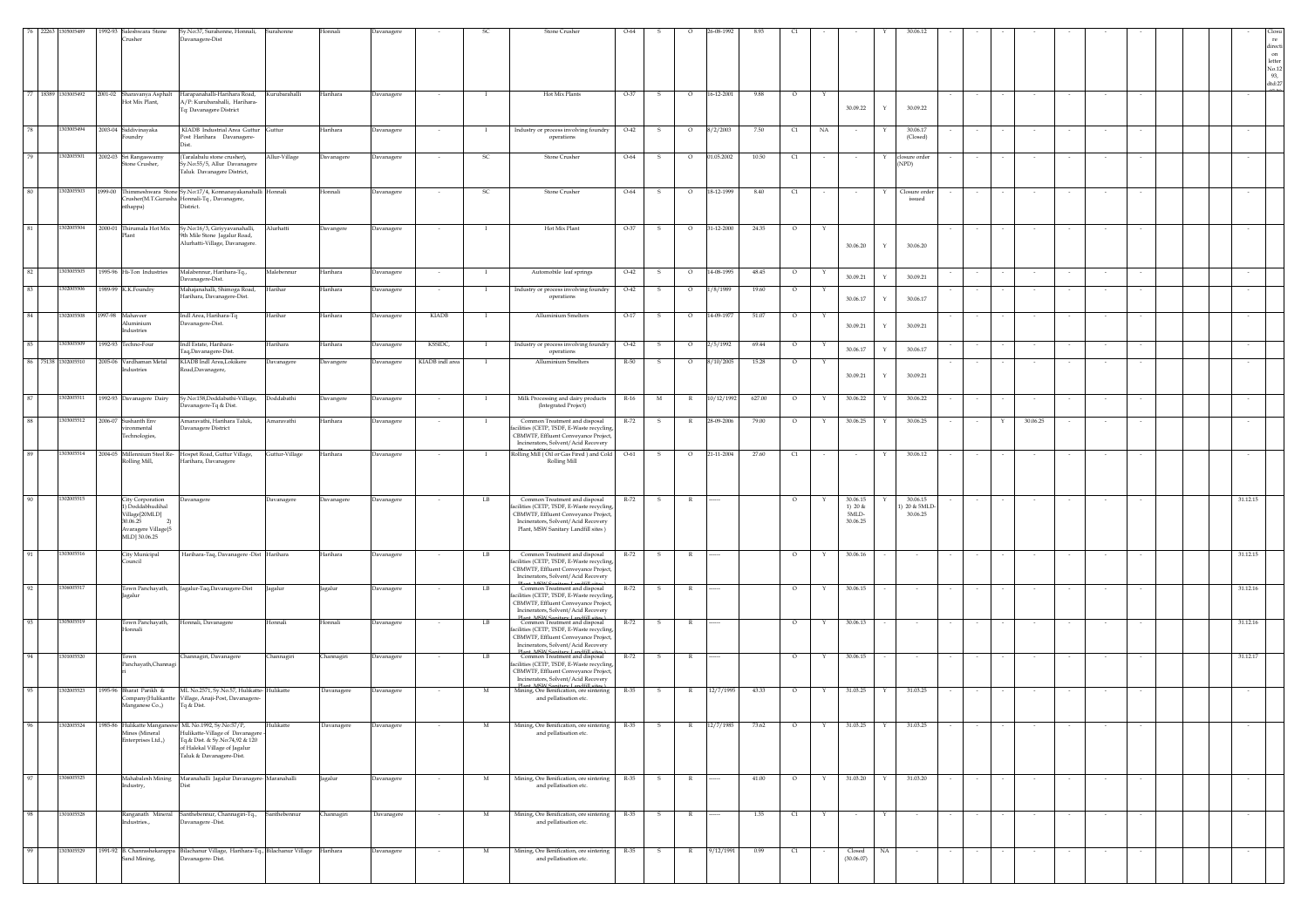|      | 76 22263<br>1305005489      |         | 1992-93 Saleshwara Stone<br>Crusher                                                                                    | Sy.No:37, Surahonne, Honnali,<br>Davanagere-Dist                                                                                                          | Surahonne       |            |                    |                 |                | Stone Crusher                                                                                                                                                                                       |        |              | 5-08-1992                  |        |            |    |                                            |                             |                                     |        |   |          |        |        |          | direct<br>on<br>letter<br>No.12<br>93,<br>dtd:27 |
|------|-----------------------------|---------|------------------------------------------------------------------------------------------------------------------------|-----------------------------------------------------------------------------------------------------------------------------------------------------------|-----------------|------------|--------------------|-----------------|----------------|-----------------------------------------------------------------------------------------------------------------------------------------------------------------------------------------------------|--------|--------------|----------------------------|--------|------------|----|--------------------------------------------|-----------------------------|-------------------------------------|--------|---|----------|--------|--------|----------|--------------------------------------------------|
|      | 77 18389 1303005492 2001-02 |         | Sharavanya Asphalt<br>Hot Mix Plant,                                                                                   | Harapanahalli-Harihara Road,<br>A/P: Kurubarahalli, Harihara-<br>Tq: Davanagere District                                                                  | Kurubarahalli   | Harihara   | Davanagere         |                 | $\mathbf{I}$   | Hot Mix Plants                                                                                                                                                                                      | $O-37$ | $\mathbf{s}$ | $\circ$<br>16-12-2001      | 9.88   | $\circ$    | Y  | 30.09.22                                   | Y                           | 30.09.22                            |        |   |          |        |        |          |                                                  |
| 78   |                             |         | 1303005494 2003-04 Siddivinayaka<br>undry                                                                              | KIADB Industrial Area Guttur Guttur<br>Post Harihara Davanagere-                                                                                          |                 | Harihara   | <b>Javanagere</b>  |                 |                | Industry or process involving foundry<br>operations                                                                                                                                                 | $O-42$ | s            | $\circ$<br>8/2/2003        | 7.50   | C1         | NA |                                            |                             | 30.06.17<br>(Closed)                |        |   |          |        |        |          |                                                  |
| 79   | 1302005501                  |         | 2002-03 Sri Rangaswamy<br>Stone Crusher,                                                                               | (Taralabalu stone crusher),<br>v.No:55/5, Allur Davanagere<br><b>Taluk Davanagere District,</b>                                                           | Allur-Village   | Davanagere | <b>Javanagere</b>  |                 | <sub>SC</sub>  | Stone Crusher                                                                                                                                                                                       | $O-64$ | -S           | 01.05.2002<br>$\circ$      | 10.50  | C1         |    | $\sim$                                     | Y<br>closure order<br>(NPD) |                                     |        |   |          |        |        |          |                                                  |
| 80   | 302005503                   |         | nthappa)                                                                                                               | 1999-00 Thimmeshwara Stone Sy.No:17/4, Konnanayakanahalli Honnali<br>Crusher(M.T.Gurusha Honnali-Tq, Davanagere,<br>District.                             |                 | Honnali    | <b>)</b> avanagere |                 | -SC            | Stone Crusher                                                                                                                                                                                       | $O-64$ | -S           | $\circ$<br>18-12-1999      | 8.40   | $\epsilon$ |    |                                            |                             | Closure order<br>issued             |        |   |          |        |        |          |                                                  |
|      | 1302005504                  |         | 2000-01 Thirumala Hot Mix<br>Plant                                                                                     | Sy.No:16/3, Giriyyavanahalli,<br>9th Mile Stone Jagalur Road,<br>Alurhatti-Village, Davanagere.                                                           | Alurhatti       | Davangere  | <b>Javanagere</b>  |                 |                | Hot Mix Plant                                                                                                                                                                                       | O-37   |              | 31-12-2000<br>$\circ$      | 24.35  |            |    | 30.06.20                                   | Y                           | 30.06.20                            |        |   |          |        |        |          |                                                  |
| 82   | 1303005505                  |         | 1995-96 Hi-Ton Industries                                                                                              | Malabennur, Harihara-Tq.,<br>Davanagere-Dist.                                                                                                             | Malebennur      | Harihara   | Davanagere         |                 | $\mathbf{I}$   | Automobile leaf springs                                                                                                                                                                             | $O-42$ | -S           | $\circ$<br>14-08-1995      | 48.45  | $\circ$    |    | 30.09.21                                   | $\mathbf Y$                 | 30.09.21                            |        |   |          |        |        |          |                                                  |
| 83   | 1302005506                  |         | 1989-99 K.K.Foundry                                                                                                    | Mahajanahalli, Shimoga Road,<br>Harihara, Davanagere-Dist.                                                                                                | Harihar         | Harihara   | <b>Javanagere</b>  | $\sim$          | $\mathbf{I}$   | Industry or process involving foundry<br>operations                                                                                                                                                 | $O-42$ | -S           | $\circ$<br>1/8/1989        | 19.60  | $\circ$    | Y  | 30.06.17                                   | Y                           | 30.06.17                            |        |   |          | $\sim$ | $\sim$ | $\sim$   |                                                  |
| 84   | 1302005508                  |         | 1997-98 Mahaveer<br>Aluminium<br>Industries                                                                            | Indl Area, Harihara-Tq<br>Davanagere-Dist.                                                                                                                | Harihar         | Harihara   | avanagere          | KIADB           | <b>I</b>       | Alluminium Smelters                                                                                                                                                                                 | $O-17$ | $\mathbf{s}$ | $\circ$<br>14-09-1977      | 51.07  | $\circ$    | Y  | 30.09.21                                   | Y                           | 30.09.21                            |        |   |          |        |        |          |                                                  |
| 85   | 1303005509                  |         | 1992-93 Techno-Four                                                                                                    | Indl Estate, Harihara-<br>Taq,Davanagere-Dist.                                                                                                            | <b>Jarihara</b> | Harihara   | avanagere          | KSSIDC,         |                | Industry or process involving foundry<br>operations                                                                                                                                                 | $O-42$ |              | 2/5/1992<br>$\circ$        | 69.44  | $\circ$    |    | 30.06.17                                   | Y                           | 30.06.17                            |        |   |          |        |        |          |                                                  |
|      | 86 75138 1302005510         |         | 2005-06 Vardhaman Metal<br>Industries                                                                                  | KIADB Indl Area, Lokikere<br>Road, Davanagere,                                                                                                            | Davanagere      | Davangere  | <b>Javanagere</b>  | KIADB indl area | -1             | <b>Alluminium Smelters</b>                                                                                                                                                                          | R-50   | -S           | $\circ$<br>8/10/2005       | 15.28  | $\circ$    | Y  | 30.09.21                                   | Y                           | 30.09.21                            |        |   |          |        |        |          |                                                  |
| 87   | 1302005511                  |         | 1992-93 Davanagere Dairy                                                                                               | Sy.No:158,Doddabathi-Village,<br>Javanagere-Tq & Dist.                                                                                                    | Doddabathi      | Davangere  | Davanagere         |                 | $\mathbf{I}$   | Milk Processing and dairy products<br>(Integrated Project)                                                                                                                                          | $R-16$ | $_{\rm M}$   | 10/12/1992<br>$\mathbb{R}$ | 627.00 | $\circ$    | Y  | 30.06.22                                   | Y                           | 30.06.22                            |        |   |          |        |        |          |                                                  |
| 88   | 1303005512                  | 2006-07 | Sushanth Env<br>ironmental<br>Fechnologies,                                                                            | Amaravathi, Harihara Taluk,<br>avanagere District                                                                                                         | Amaravathi      | Harihara   | <b>Davanagere</b>  |                 | $\blacksquare$ | Common Treatment and disposal<br>cilities (CETP, TSDF, E-Waste recycling,<br>CBMWTF, Effluent Conveyance Project,<br>Incinerators, Solvent/Acid Recovery                                            | $R-72$ | -S           | $\mathbb{R}$<br>28-09-2006 | 79.00  | $\circ$    | Y  | 30.06.25                                   | Y                           | 30.06.25                            |        | Y | 30.06.25 |        |        |          |                                                  |
| 89   | 1303005514                  |         | Rolling Mill,                                                                                                          | 2004-05 Millennium Steel Re- Hospet Road, Guttur Village,<br>Harihara, Davanagere                                                                         | Guttur-Village  | Harihara   | <b>Javanagere</b>  |                 | $\mathbf{I}$   | Rolling Mill (Oil or Gas Fired) and Cold<br>Rolling Mill                                                                                                                                            | $O-61$ | S.           | 21-11-2004<br>$\circ$      | 27.60  | C1         |    | $\sim$                                     | Y                           | 30.06.12                            |        |   |          |        |        |          |                                                  |
| 90   | 1302005515                  |         | City Corporation<br>1) Doddabhudihal<br>Village[20MLD]<br>30.06.25<br>Avaragere Village <sup>[5</sup><br>MLD] 30.06.25 | Davanagere                                                                                                                                                | Davanagere      | Davanagere | Javanagere         |                 | LB             | Common Treatment and disposal<br>acilities (CETP, TSDF, E-Waste recycling,<br>CBMWTF, Effluent Conveyance Project,<br>Incinerators, Solvent/Acid Recovery<br>Plant, MSW Sanitary Landfill sites)    | R-72   | - S          | R                          |        | $\circ$    |    | 30.06.15<br>1) $20 &$<br>5MLD-<br>30.06.25 |                             | 30.06.15<br>) 20 & 5MLE<br>30.06.25 |        |   |          |        |        | 31.12.15 |                                                  |
|      | 1303005516                  |         | City Municipal<br>Council                                                                                              | Harihara-Taq, Davanagere -Dist Harihara                                                                                                                   |                 | Harihara   | avanagere          |                 | LB             | Common Treatment and disposal<br>facilities (CETP, TSDF, E-Waste recycling,<br>CBMWTF, Effluent Conveyance Project,<br>Incinerators, Solvent/Acid Recovery                                          | R-72   |              |                            |        | $\circ$    |    | 30.06.16                                   |                             |                                     |        |   |          |        |        | 31.12.15 |                                                  |
| 92   | 1306005517                  |         | Town Panchayath,<br>Jagalur                                                                                            | Jagalur-Taq,Davanagere-Dist                                                                                                                               | Jagalur         | Jagalur    | Davanagere         |                 | LB             | Dlant, MCM Canitanu Landfill citae is<br>Common Treatment and disposal<br>facilities (CETP, TSDF, E-Waste recycling,<br>CBMWTF, Effluent Conveyance Project,<br>Incinerators, Solvent/Acid Recovery | R-72   | $\mathbf{s}$ | $\mathbb{R}$               |        | $\circ$    | Y  | 30.06.15                                   |                             |                                     |        |   |          |        |        | 31.12.16 |                                                  |
| 93   | 1305005519                  |         | Town Panchayath,<br>Honnali                                                                                            | Honnali, Davanagere                                                                                                                                       | Honnali         | Honnali    | Davanagere         |                 | LB             | Dlant MCW Canitany Landfill citae ><br>Common Treatment and disposal<br>acilities (CETP, TSDF, E-Waste recycline<br>CBMWTF, Effluent Conveyance Project,<br>Incinerators, Solvent/Acid Recovery     | R-72   | $\mathbf{s}$ | R                          |        | $\circ$    | Y  | 30.06.13                                   |                             |                                     |        |   |          |        | $\sim$ | 31.12.16 |                                                  |
| - 94 | 130100552                   |         | Town<br>Panchayath, Channagi                                                                                           | Channagiri, Davanagere                                                                                                                                    | Channagiri      | Channagiri | avanagere          |                 | LB             | Dlant, MCW Capitage Landfill sites V<br>Common Treatment and disposal<br>facilities (CETP, TSDF, E-Waste recycling,<br>CBMWTF, Effluent Conveyance Project,<br>Incinerators, Solvent/Acid Recovery  | $R-72$ |              |                            |        | $\circ$    |    | 30.06.15                                   |                             |                                     |        |   |          |        |        | 31.12.17 |                                                  |
| 95   | 1302005523                  |         | 1995-96 Bharat Parikh &<br>ompany(Hulikantte<br>Manganese Co.,)                                                        | ML No.2571, Sy.No.57, Hulikatte-Hulikatte<br>Village, Anaji-Post, Davanagere-<br>Tq & Dist.                                                               |                 | Davanagere | Davanagere         | $\sim$          | M              | Plant, MCW Capitage Landfill citae<br>Mining, Ore Benification, ore sintering<br>and pellatisation etc.                                                                                             | R-35   | S            | R<br>12/7/1995             | 43.33  | $\circ$    | Y  | 31.03.25                                   | Y                           | 31.03.25                            | $\sim$ |   | $\sim$   |        |        | $\sim$   |                                                  |
| 96   | 1302005524                  | 1985-86 | <b>Julikatte Manganee</b><br>Mines (Mineral<br>Enterprises Ltd.,)                                                      | ML No.1992, Sy.No:57/P,<br>Hulikatte-Village of Davanagere<br>Tq.& Dist. & Sy.No:74,92 & 120<br>of Halekal Village of Jagalur<br>Taluk & Davanagere-Dist. | Hulikatte       | Davanagere | Davanagere         |                 | M              | Mining, Ore Benification, ore sintering<br>and pellatisation etc.                                                                                                                                   | R-35   | s            | $\mathbb{R}$<br>12/7/1985  | 73.62  | $\circ$    | Y  | 31.03.25                                   |                             | 31.03.25                            |        |   |          |        |        |          |                                                  |
| 97   | 1306005525                  |         | Industry,                                                                                                              | Mahabalesh Mining Maranahalli Jagalur Davanagere- Maranahalli                                                                                             |                 | Jagalur    | <b>Davanagere</b>  |                 | M              | Mining, Ore Benification, ore sintering<br>and pellatisation etc.                                                                                                                                   | R-35   | -S           | $\mathbb{R}$               | 41.00  | $\circ$    | Y  | 31.03.20                                   | Y                           | 31.03.20                            |        |   |          |        |        |          |                                                  |
| 98   | 1301005528                  |         | Industries.,                                                                                                           | Ranganath Mineral Santhebennur, Channagiri-Tq.,<br>Davanagere-Dist.                                                                                       | Santhebennur    | Channagiri | Davanagere         |                 | M              | Mining, Ore Benification, ore sintering<br>and pellatisation etc.                                                                                                                                   | R-35   | S            | $\mathbb{R}$               | 1.35   | C1         | Y  | $\sim$                                     | Y                           |                                     |        |   |          |        |        |          |                                                  |
| 99   | 1303005529                  |         | Sand Mining,                                                                                                           | 1991-92 B. Chanrashekarappa Bilachanur Village, Harihara-Tq., Bilachanur Village Harihara<br>Davanagere-Dist.                                             |                 |            | Davanagere         |                 | M              | Mining, Ore Benification, ore sintering<br>and pellatisation etc.                                                                                                                                   | $R-35$ | - S          | 9/12/1991<br>$\mathbb{R}$  | 0.99   | C1         |    | Closed<br>(30.06.07)                       | NA                          |                                     |        |   |          |        |        |          |                                                  |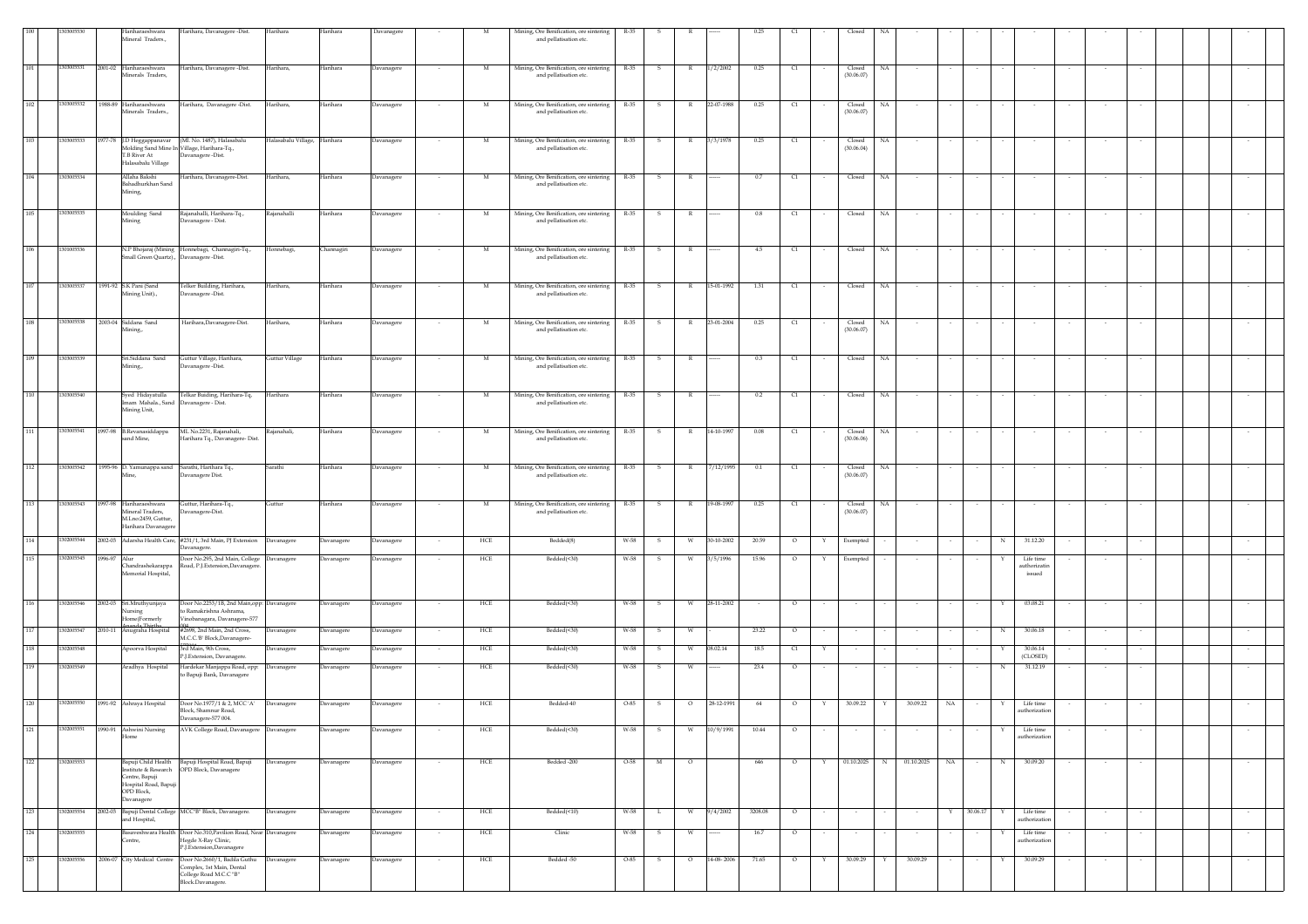|     |            |         | Hariharaeshwara<br>Mineral Traders.,                                            | Harihara, Davanagere -Dist.                                                                                        | Harihara            | Harihara   | Davanagere |                          |              | Mining, Ore Benification, ore sintering<br>and pellatisation etc. | R-35   |              |              |            |         |                   |                      |              |            |                  |                          |                                          |        |        |        |  |        |  |
|-----|------------|---------|---------------------------------------------------------------------------------|--------------------------------------------------------------------------------------------------------------------|---------------------|------------|------------|--------------------------|--------------|-------------------------------------------------------------------|--------|--------------|--------------|------------|---------|-------------------|----------------------|--------------|------------|------------------|--------------------------|------------------------------------------|--------|--------|--------|--|--------|--|
| 101 | 1303005531 | 2001-02 | Hariharaeshwara<br>Minerals Traders,                                            | Harihara, Davanagere -Dist.                                                                                        | Harihara,           | Harihara   | Davanagere |                          | M            | Mining, Ore Benification, ore sintering<br>and pellatisation etc. | R-35   | s            |              | 1/2/2002   | 0.25    | C1                | Closed<br>(30.06.07) | NA           |            |                  |                          |                                          |        |        |        |  |        |  |
|     |            |         |                                                                                 |                                                                                                                    |                     |            |            |                          |              |                                                                   |        |              |              |            |         |                   |                      |              |            |                  |                          |                                          |        |        |        |  |        |  |
| 102 | 1303005532 |         | 1988-89 Hariharaeshwara<br>Minerals Traders.,                                   | Harihara, Davanagere -Dist.                                                                                        | Harihara,           | Harihara   | Davanagere | $\sim$                   | M            | Mining, Ore Benification, ore sintering<br>and pellatisation etc. | R-35   | S            | $\mathbb{R}$ | 22-07-1988 | 0.25    | C1                | Closed<br>(30.06.07) | NA           |            |                  |                          |                                          |        |        |        |  |        |  |
| 103 | 1303005533 |         | 1977-78 J.D Heggappanavar<br>T.B River At<br>Halasabalu Village                 | (Ml. No. 1487), Halasabalu<br>Molding Sand Mine In Village, Harihara-Tq.,<br>Davanagere -Dist.                     | Halasabalu Village, | Harihara   | Davanagere |                          | M            | Mining, Ore Benification, ore sintering<br>and pellatisation etc. | R-35   | -S           | R.           | 3/3/1978   | 0.25    | q                 | Closed<br>(30.06.04) | NA           |            | $\sim$           |                          |                                          |        |        |        |  |        |  |
| 104 | 1303005534 |         | Allaha Bakshi<br>Bahadhurkhan Sand<br>Mining.                                   | Harihara, Davanagere-Dist.                                                                                         | Harihara,           | Harihara   | Davanagere |                          | M            | Mining, Ore Benification, ore sintering<br>and pellatisation etc. | R-35   | s            | $\mathbb{R}$ |            | 0.7     | $\mathbb{C}1$     | Closed               | $_{\rm NA}$  |            |                  |                          |                                          |        |        |        |  |        |  |
| 105 | 1303005535 |         | Moulding Sand<br>Mining                                                         | Rajanahalli, Harihara-Tq.,<br>Davanagere - Dist.                                                                   | Rajanahalli         | Harihara   | Davanagere |                          | M            | Mining, Ore Benification, ore sintering<br>and pellatisation etc. | R-35   | -S           | $\mathbb{R}$ |            | 0.8     | C1                | Closed               | NA           |            |                  |                          |                                          |        |        |        |  |        |  |
| 106 | 1301005536 |         | Small Green Quartz)., Davanagere -Dist.                                         | N.P Bhojaraj (Mining Honnebagi, Channagiri-Tq.,                                                                    | Honnebagi,          | Channagiri | Davanagere |                          | M            | Mining, Ore Benification, ore sintering<br>and pellatisation etc. | R-35   |              |              |            | 4.5     | $\alpha$          | Closed               | NA           |            |                  |                          |                                          |        |        |        |  |        |  |
| 107 | 303005537  |         | 1991-92 S.K Pani (Sand                                                          | Telker Building, Harihara,                                                                                         | Harihara,           | Harihara   | Davanagere |                          | M            | Mining, Ore Benification, ore sintering                           | R-35   | -S           | R            | 15-01-1992 | 1.31    | C1                | Closed               | NA           |            |                  |                          |                                          |        |        |        |  |        |  |
|     |            |         | Aining Unit).,                                                                  | Javanagere -Dist.                                                                                                  |                     |            |            |                          |              | and pellatisation etc.                                            |        |              |              |            |         |                   |                      |              |            |                  |                          |                                          |        |        |        |  |        |  |
| 108 | 303005538  |         | 2003-04 Siddana Sand<br>Mining.,                                                | Harihara, Davanagere-Dist.                                                                                         | Harihara,           | Harihara   | Davanagere |                          | M            | Mining, Ore Benification, ore sintering<br>and pellatisation etc. | R-35   | s            |              | 23-01-2004 | 0.25    | C1                | Closed<br>(30.06.07) | NA           |            |                  |                          |                                          |        |        |        |  |        |  |
| 109 | 1303005539 |         | Sri.Siddana Sand<br>Mining.,                                                    | Guttur Village, Harihara,<br>Davanagere-Dist.                                                                      | Guttur Village      | Harihara   | Davanagere |                          | M            | Mining, Ore Benification, ore sintering<br>and pellatisation etc. | R-35   | s            |              |            | $0.3\,$ | $\mathbb{C}1$     | Closed               | $_{\rm NA}$  |            |                  |                          |                                          |        |        |        |  |        |  |
| 110 | 1303005540 |         | Syed Hidayatulla<br>mam Mahala., Sand Davanagere - Dist.<br>Mining Unit,        | Telkar Buiding, Harihara-Tq,                                                                                       | Harihara            | Harihara   | Davanagere |                          | $\mathbf{M}$ | Mining, Ore Benification, ore sintering<br>and pellatisation etc. | R-35   | - S          | - R          |            | 0.2     | C1                | Closed               | NA           |            |                  |                          |                                          |        |        |        |  |        |  |
| 111 | 1303005541 |         | 1997-98 B.Revanasiddappa<br>sand Mine,                                          | ML No.2231, Rajanahali,<br>Harihara Tq., Davanagere- Dist.                                                         | Rajanahali,         | Harihara   | Davanagere | $\overline{\phantom{a}}$ | M            | Mining, Ore Benification, ore sintering<br>and pellatisation etc. | R-35   | s            | $\mathbb{R}$ | 14-10-1997 | 0.08    | $\alpha$          | Closed<br>(30.06.06) | NA           |            |                  |                          |                                          |        |        |        |  |        |  |
| 112 | 1303005542 |         | 1995-96 D. Yamunappa sand                                                       | Sarathi, Harihara Tq.,                                                                                             | Sarathi             | Harihara   | Davanagere |                          | M            | Mining, Ore Benification, ore sintering                           | R-35   | $\mathbf{s}$ | $\mathbb{R}$ | 7/12/1995  | 0.1     | C1                | Closed               | NA           |            |                  |                          |                                          |        |        |        |  |        |  |
|     |            |         | fine,                                                                           | Javanagere Dist.                                                                                                   |                     |            |            |                          |              | and pellatisation etc.                                            |        |              |              |            |         |                   | (30.06.07)           |              |            |                  |                          |                                          |        |        |        |  |        |  |
| 113 | 1303005543 | 1997-98 | Hariharaeshwara<br>Mineral Traders.<br>M.Lno:2459, Guttur<br>larihara Davanagen | Guttur, Harihara-Tq.,<br>Davanagere-Dist.                                                                          | Guttur              | Harihara   | Davanagere | $\sim$                   | M            | Mining, Ore Benification, ore sintering<br>and pellatisation etc. | R-35   | $\mathbf{s}$ | R            | 19-08-1997 | 0.25    | C1<br>$\sim$      | Closed<br>(30.06.07) | NA           | $\sim$     | $\sim$<br>$\sim$ | $\overline{\phantom{a}}$ | $\sim$                                   | $\sim$ | $\sim$ | $\sim$ |  | $\sim$ |  |
| 114 | 1302005544 | 2002-03 |                                                                                 | Adarsha Health Care, #231/1, 3rd Main, PJ Extension Davanagere<br>Davanagere.                                      |                     | Davanagere | Davanagere |                          | HCE          | Bedded(8)                                                         | W-58   | s            | W            | 30-10-2002 | 20.59   | $\circ$<br>Y      | Exempted             |              |            |                  | N                        | 31.12.20                                 |        |        |        |  |        |  |
| 115 | 1302005545 | 1996-97 | Alur<br>Chandrashekarappa<br>femorial Hospital,                                 | Door No.295, 2nd Main, College Davanagere<br>Road, P.J.Extension, Davanagere                                       |                     | Davanagere | Davanagere |                          | HCE          | Bedded(<30)                                                       | W-58   |              |              | 3/5/1996   | 15.96   | $\circ$           | Exempted             |              |            |                  |                          | Life time<br>authorizatin<br>$\,$ issued |        |        |        |  |        |  |
| 116 | 1302005546 |         | 2002-03 Sri.Mruthyunjaya<br>lursing<br>Iome(Formerly<br>anda Thirtha            | Door No.2253/1B, 2nd Main, opp: Davanagere<br>to Ramakrishna Ashrama,<br>Vinobanagara, Davanagere-577              |                     | Davanagere | Davanagere | $\overline{\phantom{a}}$ | HCE          | Bedded(<30)                                                       | W-58   | S            | W            | 28-11-2002 | $\sim$  | $\circ$<br>$\sim$ | $\sim$               |              |            | $\sim$           | Y                        | 03.08.21                                 |        | $\sim$ |        |  |        |  |
| 117 | 302005547  | 010-11  | Anugraha Hospital                                                               | #2698, 2nd Main, 2nd Cross,<br>M.C.C.'B' Block,Davanagere-                                                         | Davanagere          | Davanagere | Davanagere |                          | HCE          | Bedded(<30)                                                       | W-58   |              |              |            | 23.22   | $\circ$           |                      |              |            |                  | N                        | 30.06.18                                 |        |        |        |  |        |  |
| 118 | 302005548  |         | Apoorva Hospital                                                                | 3rd Main, 9th Cross.<br>P.J.Extension, Davanagere.                                                                 | Davanagere          | Davanagere | Davanagere |                          | HCE          | Bedded(<30)                                                       | W-58   | -S           |              | 08.02.14   | 18.5    | $\alpha$<br>Y     |                      |              |            |                  |                          | 30.06.14<br>(CLOSED)                     |        |        |        |  |        |  |
| 119 | 0200554    |         | Aradhya Hospital                                                                | Hardekar Manjappa Road, opp: Davanagere<br>to Bapuji Bank, Davanagere                                              |                     | Davanagere | Davanagere | $\sim$                   | HCE          | Bedded(<30)                                                       | W-58   | s            | - W          |            | 23.4    | $\circ$           | $\sim$               |              |            | $\sim$           | N                        | 31.12.19                                 |        |        |        |  |        |  |
| 120 | 1302005550 |         | 1991-92 Ashraya Hospital                                                        | Door No.1977/1 & 2, MCC 'A'<br>Block, Shamnur Road,<br>Davanagere-577 004.                                         | Davanagere          | Davanagere | Davanagere |                          | HCE          | Bedded-40                                                         | $O-85$ | - S          | $\circ$      | 28-12-1991 | 64      | $\circ$           | 30.09.22             | Y            | 30.09.22   | NA               |                          | Life time<br>authorization               |        |        |        |  |        |  |
| 121 | 1302005551 |         | 1990-91 Ashwini Nursing<br>Home                                                 | AVK College Road, Davanagere Davanagere                                                                            |                     | Davanagere | Davanagere |                          | HCE          | Bedded(<30)                                                       | W-58   | $\,$ s       | W            | 10/9/1991  | 10.44   | $\circ$           |                      |              |            |                  |                          | Life time<br>authorization               |        |        |        |  |        |  |
| 122 | 1302005553 |         | Centre, Bapuji<br>Hospital Road, Bapuji<br>OPD Block,<br>Davanagere             | Bapuji Child Health Bapuji Hospital Road, Bapuji<br>nstitute & Research OPD Block, Davanagere                      | Davanagere          | Davanagere | Davanagere |                          | HCE          | Bedded -200                                                       | $O-58$ | M            | $\circ$      |            | 646     | $\circ$<br>Y      |                      | 01.10.2025 N | 01.10.2025 | NA               | N                        | 30.09.20                                 |        |        |        |  |        |  |
| 123 | 1302005554 |         | and Hospital,                                                                   | 2002-03 Bapuji Dental College MCC"B" Block, Davanagere.                                                            | Davanagere          | Davanagere | Davanagere | $\sim$                   | HCE          | Bedded(<10)                                                       | W-58   | L.           | W            | 9/4/2002   | 3208.08 | $\circ$<br>$\sim$ | $\sim$               | $\sim$       | $\sim$     | 30.06.17<br>Y    | Y                        | Life time<br>authorization               |        | $\sim$ | $\sim$ |  | $\sim$ |  |
| 124 | 1302005555 |         | Centre,                                                                         | Basaveshwara Health Door No.310, Pavilion Road, Near Davanagere<br>Hegde X-Ray Clinic,<br>P.J.Extension,Davanagere |                     | Davanagere | Davanagere | $\sim$                   | HCE          | Clinic                                                            | W-58   | S.           | W            |            | 16.7    | $\circ$<br>$\sim$ | $\sim$               | $\sim$       | $\sim$     | $\sim$<br>$\sim$ | Y                        | Life time<br>authorization               |        | $\sim$ | $\sim$ |  | $\sim$ |  |
| 125 | 1302005556 |         | 2006-07 City Medical Centre                                                     | Door No.2660/1, Badila Guthu<br>Complex, 1st Main, Dental<br>College Road M.C.C "B"<br>Block.Davanagere.           | Davanagere          | Davanagere | Davanagere |                          | HCE          | Bedded -50                                                        | O-85   | s            |              | 14-08-2006 | 71.65   | $\circ$<br>Y      | 30.09.29             | Y            | 30.09.29   |                  |                          | 30.09.29                                 |        |        |        |  |        |  |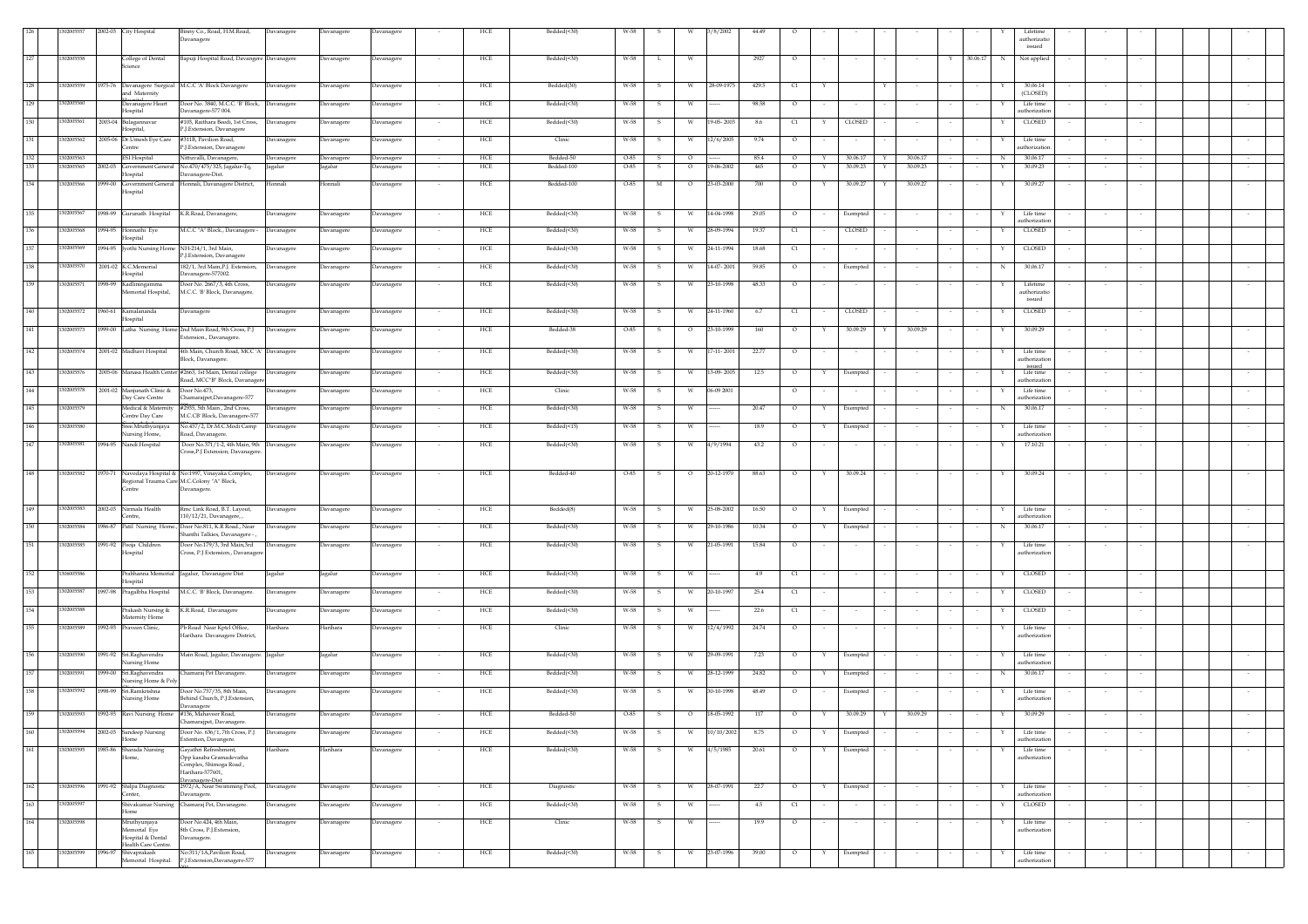|     | 30200555   | 2002-03 City Hospital                                                  | Binny Co., Road, H.M.Road,<br>Davanagere                                                                            | Davanagere        | Davanagere | Davanagere        | HCE                   | Bedded(<30) |        |                         | /8/2002          |       |                          |              |          |                  |               | Lifetime                        | authorizatio<br>issued |        |        |  |  |
|-----|------------|------------------------------------------------------------------------|---------------------------------------------------------------------------------------------------------------------|-------------------|------------|-------------------|-----------------------|-------------|--------|-------------------------|------------------|-------|--------------------------|--------------|----------|------------------|---------------|---------------------------------|------------------------|--------|--------|--|--|
| 127 | 1302005558 | College of Dental<br>Science                                           | Bapuji Hospital Road, Davangere Davanagere                                                                          |                   | Davanagere | Davanagere        | HCE                   | Bedded(<30) | W-58   | L<br>W                  |                  | 2927  | $\circ$                  |              |          |                  | 30.06.17<br>Y | $\mathbb N$                     | Not applied            |        |        |  |  |
| 128 | 1302005559 | 1975-76 Davanagere Surgical M.C.C 'A' Block Davangere<br>and Maternity |                                                                                                                     | Davanagere        | Davanagere | Davanagere        | HCE<br>$\sim$         | Bedded(30)  | W-58   | $\mathbf{s}$<br>W       | 28-09-1975       | 429.5 | C1                       | Y            |          | Y                |               |                                 | 30.06.14<br>(CLOSED)   |        |        |  |  |
| 129 | 1302005560 | and the Unit<br>Davanagere Heart<br>Hospital                           | Door No. 3840, M.C.C. 'B' Block, Davanagere<br>Davanagere-577 004.                                                  |                   | Davanagere | Davanagere        | HCE<br>$\sim$         | Bedded(<30) | W-58   | S.<br>W                 |                  | 98.58 | $\circ$                  |              | $\sim$   | $\sim$           |               | Life time<br>Y<br>authorizatio  |                        | $\sim$ | $\sim$ |  |  |
| 130 | 302005561  | 2003-04 Bulagannavar                                                   | #103, Raithara Beedi, 1st Cross,                                                                                    | Davanagere        | Davanagere | Davanagere        | HCE<br>$\sim$         | Bedded(<30) | W-58   | -S<br>W                 | 19-05-2003       | 8.6   | C1                       | Y            | CLOSED   | $\sim$           |               | Y.                              | <b>CLOSED</b>          |        |        |  |  |
| 131 | 1302005562 | Hospital,<br>2005-06 Dr.Umesh Eye Care                                 | P.I.Extension, Davanagere<br>#311B, Pavilion Road,                                                                  | <b>Davanagere</b> | Davanagere | <b>Davanagere</b> | HCE                   | Clinic      | W-58   | W<br>s                  | 12/6/2005        | 9.74  | $\circ$                  |              |          |                  |               | Life time                       |                        |        |        |  |  |
| 132 | 1302005563 | Centre<br><b>ESI</b> Hospital                                          | P.J.Extension, Davanagere<br>Nittuvalli, Davanagere,                                                                | Davanagere        | Davanagere | Davanagere        | HCE                   | Bedded-50   | $O-85$ | $\circ$<br>S            |                  | 85.4  | $\circ$                  | Y            | 30.06.17 | 30.06.17<br>Y    |               | authorization<br>$\mathbb N$    | 30.06.17               |        |        |  |  |
| 133 | 1302005565 | 2002-03 Government General<br>Hospital                                 | No.470/475/325, Jagalur-Tq,<br>Davanagere-Dist.                                                                     | lagalur           | agalur     | <b>Javanagere</b> | HCE                   | Bedded-100  | 0-85   | s<br>$\circ$            | 19-06-2002       | 465   | $\circ$                  |              | 30.09.23 | 30.09.23<br>Y    |               |                                 | 30.09.23               |        |        |  |  |
| 134 | 1302005566 | Hospital                                                               | 1999-00 Government General Honnali, Davanagere District,                                                            | Honnali           | Honnali    | Davanagere        | HCE                   | Bedded-100  | $O-85$ | M<br>$\circ$            | 23-03-2000       | 700   | $\circ$                  | Y            | 30.09.27 | 30.09.27<br>Y    |               | Υ                               | 30.09.27               | $\sim$ |        |  |  |
| 135 | 1302005567 | 1998-99 Gurunath Hospital K.R.Road, Davanagere,                        |                                                                                                                     | Davanagere        | Davanagere | Davanagere        | HCE                   | Bedded(<30) | W-58   | W<br>-S                 | 14-04-1998       | 29.05 | $\circ$                  |              | Exempted |                  |               | Life time                       | authorization          |        |        |  |  |
| 136 | 1302005568 | 1994-95 Honnathi Eye<br>Iospital                                       | M.C.C "A" Block., Davanagere                                                                                        | Davanagere        | Davanagere | Davanagere        | HCE                   | Bedded(<30) | W-58   | W                       | 28-09-1994       | 19.37 | C1                       |              | CLOSED   |                  |               | CLOSED                          |                        |        |        |  |  |
| 137 | 1302005569 | 1994-95 [vothi Nursing Home NH-214/1, 3rd Main,                        | P.J.Extension, Davanager                                                                                            | Davanagere        | Davanagere | Davanagere        | HCE                   | Bedded(<30) | W-58   | -S<br>W                 | 24-11-1994       | 18.68 | C1                       |              | $\sim$   |                  |               | CLOSED<br>Y                     |                        |        |        |  |  |
| 138 | 1302005570 | 2001-02 K.C.Memorial                                                   | 182/1, 3rd Main, P.J. Extension,                                                                                    | Davanagere        | Davanagere | Davanagere        | HCE<br>$\sim$         | Bedded(<30) | W-58   | s.<br>w                 | 14-07-2001       | 59.85 | $\circ$                  |              | Exempted | $\sim$           | $\sim$        | N                               | 30.06.17               |        |        |  |  |
| 139 | 1302005571 | Hospital<br>998-99 Kadliningamma                                       | Davanagere-577002.<br>Door No. 2667/3, 4th Cross,                                                                   | <b>Davanagere</b> | Davanagere | <b>Davanagere</b> | HCE                   | Bedded(<30) | W-58   | s<br>W                  | 23-10-1998       | 48.33 | $\circ$                  |              |          |                  |               |                                 | Lifetime               |        |        |  |  |
|     |            | Memorial Hospital,                                                     | M.C.C. 'B' Block, Davanagere.                                                                                       |                   |            |                   |                       |             |        |                         |                  |       |                          |              |          |                  |               |                                 | authorizatio<br>issued |        |        |  |  |
| 140 | 1302005572 | 1960-61 Kamalananda<br>Hospital                                        | Davanagere                                                                                                          | Davanagere        | Davanagere | Davanagere        | HCE                   | Bedded(<30) | W-58   | s<br>W                  | 24-11-1960       | 6.7   | C1                       |              | CLOSED   |                  |               | CLOSED                          |                        |        |        |  |  |
| 141 | 1302005573 |                                                                        | 1999-00 Latha Nursing Home 2nd Main Road, 9th Cross, P.J<br>Extension., Davanagere.                                 | Davanagere        | Davanagere | Davanagere        | HCE<br>$\sim$         | Bedded-38   | O-85   | - S<br>$\circ$          | 23-10-1999       | 160   | $\circ$                  | Y            | 30.09.29 | 30.09.29<br>Y    |               | 30.09.29<br>Y                   |                        |        |        |  |  |
| 142 | 1302005574 | 2001-02 Madhavi Hospital                                               | 4th Main, Church Road, MCC 'A' Davanagere<br>Block, Davanagere.                                                     |                   | Davanagere | Davanagere        | HCE                   | Bedded(<30) | W-58   | -S<br>w                 | $17 - 11 - 2001$ | 22.77 | $\circ$                  |              |          |                  |               | Life time<br>authorization      |                        |        |        |  |  |
| 143 | 1302005576 |                                                                        | 2005-06 Manasa Health Center #2663, 1st Main, Dental college<br>Road, MCC"B" Block, Davanager                       | Davanagere        | Davanagere | Davanagere        | HCE                   | Bedded(<30) | W-58   | s<br>W                  | 13-09-2005       | 12.5  | $\circ$                  | Y            | Exempted |                  |               | Life time<br>authorization      | issued                 |        |        |  |  |
| 144 | 1302005578 | 2001-02 Manjunath Clinic & Door No.473,<br>Day Care Centre             | Chamarajpet, Davanagere-577                                                                                         | Davanagere        | Davanagere | Davanagere        | HCE                   | Clinic      | W-58   | - S<br>W                | 06-09 2001       |       | $\circ$                  |              | $\sim$   |                  |               | Life time                       | authorization          |        |        |  |  |
| 145 | 1302005579 | Medical & Maternity<br>Centre Day Care                                 | #2935, 5th Main, 2nd Cross,<br>M.C.CB' Block, Davanagere-577                                                        | Davanagere        | Davanagere | Davanagere        | HCE                   | Bedded(<30) | W-58   | s<br>W                  |                  | 20.47 | $\circ$                  | Y            | Exempted |                  |               | N                               | 30.06.17               | $\sim$ |        |  |  |
| 146 | 1302005580 | Sree.Mruthyunjaya<br>ursing Home,                                      | No.457/2, Dr.M.C.Modi Camp<br>Road, Davanagere.                                                                     | Davanagere        | Davanagere | Davanagere        | HCE                   | Bedded(<15) | W-58   | s<br>W                  |                  | 18.9  | $\circ$                  | Y            | Exempted |                  |               | Life time<br>authorizatio       |                        |        |        |  |  |
| 147 | 1302005581 | 1994-95 Nandi Hospital                                                 | Door No.371/1-2, 4th Main, 9th                                                                                      | Davanagere        | Davanagere | Davanagere        | HCE                   | Bedded(<30) | W-58   | s<br>W                  | 4/9/1994         | 43.2  | $\circ$                  |              |          |                  |               |                                 | 17.10.21               |        |        |  |  |
|     |            |                                                                        | Cross, P.J Extension, Davanagere                                                                                    |                   |            |                   |                       |             |        |                         |                  |       |                          |              |          |                  |               |                                 |                        |        |        |  |  |
| 148 | 1302005582 | Centre                                                                 | 1970-71 Navodaya Hospital & No:1997, Vinayaka Complex,<br>Regional Trauma Care M.C.Colony "A" Block,<br>Davanagere. | Davanagere        | Davanagere | Davanagere        | HCE                   | Bedded-40   | O-85   | - S<br>$\circ$          | 20-12-1970       | 88.63 | $\circ$                  | Y            | 30.09.24 | $\sim$<br>$\sim$ | $\sim$        | 30.09.24<br>Y                   |                        |        |        |  |  |
| 149 | 1302005583 | 2002-03 Nirmala Health                                                 | Rmc Link Road, B.T. Lavout.                                                                                         | Davanagere        | Davanagere | Davanagere        | HCE<br>$\sim$         | Bedded(8)   | W-58   | S.<br>W                 | 25-08-2002       | 16.50 | $\circ$                  | Y            | Exempted | $\sim$           | $\sim$        | Life time<br>Y                  |                        | $\sim$ | $\sim$ |  |  |
| 150 | 1302005584 | Centre.<br>1986-87 Patil Nursing Home.,                                | 110/12/21, Davanagere,<br>Door No.811, K.R Road., Near                                                              | Davanagere        | Davanagere | Davanagere        | ${\rm HCE}$<br>$\sim$ | Bedded(<30) | W-58   | s<br>W                  | 29-10-1986       | 10.34 | $\circ$                  | Y            | Exempted | $\sim$           |               | authorizatic<br>N               | 30.06.17               | $\sim$ |        |  |  |
| 151 | 1302005585 | 1991-92 Pooja Children                                                 | Shanthi Talkies, Davanagere -<br>Door No.179/3, 3rd Main,3rd                                                        | Davanagere        | Davanagere | <b>Davanagere</b> | ${\rm HCE}$           | Bedded(<30) | W-58   | s<br>W                  | 21-05-1991       | 15.84 | $\circ$                  |              |          |                  |               | Life time                       |                        |        |        |  |  |
|     |            | lospital                                                               | Cross, P.J Extension., Davanager                                                                                    |                   |            |                   |                       |             |        |                         |                  |       |                          |              |          |                  |               | authorizatic                    |                        |        |        |  |  |
| 152 | 306005586  | Hospital                                                               | Prabhanna Memorial Jagalur, Davanagere Dist                                                                         | Jagalur           | Jagalur    | <b>Javanagere</b> | HCE                   | Bedded(<30) | W-58   | s<br>W                  |                  | 4.9   | C1                       |              |          |                  |               | CLOSED<br>Y                     |                        |        |        |  |  |
| 153 | 1302005587 | 1997-98 Pragalbha Hospital                                             | M.C.C. 'B' Block, Davanagere.                                                                                       | <b>Javanagere</b> | Davanagere | <b>Javanagere</b> | HCE                   | Bedded(<30) | W-58   | s<br>W                  | 20-10-1997       | 25.4  | C1                       |              |          |                  |               | CLOSED                          |                        |        |        |  |  |
| 154 | 1302005588 | Prakash Nursing &<br>Maternity Home                                    | K.R.Road, Davanagere                                                                                                | Davanagere        | Davanagere | Javanagere        | HCE                   | Bedded(<30) | W-58   |                         |                  | 22.6  | C1                       |              |          |                  |               | CLOSED                          |                        |        |        |  |  |
| 155 | 1302005589 | 1992-93 Praveen Clinic,                                                | Pb Road Near Kptcl Office,<br>Harihara Davanagere District,                                                         | Harihara          | Harihara   | Davanagere        | HCE                   | Clinic      | W-58   | -S<br>- W               | 12/4/1992        | 24.74 | $\overline{\phantom{a}}$ |              |          |                  |               | Life time<br>authorization      |                        |        |        |  |  |
| 156 | 1302005590 | 1991-92 Sri.Raghavendra<br>Nursing Home                                | Main Road, Jagalur, Davanagere. Jagalur                                                                             |                   | Jagalur    | Davanagere        | HCE<br>$\sim$         | Bedded(<30) | W-58   | $\mathbf{s}$<br>W       | 29-09-1991       | 7.23  | $\circ$                  | $\mathbf{Y}$ | Exempted | $\sim$           |               | Life time<br>Y<br>authorization |                        | $\sim$ | $\sim$ |  |  |
| 157 | 1302005591 | 999-00 Sri.Raghavendra<br>ursing Home & Poly                           | Chamaraj Pet Davanagere.                                                                                            | Davanagere        | Davanagere | Davanagere        | ${\rm HCE}$<br>$\sim$ | Bedded(<30) | W-58   | s<br>W                  | 28-12-1999       | 24.82 | $\circ$                  | Y            | Exempted |                  |               | $_{\rm N}$                      | 30.06.17               | $\sim$ |        |  |  |
| 158 | 1302005592 | 1998-99 Sri.Ramkrishna<br>Nursing Home                                 | Door No.757/35, 8th Main,<br>Behind Church, P.J.Extension,<br>Davanagere                                            | Davanagere        | Davanagere | Davanagere        | HCE<br>$\sim$         | Bedded(<30) | W-58   | W<br>s                  | 30-10-1998       | 48.49 | $\circ$                  |              | Exempted | $\sim$           |               | Life time<br>uthorizatio        |                        | $\sim$ |        |  |  |
| 159 | 1302005593 | 1992-93 Ravi Nursing Home #136, Mahaveer Road,                         |                                                                                                                     | Davanagere        | Davanagere | Davanagere        | HCE                   | Bedded-50   | O-85   | $\mathbf{s}$<br>$\circ$ | 18-05-1992       | 117   | $\circ$                  | Y            | 30.09.29 | 30.09.29<br>Y    |               | Y                               | 30.09.29               |        |        |  |  |
| 160 | 1302005594 | 2002-03 Sandeep Nursing<br>Home                                        | Door No. 636/1, 7th Cross, P.J<br>Extention, Davangere                                                              | Davanagere        | Davanagere | <b>Javanagere</b> | ${\rm HCE}$           | Bedded(<30) | W-58   | s<br>W.                 | 10/10/2002       | 8.75  | $\circ$                  | Y            | Exempted |                  |               | Life time<br>Y<br>authorizatio  |                        |        |        |  |  |
| 161 | 1303005595 | 1985-86 Sharada Nursing<br>Home,                                       | Gayathri Refreshment,<br>Opp kasaba Gramadevatha<br>Complex, Shimoga Road,<br>Harihara-577601,                      | Iarihara          | Harihara   | avanagere         | HCE                   | Bedded(<30) | W-58   |                         | 4/5/1985         | 20.61 | O                        |              | Exempted |                  |               | Life time<br>authorization      |                        |        |        |  |  |
| 162 | 1302005596 | 1991-92 Shilpa Diagnostic<br>Center,                                   | Davanagere-Dist<br>2972/A, Near Swimming Pool,<br>Davanagere.                                                       | Davanagere        | Davanagere | Davanagere        | HCE                   | Diagnostic  | W-58   | W<br>-S                 | 28-07-1991       | 22.7  | $\circ$                  | Y            | Exempted |                  |               | Life time                       | authorization          |        |        |  |  |
| 163 | 1302005597 | Shivakumar Nursing<br>Home                                             | Chamaraj Pet, Davanagere.                                                                                           | Davanagere        | Davanagere | Davanagere        | HCE<br>$\sim$         | Bedded(<30) | W-58   | s<br>W.                 |                  | 4.5   | C1                       |              | $\sim$   | $\sim$           |               | CLOSED<br>Y                     |                        |        | $\sim$ |  |  |
| 164 | 1302005598 | Mruthyunjaya<br>Memorial Eye                                           | Door No.424, 4th Main,<br>8th Cross, P.J.Extension,                                                                 | Davanagere        | Davanagere | Davanagere        | HCE                   | Clinic      | W-58   | s                       |                  | 19.9  | $\circ$                  |              |          |                  |               | Life time                       | authorization          |        |        |  |  |
| 165 | 1302005599 | Hospital & Dental<br>Health Care Centre.<br>996-97 Shivaprakash        | Davanagere.<br>No:311/1A, Pavilion Road,                                                                            |                   |            |                   | HCE                   | Bedded(<30) | W-58   | s<br>W                  | 23-07-1996       | 39.00 | $\circ$                  |              | Exempted |                  |               | Life time                       |                        |        |        |  |  |
|     |            | Memorial Hospital.                                                     | P.J.Extension,Davanagere-577                                                                                        | Davanagere        | Davanagere | <b>Davanagere</b> |                       |             |        |                         |                  |       |                          |              |          |                  |               | authorization                   |                        |        |        |  |  |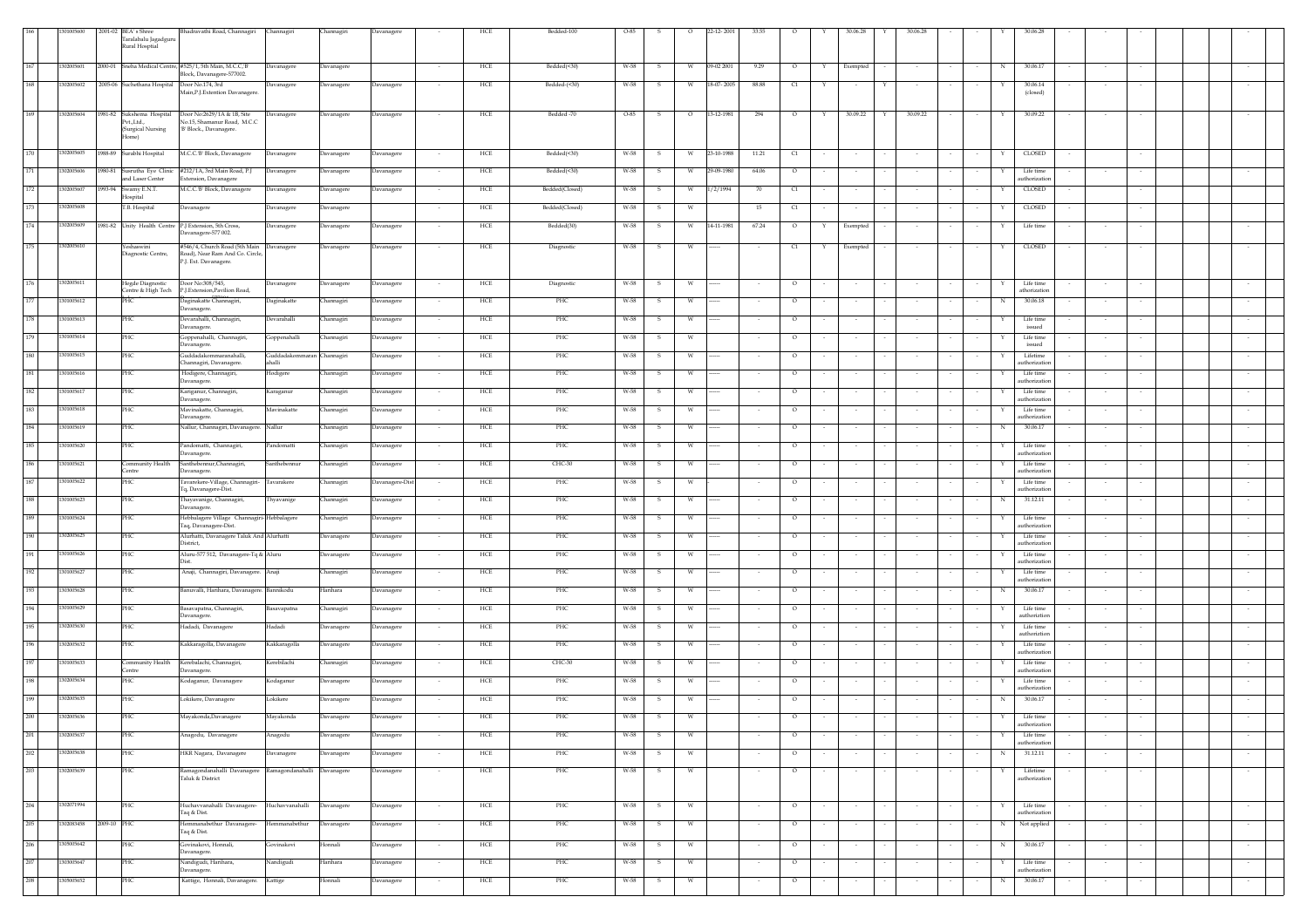| 166     | 1301005600 |             |                                              | Bhadravathi Road, Channagiri Channagiri                                          |                                     |                  |                   |                          |     | Bedded-100     |      |        | $\circ$ |            |        |          |        |                          |                         |        |            |                            |        |        |        |  |
|---------|------------|-------------|----------------------------------------------|----------------------------------------------------------------------------------|-------------------------------------|------------------|-------------------|--------------------------|-----|----------------|------|--------|---------|------------|--------|----------|--------|--------------------------|-------------------------|--------|------------|----------------------------|--------|--------|--------|--|
|         |            |             | 2001-02 BEA's Shree<br>Taralabalu Jagadguru  |                                                                                  |                                     | Channagiri       | Davanagere        |                          | HCE |                | O-85 |        |         | 22-12-2001 | 33.55  |          |        | 30.06.28                 | 30.06.28                |        |            |                            |        |        |        |  |
|         |            |             | Rural Hospital                               |                                                                                  |                                     |                  |                   |                          |     |                |      |        |         |            |        |          |        |                          |                         |        |            |                            |        |        |        |  |
| 167     | 1302005601 |             |                                              | 2000-01 Sneha Medical Centre, #525/1, 5th Main, M.C.C, B'                        |                                     |                  |                   |                          | HCE | Bedded(<30)    | W-58 | $\sim$ | W       | 09-02 2001 |        | $\circ$  | Y      |                          |                         |        |            | 30.06.17                   |        |        |        |  |
|         |            |             |                                              | Block, Davanagere-577002.                                                        | Davanagere                          | Davanagere       |                   |                          |     |                |      |        |         |            | 9.29   |          |        | Exempted                 |                         |        | $_{\rm N}$ |                            |        |        |        |  |
| 168     | 1302005602 |             | 2005-06 Suchethana Hospital Door No.174, 3rd |                                                                                  | Davanagere                          | Davanagere       | Davanagere        | $\sim$                   | HCE | Bedded-(<30)   | W-58 |        | - W     | 18-07-2005 | 88.88  | C1       | Y      | $\sim$                   | Y                       |        |            | 30.06.14                   |        |        |        |  |
|         |            |             |                                              | Main, P.J. Extention Davanagere                                                  |                                     |                  |                   |                          |     |                |      |        |         |            |        |          |        |                          |                         |        |            | (closed)                   |        |        |        |  |
|         |            |             |                                              |                                                                                  |                                     |                  |                   |                          |     |                |      |        |         |            |        |          |        |                          |                         |        |            |                            |        |        |        |  |
| 169     | 1302005604 |             | 1981-82 Sukshema Hospital<br>PvtLtd          | Door No:2629/1A & 1B, Site<br>No.15, Shamanur Road, M.C.C                        | Davanagere                          | Davanagere       | Davanagere        |                          | HCE | Bedded -70     | O-85 |        | $\circ$ | 13-12-1981 | 294    | $\circ$  | Y      | 30.09.22                 | 30.09.22<br>$\mathbf Y$ |        | Y          | 30.09.22                   |        |        |        |  |
|         |            |             | (Surgical Nursing                            | 'B' Block., Davanagere.                                                          |                                     |                  |                   |                          |     |                |      |        |         |            |        |          |        |                          |                         |        |            |                            |        |        |        |  |
|         |            |             | Home)                                        |                                                                                  |                                     |                  |                   |                          |     |                |      |        |         |            |        |          |        |                          |                         |        |            |                            |        |        |        |  |
| 170     | 1302005605 |             | 1988-89 Surabhi Hospital                     | M.C.C.'B' Block, Davanagere                                                      | Davanagere                          | Davanagere       | <b>Javanagere</b> |                          | HCE | Bedded(<30)    | W-58 |        | W       | 23-10-1988 | 11.21  | C1       |        |                          |                         |        | Y          | CLOSED                     |        |        |        |  |
|         |            |             |                                              |                                                                                  |                                     |                  |                   |                          |     |                |      |        |         |            |        |          |        |                          |                         |        |            |                            |        |        |        |  |
| $171\,$ | 1302005606 |             | and Laser Center                             | 1980-81 Susrutha Eye Clinic #212/1A, 3rd Main Road, P.J<br>Extension, Davanagere | Davanagere                          | Davanagere       | Davanagere        |                          | HCE | Bedded(<30)    | W-58 |        | W       | 29-09-1980 | 64.06  | $\circ$  |        |                          |                         |        | Y          | Life time<br>authorization |        |        |        |  |
| 172     | 1302005607 |             | 1993-94 Swamy E.N.T.                         | M.C.C.'B' Block, Davanagere                                                      | Davanagere                          | Davanagere       | Davanagere        |                          | HCE | Bedded(Closed) | W-58 |        | W       | 1/2/1994   | - 70   | $\alpha$ |        |                          |                         |        | Y          | <b>CLOSED</b>              |        | $\sim$ |        |  |
|         |            |             | Hospital                                     |                                                                                  |                                     |                  |                   |                          |     |                |      |        |         |            |        |          |        |                          |                         |        |            |                            |        |        |        |  |
| 173     | 1302005608 |             | T.B. Hospital                                | Davanagere                                                                       | Davanagere                          | Davanagere       |                   |                          | HCE | Bedded(Closed) | W-58 |        | W       |            | 15     | C1       |        | $\sim$                   |                         |        | Y          | CLOSED                     |        | $\sim$ |        |  |
| 174     | 1302005609 |             | 1981-82 Unity Health Centre                  | P.J Extension, 5th Cross,                                                        | Davanagere                          | Davanagere       | <b>Davanagere</b> |                          | HCE | Bedded(30)     | W-58 |        | W       | 14-11-1981 | 67.24  | $\circ$  |        | Exempted                 |                         |        |            | Life time                  |        |        |        |  |
|         |            |             |                                              | Davanagere-577 002.                                                              |                                     |                  |                   |                          |     |                |      |        |         |            |        |          |        |                          |                         |        |            |                            |        |        |        |  |
| 175     | 1302005610 |             | Yeshaswini                                   | #546/4, Church Road (5th Main Davanagere                                         |                                     | Davanagere       | Davanagere        |                          | HCE | Diagnostic     | W-58 |        |         |            |        | C1       |        | Exempted                 |                         |        |            | <b>CLOSED</b>              |        |        |        |  |
|         |            |             | Diagnostic Centre,                           | Road), Near Ram And Co. Circle,                                                  |                                     |                  |                   |                          |     |                |      |        |         |            |        |          |        |                          |                         |        |            |                            |        |        |        |  |
|         |            |             |                                              | P.J. Ext. Davanagere.                                                            |                                     |                  |                   |                          |     |                |      |        |         |            |        |          |        |                          |                         |        |            |                            |        |        |        |  |
| $176\,$ | 1302005611 |             | Hegde Diagnostic                             | Door No:308/545,                                                                 | Davanagere                          | Davanagere       | Davanagere        |                          | HCE | Diagnostic     | W-58 |        | W       |            |        | $\circ$  |        |                          |                         |        | Y          | Life time                  |        |        |        |  |
|         |            |             |                                              | Centre & High Tech P.J.Extension, Pavilion Road,                                 |                                     |                  |                   |                          |     |                |      |        |         |            |        |          |        |                          |                         |        |            | athorization               |        |        |        |  |
| 177     | 1301005612 |             | <b>PHC</b>                                   | Daginakatte Channagiri,                                                          | Daginakatte                         | Channagiri       | Davanagere        |                          | HCE | PHC            | W-58 |        | W       |            |        | $\circ$  |        |                          |                         |        | ${\bf N}$  | 30.06.18                   |        |        |        |  |
|         |            |             |                                              | Davanagere.                                                                      |                                     |                  |                   |                          |     |                |      |        |         |            |        |          |        |                          |                         |        |            |                            |        |        |        |  |
| 178     | 301005613  |             | PHC                                          | Devarahalli, Channagiri,<br>Davanagere.                                          | Devarahalli                         | Channagiri       | Davanagere        | $\sim$                   | HCE | PHC            | W-58 |        | W       |            |        | $\circ$  |        |                          |                         |        | Y          | Life time<br>issued        | $\sim$ | $\sim$ | $\sim$ |  |
| 179     | 1301005614 |             | <b>PHC</b>                                   | Goppenahalli, Channagiri,                                                        | Goppenahalli                        | Channagiri       | Davanagere        |                          | HCE | PHC            | W-58 |        | W       |            |        | $\circ$  |        |                          |                         |        | Y          | Life time                  |        |        |        |  |
|         |            |             |                                              | Davanagere.                                                                      |                                     |                  |                   |                          |     |                |      |        |         |            |        |          |        |                          |                         |        |            | issued                     |        |        |        |  |
| 180     | 301005615  |             | PHC                                          | Guddadakommaranahalli,<br>Channagiri, Davanagere.                                | Guddadakommaran Channagiri<br>halli |                  | Davanagere        |                          | HCE | PHC            | W-58 |        | W       |            |        | $\circ$  |        |                          |                         |        | Y          | Lifetime<br>authorization  |        |        |        |  |
| 181     | 301005616  |             | <b>PHC</b>                                   | Hodigere, Channagiri,                                                            | Hodigere                            | Channagiri       | Davanagere        | $\sim$                   | HCE | PHC            | W-58 |        | W       | ---        | $\sim$ | $\circ$  |        | $\overline{\phantom{a}}$ |                         |        | Y          | Life time                  | $\sim$ | $\sim$ | $\sim$ |  |
|         |            |             |                                              | Davanagere.                                                                      |                                     |                  |                   |                          |     |                |      |        |         |            |        |          |        |                          |                         |        |            | authorization              |        |        |        |  |
| 182     | 0100561    |             | PHC                                          | Kariganur, Channagiri,                                                           | Karaganur                           | Channagiri       | Davanagere        |                          | HCE | PHC            | W-58 |        | W       |            |        | $\circ$  |        |                          |                         |        |            | Life time                  |        |        |        |  |
| 183     | 1301005618 |             | PHC                                          | Davanagere.<br>Mavinakatte, Channagiri,                                          | Mavinakatte                         | Channagiri       | <b>Davanagere</b> |                          | HCE | PHC            | W-58 |        | W       |            |        | $\circ$  |        |                          |                         |        |            | authorization<br>Life time |        |        |        |  |
|         |            |             |                                              | Davanagere.                                                                      |                                     |                  |                   |                          |     |                |      |        |         |            |        |          |        |                          |                         |        |            | authorization              |        |        |        |  |
| 184     | 1301005619 |             | PHC                                          | Nallur, Channagiri, Davanagere. Nallur                                           |                                     | Channagiri       | Davanagere        |                          | HCE | PHC            | W-58 |        | W       |            |        | $\circ$  |        |                          |                         |        | $_{\rm N}$ | 30.06.17                   |        |        |        |  |
| 185     | 301005620  |             |                                              |                                                                                  |                                     |                  |                   |                          |     |                |      |        |         |            |        |          |        |                          |                         |        |            |                            |        |        |        |  |
|         |            |             | PHC                                          | Pandomatti, Channagiri,<br>Davanagere.                                           | Pandomatti                          | Channagiri       | Davanagere        |                          | HCE | PHC            | W-58 |        | W       |            |        | $\circ$  |        |                          |                         |        | Y          | Life time<br>authorization |        |        |        |  |
| 186     | 1301005621 |             | Community Health                             | Santhebennur, Channagiri,                                                        | anthebennur                         | <b>hannagiri</b> | <b>Javanagere</b> |                          | HCE | CHC-30         | W-58 |        | W       |            |        | $\circ$  |        |                          |                         |        | Y          | Life time                  |        |        |        |  |
|         |            |             | Centre                                       | Davanagere.                                                                      |                                     |                  |                   |                          |     |                |      |        |         |            |        |          |        |                          |                         |        |            | authorization              |        |        |        |  |
| 187     | 1301005622 |             | PHC                                          | Tavarekere-Village, Channagiri-<br>Tq, Davanagere-Dist.                          | Tavarakere                          | hannagiri        | Davanagere-Dis    |                          | HCE | PHC            | W-58 |        | W       |            |        | $\circ$  |        |                          |                         |        |            | Life time<br>authorization |        |        |        |  |
| 188     | 1301005623 |             | PHC                                          | Thayavanige, Channagiri,                                                         | Thyavanige                          | Channagiri       | <b>Javanagere</b> |                          | HCE | PHC            | W-58 |        | W       |            |        | $\circ$  |        |                          |                         |        | $_{\rm N}$ | 31.12.11                   |        |        |        |  |
|         |            |             |                                              | Davanagere.                                                                      |                                     |                  |                   |                          |     |                |      |        |         |            |        |          |        |                          |                         |        |            |                            |        |        |        |  |
| 189     | 1301005624 |             | PHC                                          | Hebbalagere Village Channagiri-Hebbalagere                                       |                                     | Channagiri       | <b>Javanagere</b> |                          | HCE | PHC            | W-58 |        | W       |            |        | $\circ$  |        |                          |                         |        | Y          | Life time<br>authorizatio  |        |        |        |  |
| 190     | 1302005625 |             | PHC                                          | Taq, Davanagere-Dist.<br>Alurhatti, Davanagere Taluk And Alurhatti               |                                     | Davanagere       | avanagere         |                          | HCE | PHC            | W-58 |        | W       |            |        | $\circ$  |        |                          |                         |        | Y          | Life time                  |        |        |        |  |
|         |            |             |                                              | District.                                                                        |                                     |                  |                   |                          |     |                |      |        |         |            |        |          |        |                          |                         |        |            | authorizatio               |        |        |        |  |
| 191     | 301005626  |             | PHC                                          | Aluru-577 512, Davanagere-Tq & Aluru                                             |                                     | Javanagere       | <b>Javanagere</b> |                          | HCE | PHC            | W-58 |        | w       |            |        | $\circ$  |        |                          |                         |        |            | Life time                  |        |        |        |  |
| 192     |            |             | PHC                                          | Dist.                                                                            |                                     |                  |                   |                          |     |                |      |        |         |            |        |          |        |                          |                         |        |            | authorization              |        |        |        |  |
|         | 1301005627 |             |                                              | Anaji, Channagiri, Davanagere.                                                   | Anaji                               | hannagiri        | <b>Javanagere</b> |                          | HCE | PHC            | W-58 |        | W       |            |        | $\circ$  |        |                          |                         |        |            | Life time<br>authorizatio  |        |        |        |  |
| 193     | 1303005628 |             | PHC                                          | Banuvalli, Harihara, Davanagere. Bannikodu                                       |                                     | Harihara         | Davanagere        |                          | HCE | PHC            | W-58 |        | W       |            |        | $\circ$  |        |                          |                         |        | N          | 30.06.17                   |        |        |        |  |
|         |            |             |                                              |                                                                                  |                                     |                  |                   |                          |     |                |      |        |         |            |        |          |        |                          |                         |        |            |                            |        |        |        |  |
| 194     | 1301005629 |             | PHC                                          | Basavapatna, Channagiri,<br>Davanagere.                                          | Basavapatna                         | Channagiri       | Davanagere        |                          | HCE | PHC            | W-58 |        | W       |            |        | $\circ$  |        |                          |                         |        | Y          | Life time<br>authoriztion  |        |        |        |  |
| 195     | 1302005630 |             | PHC                                          | Hadadi, Davanagere                                                               | Hadadi                              | Davanagere       | Davanagere        |                          | HCE | PHC            | W-58 |        | W       |            | $\sim$ | $\circ$  |        | $\sim$                   |                         |        | Y          | Life time                  | $\sim$ | $\sim$ |        |  |
|         |            |             |                                              |                                                                                  |                                     |                  |                   |                          |     |                |      |        |         |            |        |          |        |                          |                         |        |            | authoriztion               |        |        |        |  |
| 196     | 1302005632 |             | PHC                                          | Kakkaragolla, Davanagere                                                         | Kakkaragolla                        | Davanagere       | Davanagere        |                          | HCE | PHC            | W-58 |        | W       |            | $\sim$ | $\circ$  |        | $\overline{\phantom{a}}$ |                         |        | Y          | Life time<br>authorization | $\sim$ |        | $\sim$ |  |
| 197     | 1301005633 |             | Community Health                             | Kerebalachi, Channagiri,                                                         | Kerebilachi                         | Channagiri       | Davanagere        | $\sim$                   | HCE | $CHC-30$       | W-58 | -S     | W       | ---        | $\sim$ | $\circ$  |        | $\sim$                   |                         |        | Y          | Life time                  | $\sim$ |        |        |  |
|         |            |             | Centre                                       | Davanagere.                                                                      |                                     |                  |                   |                          |     |                |      |        |         |            |        |          |        |                          |                         |        |            | authorizatio               |        |        |        |  |
| 198     | 1302005634 |             | <b>PHC</b>                                   | Kodaganur, Davanagere                                                            | Kodaganur                           | Davanagere       | Davanagere        | $\sim$                   | HCE | PHC            | W-58 | -S.    | W       |            | $\sim$ | $\circ$  |        | $\sim$                   | $\sim$                  |        | Y          | Life time                  | $\sim$ | $\sim$ | $\sim$ |  |
| 199     | 302005635  |             |                                              |                                                                                  |                                     |                  |                   |                          |     | PHC            | W-58 |        |         |            |        |          |        |                          |                         |        |            | authorizatio<br>30.06.17   |        |        |        |  |
|         |            |             | PHC                                          | okikere, Davanagere                                                              | okikere                             | Davanagere       | <b>Javanagere</b> |                          | HCE |                |      |        | W       |            |        | $\circ$  |        |                          |                         |        | N          |                            |        |        |        |  |
| $200\,$ | 1302005636 |             | PHC                                          | Mayakonda, Davanagere                                                            | Mayakonda                           | Davanagere       | Davanagere        |                          | HCE | PHC            | W-58 |        | W       |            |        | $\circ$  |        |                          |                         |        | Y          | Life time                  |        |        |        |  |
|         |            |             |                                              |                                                                                  |                                     |                  |                   |                          |     |                |      |        |         |            |        |          |        |                          |                         |        |            | authorization              |        |        |        |  |
| $201\,$ | 1302005637 |             | PHC                                          | Anagodu, Davanagere                                                              | inagodu                             | Javanagere       | <b>Javanagere</b> |                          | HCE | PHC            | W-58 |        | W       |            |        | $\circ$  |        |                          |                         |        |            | Life time<br>authorization |        |        |        |  |
| 202     | 1302005638 |             | PHC                                          | HKR Nagara, Davanagere                                                           | Davanagere                          | Davanagere       | Davanagere        |                          | HCE | PHC            | W-58 |        | W       |            |        | $\circ$  |        |                          |                         |        | N          | 31.12.11                   |        |        | $\sim$ |  |
|         |            |             |                                              |                                                                                  |                                     |                  |                   |                          |     |                |      |        |         |            |        |          |        |                          |                         |        |            |                            |        |        |        |  |
| 203     | 1302005639 |             | PHC                                          | Ramagondanahalli Davanagere Ramagondanahalli Davanagere<br>Taluk & District      |                                     |                  | Davanagere        | $\overline{\phantom{a}}$ | HCE | PHC            | W-58 | -S.    | W       |            | $\sim$ | $\circ$  | $\sim$ | $\sim$                   | $\sim$                  | $\sim$ | Y          | Lifetime<br>authorization  | $\sim$ | $\sim$ | $\sim$ |  |
|         |            |             |                                              |                                                                                  |                                     |                  |                   |                          |     |                |      |        |         |            |        |          |        |                          |                         |        |            |                            |        |        |        |  |
|         |            |             |                                              |                                                                                  |                                     |                  |                   |                          |     |                |      |        |         |            |        |          |        |                          |                         |        |            |                            |        |        |        |  |
| 204     | 1302071994 |             | PHC                                          | Huchavvanahalli Davanagere-<br>Taq & Dist.                                       | Huchavvanahalli                     | Davanagere       | Davanagere        |                          | HCE | PHC            | W-58 |        | W       |            |        | $\circ$  |        |                          |                         |        | Y          | Life time<br>authorizatio  |        |        | $\sim$ |  |
| 205     | 1302083458 | 2009-10 PHC |                                              | Hemmanabethur Davanagere-                                                        | Hemmanabethur                       | Davanagere       | Davanagere        |                          | HCE | PHC            | W-58 |        | W       |            |        | $\circ$  |        |                          |                         |        | N          | Not applied                |        |        |        |  |
|         |            |             |                                              | Taq & Dist.                                                                      |                                     |                  |                   |                          |     |                |      |        |         |            |        |          |        | $\sim$                   |                         |        |            |                            |        |        | $\sim$ |  |
| 206     | 1305005642 |             | PHC                                          | Govinakovi, Honnali,                                                             | Govinakovi                          | Honnali          | Davanagere        |                          | HCE | PHC            | W-58 | -S     | W       |            | $\sim$ | $\circ$  |        | $\cdot$                  |                         |        | N          | 30.06.17                   | $\sim$ |        | $\sim$ |  |
|         |            |             |                                              | Davanagere.                                                                      |                                     |                  |                   |                          |     |                |      |        |         |            |        |          |        |                          |                         |        |            |                            |        |        |        |  |
| 207     | 303005647  |             | PHC                                          | Nandigudi, Harihara,<br>Davanagere.                                              | Nandigudi                           | Harihara         | Davanagere        | $\sim$                   | HCE | PHC            | W-58 | -S.    | W       |            | $\sim$ | $\circ$  |        | $\sim$                   | $\sim$                  |        | Y          | Life time<br>authorizatio  | $\sim$ | $\sim$ | $\sim$ |  |
| 208     | 1305005652 |             | PHC                                          | Kattige, Honnali, Davanagere. Kattige                                            |                                     | Honnali          | Davanagere        |                          | HCE | PHC            | W-58 |        | W       |            |        | $\circ$  |        | $\overline{\phantom{a}}$ |                         |        | N          | 30.06.17                   |        |        | $\sim$ |  |
|         |            |             |                                              |                                                                                  |                                     |                  |                   |                          |     |                |      |        |         |            |        |          |        |                          |                         |        |            |                            |        |        |        |  |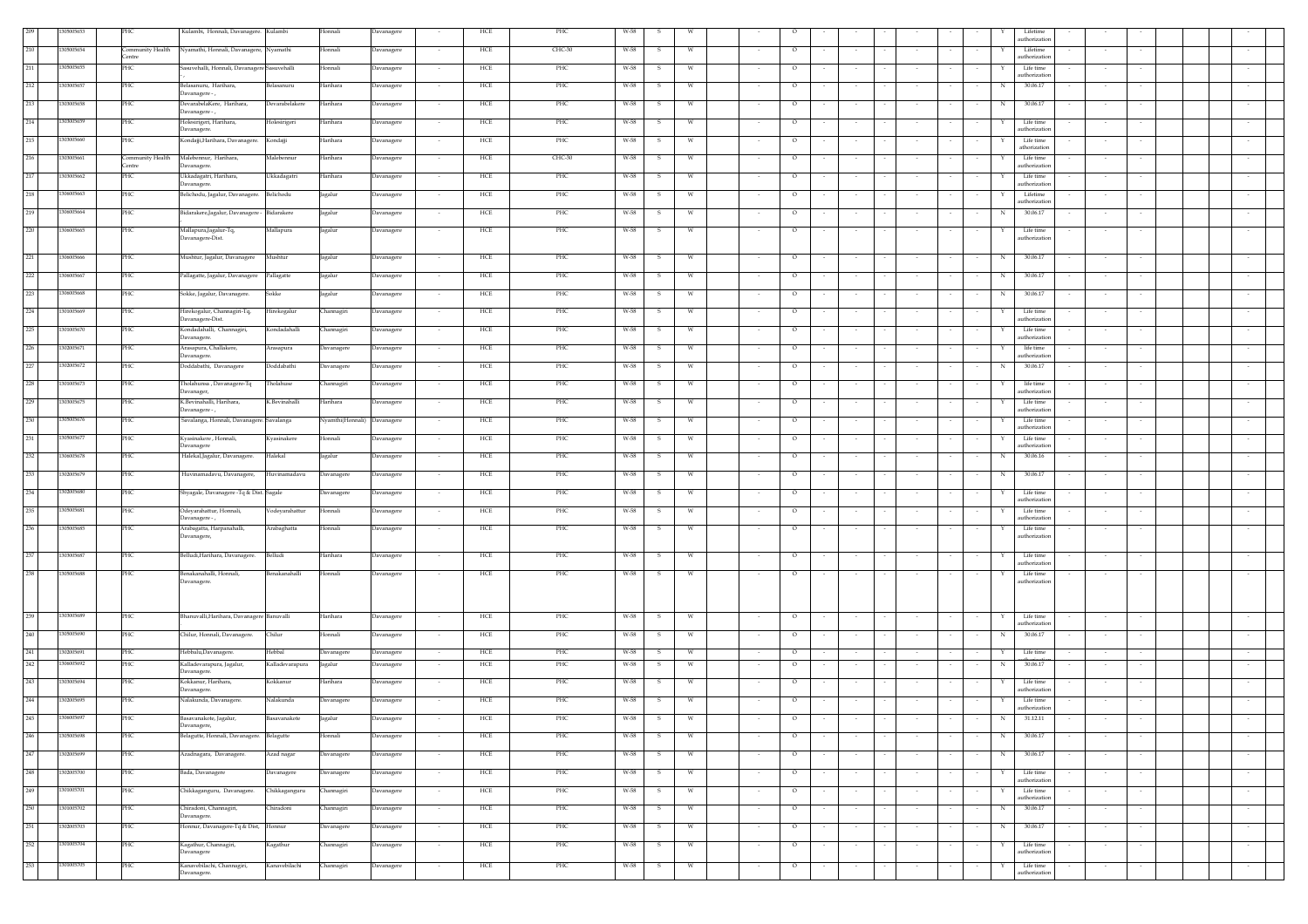|         | 305005653  | PHC                      | Kulambi, Honnali, Davanagere. Kulambi                                | Honnali                     | Davanagere        | HCE                             | PHC      | $W-58$ |              |   |                   |                  |            |        |        | Lifetim<br>authorization                 |        |        |        |
|---------|------------|--------------------------|----------------------------------------------------------------------|-----------------------------|-------------------|---------------------------------|----------|--------|--------------|---|-------------------|------------------|------------|--------|--------|------------------------------------------|--------|--------|--------|
| 210     | 305005654  | ommunity Health<br>entre | Nyamathi, Honnali, Davanagere,<br>Nyamathi                           | Honnali                     | Davanagere        | HCE                             | $CHC-30$ | W-58   |              | W | $\circ$           |                  |            |        |        | Lifetime<br>uthorizatio                  |        |        |        |
| 211     | 305005655  | PHC                      | Sasuvehalli, Honnali, Davanagere Sasuvehalli                         | Honnali                     | Davanagere        | HCE<br>$\sim$                   | PHC      | W-58   | -S.          | W | $\circ$           | $\sim$           | $\sim$     |        |        | Life time                                | $\sim$ |        |        |
| 212     | 303005657  | PHC                      | Belasanuru, Harihara,<br>Belasanuru                                  | Harihara                    | Davanagere        | HCE<br>$\overline{\phantom{a}}$ | PHC      | W-58   |              | W | $\circ$           | $\sim$           | $\sim$     |        |        | uthorizatio<br>30.06.17<br>N             | $\sim$ |        |        |
| 213     | 303005658  | PHC                      | Davanagere - ,<br>DevarabelaKere, Harihara,<br><b>Devarabelakere</b> | Harihara                    | <b>Davanagere</b> | HCE                             | PHC      | W-58   |              | W | $\circ$           |                  |            |        |        | 30.06.17<br>N                            |        |        |        |
| 214     | 303005659  | PHC                      | Davanagere-,<br>Holesirigeri, Harihara,<br>Holesirigeri              | Harihara                    | Davanagere        | HCE                             | PHC      | W-58   |              | W | $\circ$           |                  |            |        |        | Life time                                |        |        |        |
| 215     | 303005660  | PHC                      | Davanagere.<br>Kondajji, Harihara, Davanagere.<br>Kondajji           | Harihara                    | Davanagere        | HCE                             | PHC      | W-58   | -S.          | W | $\circ$           |                  |            |        |        | authorization<br>Life time               |        |        |        |
| 216     | 303005661  | ommunity Health          | Malebennur, Harihara,<br>Malebennur                                  | Harihara                    | Davanagere        | HCE                             | CHC-30   | W-58   | - S          | W | $\circ$           |                  | $\sim$     |        |        | athorization<br>Life time                |        |        |        |
|         |            | <b>Centre</b><br>PHC     | Davanagere.                                                          |                             |                   |                                 |          |        |              |   |                   |                  |            |        |        | authorization                            |        |        |        |
| 217     | 303005662  |                          | Ukkadagatri, Harihara,<br>Ukkadagatri<br>Davanagere.                 | Harihara                    | Davanagere        | HCE                             | PHC      | W-58   |              | W | $\circ$           |                  | $\sim$     |        |        | Life time<br>authorization               |        |        |        |
| 218     | 306005663  | PHC                      | Belichodu, Jagalur, Davanagere.<br>Belichodu                         | Jagalur                     | Davanagere        | HCE                             | PHC      | W-58   |              | W | $\circ$           |                  |            |        |        | Lifetime<br>uthorizatio                  |        |        |        |
| 219     | 306005664  | PHC                      | Bidarakere,Jagalur, Davanagere -<br>Bidarakere                       | Jagalur                     | Davanagere        | HCE<br>$\sim$                   | PHC      | W-58   | - 5          | W | $\circ$           |                  | $\sim$     |        |        | 30.06.17<br>N                            | $\sim$ |        |        |
| 220     | 306005665  | PHC                      | Mallapura,Jagalur-Tq,<br>Mallapura<br>Javanagere-Dist.               | Jagalur                     | Davanagere        | HCE                             | PHC      | W-58   | -S.          | W | $\circ$           |                  |            |        |        | Life time<br>uthorizatio                 |        |        |        |
| 221     | 306005666  | PHC                      | Mushtur, Jagalur, Davanagere<br>Mushtur                              | Jagalur                     | Davanagere        | HCE                             | PHC      | W-58   | $\mathbf{S}$ | w | $\circ$           |                  |            |        |        | 30.06.17<br>N                            |        |        |        |
| 222     | 306005667  | PHC                      | Pallagatte, Jagalur, Davanagere<br>Pallagatte                        | Jagalur                     | Davanagere        | HCE                             | PHC      | W-58   | -S           | W | $\circ$           |                  |            |        |        | 30.06.17<br>N                            |        |        |        |
| 223     | 306005668  | PHC                      | Sokke, Jagalur, Davanagere.<br>Sokke                                 | Jagalur                     | Davanagere        | HCE                             | PHC      | W-58   | -S.          | W | $\circ$           |                  |            |        |        | 30.06.17<br>N                            | $\sim$ |        |        |
| 224     | 301005669  | PHC                      | Hirekogalur, Channagiri-Tq,<br>Hirekogalur<br>Davanagere-Dist.       | Channagiri                  | Davanagere        | HCE<br>$\sim$                   | PHC      | W-58   | s.           | W | $\circ$<br>$\sim$ | $\sim$           | $\sim$     |        |        | Life time<br>Y<br>authorization          | $\sim$ |        |        |
| 225     | 301005670  | PHC                      | Kondadahalli, Channagiri,<br>Kondadahalli                            | Channagiri                  | Davanagere        | HCE<br>$\sim$                   | PHC      | W-58   | -S           | W | $\circ$           | $\sim$           | $\sim$     |        |        | Life time                                | $\sim$ |        |        |
| 226     | 302005671  | PHC                      | Davanagere.<br>Arasapura, Challakere,<br>Arasapura                   | Davanagere                  | Davanagere        | HCE<br>$\sim$                   | PHC      | W-58   | -S           | W | $\circ$           |                  | $\sim$     |        |        | authorization<br>life time               |        |        |        |
| 227     | 302005672  | PHC                      | Davanagere.<br>Doddabathi, Davanagere<br>Doddabathi                  | Davanagere                  | Davanagere        | HCE<br>$\sim$                   | PHC      | W-58   | -S.          | W | $\circ$<br>$\sim$ | $\sim$           | $\sim$     | $\sim$ | $\sim$ | uthorization<br>30.06.17<br>N            | $\sim$ |        |        |
| 228     | 301005673  | PHC                      | Tholahunsa , Davanagere-Tq<br>Tholahuse                              | Channagiri                  | Davanagere        | HCE<br>$\sim$                   | PHC      | W-58   | -S           | W | $\circ$<br>$\sim$ | $\sim$<br>$\sim$ | $\sim$     |        |        | life time<br>Y.                          | $\sim$ | $\sim$ |        |
| 229     | 303005675  | PHC                      | Davanager,<br>K.Bevinahalli, Harihara,<br><.Bevinahalli              | Harihara                    | Davanagere        | HCE                             | PHC      | W-58   |              | W | $\circ$           |                  |            |        |        | authorization<br>Life time               |        |        |        |
| 230     | 305005676  | PHC                      | Davanagere - ,<br>Savalanga, Honnali, Davanagere. Savalanga          | Nyamthi(Honnali) Davanagere |                   | HCE                             | PHC      | W-58   | -S           | W | $\circ$           |                  |            |        |        | authorization<br>Life time               |        |        |        |
| 231     | 305005677  | PHC                      | Kvasinakere . Honnali.<br>Kyasinakere                                | Honnali                     | Davanagere        | HCE                             | PHC      | W-58   | -S           | W | $\circ$           |                  |            |        |        | authorization<br>Life time               |        |        |        |
| 232     | 306005678  | PHC                      | Davanagere<br>Halekal, Jagalur, Davanagere.<br>Halekal               | Jagalur                     | Davanagere        | HCE<br>$\sim$                   | PHC      | W-58   | s.           | W | $\circ$<br>$\sim$ | $\sim$           | $\sim$     |        | $\sim$ | authorization<br>30.06.16<br>N           | $\sim$ | $\sim$ |        |
| 233     | 302005679  | PHC                      | Huvinamadavu, Davanagere,<br>Huvinamadavu                            |                             |                   | HCE                             | PHC      | W-58   |              | W | $\circ$           |                  |            |        |        | 30.06.17<br>N                            |        |        |        |
| 234     |            |                          |                                                                      | Davanagere                  | Davanagere        |                                 |          |        |              |   |                   |                  | $\sim$     |        |        |                                          | $\sim$ |        |        |
|         | 302005680  | PHC                      | Shyagale, Davanagere -Tq & Dist. Sagale                              | Davanagere                  | Davanagere        | HCE                             | PHC      | W-58   |              | W | $\circ$           |                  |            |        |        | Life time<br>uthorizatio                 |        |        |        |
| 235     | 305005681  | PHC                      | Odeyarahattur, Honnali,<br>Vodeyarahattur<br>)avanagere -,           | Honnali                     | Davanagere        | HCE                             | PHC      | W-58   | $\mathbf{s}$ | W | $\circ$           |                  |            |        |        | Life time<br>$\mathbf{Y}$<br>uthorizatic |        |        |        |
| 236     | 305005685  | PHC                      | Arabagatta, Harpanahalli,<br>Arabaghatta<br>Davanagere,              | Honnali                     | Davanagere        | HCE<br>$\sim$                   | PHC      | W-58   | S.           | W | $\circ$<br>$\sim$ | $\sim$           | $\sim$     | $\sim$ | $\sim$ | Life time<br>Y<br>uthorizatio            | $\sim$ | $\sim$ |        |
| 237     | 303005687  | PHC                      | Belludi, Harihara, Davanagere.<br>Belludi                            | Harihara                    | Davanagere        | HCE                             | PHC      | W-58   |              | W | $\circ$           |                  |            |        |        | Life time                                |        |        |        |
| 238     | 305005688  | PHC                      | Benakanahalli<br>Benakanahalli, Honnali,                             | Honnali                     | Davanagere        | HCE                             | PHC      | W-58   |              |   | $\circ$           |                  |            |        |        | authorization<br>Life time               |        |        |        |
|         |            |                          | Davanagere.                                                          |                             |                   |                                 |          |        |              |   |                   |                  |            |        |        | authorization                            |        |        |        |
| 239     | 1303005689 | PHC                      | Bhanuvalli, Harihara, Davanagere Banuvalli                           | Harihara                    | Davanagere        | HCE                             | PHC      | W-58   | $\mathbf{s}$ | W | $\circ$           | $\sim$           | $\sim$     |        |        | Life time                                |        |        |        |
| 240     | 305005690  | PHC                      | Chilur, Honnali, Davanagere.<br>Chilur                               | Honnali                     | Davanagere        | HCE                             | PHC      | W-58   | -S           | W | $\circ$           |                  |            |        |        | authorization<br>30.06.17<br>N           |        |        |        |
| 241     | 302005691  | PHC                      | Hebbalu,Davanagere.<br>Hebbal                                        | Davanagere                  | Davanagere        | HCE                             | PHC      | W-58   | -S           | W | $\circ$           | $\sim$           | $\sim$     |        |        | Life time<br>Y                           | $\sim$ |        |        |
| 242     | 306005692  | PHC                      | Kalladevarapura, Jagalur,<br>Kalladevarapura                         | Jagalur                     | Davanagere        | HCE<br>$\sim$                   | PHC      | W-58   | -S           | W | $\circ$<br>$\sim$ | $\sim$           | $\sim$     |        |        | 30.06.17<br>N                            | $\sim$ |        |        |
| 243     | 303005694  | PHC                      | Davanagere.<br>Kokkanur, Harihara,<br>Kokkanur                       | Harihara                    | Davanagere        | HCE<br>$\sim$                   | PHC      | W-58   | -S           | W | $\circ$           |                  | $\sim$     |        |        | Life time                                | $\sim$ |        |        |
| 244     | 302005695  | PHC                      | Davanagere.<br>Nalakunda, Davanagere.<br>Valakunda                   | Davanagere                  | Davanagere        | HCE                             | PHC      | W-58   | s            | W | $\circ$           |                  |            |        |        | authorization<br>Life time               |        |        |        |
| $245\,$ | 1306005697 | PHC                      | Basavanakote, Jagalur,<br>Basavanakote                               | Jagalur                     | Davanagere        | HCE                             | PHC      | W-58   | $\mathbf{s}$ | W | $\circ$           |                  |            |        |        | authorization<br>$_{\rm N}$<br>31.12.11  |        |        |        |
| 246     | 305005698  | PHC                      | Davanagere,<br>Belagutte, Honnali, Davanagere. Belagutte             | Honnali                     | Davanagere        | HCE                             | PHC      | W-58   | -S           | W | $\circ$           |                  |            |        |        | 30.06.17<br>N                            |        |        |        |
| 247     | 1302005699 | PHC                      | Azadnagara, Davanagere.<br>Azad nagar                                | Davanagere                  | Davanagere        | HCE<br>$\sim$                   | PHC      | W-58   | $\mathbf{s}$ | W | $\circ$<br>$\sim$ | $\sim$<br>$\sim$ | $\sim$     |        | $\sim$ | 30.06.17<br>N                            | $\sim$ | $\sim$ | $\sim$ |
| 248     | 1302005700 | PHC                      | Bada, Davanagere<br>Davanagere                                       | Davanagere                  | Davanagere        | HCE<br>$\sim$                   | PHC      | W-58   | S            | W | $\circ$<br>$\sim$ | $\sim$<br>$\sim$ | $\sim$     |        | $\sim$ | Life time                                | $\sim$ | $\sim$ | $\sim$ |
| 249     | 1301005701 | PHC                      | Chikkaganguru, Davanagere.<br>Chikkaganguru                          | Channagiri                  | Davanagere        | HCE<br>$\sim$                   | PHC      | W-58   | S            | W | $\circ$<br>$\sim$ | $\sim$<br>$\sim$ | $\sim$     |        |        | authorization<br>Life time<br>Y          | $\sim$ |        | $\sim$ |
| 250     | 1301005702 | PHC                      | Chiradoni<br>Chiradoni, Channagiri,                                  |                             | Davanagere        | HCE<br>$\sim$                   | PHC      | W-58   | S.           | W | $\sim$<br>$\circ$ | $\sim$<br>$\sim$ | $\sim$ $-$ | $\sim$ | $\sim$ | authorization<br>30.06.17<br>N           | $\sim$ | $\sim$ | $\sim$ |
| 251     |            |                          | Davanagere.                                                          | Channagiri                  |                   | HCE                             | PHC      |        |              |   |                   |                  |            |        |        |                                          |        |        |        |
|         | 302005703  | PHC                      | Honnur, Davanagere-Tq & Dist, Honnur                                 | Davanagere                  | Davanagere        | $\sim$                          |          | W-58   | s.           | W | $\circ$<br>$\sim$ | $\sim$<br>$\sim$ | $\sim$     | $\sim$ | $\sim$ | 30.06.17<br>N                            | $\sim$ | $\sim$ | $\sim$ |
| 252     | 301005704  | PHC                      | Kagathur, Channagiri,<br>Kagathur<br>Davanagere                      | Channagiri                  | Davanagere        | HCE<br>$\sim$                   | PHC      | W-58   | s.           | W | $\circ$           | $\sim$           |            |        |        | Life time<br>authorization               |        |        |        |
| 253     | 301005705  | PHC                      | Kanavebilachi, Channagiri,<br>Kanavebilachi<br>Davanagere.           | Channagiri                  | Davanagere        | HCE<br>$\sim$                   | PHC      | W-58   | s.           | W | $\circ$           | $\sim$           | $\sim$     |        |        | Life time<br>authorization               | $\sim$ |        |        |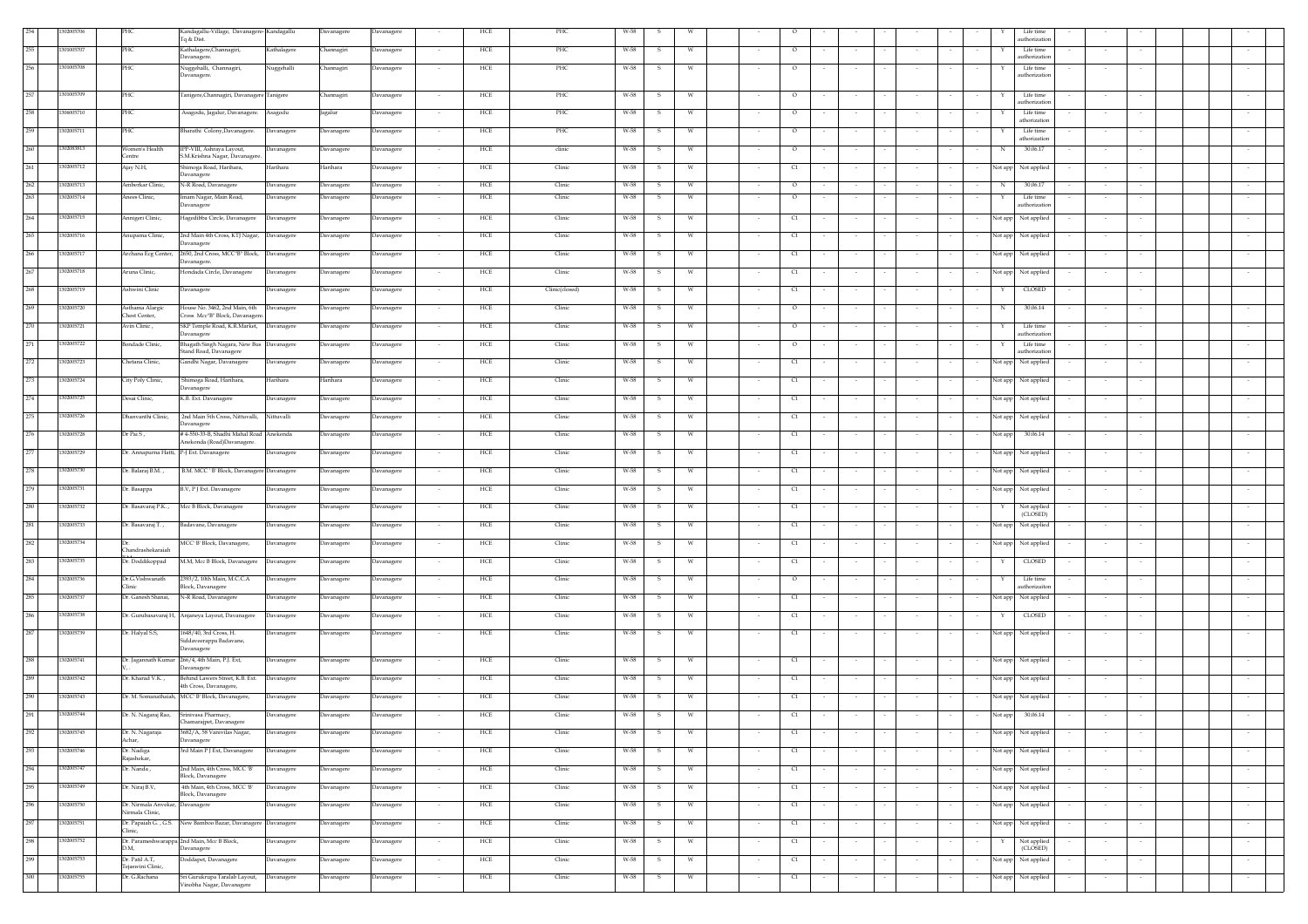|         |            |                                                    | Kandagallu-Village, Davanagere- Kandagallu                   |             | Davanagere | Davanagere                  | HCE | PHC            | W-58                 |          |        |                                  |        |        |         |        |            | Life time                  |        |        |        |
|---------|------------|----------------------------------------------------|--------------------------------------------------------------|-------------|------------|-----------------------------|-----|----------------|----------------------|----------|--------|----------------------------------|--------|--------|---------|--------|------------|----------------------------|--------|--------|--------|
|         |            |                                                    | Tq & Dist.                                                   |             |            |                             |     |                |                      |          |        |                                  |        |        |         |        |            | uthorization               |        |        |        |
| 255     | 301005707  | PHC                                                | Kathalagere, Channagiri,                                     | Kathalagere | Channagiri | Davanagere                  | HCE | PHC            | W-58<br>-S           |          |        | $\circ$                          |        |        |         |        |            | Life time                  |        |        |        |
|         |            |                                                    | Davanagere.                                                  |             |            |                             |     |                |                      |          |        |                                  |        |        |         |        |            | authorization              |        |        |        |
| 256     | 301005708  | PHC                                                | Vuggehalli, Channagiri,                                      | Nuggehalli  | Channagiri | Davanagere                  | HCE | PHC            | W-58<br>s            |          |        | $\circ$                          |        |        |         |        | Y          | Life time                  |        |        |        |
|         |            |                                                    | Davanagere.                                                  |             |            |                             |     |                |                      |          |        |                                  |        |        |         |        |            | authorization              |        |        |        |
|         |            |                                                    |                                                              |             |            |                             |     |                |                      |          |        |                                  |        |        |         |        |            |                            |        |        |        |
| 257     | 1301005709 | PHC                                                | 'anigere,Channagiri, Davanagere Tanigere                     |             | Channagiri | Davanagere                  | HCE | PHC            | W-58<br>-S           | W        |        | $\circ$                          |        |        |         |        |            | Life time                  |        |        |        |
|         |            |                                                    |                                                              |             |            |                             |     |                |                      |          |        |                                  |        |        |         |        |            | authorization              |        |        |        |
| 258     | 306005710  | PHC                                                | Asagodu, Jagalur, Davanagere.                                | Asagodu     | Jagalur    | Davanagere<br>$\sim$        | HCE | PHC            | W-58<br>-S           | w        |        | $\circ$                          |        |        |         |        |            | Life time                  |        |        |        |
|         |            |                                                    |                                                              |             |            |                             |     |                |                      |          |        |                                  |        |        |         |        |            | athorization               |        |        |        |
| 259     | 302005711  | PHC                                                | 3harathi Colony, Davanagere.                                 | Davanagere  | Davanagere | Davanagere<br>$\sim$        | HCE | PHC            | W-58<br>-S           | W        |        | $\circ$                          |        |        |         |        | Y          | Life time<br>athorization  |        |        |        |
|         |            |                                                    |                                                              |             |            |                             |     |                |                      |          |        |                                  |        |        |         |        |            |                            |        |        |        |
| 260     | 302083813  | Vomen's Health<br>entre                            | IPP-VIII, Ashraya Layout,<br>S.M.Krishna Nagar, Davanagere   | Davanagere  | Davanagere | Davanagere<br>$\sim$        | HCE | clinic         | W-58<br>-S           | w        |        | $\circ$                          |        | $\sim$ |         |        | N          | 30.06.17                   | $\sim$ |        |        |
| 261     | 302005712  | Ajay N.H,                                          | himoga Road, Harihara,                                       | Harihara    | Harihara   | <b>Javanagere</b>           | HCE | Clinic         | W-58<br>-S           | W        |        | C1                               |        |        |         |        | Not app    | Not applied                |        |        |        |
|         |            |                                                    | Davanagere                                                   |             |            |                             |     |                |                      |          |        |                                  |        |        |         |        |            |                            |        |        |        |
| 262     | 1302005713 | Amberkar Clinic,                                   | N-R Road, Davanagere                                         | Davanagere  | Davanagere | <b>Javanagere</b>           | HCE | Clinic         | W-58<br>s            | W        |        | $\circ$                          |        |        |         |        | $_{\rm N}$ | 30.06.17                   |        |        |        |
| 263     |            |                                                    |                                                              |             |            |                             |     |                |                      | w        |        |                                  |        |        |         |        |            |                            |        |        |        |
|         | 1302005714 | Anees Clinic,                                      | mam Nagar, Main Road,<br>Javanagere                          | Davanagere  | Davanagere | Davanagere                  | HCE | Clinic         | W-58<br>$\mathbf{s}$ |          |        | $\circ$                          |        |        |         |        | Y          | Life time<br>authorization |        |        |        |
|         |            |                                                    |                                                              |             |            |                             |     |                |                      |          |        |                                  |        |        |         |        |            |                            |        |        |        |
| 264     | 1302005715 | Annigeri Clinic,                                   | Hagedibba Circle, Davanagere                                 | Davanagere  | Davanagere | Davanagere<br>$\sim$        | HCE | Clinic         | W-58<br>-S           | W.       |        | C1                               |        |        |         |        |            | Not app Not applied        |        |        |        |
| 265     | 1302005716 | Anupama Clinic,                                    | 2nd Main 4th Cross, KTJ Nagar,                               | Davanagere  | Davanagere | Davanagere                  | HCE | Clinic         | W-58<br>- S          |          |        | C1                               |        |        |         |        |            | Not app Not applied        |        |        |        |
|         |            |                                                    | Davanagere                                                   |             |            | . .                         |     |                |                      |          |        |                                  |        |        |         |        |            |                            |        |        |        |
| 266     | 1302005717 | Archana Ecg Center,                                | 2650, 2nd Cross, MCC"B" Block, Davanagere                    |             | Davanagere | Davanagere<br>$\sim$        | HCE | Clinic         | W-58<br>s            |          |        | C1                               |        | $\sim$ |         |        |            | Not app Not applied        |        |        |        |
|         |            |                                                    | Davanagere.                                                  |             |            |                             |     |                |                      |          |        |                                  |        |        |         |        |            |                            |        |        |        |
| 267     | 1302005718 | Aruna Clinic,                                      | Hondada Circle, Davanagere                                   | Davanagere  | Davanagere | Davanagere                  | HCE | Clinic         | W-58<br>s            | W        |        | C1                               |        |        |         |        |            | Not app Not applied        |        |        |        |
|         |            |                                                    |                                                              |             |            |                             |     |                |                      |          |        |                                  |        |        |         |        |            |                            |        |        |        |
| 268     | 1302005719 | Ashwini Clinic                                     | Davanagere                                                   | Davanagere  | Davanagere | Davanagere<br>$\sim$        | HCE | Clinic(closed) | W-58<br>s            | W        | $\sim$ | C1                               |        | $\sim$ | $\cdot$ |        | Y          | CLOSED                     |        |        |        |
|         |            |                                                    |                                                              |             |            |                             |     |                |                      |          |        |                                  |        |        |         |        |            |                            |        |        |        |
| 269     | 302005720  | Asthama Alargic                                    | House No. 3462, 2nd Main, 6th                                | Davanagere  | Davanagere | Davanagere<br>$\sim$        | HCE | Clinic         | W-58<br>-S           | w        | $\sim$ | $\circ$                          |        | $\sim$ | $\sim$  |        | N          | 30.06.14                   | $\sim$ | $\sim$ |        |
|         |            | <b>Chest Center.</b>                               | Cross Mcc"B" Block, Davanager                                |             |            |                             |     |                |                      |          |        |                                  |        |        |         |        |            |                            |        |        |        |
| 270     | 1302005721 | Avin Clinic,                                       | SKP Temple Road, K.R.Market,                                 | Davanagere  | Davanagere | Davanagere<br>$\sim$        | HCE | Clinic         | W-58<br>-S           | W        | $\sim$ | $\circ$                          |        | $\sim$ | $\sim$  |        | Y          | Life time                  | $\sim$ | $\sim$ |        |
|         |            |                                                    | Davanagere                                                   |             |            |                             |     |                |                      |          |        |                                  |        |        |         |        |            | authorization              |        |        |        |
| 271     | 1302005722 | sondade Clinic,                                    | Bhagath Singh Nagara, New Bus Davanagere                     |             | Davanagere | Davanagere                  | HCE | Clinic         | W-58<br>s            | W        |        | $\circ$                          |        | $\sim$ |         |        |            | Life time<br>uthorization  |        |        |        |
|         |            |                                                    | Stand Road, Davanagere                                       |             |            |                             |     |                |                      |          |        |                                  |        |        |         |        |            |                            |        |        |        |
| 272     | 1302005723 | Chetana Clinic,                                    | Gandhi Nagar, Davanagere                                     | Davanagere  | Davanagere | Davanagere                  | HCE | Clinic         | W-58<br>$\mathbf{s}$ | W        |        | C1                               |        | $\sim$ |         |        |            | Not app Not applied        |        |        |        |
|         |            |                                                    |                                                              |             |            |                             |     |                |                      |          |        |                                  |        |        |         |        |            |                            |        |        |        |
| 273     | 302005724  | City Poly Clinic,                                  | Shimoga Road, Harihara,<br>Davanagere                        | Harihara    | Harihara   | Davanagere                  | HCE | Clinic         | W-58<br>-S           | w        |        | C1                               |        |        |         |        |            | Not app Not applied        |        |        |        |
| 274     | 02005725   | Desai Clinic,                                      | K.B. Ext. Davanagere                                         | Davanagere  | Davanagere | Davanagere                  | HCE | Clinic         | W-58                 | W        |        |                                  |        |        |         |        |            |                            |        |        |        |
|         |            |                                                    |                                                              |             |            | $\sim$                      |     |                | s.                   |          | $\sim$ | C1                               | $\sim$ | $\sim$ |         | $\sim$ |            | Not app Not applied        | $\sim$ |        |        |
| 275     | 302005726  | Dhanvanthi Clinic,                                 | 2nd Main 5th Cross, Nittuvalli,                              | Nittuvalli  | Davanagere | <b>Javanagere</b>           | HCE | Clinic         | W-58<br>S            |          |        | C1                               |        |        |         |        |            | Not app Not applied        |        |        |        |
|         |            |                                                    | <b>Davanagere</b>                                            |             |            |                             |     |                |                      |          |        |                                  |        |        |         |        |            |                            |        |        |        |
| 276     | 302005728  | Dr Pai S ,                                         | #4-550-33-B, Shadhi Mahal Road                               | Anekonda    | Davanagere | Davanagere                  | HCE | Clinic         | W-58                 | W        |        | C1                               |        |        |         |        | Not app    | 30.06.14                   |        |        |        |
|         |            |                                                    | Anekonda (Road)Davanagere.                                   |             |            |                             |     |                |                      |          |        |                                  |        |        |         |        |            |                            |        |        |        |
| 277     | 302005729  |                                                    | Dr. Annapurna Hatti, P-J Ext. Davanagere                     | Davanagere  | Davanagere | Davanagere                  | HCE | Clinic         | W-58<br>- S          | W.       |        | C1                               |        |        |         |        |            | Not app Not applied        |        |        |        |
|         |            |                                                    |                                                              |             |            |                             |     |                |                      |          |        |                                  |        |        |         |        |            |                            |        |        |        |
| 278     | 302005730  | )r. Balaraj B.M.,                                  | B.M. MCC ' B' Block, Davanagere Davanagere                   |             | Davanagere | Davanagere<br>$\sim$        | HCE | Clinic         | W-58<br>s            | <b>W</b> |        | C1                               |        | $\sim$ | $\sim$  | $\sim$ |            | Not app Not applied        | $\sim$ |        |        |
|         |            |                                                    |                                                              |             |            |                             |     |                |                      |          |        |                                  |        |        |         |        |            |                            |        |        |        |
| 279     | 302005731  | )r. Basappa                                        | B.V, P J Ext. Davanagere                                     | Davanagere  | Davanagere | <b>Davanagere</b>           | HCE | Clinic         | W-58<br>-5           |          |        | $\alpha$                         |        |        |         |        | Not app    | Not applied                |        |        |        |
|         |            |                                                    |                                                              |             |            |                             |     |                |                      |          |        |                                  |        |        |         |        |            |                            |        |        |        |
| 280     | 1302005732 | )r. Basavaraj P.K.,                                | Mcc B Block, Davanagere                                      | Davanagere  | Davanagere | <b>Davanagere</b>           | HCE | Clinic         | W-58                 |          |        | C1                               |        |        |         |        |            | Not applied<br>(CLOSED)    |        |        |        |
| 281     |            |                                                    |                                                              |             |            |                             |     |                |                      |          |        |                                  |        |        |         |        |            |                            |        |        |        |
|         | 1302005733 | Dr. Basavaraj T.,                                  | Badavane, Davanagere                                         | Davanagere  | Davanagere | Davanagere                  | HCE | Clinic         | W-58<br>- S          | - W      |        | C1                               |        |        |         |        |            | Not app Not applied        |        |        |        |
| 282     | 1302005734 |                                                    | MCC' B' Block, Davanagere,                                   | Davanagere  | Davanagere | Davanagere                  | HCE | Clinic         | W-58                 | - W      |        |                                  |        |        |         |        |            |                            |        |        |        |
|         |            | Chandrashekarajah                                  |                                                              |             |            | $\sim$                      |     |                | s                    |          |        | C1                               |        |        |         |        |            | Not app Not applied        | $\sim$ | $\sim$ |        |
| 283     | 1302005735 | Dr. Doddikoppad                                    | M.M, Mcc B Block, Davanagere                                 | Davanagere  | Davanagere | <b>Javanagere</b><br>$\sim$ | HCE | Clinic         | W-58<br>S            |          |        | C1                               |        |        |         |        | Y          | <b>CLOSED</b>              |        |        |        |
|         |            |                                                    |                                                              |             |            |                             |     |                |                      |          |        |                                  |        |        |         |        |            |                            |        |        |        |
| 284     | 1302005736 | Dr.G.Vishwanath                                    | 2393/2, 10th Main, M.C.C.A                                   | Davanagere  | Davanagere | Davanagere                  | HCE | Clinic         | W-58                 | W        |        | $\circ$                          |        |        |         |        |            | Life time                  |        |        |        |
|         |            | linic                                              | Block, Davanagere                                            |             |            |                             |     |                |                      |          |        |                                  |        |        |         |        |            | authorizaiton              |        |        |        |
| 285     | 302005737  | Dr. Ganesh Shanai,                                 | N-R Road, Davanagere                                         | Davanagere  | Davanagere | Davanagere<br>$\sim$        | HCE | Clinic         | W-58<br>-S           | w        |        | C1                               |        |        |         |        |            | Not app Not applied        | $\sim$ |        |        |
|         |            |                                                    |                                                              |             |            |                             |     |                |                      |          |        |                                  |        |        |         |        |            |                            |        |        |        |
| 286     | 302005738  |                                                    | Dr. Gurubasavaraj H, Anjaneya Layout, Davanagere             | Davanagere  | Davanagere | Davanagere<br>$\sim$        | HCE | Clinic         | W-58<br>-S           | w        | $\sim$ | C1                               | $\sim$ | $\sim$ | $\sim$  |        | Y          | CLOSED                     | $\sim$ | $\sim$ |        |
|         |            |                                                    |                                                              |             |            |                             |     |                |                      |          |        |                                  |        |        |         |        |            |                            |        |        |        |
| 287     | 302005739  | )r. Halyal S.S,                                    | 1648/40, 3rd Cross, H.                                       | Davanagere  | Davanagere | <b>Javanagere</b>           | HCE | Clinic         | W-58<br>s            | W        |        | C1                               |        |        |         |        |            | Not app Not applied        |        |        |        |
|         |            |                                                    | Siddaveerappa Badavane,<br>Davanagere                        |             |            |                             |     |                |                      |          |        |                                  |        |        |         |        |            |                            |        |        |        |
| 288     | 302005741  |                                                    |                                                              |             |            |                             |     |                |                      |          |        |                                  |        |        |         |        |            |                            |        |        |        |
|         |            | Dr. Jagannath Kumar                                | 266/4, 4th Main, P.J. Ext,<br>Davanagere                     | Davanagere  | Davanagere | <b>Javanagere</b>           | HCE | Clinic         | W-58                 | W        |        | C1                               |        |        |         |        |            | Not app Not applied        |        |        |        |
| 289     | 302005742  | Dr. Kharad V.K.,                                   | Behind Lawers Street, K.B. Ext.                              |             |            |                             | HCE | Clinic         | W-58<br>-S           | w        |        |                                  |        |        |         |        |            |                            |        |        |        |
|         |            |                                                    | 4th Cross, Davanagere,                                       | Davanagere  | Davanagere | Davanagere                  |     |                |                      |          |        | C1                               |        |        |         |        |            | Not app Not applied        |        |        |        |
| 290     | 02005743   |                                                    | Dr. M. Somanathaiah, MCC B' Block, Davanagere,               | Davanagere  | Davanagere | <b>Javanagere</b>           | HCE | Clinic         | W-58<br>- S          | W        |        | q                                |        |        |         |        |            | Not app Not applied        |        |        |        |
|         |            |                                                    |                                                              |             |            |                             |     |                |                      |          |        |                                  |        |        |         |        |            |                            |        |        |        |
| $291\,$ | 1302005744 | Dr. N. Nagaraj Rao,                                | Srinivasa Pharmacy,                                          | Davanagere  | Davanagere | Davanagere                  | HCE | Clinic         | W-58<br>s            | W        |        | $\alpha$                         |        |        |         |        | Not app    | 30.06.14                   |        |        |        |
|         |            |                                                    | Chamaraipet. Davanagere                                      |             |            |                             |     |                |                      |          |        |                                  |        |        |         |        |            |                            |        |        |        |
| 292     | 302005745  | Dr. N. Nagaraja                                    | 3682/A, 58 Vanivilas Nagar,                                  | Davanagere  | Davanagere | <b>Davanagere</b>           | HCE | Clinic         | W-58                 | W        |        | C1                               |        |        |         |        |            | Not app Not applied        |        |        |        |
|         |            | Achar,                                             | Davanagere                                                   |             |            |                             |     |                |                      |          |        |                                  |        |        |         |        |            |                            |        |        |        |
| 293     | 302005746  | Dr. Nadiga                                         | 3rd Main P J Ext, Davanagere                                 | Davanagere  | Davanagere | Davanagere                  | HCE | Clinic         | W-58<br>-S           | w        |        | C1                               |        | $\sim$ | $\sim$  |        |            | Not app Not applied        | $\sim$ |        | $\sim$ |
|         |            | Rajashekar,                                        |                                                              |             |            |                             |     |                |                      |          |        |                                  |        |        |         |        |            |                            |        |        |        |
| 294     | 1302005747 | Dr. Nanda ,                                        | 2nd Main, 4th Cross, MCC 'B'                                 | Davanagere  | Davanagere | Davanagere                  | HCE | Clinic         | W-58<br>s            | W        |        | C1                               |        | $\sim$ | $\sim$  | $\sim$ |            | Not app Not applied        | $\sim$ |        | $\sim$ |
|         |            |                                                    | Block, Davanagere                                            |             |            |                             |     |                |                      |          |        |                                  |        |        |         |        |            |                            |        |        |        |
| 295     | 1302005749 | Dr. Niraj B.V,                                     | 4th Main, 4th Cross, MCC 'B'                                 | Davanagere  | Davanagere | Davanagere                  | HCE | Clinic         | W-58<br>s            | W        |        | C1                               |        | $\sim$ |         |        |            | Not app Not applied        |        |        |        |
|         |            |                                                    | Block, Davanagere                                            |             |            |                             |     |                |                      |          |        |                                  |        |        |         |        |            |                            |        |        |        |
| 296     | 1302005750 | Dr. Nirmala Anvekar, Davanagere<br>Nirmala Clinic, |                                                              | Davanagere  | Davanagere | <b>Javanagere</b>           | HCE | Clinic         | W-58                 |          |        | C1                               |        |        |         |        |            | Not app Not applied        |        |        |        |
| 297     |            |                                                    |                                                              |             |            |                             |     |                |                      |          |        |                                  |        |        |         |        |            |                            |        |        |        |
|         | 1302005751 | Clinic,                                            | Dr. Papaiah G., G.S. New Bamboo Bazar, Davanagere Davanagere |             | Davanagere | Davanagere                  | HCE | Clinic         | W-58<br>-S           | w        |        | C1                               |        | $\sim$ |         |        |            | Not app Not applied        |        |        |        |
| 298     | 1302005752 |                                                    | Dr. Parameshwarappa 2nd Main, Mcc B Block,                   | Davanagere  | Davanagere |                             | HCE | Clinic         | W-58<br>s            | W        |        | $\alpha$                         |        |        |         |        | Y          | Not applied                |        |        |        |
|         |            | D.M.                                               | Davanagere                                                   |             |            | Davanagere<br>$\sim$        |     |                |                      |          |        |                                  |        | $\sim$ |         |        |            | (CLOSED)                   | $\sim$ |        | $\sim$ |
| 299     | 1302005753 | Dr. Patil A.T,                                     | Doddapet, Davanagere                                         | Davanagere  | Davanagere | <b>Javanagere</b>           | HCE | Clinic         | W-58                 |          |        | $\begin{array}{c} 1 \end{array}$ |        | $\sim$ |         |        |            | Not app Not applied        | $\sim$ |        | $\sim$ |
|         |            | Tejaswini Clinic,                                  |                                                              |             |            |                             |     |                |                      |          |        |                                  |        |        |         |        |            |                            |        |        |        |
| 300     | 1302005755 | Dr. G.Rachana                                      | Sri Gurukrupa Taralab Layout,                                | Davanagere  | Davanagere | <b>Javanagere</b>           | HCE | Clinic         | W-58<br>s            | W        |        | $\begin{array}{c} 1 \end{array}$ |        |        |         |        |            | Not app Not applied        |        |        |        |
|         |            |                                                    | Vinobha Nagar, Davanagere                                    |             |            |                             |     |                |                      |          |        |                                  |        |        |         |        |            |                            |        |        |        |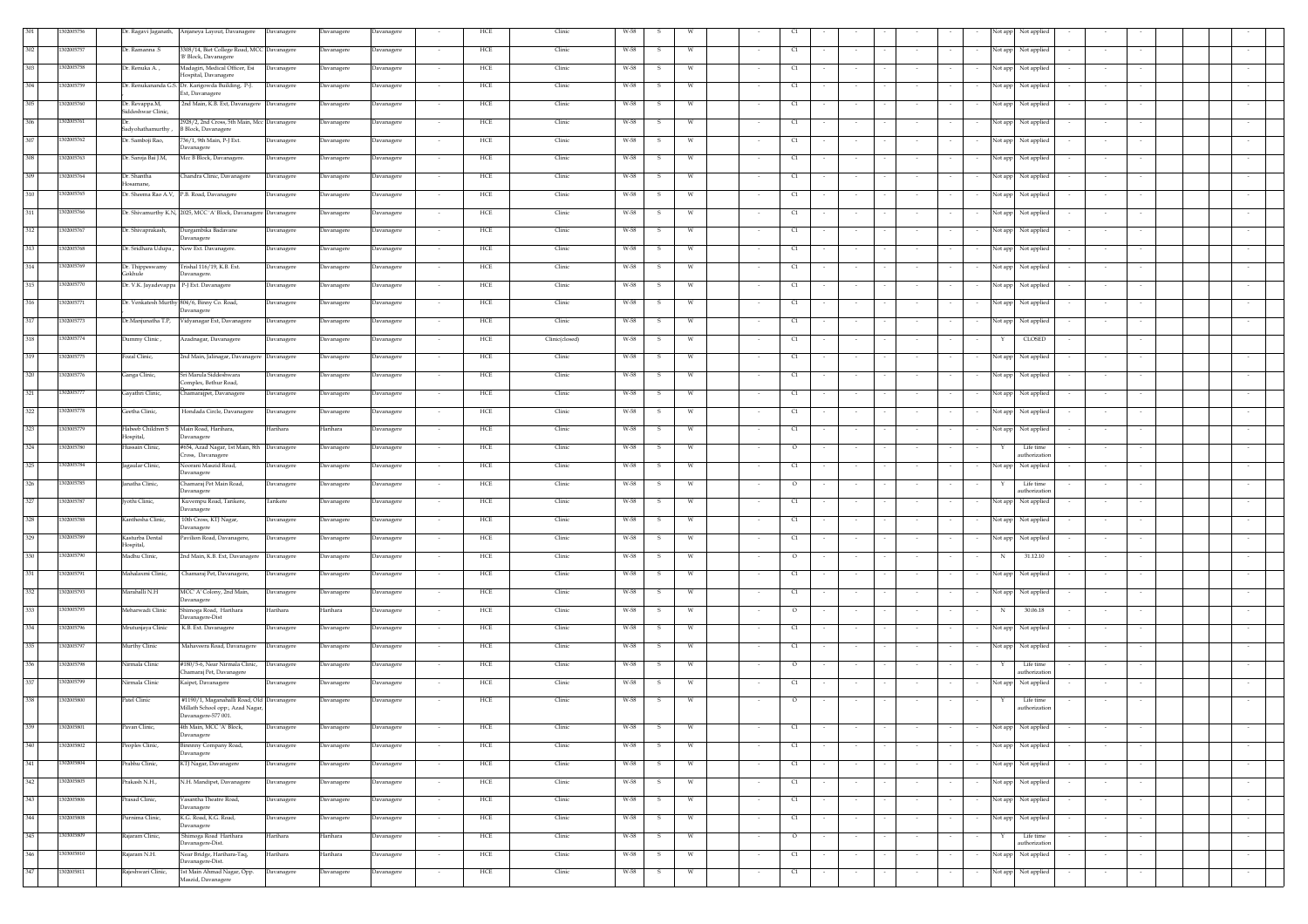|     | 302005756  |                                          | Dr. Ragavi Jaganath, Anjaneya Layout, Davanagere                     | Davanagere        | Davanagere | Davanagere |        | HCE | Clinic         | W-58 |                   |        |         |        |        |                  |        | Not app           | Not applied                 |        |                  |  |        |
|-----|------------|------------------------------------------|----------------------------------------------------------------------|-------------------|------------|------------|--------|-----|----------------|------|-------------------|--------|---------|--------|--------|------------------|--------|-------------------|-----------------------------|--------|------------------|--|--------|
| 302 | 302005757  | Dr. Ramanna .S                           | 308/14, Biet College Road, MCC Davanagere                            |                   | Davanagere | Davanagere |        | HCE | Clinic         | W-58 | W                 |        | C1      |        |        |                  |        | Not app           | Not applied                 |        |                  |  |        |
| 303 | 302005758  | Dr. Renuka A.,                           | B' Block, Davanagere<br>Madagiri, Medical Officer, Esi               |                   |            |            |        |     |                |      |                   |        |         |        |        |                  |        |                   |                             |        |                  |  |        |
|     |            |                                          | Iospital, Davanager                                                  | Davanagere        | Davanagere | Davanagere |        | HCE | Clinic         | W-58 | <b>W</b><br>-S.   |        | C1      |        |        |                  |        |                   | Not app Not applied         |        |                  |  |        |
| 304 | 302005759  |                                          | Dr. Renukananda G.S. Dr. Karigowda Building, P-J.<br>Ext, Davanagere | Davanagere        | Davanagere | Davanagere | $\sim$ | HCE | Clinic         | W-58 | w<br>-5           | $\sim$ | C1      | $\sim$ | $\sim$ | $\sim$           |        | Not app           | Not applied                 |        | $\sim$<br>$\sim$ |  |        |
| 305 | 302005760  | Dr. Revappa.M,                           | 2nd Main, K.B. Ext, Davanagere                                       | Davanagere        | Davanagere | Davanagere |        | HCE | Clinic         | W-58 | W                 |        | C1      |        |        |                  |        | Not app           | Not applied                 |        |                  |  |        |
| 306 | 302005761  | Siddeshwar Clinic,                       | 1928/2, 2nd Cross, 5th Main, Mcc Davanagere                          |                   | Davanagere | Davanagere |        | HCE | Clinic         | W-58 | W                 |        | C1      |        |        |                  |        | Not app           | Not applied                 |        |                  |  |        |
|     |            | Sadyohathamurthy,                        | <b>B</b> Block, Davanagere                                           |                   |            |            |        |     |                |      |                   |        |         |        |        |                  |        |                   |                             |        |                  |  |        |
| 307 | 302005762  | Dr. Samboji Rao,                         | 736/1, 9th Main, P-J Ext.<br><b>Davanagere</b>                       | Davanagere        | Davanagere | Davanagere |        | HCE | Clinic         | W-58 | <b>W</b><br>-S.   |        | C1      |        | $\sim$ |                  |        |                   | Not app Not applied         |        |                  |  |        |
| 308 | 302005763  | Dr. Saroja Bai J.M,                      | Mcc B Block, Davanagere.                                             | Davanagere        | Davanagere | Davanagere |        | HCE | Clinic         | W-58 | W<br>-S.          |        | C1      |        | $\sim$ |                  |        | Not app<br>$\sim$ | Not applied                 |        | $\sim$           |  |        |
| 309 | 302005764  | Dr. Shantha                              | Chandra Clinic, Davanagere                                           | Davanagere        | Davanagere | Davanagere |        | HCE | Clinic         | W-58 | W                 |        | C1      |        | $\sim$ |                  |        | Not app           | Not applied                 |        |                  |  |        |
| 310 | 302005765  | Iosamane,                                | Dr. Sheema Rao A.V, P.B. Road, Davanagere                            | <b>Davanagere</b> | Davanagere | Davanagere |        | HCE | Clinic         | W-58 | W                 |        | C1      |        |        |                  |        | Not app           | Not applied                 |        |                  |  |        |
|     |            |                                          |                                                                      |                   |            |            |        |     |                |      |                   |        |         |        |        |                  |        |                   |                             |        |                  |  |        |
| 311 | 302005766  |                                          | Dr. Shivamurthy K.N, 2025, MCC 'A' Block, Davanagere Davanagere      |                   | Davanagere | Davanagere |        | HCE | Clinic         | W-58 | - W<br>-S         |        | C1      |        |        | $\sim$           |        |                   | Not app Not applied         |        |                  |  |        |
| 312 | 302005767  | Dr. Shivaprakash,                        | Durgambika Badavane<br>Javanagere                                    | avanagere         | Davanagere | Davanagere |        | HCE | Clinic         | W-58 | W                 |        | C1      |        | $\sim$ | $\sim$           |        | Not app           | Not applied                 |        | $\sim$           |  |        |
| 313 | 302005768  | Dr. Sridhara Udupa ,                     | New Ext. Davanagere.                                                 | avanagere         | Davanagere | Davanagere |        | HCE | Clinic         | W-58 | w                 |        | C1      |        |        |                  |        | Not app           | Not applied                 |        |                  |  |        |
| 314 | 302005769  | Dr. Thippeswamy                          | Frishal 116/19, K.B. Ext.                                            | <b>Javanagere</b> | Davanagere | Davanagere |        | HCE | Clinic         | W-58 | s.<br>W           |        | C1      |        |        |                  |        | Not app           | Not applied                 |        |                  |  |        |
|     | 302005770  | Gokhule                                  | avanagere                                                            |                   |            |            |        |     |                |      |                   |        |         |        |        |                  |        |                   |                             |        |                  |  |        |
| 315 |            | Dr. V.K. Jayadevappa P-J Ext. Davanagere |                                                                      | Davanagere        | Davanagere | Davanagere |        | HCE | Clinic         | W-58 | S.<br>W           |        | C1      |        |        |                  |        |                   | Not app Not applied         |        |                  |  |        |
| 316 | 302005771  |                                          | Dr. Venkatesh Murthy 804/6, Binny Co. Road,<br>Davanagere            | Davanagere        | Davanagere | Davanagere |        | HCE | Clinic         | W-58 | S.<br>W           |        | C1      |        |        |                  |        |                   | Not app Not applied         |        |                  |  |        |
| 317 | 302005773  | Dr.Manjunatha T.P,                       | Vidyanagar Ext, Davanagere                                           | Davanagere        | Davanagere | Davanagere |        | HCE | Clinic         | W-58 | s.<br>- W         |        | C1      |        | $\sim$ |                  |        |                   | Not app Not applied         |        | $\sim$           |  |        |
| 318 | 302005774  | Dummy Clinic,                            | Azadnagar, Davanagere                                                | Davanagere        | Davanagere | Davanagere |        | HCE | Clinic(closed) | W-58 | W<br>s            |        | C1      |        |        |                  |        |                   | CLOSED                      |        |                  |  |        |
| 319 | 302005775  | Fozal Clinic,                            | 2nd Main, Jalinagar, Davanagere Davanagere                           |                   | Davanagere | Davanagere |        | HCE | Clinic         | W-58 | -S<br>W           |        | C1      |        |        |                  |        |                   | Not app Not applied         |        |                  |  |        |
|     |            |                                          |                                                                      |                   |            |            |        |     |                |      |                   |        |         |        |        |                  |        |                   |                             |        |                  |  |        |
| 320 | 302005776  | Ganga Clinic,                            | Sri Marula Siddeshwara<br>Complex, Bethur Road,                      | Davanagere        | Davanagere | Davanagere | $\sim$ | HCE | Clinic         | W-58 | W<br>-S.          | $\sim$ | C1      | $\sim$ | $\sim$ | $\sim$           |        |                   | Not app Not applied         |        | $\sim$<br>$\sim$ |  |        |
| 321 | 302005777  | Gayathri Clinic,                         | hamarajpet, Davanagere                                               | Davanagere        | Davanagere | Davanagere |        | HCE | Clinic         | W-58 | s.<br>w           |        | C1      |        | $\sim$ |                  |        |                   | Not app Not applied         |        | $\sim$           |  |        |
| 322 | 302005778  | Geetha Clinic,                           | Hondada Circle, Davanagere                                           | Davanagere        | Davanagere | Davanagere |        | HCE | Clinic         | W-58 | S<br>W            |        | C1      |        |        |                  |        | Not app           | Not applied                 |        |                  |  |        |
| 323 | 303005779  | Habeeb Children S                        | Main Road, Harihara,                                                 | Harihara          | Harihara   | Davanagere |        | HCE | Clinic         | W-58 | S.<br>W           |        | C1      |        |        |                  |        | Not app           | Not applied                 |        |                  |  |        |
|     | 302005780  | Hospital,                                | avanagere                                                            |                   |            |            |        |     |                |      |                   |        |         |        |        |                  |        |                   |                             |        |                  |  |        |
| 324 |            | Hussain Clinic,                          | #654, Azad Nagar, 1st Main, 8th Davanagere<br>Cross, Davanagere      |                   | Davanagere | Davanagere |        | HCE | Clinic         | W-58 | - S<br>W          | $\sim$ | $\circ$ |        | $\sim$ |                  |        |                   | Life time<br>uthorization   |        |                  |  |        |
| 325 | 302005784  | agaular Clinic,                          | Noorani Maszid Road,<br><b>Javanagere</b>                            | Davanagere        | Davanagere | Davanagere |        | HCE | Clinic         | W-58 | s.<br><b>W</b>    |        | C1      |        | $\sim$ |                  |        | $\sim$            | Not app Not applied         |        | $\sim$           |  |        |
| 326 | 302005785  | Janatha Clinic,                          | Chamaraj Pet Main Road,                                              | Davanagere        | Davanagere | Davanagere |        | HCE | Clinic         | W-58 | s<br>W            |        | $\circ$ |        | $\sim$ |                  |        |                   | Life time                   |        |                  |  |        |
| 327 | 302005787  | vothi Clinic,                            | <b>Javanagere</b><br>Kuvempu Road, Tarikere,                         | Tarikere          | Davanagere | Davanagere |        | HCE | Clinic         | W-58 | -S<br>W           |        | C1      |        |        |                  |        | Not app           | uthorization<br>Not applied |        |                  |  |        |
| 328 | 302005788  | Kanthesha Clinic,                        | avanagere<br>10th Cross, KTJ Nagar,                                  | Davanagere        | Davanagere | Davanagere | $\sim$ | HCE | Clinic         | W-58 | -S.<br><b>W</b>   | $\sim$ | C1      |        | $\sim$ | $\sim$           |        | $\sim$            | Not app Not applied         |        | $\sim$           |  |        |
|     |            |                                          | Javanagere                                                           |                   |            |            |        |     |                |      |                   |        |         |        |        |                  |        |                   |                             |        |                  |  |        |
| 329 | 302005789  | Kasturba Dental<br>Hospital,             | Pavilion Road, Davanagere,                                           | Davanagere        | Davanagere | Davanagere |        | HCE | Clinic         | W-58 | s<br><b>W</b>     |        | C1      |        |        |                  |        |                   | Not app Not applied         |        |                  |  |        |
| 330 | 302005790  | Madhu Clinic,                            | 2nd Main, K.B. Ext, Davanagere                                       | Davanagere        | Davanagere | Davanagere |        | HCE | Clinic         | W-58 | $\mathbf{S}$      |        | $\circ$ |        |        |                  |        | N                 | 31.12.10                    |        |                  |  |        |
| 331 | 302005791  | Mahalaxmi Clinic,                        | Chamaraj Pet, Davanagere,                                            | Davanagere        | Davanagere | Davanagere |        | HCE | Clinic         | W-58 |                   |        | C1      |        |        |                  |        |                   | Not app Not applied         |        |                  |  |        |
| 332 | 1302005793 | Marahalli N.H                            | MCC A' Colony, 2nd Main,                                             | Davanagere        | Davanagere | Davanagere |        | HCE | Clinic         | W-58 | -S.               |        | C1      |        |        |                  |        |                   | Not app Not applied         |        |                  |  |        |
| 333 | 303005795  | Meharwadi Clinic                         | <b>Davanagere</b><br>Shimoga Road, Harihara                          | Harihara          | Harihara   | Davanagere |        | HCE | Clinic         | W-58 | s.                |        | $\circ$ |        |        |                  |        | $\mathbb{N}$      | 30.06.18                    |        |                  |  |        |
|     |            |                                          | Javanagere-Dist                                                      |                   |            |            |        |     |                |      |                   |        |         |        |        |                  |        |                   |                             |        |                  |  |        |
| 334 | 302005796  | Mrutunjaya Clinic                        | K.B. Ext. Davanagere                                                 | Davanagere        | Davanagere | Davanagere |        | HCE | Clinic         | W-58 | S<br>W            |        | C1      |        | $\sim$ |                  |        | Not app           | Not applied                 |        |                  |  |        |
| 335 | 302005797  | Murthy Clinic                            | Mahaveera Road, Davanagere                                           | Davanagere        | Davanagere | Davanagere | $\sim$ | HCE | Clinic         | W-58 | s<br>W            |        | C1      |        | $\sim$ |                  |        | Not app           | Not applied                 |        |                  |  |        |
| 336 | 302005798  | Nirmala Clinic                           | #180/5-6, Near Nirmala Clinic,                                       | Davanagere        | Davanagere | Davanagere | $\sim$ | HCE | Clinic         | W-58 | W<br>S            | $\sim$ | $\circ$ |        | $\sim$ | $\sim$           |        |                   | Life time<br>athorizatio    |        |                  |  |        |
| 337 | 302005799  | Nirmala Clinic                           | Thamaraj Pet, Davanagere<br>Kaipet, Davanagere                       | Davanagere        | Davanagere | Davanagere | $\sim$ | HCE | Clinic         | W-58 | W<br>s.           | $\sim$ | C1      | $\sim$ | $\sim$ | $\sim$           |        | $\sim$            | Not app Not applied         |        | $\sim$<br>$\sim$ |  |        |
| 338 | 302005800  | Patel Clinic                             | #1190/1, Maganahalli Road, Old Davanagere                            |                   |            |            |        | HCE | Clinic         | W-58 | W                 |        |         |        |        |                  |        |                   | Life time                   |        |                  |  |        |
|     |            |                                          | Millath School opp:, Azad Nagar,<br>Davanagere-577001.               |                   | Davanagere | Davanagere |        |     |                |      | s.                |        | $\circ$ |        | $\sim$ | $\sim$           |        |                   | uthorizatio                 |        | $\sim$           |  |        |
| 339 | 302005801  | Pavan Clinic,                            | 4th Main, MCC 'A' Block,                                             | Davanagere        | Davanagere | Davanagere |        | HCE | Clinic         | W-58 | -S<br>W           |        | C1      |        |        |                  |        |                   | Not app Not applied         |        |                  |  |        |
| 340 | 1302005802 | Peoples Clinic,                          | Davanagere                                                           |                   |            |            |        | HCE | Clinic         | W-58 | S.<br>W           |        | C1      |        | $\sim$ | $\sim$           |        | $\sim$            | Not app Not applied         |        | $\sim$           |  | $\sim$ |
|     |            |                                          | Binnnny Company Road,<br>Davanagere                                  | Davanagere        | Davanagere | Davanagere |        |     |                |      |                   |        |         |        |        |                  |        |                   |                             |        |                  |  |        |
| 341 | 1302005804 | Prabhu Clinic,                           | KTJ Nagar, Davanagere                                                | Davanagere        | Davanagere | Davanagere | $\sim$ | HCE | Clinic         | W-58 | S.<br>W           | $\sim$ | C1      | $\sim$ | $\sim$ | $\sim$<br>$\sim$ | $\sim$ | $\sim$            | Not app Not applied         | $\sim$ | $\sim$<br>$\sim$ |  | $\sim$ |
| 342 | 302005805  | Prakash N.H.,                            | N.H. Mandipet, Davanagere                                            | Davanagere        | Davanagere | Davanagere | $\sim$ | HCE | Clinic         | W-58 | $\mathbf{s}$<br>W | $\sim$ | C1      | $\sim$ | $\sim$ | $\sim$<br>$\sim$ |        | Not app<br>$\sim$ | Not applied                 |        | $\sim$<br>$\sim$ |  | $\sim$ |
| 343 | 302005806  | Prasad Clinic,                           | Vasantha Theatre Road,                                               | Davanagere        | Davanagere | Davanagere |        | HCE | Clinic         | W-58 | W<br>s.           | $\sim$ | C1      |        | $\sim$ | $\sim$           |        |                   | Not app Not applied         |        |                  |  | $\sim$ |
| 344 | 302005808  | Purnima Clinic,                          | <b>Davanagere</b><br>K.G. Road, K.G. Road,                           | Davanagere        | Davanagere | Davanagere | $\sim$ | HCE | Clinic         | W-58 | S.<br>W           | $\sim$ | C1      | $\sim$ | $\sim$ | $\sim$<br>$\sim$ | $\sim$ | $\sim$            | Not app Not applied         |        | $\sim$<br>$\sim$ |  | $\sim$ |
| 345 |            |                                          | avanagere                                                            |                   |            |            |        |     | Clinic         |      |                   |        |         |        |        |                  |        |                   |                             |        |                  |  |        |
|     | 303005809  | Rajaram Clinic,                          | Shimoga Road Harihara<br>Davanagere-Dist.                            | Harihara          | Harihara   | Davanagere | $\sim$ | HCE |                | W-58 | s.<br>- W         | $\sim$ | $\circ$ | $\sim$ | $\sim$ | $\sim$<br>$\sim$ | $\sim$ | $\sim$<br>Y       | Life time<br>uthorization   |        | $\sim$<br>$\sim$ |  | $\sim$ |
| 346 | 303005810  | Rajaram N.H.                             | Near Bridge, Harihara-Taq,<br>Davanagere-Dist.                       | Harihara          | Harihara   | Davanagere |        | HCE | Clinic         | W-58 | W<br>s            |        | C1      |        | $\sim$ |                  |        | Not app           | Not applied                 |        |                  |  | $\sim$ |
| 347 | 302005811  | Rajeshwari Clinic,                       | 1st Main Ahmad Nagar, Opp.<br>Maszid, Davanagere                     | Davanagere        | Davanagere | Davanagere |        | HCE | Clinic         | W-58 | $\mathbf{s}$<br>W |        | C1      |        |        |                  |        |                   | Not app Not applied         |        |                  |  |        |
|     |            |                                          |                                                                      |                   |            |            |        |     |                |      |                   |        |         |        |        |                  |        |                   |                             |        |                  |  |        |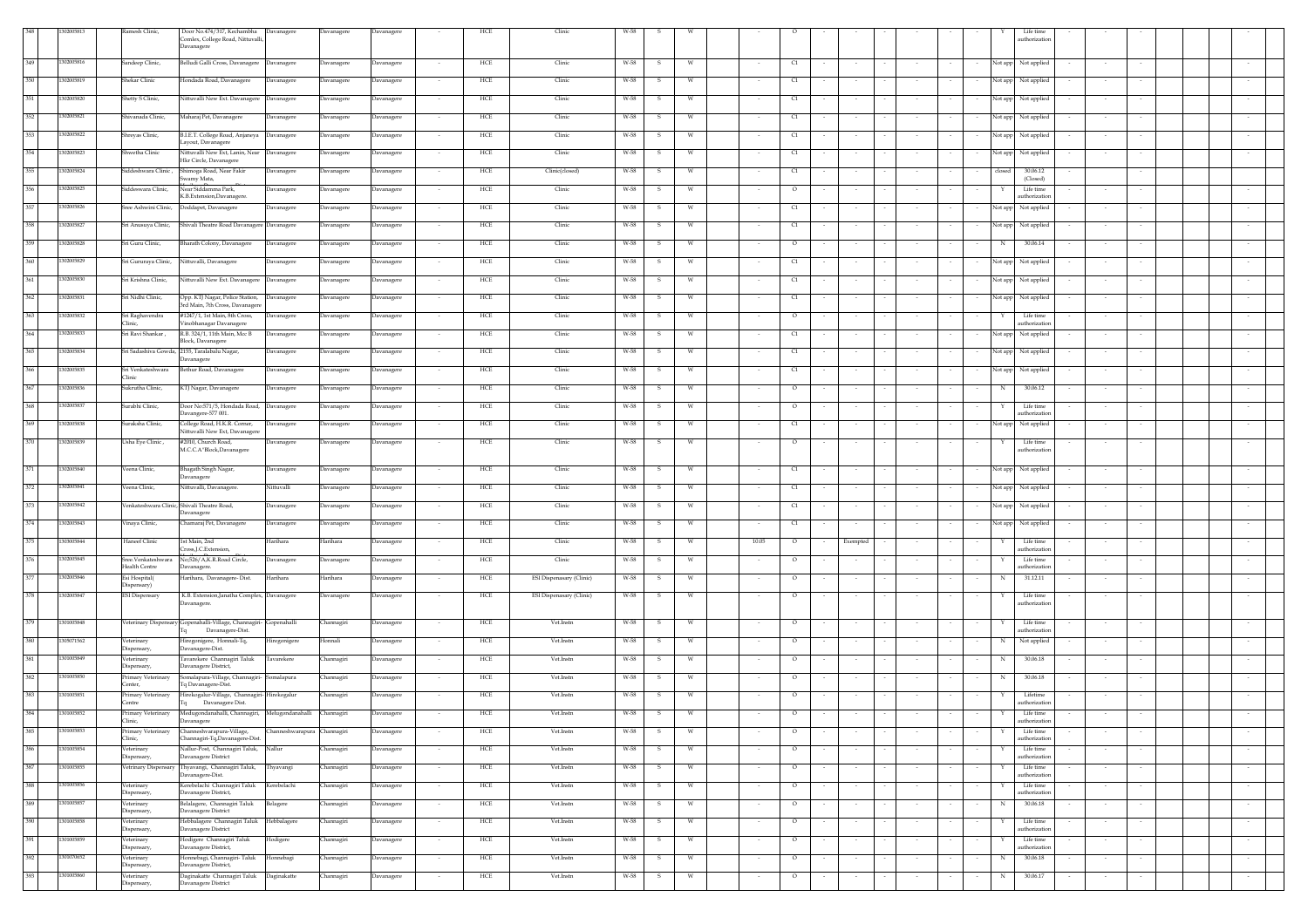|         |            | Ramesh Clinic,                       | Door No.474/317, Kechambha Davanagere                                                        | Davanagere | Davanagere |                          | HCE               | Clinic                   |      |              |   |                   |        |                          |        |                  |        |         | Life time                 |        |        |  |        |
|---------|------------|--------------------------------------|----------------------------------------------------------------------------------------------|------------|------------|--------------------------|-------------------|--------------------------|------|--------------|---|-------------------|--------|--------------------------|--------|------------------|--------|---------|---------------------------|--------|--------|--|--------|
|         |            |                                      | Comlex, College Road, Nittuvalli,                                                            |            |            |                          |                   |                          |      |              |   |                   |        |                          |        |                  |        |         | uthorizatic               |        |        |  |        |
|         |            |                                      | Davanagere                                                                                   |            |            |                          |                   |                          |      |              |   |                   |        |                          |        |                  |        |         |                           |        |        |  |        |
| 349     | 1302005816 | Sandeep Clinic,                      | Belludi Galli Cross, Davanagere<br>Davanagere                                                | Davanagere | Davanagere |                          | HCE               | Clinic                   | W-58 | -S           |   | C1                |        |                          |        |                  |        | Not app | Not applied               |        |        |  |        |
| 350     |            |                                      |                                                                                              |            |            |                          |                   |                          |      |              |   |                   |        |                          |        |                  |        |         |                           |        |        |  |        |
|         | 302005819  | Shekar Clinic                        | Hondada Road, Davanagere<br>Davanagere                                                       | Davanagere | Davanagere |                          | HCE               | Clinic                   | W-58 | -S           | W | þ                 |        |                          |        |                  |        | Not app | Not applied               |        |        |  |        |
| 351     | 1302005820 | Shetty S Clinic,                     | Nittuvalli New Ext. Davanagere<br>Davanagere                                                 | Davanagere | Davanagere |                          | HCE               | Clinic                   | W-58 |              |   | C1                |        |                          |        |                  |        | Not app | Not applied               |        |        |  |        |
|         |            |                                      |                                                                                              |            |            |                          |                   |                          |      |              |   |                   |        |                          |        |                  |        |         |                           |        |        |  |        |
| 352     | 1302005821 | Shivanada Clinic,                    | Maharaj Pet, Davanagere<br><b>Davanagere</b>                                                 | Davanagere | Davanagere |                          | HCE               | Clinic                   | W-58 |              |   | C1                |        |                          |        |                  |        | Not app | Not applied               |        |        |  |        |
| 353     | 1302005822 | Shreyas Clinic,                      | B.I.E.T. College Road, Anjaneya Davanagere                                                   | Davanagere | Davanagere |                          | HCE               | Clinic                   | W-58 | -S           |   | C1                |        |                          |        |                  |        | Not app | Not applied               |        |        |  |        |
|         |            |                                      | ayout, Davanagere                                                                            |            |            |                          |                   |                          |      |              |   |                   |        |                          |        |                  |        |         |                           |        |        |  |        |
| 354     | 1302005823 | hwetha Clinic                        | Nittuvalli New Ext, Lanin, Near<br>Davanagere                                                | Davanagere | Davanagere |                          | HCE               | Clinic                   | W-58 | s            |   | C1                |        |                          |        |                  |        | Not app | Not applied               |        |        |  |        |
| 255     | 302005824  | , Siddeshwara Clinic                 | Hkr Circle, Davanagere<br>Shimoga Road, Near Fakir<br><b>Davanagere</b>                      | Davanagere | Davanagere |                          | HCE               | Clinic(closed)           | W-58 |              |   | C1                |        |                          |        |                  |        | closec  | 30.06.12                  |        |        |  |        |
|         |            |                                      | wamy Mata,                                                                                   |            |            |                          |                   |                          |      |              |   |                   |        |                          |        |                  |        |         | (Closed)                  |        |        |  |        |
| 356     | 1302005825 | Siddeswara Clinic,                   | Near Siddamma Park,<br>Javanagere                                                            | Davanagere | Davanagere |                          | HCE               | Clinic                   | W-58 |              |   | $\circ$           |        |                          |        |                  |        |         | Life time                 |        |        |  |        |
|         |            |                                      | K.B.Extension,Davanagere                                                                     |            |            |                          |                   |                          |      |              |   |                   |        |                          |        |                  |        |         | uthorization              |        |        |  |        |
| 357     | 1302005826 |                                      | Sree Ashwini Clinic, Doddapet, Davanagere<br>Davanagere                                      | Davanagere | Davanagere |                          | HCE               | Clinic                   | W-58 |              |   | C1                |        |                          |        |                  |        | Not app | Not applied               |        |        |  |        |
| 358     | 1302005827 |                                      | Sri Anusuya Clinic, Shivali Theatre Road Davanagere Davanagere                               | Davanagere | Davanagere | $\sim$                   | HCE               | Clinic                   | W-58 | s            | W | C1                |        |                          |        |                  |        | Not app | Not applied               |        |        |  |        |
|         |            |                                      |                                                                                              |            |            |                          |                   |                          |      |              |   |                   |        |                          |        |                  |        |         |                           |        |        |  |        |
| 359     | 1302005828 | Sri Guru Clinic,                     | Bharath Colony, Davanagere<br>Davanagere                                                     | Davanagere | Davanagere | $\sim$                   | HCE               | Clinic                   | W-58 | s            | W | $\circ$           |        |                          |        |                  |        | N       | 30.06.14                  |        |        |  |        |
| 360     | 1302005829 | Sri Gururaya Clinic,                 | Nittuvalli, Davanagere<br>Davanagere                                                         | Davanagere | Davanagere | $\overline{\phantom{a}}$ | HCE               | Clinic                   | W-58 | s            | W | C1                |        | $\overline{\phantom{a}}$ |        |                  |        | Not app | Not applied               |        |        |  |        |
|         |            |                                      |                                                                                              |            |            |                          |                   |                          |      |              |   |                   |        |                          |        |                  |        |         |                           |        |        |  |        |
| $361\,$ | 1302005830 | Sri Krishna Clinic,                  | Nittuvalli New Ext. Davanagere Davanagere                                                    | Davanagere | Davanagere |                          | HCE               | Clinic                   | W-58 | $\mathbf{s}$ | W | C1                |        |                          |        |                  |        | Not app | Not applied               |        |        |  |        |
| 362     | 1302005831 | Sri Nidhi Clinic,                    | Opp. KTJ Nagar, Police Station,                                                              |            |            |                          | HCE               | Clinic                   | W-58 |              | W |                   |        |                          |        |                  |        |         |                           |        |        |  |        |
|         |            |                                      | Davanagere<br>3rd Main, 7th Cross, Davanager                                                 | Davanagere | Davanagere | $\sim$                   |                   |                          |      | S.           |   | C1<br>$\sim$      | $\sim$ | $\sim$                   |        | $\sim$           | $\sim$ |         | Not app Not applied       | $\sim$ | $\sim$ |  |        |
| 363     | 302005832  | Sri Raghavendra                      | #1247/1, 1st Main, 8th Cross,<br>Davanagere                                                  | Davanagere | Davanagere | $\overline{\phantom{a}}$ | HCE               | Clinic                   | W-58 | s            | W | $\circ$           |        | $\sim$                   |        |                  |        |         | Life time                 | $\sim$ |        |  |        |
|         |            | Clinic.                              | Vinobhanagar Davanagere                                                                      |            |            |                          |                   |                          |      |              |   |                   |        |                          |        |                  |        |         | uthorization              |        |        |  |        |
| 364     | 1302005833 | Sri Ravi Shankar,                    | R.B. 324/1, 11th Main, Mcc B<br>Davanagere<br>Block, Davanagere                              | Davanagere | Davanagere |                          | HCE               | Clinic                   | W-58 | s            | W | C1                |        |                          |        |                  |        | Not app | Not applied               |        |        |  |        |
| 365     | 302005834  |                                      | Sri Sadashiva Gowda, 2155, Taralabalu Nagar,<br>Davanagere                                   | Davanagere | Davanagere |                          | HCE               | Clinic                   | W-58 | s            | W | C1                |        |                          |        |                  |        | Not app | Not applied               |        |        |  |        |
|         |            |                                      | Davanagere                                                                                   |            |            |                          |                   |                          |      |              |   |                   |        |                          |        |                  |        |         |                           |        |        |  |        |
| 366     | 1302005835 | Sri Venkateshwara<br>Clinic          | Bethur Road, Davanagere<br>Davanagere                                                        | Davanagere | Davanagere |                          | HCE               | Clinic                   | W-58 | -S           | W | C1                |        |                          |        |                  |        | Not app | Not applied               |        |        |  |        |
| 367     | 1302005836 | Sukrutha Clinic,                     | KTJ Nagar, Davanagere<br>Davanagere                                                          | Davanagere | Davanagere |                          | HCE               | Clinic                   | W-58 | -S           | W | $\circ$           |        | $\sim$                   |        |                  |        | N       | 30.06.12                  |        |        |  |        |
|         |            |                                      |                                                                                              |            |            |                          |                   |                          |      |              |   |                   |        |                          |        |                  |        |         |                           |        |        |  |        |
| 368     | 1302005837 | Surabhi Clinic,                      | Door No:571/5, Hondada Road,<br>Davanagere                                                   | Davanagere | Davanagere |                          | HCE               | Clinic                   | W-58 | s            |   | $\circ$           |        |                          |        |                  |        |         | Life time                 |        |        |  |        |
| 369     | 302005838  |                                      | Davangere-577 001.                                                                           |            |            |                          |                   |                          |      |              |   |                   |        |                          |        |                  |        |         | uthorizatio               |        |        |  |        |
|         |            | uraksha Clinic,                      | College Road, H.K.R. Corner,<br>Davanagere<br>Nittuvalli New Ext, Davanagere                 | Davanagere | Davanagere |                          | HCE               | Clinic                   | W-58 |              |   | C1                |        |                          |        |                  |        | Not app | Not applied               |        |        |  |        |
| 370     | 1302005839 | Usha Eye Clinic,                     | #2010, Church Road,<br>Davanagere                                                            | Davanagere | Davanagere |                          | HCE               | Clinic                   | W-58 | -S           |   | $\circ$           |        |                          |        |                  |        |         | Life time                 |        |        |  |        |
|         |            |                                      | M.C.C.A"Block,Davanagere                                                                     |            |            |                          |                   |                          |      |              |   |                   |        |                          |        |                  |        |         | uthorizatio               |        |        |  |        |
| 371     | 1302005840 | eena Clinic,                         | Bhagath Singh Nagar,<br>avanagere                                                            | Davanagere | Davanagere |                          | HCE               | Clinic                   | W-58 | 5            |   | $\alpha$          |        |                          |        |                  |        | Not app | Not applied               |        |        |  |        |
|         |            |                                      | Davanagere                                                                                   |            |            |                          |                   |                          |      |              |   |                   |        |                          |        |                  |        |         |                           |        |        |  |        |
| 372     | 1302005841 | Veena Clinic,                        | Nittuvalli, Davanagere.<br>Nittuvalli                                                        | Davanagere | Davanagere |                          | HCE               | Clinic                   | W-58 |              |   | C1                |        |                          |        |                  |        | Not app | Not applied               |        |        |  |        |
|         |            |                                      |                                                                                              |            |            |                          |                   |                          |      |              |   |                   |        |                          |        |                  |        |         |                           |        |        |  |        |
| 373     | 1302005842 |                                      | Venkateshwara Clinic, Shivali Theatre Road,<br>Davanagere<br>Davanagere                      | Davanagere | Davanagere |                          | HCE               | Clinic                   | W-58 | s            | W | C1                |        |                          |        |                  |        | Not app | Not applied               |        |        |  |        |
| 374     | 1302005843 | Vinava Clinic,                       | Chamaraj Pet, Davanagere<br>Davanagere                                                       | Davanagere | Davanagere | $\sim$                   | $_{\mathrm{HCE}}$ | Clinic                   | W-58 | -S           | W | C1                |        | $\sim$                   |        |                  |        |         | Not app Not applied       |        | $\sim$ |  |        |
|         |            |                                      |                                                                                              |            |            |                          |                   |                          |      |              |   |                   |        |                          |        |                  |        |         |                           |        |        |  |        |
| 375     | 1303005844 | Haneef Clinic                        | 1st Main, 2nd<br>Harihara<br>Cross, J.C. Extension,                                          | Harihara   | Davanagere | $\sim$                   | HCE               | Clinic                   | W-58 | s            | W | 10.05<br>$\circ$  |        | Exempted                 |        |                  |        | Y       | Life time<br>uthorization | $\sim$ | $\sim$ |  |        |
| 376     | 1302005845 | Sree.Venkateshwara                   | No;526/A,K.R.Road Circle,<br>Davanagere                                                      | Davanagere | Davanagere | $\sim$                   | HCE               | Clinic                   | W-58 | s            | W | $\circ$           |        | $\sim$                   |        |                  |        |         | Life time                 | $\sim$ |        |  |        |
|         |            | Health Centre                        | Davanagere.                                                                                  |            |            |                          |                   |                          |      |              |   |                   |        |                          |        |                  |        |         | uthorization              |        |        |  |        |
| 377     | 1302005846 | Esi Hospital(                        | Harihara, Davanagere- Dist.<br>Harihara                                                      | Harihara   | Davanagere | $\sim$                   | HCE               | ESI Dispenasary (Clinic) | W-58 | s            | W | $\circ$           |        | $\sim$                   |        | $\sim$           |        | N       | 31.12.11                  |        |        |  |        |
| 378     | 302005847  | Dispensary)<br><b>ESI</b> Dispensary | K.B. Extension, Janatha Complex, Davanagere                                                  | Davanagere |            | $\sim$                   | HCE               | ESI Dispenasary (Clinic) | W-58 | -S           | W | $\circ$           |        |                          |        |                  |        |         | Life time                 |        |        |  |        |
|         |            |                                      | Davanagere.                                                                                  |            | Davanagere |                          |                   |                          |      |              |   |                   |        |                          |        |                  |        |         | uthorizatio               |        |        |  |        |
|         |            |                                      |                                                                                              |            |            |                          |                   |                          |      |              |   |                   |        |                          |        |                  |        |         |                           |        |        |  |        |
| 379     | 1301005848 |                                      | Veterinary Dispensary Gopenahalli-Village, Channagiri-<br>Gopenahalli<br>Tq Davanagere-Dist. | Channagiri | Davanagere |                          | HCE               | Vet.Instn                | W-58 | s            | W | $\circ$           |        |                          |        |                  |        |         | Life time<br>uthorization |        |        |  |        |
| 380     | 1305071562 | Veterinary                           | Hiregonigere, Honnali-Tq,<br>Hiregonigere                                                    | Honnali    | Davanagere |                          | HCE               | Vet.Instn                | W-58 | s            | W | $\circ$           |        |                          |        |                  |        | N       | Not applied               |        |        |  |        |
|         |            | Dispensary,                          | Davanagere-Dist.                                                                             |            |            |                          |                   |                          |      |              |   |                   |        |                          |        |                  |        |         |                           |        |        |  |        |
| 381     | 1301005849 | Veterinary                           | Tavarekere Channagiri Taluk<br>Tavarekere                                                    | Channagiri | Davanagere |                          | HCE               | Vet.Instn                | W-58 | -S           | w | $\circ$           |        |                          |        |                  |        | N       | 30.06.18                  |        |        |  |        |
| 382     | 1301005850 | Dispensary,<br>Primary Veterinary    | Davanagere District,<br>Somalapura-Village, Channagiri- Somalapura                           | Channagiri | Davanagere | $\sim$                   | HCE               | Vet.Instn                | W-58 | -S           | w | $\circ$           |        | $\sim$                   |        |                  | $\sim$ | N       | 30.06.18                  | $\sim$ |        |  |        |
|         |            | Center.                              | Tq Davanagere-Dist.                                                                          |            |            |                          |                   |                          |      |              |   |                   |        |                          |        |                  |        |         |                           |        |        |  |        |
| 383     | 1301005851 | Primary Veterinary                   | Hirekogalur-Village, Channagiri-Hirekogalur                                                  | Channagiri | Davanagere |                          | HCE               | Vet.Instn                | W-58 | s            |   | $\circ$           |        |                          |        |                  |        |         | Lifetime                  |        |        |  |        |
|         |            | Centre                               | $\begin{tabular}{ll} \bf Tq & \hspace{0.6cm}Davanagere Dist. \end{tabular}$                  |            |            |                          |                   |                          |      |              |   |                   |        |                          |        |                  |        |         | uthorization              |        |        |  |        |
| 384     | 1301005852 | Imic,                                | Primary Veterinary Medugondanahalli, Channagiri, Melugondanahalli Channagiri<br>Davanagere   |            | Davanagere |                          | HCE               | Vet.Instn                | W-58 | $\mathbf{s}$ | W | $\circ$           |        |                          |        |                  |        | Y       | Life time<br>norizatio    |        |        |  |        |
| 385     | 1301005853 | Primary Veterinary                   | Channeshvarapura-Village,<br>Channeshwarapura Channagiri                                     |            | Davanagere |                          | HCE               | Vet.Instn                | W-58 | -S           | w | $\circ$           |        | $\sim$                   |        |                  |        |         | Life time                 |        |        |  | $\sim$ |
|         |            | Clinic,                              | Channagiri-Tq,Davanagere-Dist.                                                               |            |            |                          |                   |                          |      |              |   |                   |        |                          |        |                  |        |         | uthorizatio               |        |        |  |        |
| 386     | 1301005854 | Veterinary                           | Nallur-Post, Channagiri Taluk, Nallur                                                        | Channagiri | Davanagere | $\sim$                   | HCE               | Vet.Instn                | W-58 | -S           | W | $\circ$<br>$\sim$ | $\sim$ | $\sim$                   |        | $\sim$           | $\sim$ | Y       | Life time<br>uthorization | $\sim$ | $\sim$ |  | $\sim$ |
| 387     | 1301005855 | Dispensary,                          | Davanagere District<br>Vetrinary Dispensary Thyavangi, Channagiri Taluk,<br>Thyavangi        | Channagiri | Davanagere | $\overline{\phantom{a}}$ | HCE               | Vet.Instn                | W-58 | s            | W | $\circ$           |        | $\sim$                   |        | $\sim$           | ٠      | Y       | Life time                 | $\sim$ | $\sim$ |  |        |
|         |            |                                      | Davanagere-Dist.                                                                             |            |            |                          |                   |                          |      |              |   |                   |        |                          |        |                  |        |         | uthorization              |        |        |  | $\sim$ |
| 388     | 1301005856 | Veterinary                           | Kerebelachi Channagiri Taluk<br>Kerebelachi                                                  | Channagiri | Davanagere |                          | HCE               | Vet.Instn                | W-58 | s            | W | $\circ$           |        |                          |        |                  |        |         | Life time                 |        |        |  | ٠      |
|         | 1301005857 | Dispensary,                          | Davanagere District,                                                                         |            |            |                          |                   |                          |      |              |   |                   |        |                          |        |                  |        |         | uthorization              |        |        |  |        |
| 389     |            | Veterinary<br>Dispensary,            | Belalagere, Channagiri Taluk<br>Belagere<br>Davanagere District                              | Channagiri | Davanagere | $\sim$                   | HCE               | Vet.Instn                | W-58 | s            | W | $\circ$           |        | $\sim$                   |        |                  |        | N       | 30.06.18                  |        |        |  | $\sim$ |
| 390     | 1301005858 | Veterinary                           | Hebbalagere Channagiri Taluk Hebbalagere                                                     | Channagiri | Davanagere | $\sim$                   | $_{\mathrm{HCE}}$ | Vet.Instn                | W-58 | -S           | W | $\circ$<br>$\sim$ |        | $\sim$                   | $\sim$ | $\sim$<br>$\sim$ | $\sim$ | Y       | Life time                 | $\sim$ | $\sim$ |  | $\sim$ |
|         |            | Dispensary,                          | Davanagere District                                                                          |            |            |                          |                   |                          |      |              |   |                   |        |                          |        |                  |        |         | authorization             |        |        |  |        |
| 391     | 1301005859 | Veterinary<br>Dispensary,            | Hodigere Channagiri Taluk<br>Hodigere<br>Davanagere District.                                | Channagiri | Davanagere | $\sim$                   | HCE               | Vet.Instn                | W-58 | s            | W | $\circ$           |        | $\sim$                   |        | $\sim$           | $\sim$ | Y       | Life time<br>uthorization | $\sim$ | $\sim$ |  | $\sim$ |
| 392     | 301070652  | Veterinary                           | Ionnebagi, Channagiri-Taluk<br>Honnebagi                                                     | hannagiri  | Davanagere | $\overline{\phantom{a}}$ | HCE               | Vet.Instn                | W-58 |              |   | $\circ$           |        | $\sim$                   |        |                  |        | N       | 30.06.18                  |        |        |  | $\sim$ |
|         |            | Dispensary,                          | Davanagere District,                                                                         |            |            |                          |                   |                          |      |              |   |                   |        |                          |        |                  |        |         |                           |        |        |  |        |
| 393     | 301005860  | Veterinary                           | Daginakatte Channagiri Taluk<br>Jaginakatte                                                  | Channagiri | Davanagere |                          | HCE               | Vet.Instn                | W-58 |              | W | $\circ$           |        |                          |        |                  |        | N       | 30.06.17                  |        |        |  |        |
|         |            | Dispensary,                          | Davanagere District                                                                          |            |            |                          |                   |                          |      |              |   |                   |        |                          |        |                  |        |         |                           |        |        |  |        |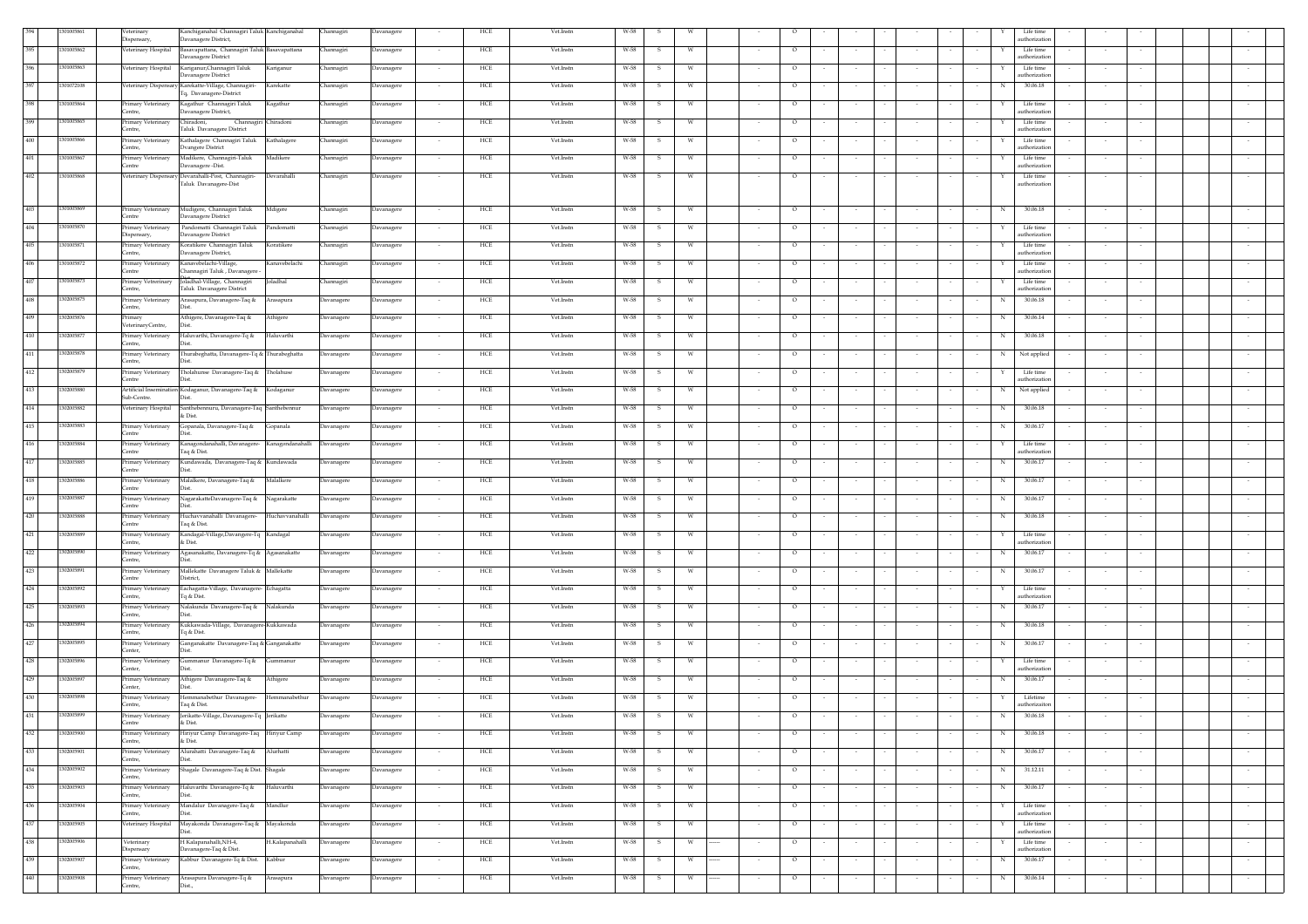|         | 01005861  | Veterinary<br>Dispensary,               | Kanchiganahal Channagiri Taluk Kanchiganahal<br>Davanagere District,     |                                | Channagiri | Davanagere        |        | HCE         | Vet.Instn | W-58 |              |          |        |         |        |        |                          | Life time<br>authorization              |        |                          |                          |
|---------|-----------|-----------------------------------------|--------------------------------------------------------------------------|--------------------------------|------------|-------------------|--------|-------------|-----------|------|--------------|----------|--------|---------|--------|--------|--------------------------|-----------------------------------------|--------|--------------------------|--------------------------|
|         | 301005862 | Veterinary Hospital                     | Basavapattana, Channagiri Taluk Basavapattana<br>Davanagere District     |                                | Channagiri | Davanagere        |        | HCE         | Vet.Instn | W-58 | - 51         | <b>W</b> |        | $\circ$ |        |        |                          | Life time<br>authorization              |        |                          |                          |
| 396     | 301005863 | Veterinary Hospital                     | Kariganur, Channagiri Taluk<br>Davanagere District                       | Kariganur                      | Channagiri | Davanagere        |        | HCE         | Vet.Instn | W-58 |              | W        |        | $\circ$ |        |        |                          | Life time<br>authorization              |        |                          |                          |
| 397     | 301072108 | Veterinary Dispensary                   | Karekatte-Village, Channagiri-<br>Iq, Davanagere-District                | Karekatte                      | Channagiri | Davanagere        |        | HCE         | Vet.Instn | W-58 |              | W        |        | $\circ$ |        |        |                          | 30.06.18<br>N                           |        |                          |                          |
| 398     | 301005864 | Primary Veterinary<br>Centre,           | Kagathur Channagiri Taluk<br>avanagere District,                         | Kagathur                       | Channagiri | Davanagere        |        | HCE         | Vet.Instn | W-58 | s.           | <b>W</b> |        | $\circ$ |        |        |                          | Life time<br>authorizatic               |        |                          |                          |
| 399     | 301005865 | Primary Veterinary<br>Centre.           | hiradoni,<br>Channagiri Chiradoni<br><b>Taluk Davanagere District</b>    |                                | Channagiri | Davanagere        | $\sim$ | HCE         | Vet.Instn | W-58 | $\mathbf{S}$ | W        | $\sim$ | $\circ$ | $\sim$ | $\sim$ |                          | Life time<br>authorizatio               | $\sim$ |                          |                          |
| 400     | 301005866 | Primary Veterinary                      | Kathalagere Channagiri Taluk                                             | Kathalagere                    | Channagiri | <b>Davanagere</b> |        | HCE         | Vet.Instn | W-58 |              | W        |        | $\circ$ |        |        |                          | Life time                               |        |                          |                          |
| 401     | 301005867 | Centre,<br>Primary Veterinary           | <b>Vangere District</b><br>Madikere, Channagiri-Taluk                    | Madikere                       | Channagiri | <b>Javanagere</b> |        | HCE         | Vet.Instn | W-58 |              | W        |        | $\circ$ |        |        |                          | authorization<br>Life time              |        |                          |                          |
| 402     | 301005868 | Centre                                  | Javanagere -Dist.<br>Veterinary Dispensary Devarahalli-Post, Channagiri- | Devarahalli                    | Channagiri | Davanagere        |        | HCE         | Vet.Instn | W-58 | s.           | W        |        | $\circ$ |        |        |                          | authorization<br>Life time              |        |                          |                          |
|         |           |                                         | Taluk Davanagere-Dist                                                    |                                |            |                   |        |             |           |      |              |          |        |         |        |        |                          | authorization                           |        |                          |                          |
| 403     | 301005869 | Primary Veterinary                      | Mudigere, Channagiri Taluk                                               | Mdigere                        | Channagiri | Davanagere        |        | HCE         | Vet.Instn | W-58 |              |          |        | $\circ$ |        |        |                          | 30.06.18<br>N                           |        |                          |                          |
| 404     | 301005870 | Centre<br>Primary Veterinary            | Davanagere District<br>Pandomatti Channagiri Taluk Pandomatti            |                                | Channagiri | Davanagere        |        | HCE         | Vet.Instn | W-58 | -S.          | - W      |        | $\circ$ |        |        |                          | Life time                               |        |                          |                          |
| 405     | 301005871 | Dispensary,<br>Primary Veterinary       | Davanagere District<br>Koratikere Channagiri Taluk                       | Koratikere                     | Channagiri | Davanagere        | $\sim$ | HCE         | Vet.Instn | W-58 | s.           | <b>W</b> |        | $\circ$ |        |        |                          | authorization<br>Life time<br>Y         | $\sim$ |                          |                          |
| 406     | 301005872 | Centre.<br>Primary Veterinary           | Davanagere District,<br>Kanavebelachi-Village,                           | Kanavebelachi                  | Channagiri | Davanagere        |        | HCE         | Vet.Instn | W-58 | S.           | W        |        | $\circ$ |        |        |                          | authorization<br>Life time              | $\sim$ |                          |                          |
| 407     | 301005873 | Centre<br>Primary Vetrerinary           | Channagiri Taluk, Davanagere -<br>Joladhal-Village, Channagiri           | Joladhal                       | Channagiri | Davanagere        |        | HCE         | Vet.Instn | W-58 | S.           | W        |        | $\circ$ |        |        |                          | authorization<br>Life time              |        |                          |                          |
| 408     | 302005875 | Centre,<br>Primary Veterinary           | <b>Taluk Davanagere District</b><br>Arasapura, Davanagere-Taq &          | Arasapura                      | Davanagere | Davanagere        | $\sim$ | HCE         | Vet.Instn | W-58 | s.           | W        | $\sim$ | $\circ$ | $\sim$ | $\sim$ |                          | authorization<br>30.06.18<br>N          | $\sim$ |                          |                          |
| 409     | 302005876 | Centre,<br>Primary                      | Athigere, Davanagere-Taq &                                               | Athigere                       | Davanagere | Davanagere        | $\sim$ | HCE         | Vet.Instn | W-58 | S.           | w        | $\sim$ | $\circ$ | $\sim$ | $\sim$ |                          | 30.06.14<br>N                           | $\sim$ |                          |                          |
| 410     | 302005877 | VeterinaryCentre.<br>Primary Veterinary | Haluvarthi, Davanagere-Tq &                                              | Haluvarthi                     | Davanagere | Davanagere        |        | HCE         | Vet.Instn | W-58 | $\mathbf{S}$ | W        |        | $\circ$ |        |        |                          | 30.06.18<br>N                           |        |                          |                          |
| 411     | 302005878 | Centre,<br>Primary Veterinary           | Thurabeghatta, Davanagere-Tq & Thurabeghatta                             |                                | Davanagere | Davanagere        |        | HCE         | Vet.Instn | W-58 | s            | W        |        | $\circ$ |        |        |                          | Not applied<br>N                        |        |                          |                          |
| 412     | 302005879 | Centre,<br>Primary Veterinary           | Tholahunse Davanagere-Taq & Tholahuse                                    |                                | Davanagere | Davanagere        |        | HCE         | Vet.Instn | W-58 | -S.          | W        |        | $\circ$ |        |        |                          | Life time                               |        |                          |                          |
| 413     | 302005880 | Centre                                  | Artificial Insemination Kodaganur, Davanagere-Taq & Kodaganur            |                                | Davanagere |                   |        | HCE         | Vet.Instn | W-58 |              |          |        |         |        |        |                          | authorization                           |        |                          |                          |
|         |           | Sub-Centre.                             | Dist.                                                                    |                                |            | Davanagere        | $\sim$ |             |           |      | s.           | w        | $\sim$ | $\circ$ | $\sim$ | $\sim$ |                          | Not applied<br>N                        | $\sim$ |                          |                          |
| 414     | 302005882 | Veterinary Hospital                     | Santhebennuru, Davanagere-Taq Santhebennur<br>& Dist.                    |                                | Davanagere | Davanagere        |        | HCE         | Vet.Instn | W-58 | s.           | W        |        | $\circ$ | $\sim$ | $\sim$ |                          | $_{\rm N}$<br>30.06.18                  | $\sim$ |                          |                          |
| 415     | 302005883 | Primary Veterinary<br>Centre            | Gopanala, Davanagere-Taq &                                               | Gopanala                       | Davanagere | Davanagere        |        | HCE         | Vet.Instn | W-58 | s            | W        | $\sim$ | $\circ$ | $\sim$ | $\sim$ |                          | 30.06.17<br>$_{\rm N}$                  | $\sim$ |                          |                          |
| 416     | 302005884 | Primary Veterinary<br>Centre            | Kanagondanahalli, Davanagere- Kanagondanahalli Davanagere<br>aq & Dist.  |                                |            | Davanagere        |        | HCE         | Vet.Instn | W-58 | S.           | W        | $\sim$ | $\circ$ | $\sim$ | $\sim$ |                          | Life time<br>Y<br><b>ithorizatic</b>    | $\sim$ |                          |                          |
| 417     | 302005885 | Primary Veterinary<br>Centre            | Kundawada, Davanagere-Taq & Kundawada                                    |                                | Davanagere | Davanagere        | $\sim$ | HCE         | Vet.Instn | W-58 | -S.          | W        | $\sim$ | $\circ$ | $\sim$ | $\sim$ | $\sim$                   | 30.06.17<br>N                           | $\sim$ |                          |                          |
| 418     | 302005886 | Primary Veterinary<br>Centre            | Malalkere, Davanagere-Taq &                                              | Malalkere                      | Davanagere | Davanagere        |        | HCE         | Vet.Instn | W-58 | - 5          | W        |        | $\circ$ |        |        |                          | 30.06.17<br>N                           | $\sim$ |                          |                          |
| 419     | 302005887 | Primary Veterinary<br>Centre            | NagarakatteDavanagere-Taq &                                              | Nagarakatte                    | Davanagere | Davanagere        |        | HCE         | Vet.Instn | W-58 |              | W        |        | $\circ$ |        |        |                          | 30.06.17<br>$_{\rm N}$                  |        |                          |                          |
| 420     | 302005888 | Primary Veterinary<br>Centre            | Huchavvanahalli Davanagere-<br>Taq & Dist.                               | Huchavvanahalli                | Davanagere | Davanagere        |        | HCE         | Vet.Instn | W-58 | -S           | W        |        | $\circ$ |        |        |                          | $_{\rm N}$<br>30.06.18                  |        |                          |                          |
| 421     | 302005889 | Primary Veterinary<br>Centre,           | Kandagal-Village, Davangere-Tq Kandagal<br>& Dist.                       |                                | Davanagere | Davanagere        |        | HCE         | Vet.Instn | W-58 |              |          |        | $\circ$ |        |        |                          | Life time<br>authorization              |        |                          |                          |
| 422     | 302005890 | Primary Veterinary<br>Centre.           | Agasanakatte, Davanagere-Tq & Agasanakatte                               |                                | Davanagere | Davanagere        |        | HCE         | Vet.Instn | W-58 |              | W        |        | $\circ$ |        |        |                          | 30.06.17<br>N                           |        |                          |                          |
| 423     | 302005891 | Primary Veterinary<br>Centre            | Mallekatte Davanagere Taluk & Mallekatte<br>District,                    |                                | Davanagere | Davanagere        |        | HCE         | Vet.Instn | W-58 |              | W        |        | $\circ$ |        |        |                          | 30.06.17<br>N                           |        |                          |                          |
| 424     | 302005892 | Primary Veterinary<br>Centre,           | Eachagatta-Village, Davanagere- Echagatta<br>lq & Dist.                  |                                | Davanagere | Davanagere        |        | HCE         | Vet.Instn | W-58 |              | W        |        | $\circ$ |        |        |                          | Life time<br>authorization              |        |                          |                          |
| 425     | 302005893 | Primary Veterinary<br>Centre,           | Nalakunda Davanagere-Taq & Nalakunda                                     |                                | Davanagere | Davanagere        |        | HCE         | Vet.Instn | W-58 | S.           | W        |        | $\circ$ |        | $\sim$ |                          | 30.06.17<br>N                           |        |                          |                          |
| 426     | 302005894 | Primary Veterinary<br>Centre.           | Kukkawada-Village, Davanagere-Kukkawada<br>la & Dist.                    |                                | Davanagere | <b>Javanagere</b> |        | HCE         | Vet.Instn | W-58 |              | w        |        | $\circ$ |        |        |                          | 30.06.18<br>N                           |        |                          |                          |
| 427     | 302005895 | Primary Veterinary<br>Center,           | Ganganakatte Davanagere-Taq & Ganganakatte                               |                                | Davanagere | <b>Davanagere</b> |        | HCE         | Vet.Instn | W-58 |              | W        |        | $\circ$ |        |        |                          | 30.06.17<br>N                           |        |                          |                          |
| 428     | 302005896 | Primary Veterinary<br>Center,           | Gummanur Davanagere-Tq &                                                 | ımmanur                        | Davanagere | <b>Davanagere</b> |        | HCE         | Vet.Instn | W-58 |              | W        |        | $\circ$ |        |        |                          | Life time<br>authorization              |        |                          |                          |
| 429     | 302005897 | Primary Veterinary<br>Center,           | Athigere Davanagere-Taq &                                                | Athigere                       | Davanagere | Davanagere        |        | HCE         | Vet.Instn | W-58 | S.           | W        |        | $\circ$ |        |        |                          | 30.06.17<br>N                           |        |                          |                          |
| 430     | 302005898 | Primary Veterinary                      | Hemmanabethur Davanagere-                                                | Hemmanabethur                  | Davanagere | Davanagere        |        | HCE         | Vet.Instn | W-58 |              | W        |        | $\circ$ |        |        |                          | Lifetime<br>Y                           |        |                          |                          |
| $431\,$ | 302005899 | Centre.<br>Primary Veterinary           | Taq & Dist.<br>Jerikatte-Village, Davanagere-Tq Jerikatte                |                                | Davanagere | Davanagere        |        | HCE         | Vet.Instn | W-58 |              | W        |        | $\circ$ |        |        |                          | authorizaiton<br>30.06.18<br>$_{\rm N}$ |        |                          |                          |
| 432     | 302005900 | entre<br>Primary Veterinary             | & Dist.<br>Hiriyur Camp Davanagere-Taq Hiriyur Camp                      |                                | Davanagere | <b>Javanagere</b> |        | HCE         | Vet.Instn | W-58 |              |          |        | $\circ$ |        |        |                          | 30.06.18<br>N                           |        |                          |                          |
| 433     | 302005901 | Centre,<br>Primary Veterinary           | k Dist.<br>Alurahatti Davanagere-Taq & Alurhatti                         |                                | Davanagere | Davanagere        |        | HCE         | Vet.Instn | W-58 | - S          | W        |        | $\circ$ | $\sim$ | $\sim$ |                          | 30.06.17<br>N                           | $\sim$ |                          |                          |
| 434     | 302005902 | Centre,<br>Primary Veterinary           | Shagale Davanagere-Taq & Dist. Shagale                                   |                                | Davanagere | <b>Javanagere</b> |        | HCE         | Vet.Instn | W-58 |              | W        |        | $\circ$ | $\sim$ | $\sim$ | $\overline{\phantom{a}}$ | 31.12.11<br>N                           |        |                          |                          |
| 435     | 302005903 | Centre.<br>Primary Veterinary           | Haluvarthi Davanagere-Tq &                                               | Haluvarthi                     | Davanagere | <b>Davanagere</b> |        | HCE         | Vet.Instn | W-58 |              | W        |        | $\circ$ |        |        |                          | 30.06.17<br>N                           |        |                          |                          |
| 436     | 302005904 | Centre,<br>Primary Veterinary           | Mandalur Davanagere-Taq &                                                | Mandlur                        | Davanagere | avanagere         |        | HCE         | Vet.Instn | W-58 |              | W        |        | $\circ$ |        |        |                          | Life time                               |        |                          |                          |
| 437     | 302005905 | Centre,                                 | Veterinary Hospital Mayakonda Davanagere-Taq & Mayakonda                 |                                | Davanagere | Davanagere        |        | HCE         | Vet.Instn | W-58 | S.           | W        |        | $\circ$ |        |        |                          | authorization<br>Life time              |        |                          |                          |
| 438     | 302005906 | Veterinary                              | H Kalapanahalli, NH-4,                                                   | H.Kalapanahalli                | Davanagere | Davanagere        |        | HCE         | Vet.Instn | W-58 | S.           | W        |        | $\circ$ | $\sim$ | $\sim$ |                          | authorization<br>Life time              | $\sim$ |                          | $\overline{\phantom{a}}$ |
| 439     | 302005907 | Dispensary<br>Primary Veterinary        | Davanagere-Taq & Dist.<br>Kabbur Davanagere-Tq & Dist.                   | Kabbur                         | Davanagere |                   |        | HCE         | Vet.Instn | W-58 |              | W        |        | $\circ$ |        |        |                          | authorization<br>30.06.17<br>N          |        |                          |                          |
| 440     | 302005908 | Centre,                                 |                                                                          |                                |            | Davanagere        |        |             |           |      | S.           |          | $\sim$ |         | $\sim$ | $\sim$ |                          |                                         | $\sim$ | $\overline{\phantom{a}}$ | $\sim$                   |
|         |           | Primary Veterinary<br>Centre,           | Arasapura Davanagere-Tq &                                                | <b><i><u>Arasapura</u></i></b> | Davanagere | <b>Davanagere</b> |        | ${\rm HCE}$ | Vet.Instn | W-58 | s            | W        |        | $\circ$ | $\sim$ | $\sim$ |                          | 30.06.14<br>$_{\rm N}$                  | $\sim$ |                          | $\sim$                   |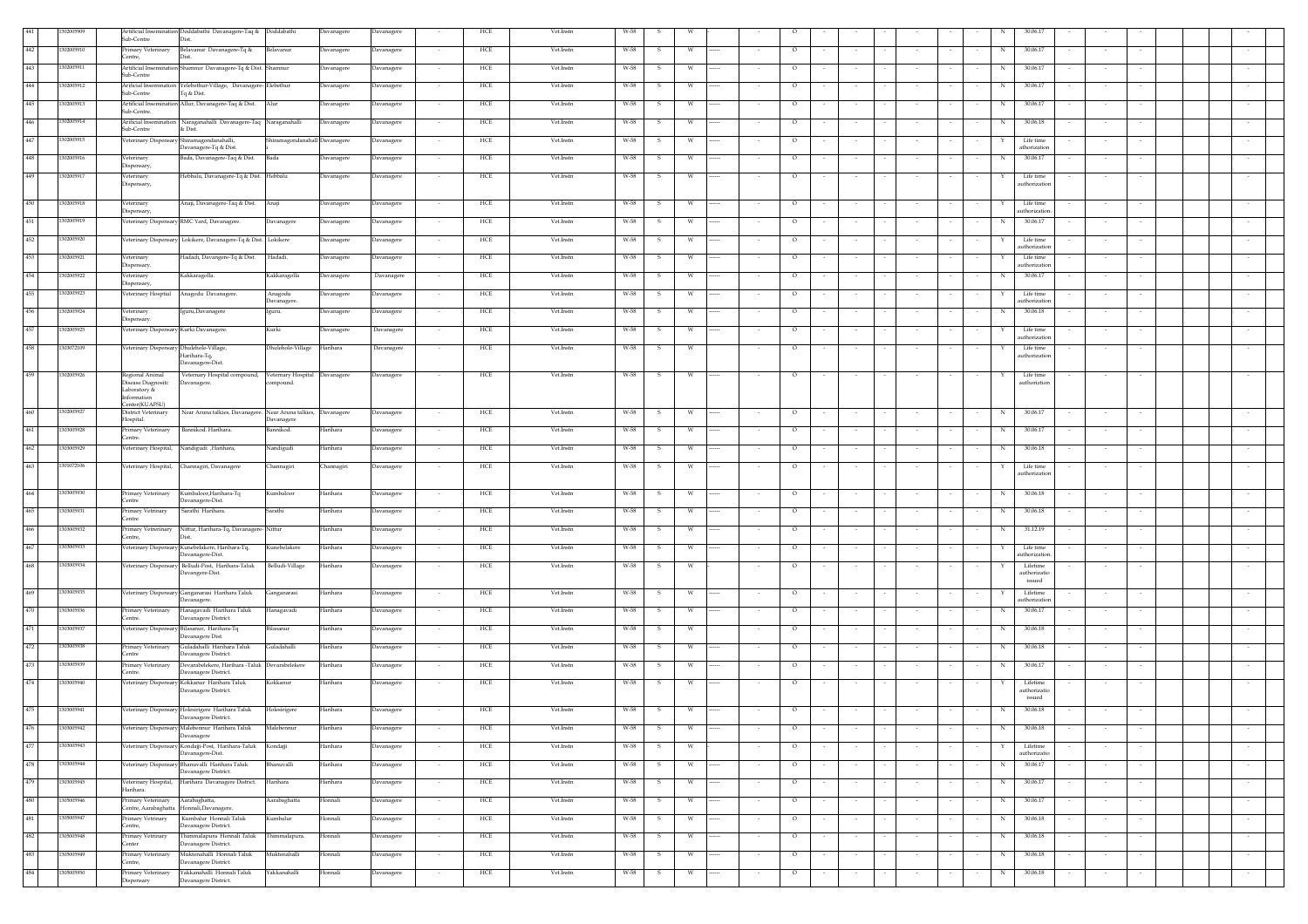|     |            | Artificial Insemination Doddabathi Davanagere-Taq & Doddabathi                   |                                                                        |                               | Davanagere | Davanagere |                          | HCE | Vet.Instn        | W-58 |              |   |                    |         |        |        |        |                  |        |   |                            |        |        |        |  |         |
|-----|------------|----------------------------------------------------------------------------------|------------------------------------------------------------------------|-------------------------------|------------|------------|--------------------------|-----|------------------|------|--------------|---|--------------------|---------|--------|--------|--------|------------------|--------|---|----------------------------|--------|--------|--------|--|---------|
|     | 1302005910 | Sub-Centre<br>Dist.                                                              |                                                                        |                               |            |            |                          |     |                  |      |              |   |                    |         |        |        |        |                  |        |   |                            |        |        |        |  |         |
| 442 |            | Primary Veterinary<br>Centre,<br>Dist.                                           | Belavanur Davanagere-Tq &                                              | Belavanur                     | Davanagere | Davanagere | $\sim$                   | HCE | Vet.Instn        | W-58 | s            | W |                    | $\circ$ |        | $\sim$ |        |                  |        | N | 30.06.17                   |        |        | $\sim$ |  |         |
| 443 | 1302005911 | Artificial Insemination Shamnur Davanagere-Tq & Dist. Shamnur                    |                                                                        |                               | Davanagere | Davanagere | $\overline{\phantom{a}}$ | HCE | Vet.Instn        | W-58 | s            |   |                    | $\circ$ |        |        |        |                  |        | N | 30.06.17                   |        |        |        |  |         |
| 444 | 1302005912 | Sub-Centre<br>Arificial Insemination                                             | Yelebethur-Village, Davanagere-Elebethur                               |                               | Davanagere | Davanagere |                          | HCE | Vet.Instn        | W-58 | s            | W |                    | $\circ$ |        | $\sim$ |        |                  |        | N | 30.06.17                   |        |        |        |  |         |
|     |            | Sub-Centre<br>lq & Dist.                                                         |                                                                        |                               |            |            |                          |     |                  |      |              |   |                    |         |        |        |        |                  |        |   |                            |        |        |        |  |         |
| 445 | 1302005913 | Artificial Insemination Allur, Davanagere-Taq & Dist.<br>Sub-Centre.             |                                                                        | Alur                          | Davanagere | Davanagere | $\sim$                   | HCE | <b>Vet.Instn</b> | W-58 | -S           | W |                    | $\circ$ |        | $\sim$ |        | $\sim$           |        | N | 30.06.17                   |        | $\sim$ |        |  |         |
| 446 | 1302005914 | Arificial Insemination Naraganahalli Davanagere-Taq Naraganahalli                |                                                                        |                               | Davanagere | Davanagere | $\sim$                   | HCE | Vet.Instn        | W-58 | -S           | w | $\cdots$<br>$\sim$ | $\circ$ | $\sim$ | $\sim$ |        | $\sim$           | $\sim$ | N | 30.06.18                   |        | $\sim$ | $\sim$ |  |         |
|     |            | Sub-Centre<br>& Dist.                                                            |                                                                        |                               |            |            |                          |     |                  |      |              |   |                    |         |        |        |        |                  |        |   |                            |        |        |        |  |         |
| 447 | 1302005915 | Veterinary Dispensary Shiramagondanahalli,                                       | Davanagere-Tq & Dist.                                                  | Shiramagondanahall Davanagere |            | Davanagere |                          | HCE | Vet.Instn        | W-58 | s            | W |                    | $\circ$ |        |        |        |                  |        |   | Life time<br>athorization  |        |        |        |  |         |
| 448 | 1302005916 | Veterinary                                                                       | Bada, Davanagere-Taq & Dist.                                           | Bada                          | Davanagere | Davanagere |                          | HCE | Vet.Instn        | W-58 | s            | W |                    | $\circ$ |        |        |        |                  |        | N | 30.06.17                   |        |        |        |  |         |
| 449 | 1302005917 | Dispensary,<br>Veterinary                                                        | Hebbalu, Davanagere-Tq & Dist. Hebbalu                                 |                               | Davanagere | Davanagere |                          | HCE | Vet.Instn        | W-58 | - S          | W |                    | $\circ$ |        | $\sim$ |        |                  |        |   | Life time                  |        |        |        |  |         |
|     |            | Dispensary,                                                                      |                                                                        |                               |            |            |                          |     |                  |      |              |   |                    |         |        |        |        |                  |        |   | uthorization               |        |        |        |  |         |
| 450 | 1302005918 | Veterinary                                                                       | Anaji, Davanagere-Taq & Dist.                                          | Anaji                         | Davanagere | Davanagere | $\sim$                   | HCE | Vet.Instn        | W-58 | $\mathbf{s}$ | W |                    | $\circ$ |        | $\sim$ |        | $\sim$           | $\sim$ | Y | Life time                  |        | $\sim$ |        |  |         |
|     |            | Dispensary,                                                                      |                                                                        |                               |            |            |                          |     |                  |      |              |   |                    |         |        |        |        |                  |        |   | uthorization               |        |        |        |  |         |
| 451 | 1302005919 | Veterinary Dispensary RMC Yard, Davanagere.                                      |                                                                        | Davanagere                    | Davanagere | Davanagere |                          | HCE | Vet.Instn        | W-58 | s            | W |                    | $\circ$ |        | $\sim$ |        |                  |        | N | 30.06.17                   |        |        |        |  |         |
| 452 | 1302005920 | Veterinary Dispensary Lokikere, Davanagere-Tq & Dist. Lokikere                   |                                                                        |                               | Davanagere | Davanagere |                          | HCE | Vet.Instn        | W-58 | s            | W |                    | $\circ$ |        |        |        |                  |        |   | Life time                  |        |        |        |  |         |
|     |            |                                                                                  |                                                                        |                               |            |            |                          |     |                  |      |              |   |                    |         |        |        |        |                  |        |   | athorizatio                |        |        |        |  |         |
| 453 | 1302005921 | Veterinary<br>Dispensary                                                         | Hadadi, Davangere-Tq & Dist.                                           | Hadadi.                       | Davanagere | Davanagere |                          | HCE | Vet.Instn        | W-58 | -S           | W |                    | $\circ$ |        | $\sim$ |        |                  |        |   | Life time<br>uthorizatio   |        |        |        |  |         |
| 454 | 302005922  | Veterinary<br>Kakkaragolla.                                                      |                                                                        | Kakkaragolla                  | Davanagere | Davanagere | $\sim$                   | HCE | Vet.Instn        | W-58 | -S           | W |                    | $\circ$ |        | $\sim$ |        | $\sim$           | $\sim$ | N | 30.06.17                   |        | $\sim$ |        |  |         |
| 455 | 1302005923 | Dispensary,<br>Veterinary Hosptial                                               | Anagodu Davanagere.                                                    | Anagodu                       | Davanagere | Davanagere |                          | HCE | Vet.Instn        | W-58 | s            |   |                    | $\circ$ |        |        |        |                  |        |   | Life time                  |        |        |        |  |         |
|     |            |                                                                                  |                                                                        | Davanagere.                   |            |            |                          |     |                  |      |              |   |                    |         |        |        |        |                  |        |   | uthorization               |        |        |        |  |         |
| 456 | 1302005924 | Veterinary<br>Dispensary.                                                        | guru, Davanagere                                                       | Iguru.                        | Davanagere | Davanagere |                          | HCE | Vet.Instn        | W-58 |              |   |                    | $\circ$ |        |        |        |                  |        | N | 30.06.18                   |        |        |        |  |         |
| 457 | 1302005925 | Veterinary Dispensary Kurki Davanagere.                                          |                                                                        | Kurki                         | Davanagere | Davanagere |                          | HCE | Vet.Instn        | W-58 | -S           |   |                    | $\circ$ |        |        |        |                  |        |   | Life time                  |        |        |        |  |         |
|     |            |                                                                                  |                                                                        |                               |            |            |                          |     |                  |      |              |   |                    |         |        |        |        |                  |        |   | uthorization               |        |        |        |  |         |
| 458 | 1303072109 | Veterinary Dispensary Dhulehole-Village,<br>Harihara-Tq,                         |                                                                        | Dhulehole-Village Harihara    |            | Davanagere | $\sim$                   | HCE | Vet.Instn        | W-58 | -S           | w |                    | $\circ$ |        | $\sim$ |        | $\sim$           | $\sim$ | Y | Life time<br>authorization |        | $\sim$ |        |  |         |
|     |            | Davanagere-Dist.                                                                 |                                                                        |                               |            |            |                          |     |                  |      |              |   |                    |         |        |        |        |                  |        |   |                            |        |        |        |  |         |
| 459 | 1302005926 | Regional Animal<br>Disease Diagnositc<br>Davanagere.                             | Veternary Hospital compound, Veternary Hospital Davanagere             | ompound.                      |            | Davanagere |                          | HCE | Vet.Instn        | W-58 | $\mathbf{s}$ | W |                    | $\circ$ |        |        |        |                  |        |   | Life time<br>authoriztion  |        |        |        |  |         |
|     |            | Laboratory &<br>Information                                                      |                                                                        |                               |            |            |                          |     |                  |      |              |   |                    |         |        |        |        |                  |        |   |                            |        |        |        |  |         |
|     |            | Center(KUAFSU)                                                                   |                                                                        |                               |            |            |                          |     |                  |      |              |   |                    |         |        |        |        |                  |        |   |                            |        |        |        |  |         |
| 460 | 1302005927 | <b>District Veterinary</b><br>Hospital.                                          | Near Aruna talkies, Davanagere. Near Aruna talkies, Davanagere         | avanagere                     |            | Davanagere |                          | HCE | Vet.Instn        | W-58 | s            | W |                    | $\circ$ |        |        |        |                  |        | N | 30.06.17                   |        |        |        |  |         |
| 461 | 1303005928 | Primary Veterinary                                                               | Bannikod. Harihara.                                                    | šannikod.                     | Harihara   | Davanagere | $\sim$                   | HCE | Vet.Instn        | W-58 | -S           | W |                    | $\circ$ |        | $\sim$ |        | $\sim$           |        | N | 30.06.17                   |        |        |        |  |         |
| 462 | 303005929  | Centre.<br>Veterinary Hospital, Nandigudi ,Harihara,                             |                                                                        | Vandigudi                     | Harihara   | Davanagere | $\overline{\phantom{a}}$ | HCE | Vet.Instn        | W-58 | s            | W |                    | $\circ$ |        |        |        |                  |        | N | 30.06.18                   |        |        |        |  |         |
|     |            |                                                                                  |                                                                        |                               |            |            |                          |     |                  |      |              |   |                    |         |        |        |        |                  |        |   |                            |        |        |        |  |         |
|     |            |                                                                                  |                                                                        |                               |            |            |                          |     |                  |      |              |   |                    |         |        |        |        |                  |        |   |                            |        |        |        |  |         |
| 463 | 1301072106 | Veterinary Hospital, Channagiri, Davanagere                                      |                                                                        | Channagiri                    | Channagiri | Davanagere |                          | HCE | Vet.Instn        | W-58 | s            | W |                    | $\circ$ |        |        |        |                  |        |   | Life time                  |        |        |        |  |         |
|     |            |                                                                                  |                                                                        |                               |            |            |                          |     |                  |      |              |   |                    |         |        |        |        |                  |        |   | uthorization               |        |        |        |  |         |
| 464 | 1303005930 | Primary Veterinary Kumbaloor, Harihara-Tq                                        |                                                                        | Kumbaloor                     | Harihara   | Davanagere |                          | HCE | Vet.Instn        | W-58 | S            | W |                    | $\circ$ |        |        |        |                  |        | N | 30.06.18                   |        |        |        |  |         |
|     |            | Centre<br>Davanagere-Dist.                                                       |                                                                        | Sarathi                       | Harihara   |            | $\sim$                   |     | Vet.Instn        |      | - S          |   |                    |         |        | $\sim$ |        |                  | $\sim$ | N | 30.06.18                   |        | $\sim$ |        |  |         |
| 465 | 1303005931 | Sarathi Harihara.<br>Primary Vetrinary<br>Centre                                 |                                                                        |                               |            | Davanagere |                          | HCE |                  | W-58 |              | W |                    | $\circ$ |        |        |        |                  |        |   |                            |        |        |        |  |         |
| 466 | 303005932  | Primary Vetrerinary<br>Centre.<br>Dist.                                          | Nittur, Harihara-Tq, Davanagere-Nittur                                 |                               | Harihara   | Davanagere |                          | HCE | Vet.Instn        | W-58 | s            | w |                    | $\circ$ |        | $\sim$ |        |                  |        | N | 31.12.19                   |        |        |        |  |         |
| 467 | 1303005933 | Veterinary Dispensary Kunebelakere, Harihara-Tq,                                 |                                                                        | Kunebelakere                  | Harihara   | Davanagere |                          | HCE | Vet.Instn        | W-58 | s            |   |                    | $\circ$ |        | $\sim$ |        |                  |        |   | Life time                  |        |        |        |  |         |
|     |            | Davanagere-Dist.                                                                 |                                                                        |                               |            |            |                          |     |                  |      |              |   |                    |         |        |        |        |                  |        |   | uthorizatio                |        |        |        |  |         |
| 468 | 303005934  | Veterinary Dispensary Belludi-Post, Harihara-Taluk<br>Davangere-Dist.            |                                                                        | Belludi-Village               | Harihara   | Davanagere |                          | HCE | Vet.Instn        | W-58 | s            | W |                    | $\circ$ |        |        |        |                  |        |   | Lifetime<br>authorizatio   |        |        |        |  |         |
|     |            |                                                                                  |                                                                        |                               |            |            |                          |     |                  |      |              |   |                    |         |        |        |        |                  |        |   | issued                     |        |        |        |  |         |
| 469 | 1303005935 | Veterinary Dispensary Ganganarasi Harihara Taluk<br>Davanagere.                  |                                                                        | Ganganarasi                   | Harihara   | Davanagere |                          | HCE | Vet.Instn        | W-58 | s            | w |                    | $\circ$ |        |        |        |                  |        |   | Lifetime<br>uthorization   |        |        |        |  |         |
| 470 | 1303005936 | Primary Veterinary                                                               | Hanagavadi Harihara Taluk                                              | Hanagavadi                    | Harihara   | Davanagere |                          | HCE | Vet.Instn        | W-58 | s            |   |                    | $\circ$ |        |        |        |                  |        |   | 30.06.17                   |        |        |        |  |         |
|     |            | Centre.                                                                          | Davanagere District.                                                   |                               |            |            |                          |     |                  |      |              |   |                    |         |        |        |        |                  |        |   |                            |        |        |        |  |         |
| 471 | 1303005937 | Veterinary Dispensary Bilasanur, Harihara-Tq<br>Davanagere Dist.                 |                                                                        | <b>Silasanur</b>              | Harihara   | Davanagere |                          | HCE | Vet.Instn        | W-58 |              |   |                    | $\circ$ |        |        |        |                  |        |   | 30.06.18                   |        |        |        |  |         |
| 472 | 1303005938 | Primary Veterinary<br>Centre                                                     | Guladahalli Harihara Taluk                                             | Guladahalli                   | Harihara   | Davanagere |                          | HCE | Vet.Instn        | W-58 |              | w |                    | $\circ$ |        |        |        |                  |        | N | 30.06.18                   |        |        |        |  |         |
| 473 | 1303005939 | Primary Veterinary                                                               | Davanagere District.<br>Devarabelekere, Harihara -Taluk Devarabelekere |                               | Harihara   | Davanagere | $\overline{\phantom{a}}$ | HCE | <b>Vet.Instn</b> | W-58 | -S           | W |                    | $\circ$ |        | $\sim$ |        |                  |        | N | 30.06.17                   |        |        |        |  |         |
|     |            | Centre.                                                                          | Davanagere District.                                                   |                               |            |            |                          |     |                  |      |              |   |                    |         |        |        |        |                  |        |   |                            |        |        |        |  |         |
| 474 | 1303005940 | Veterinary Dispensary Kokkanur Harihara Taluk                                    | Davanagere District.                                                   | Kokkanur                      | Harihara   | Davanagere | $\sim$                   | HCE | Vet.Instn        | W-58 | -S           | W |                    | $\circ$ |        | $\sim$ |        |                  |        |   | Lifetime<br>authorizatic   |        |        |        |  |         |
|     |            |                                                                                  |                                                                        |                               |            |            |                          |     |                  |      |              |   |                    |         |        |        |        |                  |        |   | issued                     |        |        |        |  |         |
| 475 | 1303005941 | Veterinary Dispensary Holesirigere Harihara Taluk                                |                                                                        | Holesirigere                  | Harihara   | Davanagere |                          | HCE | Vet.Instn        | W-58 | s            | W |                    | $\circ$ |        |        |        |                  |        | N | 30.06.18                   |        |        |        |  |         |
| 476 | 1303005942 | Veterinary Dispensary Malebennur Harihara Taluk                                  | Davanagere District.                                                   | Malebennur                    | Harihara   | Davanagere |                          | HCE | Vet.Instn        | W-58 | -S           | W |                    | $\circ$ |        |        |        |                  |        | N | 30.06.18                   |        |        |        |  |         |
|     |            | Davanagere                                                                       |                                                                        |                               |            |            |                          |     |                  |      |              |   |                    |         |        |        |        |                  |        |   |                            |        |        |        |  |         |
| 477 | 1303005943 | Veterinary Dispensary Kondajji-Post, Harihara-Taluk Kondajji<br>Davanagere-Dist. |                                                                        |                               | Harihara   | Davanagere | $\sim$                   | HCE | Vet.Instn        | W-58 | s            | W |                    | $\circ$ | $\sim$ | $\sim$ |        | $\sim$           |        |   | Lifetime<br>authorizatio   |        | $\sim$ | $\sim$ |  | $\sim$  |
| 478 | 1303005944 | Veterinary Dispensary Bhanuvalli Harihara Taluk                                  |                                                                        | Bhanuvalli                    | Harihara   | Davanagere |                          | HCE | Vet.Instn        | W-58 | s            | W |                    | $\circ$ |        | $\sim$ |        | $\sim$           |        | N | 30.06.17                   |        |        |        |  |         |
| 479 |            |                                                                                  | Davanagere District.                                                   |                               |            |            |                          |     | Vet.Instn        |      | s            |   |                    | $\circ$ |        |        |        |                  |        | N | 30.06.17                   |        |        |        |  |         |
|     | 1303005945 | Veterinary Hospital, Harihara Davanagere District.<br>Harihara.                  |                                                                        | Harihara                      | Harihara   | Davanagere |                          | HCE |                  | W-58 |              | W |                    |         |        |        |        |                  |        |   |                            |        |        |        |  |         |
| 480 | 1305005946 | Primary Veterinary Aarabaghatta,<br>Centre, Aarabaghatta Honnali, Davanagere.    |                                                                        | Aarabaghatta                  | Honnali    | Davanagere |                          | HCE | Vet.Instn        | W-58 | -S           | W |                    | $\circ$ |        | $\sim$ |        |                  |        | N | 30.06.17                   |        |        |        |  |         |
| 481 | 1305005947 | Primary Vetrinary Kumbalur Honnali Taluk                                         |                                                                        | Kumbalur                      | Honnali    | Davanagere | $\sim$                   | HCE | Vet.Instn        | W-58 | -S           | W |                    | $\circ$ | $\sim$ | $\sim$ | $\sim$ | $\sim$<br>$\sim$ | $\sim$ | N | 30.06.18                   | $\sim$ | $\sim$ | $\sim$ |  | $\sim$  |
|     |            | Centre,                                                                          | Davanagere District.                                                   |                               |            |            |                          |     |                  |      |              |   |                    |         |        |        |        |                  |        |   |                            |        |        |        |  |         |
| 482 | 1305005948 | Primary Vetrinary<br>Center                                                      | Thimmalapura Honnali Taluk<br>Davanagere District.                     | Thimmalapura.                 | Honnali    | Davanagere | $\overline{\phantom{a}}$ | HCE | Vet.Instn        | W-58 | s            | W |                    | $\circ$ |        | $\sim$ |        | $\sim$           |        | N | 30.06.18                   |        | $\sim$ |        |  | $\sim$  |
| 483 | 1305005949 | Primary Veterinary                                                               | Muktenahalli Honnali Taluk                                             | Muktenahalli                  | Honnali    | Davanagere |                          | HCE | Vet.Instn        | W-58 | s            | W |                    | $\circ$ |        | $\sim$ |        | $\sim$           |        | N | 30.06.18                   |        |        |        |  | $\cdot$ |
| 484 | 1305005950 | Centre,<br>Primary Veterinary Yakkanahalli Honnali Taluk                         | Davanagere District.                                                   | Yakkanahalli                  | Honnali    | Davanagere | $\cdot$                  | HCE | Vet.Instn        | W-58 | s.           | W |                    | $\circ$ |        | $\sim$ |        |                  |        | N | 30.06.18                   |        | $\sim$ |        |  |         |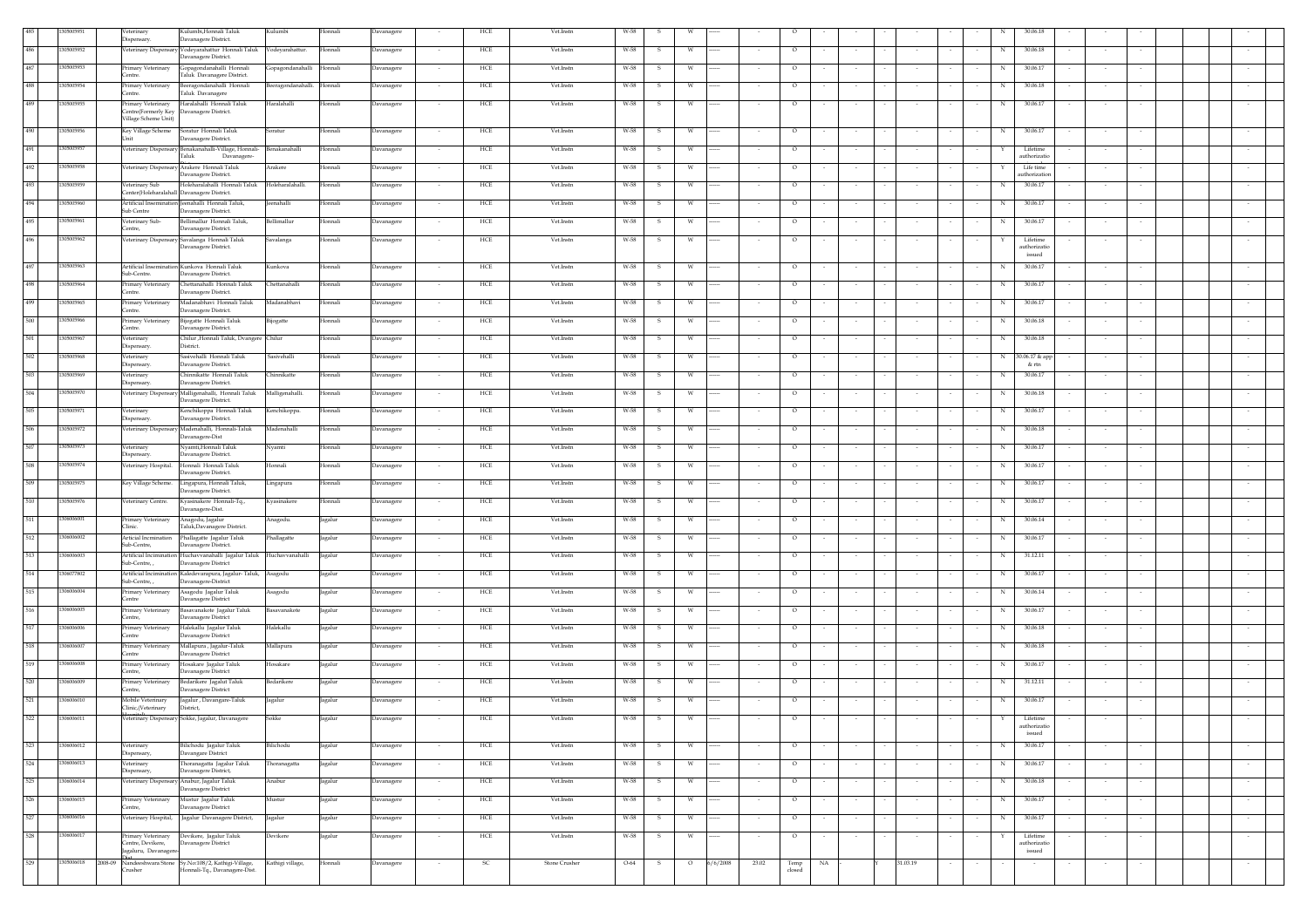|     | 1500595    | /eterinary<br>Dispensary.                                        | Kulumbi,Honnali Taluk<br>Davanagere District.                                                | Kulumbi            | Honnali | Davanagere | HCE                                     | Vet.Instn     | W-58                 |                     |       |                      |        |          |                          |             | 30.06.18                  |        |  |        |
|-----|------------|------------------------------------------------------------------|----------------------------------------------------------------------------------------------|--------------------|---------|------------|-----------------------------------------|---------------|----------------------|---------------------|-------|----------------------|--------|----------|--------------------------|-------------|---------------------------|--------|--|--------|
| 486 | 305005952  |                                                                  | Veterinary Dispensary Vodeyarahattur Honnali Taluk Vodeyarahattur.<br>Davanagere District.   |                    | Honnali | Davanagere | HCE<br>$\sim$                           | Vet.Instn     | W-58<br>-S           | W.                  |       | $\circ$              | $\sim$ |          |                          | N           | 30.06.18                  | $\sim$ |  |        |
| 487 | 05005953   | Primary Veterinary                                               | Gopagondanahalli Honnali<br>Taluk Davanagere District.                                       | Gopagondanahalli   | Honnali | Davanagere | HCE<br>$\sim$                           | Vet.Instn     | W-58<br>s.           | W                   |       | $\circ$              |        |          |                          | N           | 30.06.17                  | $\sim$ |  |        |
| 488 | 1305005954 | Centre.<br>Primary Veterinary                                    | Beeragondanahalli Honnali                                                                    | Beeragondanahalli. | Honnali | Davanagere | HCE                                     | Vet.Instn     | W-58<br>s            | W                   |       | $\circ$              |        |          |                          | N           | 30.06.18                  |        |  |        |
| 489 | 305005955  | Centre.<br>Primary Veterinary                                    | Taluk Davanagere<br>Haralahalli Honnali Taluk                                                | Haralahalli        | Honnali | Davanagere | HCE                                     | Vet.Instn     | W-58<br>s            | W                   |       | $\circ$              |        |          |                          | $_{\rm N}$  | 30.06.17                  |        |  |        |
|     |            | Centre(Formerly Key Davanagere District.<br>Village Scheme Unit) |                                                                                              |                    |         |            |                                         |               |                      |                     |       |                      |        |          |                          |             |                           |        |  |        |
| 490 | 1305005956 | Unit                                                             | Davanagere District.                                                                         | Soratur            | Honnali | Davanagere | HCE                                     | Vet.Instn     | W-58<br>- S          | W                   |       | $\circ$              |        |          |                          | $_{\rm N}$  | 30.06.17                  |        |  |        |
| 491 | 1305005957 |                                                                  | Veterinary Dispensary Benakanahalli-Village, Honnali-<br>Taluk<br>Davanagere-                | Benakanahalli      | Honnali | Davanagere | ${\rm HCE}$<br>$\sim$                   | Vet.Instn     | W-58<br>- S          | W                   |       | $\circ$              |        |          |                          | Y           | Lifetime<br>authorizatic  |        |  |        |
| 492 | 305005958  |                                                                  | Veterinary Dispensary Arakere Honnali Taluk<br>Davanagere District.                          | Arakere            | Honnali | Davanagere | HCE                                     | Vet.Instn     | W-58<br>s            |                     |       | $\circ$              |        |          |                          |             | Life time<br>uthorization |        |  |        |
| 493 | 1305005959 | Veterinary Sub                                                   | Holeharalahalli Honnali Taluk Holeharalahalli.                                               |                    | Honnali | Davanagere | HCE                                     | Vet.Instn     | W-58<br>$\mathbf{s}$ | W                   |       | $\circ$              |        |          |                          | N           | 30.06.17                  |        |  |        |
| 494 | 305005960  | Center(Holeharalahall Davanagere District.                       | Artificial Insemination Jeenahalli Honnali Taluk,                                            | <b>Jeenahalli</b>  | Honnali | Davanagere | HCE<br>$\sim$                           | Vet.Instn     | W-58<br>- S          | w                   |       | $\circ$              |        |          | $\sim$                   | N           | 30.06.17                  |        |  |        |
| 495 | 1305005961 | Sub Centre<br>Veterinary Sub-                                    | Davanagere District.<br>Bellimallur Honnali Taluk,                                           | Bellimallur        | Honnali | Davanagere | ${\rm HCE}$<br>$\overline{\phantom{a}}$ | Vet.Instn     | W-58<br>s.           | W                   |       | $\circ$              |        |          |                          | N           | 30.06.17                  |        |  |        |
| 496 | 1305005962 | Centre.                                                          | Davanagere District.<br>Veterinary Dispensary Savalanga Honnali Taluk                        | Savalanga          | Honnali | Davanagere | HCE                                     | Vet.Instn     | W-58<br>s            |                     |       | $\circ$              |        |          |                          |             | Lifetime                  |        |  |        |
|     |            |                                                                  | Davanagere District.                                                                         |                    |         |            |                                         |               |                      |                     |       |                      |        |          |                          |             | authorizatic<br>issued    |        |  |        |
| 497 | 1305005963 | Sub-Centre.                                                      | Artificial Insemination Kunkova Honnali Taluk<br>Davanagere District.                        | Kunkova            | Honnali | Davanagere | HCE                                     | Vet.Instn     | W-58                 |                     |       | $\circ$              |        |          |                          | N           | 30.06.17                  |        |  |        |
| 498 | 1305005964 | Primary Veterinary<br>Centre.                                    | Chettanahalli Honnali Taluk<br>Davanagere District.                                          | Chettanahalli      | Honnali | Davanagere | HCE                                     | Vet.Instn     | W-58                 |                     |       | $\circ$              |        |          |                          | N           | 30.06.17                  |        |  |        |
| 499 | 1305005965 | Primary Veterinary<br>Centre.                                    | Madanabhavi Honnali Taluk<br>Davanagere District.                                            | Madanabhavi        | Honnali | Davanagere | HCE                                     | Vet.Instn     | W-58                 |                     |       | $\circ$              |        |          |                          | N           | 30.06.17                  |        |  |        |
| 500 | 1305005966 | Primary Veterinary                                               | Bijogatte Honnali Taluk                                                                      | <b>Bijogatte</b>   | Honnali | Davanagere | HCE                                     | Vet.Instn     | W-58                 |                     |       | $\circ$              |        |          |                          | N           | 30.06.18                  |        |  |        |
| 501 | 1305005967 | Centre.<br>Veterinary                                            | Davanagere District.<br>Chilur ,Honnali Taluk, Dvangere Chilur                               |                    | Honnali | Davanagere | HCE<br>$\sim$                           | Vet.Instn     | W-58<br>-S           | W                   |       | $\circ$              |        |          |                          | N           | 30.06.18                  | $\sim$ |  |        |
| 502 | 1305005968 | Dispensary.<br>/eterinary                                        | District.<br>asivehalli Honnali Taluk                                                        | Sasivehalli        | Honnali | Davanagere | HCE<br>$\sim$                           | Vet.Instn     | W-58                 | w                   |       | $\circ$              |        |          |                          | N           | 30.06.17 & app            | $\sim$ |  |        |
| 503 | 1305005969 | Dispensary.<br>Veterinary                                        | Davanagere District.<br>Chinnikatte Honnali Taluk                                            | Chinnikatte        | Honnali | Davanagere | HCE                                     | Vet.Instn     | W-58                 | W                   |       | $\circ$              |        |          |                          | N           | & rtn<br>30.06.17         |        |  |        |
| 504 | 1305005970 | Dispensary.                                                      | Davanagere District.<br>/eterinary Dispensary Malligenahalli, Honnali Taluk                  | Malligenahalli.    | Honnali | Davanagere | ${\rm HCE}$                             | Vet.Instn     | W-58<br>s            | W                   |       | $\circ$              |        |          |                          | N           | 30.06.18                  |        |  |        |
| 505 | 1305005971 | Veterinary                                                       | Davanagere District.<br>Kenchikoppa Honnali Taluk                                            | Kenchikoppa.       | Honnali | Davanagere | HCE                                     | Vet.Instn     | W-58<br>$\mathbf{s}$ | W                   |       | $\circ$              |        |          |                          | N           | 30.06.17                  |        |  |        |
| 506 | 1305005972 | Dispensary.                                                      | Davanagere District.<br>Veterinary Dispensary Madenahalli, Honnali-Taluk                     | Madenahalli        |         |            |                                         | Vet.Instn     |                      |                     |       |                      |        |          |                          |             | 30.06.18                  |        |  |        |
|     |            |                                                                  | Davanagere-Dist                                                                              |                    | Honnali | Davanagere | HCE                                     |               | W-58<br>- S          | w                   |       | $\circ$              | $\sim$ |          | $\sim$                   | $\mathbf N$ |                           | $\sim$ |  |        |
| 507 | 1305005973 | Veterinary<br>Dispensary.                                        | Nyamti, Honnali Taluk<br>Davanagere District.                                                | Nyamti             | Honnali | Davanagere | ${\rm HCE}$<br>$\sim$                   | Vet.Instn     | W-58<br>- S          | W                   |       | $\circ$              |        |          |                          | N           | 30.06.17                  | $\sim$ |  |        |
| 508 | 1305005974 |                                                                  | Veterinary Hospital. Honnali Honnali Taluk<br>Davanagere District.                           | Honnali            | Honnali | Davanagere | ${\rm HCE}$                             | Vet.Instn     | W-58<br>s            |                     |       | $\circ$              |        |          |                          | N           | 30.06.17                  |        |  |        |
| 509 | 305005975  | Key Village Scheme.                                              | Lingapura, Honnali Taluk,<br>Davanagere District.                                            | Lingapura          | Honnali | Davanagere | HCE                                     | Vet.Instn     | W-58<br>-S           |                     |       | $\circ$              |        |          |                          | N           | 30.06.17                  |        |  |        |
| 510 | 305005976  | Veterinary Centre.                                               | Kvasinakere Honnali-Tq.,<br>Davanagere-Dist.                                                 | Kyasinakere        | Honnali | Davanagere | HCE<br>$\sim$                           | Vet.Instn     | W-58<br>-S           | w                   |       | $\circ$              |        |          |                          | N           | 30.06.17                  |        |  |        |
| 511 | 306006001  | Primary Veterinary<br>Clinic.                                    | Anagodu, Jagalur<br>Taluk, Davanagere District.                                              | Anagodu.           | Jagalur | Davanagere | HCE                                     | Vet.Instn     | W-58<br>-S           |                     |       | $\circ$              |        |          |                          | N           | 30.06.14                  |        |  |        |
| 512 | 1306006002 | Articial Incmination<br>Sub-Centre,                              | Phallagatte Jagalur Taluk<br>Davanagere District.                                            | Phallagatte        | Jagalur | Davanagere | HCE                                     | Vet.Instn     | W-58                 |                     |       | $\circ$              |        |          |                          | N           | 30.06.17                  |        |  |        |
| 513 | 1306006003 | Sub-Centre,,                                                     | Artificial Incimination Huchavvanahalli Jagalur Taluk Huchavvanahalli<br>Davanagere District |                    | Jagalur | Davanagere | HCE                                     | Vet.Instn     | W-58                 |                     |       | $\circ$              |        |          |                          | N           | 31.12.11                  |        |  |        |
| 514 | 1306077802 | Sub-Centre,                                                      | Artificial Incimination Kaledevarapura, Jagalur-Taluk, Asagodu<br>Davanagere-District        |                    | Jagalur | Davanagere | HCE                                     | Vet.Instn     | W-58<br>s            |                     |       | $\circ$              |        |          |                          | N           | 30.06.17                  |        |  |        |
| 515 | 1306006004 | Primary Veterinary<br>Centre                                     | Asagodu Jagalur Taluk<br>Davanagere District                                                 | Asagodu            | Jagalur | Davanagere | HCE                                     | Vet.Instn     | W-58                 |                     |       | $\circ$              |        |          |                          | N           | 30.06.14                  |        |  |        |
| 516 | 306006005  | Primary Veterinary                                               | Basavanakote Jagalur Taluk                                                                   | Basavanakote       | Jagalur | Davanagere | HCE                                     | Vet.Instn     | W-58                 |                     |       | $\circ$              |        |          |                          | N           | 30.06.17                  |        |  |        |
| 517 | 1306006006 | Centre,<br>Primary Veterinary                                    | Davanagere District<br>Halekallu Jagalur Taluk                                               | Halekallu          | Jagalur | Davanagere | HCE                                     | Vet.Instn     | W-58                 |                     |       | $\circ$              |        |          |                          | N           | 30.06.18                  |        |  |        |
| 518 | 1306006007 | Centre<br>Primary Veterinary                                     | Davanagere District<br>Mallapura, Jagalur-Taluk                                              | Mallapura          | Jagalur | Davanagere | HCE<br>$\sim$                           | Vet.Instn     | W-58<br>-S           | W                   |       | $\circ$              |        |          |                          | N           | 30.06.18                  | $\sim$ |  |        |
| 519 | 306006008  | Centre<br>Primary Veterinary                                     | Davanagere District<br>Hosakare Jagalur Taluk                                                | <b>Iosakare</b>    | Jagalur | Davanagere | HCE<br>$\overline{\phantom{a}}$         | Vet.Instn     | W-58                 | w                   |       | $\circ$              |        |          |                          | N           | 30.06.17                  |        |  |        |
| 520 | 1306006009 | Centre,<br>Primary Veterinary                                    | Davanagere District<br>Bedarikere Jagalut Taluk                                              | Bedarikere         | Jagalur | Davanagere | HCE                                     | Vet.Instn     | W-58                 | W                   |       | $\circ$              |        |          |                          | N           | 31.12.11                  |        |  |        |
| 521 | 1306006010 | Centre,<br>Mobile Veterinary                                     | Davanagere District<br>Jagalur, Davangare-Taluk                                              | Jagalur            | Jagalur | Davanagere | HCE                                     | Vet.Instn     | W-58                 | W                   |       | $\circ$              |        |          |                          | N           | 30.06.17                  |        |  |        |
| 522 | 1306006011 | Clinic, (Veterinary                                              | District,<br>Veterinary Dispensary Sokke, Jagalur, Davanagere                                | Sokke              | Jagalur | Davanagere | HCE                                     | Vet.Instr     | W-58<br>- S          | W                   |       | $\circ$              |        |          |                          | Y           | Lifetime                  |        |  |        |
|     |            |                                                                  |                                                                                              |                    |         |            |                                         |               |                      |                     |       |                      |        |          |                          |             | uthorizat<br>issued       |        |  |        |
| 523 | 1306006012 | Veterinary                                                       | Bilichodu Jagalur Taluk<br>Davangare District                                                | Bilichodu          | Jagalur | Davanagere | HCE                                     | Vet.Instn     | W-58<br><b>S</b>     | W                   |       | $\circ$              |        |          |                          | N           | 30.06.17                  |        |  |        |
| 524 | 1306006013 | Dispensary,<br>Veterinary                                        | Thoranagatta Jagalur Taluk                                                                   | Thoranagatta       | Jagalur | Davanagere | HCE                                     | Vet.Instn     | W-58<br>s            |                     |       | $\circ$              | $\sim$ |          |                          | N           | 30.06.17                  |        |  |        |
| 525 | 306006014  | Dispensary,                                                      | Davanagere District,<br>Veterinary Dispensary Anabur, Jagalur Taluk                          | Anabur             | Jagalur | Davanagere | HCE                                     | Vet.Instn     | W-58<br>S            | w                   |       | $\circ$              |        |          |                          | N           | 30.06.18                  |        |  |        |
| 526 | 306006015  |                                                                  | Davanagere District<br>Primary Veterinary Mustur Jagalur Taluk                               | Mustur             | Jagalur | Davanagere | HCE<br>$\sim$                           | Vet.Instn     | W-58<br>-S           | w                   |       | $\circ$              | $\sim$ | $\sim$   | $\sim$                   | N           | 30.06.17                  | $\sim$ |  | $\sim$ |
| 527 | 1306006016 | Centre,                                                          | Davanagere District<br>Veterinary Hospital, Jagalur Davanagere District,                     | Jagalur            | Jagalur | Davanagere | HCE<br>$\overline{\phantom{a}}$         | Vet.Instn     | W-58<br>-S           | w                   |       | $\circ$              |        |          | $\overline{\phantom{a}}$ | N           | 30.06.17                  | $\sim$ |  |        |
| 528 | 1306006017 | Primary Veterinary                                               | Devikere, Jagalur Taluk                                                                      | Devikere           | Jagalur | Davanagere | HCE                                     | Vet.Instn     | W-58                 |                     |       | $\circ$              |        |          |                          |             | Lifetime                  |        |  |        |
|     |            | Centre, Devikere,<br>Jagaluru, Davanagere-                       | Davanagere District                                                                          |                    |         |            |                                         |               |                      |                     |       |                      |        |          |                          |             | authorizatio<br>issued    |        |  |        |
| 529 | 1305006018 | Crusher                                                          | 2008-09 Nandeeshwara Stone Sy.No:108/2, Kathigi-Village,<br>Honnali-Tq., Davanagere-Dist.    | Kathigi village,   | Honnali | Davanagere | SC.                                     | Stone Crusher | O-64<br>- S          | $\circ$<br>6/6/2008 | 23.02 | Temp<br>NA<br>closed |        | 31.03.19 |                          |             |                           |        |  |        |
|     |            |                                                                  |                                                                                              |                    |         |            |                                         |               |                      |                     |       |                      |        |          |                          |             |                           |        |  |        |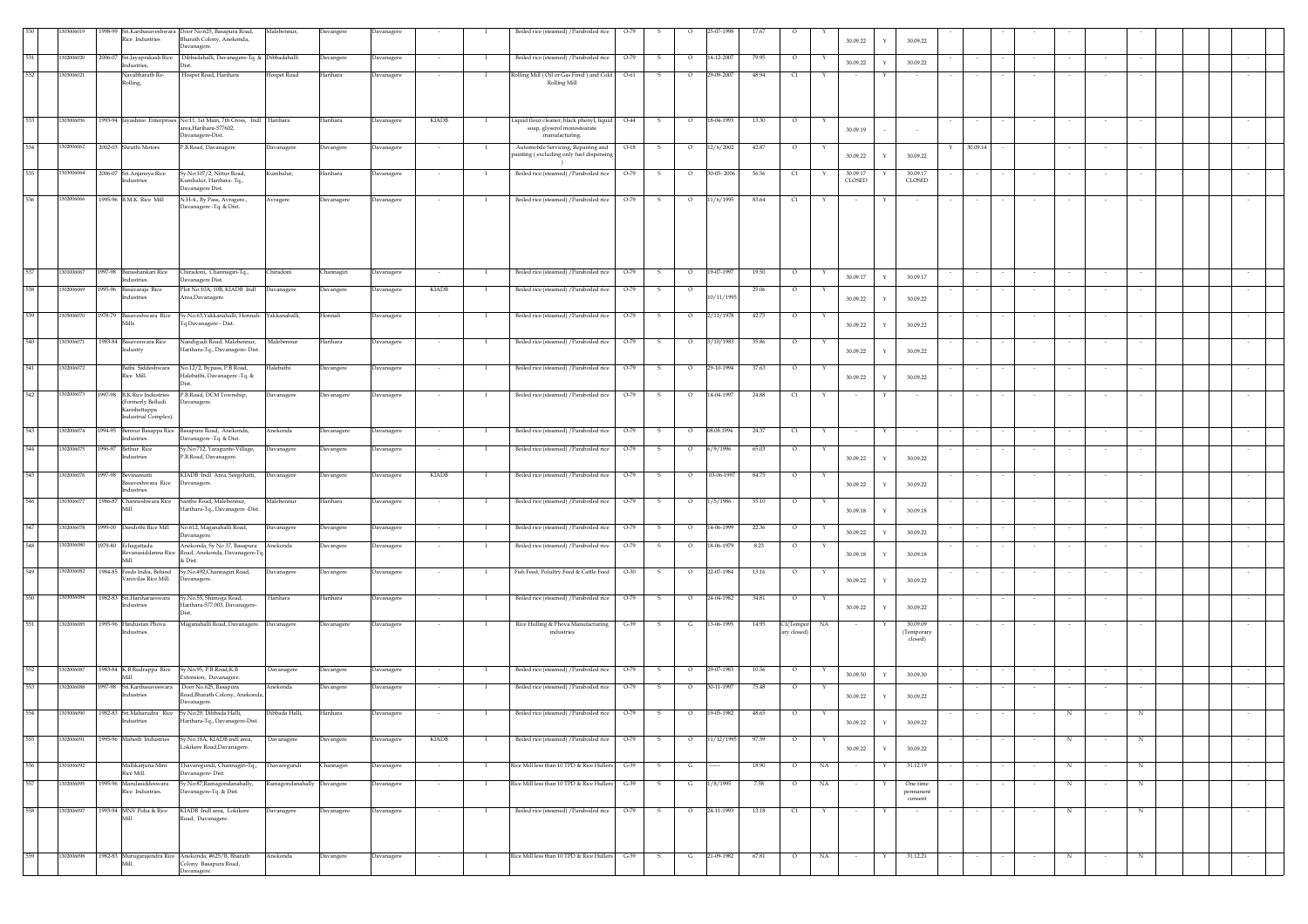|     | 03006019   |                                                  | 1998-99 Sri.Karibasaveshwara Door No:625, Basapura Road,                                          | Malebennur,                | Davangere  | Davanagere |                          |              | Boiled rice (steamed) / Paraboiled rice                                         | $O-79$ |                         | 5-07-1998  |       |            |              |                    |              |                       |          |        |            |                          |            |        |  |
|-----|------------|--------------------------------------------------|---------------------------------------------------------------------------------------------------|----------------------------|------------|------------|--------------------------|--------------|---------------------------------------------------------------------------------|--------|-------------------------|------------|-------|------------|--------------|--------------------|--------------|-----------------------|----------|--------|------------|--------------------------|------------|--------|--|
|     |            | Rice Industries                                  | Bharath Colony, Anekonda,<br>Davanagere.                                                          |                            |            |            |                          |              |                                                                                 |        |                         |            |       |            |              | 30.09.22           |              | 30.09.22              |          |        |            |                          |            |        |  |
| 531 | 1302006020 | 2006-07 Sri.Jayaprakash Rice                     | Dibbadahalli, Davanagere-Tq. & Dibbadahalli                                                       |                            | Davangere  | Davanagere |                          |              | Boiled rice (steamed) / Paraboiled rice                                         | $O-79$ | s<br>$\circ$            | 14-12-2007 | 79.95 | $\circ$    |              | 30.09.22           | $\mathbf Y$  | 30.09.22              |          |        |            |                          |            |        |  |
| 532 | 1303006021 | Industries,<br>Navabharath Re-                   | Dist.<br>Hospet Road, Harihara                                                                    | Hospet Road                | Harihara   | Davanagere |                          |              | Rolling Mill (Oil or Gas Fired) and Cold                                        | $O-61$ | $\circ$<br>-S           | 9-09-2007  | 48.94 | $\alpha$   |              |                    |              |                       |          |        |            |                          |            |        |  |
|     |            | Rolling,                                         |                                                                                                   |                            |            |            |                          |              | Rolling Mill                                                                    |        |                         |            |       |            |              |                    |              |                       |          |        |            |                          |            |        |  |
|     |            |                                                  |                                                                                                   |                            |            |            |                          |              |                                                                                 |        |                         |            |       |            |              |                    |              |                       |          |        |            |                          |            |        |  |
|     |            |                                                  |                                                                                                   |                            |            |            |                          |              |                                                                                 |        |                         |            |       |            |              |                    |              |                       |          |        |            |                          |            |        |  |
| 533 | 1303006056 |                                                  | 1993-94 Jayashree Enterprises No:11, 1st Main, 7th Cross, Indl Harihara<br>area, Harihara-577602, |                            | Harihara   | Davanagere | KIADB                    |              | Liquid flour cleaner, black phenyl, liquid<br>soap, glyserol monostearate       | $O-44$ | S<br>$\circ$            | 18-04-1993 | 13.30 | $\circ$    | Υ            | 30.09.19           |              |                       |          |        |            |                          |            |        |  |
|     |            |                                                  | Davanagere-Dist.                                                                                  |                            |            |            |                          |              | manufacturing.                                                                  |        |                         |            |       |            |              |                    |              |                       |          |        |            |                          |            |        |  |
| 534 | 1302006062 | 2002-03 Shruthi Motors                           | P.B.Road, Davanagere                                                                              | Davanagere                 | Davangere  | Davanagere | $\sim$                   | -1           | Automobile Servicing, Repairing and<br>painting (excluding only fuel dispensing | $O-18$ | - S<br>$\circ$          | 12/6/2002  | 42.87 | $\circ$    | Y            | 30.09.22           | $\mathbf{Y}$ | Y<br>30.09.22         | 30.09.14 |        |            | $\sim$                   |            |        |  |
|     |            |                                                  |                                                                                                   |                            |            |            |                          |              |                                                                                 |        |                         |            |       |            |              |                    |              |                       |          |        |            |                          |            |        |  |
|     | 1303006064 | 2006-07 Sri.Anjaneya Rice<br>ndustries           | Sy.No:107/2, Nittur Road,<br>umbalur, Harihara-Tq.,                                               | Kumbalur,                  | Harihara   | Davanagere |                          |              | Boiled rice (steamed) / Paraboiled rice                                         | $O-79$ | $\circ$<br>-S           | 0-05-2006  | 56.56 | C1         |              | 30.09.17<br>CLOSED |              | 30.09.17<br>CLOSED    |          |        |            |                          |            |        |  |
|     |            |                                                  | Davanagere Dist.                                                                                  |                            |            |            |                          |              |                                                                                 |        |                         |            |       |            |              |                    |              |                       |          |        |            |                          |            |        |  |
| 536 | 1302006066 | 1995-96 B.M.K. Rice Mill                         | N.H-4., By Pass, Avragere.,<br>Davanagere -Tq. & Dist.                                            | Avragere                   | Davanagere | Davanagere |                          |              | Boiled rice (steamed) / Paraboiled rice                                         | O-79   |                         | 11/6/1995  | 83.64 | $\alpha$   |              |                    |              |                       |          |        |            |                          |            |        |  |
|     |            |                                                  |                                                                                                   |                            |            |            |                          |              |                                                                                 |        |                         |            |       |            |              |                    |              |                       |          |        |            |                          |            |        |  |
|     |            |                                                  |                                                                                                   |                            |            |            |                          |              |                                                                                 |        |                         |            |       |            |              |                    |              |                       |          |        |            |                          |            |        |  |
|     |            |                                                  |                                                                                                   |                            |            |            |                          |              |                                                                                 |        |                         |            |       |            |              |                    |              |                       |          |        |            |                          |            |        |  |
|     |            |                                                  |                                                                                                   |                            |            |            |                          |              |                                                                                 |        |                         |            |       |            |              |                    |              |                       |          |        |            |                          |            |        |  |
| 537 | 1301006067 | 1997-98 Banashankari Rice                        | Chiradoni, Channagiri-Tq.,                                                                        | Chiradoni                  | Channagiri | Davanagere |                          |              | Boiled rice (steamed) / Paraboiled rice                                         | $O-79$ | s<br>$\circ$            | 19-07-1997 | 19.50 | $\circ$    |              |                    |              |                       |          |        |            |                          |            | $\sim$ |  |
|     |            | Industries.                                      | Davanagere Dist.                                                                                  |                            |            |            |                          |              |                                                                                 |        |                         |            |       |            |              | 30.09.17           | $\mathbf Y$  | 30.09.17              |          |        |            |                          |            |        |  |
| 538 | 302006069  | 1995-96 Basayaraja Rice<br>Industries            | Plot No:10A, 10B, KIADB Indl<br>Area,Davanagere.                                                  | Davanagere                 | Davangere  | Davanagere | <b>KIADB</b>             | л.           | Boiled rice (steamed) / Paraboiled rice                                         | $O-79$ | $\circ$<br>-S           | 0/11/1995  | 25.06 | $\circ$    |              | 30.09.22           | Y            | 30.09.22              |          |        |            |                          |            |        |  |
|     |            |                                                  |                                                                                                   |                            |            |            |                          |              |                                                                                 |        |                         |            |       |            |              |                    |              |                       |          |        |            |                          |            |        |  |
| 539 | 1305006070 | 1978-79 Basaveshwara Rice<br>Mills               | Sy.No.63,Yakkanahalli, Honnali- Yakkanahalli,<br>q Davanagere - Dist.                             |                            | Honnali    | Davanagere |                          |              | Boiled rice (steamed) / Paraboiled rice                                         | O-79   | $\circ$<br>s            | 2/11/1978  | 42.75 | $\circ$    |              | 30.09.22           | $\mathbf{v}$ | 30.09.22              |          |        |            |                          |            |        |  |
|     |            |                                                  |                                                                                                   |                            |            |            |                          |              |                                                                                 |        |                         |            |       |            |              |                    |              |                       |          |        |            |                          |            |        |  |
| 540 | 1303006071 | 1983-84 Basaveswara Rice<br>Industry             | Nandigudi Road, Malebennur,<br>Harihara-Tq., Davanagere- Dist.                                    | Malebennur                 | Harihara   | Davanagere |                          |              | Boiled rice (steamed) / Paraboiled rice                                         | $O-79$ | $\circ$<br>s            | 3/10/1983  | 35.86 | $\circ$    |              | 30.09.22           | Y            | 30.09.22              |          |        |            |                          |            |        |  |
|     |            |                                                  |                                                                                                   |                            |            |            |                          |              |                                                                                 |        |                         |            |       |            |              |                    |              |                       |          |        |            |                          |            |        |  |
| 541 | 1302006072 | Bathi Siddeshwara<br>Rice Mill.                  | No.12/2, Bypass, P.B Road,<br>Halebathi, Davanagere -Tq. &                                        | Ialebathi                  | Davangere  | Davanagere | $\overline{\phantom{a}}$ | -1           | Boiled rice (steamed) / Paraboiled rice                                         | $O-79$ | s<br>$\circ$            | 29-10-1994 | 37.63 | $\circ$    |              | 30.09.22           | Y            | 30.09.22              |          |        |            |                          |            |        |  |
|     |            |                                                  | Dist                                                                                              |                            |            |            |                          |              |                                                                                 |        |                         |            |       |            |              |                    |              |                       |          |        |            |                          |            |        |  |
| 542 | 1302006073 | 1997-98 B.K.Rice Industries<br>(Formerly Belludi | P.B.Road, DCM Township,<br>Davanagere.                                                            | Davanagere                 | Davanagere | Davanagere |                          |              | Boiled rice (steamed) / Paraboiled rice                                         | $O-79$ | $\circ$<br>-S           | 14-04-1997 | 24.88 | C1         |              |                    |              |                       |          |        |            |                          |            |        |  |
|     |            | Karishettappa<br>Industrial Complex).            |                                                                                                   |                            |            |            |                          |              |                                                                                 |        |                         |            |       |            |              |                    |              |                       |          |        |            |                          |            |        |  |
| 543 | 1302006074 |                                                  | 1994-95 Bennur Basappa Rice Basapura Road, Anekonda,                                              | Anekonda                   | Davanagere | Davanagere | $\sim$                   | - 1          | Boiled rice (steamed) / Paraboiled rice                                         | $O-79$ | $\mathbf{s}$<br>$\circ$ | 08.08.1994 | 24.37 | C1         | Y            | $\sim$             | Y            |                       |          |        |            | $\sim$                   | $\sim$     | $\sim$ |  |
|     |            | Industries.                                      | Davanagere -Tq. & Dist.                                                                           |                            |            |            |                          |              |                                                                                 |        |                         |            |       |            |              |                    |              |                       |          |        |            |                          |            |        |  |
| 544 | 1302006075 | 1996-97 Bethur Rice<br>Industries                | Sy.No:712, Yaragunte-Village,<br>P.B.Road, Davanagere.                                            | Davanagere                 | Davangere  | Davanagere |                          |              | Boiled rice (steamed) / Paraboiled rice                                         | $O-79$ | $\circ$<br>s            | 6/9/1996   | 65.03 | O          |              |                    | Y            | 30.09.22              |          |        |            |                          |            |        |  |
|     |            |                                                  |                                                                                                   |                            |            |            |                          |              |                                                                                 |        |                         |            |       |            |              | 30.09.22           |              |                       |          |        |            |                          |            |        |  |
| 545 | 302006076  | 1997-98 Bevinamatti<br>Basaveshwara Rice         | KIADB Indl Area, Seegehatti,<br>Davanagere.                                                       | Davanagere                 | Davangere  | Davanagere | KIADB                    | - 1          | Boiled rice (steamed) / Paraboiled rice                                         | $O-79$ | s.<br>$\circ$           | 03-06-1997 | 84.75 | $\circ$    | Y            |                    |              |                       | $\sim$   |        |            | $\sim$                   | $\sim$     | $\sim$ |  |
|     |            | Industries.                                      |                                                                                                   |                            |            |            |                          |              |                                                                                 |        |                         |            |       |            |              | 30.09.22           | Y            | 30.09.22              |          |        |            |                          |            |        |  |
| 546 | 1303006077 | Mill                                             | 1986-87 Channeshwara Rice Santhe Road, Malebennur,<br>Harihara-Tq., Davanagere -Dist.             | Malebennur                 | Harihara   | Davanagere |                          | - 1          | Boiled rice (steamed) / Paraboiled rice                                         | $O-79$ | - S<br>$\circ$          | 1/5/1986   | 55.10 | $\circ$    |              | 30.09.18           | Y            | 30.09.18              |          |        |            |                          |            |        |  |
|     |            |                                                  |                                                                                                   |                            |            |            |                          |              |                                                                                 |        |                         |            |       |            |              |                    |              |                       |          |        |            |                          |            |        |  |
| 547 | 1302006078 | 1999-00 Dandothi Rice Mill                       | No.612, Maganahalli Road,<br>Davanagere.                                                          | Davanagere                 | Davangere  | Davanagere |                          |              | Boiled rice (steamed) / Paraboiled rice                                         | $O-79$ | $\circ$<br>s            | 14-06-1999 | 22.36 | $\circ$    |              | 30.09.22           | $\mathbf Y$  | 30.09.22              |          |        |            |                          |            |        |  |
| 548 | 1302006080 | 1979-80 Echagattada                              | Anekonda, Sy No 37, Basapura                                                                      | Anekonda                   | Javangere  | Davanagere |                          | -1           | Boiled rice (steamed) / Paraboiled rice                                         | $O-79$ | s<br>$\circ$            | 8-06-1979  | 8.23  | $\circ$    |              |                    |              |                       |          |        |            | $\sim$                   |            |        |  |
|     |            | Mill                                             | Revanasiddanna Rice Road, Anekonda, Davanagere-Tq<br>& Dist.                                      |                            |            |            |                          |              |                                                                                 |        |                         |            |       |            |              | 30.09.18           | Y            | 30.09.18              |          |        |            |                          |            |        |  |
| 549 | 1302006082 | 1984-85 Feeds India, Behind                      | Sy.No.492, Channagiri Road,                                                                       | Davanagere                 | Davangere  | Davanagere |                          | - 1          | Fish Feed, Polultry Feed & Cattle Feed                                          | $O-30$ | -S<br>$\circ$           | 22-07-1984 | 13.16 | $\circ$    |              |                    |              |                       |          |        |            |                          |            |        |  |
|     |            | Vanivilas Rice Mill.                             | Davanagere.                                                                                       |                            |            |            |                          |              |                                                                                 |        |                         |            |       |            |              | 30.09.22           | Y            | 30.09.22              |          |        |            |                          |            |        |  |
| 550 | 1303006084 | 1982-83 Sri.Hariharaeswara                       | Sy.No.55, Shimoga Road,                                                                           | Harihara                   | Harihara   | Davanagere | $\sim$                   | $\mathbf I$  | Boiled rice (steamed) / Paraboiled rice                                         | $O-79$ | s<br>$\circ$            | 24-04-1982 | 34.81 | $\circ$    |              |                    |              |                       |          |        |            | $\overline{\phantom{a}}$ |            | $\sim$ |  |
|     |            | <b>ndustries</b>                                 | Iarihara-577 003, Davanagere-                                                                     |                            |            |            |                          |              |                                                                                 |        |                         |            |       |            |              | 30.09.22           | Y            | 30.09.22              |          |        |            |                          |            |        |  |
| 551 | 302006085  | 1995-96 Hindustan Phova                          | Maganahalli Road, Davanagere. Davanagere                                                          |                            | Davanagere | Davanagere | $\overline{\phantom{a}}$ | - 1          | Rice Hulling & Phova Manufacturing                                              | $G-39$ | -S<br>G                 | 13-06-1995 | 14.95 | C1(Tempor  | NA           | $\sim$             |              | 30.09.09              |          |        |            |                          |            |        |  |
|     |            | Industries.                                      |                                                                                                   |                            |            |            |                          |              | industries                                                                      |        |                         |            |       | arv closed |              |                    |              | (Temporary<br>closed) |          |        |            |                          |            |        |  |
|     |            |                                                  |                                                                                                   |                            |            |            |                          |              |                                                                                 |        |                         |            |       |            |              |                    |              |                       |          |        |            |                          |            |        |  |
| 552 | 1302006087 |                                                  |                                                                                                   |                            |            |            |                          | <b>I</b>     |                                                                                 |        |                         | 29-07-1983 |       |            |              |                    |              |                       |          |        |            |                          |            |        |  |
|     |            | Mill                                             | 1983-84 K.B.Rudrappa Rice Sy.No.95, P.B.Road,K.B<br>Extension, Davanagere.                        | Davanagere                 | Davangere  | Davanagere |                          |              | Boiled rice (steamed) / Paraboiled rice                                         | O-79   | S<br>$\circ$            |            | 10.56 | $\circ$    | $\mathbf{Y}$ | 30.09.30           | Y            | 30.09.30              |          |        |            |                          |            |        |  |
| 553 | 1302006088 | 1997-98 Sri.Karibasaveswara<br>Industries        | Door No.625, Basapura<br>Road, Bharath Colony, Anekonda,                                          | Anekonda                   | Davangere  | Davanagere | $\sim$                   | - 1          | Boiled rice (steamed) / Paraboiled rice                                         | $O-79$ | $\mathbf{s}$<br>$\circ$ | 30-11-1997 | 75.48 | $\circ$    |              | 30.09.22           | Y            | 30.09.22              |          |        |            | $\sim$                   | $\sim$     | $\sim$ |  |
|     |            |                                                  | Davanagere.                                                                                       |                            |            |            |                          |              |                                                                                 |        |                         |            |       |            |              |                    |              |                       |          |        |            |                          |            |        |  |
| 554 | 1303006090 |                                                  | 1982-83 Sri.Maharudra Rice Sv.No:29, Dibbada Halli,<br>rihara-Tq., Davanager                      | Dibbada Halli,             | Harihara   | Davanagere | $\sim$                   | $\mathbf{I}$ | Boiled rice (steamed) / Paraboiled rice                                         | $O-79$ | S<br>$\circ$            | 19-05-1982 | 48.65 | $\circ$    | $\mathbf{Y}$ |                    |              |                       |          |        | N          |                          | N          |        |  |
|     |            |                                                  |                                                                                                   |                            |            |            |                          |              |                                                                                 |        |                         |            |       |            |              | 30.09.22           | Y            | 30.09.22              |          |        |            |                          |            |        |  |
| 555 | 1302006091 |                                                  | 1995-96 Mahesh Industries Sy.No.18A, KIADB indl area,<br>Lokikere Road, Davanagere.               | Davanagere                 | Davangere  | Davanagere | KIADB                    |              | Boiled rice (steamed) / Paraboiled rice 0-79                                    |        | $\mathbf{s}$<br>$\circ$ | 11/12/1995 | 97.59 | $\circ$    |              |                    | $\mathbf{Y}$ |                       |          |        | N          |                          | N          |        |  |
|     |            |                                                  |                                                                                                   |                            |            |            |                          |              |                                                                                 |        |                         |            |       |            |              | 30.09.22           |              | 30.09.22              |          |        |            |                          |            |        |  |
| 556 | 1301006092 | Mallikarjuna Mini<br>Rice Mill.                  | Thavaregundi, Channagiri-Tq.,<br>Davanagere-Dist.                                                 | Thavaregundi               | Channagiri | Davanagere | $\sim$                   |              | Rice Mill less than 10 TPD & Rice Hullers                                       | $G-39$ | s<br>G                  |            | 18.90 | $\circ$    | NA.          | $\sim$             |              | 31.12.19              |          |        | N          |                          | $_{\rm N}$ | $\sim$ |  |
| 557 | 1302006095 | 1995-96 Marulasiddeswara                         | Sy.No:87,Ramagondanahally,                                                                        | Ramagondanahally Davangere |            | Davanagere | $\cdot$                  |              | Rice Mill less than 10 TPD & Rice Hullers                                       | $G-39$ | G<br>s                  | 1/8/1995   | 7.58  | $\circ$    | NA.          | $\sim$             |              | One time              |          |        | $_{\rm N}$ |                          | N          | $\sim$ |  |
|     |            | Rice Industries.                                 | Davanagere-Tq. & Dist.                                                                            |                            |            |            |                          |              |                                                                                 |        |                         |            |       |            |              |                    |              | permanent<br>consent  |          |        |            |                          |            |        |  |
| 558 | 1302006097 | 1993-94 MNV Poha & Rice                          | KIADB Indl area, Lokikere                                                                         | Davanagere                 | Davanagere | Davanagere | $\sim$                   | - 1          | Boiled rice (steamed) / Paraboiled rice                                         | $O-79$ | $\circ$<br>S.           | 24-11-1993 | 13.18 | q          | Y            | $\sim$             | Y            | $\sim$                | $\sim$   | $\sim$ | N          | $\sim$                   | N          | $\sim$ |  |
|     |            | Mill                                             | Road, Davanagere.                                                                                 |                            |            |            |                          |              |                                                                                 |        |                         |            |       |            |              |                    |              |                       |          |        |            |                          |            |        |  |
|     |            |                                                  |                                                                                                   |                            |            |            |                          |              |                                                                                 |        |                         |            |       |            |              |                    |              |                       |          |        |            |                          |            |        |  |
|     |            |                                                  |                                                                                                   |                            |            |            |                          |              |                                                                                 |        |                         |            |       |            |              |                    |              |                       |          |        |            |                          |            |        |  |
| 559 | 1302006098 | Mill.                                            | 1982-83 Murugarajendra Rice Anekonda, #625/B, Bharath<br>Colony Basapura Road,                    | Anekonda                   | Davangere  | Davanagere |                          |              | Rice Mill less than 10 TPD & Rice Hullers G-39                                  |        | S<br>$\mathbf{G}$       | 21-09-1982 | 67.81 | $\circ$    | NA           | $\sim$             |              | 31.12.21              |          |        | N          |                          | N          |        |  |
|     |            |                                                  | Davanagere.                                                                                       |                            |            |            |                          |              |                                                                                 |        |                         |            |       |            |              |                    |              |                       |          |        |            |                          |            |        |  |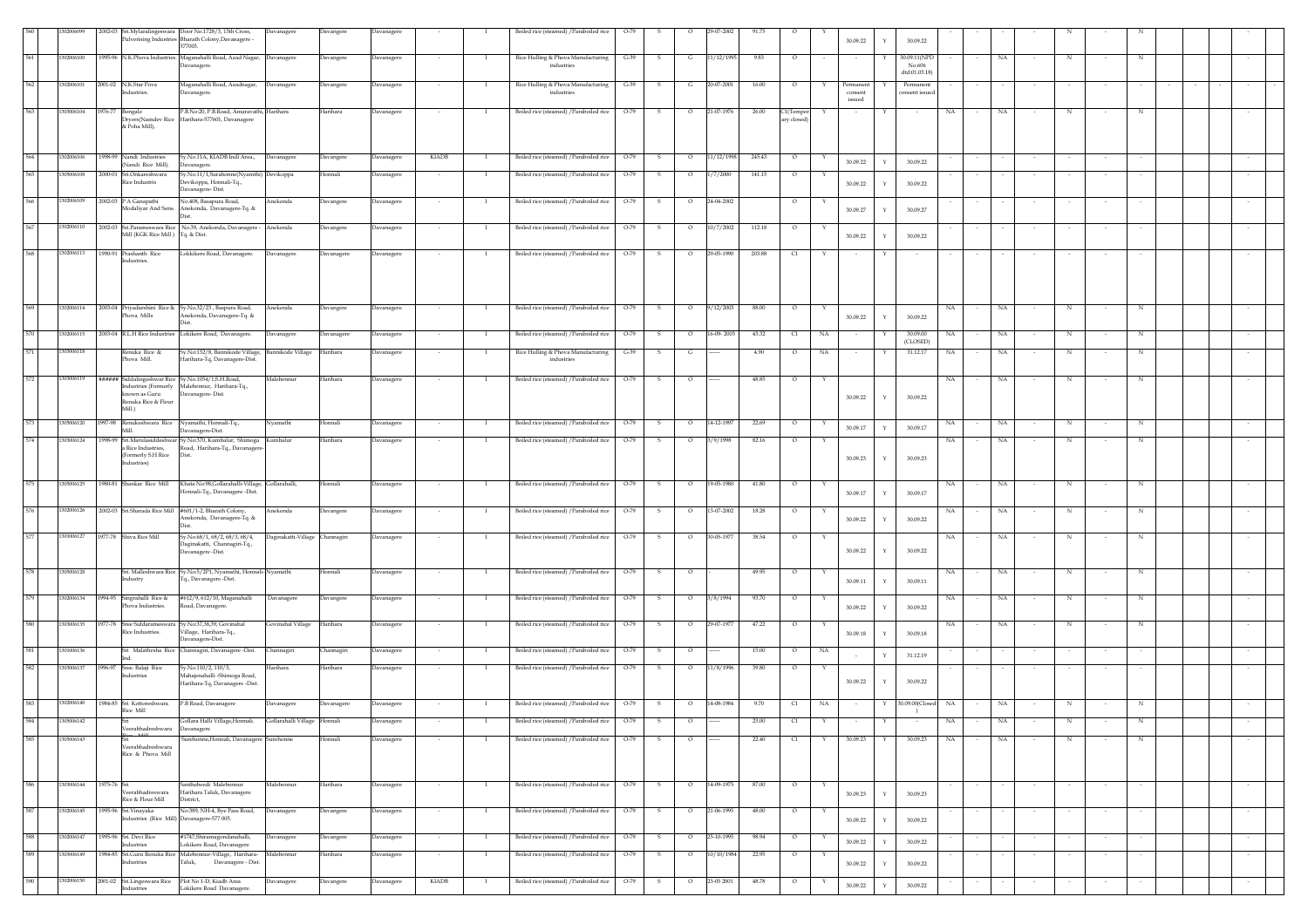|     | 12006099   |                                                                                                |                                                                                             |                                |            |                   |              |                |                                                  |        |              |                          | 29-07-2002 | 91.73        |                        |              |                                |              |                            |                          |             |        |            |        |        |  |        |
|-----|------------|------------------------------------------------------------------------------------------------|---------------------------------------------------------------------------------------------|--------------------------------|------------|-------------------|--------------|----------------|--------------------------------------------------|--------|--------------|--------------------------|------------|--------------|------------------------|--------------|--------------------------------|--------------|----------------------------|--------------------------|-------------|--------|------------|--------|--------|--|--------|
|     |            | 2002-03 Sri.Mylaralingeswara Door No.1728/3, 13th Cross,                                       | Pulverising Industries Bharath Colony, Davanagere -<br>577003.                              | Davanagere                     | Davangere  | avanager          |              |                | Boiled rice (steamed) / Paraboiled rice          | $O-79$ |              |                          |            |              |                        |              | 30.09.22                       |              | 30.09.22                   |                          |             |        |            |        |        |  |        |
| 561 | 1302006100 |                                                                                                | 1995-96 N.K.Phova Industries. Maganahalli Road, Azad Nagar,                                 | <b>Davanagere</b>              | Davangere  | Davanagere        |              | -1             | Rice Hulling & Phova Manufacturing               | $G-39$ | s            | G                        | 11/12/1995 | 9.83         | $\circ$                |              | $\sim$                         |              | 30.09.11(NPD               |                          | NA          |        | N          |        | N      |  |        |
| 562 | 1302006101 | 2001-02 N.K.Star Pova                                                                          | Davanagere.                                                                                 |                                |            |                   |              |                | industries                                       | $G-39$ |              |                          | 20-07-2001 |              |                        |              |                                |              | No.606<br>dtd:01.03.18)    |                          |             |        |            |        |        |  |        |
|     |            | ndustries.                                                                                     | Maganahalli Road, Azadnagar,<br>Davanagere.                                                 | Davanagere                     | Davangere  | Davanagere        |              | - 1            | Rice Hulling & Phova Manufacturing<br>industries |        | -S           | G                        |            | 16.00        | $\circ$                | Y            | Permanent<br>consent<br>issued |              | Permanent<br>consent issue |                          |             |        |            |        |        |  |        |
| 563 | 303006104  | 1976-77<br>Bongale                                                                             | P.B.No.20, P.B.Road, Amaravathi, Harihara<br>Dryers(Namdev Rice Harihara-577601, Davanagere |                                | Harihara   | Davanagere        |              | $\mathbf{I}$   | Boiled rice (steamed) / Paraboiled rice          | $O-79$ | s.           | $\circ$                  | 21-07-1976 | 26.00        | C1(Tempo<br>arv closed | Y            | $\sim$                         |              | NA                         |                          | NA.         |        | N          |        | N      |  |        |
|     |            | & Poha Mill),                                                                                  |                                                                                             |                                |            |                   |              |                |                                                  |        |              |                          |            |              |                        |              |                                |              |                            |                          |             |        |            |        |        |  |        |
| 564 | 1302006106 | 1998-99 Nandi Industries<br>(Nandi Rice Mill).                                                 | Sy.No.11A, KIADB Indl Area.,<br>Davanagere.                                                 | Davanagere                     | Davangere  | avanagere         | <b>KIADB</b> | $\blacksquare$ | Boiled rice (steamed) / Paraboiled rice          | $O-79$ | -S           | $\circ$                  | 11/12/1998 | 245.43       | $\circ$                | $\mathbf{Y}$ | 30.09.22                       | $\mathbf{v}$ | 30.09.22                   |                          |             |        |            |        |        |  |        |
| 565 | 305006108  | 2000-01 Sri.Onkareshwara                                                                       | Sy.No.11/1,Surahonne(Nyamthi) Devikoppa                                                     |                                | Honnali    | <b>Davanagere</b> | $\sim$       | $\mathbf{I}$   | Boiled rice (steamed) / Paraboiled rice          | $O-79$ | s            | $\circ$                  | 1/7/2000   | 141.15       | $\circ$                |              |                                |              |                            |                          |             |        |            | $\sim$ | $\sim$ |  | $\sim$ |
|     |            | Rice Industris                                                                                 | Devikoppa, Honnali-Tq.,<br>Davanagere-Dist.                                                 |                                |            |                   |              |                |                                                  |        |              |                          |            |              |                        |              | 30.09.22                       | $\mathbf{Y}$ | 30.09.22                   |                          |             |        |            |        |        |  |        |
| 566 | 302006109  | 2002-03 P A Ganapathi<br>Modaliyar And Sons.                                                   | No.408. Basanura Road.<br>Anekonda, Davanagere-Tq. &<br>Dist                                | Anekonda                       | Davangere  | Davanagere        |              | - 1            | Boiled rice (steamed) / Paraboiled rice          | $O-79$ | -S           | $\circ$                  | 24-04-2002 |              | $\circ$                |              | 30.09.27                       | Y            | 30.09.27                   |                          |             |        |            |        |        |  |        |
| 567 | 1302006110 | 2002-03 Sri.Parameswara Rice No.39, Anekonda, Davanagere -<br>Mill (KGK Rice Mill) Tq. & Dist. |                                                                                             | Anekonda                       | Davangere  | Davanagere        |              |                | Boiled rice (steamed) / Paraboiled rice          | $O-79$ |              | $\circ$                  | 10/7/2002  | 112.18       | $\circ$                |              | 30.09.22                       |              | 30.09.22                   |                          |             |        |            |        |        |  |        |
| 568 | 1302006113 | 1990-91 Prashanth Rice                                                                         | Lokkikere Road, Davanagere.                                                                 | Davanagere                     | Davanagere | Davanagere        |              |                | Boiled rice (steamed) / Paraboiled rice          | $O-79$ |              | $\circ$                  | 29-05-1990 | 203.88       | C1                     |              |                                |              |                            |                          |             |        |            |        |        |  |        |
|     |            | Industries.                                                                                    |                                                                                             |                                |            |                   |              |                |                                                  |        |              |                          |            |              |                        |              |                                |              |                            |                          |             |        |            |        |        |  |        |
| 569 | 1302006114 | 2003-04 Priyadarshini Rice & Sy.No.32/23, Baspura Road,<br>Phova Mills                         | Anekonda, Davanagere-Tq. &<br>Dist                                                          | Anekonda                       | Davangere  | Davanagere        | $\sim$       | $\mathbf{I}$   | Boiled rice (steamed) / Paraboiled rice          | $O-79$ | S.           | $\circ$                  | 9/12/2003  | 88.00        | $\circ$                | Y            | 30.09.22                       | $\mathbf{Y}$ | NA.<br>30.09.22            | $\overline{\phantom{a}}$ | NA          | $\sim$ | N          | $\sim$ | N      |  | $\sim$ |
| 570 | 1302006115 | 2003-04 R.L.H Rice Industries Lokikere Road, Davanagere.                                       |                                                                                             | Davanagere                     | Davanagere | <b>Davanagere</b> |              | - 1            | Boiled rice (steamed) / Paraboiled rice          | $O-79$ |              | $\circ$                  | 16-09-2003 | 43.32        | C1                     | NA           |                                |              | 30,09.00<br>NA<br>(CLOSED) |                          | NA          |        | $_{\rm N}$ |        | N      |  |        |
| 571 | 1303006118 | Renuka Rice &<br>Phova Mill.                                                                   | Sy.No:132/8, Bannikode Village,<br>Harihara-Tq, Davanagere-Dist.                            | Bannikode Village              | Harihara   | Davanagere        |              | $\mathbf{I}$   | Rice Hulling & Phova Manufacturing<br>industries | $G-39$ | s.           | G                        |            | 4.90         | $\circ$                | NA           | $\sim$                         | Y            | 31.12.17<br>NA             |                          | NA          |        | N          |        | N      |  |        |
|     |            |                                                                                                |                                                                                             |                                |            |                   |              |                |                                                  |        |              |                          |            |              |                        |              |                                |              |                            |                          |             |        |            |        |        |  |        |
| 572 | 303006119  | ###### Siddalingeshwar Rice Sy.No.1054/1,S.H.Road,<br>known as Guru<br>Renuka Rice & Flour     | Industries (Formerly Malebennur, Harihara-Tq.,<br>Davanagere-Dist.                          | Malebennur                     | Harihara   | <b>Javanagere</b> |              |                | Boiled rice (steamed) / Paraboiled rice          | $O-79$ | s            | $\circ$                  |            | 48.85        | $\circ$                |              | 30.09.22                       | Y            | NA<br>30.09.22             |                          | NA          |        | N          |        |        |  |        |
|     | 1305006120 | Mill.)<br>1997-98 Renukeshwara Rice Nyamathi, Honnali-Tq.,                                     |                                                                                             | Vyamathi                       | Honnali    | Davanagere        |              |                | Boiled rice (steamed) / Paraboiled rice          | $O-79$ |              | $\circ$                  | 14-12-1997 | 22.69        |                        |              |                                |              | NA                         |                          | NA          |        | N          |        | N      |  |        |
| 574 | 1303006124 | Mill.                                                                                          | Davanagere-Dist.<br>1998-99 Sri.Marulasiddeshwar Sy.No:370, Kumbalur, Shimoga               | Kumbalur                       | Harihara   | <b>Davanagere</b> |              |                | Boiled rice (steamed) / Paraboiled rice          | $O-79$ |              | $\circ$                  | 3/9/1998   | 82.16        | $\circ$                |              | 30.09.17                       |              | 30.09.17<br>NA             |                          | NA          |        | N          |        |        |  |        |
|     |            | a Rice Industries.<br>(Formerly S.H Rice<br>Industries)                                        | Road, Harihara-Tq., Davanagere<br>Dist.                                                     |                                |            |                   |              |                |                                                  |        |              |                          |            |              |                        |              | 30.09.23                       |              | 30.09.23                   |                          |             |        |            |        |        |  |        |
| 575 | 1305006125 | 1980-81 Shankar Rice Mill                                                                      | Khata No:98, Gollarahalli-Village,<br>Honnali-Tq., Davanagere -Dist.                        | Gollarahalli,                  | Honnali    | <b>Javanagere</b> |              | -1             | Boiled rice (steamed) / Paraboiled rice          | $O-79$ | s            | $\circ$                  | 19-05-1980 | 41.80        | $\circ$                |              | 30.09.17                       | Y            | NA<br>30.09.17             |                          | NA          |        | N          |        | N      |  |        |
| 576 | 1302006126 | 2002-03 Sri.Sharada Rice Mill #601/1-2, Bharath Colony,                                        | Anekonda, Davanagere-Tq. &<br>Dist                                                          | Anekonda                       | Davangere  | <b>Davanagere</b> |              | $\mathbf{I}$   | Boiled rice (steamed) / Paraboiled rice          | $O-79$ | -S           | $\circ$                  | 13-07-2002 | 18.28        | $\circ$                | Y            | 30.09.22                       | Y            | NA<br>30.09.22             |                          | $_{\rm NA}$ |        | N          |        | N      |  |        |
| 577 | 1301006127 | 1977-78 Shiva Rice Mill                                                                        | Sy.No.68/1, 68/2, 68/3, 68/4,<br>Daginakatti, Channagiri-Tq.,<br>Davanagere -Dist.          | Daginakatti-Village Channagiri |            | Davanagere        |              | $\mathbf{I}$   | Boiled rice (steamed) / Paraboiled rice          | $O-79$ | -S           | $\circ$                  | 30-05-1977 | 38.54        | $\circ$                |              | 30.09.22                       | Y            | NA<br>30.09.22             |                          | NA          |        | $_{\rm N}$ |        | N      |  |        |
| 578 | 1305006128 |                                                                                                | Sri. Malleshwara Rice Sy.No:5/2P1, Nyamathi, Honnali-Nyamathi                               |                                | Honnali    | ) avanagere       |              |                | Boiled rice (steamed) / Paraboiled rice          | $O-79$ |              |                          |            | 49.95        |                        |              |                                |              | NA                         |                          | NA          |        |            |        |        |  |        |
| 579 | 1302006134 | ndustry<br>1994-95 Singrahalli Rice &                                                          | Tq., Davanagere -Dist.<br>#612/9, 612/10, Maganahalli                                       | Davanagere                     | Davangere  | <b>Davanagere</b> |              |                | Boiled rice (steamed) / Paraboiled rice          | $O-79$ | s            | $\circ$                  | 3/8/1994   | 93.70        |                        |              | 30.09.11                       | $\mathbf{v}$ | 30.09.11<br>NA             |                          | NA          |        | N          |        | N      |  |        |
|     |            | Phova Industries.                                                                              | Road, Davanagere.                                                                           |                                |            |                   |              |                |                                                  |        |              |                          |            |              |                        |              | 30.09.22                       | Y            | 30.09.22                   |                          |             |        |            |        |        |  |        |
| 580 | 03006135   | 1977-78<br>Rice Industries.                                                                    | Sree Siddarameswara Sv.No:37,38,39, Govinahal<br>Village, Harihara-Tq.,<br>Davanagere-Dist. | Govinahal Village              | Harihara   | Davanagere        |              | $\mathbf{I}$   | Boiled rice (steamed) / Paraboiled rice          | $O-79$ | s.           | $\circ$                  | 29-07-1977 | 47.22        | $\circ$                | Y            | 30.09.18                       | $\mathbf{Y}$ | NA<br>30.09.18             |                          | NA.         |        | N          |        | N      |  |        |
| 581 | 1301006136 |                                                                                                | Sri Malathesha Rice Channagiri, Davanagere -Dist.                                           | Channagiri                     | Channagiri | Davanagere        |              | - 1            | Boiled rice (steamed) / Paraboiled rice          | $O-79$ | - S          | $\circ$                  |            | 15.00        | $\circ$                | NA           | $\sim$                         |              | 31.12.19                   |                          |             |        |            |        |        |  |        |
| 582 | 1303006137 | 1996-97<br>Sree. Balaji Rice<br>ndustries                                                      | Sy.No.110/2, 110/3,<br>Mahajenahalli -Shimoga Road,<br>Harihara-Tq, Davanagere -Dist.       | Iarihara                       | Harihara   | avanagere         |              |                | Boiled rice (steamed) / Paraboiled rice          | $O-79$ | s            | $\circ$                  | 11/8/1996  | 39.80        |                        |              | 30.09.22                       | Y            | 30.09.22                   |                          |             |        |            |        |        |  |        |
|     | 1302006140 | 1984-85 Sri Kottoreshwara                                                                      | P.B Road, Davanagere                                                                        | <b>Davanagere</b>              | Davanagere | <b>Javanagere</b> |              |                | Boiled rice (steamed) / Paraboiled rice          | $O-79$ | s            | $\circ$                  | 14-08-1984 | 9.70         | $\mathsf{C}1$          | NA           |                                |              | 30.09.00(Closed<br>NA      |                          | NA          |        |            |        |        |  |        |
|     |            | Rice Mill                                                                                      | illara Halli Village,Honnali.                                                               | .,ollaranalli Village          | onnan      | ıvanage           |              |                | soiled rice (steamed) / Paraboiled rice          |        |              |                          |            | <b>25.00</b> |                        |              |                                |              |                            |                          |             |        |            |        |        |  |        |
| 585 | 1305006143 | Veerabhadreshwara Davanagere                                                                   | Surehonne, Honnali, Davanagere Surehonne                                                    |                                | Honnali    | Davanagere        |              | $\mathbf{I}$   | Boiled rice (steamed) / Paraboiled rice 0-79     |        | $\mathbf{s}$ | $\circ$                  |            | 22.40        | C1                     | Y            | 30.09.23                       | Y            | 30.09.23<br>NA             |                          | NA          |        | $_{\rm N}$ |        | N      |  |        |
|     |            | Veerabhadreshwara<br>Rice & Phova Mill                                                         |                                                                                             |                                |            |                   |              |                |                                                  |        |              |                          |            |              |                        |              |                                |              |                            |                          |             |        |            |        |        |  |        |
| 586 | 1303006144 | 1975-76 Sri<br>Veerabhadreswara<br>Rice & Flour Mill                                           | Santhebeedi Malebennur<br>Harihara Taluk, Davanagere<br>District,                           | Malebennur                     | Harihara   | Davanagere        | $\sim$       | $\mathbf{I}$   | Boiled rice (steamed) / Paraboiled rice          | $O-79$ | $\mathbf{s}$ | $\overline{\phantom{0}}$ | 14-09-1975 | 87.00        | $\circ$                |              | 30.09.23                       | $\mathbf Y$  | 30.09.23                   |                          |             |        |            |        |        |  | $\sim$ |
| 587 | 1302006145 | 1995-96 Sri.Vinayaka<br>Industries (Rice Mill) Davanagere-577 005.                             | No:389, NH-4, Bye Pass Road,                                                                | Davanagere                     | Davangere  | Davanagere        | $\sim$       | $\mathbf{I}$   | Boiled rice (steamed) / Paraboiled rice          | $O-79$ | S.           | $\circ$                  | 21-06-1995 | 48.00        | $\circ$                | Y            | 30.09.22                       | $\mathbf Y$  | 30.09.22                   |                          |             |        |            | $\sim$ | $\sim$ |  | $\sim$ |
| 588 | 1302006147 | 1995-96 Sri. Devi Rice                                                                         | #1747,Shiramagondanahalli,                                                                  | Davanagere                     | Davangere  | Davanagere        |              | $\mathbf{I}$   | Boiled rice (steamed) / Paraboiled rice          | $O-79$ | -S           | $\circ$                  | 25-10-1995 | 98.94        | $\circ$                | $\mathbf{Y}$ | 30.09.22                       | Y            | 30.09.22                   |                          |             |        |            |        |        |  | $\sim$ |
| 589 | 1303006149 | Industries                                                                                     | Lokikere Road, Davanagere<br>1984-85 Sri.Guru Renuka Rice Malebennur-Village, Harihara-     | Malebennur                     | Harihara   | Davanagere        | $\sim$       | $\mathbf{I}$   | Boiled rice (steamed) / Paraboiled rice          | $O-79$ | - S          | $\circ$                  | 10/10/1984 | 22.95        | $\circ$                | Y            |                                |              |                            |                          |             |        |            |        | $\sim$ |  | $\sim$ |
| 590 | 1302006150 | Industries<br>2001-02 Sri.Lingeswara Rice Plot No 1-D, Kiadb Area                              | Taluk, Davanagere - Dist.                                                                   | Davanagere                     | Davangere  | Davanagere        | <b>KIADB</b> | - 1            | Boiled rice (steamed) / Paraboiled rice          | $O-79$ | S.           | $\circ$                  | 23-05 2001 | 48.78        | $\circ$                |              | 30.09.22                       | $\mathbf Y$  | 30.09.22                   |                          |             |        |            |        |        |  |        |
|     |            | Industries                                                                                     | Lokikere Road Davanagere.                                                                   |                                |            |                   |              |                |                                                  |        |              |                          |            |              |                        |              | 30.09.22                       | $\mathbf Y$  | 30.09.22                   |                          |             |        |            |        |        |  |        |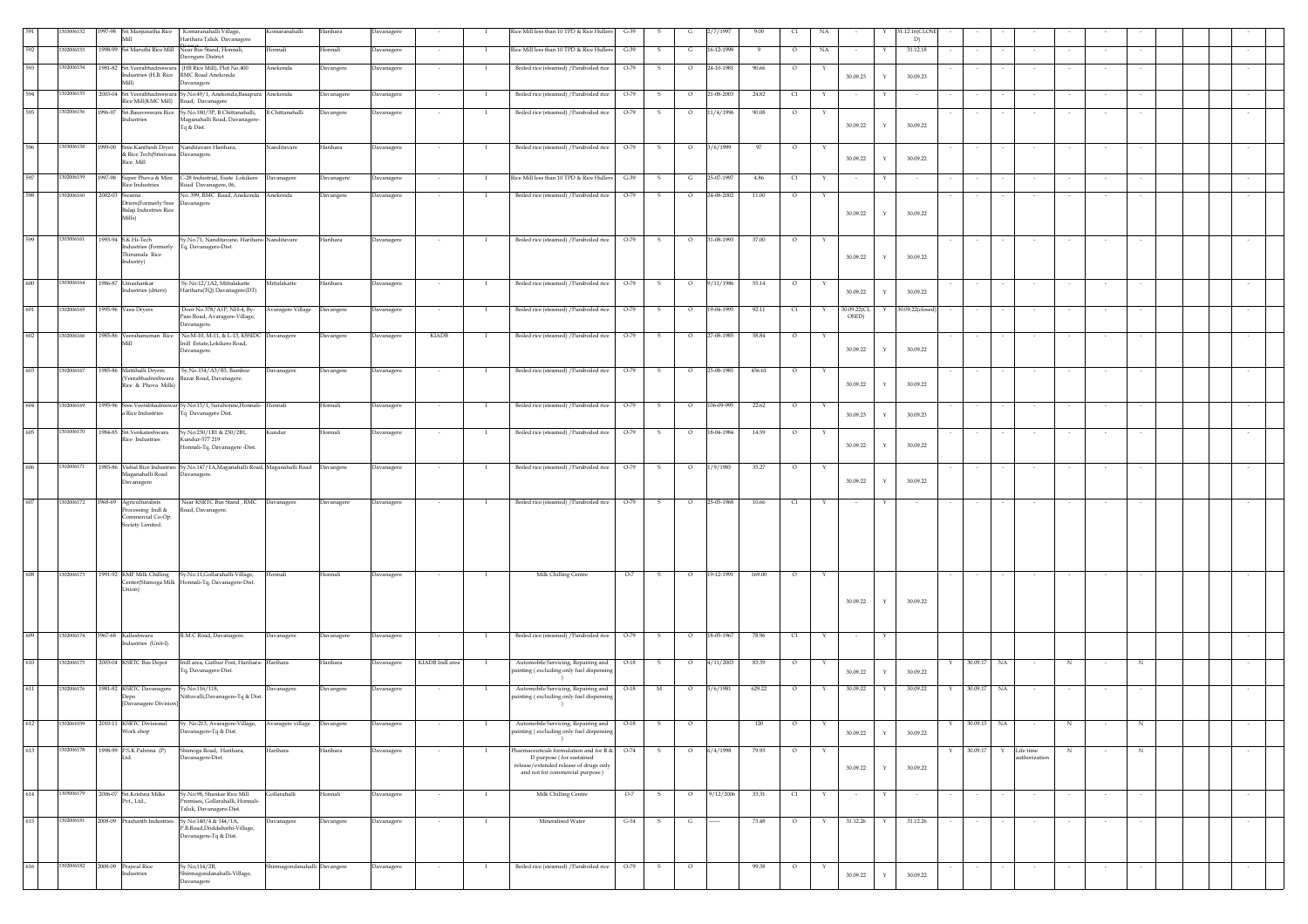|     | 43006152   |         | Mill                                                                                   | 1997-98 Sri Manjunatha Rice Komaranahalli Village,<br>Harihara Taluk Davanagere                                 | Komaranahalli                | Harihara   | Davanagere |                 | - 1            | Rice Mill less than 10 TPD & Rice Hullers                                       | $G-39$                 | 2/7/199               | 9.00     | a                       |                      |              | 31.12.16(CLO<br>D) |   |             |        |                           |            |        |        |  |        |
|-----|------------|---------|----------------------------------------------------------------------------------------|-----------------------------------------------------------------------------------------------------------------|------------------------------|------------|------------|-----------------|----------------|---------------------------------------------------------------------------------|------------------------|-----------------------|----------|-------------------------|----------------------|--------------|--------------------|---|-------------|--------|---------------------------|------------|--------|--------|--|--------|
| 592 | 1302006153 |         |                                                                                        | 1998-99 Sri Maruthi Rice Mill Near Bus Stand, Honnali,                                                          | Honnali                      | Honnali    | Davanagere |                 |                | Rice Mill less than 10 TPD & Rice Hullers                                       | $G-39$<br>s            | 16-12-1998            |          | NA<br>$\circ$           |                      |              | 31.12.18           |   |             |        |                           |            |        |        |  |        |
| 593 | 302006154  |         |                                                                                        | Davngere District<br>1981-82 Sri.Veerabhadreswara (HB Rice Mill), Plot No.400                                   | Anekonda                     | Davangere  | Davanagere |                 | $\blacksquare$ | Boiled rice (steamed) / Paraboiled rice                                         | $O-79$<br>-S           | $\circ$<br>24-10-1981 | 90.66    | $\circ$<br>Y            |                      |              |                    |   |             |        |                           |            |        |        |  |        |
|     |            |         | Mill)                                                                                  | Industries (H.B. Rice RMC Road Anekonda<br>Davanagere                                                           |                              |            |            |                 |                |                                                                                 |                        |                       |          |                         | 30.09.23             | $\mathbf Y$  | 30.09.23           |   |             |        |                           |            |        |        |  |        |
| 594 | 1302006155 |         | Rice Mill(KMC Mill) Road, Davanagere                                                   | 2003-04 Sri Veerabhadreswara Sy.No:49/1, Anekonda, Basapura Anekonda                                            |                              | Davanagere | Davanagere |                 | $\mathbf{I}$   | Boiled rice (steamed) / Paraboiled rice                                         | O-79<br>s.             | 21-08-2003<br>$\circ$ | 24.82    | C1<br>Y                 |                      |              |                    |   |             |        |                           |            |        |        |  |        |
| 595 | 1302006156 |         | Industries                                                                             | 1996-97 Sri.Basaveswara Rice Sy.No.180/3P, B.Chittanahalli, B.Chittanahalli<br>Maganahalli Road, Davanagere-    |                              | Davangere  | Davanagere |                 | $\mathbf{I}$   | Boiled rice (steamed) / Paraboiled rice                                         | O-79<br>s              | 11/4/1996<br>$\circ$  | 90.08    | $\circ$                 |                      |              |                    |   |             |        |                           |            |        |        |  |        |
|     |            |         |                                                                                        | Tq & Dist.                                                                                                      |                              |            |            |                 |                |                                                                                 |                        |                       |          |                         | 30.09.22             | $\mathbf Y$  | 30.09.22           |   |             |        |                           |            |        |        |  |        |
| 596 | 1303006158 |         | 1999-00 Sree.Kanthesh Dryer Nanditavare Harihara,<br>& Rice Tech(Srinivasa Davanagere. |                                                                                                                 | Nanditavare                  | Harihara   | Davanagere |                 | $\mathbf{I}$   | Boiled rice (steamed) / Paraboiled rice                                         | $O-79$<br>- S          | 3/6/1999<br>$\circ$   | 97       | $\circ$                 |                      |              |                    |   |             |        |                           |            |        |        |  |        |
|     |            |         | Rice Mill                                                                              |                                                                                                                 |                              |            |            |                 |                |                                                                                 |                        |                       |          |                         | 30.09.22             | Y            | 30.09.22           |   |             |        |                           |            |        |        |  |        |
| 597 | 1302006159 | 1997-98 | Super Phova & Mini<br>Rice Industries                                                  | C-28 Industrial, Esate Lokikere<br>Road Davanagere, 06,                                                         | Davanagere                   | Davanagere | Davanagere |                 | $\mathbf{I}$   | Rice Mill less than 10 TPD & Rice Hullers                                       | $G-39$<br>s            | 25-07-1997<br>G       | $4.86\,$ | $\mathbb{C}1$<br>Y      |                      | Y            |                    |   |             |        |                           |            |        |        |  |        |
| 598 | 1302006160 |         | 2002-03 Swarna<br>Driers(Formerly Sree Davanagere                                      | No. 399, RMC Road, Anekonda Anekonda                                                                            |                              | Davangere  | Davanagere |                 | $\mathbf{I}$   | Boiled rice (steamed) / Paraboiled rice                                         | O-79<br>- S            | $\circ$<br>24-08-2002 | 11.00    | $\circ$<br>Y            |                      |              |                    |   |             |        |                           |            |        |        |  |        |
|     |            |         | Balaji Industries Rice<br>Mills)                                                       |                                                                                                                 |                              |            |            |                 |                |                                                                                 |                        |                       |          |                         | 30.09.22             | $\mathbf Y$  | 30.09.22           |   |             |        |                           |            |        |        |  |        |
|     |            |         |                                                                                        |                                                                                                                 |                              |            |            |                 |                |                                                                                 |                        |                       |          |                         |                      |              |                    |   |             |        |                           |            |        |        |  |        |
| 599 | 1303006161 |         | 1993-94 S.K.Hi-Tech<br>Industries (Formerly                                            | Sy.No.71, Nanditavane, Harihara-Nanditavare<br>Tq, Davanagere-Dist.                                             |                              | Harihara   | Davanagere | $\sim$          | $\mathbf{I}$   | Boiled rice (steamed) / Paraboiled rice                                         | $O-79$<br>- S          | 31-08-1993<br>$\circ$ | 37.00    | $\circ$<br>Y            |                      |              |                    |   |             |        |                           |            |        |        |  |        |
|     |            |         | Thirumala Rice<br>Industry)                                                            |                                                                                                                 |                              |            |            |                 |                |                                                                                 |                        |                       |          |                         | 30.09.22             | $\mathbf Y$  | 30.09.22           |   |             |        |                           |            |        |        |  |        |
| 600 | 1303006164 |         | 1986-87 Umashankar                                                                     | Sy.No:12/1A2, Mittalakatte                                                                                      | Mittalakatte                 | Harihara   | Davanagere | $\sim$          | - 1            | Boiled rice (steamed) / Paraboiled rice                                         | $O-79$<br>$\mathbf{s}$ | 9/11/1986<br>$\circ$  | 55.14    | $\circ$<br>Y            |                      |              |                    |   |             |        |                           |            |        |        |  |        |
|     |            |         | Industries (driers)                                                                    | Harihara(TQ) Davanagere(DT)                                                                                     |                              |            |            |                 |                |                                                                                 |                        |                       |          |                         | 30.09.22             | $\mathbf Y$  | 30.09.22           |   |             |        |                           |            |        |        |  |        |
| 601 | 1302006165 |         | 1995-96 Vasu Dryers                                                                    | Door No.378/A1P, NH-4, By-<br>Pass Road, Avaragere-Village,                                                     | Avaragere Village            | Davangere  | Davanagere | $\sim$          | $\mathbf{I}$   | Boiled rice (steamed) / Paraboiled rice                                         | $O-79$<br>S.           | 19-04-1995<br>$\circ$ | 92.11    | C1<br>Y                 | 30.09.22(CL<br>OSED) | Y            | 30.09.22(closed    |   |             |        |                           |            |        |        |  | $\sim$ |
|     |            |         |                                                                                        | Davanagere.                                                                                                     |                              |            |            |                 |                |                                                                                 |                        |                       |          |                         |                      |              |                    |   |             |        |                           |            |        |        |  |        |
| 602 | 1302006166 |         | Mill                                                                                   | 1985-86 Veerahanuman Rice No:M-10, M-11, & L-13, KSSIDC Davanagere<br>Indl Estate,Lokikere Road,<br>Davanagere. |                              | Davangere  | Davanagere | KIADB           |                | Boiled rice (steamed) / Paraboiled rice                                         | $O-79$<br>- S          | 27-08-1985<br>$\circ$ | 58.84    | $\circ$<br>Y            | 30.09.22             | $\mathbf Y$  | 30.09.22           |   |             |        |                           |            |        |        |  |        |
|     |            |         |                                                                                        |                                                                                                                 |                              |            |            |                 |                |                                                                                 |                        |                       |          |                         |                      |              |                    |   |             |        |                           |            |        |        |  |        |
| 603 | 1302006167 |         | 1985-86 Mattihalli Dryers<br>(Veerabhadreshwara                                        | Sy.No.154/A3/B3, Bamboo<br>Bazar Road, Davanagere.                                                              | Davanagere                   | Davangere  | Davanagere |                 |                | Boiled rice (steamed) / Paraboiled rice                                         | O-79<br>s              | 25-08-1985<br>$\circ$ | 456.61   | $\circ$                 |                      |              |                    |   |             |        |                           |            |        |        |  |        |
|     |            |         | Rice & Phova Mills)                                                                    |                                                                                                                 |                              |            |            |                 |                |                                                                                 |                        |                       |          |                         | 30.09.22             | $\mathbf Y$  | 30.09.22           |   |             |        |                           |            |        |        |  |        |
| 604 | 1302006169 |         | a Rice Industries                                                                      | 1995-96 Sree.Veerabhadreswar Sy.No:13/1, Surahonne, Honnali- Honnali<br>Tq Davanagere Dist.                     |                              | Honnali    | Davanagere |                 | $\mathbf{I}$   | Boiled rice (steamed) / Paraboiled rice                                         | $O-79$<br>s            | 106-09-995<br>$\circ$ | 22.62    | $\circ$<br>Y            | 30.09.23             | $\mathbf Y$  | 30.09.23           |   |             |        |                           |            |        |        |  |        |
| 605 | 1301006170 |         | 1984-85 Sri.Venkateshwara                                                              | Sy.No:230/1B1 & 230/2B1,                                                                                        | Kundur                       | Honnali    | Davanagere | $\sim$          | $\mathbf{I}$   | Boiled rice (steamed) / Paraboiled rice                                         | $O-79$<br>- S          | 18-04-1984<br>$\circ$ | 14.59    | $\circ$<br>Y            |                      |              |                    |   |             |        |                           |            |        |        |  |        |
|     |            |         | Rice Industries                                                                        | Kundur-577 219<br>Honnali-Tq, Davanagere -Dist.                                                                 |                              |            |            |                 |                |                                                                                 |                        |                       |          |                         | 30.09.22             | $\mathbf Y$  | 30.09.22           |   |             |        |                           |            |        |        |  |        |
| 606 | 1302006171 |         |                                                                                        | 1985-86 Vishal Rice Industries Sy.No.147/1A,Maganahalli Road, Maganahalli Road Davangere                        |                              |            |            |                 |                | Boiled rice (steamed) / Paraboiled rice                                         | $O-79$<br>$\mathbf{s}$ | $\circ$<br>1/9/1985   | 35.27    | $\circ$                 |                      |              |                    |   |             |        |                           |            |        |        |  |        |
|     |            |         | Maganahalli Road<br>Davanagere                                                         | Davanagere.                                                                                                     |                              |            | Davanagere | $\sim$          | $\mathbf{I}$   |                                                                                 |                        |                       |          | Y                       | 30.09.22             | $\mathbf Y$  | 30.09.22           |   | $\sim$      | $\sim$ | $\sim$                    | $\sim$     | $\sim$ | $\sim$ |  | $\sim$ |
|     |            |         |                                                                                        |                                                                                                                 |                              |            |            |                 |                |                                                                                 |                        |                       |          |                         |                      |              |                    |   |             |        |                           |            |        |        |  |        |
| 607 | 1302006172 |         | 1968-69 Agriculturalists<br>Processing Indl &                                          | Near KSRTC Bus Stand, RMC Davanagere<br>Road, Davanagere.                                                       |                              | Davanagere | Davanagere | $\sim$          | - 1            | Boiled rice (steamed) / Paraboiled rice 0-79                                    | $\mathbf{s}$           | 25-05-1968<br>$\circ$ | 10.66    | C1<br>Y                 | $\sim$               | Y            |                    |   | $\sim$      |        |                           |            |        |        |  |        |
|     |            |         | Commercial Co-Op.<br>Society Limited.                                                  |                                                                                                                 |                              |            |            |                 |                |                                                                                 |                        |                       |          |                         |                      |              |                    |   |             |        |                           |            |        |        |  |        |
|     |            |         |                                                                                        |                                                                                                                 |                              |            |            |                 |                |                                                                                 |                        |                       |          |                         |                      |              |                    |   |             |        |                           |            |        |        |  |        |
|     |            |         |                                                                                        |                                                                                                                 |                              |            |            |                 |                |                                                                                 |                        |                       |          |                         |                      |              |                    |   |             |        |                           |            |        |        |  |        |
| 608 | 1302006173 |         |                                                                                        | 1991-92 KMF Milk Chilling Sy.No.11, Gollarahalli-Village,<br>Center(Shimoga Milk Honnali-Tq, Davanagere-Dist.   | Honnali                      | Honnali    | Davanagere | $\sim$ $\sim$   | $\mathbf{I}$   | Milk Chilling Centre                                                            | $O-7$<br>$\mathbf{s}$  | 19-12-1991<br>$\circ$ | 169.00   | $\circ$<br>Y            |                      |              |                    |   | $\sim$      |        | $\sim$                    |            |        |        |  | $\sim$ |
|     |            |         | Union)                                                                                 |                                                                                                                 |                              |            |            |                 |                |                                                                                 |                        |                       |          |                         |                      |              |                    |   |             |        |                           |            |        |        |  |        |
|     |            |         |                                                                                        |                                                                                                                 |                              |            |            |                 |                |                                                                                 |                        |                       |          |                         | 30.09.22             | Y            | 30.09.22           |   |             |        |                           |            |        |        |  |        |
|     |            |         |                                                                                        |                                                                                                                 |                              |            |            |                 |                |                                                                                 |                        |                       |          |                         |                      |              |                    |   |             |        |                           |            |        |        |  |        |
| 609 | 1302006174 |         | 1967-68 Kalleshwara<br>Industries (Unit-I).                                            | R.M.C Road, Davanagere.                                                                                         | Davanagere                   | Davanagere | Davanagere | $\sim$          | $\mathbf{I}$   | Boiled rice (steamed) / Paraboiled rice 0-79                                    | $\mathbf{s}$           | 18-05-1967<br>$\circ$ | 78.96    | C1<br>Y                 | $\sim$               | $\mathbf{Y}$ |                    |   |             |        |                           |            |        |        |  | $\sim$ |
| 610 | 1302006175 |         | 2003-04 KSRTC Bus Depot                                                                | Indl area, Guthur Post, Harihara- Harihara                                                                      |                              | Harihara   | Davanagere | KIADB Indl area | - 1            | Automobile Servicing, Repairing and                                             | $O-18$<br>$\mathbf{s}$ | 4/11/2003<br>$\circ$  | 83.39    | $\circ$<br>Y            |                      |              |                    | Y | 30.09.17    | NA     | $\sim$                    | $_{\rm N}$ | $\sim$ | N      |  | $\sim$ |
|     |            |         |                                                                                        | Tq, Davanagere-Dist.                                                                                            |                              |            |            |                 |                | painting (excluding only fuel dispensing<br>$\rightarrow$                       |                        |                       |          |                         | 30.09.22             | $\mathbf Y$  | 30.09.22           |   |             |        |                           |            |        |        |  |        |
| 611 | 1302006176 |         | 1981-82 KSRTC Davanagere<br>Depo                                                       | Sv.No:116/118.<br>Nittuvalli, Davanagere-Tq & Dist.                                                             | Davanagere                   | Davangere  | Davanagere | $\sim$          | $\mathbf{I}$   | Automobile Servicing, Repairing and<br>painting (excluding only fuel dispensing | $O-18$<br>M            | 5/6/1981<br>$\circ$   | 629.22   | $\circ$<br>Y            | 30.09.22             | $\mathbf{Y}$ | 30.09.22           | Y | 30.09.17 NA |        |                           |            |        |        |  |        |
|     |            |         | [Davanagere Division]                                                                  |                                                                                                                 |                              |            |            |                 |                |                                                                                 |                        |                       |          |                         |                      |              |                    |   |             |        |                           |            |        |        |  |        |
|     | 02061039   |         | 2010-11 IKSRTC Divisional                                                              | Sy. No:213, Avaragere-Village,                                                                                  | Avaragere village            | Davangere  | Davanagere |                 |                | Automobile Servicing, Repairing and                                             | O-18                   | $\circ$               | 120      | $\circ$                 |                      |              |                    |   | 30.09.15    | NA.    |                           |            |        |        |  |        |
|     |            |         | Work shop                                                                              | Davanagere-Tq & Dist.                                                                                           |                              |            |            |                 |                | painting (excluding only fuel dispensing<br>$\rightarrow$                       |                        |                       |          |                         | 30.09.22             | $\mathbf Y$  | 30.09.22           |   |             |        |                           |            |        |        |  |        |
| 613 | 1302006178 |         | 1998-99 P.S.K Pahrma (P)<br>Ltd.                                                       | Shimoga Road, Harihara,<br>Davanagere-Dist.                                                                     | Harihara                     | Harihara   | Davanagere |                 |                | Pharmaceuticals formulation and for R & O-74<br>D purpose (for sustained        |                        | 6/4/1998              | 79.93    | $\circ$                 |                      |              |                    |   | 30.09.17    |        | Life time<br>uthorization |            |        |        |  |        |
|     |            |         |                                                                                        |                                                                                                                 |                              |            |            |                 |                | release/extended release of drugs only<br>and not for commercial purpose)       |                        |                       |          |                         | 30.09.22             | $\mathbf Y$  | 30.09.22           |   |             |        |                           |            |        |        |  |        |
| 614 | 1305006179 |         | 2006-07 Sri.Krishna Milks                                                              | Sy.No:98, Shankar Rice Mill                                                                                     | Gollarahalli                 | Honnali    | Davanagere | $\sim$          | $\mathbf{I}$   | Milk Chilling Centre                                                            | $O-7$<br>- S           | 9/12/2006<br>$\circ$  | 33.31    | C1<br>Y                 | $\sim$               | Y            | $\sim$             |   | $\sim$      |        | $\sim$                    |            | $\sim$ | $\sim$ |  | $\sim$ |
|     |            |         | Pvt., Ltd.,                                                                            | emises, Gollarahalli, Honnali-<br>Taluk, Davanagere-Dist.                                                       |                              |            |            |                 |                |                                                                                 |                        |                       |          |                         |                      |              |                    |   |             |        |                           |            |        |        |  |        |
| 615 | 1302006181 |         | 2008-09 Prashanth Industries                                                           | Sy No:140/4 & 144/1A,<br>P.B.Road,Doddabathi-Village,                                                           | Davanagere                   | Davangere  | Davanagere | $\sim$          | $\mathbf{I}$   | Mineralised Water                                                               | $G-54$<br>$\mathbf{s}$ | G<br>                 | 73.48    | $\circ$<br>Y            | 31.12.26             | $\mathbf Y$  | 31.12.26           |   | $\sim$      |        | $\sim$                    |            | $\sim$ | $\sim$ |  | $\sim$ |
|     |            |         |                                                                                        | Davanagere-Tq & Dist.                                                                                           |                              |            |            |                 |                |                                                                                 |                        |                       |          |                         |                      |              |                    |   |             |        |                           |            |        |        |  |        |
|     |            |         |                                                                                        |                                                                                                                 |                              |            |            |                 |                |                                                                                 |                        |                       |          |                         |                      |              |                    |   |             |        |                           |            |        |        |  |        |
| 616 | 1302006182 |         | 2008-09 Prajwal Rice<br>Industries                                                     | Sy No;114/2B,<br>Shirmagondanahalli-Village,<br>Davanagere                                                      | Shirmagondanahalli Davangere |            | Davanagere |                 | $\mathbf{I}$   | Boiled rice (steamed) / Paraboiled rice                                         | $O-79$<br>S            | $\circ$               | 99.38    | $\circ$<br>$\mathbf{Y}$ | 30.09.22             | $\mathbf Y$  | 30.09.22           |   |             |        |                           |            |        |        |  | $\sim$ |
|     |            |         |                                                                                        |                                                                                                                 |                              |            |            |                 |                |                                                                                 |                        |                       |          |                         |                      |              |                    |   |             |        |                           |            |        |        |  |        |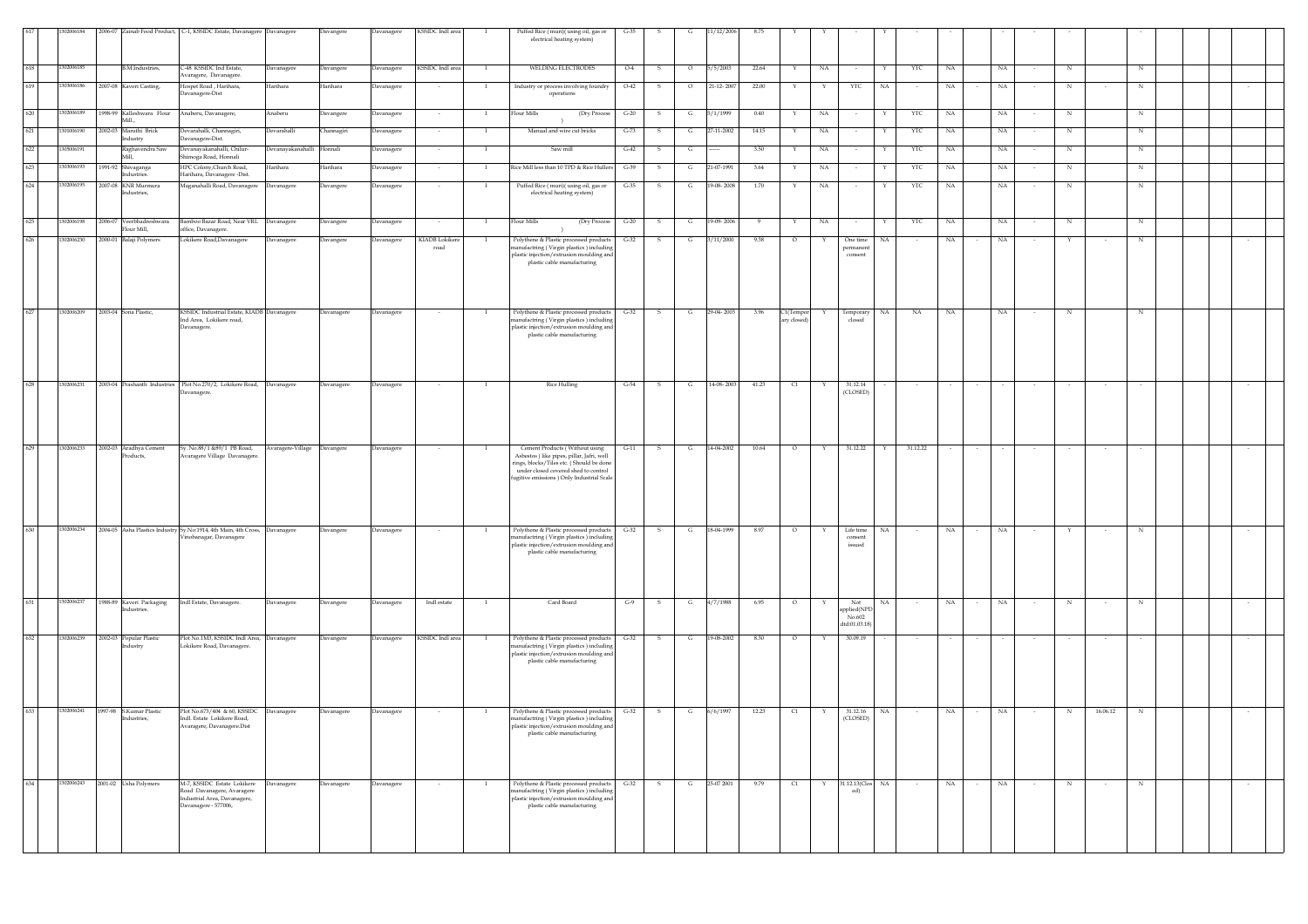|     | 02006184   | 2006-07 |                                        | Zainab Food Product, C-1, KSSIDC Estate, Davanagere Davanagere                       |                             | Davangere  | Davanagere        | KSSIDC Indl area       |              | Puffed Rice (muri)(using oil, gas or                                                    | $G-35$ |              |              |            |       |                                  |    |                      |    |            |        |        |        |        |            |          |        |  |        |  |
|-----|------------|---------|----------------------------------------|--------------------------------------------------------------------------------------|-----------------------------|------------|-------------------|------------------------|--------------|-----------------------------------------------------------------------------------------|--------|--------------|--------------|------------|-------|----------------------------------|----|----------------------|----|------------|--------|--------|--------|--------|------------|----------|--------|--|--------|--|
|     |            |         |                                        |                                                                                      |                             |            |                   |                        |              | electrical heating system)                                                              |        |              |              |            |       |                                  |    |                      |    |            |        |        |        |        |            |          |        |  |        |  |
|     |            |         |                                        |                                                                                      |                             |            |                   |                        |              |                                                                                         |        |              |              |            |       |                                  |    |                      |    |            |        |        |        |        |            |          |        |  |        |  |
| 618 | 1302006185 |         | B.M.Industries,                        | C-48 KSSIDC Ind Estate,<br>Avaragere, Davanagere.                                    | Davanagere                  | Davangere  | Davanagere        | KSSIDC Indl area       |              | WELDING ELECTRODES                                                                      | $O-4$  | s            |              | 5/5/2003   | 22.64 |                                  | NA |                      |    | YTC        | NA     |        | NA     |        | $_{\rm N}$ |          | N      |  |        |  |
| 619 | 303006186  |         | 2007-08 Kaveri Casting,                | Iospet Road, Harihara,<br>avanagere-Dist                                             | Harihara                    | Harihara   | <b>Javanagere</b> |                        |              | Industry or process involving foundry<br>operations                                     | $O-42$ |              | $\Omega$     | 21-12-2007 | 22.00 |                                  | Y  | YTC                  | NA |            | NA     |        | NA     |        | N          |          | N      |  |        |  |
|     |            |         |                                        |                                                                                      |                             |            |                   |                        |              |                                                                                         |        |              |              |            |       |                                  |    |                      |    |            |        |        |        |        |            |          |        |  |        |  |
| 620 | 302006189  |         | 1998-99 Kalleshwara Flour<br>Mill      | Anaberu, Davanagere,                                                                 | Anaberu                     | Davangere  | Davanagere        | $\sim$                 | $\mathbf{I}$ | lour Mills<br>(Dry Process                                                              | $G-20$ | - S          | G            | 5/1/1999   | 0.40  | Y                                | NA | $\sim$               | Y  | YTC        | NA     |        | NA     |        | N          |          | N      |  |        |  |
| 621 | 01006190   | 2002-03 | Maruthi Brick                          | Jevarahalli, Channagiri,                                                             | Devarahalli                 | `hannagiri | avanagere         |                        |              | Manual and wire cut bricks                                                              | $G-73$ |              | G            | 27-11-2002 | 14.15 | Y                                | NA |                      |    | <b>YTC</b> | NA     |        | NA     |        | N          |          | N      |  |        |  |
| 622 | 305006191  |         | dustry<br>laghavendra Saw              | Davanagere-Dist.<br>Devanayakanahalli, Chilur-                                       | Devanayakanahalli Honnali   |            | avanagere         |                        |              | Saw mill                                                                                | $G-42$ |              |              |            | 3.50  |                                  | NA |                      |    | YTC        | NA     |        | NA     |        | N          |          | N      |  |        |  |
| 623 | 03006193   | 1991-92 |                                        | himoga Road, Honnali<br>HPC Colony, Church Road,                                     |                             | Harihara   |                   |                        |              | Rice Mill less than 10 TPD & Rice Hullers                                               | $G-39$ |              | G            | 21-07-1991 |       |                                  |    |                      |    |            |        |        | NA     |        | N          |          | N      |  |        |  |
|     |            |         | hivaganga<br>dustries                  | Harihara, Davanagere -Dist.                                                          | Harihara                    |            | avanagere         |                        |              |                                                                                         |        |              |              |            | 3.64  |                                  | NA |                      |    | YTC        | NA     |        |        |        |            |          |        |  |        |  |
| 624 | 302006195  |         | 2007-08 KNR Murmura<br>Industries,     | Maganahalli Road, Davanagere                                                         | Davanagere                  | Davangere  | Davanagere        |                        | - 1          | Puffed Rice (muri)(using oil, gas or<br>electrical heating system)                      | $G-35$ | - S          | G            | 19-08-2008 | 1.70  | Y                                | NA |                      | Y  | YTC        | NA     |        | NA     |        | N          |          | N      |  |        |  |
|     |            |         |                                        |                                                                                      |                             |            |                   |                        |              |                                                                                         |        |              |              |            |       |                                  |    |                      |    |            |        |        |        |        |            |          |        |  |        |  |
| 625 | 302006198  | 2006-07 | /eerbhadreshwara                       | 3amboo Bazar Road, Near VRL                                                          | Davanagere                  | Davangere  | <b>Davanagere</b> |                        |              | Flour Mills<br>(Dry Process                                                             | $G-20$ |              |              | 19-09-2006 |       |                                  | NA |                      |    | YTC        | NA     |        | NA     |        | N          |          | N      |  |        |  |
| 626 |            | 2000-01 | lour Mill,                             | ffice, Davanagere.                                                                   |                             |            |                   |                        |              |                                                                                         |        |              |              |            |       | $\circ$                          |    |                      |    |            |        |        |        |        |            |          |        |  |        |  |
|     | 302006230  |         | Balaji Polymers                        | Lokikere Road, Davanagere                                                            | Davanagere                  | Davangere  | <b>Javanagere</b> | KIADB Lokikere<br>road |              | Polythene & Plastic processed products<br>anufactring (Virgin plastics) including       | $G-32$ |              |              | 1/11/2000  | 9.38  |                                  |    | One time<br>bermaner | NA |            | NA     |        | NA     |        |            |          | N      |  |        |  |
|     |            |         |                                        |                                                                                      |                             |            |                   |                        |              | plastic injection/extrusion moulding and<br>plastic cable manufacturing                 |        |              |              |            |       |                                  |    | consent              |    |            |        |        |        |        |            |          |        |  |        |  |
|     |            |         |                                        |                                                                                      |                             |            |                   |                        |              |                                                                                         |        |              |              |            |       |                                  |    |                      |    |            |        |        |        |        |            |          |        |  |        |  |
|     |            |         |                                        |                                                                                      |                             |            |                   |                        |              |                                                                                         |        |              |              |            |       |                                  |    |                      |    |            |        |        |        |        |            |          |        |  |        |  |
|     |            |         |                                        |                                                                                      |                             |            |                   |                        |              |                                                                                         |        |              |              |            |       |                                  |    |                      |    |            |        |        |        |        |            |          |        |  |        |  |
| 627 | 1302006209 |         | 2003-04 Sona Plastic,                  | KSSIDC Industrial Estate, KIADB Davanagere<br>Ind Area, Lokikere road,               |                             | Davanagere | Davanagere        |                        |              | Polythene & Plastic processed products<br>nanufactring (Virgin plastics) including      | $G-32$ | s            |              | 29-04-2003 | 3.96  | C1(Tempor<br>ary closed          |    | Temporary<br>closed  | NA | NA         | NA     |        | NA     |        | N          |          | N      |  |        |  |
|     |            |         |                                        | Davanagere.                                                                          |                             |            |                   |                        |              | plastic injection/extrusion moulding and<br>plastic cable manufacturing                 |        |              |              |            |       |                                  |    |                      |    |            |        |        |        |        |            |          |        |  |        |  |
|     |            |         |                                        |                                                                                      |                             |            |                   |                        |              |                                                                                         |        |              |              |            |       |                                  |    |                      |    |            |        |        |        |        |            |          |        |  |        |  |
|     |            |         |                                        |                                                                                      |                             |            |                   |                        |              |                                                                                         |        |              |              |            |       |                                  |    |                      |    |            |        |        |        |        |            |          |        |  |        |  |
|     |            |         |                                        |                                                                                      |                             |            |                   |                        |              |                                                                                         |        |              |              |            |       |                                  |    |                      |    |            |        |        |        |        |            |          |        |  |        |  |
| 628 | 1302006231 |         |                                        | 2003-04 Prashanth Industries Plot No.270/2, Lokikere Road, Davanagere<br>Javanagere. |                             | Davanagere | Davanagere        |                        |              | <b>Rice Hulling</b>                                                                     | $G-54$ | $\mathbf{s}$ | G            | 14-08-2003 | 41.23 | $\begin{array}{c} 1 \end{array}$ |    | 31.12.14<br>(CLOSED) |    |            |        |        |        |        |            |          |        |  | $\sim$ |  |
|     |            |         |                                        |                                                                                      |                             |            |                   |                        |              |                                                                                         |        |              |              |            |       |                                  |    |                      |    |            |        |        |        |        |            |          |        |  |        |  |
|     |            |         |                                        |                                                                                      |                             |            |                   |                        |              |                                                                                         |        |              |              |            |       |                                  |    |                      |    |            |        |        |        |        |            |          |        |  |        |  |
|     |            |         |                                        |                                                                                      |                             |            |                   |                        |              |                                                                                         |        |              |              |            |       |                                  |    |                      |    |            |        |        |        |        |            |          |        |  |        |  |
| 629 | 1302006233 |         | 2002-03 Aradhya Cement                 | Sy. No.88/1 &89/1 PB Road,                                                           | Avaragere-Village Davangere |            | Davanagere        | $\sim$                 | $\mathbf{I}$ | Cement Products (Without using                                                          | $G-11$ | s.           | $\mathbf{G}$ | 14-04-2002 | 10.64 | $\circ$                          | Y  | 31.12.22             | Y  | 31.12.22   | $\sim$ | $\sim$ | $\sim$ | $\sim$ | $\sim$     | $\sim$   | $\sim$ |  | $\sim$ |  |
|     |            |         | Products,                              | varagere Village Davanagere.                                                         |                             |            |                   |                        |              | Asbestos) like pipes, pillar, Jafri, well<br>rings, blocks/Tiles etc. (Should be done   |        |              |              |            |       |                                  |    |                      |    |            |        |        |        |        |            |          |        |  |        |  |
|     |            |         |                                        |                                                                                      |                             |            |                   |                        |              | under closed covered shed to control<br>fugitive emissions ) Only Industrial Scale      |        |              |              |            |       |                                  |    |                      |    |            |        |        |        |        |            |          |        |  |        |  |
|     |            |         |                                        |                                                                                      |                             |            |                   |                        |              |                                                                                         |        |              |              |            |       |                                  |    |                      |    |            |        |        |        |        |            |          |        |  |        |  |
|     |            |         |                                        |                                                                                      |                             |            |                   |                        |              |                                                                                         |        |              |              |            |       |                                  |    |                      |    |            |        |        |        |        |            |          |        |  |        |  |
|     |            |         |                                        |                                                                                      |                             |            |                   |                        |              |                                                                                         |        |              |              |            |       |                                  |    |                      |    |            |        |        |        |        |            |          |        |  |        |  |
| 630 | 1302006234 |         |                                        | 2004-05 Asha Plastics Industry Sy.No:1914, 4th Main, 4th Cross, Davanagere           |                             | Davangere  | Davanagere        |                        |              | Polythene & Plastic processed products                                                  | $G-32$ | - S          | G            | 18-04-1999 | 8.97  | $\circ$                          | Y  | Life time            | NA |            | NA     | $\sim$ | NA     |        | Y          |          | N      |  | $\sim$ |  |
|     |            |         |                                        | Vinobanagar, Davanagere                                                              |                             |            |                   |                        |              | nanufactring (Virgin plastics) including<br>plastic injection/extrusion moulding and    |        |              |              |            |       |                                  |    | consent<br>issued    |    |            |        |        |        |        |            |          |        |  |        |  |
|     |            |         |                                        |                                                                                      |                             |            |                   |                        |              | plastic cable manufacturing                                                             |        |              |              |            |       |                                  |    |                      |    |            |        |        |        |        |            |          |        |  |        |  |
|     |            |         |                                        |                                                                                      |                             |            |                   |                        |              |                                                                                         |        |              |              |            |       |                                  |    |                      |    |            |        |        |        |        |            |          |        |  |        |  |
|     |            |         |                                        |                                                                                      |                             |            |                   |                        |              |                                                                                         |        |              |              |            |       |                                  |    |                      |    |            |        |        |        |        |            |          |        |  |        |  |
| 631 | 1302006237 |         | 1988-89 Kaveri Packaging               | Indl Estate, Davanagere.                                                             | Davanagere                  | Davangere  | Davanagere        | Indl estate            | $\mathbf{I}$ | Card Board                                                                              | $G-9$  | - S          | G            | 4/7/1988   | 6.95  | $\circ$                          | Y  | Not                  | NA |            | NA     |        | NA     |        | N          |          | N      |  | $\sim$ |  |
|     |            |         | Industries                             |                                                                                      |                             |            |                   |                        |              |                                                                                         |        |              |              |            |       |                                  |    | pplied(NPI<br>No.602 |    |            |        |        |        |        |            |          |        |  |        |  |
|     |            |         |                                        |                                                                                      |                             |            |                   |                        |              |                                                                                         |        |              |              |            |       |                                  |    | dtd:01.03.18         |    |            |        |        |        |        |            |          |        |  |        |  |
| 632 | 1302006239 |         | 2002-03 Popular Plastic<br>lustry      | Plot No.1M3, KSSIDC Indl Area, Davanagere<br>.okikere Road, Davanagere.              |                             | Davangere  | Davanagere        | KSSIDC Indl area       |              | Polythene & Plastic processed products<br>nanufactring (Virgin plastics) including      | $G-32$ |              |              | 19-08-2002 | 8.30  | $\circ$                          |    | 30.09.19             |    |            |        |        |        |        |            |          |        |  |        |  |
|     |            |         |                                        |                                                                                      |                             |            |                   |                        |              | plastic injection/extrusion moulding and<br>plastic cable manufacturing                 |        |              |              |            |       |                                  |    |                      |    |            |        |        |        |        |            |          |        |  |        |  |
|     |            |         |                                        |                                                                                      |                             |            |                   |                        |              |                                                                                         |        |              |              |            |       |                                  |    |                      |    |            |        |        |        |        |            |          |        |  |        |  |
|     |            |         |                                        |                                                                                      |                             |            |                   |                        |              |                                                                                         |        |              |              |            |       |                                  |    |                      |    |            |        |        |        |        |            |          |        |  |        |  |
|     |            |         |                                        |                                                                                      |                             |            |                   |                        |              |                                                                                         |        |              |              |            |       |                                  |    |                      |    |            |        |        |        |        |            |          |        |  |        |  |
| 633 | 1302006241 |         | 1997-98 S.Kumar Plastic<br>Industries. | Plot No.673/404 & 60, KSSIDC<br>Indl. Estate Lokikere Road,                          | Davanagere                  | Davanagere | Davanagere        |                        | - 1          | Polythene & Plastic processed products G-32<br>nanufactring (Virgin plastics) including |        | $\mathbf{s}$ | G            | 6/6/1997   | 12.23 | $\alpha$                         | Y  | 31.12.16<br>(CLOSED) | NA | $\sim$     | NA     |        | NA     |        | $_{\rm N}$ | 16.06.12 | N      |  |        |  |
|     |            |         |                                        | Avaragere, Davanagere.Dist                                                           |                             |            |                   |                        |              | plastic injection/extrusion moulding and<br>plastic cable manufacturing                 |        |              |              |            |       |                                  |    |                      |    |            |        |        |        |        |            |          |        |  |        |  |
|     |            |         |                                        |                                                                                      |                             |            |                   |                        |              |                                                                                         |        |              |              |            |       |                                  |    |                      |    |            |        |        |        |        |            |          |        |  |        |  |
|     |            |         |                                        |                                                                                      |                             |            |                   |                        |              |                                                                                         |        |              |              |            |       |                                  |    |                      |    |            |        |        |        |        |            |          |        |  |        |  |
|     |            |         |                                        |                                                                                      |                             |            |                   |                        |              |                                                                                         |        |              |              |            |       |                                  |    |                      |    |            |        |        |        |        |            |          |        |  |        |  |
| 634 | 1302006243 |         | 2001-02 Usha Polymers                  | M-7, KSSIDC Estate Lokikere<br>Road Davanagere, Avaragere                            | Davanagere                  | Davanagere | Davanagere        | $\sim$                 |              | Polythene & Plastic processed products<br>manufactring (Virgin plastics) including      | $G-32$ | S.           | G            | 25-07 2001 | 9.79  | $\alpha$                         | Y  | 31.12.13(Clos NA     |    | $\sim$     | NA     | $\sim$ | NA     | $\sim$ | N          | $\sim$   | N      |  | $\sim$ |  |
|     |            |         |                                        | Industrial Area, Davanagere,                                                         |                             |            |                   |                        |              | plastic injection/extrusion moulding and                                                |        |              |              |            |       |                                  |    | ed)                  |    |            |        |        |        |        |            |          |        |  |        |  |
|     |            |         |                                        | Davanagere - 577006,                                                                 |                             |            |                   |                        |              | plastic cable manufacturing                                                             |        |              |              |            |       |                                  |    |                      |    |            |        |        |        |        |            |          |        |  |        |  |
|     |            |         |                                        |                                                                                      |                             |            |                   |                        |              |                                                                                         |        |              |              |            |       |                                  |    |                      |    |            |        |        |        |        |            |          |        |  |        |  |
|     |            |         |                                        |                                                                                      |                             |            |                   |                        |              |                                                                                         |        |              |              |            |       |                                  |    |                      |    |            |        |        |        |        |            |          |        |  |        |  |
|     |            |         |                                        |                                                                                      |                             |            |                   |                        |              |                                                                                         |        |              |              |            |       |                                  |    |                      |    |            |        |        |        |        |            |          |        |  |        |  |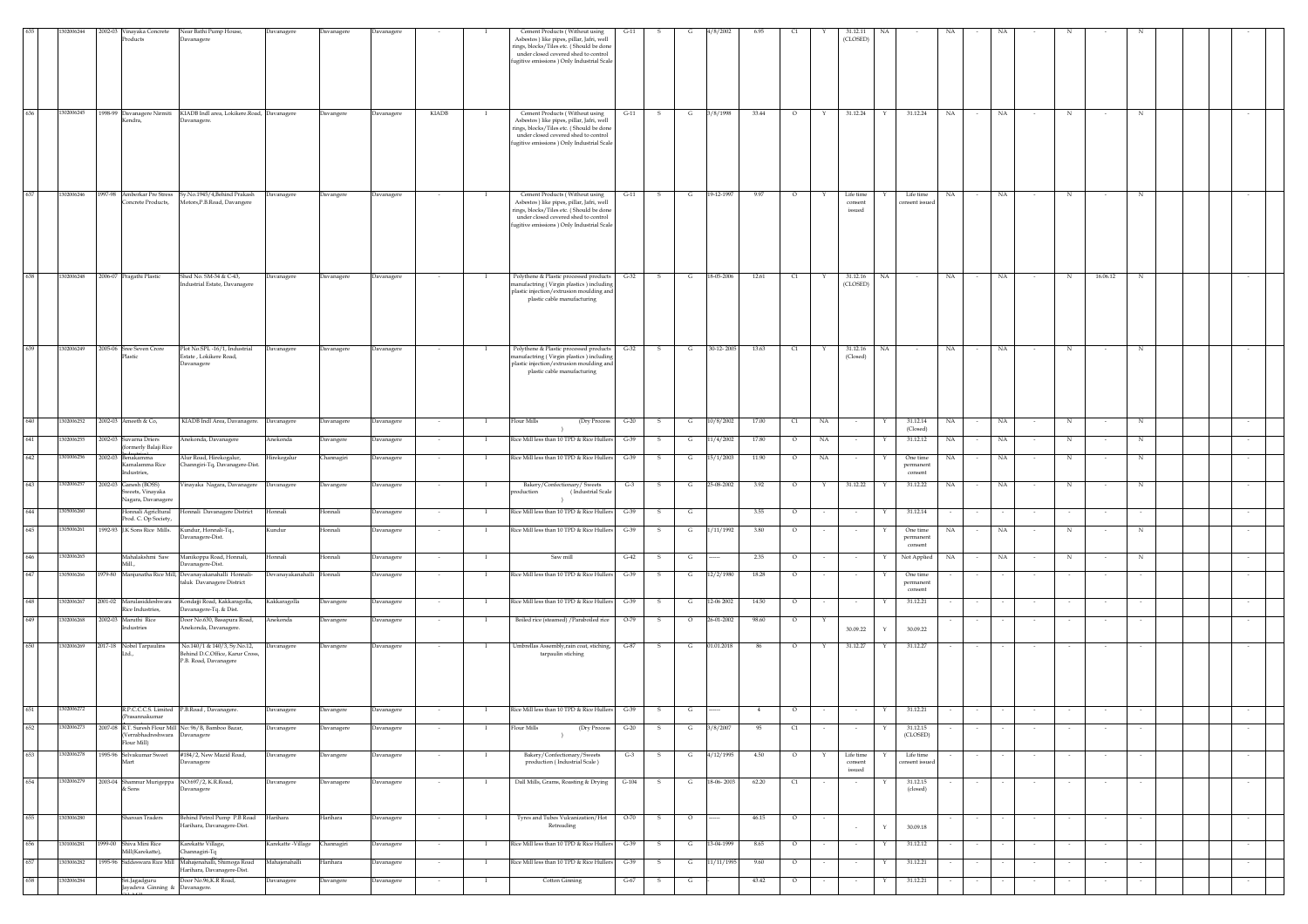|     | 302006244  | 2002-03 Vinayaka Concrete                                                      | Near Bathi Pump House,                                                                |                     |                   | Davanager  |        |              | Cement Products (Without using                                                                                                                                                                                | $G-11$ |              |              | 1/8/2002   | 6.95  |         |        | 31.12.11                       |                                   |             |                          |        |        |                      |             |        |  |
|-----|------------|--------------------------------------------------------------------------------|---------------------------------------------------------------------------------------|---------------------|-------------------|------------|--------|--------------|---------------------------------------------------------------------------------------------------------------------------------------------------------------------------------------------------------------|--------|--------------|--------------|------------|-------|---------|--------|--------------------------------|-----------------------------------|-------------|--------------------------|--------|--------|----------------------|-------------|--------|--|
|     |            | Products                                                                       | Davanagere                                                                            | Davanagere          | Davanagere        |            |        |              | Asbestos) like pipes, pillar, Jafri, well<br>rings, blocks/Tiles etc. (Should be done<br>under closed covered shed to control<br>fugitive emissions ) Only Industrial Scale                                   |        |              |              |            |       |         |        | (CLOSED)                       |                                   |             |                          |        |        |                      |             |        |  |
| 636 | 1302006245 | Kendra,                                                                        | 1998-99 Davanagere Nirmiti KIADB Indl area, Lokikere.Road, Davanagere<br>Davanagere.  |                     | Davangere         | Davanagere | KIADB  |              | Cement Products (Without using<br>Asbestos ) like pipes, pillar, Jafri, well<br>rings, blocks/Tiles etc. (Should be done<br>under closed covered shed to control<br>ugitive emissions ) Only Industrial Scale | $G-11$ | s            | $\mathbf{G}$ | 3/8/1998   | 33.44 | $\circ$ | Y      | 31.12.24                       | 31.12.24<br>Y                     | NA          | NA                       |        |        | N                    | N           |        |  |
| 637 | 1302006246 | 1997-98 Amberkar Pre Stress<br>Concrete Products,                              | Sy.No.1945/4, Behind Prakash<br>Motors, P.B. Road, Davangere                          | Davanagere          | Javangere         | Davanagere |        |              | Cement Products (Without using<br>Asbestos) like pipes, pillar, Jafri, well<br>rings, blocks/Tiles etc. (Should be done<br>under closed covered shed to control<br>fugitive emissions ) Only Industrial Scale | $G-11$ |              | G            | 19-12-1997 | 9.97  | $\circ$ |        | Life time<br>consent<br>issued | Life time<br>consent issued       | NA          |                          | NA     |        | N                    | N           |        |  |
| 638 | 1302006248 | 2006-07 Pragathi Plastic                                                       | Shed No. SM-34 & C-43,<br>dustrial Estate, Davanagere                                 | Davanagere          | Davanagere        | Davanagere |        |              | Polythene & Plastic processed products<br>anufactring (Virgin plastics) including<br>plastic injection/extrusion moulding and<br>plastic cable manufacturing                                                  | $G-32$ | $\mathbf{s}$ | G            | 18-05-2006 | 12.61 | C1      | Y      | 31.12.16<br>(CLOSED)           | NA                                | $_{\rm NA}$ |                          | NA     |        | 16.06.12<br>N        | $\mathbb N$ |        |  |
| 639 | 1302006249 | 2005-06 Sree Seven Crore<br>Plastic                                            | Plot No.SPL-16/1, Industrial<br>Estate, Lokikere Road,<br>Davanagere                  | Davanagere          | <b>Davanagere</b> | Davanagere |        |              | Polythene & Plastic processed products<br>nanufactring (Virgin plastics) including<br>plastic injection/extrusion moulding and<br>plastic cable manufacturing                                                 | $G-32$ |              | G            | 30-12-2005 | 13.63 | C1      |        | 31.12.16<br>(Closed)           | NA                                | NA          |                          | NA     |        |                      |             |        |  |
| 640 | 1302006252 | 2002-03 Ameeth & Co,                                                           | KIADB Indl Area, Davanagere.                                                          | Davanagere          | Davanagere        | Davanagere | $\sim$ | $\mathbf{I}$ | Flour Mills<br>(Dry Process                                                                                                                                                                                   | $G-20$ | s            | $\mathbf{G}$ | 10/8/2002  | 17.00 | C1      | NA     | $\sim$                         | 31.12.14<br>(Closed)              | NA          |                          | NA     |        | $_{\rm N}$<br>$\sim$ | $_{\rm N}$  |        |  |
| 641 | 1302006255 | 2002-03 Suvarna Driers<br>(formerly Balaji Rice                                | Anekonda, Davanagere                                                                  | Anekonda            | <b>Davangere</b>  | Davanagere | $\sim$ | $\mathbf{I}$ | Rice Mill less than 10 TPD & Rice Hullers                                                                                                                                                                     | $G-39$ | s            | G            | 11/4/2002  | 17.80 | $\circ$ | NA     | $\overline{\phantom{a}}$       | 31.12.12                          | $_{\rm NA}$ |                          | NA     |        | N                    | N           |        |  |
| 642 | 1301006256 | 2002-03 Benakamma<br>Kamalamma Rice                                            | Alur Road, Hirekogalur,<br>Channgiri-Tq, Davanagere-Dist.                             | Hirekogalur         | <b>Channagiri</b> | Davanagere | $\sim$ | $\mathbf{I}$ | Rice Mill less than 10 TPD & Rice Hullers                                                                                                                                                                     | $G-39$ | s            | G            | 15/1/2003  | 11.90 | $\circ$ | NA     | $\sim$                         | One time<br>permanent             | NA          |                          | NA     |        | N                    | N           |        |  |
| 643 | 302006257  | Industries,<br>2002-03 Ganesh (BOSS)<br>Sweets, Vinayaka<br>Nagara, Davanagere | /inayaka Nagara, Davanagere                                                           | Davanagere          | <b>Javangere</b>  | Davanagere | $\sim$ | $\mathbf{I}$ | Bakery/Confectionary/ Sweets<br>production<br>(Industrial Scale<br>$\rightarrow$                                                                                                                              | $G-3$  | s.           | G            | 25-08-2002 | 3.92  | $\circ$ | Y      | 31.12.22                       | $_{\rm consent}$<br>31.12.22<br>Y | NA          | $\sim$                   | NA     | $\sim$ | N<br>$\sim$          | N           | $\sim$ |  |
| 644 | 1305006260 | Honnali AgricItural                                                            | Honnali Davanagere District                                                           | Honnali             | Ionnali           | Davanagere |        | <b>I</b>     | Rice Mill less than 10 TPD & Rice Hullers                                                                                                                                                                     | $G-39$ | s            | G            |            | 3.55  | $\circ$ |        |                                | 31.12.14                          |             |                          |        |        |                      |             |        |  |
| 645 | 1305006261 | Prod. C. Op Society,                                                           | 1992-93 J.K Sons Rice Mills. Kundur, Honnali-Tq.,                                     | Kundur              | Honnali           | Davanagere |        | $\mathbf{I}$ | Rice Mill less than 10 TPD & Rice Hullers                                                                                                                                                                     | $G-39$ | -S           | G            | 1/11/1992  | 3.80  | $\circ$ |        | $\sim$                         | One time                          | NA          |                          | NA     |        | N                    | $\mathbb N$ |        |  |
|     |            |                                                                                | Davanagere-Dist.                                                                      |                     |                   |            |        |              |                                                                                                                                                                                                               |        |              |              |            |       |         |        |                                | permanent<br>$\,$ consent         |             |                          |        |        |                      |             |        |  |
| 646 | 302006265  | Mahalakshmi Saw<br>Mill                                                        | Manikoppa Road, Honnali,<br>Davanagere-Dist.                                          | Honnali             | Ionnali           | Davanagere |        |              | Saw mill                                                                                                                                                                                                      | $G-42$ | -S           | G            |            | 2.35  | $\circ$ |        | $\sim$                         | Not Applied<br>Y                  | NA          |                          | NA     |        | N                    | N           |        |  |
| 647 | 1305006266 |                                                                                | 1979-80 Manjunatha Rice Mill, Devanayakanahalli Honnali-<br>taluk Davanagere District | Devanayakanahalli   | Honnali           | Davanagere |        |              | Rice Mill less than 10 TPD & Rice Hullers                                                                                                                                                                     | $G-39$ |              | G            | 12/2/1980  | 18.28 | $\circ$ |        |                                | One time<br>permanent<br>consent  |             |                          |        |        |                      |             |        |  |
| 648 | 1302006267 | 2001-02 Marulasiddeshwara<br>Rice Industries,                                  | Kondajji Road, Kakkaragolla,<br>vanagere-Tq. & Dist.                                  | Kakkaragolla        | <b>Javangere</b>  | Davanagere |        |              | Rice Mill less than 10 TPD & Rice Hullers                                                                                                                                                                     | $G-39$ |              | G            | 12-06 2002 | 14.50 | $\circ$ |        |                                | 31.12.21                          |             |                          |        |        |                      |             |        |  |
| 649 | 1302006268 | 2002-03 Maruthi Rice<br>Industries                                             | Door No.630, Basapura Road,<br>Anekonda, Davanagere.                                  | Anekonda            | Javangere         | Davanagere |        |              | Boiled rice (steamed) / Paraboiled rice                                                                                                                                                                       | $O-79$ | s            | $\circ$      | 6-01-2002  | 98.60 | $\circ$ | Y      | 30.09.22                       | 30.09.22<br>Y                     |             |                          |        |        |                      |             |        |  |
| 650 | 1302006269 | 2017-18 Nobel Tarpaulins                                                       | No.140/1 & 140/3, Sy.No.12,                                                           | Davanagere          | Davangere         | Davanagere |        |              | Umbrellas Assembly, rain coat, stiching,                                                                                                                                                                      | G-87   | $\mathbf{s}$ | G            | 01.01.2018 | 86    | $\circ$ |        | 31.12.27                       | 31.12.27                          |             |                          |        |        |                      |             |        |  |
|     |            | Ltd.                                                                           | Behind D.C.Office, Karur Cross,<br>P.B. Road, Davanagere                              |                     |                   |            |        |              | tarpaulin stiching                                                                                                                                                                                            |        |              |              |            |       |         |        |                                |                                   |             |                          |        |        |                      |             |        |  |
| 651 | 1302006272 | Prasannakumar                                                                  | R.P.C.C.C.S. Limited P.B.Road, Davanagere.                                            | Davanagere          | Davangere         | Davanagere |        |              | Rice Mill less than 10 TPD & Rice Hullers G-39                                                                                                                                                                |        | s            | G            |            |       | $\circ$ |        |                                | 31.12.21                          |             |                          |        |        |                      |             |        |  |
| 652 | 1302006273 | (Verrabhadreshwara Davanagere<br>Flour Mill)                                   | 2007-08 R.T. Suresh Flour Mill No: 96/B, Bamboo Bazar,                                | Davanagere          | Davanagere        | Davanagere | $\sim$ | <b>I</b>     | Flour Mills<br>(Dry Process<br>$\rightarrow$                                                                                                                                                                  | $G-20$ | S.           | G            | 3/8/2007   | 95    | C1      |        |                                | 31.12.15<br>(CLOSED)              |             |                          |        |        |                      |             |        |  |
| 653 | 1302006278 | 1995-96 Selvakumar Sweet<br>Mart                                               | #184/2, New Mazid Road,<br>Davanagere                                                 | Davanagere          | Davangere         | Davanagere | $\sim$ | -1           | Bakery/Confectionary/Sweets<br>production (Industrial Scale)                                                                                                                                                  | $G-3$  | S.           | G            | 4/12/1995  | 4.50  | $\circ$ | Y      | Life time<br>consent<br>issued | Life time<br>consent issued       |             | $\overline{\phantom{a}}$ |        |        | $\sim$               |             | $\sim$ |  |
| 654 | 1302006279 | & Sons                                                                         | 2003-04 Shamnur Murigeppa NO:697/2, K.R.Road,<br>Davanagere                           | Davanagere          | Davanagere        | Davanagere |        |              | Dall Mills, Grams, Roasting & Drying G-104                                                                                                                                                                    |        | $\mathbf{s}$ | $\mathbf{G}$ | 18-06-2003 | 62.20 | C1      |        |                                | 31.12.15<br>(closed)              |             |                          |        |        |                      |             |        |  |
| 655 | 1303006280 | Sharoan Traders                                                                | Behind Petrol Pump P.B Road Harihara<br>Harihara, Davanagere-Dist.                    |                     | Harihara          | Davanagere | $\sim$ | $\mathbf{I}$ | Tyres and Tubes Vulcanization/Hot   0-70   5<br>Retreading                                                                                                                                                    |        |              | $\circ$      |            | 46.15 | $\circ$ | $\sim$ |                                | $\mathbf Y$<br>30.09.18           |             | $\sim$                   | $\sim$ | $\sim$ | $\sim$<br>$\sim$     | $\sim$      | $\sim$ |  |
| 656 | 1301006281 | 1999-00 Shiva Mini Rice                                                        | Karekatte Village,                                                                    | Karekatte - Village | Channagiri        | Davanagere | $\sim$ | $\mathbf{I}$ | Rice Mill less than 10 TPD & Rice Hullers G-39                                                                                                                                                                |        | S            | $\mathbf{G}$ | 13-04-1999 | 8.65  | $\circ$ |        | $\sim$<br>$\sim$               | 31.12.12<br>Y                     |             | $\sim$                   |        |        |                      |             |        |  |
| 657 | 1303006282 | Mill(Karekatte),                                                               | Channagiri-Tq<br>1995-96 Siddeswara Rice Mill Mahajenahalli, Shimoga Road             | Mahajenahalli       | Harihara          | Davanagere | $\sim$ | <b>I</b>     | Rice Mill less than 10 TPD & Rice Hullers                                                                                                                                                                     | $G-39$ | s            | G            | 11/11/1995 | 9.60  | $\circ$ |        | $\sim$                         | 31.12.21<br>Y                     |             | $\sim$                   |        |        | $\sim$               |             | $\sim$ |  |
| 658 | 1302006284 | Sri.Jagadguru                                                                  | Harihara, Davanagere-Dist.<br>Door No.96, K.R Road,                                   |                     |                   |            |        |              | Cotton Ginning                                                                                                                                                                                                | $G-67$ |              |              |            | 43.42 | $\circ$ |        |                                | 31.12.21<br>Y                     |             |                          |        |        |                      |             |        |  |
|     |            | Jayadeva Ginning & Davanagere.                                                 |                                                                                       | Davanagere          | Davangere         | Davanagere |        |              |                                                                                                                                                                                                               |        | s            | G            |            |       |         |        | $\sim$                         |                                   |             |                          |        |        |                      |             |        |  |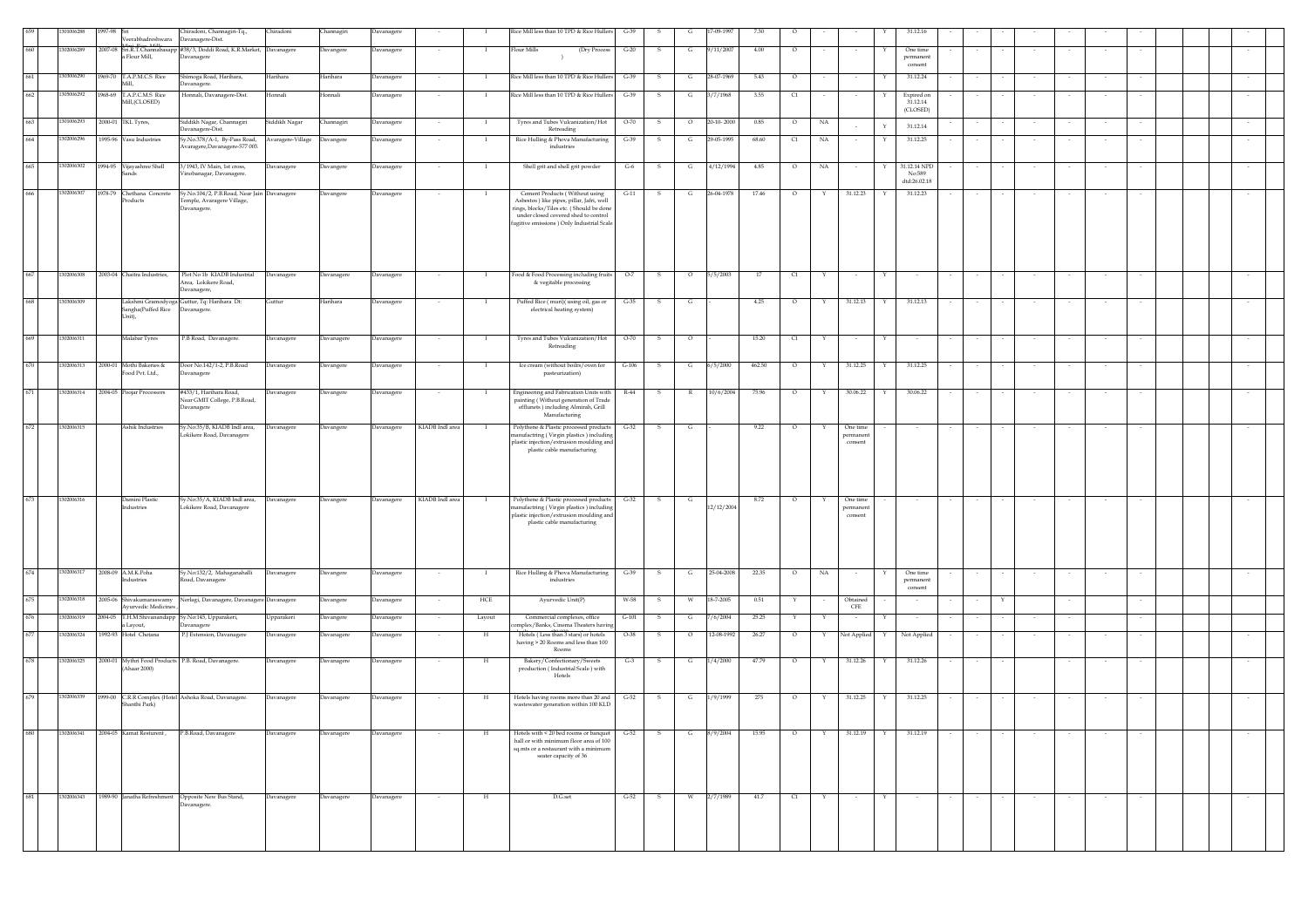|     |            | 301006288  | 1997-98 Sri |                                                        | Chiradoni, Channagiri-Tq.,<br>Veerabhadreshwara Davanagere-Dist.                         | Chiradoni     | Channagiri | Davanagere |                 |             | Rice Mill less than 10 TPD & Rice Hullers                                                                                                                                                                      | $G-39$  |              | G            | 7-09-1997  | 7.30   | $\circ$  |              |                                  |   | 31.12.16                         |        |   |        |        |        |        |  |        |  |
|-----|------------|------------|-------------|--------------------------------------------------------|------------------------------------------------------------------------------------------|---------------|------------|------------|-----------------|-------------|----------------------------------------------------------------------------------------------------------------------------------------------------------------------------------------------------------------|---------|--------------|--------------|------------|--------|----------|--------------|----------------------------------|---|----------------------------------|--------|---|--------|--------|--------|--------|--|--------|--|
|     |            | 302006289  |             | a Flour Mill,                                          | 2007-08 Sri.R.T.Channabasapp #38/3, Doddi Road, K.R.Market, Davanagere<br>Davanagere     |               | Davangere  | Davanagere |                 |             | <b>Flour Mills</b><br>(Dry Process                                                                                                                                                                             | $G-20$  | -S           | G            | 9/11/2007  | 4.00   | $\circ$  |              |                                  |   | One time<br>permanent            |        |   |        |        |        |        |  |        |  |
| 661 | 1303006290 |            |             | 1969-70 T.A.P.M.C.S Rice<br>Mill,                      | Shimoga Road, Harihara,<br>Davanagere.                                                   | Harihara      | Harihara   | Davanagere |                 |             | Rice Mill less than 10 TPD & Rice Hullers                                                                                                                                                                      | $G-39$  | - S          | G            | 28-07-1969 | 5.43   | $\circ$  |              |                                  |   | consent<br>31.12.24              |        |   |        |        |        |        |  |        |  |
| 662 | 1305006292 |            |             | 1968-69 T.A.P.C.M.S Rice<br>Mill,(CLOSED)              | Honnali, Davanagere-Dist.                                                                | Honnali       | Honnali    | Davanagere |                 |             | Rice Mill less than 10 TPD & Rice Hullers                                                                                                                                                                      | $G-39$  | - S          | G            | 3/7/1968   | 3.55   | C1       |              |                                  |   | Expired on<br>31.12.14           |        |   |        |        |        |        |  |        |  |
| 663 |            | 301006293  |             | 2000-01 TKL Tyres,                                     | Siddikh Nagar, Channagiri                                                                | Siddikh Nagar | Channagiri | Davanagere |                 |             | Tyres and Tubes Vulcanization/Hot                                                                                                                                                                              | $O-70$  | - S          | $\circ$      | 20-10-2000 | 0.85   | $\circ$  | NA           |                                  | Y | (CLOSED)                         |        |   |        |        |        |        |  |        |  |
| 664 | 1302006296 |            |             | 1995-96 Vasu Industries                                | Davanagere-Dist.<br>Sy.No.378/A-1, By-Pass Road, Avaragere-Village                       |               | Davangere  | Davanagere |                 |             | Retreading<br>Rice Hulling & Phova Manufacturing                                                                                                                                                               | $G-39$  | -S           | G            | 29-05-1995 | 68.60  | C1       | NA           | $\overline{\phantom{a}}$         |   | 31.12.14<br>31.12.25             |        |   |        |        |        |        |  |        |  |
| 665 |            | 1302006302 |             |                                                        | Avaragere, Davanagere-577 003.<br>3/1943, IV Main, 1st cross,                            |               |            |            |                 |             | industries                                                                                                                                                                                                     |         |              |              | 4/12/1994  | 4.85   |          |              |                                  |   | 31.12.14 NPD                     |        |   |        |        |        |        |  |        |  |
|     |            |            |             | 1994-95 Vijayashree Shell<br>ands                      | 'inobanagar, Davanagere.                                                                 | Davanagere    | Davangere  | Davanagere |                 |             | Shell grit and shell grit powder                                                                                                                                                                               | $G-6$   | s            | G            |            |        | $\circ$  | NA           |                                  |   | No:589<br>dtd:26.02.18           |        |   |        |        |        |        |  |        |  |
| 666 | 1302006307 |            |             | 1978-79 Chethana Concrete<br>roducts                   | Sy.No.104/2, P.B.Road, Near Jain Davanagere<br>Temple, Avaragere Village,<br>Davanagere. |               | Davangere  | Davanagere |                 |             | Cement Products (Without using<br>Asbestos ) like pipes, pillar, Jafri, well<br>rings, blocks/Tiles etc. (Should be done<br>under closed covered shed to control<br>fugitive emissions ) Only Industrial Scale | $G-11$  | s            | G            | 26-04-1978 | 17.46  | $\circ$  |              | 31.12.23                         |   | 31.12.23                         |        |   |        |        |        |        |  |        |  |
| 667 | 1302006308 |            |             | 2003-04 Chaitra Industries,                            | Plot No 1b KIADB Industrial<br>Area, Lokikere Road,<br>Davanagere,                       | Davanagere    | Davanagere | Davanagere | $\cdot$         |             | Food & Food Processing including fruits<br>& vegitable processing                                                                                                                                              | $O-7$   | S            | $\circ$      | 5/5/2003   | 17     | $\alpha$ |              | $\sim$                           |   |                                  |        |   |        |        |        |        |  | $\sim$ |  |
| 668 | 1303006309 |            |             | Sangha(Puffed Rice Davanagere.<br>Unit),               | Lakshmi Gramodyoga Guttur, Tq: Harihara Dt:                                              | Guttur        | Harihara   | Davanagere | $\sim$          | - 1         | Puffed Rice (muri)(using oil, gas or<br>electrical heating system)                                                                                                                                             | $G-35$  | S.           | G            |            | 4.25   | $\circ$  | $\mathbf{Y}$ | 31.12.13                         | Y | 31.12.13                         | $\sim$ |   |        |        |        |        |  |        |  |
| 669 | 1302006311 |            |             | Malabar Tyres                                          | P.B Road, Davanagere.                                                                    | Davanagere    | Davanagere | Davanagere | $\sim$          | $\bf{I}$    | Tyres and Tubes Vulcanization/Hot                                                                                                                                                                              | $O-70$  | S            | $\circ$      |            | 15.20  | C1       | Y            | $\sim$                           | Y | $\sim$                           | $\sim$ |   | $\sim$ |        | $\sim$ | $\sim$ |  | $\sim$ |  |
| 670 | 1302006313 |            |             | 2000-01 Mothi Bakeries &                               | Door No.142/1-2, P.B.Road                                                                | Davanagere    | Davangere  | Davanagere |                 |             | Retreading<br>Ice cream (without boilrs/oven for                                                                                                                                                               | $G-106$ | s            | G            | 6/5/2000   | 462.50 | $\circ$  | Y            | 31.12.25                         |   | 31.12.25                         |        |   |        |        |        |        |  |        |  |
|     |            |            |             | Food Pvt. Ltd.,                                        | Davanagere                                                                               |               |            |            |                 |             | pasteurization)                                                                                                                                                                                                |         |              |              |            |        |          |              |                                  |   |                                  |        |   |        |        |        |        |  |        |  |
| 671 | 1302006314 |            |             | 2004-05 Poojar Processors                              | #433/1, Harihara Road,<br>Near GMIT College, P.B.Road,<br><b>Davanagere</b>              | Davanagere    | Davangere  | Davanagere |                 | - 1         | Engineering and Fabrication Units with<br>painting (Without generation of Trade<br>efflunets) including Almirah, Grill<br>Manufacturing                                                                        | $R-44$  | S.           | $\mathbb{R}$ | 10/6/2004  | 75.96  | $\circ$  | Y            | 30.06.22                         | Y | 30.06.22                         |        |   |        |        |        |        |  |        |  |
| 672 | 1302006315 |            |             | Ashik Industries                                       | Sy.No:35/B, KIADB Indl area,<br>.okikere Road, Davanagere                                | Davanagere    | Davangere  | Davanagere | KIADB Indl area | - 1         | Polythene & Plastic processed products<br>anufactring (Virgin plastics) including<br>plastic injection/extrusion moulding and                                                                                  | $G-32$  | - S          | G            |            | 9.22   | $\circ$  | Y            | One time<br>permaner<br>consent  |   |                                  |        |   |        |        |        |        |  |        |  |
|     |            |            |             |                                                        |                                                                                          |               |            |            |                 |             | plastic cable manufacturing                                                                                                                                                                                    |         |              |              |            |        |          |              |                                  |   |                                  |        |   |        |        |        |        |  |        |  |
| 673 | 1302006316 |            |             | Damini Plastic<br>Industries                           | Sy.No:35/A, KIADB Indl area, Davanagere<br>Lokikere Road, Davanagere                     |               | Davangere  | Davanagere | KIADB Indl area | -1          | Polythene & Plastic processed products<br>nanufactring (Virgin plastics) including<br>plastic injection/extrusion moulding and<br>plastic cable manufacturing                                                  | $G-32$  | - S          | $\mathbf{G}$ | 12/12/2004 | 8.72   | $\circ$  |              | One time<br>permanent<br>consent |   |                                  |        |   |        |        |        |        |  |        |  |
| 674 | 1302006317 |            |             | 2008-09 A.M.K.Poha<br>Industries                       | Sy.No:132/2, Mahaganahalli<br>Road, Davanagere                                           | Davanagere    | Davangere  | Davanagere |                 |             | Rice Hulling & Phova Manufacturing<br>industries                                                                                                                                                               | $G-39$  | S            | G            | 25-04-2008 | 22.35  | $\circ$  | NA           | $\sim$                           |   | One time<br>permanent<br>consent |        |   |        |        |        |        |  |        |  |
| 675 |            | 1302006318 |             | 2005-06 Shivakumaraswamy<br><b>Avurvedic Medicines</b> | Nerlagi, Davanagere, Davanagere Davanagere                                               |               | Davangere  | Davanagere | $\sim$          | HCE         | Ayurvedic Unit(P)                                                                                                                                                                                              | W-58    | S.           | w            | 18-7-2005  | 0.51   | Y        | $\sim$       | Obtained<br>${\rm CFE}$          |   | $\sim$                           | $\sim$ | Y |        | $\sim$ |        | $\sim$ |  |        |  |
| 676 |            | 302006319  |             | a Layout,                                              | 2004-05 T.H.M.Shivanandapp Sy.No:145, Upparakeri,<br>Davanagere                          | Jpparakeri    | Davangere  | Davanagere |                 | Layout      | Commercial complexes, office<br>mplex/Banks, Cinema Theaters having                                                                                                                                            | $G-101$ | s            | G            | 7/6/2004   | 25.25  |          |              |                                  |   |                                  |        |   |        |        |        |        |  |        |  |
| 677 | 1302006324 |            |             | 1992-93 Hotel Chetana                                  | P.J Extension, Davanagere                                                                | Davanagere    | Davanagere | Davanagere | $\sim$          | $_{\rm H}$  | Hotels (Less than 3 stars) or hotels<br>having > 20 Rooms and less than 100<br>Rooms                                                                                                                           | $O-38$  | S.           | $\circ$      | 12-08-1992 | 26.27  | $\circ$  | Y            | Not Applied                      | Y | Not Applied                      | $\sim$ |   | $\sim$ | $\sim$ | $\sim$ | $\sim$ |  |        |  |
| 678 |            | 302006325  |             | (Ahaar 2000)                                           | 2000-01 Mythri Food Products P.B. Road, Davanagere.                                      | Davanagere    | Davanagere | Davanagere |                 | $_{\rm H}$  | Bakery/Confectionary/Sweets<br>production (Industrial Scale) with<br>Hotels                                                                                                                                    | $G-3$   | -S           | $\mathsf{G}$ | 1/4/2000   | 47.79  | $\circ$  | $\mathbf{Y}$ | 31.12.26                         |   | 31.12.26                         |        |   |        |        |        |        |  |        |  |
|     | 1302006339 |            |             | Shanthi Park)                                          | 1999-00 C.R.R Complex (Hotel Ashoka Road, Davanagere.                                    | Davanagere    | Davanagere | Davanagere |                 | H           | Hotels having rooms more than 20 and<br>wastewater generation within 100 KLD                                                                                                                                   | $G-52$  | -S           | G            | 1/9/1999   | 275    | $\circ$  | Y            | 31.12.25                         | Y | 31.12.25                         |        |   |        |        |        |        |  |        |  |
| 680 | 1302006341 |            |             | 2004-05 Kamat Resturent,                               | P.B.Road, Davanagere                                                                     | Davanagere    | Davanagere | Davanagere |                 | H           | Hotels with < 20 bed rooms or banquet                                                                                                                                                                          | $G-52$  | s            | G            | 8/9/2004   | 15.95  | $\circ$  |              | 31.12.19                         |   | 31.12.19                         |        |   |        |        |        |        |  |        |  |
|     |            |            |             |                                                        |                                                                                          |               |            |            |                 |             | hall or with minimum floor area of 100<br>sq.mts or a restaurant with a minimum<br>seater capacity of 36                                                                                                       |         |              |              |            |        |          |              |                                  |   |                                  |        |   |        |        |        |        |  |        |  |
| 681 | 1302006343 |            |             | 1989-90 Janatha Refreshment                            | Opposite New Bus Stand,<br>Davanagere.                                                   | Davanagere    | Davanagere | Davanagere | $\sim$          | $\,$ H $\,$ | D.G.set                                                                                                                                                                                                        | $G-52$  | $\mathbf{s}$ | W            | 2/7/1989   | 41.7   | $\alpha$ | Y            | $\sim$                           |   | $\sim$                           | $\sim$ |   |        |        |        |        |  | $\sim$ |  |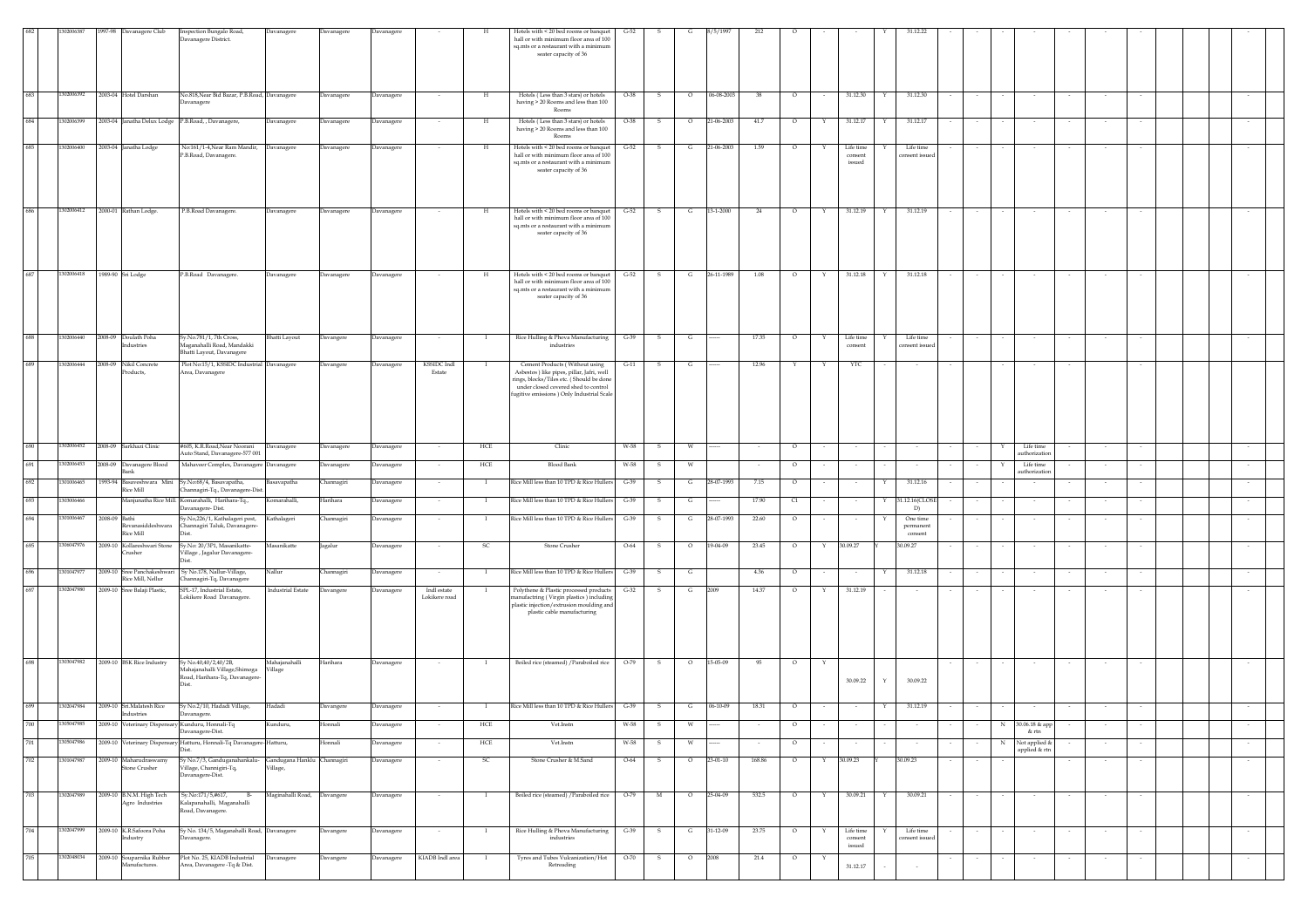|     | 02006387   | 1997-98 | Davanagere Club                                     | Inspection Bungalo Road,<br>Davanagere District.                                                        | Davanagere                  | Davanagere        | <b>Davanagere</b> |                              |                | Hotels with < 20 bed rooms or banquet<br>hall or with minimum floor area of 100<br>sq.mts or a restaurant with a minimum<br>seater capacity of 36                                                              | $G-52$   |              |                |                |        |                   |                                     |                                 |        |                  |                                   |                          |        |        |  |
|-----|------------|---------|-----------------------------------------------------|---------------------------------------------------------------------------------------------------------|-----------------------------|-------------------|-------------------|------------------------------|----------------|----------------------------------------------------------------------------------------------------------------------------------------------------------------------------------------------------------------|----------|--------------|----------------|----------------|--------|-------------------|-------------------------------------|---------------------------------|--------|------------------|-----------------------------------|--------------------------|--------|--------|--|
| 683 | 1302006392 |         | 2003-04 Hotel Darshan                               | No.818, Near Bid Bazar, P.B. Road, Davanagere<br>avanagere                                              |                             | Davanagere        | Davanagere        | $\sim$                       | H              | Hotels (Less than 3 stars) or hotels<br>having > 20 Rooms and less than 100<br>Rooms                                                                                                                           | $O-38$   | S            | $\circ$        | 06-08-2003     | 38     | $\circ$<br>$\sim$ | 31.12.30                            | 31.12.30<br>Y                   |        |                  | $\sim$                            | $\sim$                   |        |        |  |
| 684 | 1302006399 |         | 2003-04 Janatha Delux Lodge P.B.Road, , Davanagere, |                                                                                                         | avanagere                   | <b>Davanagere</b> | avanagere         |                              | Н              | Hotels (Less than 3 stars) or hotels<br>having > 20 Rooms and less than 100<br>Rooms                                                                                                                           | O-38     |              | $\circ$        | 21-06-2003     | 41.7   | $\circ$           | 31.12.17                            | 31.12.17                        |        |                  |                                   |                          |        |        |  |
| 685 | 1302006400 |         | 2003-04 Janatha Lodge                               | No:161/1-4, Near Ram Mandir, Davanagere<br>P.B.Road, Davanagere.                                        |                             | Davanagere        | Davanagere        |                              | $_{\rm H}$     | Hotels with < 20 bed rooms or banquet<br>hall or with minimum floor area of 100<br>sq.mts or a restaurant with a minimun<br>seater capacity of 36                                                              | $G-52$   | - S          | G              | 21-06-2003     | 1.59   | $\circ$<br>Y      | Life time<br>consent<br>issued      | Life time<br>onsent issue       |        |                  |                                   |                          |        |        |  |
|     | 1302006412 |         | 2000-01 Rathan Lodge.                               | P.B.Road Davanagere.                                                                                    | Davanagere                  | Davanagere        | Davanagere        |                              | н              | Hotels with < 20 bed rooms or banquet<br>hall or with minimum floor area of 100<br>sq.mts or a restaurant with a minimum<br>seater capacity of 36                                                              | G-52     | - S          | $\mathbf{G}$   | 13-1-2000      | 24     | $\circ$<br>Y      | 31.12.19                            | 31.12.19                        |        |                  |                                   |                          |        |        |  |
| 687 | 1302006418 |         | 1989-90 Sri Lodge                                   | P.B.Road Davanagere.                                                                                    | Davanagere                  | Davanagere        | Davanagere        |                              | H              | Hotels with < 20 bed rooms or banquet<br>hall or with minimum floor area of 100<br>sq.mts or a restaurant with a minimum<br>seater capacity of 36                                                              | $G - 52$ | $\mathbf{s}$ | $\mathbf{G}$   | 26-11-1989     | 1.08   | $\circ$<br>Y      | 31.12.18                            | 31.12.18<br>Y                   |        |                  |                                   |                          |        |        |  |
| 688 | 1302006440 |         | 2008-09 Doulath Poha<br>ndustries                   | Sy.No.781/1, 7th Cross,<br>.<br>Iaganahalli Road, Mandakki<br>hatti Layout, Davanagere                  | Bhatti Layout               | Davangere         | Davanagere        |                              |                | Rice Hulling & Phova Manufacturing<br>$\operatorname{industries}$                                                                                                                                              | $G-39$   | -S           | $\mathbf{G}$   |                | 17.35  | $\circ$           | Life time<br>consent                | Life time<br>onsent issue       |        |                  |                                   |                          |        |        |  |
| 689 | 302006444  |         | 2008-09 Nikil Concrete<br>Products,                 | Plot No:15/1, KSSIDC Industrial Davanagere<br>vrea, Davanagere                                          |                             | Davangere         | Davanagere        | <b>KSSIDC</b> Indl<br>Estate |                | Cement Products (Without using<br>Asbestos ) like pipes, pillar, Jafri, well<br>rings, blocks/Tiles etc. (Should be done<br>under closed covered shed to control<br>fugitive emissions ) Only Industrial Scale | $G-11$   | -S.          | G              |                | 12.96  | Y                 | YTC                                 |                                 |        |                  |                                   |                          |        |        |  |
| 690 | 1302006452 |         | 2008-09 Sarkhazi Clinic                             | #605, K.R.Road, Near Noorani<br>Auto Stand, Davanagere-577 001                                          | Davanagere                  | Davanagere        | Davanagere        |                              | HCE            | Clinic                                                                                                                                                                                                         | W-58     | S.           | W              |                |        | $\circ$           |                                     |                                 |        |                  | Life time<br>authorization        |                          |        |        |  |
| 691 | 302006453  | 2008-09 | Davanagere Blood<br>Bank                            | Mahaveer Complex, Davanagere Davanagere                                                                 |                             | Davanagere        | Davanagere        |                              | HCE            | <b>Blood Bank</b>                                                                                                                                                                                              | W-58     |              | W              |                |        | $\circ$           |                                     |                                 |        |                  | Life time<br>authorization        |                          |        |        |  |
| 692 | 1301006465 | 1993-94 | Basaveshwara Mini<br>Rice Mill                      | Sy.No:68/4, Basavapatha,<br>hannagiri-Tq., Davanagere-Dist                                              | kasavapatha                 | Channagiri        | <b>Davanagere</b> |                              |                | Rice Mill less than 10 TPD & Rice Hullers                                                                                                                                                                      | $G-39$   |              | G              | 28-07-1993     | 7.15   | $\circ$           |                                     | 31.12.16                        |        |                  |                                   |                          |        |        |  |
|     | 1303006466 |         |                                                     | Manjunatha Rice Mill. Komarahalli, Harihara-Tq.,<br>avanagere-Dist.                                     | omarahalli,                 | Harihara          | <b>Javanagere</b> |                              |                | Rice Mill less than 10 TPD & Rice Hullers                                                                                                                                                                      | $G-39$   |              | G              |                | 17.90  | C1                |                                     | \$1.12.16(CLOSE<br>D)           |        |                  |                                   |                          |        |        |  |
|     | 1301006467 |         | 2008-09 Bathi<br>Revanasiddeshwara<br>Rice Mill     | v.No,226/1, Kathalageri post,<br>Channagiri Taluk, Davanagere-                                          | Kathalageri                 | <b>Channagiri</b> | Davanagere        |                              |                | Rice Mill less than 10 TPD & Rice Hullers                                                                                                                                                                      | $G-39$   |              | G              | 28-07-1993     | 22.60  | $\circ$           |                                     | One time<br>permanen<br>consent |        |                  |                                   |                          |        |        |  |
|     | 306047976  |         | 2009-10 Kollareshwari Stone<br>Tusher               | Sy.No: 20/3P1, Masanikatte-<br>'illage, Jagalur Davanagere-                                             | Masanikatte                 | Jagalur           | Davanagere        |                              | -SC            | Stone Crusher                                                                                                                                                                                                  | $O-64$   | <b>S</b>     | $\circ$        | 19-04-09       | 23.45  | $\circ$<br>Y      | 30.09.27                            | 30.09.27                        |        |                  |                                   | $\overline{\phantom{a}}$ |        |        |  |
| 696 | 1301047977 |         | Rice Mill, Nellur                                   | 2009-10 Sree Panchakeshwari Sy No.178, Nallur-Village,<br>Channagiri-Tq, Davanagere                     | Nallur                      | Channagiri        | Davanagere        |                              | $\blacksquare$ | Rice Mill less than 10 TPD & Rice Hullers                                                                                                                                                                      | $G-39$   | -S           | G              |                | 4.36   | $\circ$           |                                     | 31.12.18                        |        |                  |                                   |                          |        |        |  |
| 69  | 1302047980 |         | 2009-10 Sree Balaji Plastic,                        | SPL-17, Industrial Estate,<br>Lokikere Road Davanagere.                                                 | <b>Industrial Estate</b>    | Davangere         | Davanagere        | Indl estate<br>Lokikere road |                | Polythene & Plastic processed products<br>nanufactring (Virgin plastics) including<br>plastic injection/extrusion moulding and<br>plastic cable manufacturing                                                  | $G-32$   | -S           | G              |                | 14.37  | $\circ$           | 31.12.19                            |                                 |        |                  |                                   |                          |        |        |  |
| 698 | 1303047982 |         | 2009-10 BSK Rice Industry                           | Sy No.40,40/2,40/2B,<br>,<br>Aahajanahalli Village,Shimoga<br>Road, Harihara-Tq, Davanagere-            | Mahajanahalli<br>Village    | Harihara          | Davanagere        |                              |                | Boiled rice (steamed) / Paraboiled rice                                                                                                                                                                        | $O-79$   | S.           | $\circ$        | 15-05-09       | 95     | $\circ$<br>Y      | 30.09.22                            | 30.09.22<br>$\mathbf{Y}$        |        |                  |                                   |                          |        |        |  |
|     | 1302047984 |         | 2009-10 Sri.Malatesh Rice<br>Industries             | Sy No.2/10, Hadadi Village,<br>Javanagere.                                                              | Hadadi                      | Davangere         | Davanagere        |                              | - 1            | Rice Mill less than 10 TPD & Rice Hullers G-39                                                                                                                                                                 |          | $\mathbf{s}$ | G              | $06 - 10 - 09$ | 18.31  | $\circ$           |                                     | 31.12.19                        |        |                  |                                   |                          |        |        |  |
|     | 1305047985 |         | 2009-10 Veterinary Dispensary Kunduru, Honnali-Tq   | Davanagere-Dist.                                                                                        | Kunduru,                    | Honnali           | Davanagere        |                              | HCE            | Vet.Instn                                                                                                                                                                                                      | W-58     |              | W              |                |        | $\circ$           |                                     |                                 |        |                  | 30.06.18 & app<br>& rtn           |                          |        |        |  |
| 701 | 1305047986 |         |                                                     | 2009-10 Veterinary Dispensary Hatturu, Honnali-Tq Davanagere-Hatturu,<br>Dist                           |                             | Honnali           | Davanagere        |                              | HCE            | Vet.Instn                                                                                                                                                                                                      | W-58     | $\mathbf{s}$ | W              |                |        | $\circ$<br>$\sim$ | $\sim$                              |                                 |        | N                | Not applied $\&$<br>applied & rtn | $\sim$                   | $\sim$ |        |  |
| 702 | 1301047987 |         | 2009-10 Maharudraswamy<br>Stone Crusher             | Sy No.7/3, Ganduganahankalu- Gandugana Hanklu Channagiri<br>Village, Channigiri-Tq.<br>Davanagere-Dist. | Village,                    |                   | Davanagere        | $\sim$                       | SC.            | Stone Crusher & M.Sand                                                                                                                                                                                         | $O-64$   | $\mathbf{s}$ | $\circ$        | 23-01-10       | 168.86 | $\circ$<br>Y      | 30.09.23                            | 30.09.23                        | $\sim$ | $\sim$<br>$\sim$ |                                   | $\sim$ $\sim$            | $\sim$ | $\sim$ |  |
| 703 | 1302047989 |         | 2009-10 B.N.M. High Tech<br>Agro Industries         | Sy.No:171/5,#617, B-<br>Kalapanahalli, Maganahalli<br>Road, Davanagere.                                 | Maginahalli Road, Davangere |                   | Davanagere        |                              | $\mathbf{I}$   | Boiled rice (steamed) / Paraboiled rice 0-79                                                                                                                                                                   |          | M            | $\overline{0}$ | 25-04-09       | 532.5  | $\circ$<br>Y      | 30.09.21                            | 30.09.21<br>Y                   |        |                  |                                   | $\sim$                   | $\sim$ |        |  |
| 704 | 1302047999 |         | 2009-10 K.R.Safoora Poha<br>Industry                | Sy No. 134/5, Maganahalli Road, Davanagere<br>Davanagere.                                               |                             | Davangere         | Davanagere        | $\sim$                       | $\mathbf{I}$   | Rice Hulling & Phova Manufacturing<br>industries                                                                                                                                                               | $G-39$   | $\mathbf{s}$ | $\mathbf{G}$   | 31-12-09       | 23.75  | $\circ$<br>Y      | Life time<br>$\,$ consent<br>issued | Life time<br>onsent issued      |        |                  |                                   | $\sim$                   | $\sim$ |        |  |
| 705 | 1302048034 |         | 2009-10 Souparnika Rubber<br>Manufactures.          | Plot No. 25, KIADB Industrial<br>Area, Davanagere -Tq & Dist.                                           | Davanagere                  | Davangere         | avanagere         | KIADB Indl area              |                | Tyres and Tubes Vulcanization/Hot<br>Retreading                                                                                                                                                                | $O-70$   | S.           | $\circ$        | 2008           | 21.4   | $\circ$           | 31.12.17                            |                                 |        |                  |                                   |                          |        |        |  |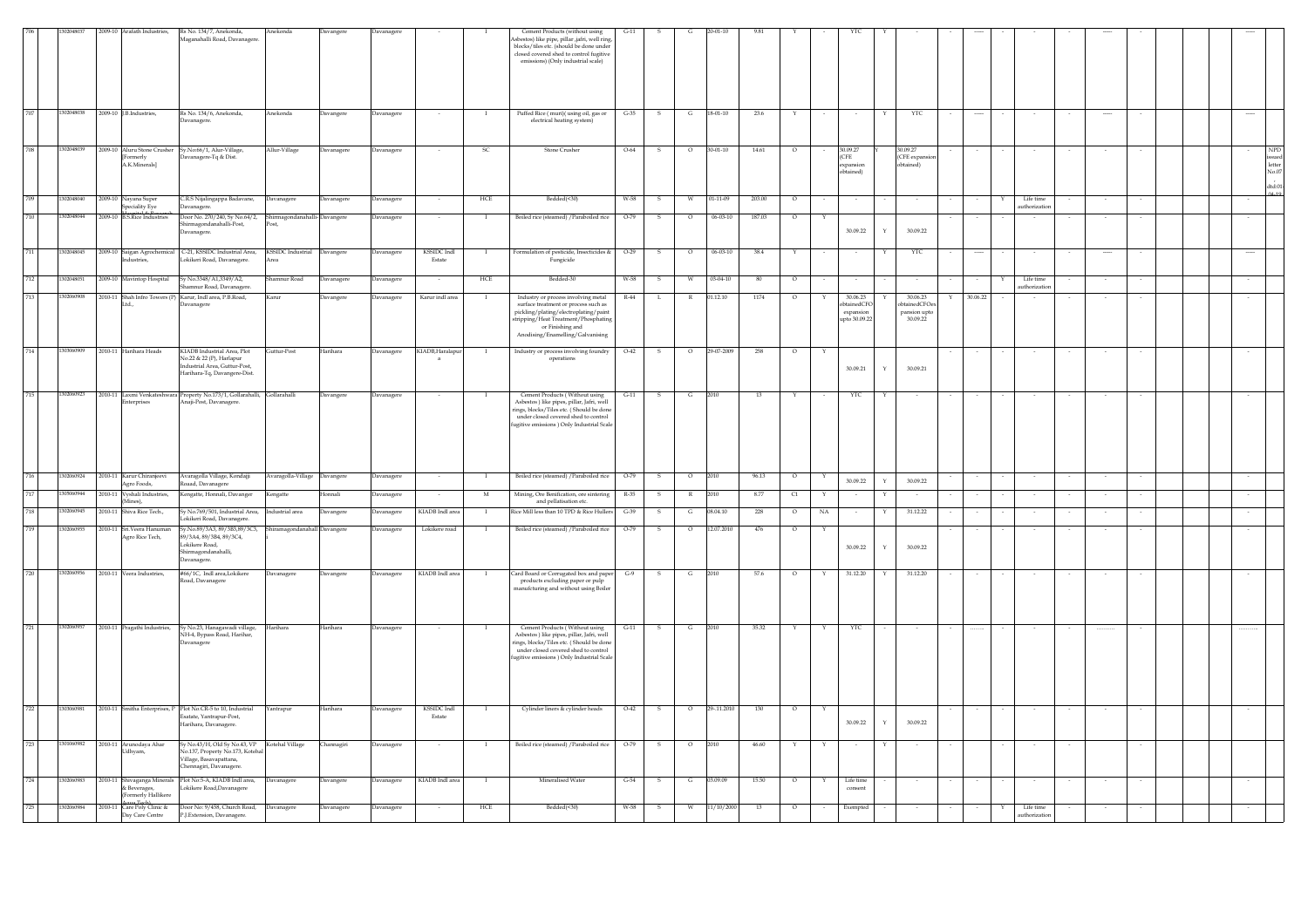| 302048038<br>2009-10 J.B.Industries,<br>Rs No. 134/6, Anekonda,<br>Anekonda<br>Puffed Rice (muri)(using oil, gas or<br>$G-35$<br>18-01-10<br>23.6<br>Davangere<br><b>Javanagere</b><br>YTC<br>G<br>electrical heating system)<br>vanagere<br>708<br>1302048039<br>2009-10 Aluru Stone Crusher<br>Sy.No:66/1, Alur-Village<br>Allur-Village<br>Davanagere<br>Davanagere<br><b>SC</b><br>Stone Crusher<br>$O-64$<br>S<br>$\circ$<br>$30 - 01 - 10$<br>14.61<br>$\circ$<br>30.09.27<br>30.09.27<br>$\sim$<br>avanagere-Tq & Dist.<br>(CFE<br>(CFE expans<br><b>[Formerly</b><br>A.K.Minerals]<br>expansion<br>btained)<br>obtained)<br>$0.4 - 10$<br>HCE<br>Bedded(<30)<br>709<br>1302048040<br>2009-10 Nayana Super<br>R.S Nijalingappa Badavane,<br>W-58<br>$01 - 11 - 09$<br>203.00<br>Life time<br>Davanagere<br>Davanagere<br><b>Javanagere</b><br>W<br>-S<br>$\circ$<br>$\sim$<br>Speciality Eye<br><b>ithorization</b><br>vanagere<br>2009-10 B.S.Rice Industries<br>710<br>Door No. 270/240, Sy No.64/2,<br>Boiled rice (steamed) / Paraboiled rice<br>187.03<br>Davangere<br>$O-79$<br>$06 - 03 - 10$<br>2048044<br>hirmagondanahal<br>vanagere<br>iirmagondanahalli-Post,<br>Post<br>30.09.22<br>$\mathbf Y$<br>30.09.22<br>Davanagere.<br>711<br>1302048045<br>2009-10 Saigan Agrochemical C-21, KSSIDC Industrial Area, KSSIDC Industrial Davangere<br><b>KSSIDC</b> Indl<br>$O-29$<br>$06 - 03 - 10$<br>Formulation of pesticide, Insecticides &<br>YTC<br>S<br>38.4<br>Davanagere<br>$\mathbf{I}$<br>$\circ$<br>Y<br>$\sim$<br>Y<br>$\cdots$<br>$\cdots$<br>$\cdots$<br>okikeri Road, Davanagere.<br>Estate<br>Fungicide<br>dustries,<br>Area<br>712<br>302048051<br>Bedded-30<br>2009-10 Mavintop Hospital<br>Sy No.3348/A1.3349/A2.<br>HCE<br>hamnur Road<br>$03 - 04 - 10$<br>Davanagere<br>avanager<br>W-58<br>Life time<br>80<br>$\circ$<br>amnur Road, Davanagere<br>authorization<br>713<br>2010-11 Shah Infro Towers (P) Karur, Indl area, P.B.Road,<br>30.06.23<br>102060908<br>Karur indl area<br>01.12.10<br>30.06.23<br>Industry or process involving metal<br>$R-44$<br>1174<br>30.06.22<br><b>Carur</b><br>Davangere<br>avanagere<br>$\mathbf{I}$<br>$\circ$<br>L<br>R<br>dainedCFOe<br>Ltd.,<br>surface treatment or process such as<br>btainedCFC<br>avanagere<br>pickling/plating/electroplating/paint<br>pansion upto<br>expansion<br>300922<br>stripping/Heat Treatment/Phosphating<br>upto 30.09.22<br>or Finishing and<br>Anodising/Enamelling/Galvanising<br>714<br>1303060909<br>2010-11 Harihara Heads<br>KIADB Industrial Area, Plot<br>Guttur-Post<br>Harihara<br>Davanagere<br>KIADB, Haralapu<br>Industry or process involving foundry<br>$O-42$<br>$\mathbf{s}$<br>$\circ$<br>29-07-2009<br>258<br>$\circ$<br>$\mathbf{I}$<br>$\mathbf{Y}$<br>No.22 & 22 (P), Harlapur<br>operations<br>a<br>Industrial Area, Guttur-Post,<br>30.09.21<br>Y<br>30.09.21<br>Harihara-Tq, Davangere-Dist.<br>715<br>1302060923<br>2010-11 Laxmi Venkateshwara Property No.173/1, Gollarahalli, Gollarahalli<br>YTC<br>Davangere<br>Davanagere<br>Cement Products (Without using<br>$G-11$<br>2010<br>13<br>s<br>G<br>Y<br>- 1<br>naji-Post, Davanagere.<br>Asbestos) like pipes, pillar, Jafri, well<br>aterprises<br>rings, blocks/Tiles etc. (Should be done<br>under closed covered shed to control<br>fugitive emissions ) Only Industrial Scale<br>716<br>302060924<br>2010-11 Karur Chiranjeev<br>Avaragolla Village, Kondajji<br>Avaragolla-Village Davangere<br><b>Javanagere</b><br>Boiled rice (steamed) / Paraboiled rice<br>$O-79$<br>2010<br>96.13<br>$\circ$<br>30.09.22<br>$\vee$<br>30.09.22<br>Agro Foods,<br>Roaad, Davanagere<br>2010-11 Vyshali Industries.<br>Kengatte, Honnali, Davanger<br>Mining, Ore Benification, ore sintering<br>.<br>engatte<br>Ionnali<br><b>Javanagere</b><br>$_{\rm M}$<br>R-35<br>8.77<br>C1<br>6060944<br>s<br>(Mines),<br>and pellatisation etc.<br>718<br>302060945<br>2010-11 Shiva Rice Tech.,<br>Sy No.769/501, Industrial Area,<br>KIADB Indl area<br>Rice Mill less than 10 TPD & Rice Hullers<br>$G-39$<br>08.04.10<br>228<br>NA<br>31.12.22<br>dustrial area<br>Davangere<br>avanagere<br>$\overline{O}$<br>G<br>.<br>okikeri Road, Davanagere.<br>710<br>y.No.89/3A3, 89/3B3,89/3C3,<br>302060955<br>2010-11 Sri.Veera Hani<br>hiramagondanahall Davangere<br><b>Javanagere</b><br>Lokikere road<br>Boiled rice (steamed) / Paraboiled rice<br>$O-79$<br>12.07.2010<br>476<br>$\circ$<br>Agro Rice Tech,<br>39/3A4, 89/3B4, 89/3C4,<br>okikere Road.<br>30.09.22<br>30.09.22<br>$\mathbf{Y}$<br>Shirmagondanahalli<br>avanagere.<br>720<br>1302060956<br>2010-11 Veera Industries,<br>#66/1C, Indl area,Lokikere<br>KIADB Indl area<br>31.12.20<br>31.12.20<br>Card Board or Corrugated box and paper<br>57.6<br>Davanagere<br>Davanagere<br>$G-9$<br>2010<br>Davangere<br>$\mathbf{I}$<br>S.<br>G<br>$\circ$<br>Y<br>Y<br>$\sim$<br>products excluding paper or pulp<br>load, Davanagere<br>anufcturing and without using Boiler<br>721<br>1302060957<br>2010-11 Pragathi Industries,<br>Sy No.23, Hanagawadi village,<br>Harihara<br>Harihara<br>Davanagere<br>Cement Products (Without using<br>$G-11$<br>G<br>2010<br>35.32<br>YTC<br>$\,$ s<br>Y<br>Y<br>NH-4, Bypass Road, Harihar,<br>Asbestos ) like pipes, pillar, Jafri, well<br>rings, blocks/Tiles etc. (Should be done<br>Davanagere<br>under closed covered shed to control<br>fugitive emissions ) Only Industrial Scale<br>722<br>1303060981<br>2010-11 Smitha Enterprises, P Plot No.CR-5 to 10, Industrial<br>Yantrapur<br>Harihara<br>Davanagere<br><b>KSSIDC</b> Indl<br>Cylinder liners & cylinder heads<br>$O-42$<br>$\mathbf{s}$<br>$\circ$<br>29-.11.2010<br>130<br>$\circ$<br>$\blacksquare$<br>Estate<br>Esatate, Yantrapur-Post,<br>30.09.22<br>30.09.22<br>$\mathbf{Y}$<br>Harihara, Davanagere.<br>723<br>1301060982<br>2010-11 Arunodaya Ahar<br>iy No.43/H, Old Sy No.43, VP<br>Kotehal Village<br>Channagiri<br>Davanagere<br>Boiled rice (steamed) / Paraboiled rice<br>$O-79$<br>2010<br>46.60<br>s<br>$\circ$<br>Udhyam,<br>No.137, Property No.173, Kotehal<br>/illage, Basavapattana,<br>ennagiri, Davanagere.<br>Plot No:5-A, KIADB Indl area,<br>KIADB Indl area<br>Mineralised Water<br>724<br>1302060983<br>2010-11 Shivaganga Minerals<br><b>Davanagere</b><br>Davangere<br><b>Davanagere</b><br>$G-54$<br>13.09.09<br>15.50<br>Life time<br>$\blacksquare$<br>s<br>G<br>$\Omega$<br>& Beverages,<br>okikere Road, Davanagere<br>consent<br>ormerly Hallikere<br>o To<br>725<br>1302060984<br>2010-11 Care Poly Clinic &<br>Door No: 9/458, Church Road,<br>Davanagere<br><b>Javanagere</b><br>HCE<br>Bedded(<30)<br>W-58<br>W<br>11/10/2000<br>13<br>$\circ$<br>Exempted<br>Life time<br>Davanagere<br>s<br>Day Care Centre<br>P.J.Extension, Davanagere.<br>uthorizatio |  | 1009-10<br>rafath Industries, | Rs No. 134/7, Anekonda,<br>laganahalli Road, Davanagere | unekonda | Javangere | avanager |  | Cement Products (without using<br>sbestos) like pipe, pillar ,jafri, well ring,<br>blocks/tiles etc. (should be done under<br>closed covered shed to control fugitive<br>emissions) (Only industrial scale) |  |  |  |  |  |  |  |  |  |                                                  |
|-------------------------------------------------------------------------------------------------------------------------------------------------------------------------------------------------------------------------------------------------------------------------------------------------------------------------------------------------------------------------------------------------------------------------------------------------------------------------------------------------------------------------------------------------------------------------------------------------------------------------------------------------------------------------------------------------------------------------------------------------------------------------------------------------------------------------------------------------------------------------------------------------------------------------------------------------------------------------------------------------------------------------------------------------------------------------------------------------------------------------------------------------------------------------------------------------------------------------------------------------------------------------------------------------------------------------------------------------------------------------------------------------------------------------------------------------------------------------------------------------------------------------------------------------------------------------------------------------------------------------------------------------------------------------------------------------------------------------------------------------------------------------------------------------------------------------------------------------------------------------------------------------------------------------------------------------------------------------------------------------------------------------------------------------------------------------------------------------------------------------------------------------------------------------------------------------------------------------------------------------------------------------------------------------------------------------------------------------------------------------------------------------------------------------------------------------------------------------------------------------------------------------------------------------------------------------------------------------------------------------------------------------------------------------------------------------------------------------------------------------------------------------------------------------------------------------------------------------------------------------------------------------------------------------------------------------------------------------------------------------------------------------------------------------------------------------------------------------------------------------------------------------------------------------------------------------------------------------------------------------------------------------------------------------------------------------------------------------------------------------------------------------------------------------------------------------------------------------------------------------------------------------------------------------------------------------------------------------------------------------------------------------------------------------------------------------------------------------------------------------------------------------------------------------------------------------------------------------------------------------------------------------------------------------------------------------------------------------------------------------------------------------------------------------------------------------------------------------------------------------------------------------------------------------------------------------------------------------------------------------------------------------------------------------------------------------------------------------------------------------------------------------------------------------------------------------------------------------------------------------------------------------------------------------------------------------------------------------------------------------------------------------------------------------------------------------------------------------------------------------------------------------------------------------------------------------------------------------------------------------------------------------------------------------------------------------------------------------------------------------------------------------------------------------------------------------------------------------------------------------------------------------------------------------------------------------------------------------------------------------------------------------------------------------------------------------------------------------------------------------------------------------------------------------------------------------------------------------------------------------------------------------------------------------------------------------------------------------------------------------------------------------------------------------------------------------------------------------------------------------------------------------------------------------------------------------------------------------------------------------------------------------------------------------------------------------------------------------------------------------------------------------------------------------------------------------------------------------------------------------------------------------------------------------------------------------------------------------------------------------------------------------------------------------------------------------------------------------------------------------------------------------------------------------------------------------------------------------------------------------------------------------------------------------------------------------------------------------------------------------------------------------------------------------------------------------------------------------------------------------------------------------------------------------------------------------------------------------------|--|-------------------------------|---------------------------------------------------------|----------|-----------|----------|--|-------------------------------------------------------------------------------------------------------------------------------------------------------------------------------------------------------------|--|--|--|--|--|--|--|--|--|--------------------------------------------------|
|                                                                                                                                                                                                                                                                                                                                                                                                                                                                                                                                                                                                                                                                                                                                                                                                                                                                                                                                                                                                                                                                                                                                                                                                                                                                                                                                                                                                                                                                                                                                                                                                                                                                                                                                                                                                                                                                                                                                                                                                                                                                                                                                                                                                                                                                                                                                                                                                                                                                                                                                                                                                                                                                                                                                                                                                                                                                                                                                                                                                                                                                                                                                                                                                                                                                                                                                                                                                                                                                                                                                                                                                                                                                                                                                                                                                                                                                                                                                                                                                                                                                                                                                                                                                                                                                                                                                                                                                                                                                                                                                                                                                                                                                                                                                                                                                                                                                                                                                                                                                                                                                                                                                                                                                                                                                                                                                                                                                                                                                                                                                                                                                                                                                                                                                                                                                                                                                                                                                                                                                                                                                                                                                                                                                                                                                                                                                                                                                                                                                                                                                                                                                                                                                                                                                                                                                                                                       |  |                               |                                                         |          |           |          |  |                                                                                                                                                                                                             |  |  |  |  |  |  |  |  |  |                                                  |
|                                                                                                                                                                                                                                                                                                                                                                                                                                                                                                                                                                                                                                                                                                                                                                                                                                                                                                                                                                                                                                                                                                                                                                                                                                                                                                                                                                                                                                                                                                                                                                                                                                                                                                                                                                                                                                                                                                                                                                                                                                                                                                                                                                                                                                                                                                                                                                                                                                                                                                                                                                                                                                                                                                                                                                                                                                                                                                                                                                                                                                                                                                                                                                                                                                                                                                                                                                                                                                                                                                                                                                                                                                                                                                                                                                                                                                                                                                                                                                                                                                                                                                                                                                                                                                                                                                                                                                                                                                                                                                                                                                                                                                                                                                                                                                                                                                                                                                                                                                                                                                                                                                                                                                                                                                                                                                                                                                                                                                                                                                                                                                                                                                                                                                                                                                                                                                                                                                                                                                                                                                                                                                                                                                                                                                                                                                                                                                                                                                                                                                                                                                                                                                                                                                                                                                                                                                                       |  |                               |                                                         |          |           |          |  |                                                                                                                                                                                                             |  |  |  |  |  |  |  |  |  | <b>NPD</b><br>$\mbox{letter}$<br>No.07<br>dtd:01 |
|                                                                                                                                                                                                                                                                                                                                                                                                                                                                                                                                                                                                                                                                                                                                                                                                                                                                                                                                                                                                                                                                                                                                                                                                                                                                                                                                                                                                                                                                                                                                                                                                                                                                                                                                                                                                                                                                                                                                                                                                                                                                                                                                                                                                                                                                                                                                                                                                                                                                                                                                                                                                                                                                                                                                                                                                                                                                                                                                                                                                                                                                                                                                                                                                                                                                                                                                                                                                                                                                                                                                                                                                                                                                                                                                                                                                                                                                                                                                                                                                                                                                                                                                                                                                                                                                                                                                                                                                                                                                                                                                                                                                                                                                                                                                                                                                                                                                                                                                                                                                                                                                                                                                                                                                                                                                                                                                                                                                                                                                                                                                                                                                                                                                                                                                                                                                                                                                                                                                                                                                                                                                                                                                                                                                                                                                                                                                                                                                                                                                                                                                                                                                                                                                                                                                                                                                                                                       |  |                               |                                                         |          |           |          |  |                                                                                                                                                                                                             |  |  |  |  |  |  |  |  |  |                                                  |
|                                                                                                                                                                                                                                                                                                                                                                                                                                                                                                                                                                                                                                                                                                                                                                                                                                                                                                                                                                                                                                                                                                                                                                                                                                                                                                                                                                                                                                                                                                                                                                                                                                                                                                                                                                                                                                                                                                                                                                                                                                                                                                                                                                                                                                                                                                                                                                                                                                                                                                                                                                                                                                                                                                                                                                                                                                                                                                                                                                                                                                                                                                                                                                                                                                                                                                                                                                                                                                                                                                                                                                                                                                                                                                                                                                                                                                                                                                                                                                                                                                                                                                                                                                                                                                                                                                                                                                                                                                                                                                                                                                                                                                                                                                                                                                                                                                                                                                                                                                                                                                                                                                                                                                                                                                                                                                                                                                                                                                                                                                                                                                                                                                                                                                                                                                                                                                                                                                                                                                                                                                                                                                                                                                                                                                                                                                                                                                                                                                                                                                                                                                                                                                                                                                                                                                                                                                                       |  |                               |                                                         |          |           |          |  |                                                                                                                                                                                                             |  |  |  |  |  |  |  |  |  |                                                  |
|                                                                                                                                                                                                                                                                                                                                                                                                                                                                                                                                                                                                                                                                                                                                                                                                                                                                                                                                                                                                                                                                                                                                                                                                                                                                                                                                                                                                                                                                                                                                                                                                                                                                                                                                                                                                                                                                                                                                                                                                                                                                                                                                                                                                                                                                                                                                                                                                                                                                                                                                                                                                                                                                                                                                                                                                                                                                                                                                                                                                                                                                                                                                                                                                                                                                                                                                                                                                                                                                                                                                                                                                                                                                                                                                                                                                                                                                                                                                                                                                                                                                                                                                                                                                                                                                                                                                                                                                                                                                                                                                                                                                                                                                                                                                                                                                                                                                                                                                                                                                                                                                                                                                                                                                                                                                                                                                                                                                                                                                                                                                                                                                                                                                                                                                                                                                                                                                                                                                                                                                                                                                                                                                                                                                                                                                                                                                                                                                                                                                                                                                                                                                                                                                                                                                                                                                                                                       |  |                               |                                                         |          |           |          |  |                                                                                                                                                                                                             |  |  |  |  |  |  |  |  |  |                                                  |
|                                                                                                                                                                                                                                                                                                                                                                                                                                                                                                                                                                                                                                                                                                                                                                                                                                                                                                                                                                                                                                                                                                                                                                                                                                                                                                                                                                                                                                                                                                                                                                                                                                                                                                                                                                                                                                                                                                                                                                                                                                                                                                                                                                                                                                                                                                                                                                                                                                                                                                                                                                                                                                                                                                                                                                                                                                                                                                                                                                                                                                                                                                                                                                                                                                                                                                                                                                                                                                                                                                                                                                                                                                                                                                                                                                                                                                                                                                                                                                                                                                                                                                                                                                                                                                                                                                                                                                                                                                                                                                                                                                                                                                                                                                                                                                                                                                                                                                                                                                                                                                                                                                                                                                                                                                                                                                                                                                                                                                                                                                                                                                                                                                                                                                                                                                                                                                                                                                                                                                                                                                                                                                                                                                                                                                                                                                                                                                                                                                                                                                                                                                                                                                                                                                                                                                                                                                                       |  |                               |                                                         |          |           |          |  |                                                                                                                                                                                                             |  |  |  |  |  |  |  |  |  |                                                  |
|                                                                                                                                                                                                                                                                                                                                                                                                                                                                                                                                                                                                                                                                                                                                                                                                                                                                                                                                                                                                                                                                                                                                                                                                                                                                                                                                                                                                                                                                                                                                                                                                                                                                                                                                                                                                                                                                                                                                                                                                                                                                                                                                                                                                                                                                                                                                                                                                                                                                                                                                                                                                                                                                                                                                                                                                                                                                                                                                                                                                                                                                                                                                                                                                                                                                                                                                                                                                                                                                                                                                                                                                                                                                                                                                                                                                                                                                                                                                                                                                                                                                                                                                                                                                                                                                                                                                                                                                                                                                                                                                                                                                                                                                                                                                                                                                                                                                                                                                                                                                                                                                                                                                                                                                                                                                                                                                                                                                                                                                                                                                                                                                                                                                                                                                                                                                                                                                                                                                                                                                                                                                                                                                                                                                                                                                                                                                                                                                                                                                                                                                                                                                                                                                                                                                                                                                                                                       |  |                               |                                                         |          |           |          |  |                                                                                                                                                                                                             |  |  |  |  |  |  |  |  |  |                                                  |
|                                                                                                                                                                                                                                                                                                                                                                                                                                                                                                                                                                                                                                                                                                                                                                                                                                                                                                                                                                                                                                                                                                                                                                                                                                                                                                                                                                                                                                                                                                                                                                                                                                                                                                                                                                                                                                                                                                                                                                                                                                                                                                                                                                                                                                                                                                                                                                                                                                                                                                                                                                                                                                                                                                                                                                                                                                                                                                                                                                                                                                                                                                                                                                                                                                                                                                                                                                                                                                                                                                                                                                                                                                                                                                                                                                                                                                                                                                                                                                                                                                                                                                                                                                                                                                                                                                                                                                                                                                                                                                                                                                                                                                                                                                                                                                                                                                                                                                                                                                                                                                                                                                                                                                                                                                                                                                                                                                                                                                                                                                                                                                                                                                                                                                                                                                                                                                                                                                                                                                                                                                                                                                                                                                                                                                                                                                                                                                                                                                                                                                                                                                                                                                                                                                                                                                                                                                                       |  |                               |                                                         |          |           |          |  |                                                                                                                                                                                                             |  |  |  |  |  |  |  |  |  |                                                  |
|                                                                                                                                                                                                                                                                                                                                                                                                                                                                                                                                                                                                                                                                                                                                                                                                                                                                                                                                                                                                                                                                                                                                                                                                                                                                                                                                                                                                                                                                                                                                                                                                                                                                                                                                                                                                                                                                                                                                                                                                                                                                                                                                                                                                                                                                                                                                                                                                                                                                                                                                                                                                                                                                                                                                                                                                                                                                                                                                                                                                                                                                                                                                                                                                                                                                                                                                                                                                                                                                                                                                                                                                                                                                                                                                                                                                                                                                                                                                                                                                                                                                                                                                                                                                                                                                                                                                                                                                                                                                                                                                                                                                                                                                                                                                                                                                                                                                                                                                                                                                                                                                                                                                                                                                                                                                                                                                                                                                                                                                                                                                                                                                                                                                                                                                                                                                                                                                                                                                                                                                                                                                                                                                                                                                                                                                                                                                                                                                                                                                                                                                                                                                                                                                                                                                                                                                                                                       |  |                               |                                                         |          |           |          |  |                                                                                                                                                                                                             |  |  |  |  |  |  |  |  |  |                                                  |
|                                                                                                                                                                                                                                                                                                                                                                                                                                                                                                                                                                                                                                                                                                                                                                                                                                                                                                                                                                                                                                                                                                                                                                                                                                                                                                                                                                                                                                                                                                                                                                                                                                                                                                                                                                                                                                                                                                                                                                                                                                                                                                                                                                                                                                                                                                                                                                                                                                                                                                                                                                                                                                                                                                                                                                                                                                                                                                                                                                                                                                                                                                                                                                                                                                                                                                                                                                                                                                                                                                                                                                                                                                                                                                                                                                                                                                                                                                                                                                                                                                                                                                                                                                                                                                                                                                                                                                                                                                                                                                                                                                                                                                                                                                                                                                                                                                                                                                                                                                                                                                                                                                                                                                                                                                                                                                                                                                                                                                                                                                                                                                                                                                                                                                                                                                                                                                                                                                                                                                                                                                                                                                                                                                                                                                                                                                                                                                                                                                                                                                                                                                                                                                                                                                                                                                                                                                                       |  |                               |                                                         |          |           |          |  |                                                                                                                                                                                                             |  |  |  |  |  |  |  |  |  |                                                  |
|                                                                                                                                                                                                                                                                                                                                                                                                                                                                                                                                                                                                                                                                                                                                                                                                                                                                                                                                                                                                                                                                                                                                                                                                                                                                                                                                                                                                                                                                                                                                                                                                                                                                                                                                                                                                                                                                                                                                                                                                                                                                                                                                                                                                                                                                                                                                                                                                                                                                                                                                                                                                                                                                                                                                                                                                                                                                                                                                                                                                                                                                                                                                                                                                                                                                                                                                                                                                                                                                                                                                                                                                                                                                                                                                                                                                                                                                                                                                                                                                                                                                                                                                                                                                                                                                                                                                                                                                                                                                                                                                                                                                                                                                                                                                                                                                                                                                                                                                                                                                                                                                                                                                                                                                                                                                                                                                                                                                                                                                                                                                                                                                                                                                                                                                                                                                                                                                                                                                                                                                                                                                                                                                                                                                                                                                                                                                                                                                                                                                                                                                                                                                                                                                                                                                                                                                                                                       |  |                               |                                                         |          |           |          |  |                                                                                                                                                                                                             |  |  |  |  |  |  |  |  |  |                                                  |
|                                                                                                                                                                                                                                                                                                                                                                                                                                                                                                                                                                                                                                                                                                                                                                                                                                                                                                                                                                                                                                                                                                                                                                                                                                                                                                                                                                                                                                                                                                                                                                                                                                                                                                                                                                                                                                                                                                                                                                                                                                                                                                                                                                                                                                                                                                                                                                                                                                                                                                                                                                                                                                                                                                                                                                                                                                                                                                                                                                                                                                                                                                                                                                                                                                                                                                                                                                                                                                                                                                                                                                                                                                                                                                                                                                                                                                                                                                                                                                                                                                                                                                                                                                                                                                                                                                                                                                                                                                                                                                                                                                                                                                                                                                                                                                                                                                                                                                                                                                                                                                                                                                                                                                                                                                                                                                                                                                                                                                                                                                                                                                                                                                                                                                                                                                                                                                                                                                                                                                                                                                                                                                                                                                                                                                                                                                                                                                                                                                                                                                                                                                                                                                                                                                                                                                                                                                                       |  |                               |                                                         |          |           |          |  |                                                                                                                                                                                                             |  |  |  |  |  |  |  |  |  |                                                  |
|                                                                                                                                                                                                                                                                                                                                                                                                                                                                                                                                                                                                                                                                                                                                                                                                                                                                                                                                                                                                                                                                                                                                                                                                                                                                                                                                                                                                                                                                                                                                                                                                                                                                                                                                                                                                                                                                                                                                                                                                                                                                                                                                                                                                                                                                                                                                                                                                                                                                                                                                                                                                                                                                                                                                                                                                                                                                                                                                                                                                                                                                                                                                                                                                                                                                                                                                                                                                                                                                                                                                                                                                                                                                                                                                                                                                                                                                                                                                                                                                                                                                                                                                                                                                                                                                                                                                                                                                                                                                                                                                                                                                                                                                                                                                                                                                                                                                                                                                                                                                                                                                                                                                                                                                                                                                                                                                                                                                                                                                                                                                                                                                                                                                                                                                                                                                                                                                                                                                                                                                                                                                                                                                                                                                                                                                                                                                                                                                                                                                                                                                                                                                                                                                                                                                                                                                                                                       |  |                               |                                                         |          |           |          |  |                                                                                                                                                                                                             |  |  |  |  |  |  |  |  |  |                                                  |
|                                                                                                                                                                                                                                                                                                                                                                                                                                                                                                                                                                                                                                                                                                                                                                                                                                                                                                                                                                                                                                                                                                                                                                                                                                                                                                                                                                                                                                                                                                                                                                                                                                                                                                                                                                                                                                                                                                                                                                                                                                                                                                                                                                                                                                                                                                                                                                                                                                                                                                                                                                                                                                                                                                                                                                                                                                                                                                                                                                                                                                                                                                                                                                                                                                                                                                                                                                                                                                                                                                                                                                                                                                                                                                                                                                                                                                                                                                                                                                                                                                                                                                                                                                                                                                                                                                                                                                                                                                                                                                                                                                                                                                                                                                                                                                                                                                                                                                                                                                                                                                                                                                                                                                                                                                                                                                                                                                                                                                                                                                                                                                                                                                                                                                                                                                                                                                                                                                                                                                                                                                                                                                                                                                                                                                                                                                                                                                                                                                                                                                                                                                                                                                                                                                                                                                                                                                                       |  |                               |                                                         |          |           |          |  |                                                                                                                                                                                                             |  |  |  |  |  |  |  |  |  |                                                  |
|                                                                                                                                                                                                                                                                                                                                                                                                                                                                                                                                                                                                                                                                                                                                                                                                                                                                                                                                                                                                                                                                                                                                                                                                                                                                                                                                                                                                                                                                                                                                                                                                                                                                                                                                                                                                                                                                                                                                                                                                                                                                                                                                                                                                                                                                                                                                                                                                                                                                                                                                                                                                                                                                                                                                                                                                                                                                                                                                                                                                                                                                                                                                                                                                                                                                                                                                                                                                                                                                                                                                                                                                                                                                                                                                                                                                                                                                                                                                                                                                                                                                                                                                                                                                                                                                                                                                                                                                                                                                                                                                                                                                                                                                                                                                                                                                                                                                                                                                                                                                                                                                                                                                                                                                                                                                                                                                                                                                                                                                                                                                                                                                                                                                                                                                                                                                                                                                                                                                                                                                                                                                                                                                                                                                                                                                                                                                                                                                                                                                                                                                                                                                                                                                                                                                                                                                                                                       |  |                               |                                                         |          |           |          |  |                                                                                                                                                                                                             |  |  |  |  |  |  |  |  |  |                                                  |
|                                                                                                                                                                                                                                                                                                                                                                                                                                                                                                                                                                                                                                                                                                                                                                                                                                                                                                                                                                                                                                                                                                                                                                                                                                                                                                                                                                                                                                                                                                                                                                                                                                                                                                                                                                                                                                                                                                                                                                                                                                                                                                                                                                                                                                                                                                                                                                                                                                                                                                                                                                                                                                                                                                                                                                                                                                                                                                                                                                                                                                                                                                                                                                                                                                                                                                                                                                                                                                                                                                                                                                                                                                                                                                                                                                                                                                                                                                                                                                                                                                                                                                                                                                                                                                                                                                                                                                                                                                                                                                                                                                                                                                                                                                                                                                                                                                                                                                                                                                                                                                                                                                                                                                                                                                                                                                                                                                                                                                                                                                                                                                                                                                                                                                                                                                                                                                                                                                                                                                                                                                                                                                                                                                                                                                                                                                                                                                                                                                                                                                                                                                                                                                                                                                                                                                                                                                                       |  |                               |                                                         |          |           |          |  |                                                                                                                                                                                                             |  |  |  |  |  |  |  |  |  |                                                  |
|                                                                                                                                                                                                                                                                                                                                                                                                                                                                                                                                                                                                                                                                                                                                                                                                                                                                                                                                                                                                                                                                                                                                                                                                                                                                                                                                                                                                                                                                                                                                                                                                                                                                                                                                                                                                                                                                                                                                                                                                                                                                                                                                                                                                                                                                                                                                                                                                                                                                                                                                                                                                                                                                                                                                                                                                                                                                                                                                                                                                                                                                                                                                                                                                                                                                                                                                                                                                                                                                                                                                                                                                                                                                                                                                                                                                                                                                                                                                                                                                                                                                                                                                                                                                                                                                                                                                                                                                                                                                                                                                                                                                                                                                                                                                                                                                                                                                                                                                                                                                                                                                                                                                                                                                                                                                                                                                                                                                                                                                                                                                                                                                                                                                                                                                                                                                                                                                                                                                                                                                                                                                                                                                                                                                                                                                                                                                                                                                                                                                                                                                                                                                                                                                                                                                                                                                                                                       |  |                               |                                                         |          |           |          |  |                                                                                                                                                                                                             |  |  |  |  |  |  |  |  |  |                                                  |
|                                                                                                                                                                                                                                                                                                                                                                                                                                                                                                                                                                                                                                                                                                                                                                                                                                                                                                                                                                                                                                                                                                                                                                                                                                                                                                                                                                                                                                                                                                                                                                                                                                                                                                                                                                                                                                                                                                                                                                                                                                                                                                                                                                                                                                                                                                                                                                                                                                                                                                                                                                                                                                                                                                                                                                                                                                                                                                                                                                                                                                                                                                                                                                                                                                                                                                                                                                                                                                                                                                                                                                                                                                                                                                                                                                                                                                                                                                                                                                                                                                                                                                                                                                                                                                                                                                                                                                                                                                                                                                                                                                                                                                                                                                                                                                                                                                                                                                                                                                                                                                                                                                                                                                                                                                                                                                                                                                                                                                                                                                                                                                                                                                                                                                                                                                                                                                                                                                                                                                                                                                                                                                                                                                                                                                                                                                                                                                                                                                                                                                                                                                                                                                                                                                                                                                                                                                                       |  |                               |                                                         |          |           |          |  |                                                                                                                                                                                                             |  |  |  |  |  |  |  |  |  |                                                  |
|                                                                                                                                                                                                                                                                                                                                                                                                                                                                                                                                                                                                                                                                                                                                                                                                                                                                                                                                                                                                                                                                                                                                                                                                                                                                                                                                                                                                                                                                                                                                                                                                                                                                                                                                                                                                                                                                                                                                                                                                                                                                                                                                                                                                                                                                                                                                                                                                                                                                                                                                                                                                                                                                                                                                                                                                                                                                                                                                                                                                                                                                                                                                                                                                                                                                                                                                                                                                                                                                                                                                                                                                                                                                                                                                                                                                                                                                                                                                                                                                                                                                                                                                                                                                                                                                                                                                                                                                                                                                                                                                                                                                                                                                                                                                                                                                                                                                                                                                                                                                                                                                                                                                                                                                                                                                                                                                                                                                                                                                                                                                                                                                                                                                                                                                                                                                                                                                                                                                                                                                                                                                                                                                                                                                                                                                                                                                                                                                                                                                                                                                                                                                                                                                                                                                                                                                                                                       |  |                               |                                                         |          |           |          |  |                                                                                                                                                                                                             |  |  |  |  |  |  |  |  |  |                                                  |
|                                                                                                                                                                                                                                                                                                                                                                                                                                                                                                                                                                                                                                                                                                                                                                                                                                                                                                                                                                                                                                                                                                                                                                                                                                                                                                                                                                                                                                                                                                                                                                                                                                                                                                                                                                                                                                                                                                                                                                                                                                                                                                                                                                                                                                                                                                                                                                                                                                                                                                                                                                                                                                                                                                                                                                                                                                                                                                                                                                                                                                                                                                                                                                                                                                                                                                                                                                                                                                                                                                                                                                                                                                                                                                                                                                                                                                                                                                                                                                                                                                                                                                                                                                                                                                                                                                                                                                                                                                                                                                                                                                                                                                                                                                                                                                                                                                                                                                                                                                                                                                                                                                                                                                                                                                                                                                                                                                                                                                                                                                                                                                                                                                                                                                                                                                                                                                                                                                                                                                                                                                                                                                                                                                                                                                                                                                                                                                                                                                                                                                                                                                                                                                                                                                                                                                                                                                                       |  |                               |                                                         |          |           |          |  |                                                                                                                                                                                                             |  |  |  |  |  |  |  |  |  |                                                  |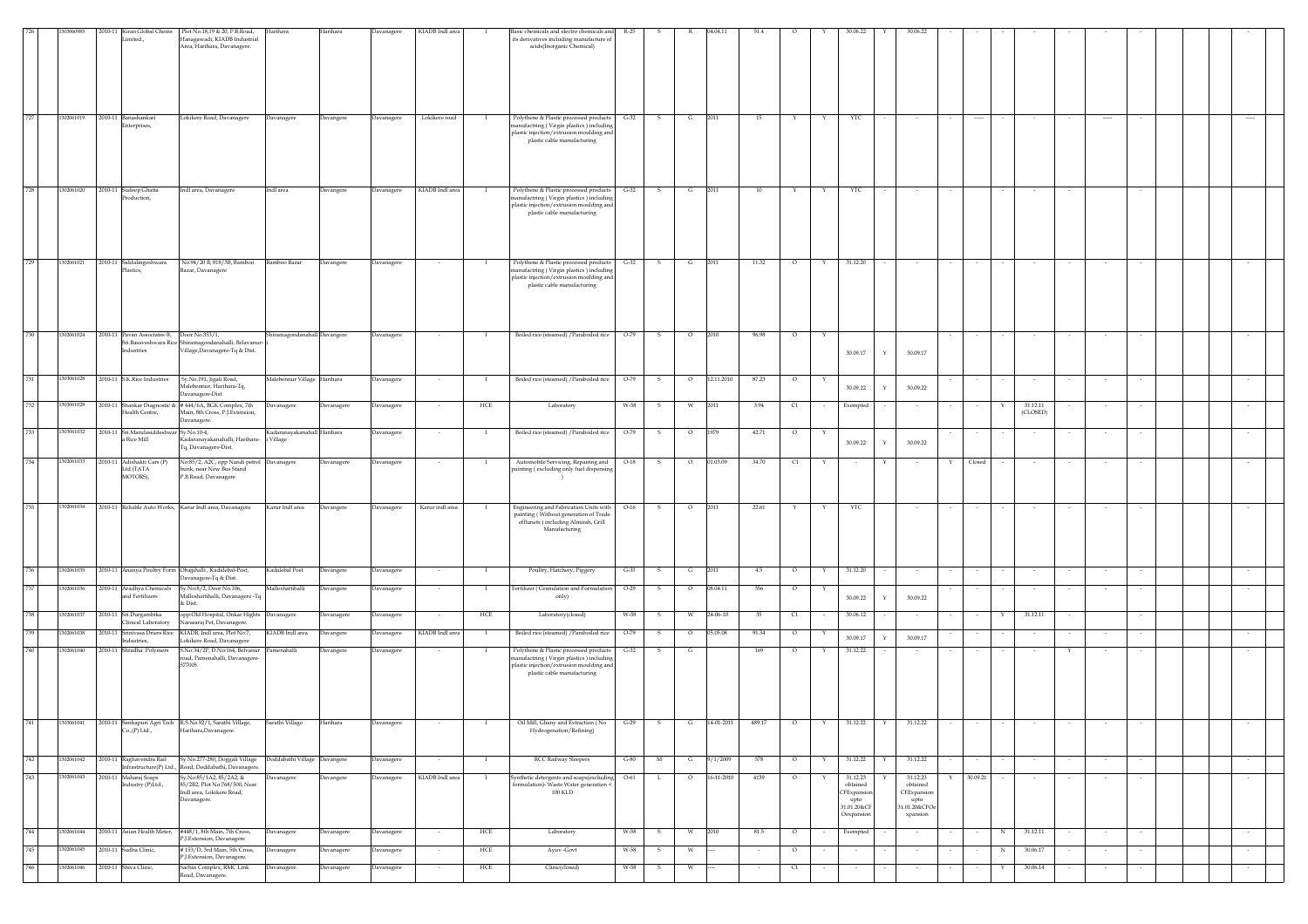|     | 303060985  |         |                                            | 2010-11 Kiran Global Chems Plot No.18,19 & 20, P.B.Road, Harihara                       |                              | Harihara   | Davanagere        | KIADB Indl area |                   | Basic chemicals and electro chemicals and R-25                                      |        |              |         | 04.04.11   | 51.4    |               |   | 30.06.2                | 30.06.22              |   |          |             |          |        |          |                          |  |  |
|-----|------------|---------|--------------------------------------------|-----------------------------------------------------------------------------------------|------------------------------|------------|-------------------|-----------------|-------------------|-------------------------------------------------------------------------------------|--------|--------------|---------|------------|---------|---------------|---|------------------------|-----------------------|---|----------|-------------|----------|--------|----------|--------------------------|--|--|
|     |            |         | Limited.,                                  | Hanagawadi, KIADB Industrial                                                            |                              |            |                   |                 |                   | its derivatives including manufacture of                                            |        |              |         |            |         |               |   |                        |                       |   |          |             |          |        |          |                          |  |  |
|     |            |         |                                            | Area, Harihara, Davanagere.                                                             |                              |            |                   |                 |                   | acids(Inorganic Chemical)                                                           |        |              |         |            |         |               |   |                        |                       |   |          |             |          |        |          |                          |  |  |
|     |            |         |                                            |                                                                                         |                              |            |                   |                 |                   |                                                                                     |        |              |         |            |         |               |   |                        |                       |   |          |             |          |        |          |                          |  |  |
|     |            |         |                                            |                                                                                         |                              |            |                   |                 |                   |                                                                                     |        |              |         |            |         |               |   |                        |                       |   |          |             |          |        |          |                          |  |  |
|     |            |         |                                            |                                                                                         |                              |            |                   |                 |                   |                                                                                     |        |              |         |            |         |               |   |                        |                       |   |          |             |          |        |          |                          |  |  |
|     |            |         |                                            |                                                                                         |                              |            |                   |                 |                   |                                                                                     |        |              |         |            |         |               |   |                        |                       |   |          |             |          |        |          |                          |  |  |
|     |            |         |                                            |                                                                                         |                              |            |                   |                 |                   |                                                                                     |        |              |         |            |         |               |   |                        |                       |   |          |             |          |        |          |                          |  |  |
| 727 | 1302061019 |         | 2010-11 Banashankari                       | Lokikere Road, Davanagere                                                               | Davanagere                   | Davangere  | Davanagere        | Lokikere road   | - 1               | Polythene & Plastic processed products                                              | $G-32$ |              | G       | 2011       | 15      |               |   | YTC                    |                       |   |          |             |          |        | $\cdots$ |                          |  |  |
|     |            |         | nterprises,                                |                                                                                         |                              |            |                   |                 |                   | anufactring (Virgin plastics) including<br>plastic injection/extrusion moulding and |        |              |         |            |         |               |   |                        |                       |   |          |             |          |        |          |                          |  |  |
|     |            |         |                                            |                                                                                         |                              |            |                   |                 |                   | plastic cable manufacturing                                                         |        |              |         |            |         |               |   |                        |                       |   |          |             |          |        |          |                          |  |  |
|     |            |         |                                            |                                                                                         |                              |            |                   |                 |                   |                                                                                     |        |              |         |            |         |               |   |                        |                       |   |          |             |          |        |          |                          |  |  |
|     |            |         |                                            |                                                                                         |                              |            |                   |                 |                   |                                                                                     |        |              |         |            |         |               |   |                        |                       |   |          |             |          |        |          |                          |  |  |
|     |            |         |                                            |                                                                                         |                              |            |                   |                 |                   |                                                                                     |        |              |         |            |         |               |   |                        |                       |   |          |             |          |        |          |                          |  |  |
| 728 | 1302061020 |         | 2010-11 Sudeep Ghatta                      |                                                                                         | Indl area                    |            |                   | KIADB Indl area |                   |                                                                                     | $G-32$ |              | G       | 2011       | 10      |               |   |                        |                       |   |          |             |          |        |          |                          |  |  |
|     |            |         | Production,                                | Indl area, Davanagere                                                                   |                              | Davangere  | Davanagere        |                 |                   | Polythene & Plastic processed products<br>nanufactring (Virgin plastics) including  |        |              |         |            |         |               |   | YTC                    |                       |   |          |             |          |        |          |                          |  |  |
|     |            |         |                                            |                                                                                         |                              |            |                   |                 |                   | plastic injection/extrusion moulding and<br>plastic cable manufacturing             |        |              |         |            |         |               |   |                        |                       |   |          |             |          |        |          |                          |  |  |
|     |            |         |                                            |                                                                                         |                              |            |                   |                 |                   |                                                                                     |        |              |         |            |         |               |   |                        |                       |   |          |             |          |        |          |                          |  |  |
|     |            |         |                                            |                                                                                         |                              |            |                   |                 |                   |                                                                                     |        |              |         |            |         |               |   |                        |                       |   |          |             |          |        |          |                          |  |  |
|     |            |         |                                            |                                                                                         |                              |            |                   |                 |                   |                                                                                     |        |              |         |            |         |               |   |                        |                       |   |          |             |          |        |          |                          |  |  |
|     |            |         |                                            |                                                                                         |                              |            |                   |                 |                   |                                                                                     |        |              |         |            |         |               |   |                        |                       |   |          |             |          |        |          |                          |  |  |
| 729 | 1302061021 |         | 2010-11 Siddalingeshwara<br>Plastics,      | No.94/20 B, 818/3B, Bamboo<br>Bazar, Davanagere                                         | Bamboo Bazar                 | Davangere  | Davanagere        |                 |                   | Polythene & Plastic processed products<br>manufactring (Virgin plastics) including  | $G-32$ | -S           | G       | 2011       | 11.32   | $\circ$       | Y | 31.12.20               |                       |   |          |             |          |        |          |                          |  |  |
|     |            |         |                                            |                                                                                         |                              |            |                   |                 |                   | plastic injection/extrusion moulding and                                            |        |              |         |            |         |               |   |                        |                       |   |          |             |          |        |          |                          |  |  |
|     |            |         |                                            |                                                                                         |                              |            |                   |                 |                   | plastic cable manufacturing                                                         |        |              |         |            |         |               |   |                        |                       |   |          |             |          |        |          |                          |  |  |
|     |            |         |                                            |                                                                                         |                              |            |                   |                 |                   |                                                                                     |        |              |         |            |         |               |   |                        |                       |   |          |             |          |        |          |                          |  |  |
|     |            |         |                                            |                                                                                         |                              |            |                   |                 |                   |                                                                                     |        |              |         |            |         |               |   |                        |                       |   |          |             |          |        |          |                          |  |  |
|     |            |         |                                            |                                                                                         |                              |            |                   |                 |                   |                                                                                     |        |              |         |            |         |               |   |                        |                       |   |          |             |          |        |          |                          |  |  |
| 730 | 1302061024 |         | 2010-11 Pavan Associates ®, Door No.353/1, |                                                                                         | Shiramagondanahall Davangere |            | Davanagere        |                 | $\bf{I}$          | Boiled rice (steamed) / Paraboiled rice                                             | $O-79$ | $\mathbf{s}$ | $\circ$ | 2010       | 96.98   | $\circ$       |   |                        |                       |   |          |             |          |        |          |                          |  |  |
|     |            |         | ndustries                                  | Sri.Basaveshwara Rice Shiramagondanahalli, Belavanur-<br>Village, Davanagere-Tq & Dist. |                              |            |                   |                 |                   |                                                                                     |        |              |         |            |         |               |   |                        |                       |   |          |             |          |        |          |                          |  |  |
|     |            |         |                                            |                                                                                         |                              |            |                   |                 |                   |                                                                                     |        |              |         |            |         |               |   | 30.09.17               | 30.09.17<br>Y         |   |          |             |          |        |          |                          |  |  |
|     |            |         |                                            |                                                                                         |                              |            |                   |                 |                   |                                                                                     |        |              |         |            |         |               |   |                        |                       |   |          |             |          |        |          |                          |  |  |
| 731 | 1303061028 |         | 2010-11 S.K.Rice Industries                | Sy.No.191, Jigali Road,                                                                 | Malebennur Village Harihara  |            | <b>Javanagere</b> |                 | $\mathbf{I}$      | Boiled rice (steamed) / Paraboiled rice                                             | $O-79$ | $\mathbf{s}$ | $\circ$ | 12.11.2010 | 87.23   | $\circ$       | Y |                        |                       |   |          |             |          |        |          |                          |  |  |
|     |            |         |                                            | Malebennur, Harihara-Tq,<br>Davanagere-Dist                                             |                              |            |                   |                 |                   |                                                                                     |        |              |         |            |         |               |   | 30.09.22               | 30.09.22<br>Y         |   |          |             |          |        |          |                          |  |  |
| 732 | 1303061028 |         |                                            | 2010-11 Shankar Diagnostic & #444/6A, BGK Complex, 7th                                  | Davanagere                   | Javanagere | <b>Javanagere</b> |                 | $_{\mathrm{HCE}}$ | Laboratory                                                                          | W-58   | s            | W       | 2011       | 3.94    | C1            |   | Exempted               |                       |   |          |             | 31.12.11 |        |          |                          |  |  |
|     |            |         | <b>Tealth Centre</b> ,                     | Main, 8th Cross, P.J. Extension,                                                        |                              |            |                   |                 |                   |                                                                                     |        |              |         |            |         |               |   |                        |                       |   |          |             | (CLOSED) |        |          |                          |  |  |
| 733 | 1303061032 |         | 2010-11 Sri.Marulasiddeshwar Sv.No.10-4,   | Javanagere.                                                                             |                              |            |                   |                 |                   |                                                                                     |        |              |         |            |         |               |   |                        |                       |   |          |             |          |        |          |                          |  |  |
|     |            |         | a Rice Mill                                | Kadaranayakanahalli, Harihara- i Village                                                | Kadaranayakanahall Harihara  |            | Davanagere        |                 | $\mathbf{I}$      | Boiled rice (steamed) / Paraboiled rice                                             | $O-79$ | -S           | $\circ$ | 1979       | 42.71   | $\circ$       | Y | 30.09.22               | 30.09.22              |   |          |             |          |        |          |                          |  |  |
|     |            |         |                                            | Tq, Davanagere-Dist.                                                                    |                              |            |                   |                 |                   |                                                                                     |        |              |         |            |         |               |   |                        |                       |   |          |             |          |        |          |                          |  |  |
| 734 | 1302061033 |         | 2010-11 Adishakti Cars (P)                 | No:85/2, A2C, opp Nandi petrol Davanagere                                               |                              | Davanagere | Davanagere        |                 |                   | Automobile Servicing, Repairing and                                                 | $O-18$ | s            | $\circ$ | 01.03.09   | 34.70   | C1            |   |                        |                       | Y | Closed   |             |          |        |          |                          |  |  |
|     |            |         | Ltd./TATA<br>MOTORS),                      | ounk, near New Bus Stand<br>P.B.Road, Davanagere                                        |                              |            |                   |                 |                   | painting (excluding only fuel dispensing                                            |        |              |         |            |         |               |   |                        |                       |   |          |             |          |        |          |                          |  |  |
|     |            |         |                                            |                                                                                         |                              |            |                   |                 |                   |                                                                                     |        |              |         |            |         |               |   |                        |                       |   |          |             |          |        |          |                          |  |  |
|     |            |         |                                            |                                                                                         |                              |            |                   |                 |                   |                                                                                     |        |              |         |            |         |               |   |                        |                       |   |          |             |          |        |          |                          |  |  |
| 735 | 1302061034 |         |                                            | 2010-11 Reliable Auto Works, Karur Indl area, Davanagere                                | Karur Indl area              | Davangere  | Davanagere        | Karur indl area | <b>I</b>          | Engineering and Fabrication Units with                                              | $O-16$ | -S           | $\circ$ | 2011       | 22.61   |               | Y | YTC                    |                       |   |          |             |          |        |          |                          |  |  |
|     |            |         |                                            |                                                                                         |                              |            |                   |                 |                   | painting (Without generation of Trade<br>efflunets ) including Almirah, Grill       |        |              |         |            |         |               |   |                        |                       |   |          |             |          |        |          |                          |  |  |
|     |            |         |                                            |                                                                                         |                              |            |                   |                 |                   | Manufacturing                                                                       |        |              |         |            |         |               |   |                        |                       |   |          |             |          |        |          |                          |  |  |
|     |            |         |                                            |                                                                                         |                              |            |                   |                 |                   |                                                                                     |        |              |         |            |         |               |   |                        |                       |   |          |             |          |        |          |                          |  |  |
|     |            |         |                                            |                                                                                         |                              |            |                   |                 |                   |                                                                                     |        |              |         |            |         |               |   |                        |                       |   |          |             |          |        |          |                          |  |  |
|     |            |         |                                            |                                                                                         |                              |            |                   |                 |                   |                                                                                     |        |              |         |            |         |               |   |                        |                       |   |          |             |          |        |          |                          |  |  |
| 736 | 1302061035 |         |                                            | 2010-11 Ananya Poultry Form Obajjihalli , Kadalebal-Post,<br>avanagere-Tq & Dist.       | Kadalebal Post               | Davangere  | Davanagere        | $\sim$          | $\mathbf{I}$      | Poultry, Hatchery, Piggery                                                          | $G-33$ | s            | G       | 2011       | $4.5\,$ | $\circ$       | Y | 31.12.20               | $\sim$                |   | $\sim$   |             | $\sim$   | $\sim$ | $\sim$   | $\sim$                   |  |  |
| 737 | 1302061036 |         | 2010-11 Aradhya Chemicals                  | Sy.No:8/2, Door No.106,                                                                 | Malleshattihalli             | Davangere  | Davanagere        | $\sim$          | $\mathbf{I}$      | Fertilizer (Granulation and Formulation                                             | $O-29$ | s            | $\circ$ | 08.04.11   | 356     | $\circ$       | Y |                        |                       |   |          |             |          |        | $\sim$   | $\overline{\phantom{a}}$ |  |  |
|     |            |         | and Fertilizers                            | falleshattihalli, Davanagere -Tq<br>& Dist.                                             |                              |            |                   |                 |                   | only)                                                                               |        |              |         |            |         |               |   | 30.09.22               | 30.09.22              |   |          |             |          |        |          |                          |  |  |
| 738 | 1302061037 |         | 2010-11 Sri.Durgambika                     | opp:Old Hospital, Onkar Hights Davanagere                                               |                              |            |                   |                 | $_{\mathrm{HCE}}$ | Laboratory(closed)                                                                  | W-58   | s            | W       | 24-06-10   | 35      | $\mathbb{C}1$ |   | 30.06.12               |                       |   |          | $\mathbf Y$ | 31.12.11 |        |          |                          |  |  |
|     |            |         | Clinical Laboratory                        | Varasaraj Pet, Davanagere.                                                              |                              | Davanagere | <b>Davanagere</b> |                 |                   |                                                                                     |        |              |         |            |         |               |   |                        |                       |   |          |             |          |        |          |                          |  |  |
| 739 | 30206103   | 2010-11 | Srinivasa Driers Rice                      | KIADB, Indl area, Plot No:7,                                                            | KIADB Indl area              | Javangere  | avanager          | KIADB Indl area |                   | Boiled rice (steamed) / Paraboiled rice                                             | $O-79$ |              | $\circ$ | 05.05.08   | 91.34   | $\circ$       |   | 30.09.17               | 30.09.17              |   |          |             |          |        |          |                          |  |  |
| 740 | 302061040  |         | Industries,<br>2010-11 Shradha Polymers    | .okikere Road, Davanagere<br>S.No:34/2P, D.No:164, Belvanur Pamenahalli                 |                              |            |                   |                 |                   |                                                                                     |        |              |         |            |         |               |   |                        |                       |   |          |             |          |        |          |                          |  |  |
|     |            |         |                                            | road, Pamenahalli, Davanagere-                                                          |                              | Davangere  | Davanagere        |                 | - 1               | Polythene & Plastic processed products<br>anufactring (Virgin plastics) including   | $G-32$ | -S           | G       |            | 169     | $\circ$       | Y | 31.12.22               |                       |   |          |             |          |        |          |                          |  |  |
|     |            |         |                                            | 577005.                                                                                 |                              |            |                   |                 |                   | plastic injection/extrusion moulding and                                            |        |              |         |            |         |               |   |                        |                       |   |          |             |          |        |          |                          |  |  |
|     |            |         |                                            |                                                                                         |                              |            |                   |                 |                   | plastic cable manufacturing                                                         |        |              |         |            |         |               |   |                        |                       |   |          |             |          |        |          |                          |  |  |
|     |            |         |                                            |                                                                                         |                              |            |                   |                 |                   |                                                                                     |        |              |         |            |         |               |   |                        |                       |   |          |             |          |        |          |                          |  |  |
|     |            |         |                                            |                                                                                         |                              |            |                   |                 |                   |                                                                                     |        |              |         |            |         |               |   |                        |                       |   |          |             |          |        |          |                          |  |  |
|     |            |         |                                            |                                                                                         |                              |            |                   |                 |                   |                                                                                     |        |              |         |            |         |               |   |                        |                       |   |          |             |          |        |          |                          |  |  |
| 741 | 303061041  | 2010-11 |                                            | mhapuri Agri Tech K.S.No.92/1, Sarathi Village,                                         | Sarathi Village              | Harihara   | Davanagere        |                 |                   | Oil Mill, Ghany and Extraction ( No                                                 | $C-29$ |              |         | 14-01-2011 | 489.17  | $\circ$       |   | 31.12.22               | Y<br>31.12.22         |   |          |             |          |        |          |                          |  |  |
|     |            |         | Co., (P) Ltd.,                             | Harihara, Davanagere.                                                                   |                              |            |                   |                 |                   | Hydrogenation/Refining)                                                             |        |              |         |            |         |               |   |                        |                       |   |          |             |          |        |          |                          |  |  |
|     |            |         |                                            |                                                                                         |                              |            |                   |                 |                   |                                                                                     |        |              |         |            |         |               |   |                        |                       |   |          |             |          |        |          |                          |  |  |
| 742 | 1302061042 |         | 2010-11 Raghavendra Rail                   | Sy No.277-280, Doggali Village  Doddabathi Village  Davangere                           |                              |            | <b>Davanagere</b> |                 |                   | RCC Railway Sleepers                                                                | $G-80$ | M            | G       | 9/1/2009   | 578     | $\circ$       | Y | 31.12.22               | 31.12.22              |   |          |             |          |        |          |                          |  |  |
|     |            |         |                                            | Infrastructure(P) Ltd., Road, Doddabathi, Davanagere.                                   |                              |            |                   |                 |                   |                                                                                     |        |              |         |            |         |               |   |                        |                       |   |          |             |          |        |          |                          |  |  |
| 743 | 1302061043 |         | 2010-11 Maharaj Soaps<br>Industry (P)Ltd., | Sy.No:85/1A2, 85/2A2, &<br>85/2B2, Plot No:768/500, Near                                | <b>Javanagere</b>            | Davangere  | <b>Javanagere</b> | KIADB Indl area |                   | Synthetic detergents and soaps(excluding<br>formulation)- Waste Water generation <  | $O-61$ | L            | $\circ$ | 16-11-2010 | 4139    | $\circ$       |   | 31.12.23<br>$obtained$ | 31.12.23<br>obtained  |   | 30.09.21 |             |          |        |          |                          |  |  |
|     |            |         |                                            | Indl area, Lokikere Road,                                                               |                              |            |                   |                 |                   | <b>100 KLD</b>                                                                      |        |              |         |            |         |               |   | <b>CFE</b> xpansio     | CFExpansion           |   |          |             |          |        |          |                          |  |  |
|     |            |         |                                            | Davanagere.                                                                             |                              |            |                   |                 |                   |                                                                                     |        |              |         |            |         |               |   | upto<br>31.01.20&CF    | upto<br>31.01.20&CFOe |   |          |             |          |        |          |                          |  |  |
|     |            |         |                                            |                                                                                         |                              |            |                   |                 |                   |                                                                                     |        |              |         |            |         |               |   | Oexpansion             | xpansion              |   |          |             |          |        |          |                          |  |  |
| 744 | 1302061044 |         | 2010-11 Asian Health Meter,                | #448/1, 8th Main, 7th Cross,                                                            | Davanagere                   | Davanagere | Davanagere        | $\sim$          | HCE               | Laboratory                                                                          | W-58   | s            | W       | 2010       | 81.5    | $\circ$       |   | Exempted               |                       |   |          | N           | 31.12.11 |        | $\sim$   | $\sim$                   |  |  |
|     |            |         |                                            | P.J.Extension, Davanagere                                                               |                              |            |                   |                 |                   |                                                                                     |        |              |         |            |         |               |   |                        |                       |   |          |             |          |        |          |                          |  |  |
|     |            |         |                                            |                                                                                         |                              |            |                   |                 |                   |                                                                                     |        |              |         |            |         |               |   |                        |                       |   |          |             |          |        |          |                          |  |  |
| 745 | 1302061045 |         | 2010-11 Sudha Clinic,                      | #153/D, 3rd Main, 5th Cross,                                                            | Davanagere                   | Davanagere | Davanagere        |                 | HCE               | Ayuv -Govt                                                                          | W-58   | s            | W       |            |         | $\circ$       |   |                        |                       |   |          | N           | 30.06.17 |        |          |                          |  |  |
| 746 | 1302061046 |         | 2010-11 Shiva Clinic,                      | P.J.Extension, Davanagere.<br>Sachin Complex, RMC Link                                  | Davanagere                   | Davanagere | Davanagere        | $\sim$          | HCE               | Clinic(closed)                                                                      | W-58   | -S           | w       |            |         | C1            |   |                        |                       |   |          |             | 30.06.14 |        |          |                          |  |  |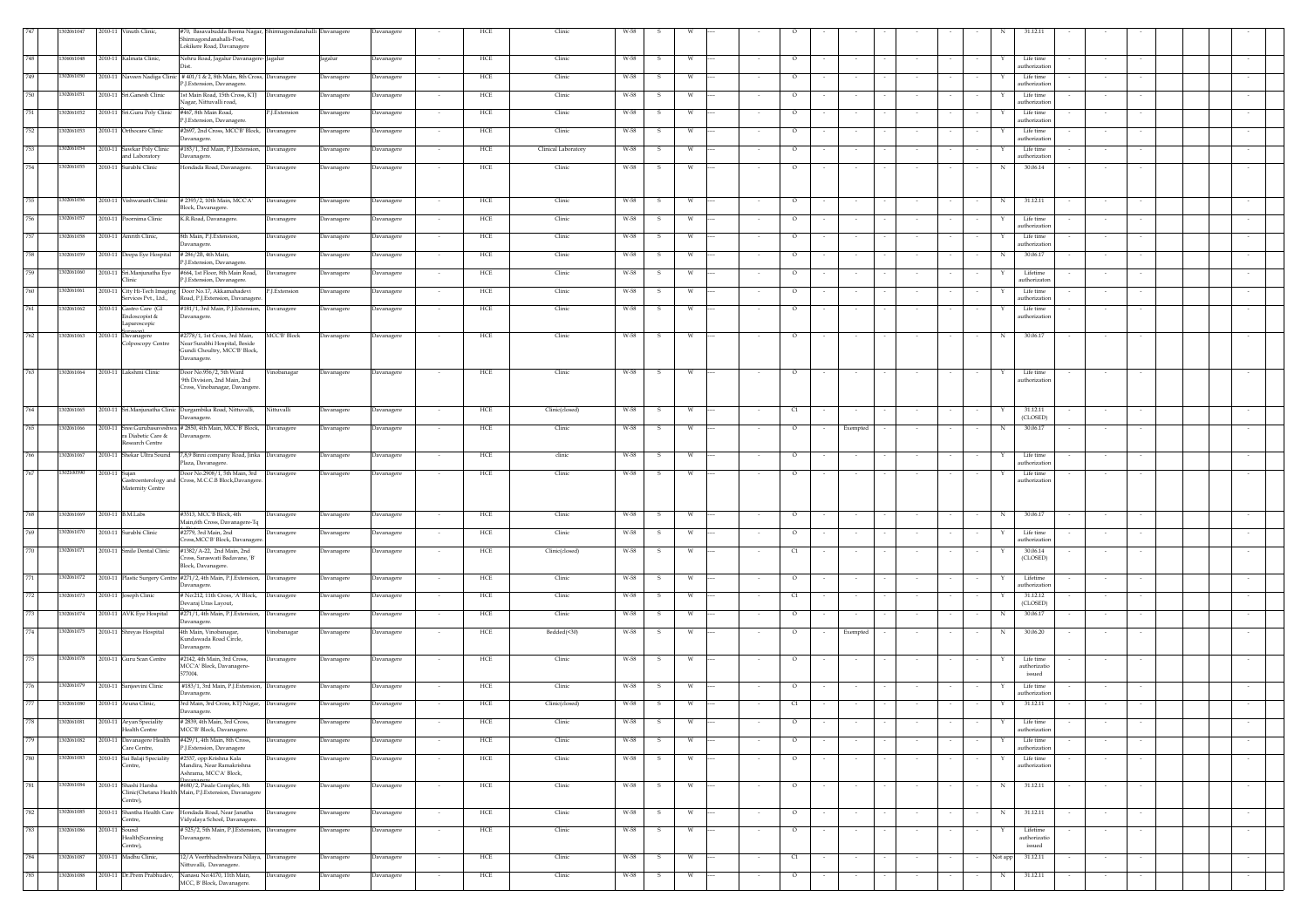|     | 302061047 |               | 2010-11 Vinuth Clinic,                            | #70, Basavabudda Beema Nagar, Shirmagondanahalli Davanagere<br>Shirmagondanahalli-Post,<br>.okikere Road, Davanagere |                     |            | Davanagere        |        | HCE | Clinic              | W-58 |      |          |        |                |        |                  |        |        |             |                                 |        |        |        |
|-----|-----------|---------------|---------------------------------------------------|----------------------------------------------------------------------------------------------------------------------|---------------------|------------|-------------------|--------|-----|---------------------|------|------|----------|--------|----------------|--------|------------------|--------|--------|-------------|---------------------------------|--------|--------|--------|
|     | 306061048 |               | 2010-11 Kalmata Clinic,                           | Nehru Road, Jagalur Davanagere-Jagalur                                                                               |                     | Jagalur    | <b>Davanagere</b> |        | HCE | Clinic              | W-58 |      | w        |        | $\circ$        |        |                  |        |        |             | Life time<br>authorization      |        |        |        |
| 749 | 302061050 |               |                                                   | 2010-11 Naveen Nadiga Clinic # 401/1 & 2, 8th Main, 8th Cross, Davanagere<br>2.J.Extension, Davanagere.              |                     | Davanagere | Davanagere        |        | HCE | Clinic              | W-58 | -S   | W        |        | $\circ$        |        |                  |        |        |             | Life time<br>authorization      |        |        |        |
| 750 | 302061051 |               | 2010-11 Sri.Ganesh Clinic                         | 1st Main Road, 15th Cross, KTJ Davanagere<br>Nagar, Nittuvalli road.                                                 |                     | Davanagere | Davanagere        |        | HCE | Clinic              | W-58 | -S.  | <b>W</b> |        | $\circ$        |        |                  |        |        |             | Life time<br>authorization      |        |        |        |
| 751 | 302061052 |               | 2010-11 Sri.Guru Poly Clinic                      | #467, 8th Main Road,<br>P.I.Extension, Davanagere                                                                    | P.J.Extension       | Davanagere | Davanagere        |        | HCE | Clinic              | W-58 | -S   | <b>W</b> |        | $\circ$        |        |                  |        |        | Y           | Life time<br>authorization      |        |        |        |
| 752 | 302061053 |               | 2010-11 Orthocare Clinic                          | #2697, 2nd Cross, MCC'B' Block, Davanagere<br>Javanagere.                                                            |                     | Davanagere | Davanagere        | $\sim$ | HCE | Clinic              | W-58 | S.   | W        |        | $\circ$        |        |                  | $\sim$ |        |             | Life time<br>authorization      | $\sim$ | $\sim$ |        |
| 753 | 302061054 |               | 2010-11 Sawkar Poly Clinic<br>and Laboratory      | #183/1, 3rd Main, P.J.Extension,<br>Javanagere.                                                                      | Davanagere          | Davanagere | Davanagere        |        | HCE | Clinical Laboratory | W-58 | s    | W        | $\sim$ | $\circ$        |        |                  | $\sim$ |        |             | Life time<br>authorization      | $\sim$ |        |        |
| 754 | 302061055 |               | 2010-11 Surabhi Clinic                            | Hondada Road, Davanagere.                                                                                            | Davanagere          | Davanagere | Davanagere        | $\sim$ | HCE | Clinic              | W-58 | S.   | W        | $\sim$ | $\circ$        |        | $\sim$           | $\sim$ |        | $\,$ N $\,$ | 30.06.14                        | $\sim$ |        |        |
|     |           |               |                                                   |                                                                                                                      |                     |            |                   |        |     |                     |      |      |          |        |                |        |                  |        |        |             |                                 |        |        |        |
| 755 | 302061056 |               | 2010-11 Vishwanath Clinic                         | # 2393/2, 10th Main, MCC'A'<br>Block, Davanagere.                                                                    | Davanagere          | Davanagere | Davanagere        |        | HCE | Clinic              | W-58 | S.   | W        |        | $\circ$        |        |                  |        |        | N           | 31.12.11                        | $\sim$ |        |        |
| 756 | 302061057 |               | 2010-11 Poornima Clinic                           | K.R.Road, Davanagere.                                                                                                | Davanagere          | Davanagere | Davanagere        |        | HCE | Clinic              | W-58 | s    | W        |        | $\circ$        |        |                  |        |        |             | Life time<br><b>ithorizatic</b> |        |        |        |
| 757 | 302061058 |               | 2010-11 Amrith Clinic,                            | 8th Main, P.J.Extension,<br>avanagere                                                                                | Davanagere          | Davanagere | Davanagere        |        | HCE | Clinic              | W-58 | -S   | W        | $\sim$ | $\circ$        |        |                  | $\sim$ |        |             | Life time<br>uthorizatio        | $\sim$ |        |        |
| 758 | 302061059 |               | 2010-11 Deepa Eye Hospital                        | # 286/2B, 4th Main,                                                                                                  | Davanagere          | Davanagere | Davanagere        |        | HCE | Clinic              | W-58 | s.   | w        | $\sim$ | $\circ$        |        | $\sim$           | $\sim$ |        | N           | 30.06.17                        | $\sim$ |        |        |
| 759 | 302061060 |               | 2010-11 Sri.Manjunatha Eye                        | <sup>2</sup> .J.Extension, Davanagere<br>#664, 1st Floor, 8th Main Road,                                             | Davanagere          | Davanagere | <b>Davanagere</b> |        | HCE | Clinic              | W-58 |      | w        |        | $\circ$        |        |                  |        |        |             | Lifetime                        |        |        |        |
| 760 | 302061061 |               | Clinic<br>2010-11 City Hi-Tech Imaging            | <sup>2</sup> .J.Extension, Davanagere.<br>Door No.17, Akkamahadevi                                                   | P.J.Extension       | Davanagere | Javanagere        |        | HCE | Clinic              | W-58 |      | W        |        | $\circ$        |        |                  |        |        |             | authorizator<br>Life time       |        |        |        |
| 761 | 302061062 |               | Services Pvt., Ltd.,<br>2010-11 Gastro Care (GI   | Road, P.J. Extension, Davanagere.<br>#181/1, 3rd Main, P.J.Extension, Davanagere                                     |                     | Davanagere | Davanagere        |        | HCE | Clinic              | W-58 | -S.  | <b>W</b> |        | $\circ$        |        |                  |        |        |             | authorization<br>Life time      |        |        |        |
|     |           |               | Endoscopist &<br>Laparoscopic                     | Davanagere.                                                                                                          |                     |            |                   |        |     |                     |      |      |          |        |                |        |                  |        |        |             | authorization                   |        |        |        |
| 762 | 302061063 |               | 2010-11 Davanagere<br>Colposcopy Centre           | #2778/1, 1st Cross, 3rd Main,<br>Near Surabhi Hospital, Beside                                                       | <b>MCC'B' Block</b> | Davanagere | Davanagere        | $\sim$ | HCE | Clinic              | W-58 | S.   | W        | $\sim$ | $\circ$        |        |                  | $\sim$ |        | $\,$ N $\,$ | 30.06.17                        | $\sim$ |        |        |
|     |           |               |                                                   | Gundi Choultry, MCC'B' Block,<br>Davanagere.                                                                         |                     |            |                   |        |     |                     |      |      |          |        |                |        |                  |        |        |             |                                 |        |        |        |
| 763 | 302061064 |               | 2010-11 Lakshmi Clinic                            | Door No.956/2, 5th Ward<br>9th Division, 2nd Main, 2nd                                                               | Vinobanagar         | Davanagere | Davanagere        |        | HCE | Clinic              | W-58 | S.   | W        |        | $\circ$        |        |                  |        |        |             | Life time<br>authorization      |        |        |        |
|     |           |               |                                                   | Cross, Vinobanagar, Davangere                                                                                        |                     |            |                   |        |     |                     |      |      |          |        |                |        |                  |        |        |             |                                 |        |        |        |
| 764 | 302061065 |               |                                                   | 2010-11 Sri.Manjunatha Clinic Durgambika Road, Nittuvalli,<br>Davanagere.                                            | Nittuvalli          | Davanagere | Davanagere        |        | HCE | Clinic(closed)      | W-58 | S.   | W        |        | $\alpha$       |        |                  |        |        |             | 31.12.11<br>(CLOSED)            | $\sim$ |        |        |
| 765 | 302061066 |               | 2010-11 Sree.Gurubasayeshwa<br>ra Diabetic Care & | # 2850, 4th Main, MCC'B' Block, Davanagere<br>Davanagere.                                                            |                     | Davanagere | Davanagere        |        | HCE | Clinic              | W-58 |      | W        |        | $\circ$        |        | Exempted         |        |        | N           | 30.06.17                        |        |        |        |
| 766 | 302061067 |               | Research Centre<br>2010-11 Shekar Ultra Sound     |                                                                                                                      |                     | Davanagere |                   |        | HCE | clinic              | W-58 |      |          |        |                |        |                  |        |        |             | Life time                       |        |        |        |
| 767 |           | 2010-11 Sujan |                                                   | 7,8,9 Binni company Road, Jinka Davanagere<br>Plaza, Davanagere.<br>Joor No.2908/1, 5th Main, 3rd Davanagere         |                     |            | <b>Javanagere</b> |        | HCE |                     |      | - 51 | W        |        | $\circ$        |        | $\sim$           | $\sim$ |        |             | authorizatio                    | $\sim$ |        |        |
|     | 302100590 |               | Gastroenterology and<br>Maternity Centre          | Cross, M.C.C.B Block, Davangere                                                                                      |                     | Davanagere | avanagere         |        |     | Clinic              | W-58 |      | W        |        | $\circ$        |        |                  |        |        |             | Life time<br>authorization      |        |        |        |
|     |           |               |                                                   |                                                                                                                      |                     |            |                   |        |     |                     |      |      |          |        |                |        |                  |        |        |             |                                 |        |        |        |
|     | 302061069 |               | 2010-11 B.M.Labs                                  | #3513, MCC'B Block, 4th<br>Main,6th Cross, Davanagere-Tq                                                             | Davanagere          | Davanagere | avanagere         |        | HCE | Clinic              | W-58 |      |          |        | $\circ$        |        |                  |        |        | N           | 30.06.17                        |        |        |        |
| 769 | 302061070 |               | 2010-11 Surabhi Clinic                            | #2779, 3rd Main, 2nd<br>Cross, MCC'B' Block, Davanagere                                                              | Davanagere          | Davanagere | <b>Javanagere</b> |        | HCE | Clinic              | W-58 |      | <b>W</b> |        | $\circ$        |        |                  |        |        |             | Life time<br>authorization      |        |        |        |
| 770 | 302061071 |               | 2010-11 Smile Dental Clinic                       | #1382/A-22, 2nd Main, 2nd<br>Tross, Saraswati Badavane, 'B'                                                          | Davanagere          | Davanagere | Davanagere        |        | HCE | Clinic(closed)      | W-58 |      | <b>W</b> |        | $\alpha$       |        |                  |        |        |             | 30.06.14<br>(CLOSED)            |        |        |        |
| 771 | 302061072 |               | 2010-11 Plastic Surgery Centre                    | Block, Davanagere.<br>#271/2, 4th Main, P.J.Extension,                                                               | Davanagere          | Davanagere | Davanagere        |        | HCE | Clinic              | W-58 | S.   | W        |        | $\circ$        |        | $\sim$           | $\sim$ |        |             | Lifetime                        | $\sim$ |        |        |
| 772 | 302061073 |               | 2010-11 Joseph Clinic                             | Davanagere.<br>No:212, 11th Cross, 'A' Block,                                                                        | Davanagere          | Davanagere |                   |        | HCE | Clinic              | W-58 |      | W        |        | C1             |        |                  |        |        |             | authorization<br>31.12.12       |        |        |        |
| 773 | 302061074 |               |                                                   | Devaraj Uras Layout,<br>#271/1, 4th Main, P.J.Extension, Davanagere                                                  |                     |            | Davanagere        |        | HCE | Clinic              |      |      |          |        |                |        |                  |        |        | N           | (CLOSED)<br>30.06.17            |        |        |        |
|     |           |               | 2010-11 AVK Eye Hospital                          | Javanagere.                                                                                                          |                     | Davanagere | Davanagere        | $\sim$ |     |                     | W-58 | s.   | W        | $\sim$ | $\circ$        |        | $\sim$           | $\sim$ |        |             |                                 | $\sim$ |        |        |
| 774 | 02061075  |               | 2010-11 Shreyas Hospital                          | 4th Main, Vinobanagar,<br>Gundawada Road Circle.<br>Davanagere.                                                      | Vinobanagar         | Davanagere | Davanagere        |        | HCE | Bedded(<30)         | W-58 | - 5  | w        |        | $\circ$        |        | Exempted         | $\sim$ |        | N           | 30.06.20                        |        |        |        |
| 775 | 302061078 |               | 2010-11 Guru Scan Centre                          | #2142, 4th Main, 3rd Cross,<br>MCC'A' Block, Davanagere-                                                             | Davanagere          | Davanagere | <b>Javanagere</b> |        | HCE | Clinic              | W-58 |      | W        |        | $\circ$        |        |                  |        |        |             | Life time<br>authorizatio       |        |        |        |
|     |           |               |                                                   | 77004.                                                                                                               |                     |            |                   |        |     |                     |      |      |          |        |                |        |                  |        |        |             | issued                          |        |        |        |
| 776 | 302061079 |               | 2010-11 Sanjeevini Clinic                         | #183/1, 3rd Main, P.J.Extension, Davanagere<br>Davanagere.                                                           |                     | Davanagere | Davanagere        |        | HCE | Clinic              | W-58 | - S  | W        |        | $\circ$        |        | $\sim$           |        |        | Y           | Life time<br>authorization      | $\sim$ |        |        |
| 777 | 302061080 |               | 2010-11 Aruna Clinic,                             | 3rd Main, 3rd Cross, KTJ Nagar, Davanagere<br>Davanagere.                                                            |                     | Davanagere | Davanagere        |        | HCE | Clinic(closed)      | W-58 | S.   | W        |        | C1             |        | $\sim$           |        |        | Y           | 31.12.11                        | $\sim$ |        |        |
| 778 | 302061081 |               | 2010-11 Aryan Speciality<br>Health Centre         | # 2839, 4th Main, 3rd Cross,<br>MCC'B' Block, Davanagere.                                                            | Davanagere          | Davanagere | Davanagere        |        | HCE | Clinic              | W-58 |      | W        |        | $\circ$        |        |                  |        |        |             | Life time<br>authorization      |        |        |        |
| 779 | 302061082 |               | 2010-11 Davanagere Health<br>Care Centre,         | #429/1, 4th Main, 8th Cross,<br><sup>2</sup> .J.Extension, Davanagere                                                | Davanagere          | Davanagere | Davanagere        |        | HCE | Clinic              | W-58 | -S   | W        |        | $\circ$        |        |                  |        |        |             | Life time<br>uthorization       |        |        |        |
| 780 | 302061083 |               | 2010-11 Sai Balaji Speciality<br>Centre,          | #2537, opp:Krishna Kala<br>Mandira, Near Ramakrishna<br>Ashrama, MCCA' Block.                                        | Davanagere          | Davanagere | Davanagere        | $\sim$ | HCE | Clinic              | W-58 | S.   | W        | $\sim$ | $\circ$        |        | $\sim$           | $\sim$ |        | Y           | Life time<br>authorization      | $\sim$ |        | $\sim$ |
| 781 | 302061084 |               | 2010-11 Shashi Harsha                             | #680/2, Pisale Complex, 8th                                                                                          | Davanagere          | Davanagere | Davanagere        |        | HCE | Clinic              | W-58 |      | W        |        | $\circ$        |        |                  |        |        | N           | 31.12.11                        |        |        |        |
|     |           |               | Centre),                                          | Clinic(Chetana Health Main, P.J.Extension, Davanagere                                                                |                     |            |                   |        |     |                     |      |      |          |        |                |        |                  |        |        |             |                                 |        |        |        |
| 782 | 302061085 |               | Centre,                                           | 2010-11 Shantha Health Care Hondada Road, Near Janatha<br>Vidyalaya School, Davanagere.                              | Davanagere          | Davanagere | Davanagere        |        | HCE | Clinic              | W-58 | S.   | W        |        | $\circ$        |        |                  |        |        | $\,$ N $\,$ | 31.12.11                        |        |        |        |
| 783 | 302061086 | 2010-11 Sound | Health(Scanning                                   | # 525/2, 5th Main, P.J.Extension, Davanagere<br>Davanagere.                                                          |                     | Davanagere | Davanagere        | $\sim$ | HCE | Clinic              | W-58 | S.   | W        | $\sim$ | $\circ$        | $\sim$ | $\sim$<br>$\sim$ | $\sim$ | $\sim$ | Y           | Lifetime<br>authorizatio        | $\sim$ | $\sim$ | $\sim$ |
| 784 | 302061087 |               | Centre),<br>2010-11 Madhu Clinic,                 | 12/A Veerbhadreshwara Nilaya, Davanagere                                                                             |                     | Davanagere | Davanagere        |        | HCE | Clinic              | W-58 |      | W        |        | $\mathbb{C}^1$ |        | $\sim$           | $\sim$ |        | Not app     | issued<br>31.12.11              |        |        | $\sim$ |
| 785 | 302061088 |               | 2010-11 Dr.Prem Prabhudev,                        | Vittuvalli, Davanagere.<br>Nanasu No:4170, 11th Main.                                                                | Davanagere          | Davanagere | <b>Javanagere</b> |        | HCE | Clinic              | W-58 |      | W        |        | $\circ$        |        |                  |        |        | N           | 31.12.11                        |        |        |        |
|     |           |               |                                                   | MCC, B' Block, Davanagere.                                                                                           |                     |            |                   |        |     |                     |      |      |          |        |                |        |                  |        |        |             |                                 |        |        |        |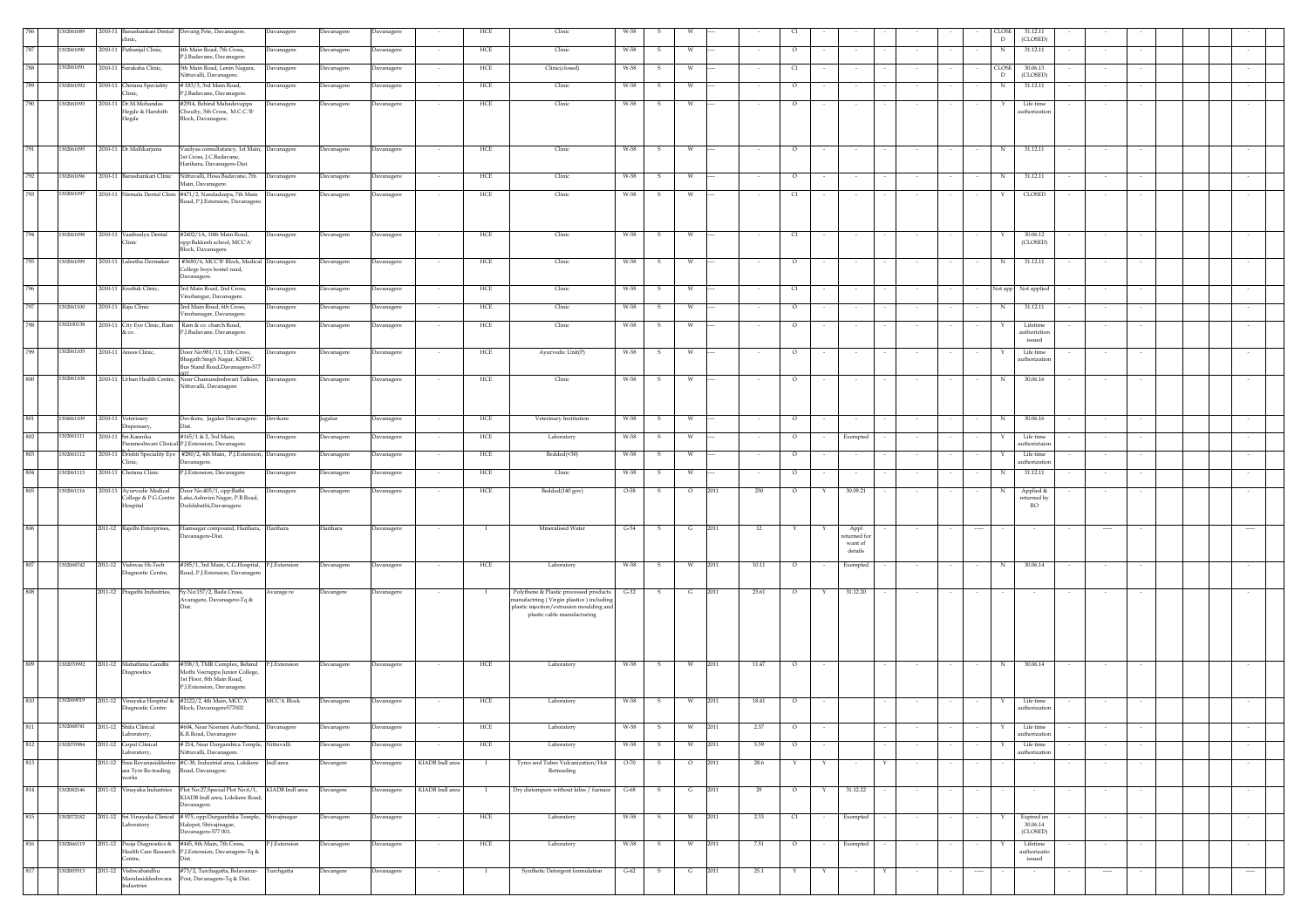|     | 302061089  |             | inic,                                            | 2010-11 Banashankari Dental Devang Pete, Davanagere.                                             | Davanagere        | Davanagere | Davanagere |                          | HCE          | Clinic                                                                             |          |              |         |                          |              |                         |        | <b>LOS</b><br>$\mathbb D$     | 31.12.11<br>(CLOSED)                |          |                          |          |  |
|-----|------------|-------------|--------------------------------------------------|--------------------------------------------------------------------------------------------------|-------------------|------------|------------|--------------------------|--------------|------------------------------------------------------------------------------------|----------|--------------|---------|--------------------------|--------------|-------------------------|--------|-------------------------------|-------------------------------------|----------|--------------------------|----------|--|
| 787 | 1302061090 | 2010-11     | <sup>2</sup> athanjal Clinic,                    | 4th Main Road, 7th Cross,                                                                        | Davanagere        | Davanagere | Davanagere |                          | HCE          | Clinic                                                                             | W-58     |              | W       | $\circ$                  |              |                         |        | N                             | 31.12.11                            |          |                          |          |  |
| 788 | 302061091  | 2010-11     | iuraksha Clinic,                                 | J.Badavane, Davanagere                                                                           |                   |            |            |                          | HCE          | Clinic(closed)                                                                     | W-58     |              | W       |                          |              |                         |        |                               | 30.06.13                            |          |                          |          |  |
|     |            |             |                                                  | 5th Main Road, Lenin Nagara,<br>vittuvalli, Davanagere.                                          | Davanagere        | Davanagere | Davanagere | $\sim$                   |              |                                                                                    |          | -S           |         | C1                       |              |                         |        | <b>CLOSE</b><br>D             | (CLOSED)                            |          |                          |          |  |
| 789 | 302061092  | 2010-11     | hetana Speciality<br>linic.                      | # 183/3, 3rd Main Road,<br><sup>2</sup> .J.Badavane, Davanagere.                                 | Davanagere        | Javanagere | Davanagere | $\sim$                   | HCE          | Clinic                                                                             | W-58     | s            | w       | $\circ$                  |              | $\sim$                  | $\sim$ | N                             | 31.12.11                            | $\sim$   | $\sim$                   | $\sim$   |  |
| 790 | 302061093  | 2010-11     | Dr.M.Mohandas                                    | #2914, Behind Mahadevappa                                                                        | Davanagere        | Davanagere | Davanagere |                          | HCE          | Clinic                                                                             | W-58     | s            | W       | $\circ$                  |              |                         |        |                               | Life time                           |          |                          |          |  |
|     |            |             | Hegde & Harshith<br>Hegde                        | Choulty, 5th Cross, M.C.C.'B'<br>Block, Davanagere.                                              |                   |            |            |                          |              |                                                                                    |          |              |         |                          |              |                         |        |                               | authorization                       |          |                          |          |  |
|     |            |             |                                                  |                                                                                                  |                   |            |            |                          |              |                                                                                    |          |              |         |                          |              |                         |        |                               |                                     |          |                          |          |  |
| 791 | 1302061095 |             | 2010-11 Dr.Mallikarjuna                          | Vaidyas consultatancy, 1st Main, Davanagere                                                      |                   | Davanagere | Davanagere |                          | HCE          | Clinic                                                                             | W-58     | - S          | W       | $\circ$                  |              |                         |        | N                             | 31.12.11                            |          |                          |          |  |
|     |            |             |                                                  | 1st Cross, J.C.Badavane,<br>Harihara, Davanagere-Dist.                                           |                   |            |            |                          |              |                                                                                    |          |              |         |                          |              |                         |        |                               |                                     |          |                          |          |  |
| 792 | 1302061096 |             | 2010-11 Banashankari Clinic                      | Nittuvalli, Hosa Badavane, 7th                                                                   | Davanagere        | Davanagere | Davanagere |                          | HCE          | Clinic                                                                             | W-58     | s            |         | $\circ$                  |              |                         |        | N                             | 31.12.11                            |          |                          |          |  |
| 793 |            |             |                                                  | Main, Davanagere.<br>2010-11 Nirmala Dental Clinic #471/2, Nandadeepa, 7th Main Davanagere       |                   |            |            |                          |              |                                                                                    | W-58     | -S           | W       |                          |              |                         |        |                               | CLOSED                              |          |                          |          |  |
|     | 1302061097 |             |                                                  | Road, P.J.Extension, Davanagere                                                                  |                   | Davanagere | Davanagere |                          | HCE          | Clinic                                                                             |          |              |         |                          | C1           |                         |        |                               |                                     |          |                          |          |  |
|     |            |             |                                                  |                                                                                                  |                   |            |            |                          |              |                                                                                    |          |              |         |                          |              |                         |        |                               |                                     |          |                          |          |  |
| 794 | 1302061098 |             | 2010-11 Vaathsalya Dental                        | #2402/1A, 10th Main Road,                                                                        | Davanagere        | avanagere  | Davanagere |                          | HCE          | Clinic                                                                             | W-58     | s            | w       |                          | C1           | $\sim$                  |        | $\sim$<br>x                   | 30.06.12                            | $\sim$   |                          |          |  |
|     |            |             | linic                                            | opp:Bakkesh school, MCC'A'<br>Block, Davanagere.                                                 |                   |            |            |                          |              |                                                                                    |          |              |         |                          |              |                         |        |                               | (CLOSED)                            |          |                          |          |  |
| 795 | 1302061099 |             | 2010-11 Laleetha Dermaker                        | #3680/6, MCC'B' Block, Medical Davanagere                                                        |                   | Davanagere | Davanagere |                          | HCE          | Clinic                                                                             | W-58     | s            | W       |                          | $\circ$      |                         |        | N                             | 31.12.11                            |          |                          |          |  |
|     |            |             |                                                  | College boys hostel road,<br>Davanagere.                                                         |                   |            |            |                          |              |                                                                                    |          |              |         |                          |              |                         |        |                               |                                     |          |                          |          |  |
| 796 |            |             | 2010-11 Kruthik Clinic,                          | 3rd Main Road, 2nd Cross,                                                                        | Davanagere        | Davanagere | Davanagere |                          | HCE          | Clinic                                                                             | W-58     | -S           | w       | C1                       |              | $\sim$                  |        |                               | Not app Not applied                 | $\sim$   |                          |          |  |
| 797 | 1302061100 |             | 2010-11 Raju Clinic                              | Vinobangar, Davanagere.<br>2nd Main Road, 6th Cross,                                             | Davanagere        | Davanagere | Davanagere |                          | ${\rm HCE}$  | Clinic                                                                             | W-58     | s            | W       |                          | $\circ$      | $\sim$                  |        | $_{\rm N}$<br>$\sim$          | 31.12.11                            | $\sim$   |                          |          |  |
|     |            |             |                                                  | /inobanagar, Davanagere.                                                                         |                   |            |            |                          |              |                                                                                    |          |              |         |                          |              |                         |        |                               |                                     |          |                          |          |  |
| 798 | 1302100138 | $2010 - 11$ | City Eye Clinic, Ram<br>: CO.                    | Ram & co. charch Road,<br>P.I.Badavane, Davanagere.                                              | Davanagere        | Davanagere | Davanagere |                          | ${\rm HCE}$  | Clinic                                                                             | W-58     | s            | W       | $\circ$                  |              | $\sim$                  |        |                               | Lifetime<br>authoriztion            |          |                          |          |  |
| 799 | 302061105  |             | 2010-11 Anees Clinic,                            | Door No:981/11, 11th Cross,                                                                      | Davanagere        | Davanagere | Davanagere |                          | HCE          | Avurvedic Unit(P)                                                                  | W-58     | -S           | W       | $\circ$                  |              | $\sim$                  |        |                               | issued<br>Life time                 |          |                          |          |  |
|     |            |             |                                                  | Bhagath Singh Nagar, KSRTC<br>Bus Stand Road, Davanagere-577                                     |                   |            |            |                          |              |                                                                                    |          |              |         |                          |              |                         |        |                               | uthorization                        |          |                          |          |  |
| 800 | 1302061108 |             |                                                  | 2010-11 Urban Health Centre, Near Chamundeshwari Talkies, Davanagere                             |                   | Davanagere | Davanagere |                          | ${\rm HCE}$  | Clinic                                                                             | W-58     | s            | w       | $\circ$                  |              |                         |        | N                             | 30.06.16                            |          |                          |          |  |
|     |            |             |                                                  | Nittuvalli, Davanagere                                                                           |                   |            |            |                          |              |                                                                                    |          |              |         |                          |              |                         |        |                               |                                     |          |                          |          |  |
|     |            |             |                                                  |                                                                                                  |                   |            |            |                          |              |                                                                                    |          |              |         |                          |              |                         |        |                               |                                     |          |                          |          |  |
| 801 | 1306061109 |             | 2010-11 Veterinary<br>lispensarv,                | Devikere, Jagalur Davanagere-                                                                    | Devikere          | agalur     | Davanagere |                          | HCE          | Veterinary Institution                                                             | W-58     |              |         | $\circ$                  |              |                         |        | N                             | 30.06.16                            |          |                          |          |  |
| 802 | 1302061111 | 2010-11     | Sri.Kannika                                      | #165/1 & 2, 3rd Main,                                                                            | Davanagere        | Davanagere | Davanagere |                          | HCE          | Laboratory                                                                         | W-58     | s            |         |                          | $\circ$      | Exempted                |        |                               | Life time                           |          |                          |          |  |
| 803 | 1302061112 | 2010-11     | arameshwari Clinic                               | P.J.Extension, Davanagere.<br>Drishti Speciality Eye #280/2, 4th Main, P.J.Extension, Davanagere |                   | Davanagere | Davanagere |                          | HCE          | Bedded(<30)                                                                        | W-58     | s            |         | $\circ$                  |              | $\sim$                  |        |                               | uthoriztaio<br>Life time            | $\sim$   |                          |          |  |
|     |            |             | linic                                            | Javanagere.                                                                                      |                   |            |            |                          |              |                                                                                    |          |              |         |                          |              |                         |        |                               | uthorizatio                         |          |                          |          |  |
| 804 | 302061115  | 2010-11     | Chetana Clinic                                   | P.J.Extension, Davanagere                                                                        | Davanagere        | Davanagere | Davanagere | $\sim$                   | ${\rm HCE}$  | Clinic                                                                             | W-58     | -S           | w       | $\sim$                   | $\circ$      | $\sim$                  | $\sim$ | N<br>$\sim$                   | 31.12.11                            | $\sim$   |                          |          |  |
| 805 | 1302061116 |             | 2010-11 Ayurvedic Medical<br>ollege & P.G.Centre | Door No.405/1, opp:Bathi<br>Lake, Ashwini Nagar, P.B.Road,                                       | Davanagere        | Davanagere | Davanagere |                          | ${\rm HCE}$  | Bedded(140 gov)                                                                    | $O-58$   | s            | $\circ$ | 2011<br>230              | $\circ$<br>Υ | 30.09.21                |        | N                             | Applied &<br>returned by            |          |                          |          |  |
|     |            |             | Iospital                                         | Doddabathi, Davanagere.                                                                          |                   |            |            |                          |              |                                                                                    |          |              |         |                          |              |                         |        |                               | <b>RO</b>                           |          |                          |          |  |
| 806 |            |             |                                                  |                                                                                                  |                   |            |            |                          |              | Mineralised Water                                                                  |          |              |         |                          |              |                         |        |                               |                                     |          |                          |          |  |
|     |            |             | 2011-12 Rajolhi Enterprises,                     | Hamsagar compound, Harihara, Harihara<br>avanagere-Dist.                                         |                   | Harihara   | Davanagere | $\sim$                   | $\mathbf{I}$ |                                                                                    | $G-54$   | S.           | G       | 2011<br>12<br>Y          | Y            | Appl<br>eturned fo      | $\sim$ | ----                          |                                     | $\cdots$ |                          | $\sim$   |  |
|     |            |             |                                                  |                                                                                                  |                   |            |            |                          |              |                                                                                    |          |              |         |                          |              | want of<br>$\,$ details |        |                               |                                     |          |                          |          |  |
| 807 | 1302068742 |             | 2011-12 Vishwas Hi-Tech                          | #185/1, 3rd Main, C.G.Hospital, P.J.Extension                                                    |                   | Javanagere | Davanagere |                          | HCE          | Laboratory                                                                         | W-58     | s            |         | 2011<br>10.11<br>O       |              | Exempted                |        | N                             | 30.06.14                            |          |                          |          |  |
|     |            |             | iagnostic Centre,                                | Road, P.J. Extension, Davanagere                                                                 |                   |            |            |                          |              |                                                                                    |          |              |         |                          |              |                         |        |                               |                                     |          |                          |          |  |
| 808 |            |             | 2011-12 Pragathi Industries,                     | Sy.No:157/2, Bada Cross,<br>Avaragere, Davanagere-Tq &                                           | Avarage re        | Davangere  | Davanagere |                          |              | Polythene & Plastic processed products<br>nanufactring (Virgin plastics) including | $G - 32$ | - S          | G       | 23.61<br>2011<br>$\circ$ |              | 31.12.20                |        |                               |                                     |          |                          |          |  |
|     |            |             |                                                  |                                                                                                  |                   |            |            |                          |              | plastic injection/extrusion moulding and<br>plastic cable manufacturing            |          |              |         |                          |              |                         |        |                               |                                     |          |                          |          |  |
|     |            |             |                                                  |                                                                                                  |                   |            |            |                          |              |                                                                                    |          |              |         |                          |              |                         |        |                               |                                     |          |                          |          |  |
|     |            |             |                                                  |                                                                                                  |                   |            |            |                          |              |                                                                                    |          |              |         |                          |              |                         |        |                               |                                     |          |                          |          |  |
|     |            |             |                                                  |                                                                                                  |                   |            |            |                          |              |                                                                                    |          |              |         |                          |              |                         |        |                               |                                     |          |                          |          |  |
| 809 | 1302070992 | 2011-12     | Mahathma Gandhi<br>liagnostics                   | #358/3, TMR Complex, Behind P.J.Extension<br>Mothi Veerappa Junior College,                      |                   | Davanagere | Davanagere |                          | HCE          | Laboratory                                                                         | W-58     | -S           | W       | 2011<br>11.47<br>$\circ$ |              |                         |        | $_{\rm N}$                    | 30.06.14                            |          |                          |          |  |
|     |            |             |                                                  | 1st Floor, 8th Main Road,<br>P.J.Extension, Davanagere.                                          |                   |            |            |                          |              |                                                                                    |          |              |         |                          |              |                         |        |                               |                                     |          |                          |          |  |
| 810 | 1302069019 | 2011-12     |                                                  | Vinayaka Hospital & #2122/2, 4th Main, MCCA'                                                     | <b>MCCA Block</b> | Davanagere | Davanagere | $\sim$                   | HCE          | Laboratory                                                                         | W-58     | -S           | W       | 2011<br>18.41            | $\circ$      |                         |        | Y<br>$\overline{\phantom{a}}$ | Life time                           | $\sim$   |                          | $\sim$   |  |
|     |            |             | liagnostic Centre                                | Block, Davanagere577002                                                                          |                   |            |            |                          |              |                                                                                    |          |              |         |                          |              |                         |        |                               | authorization                       |          |                          |          |  |
| 811 | 1302068741 |             | 2011-12 Shifa Clinical                           | #604, Near Noorani Auto Stand, Davanagere                                                        |                   | Davanagere | Davanagere |                          | HCE          | Laboratory                                                                         | W-58     | - S          | W       | 2011<br>2.37<br>$\circ$  |              |                         |        | Y                             | Life time                           |          |                          |          |  |
| 812 | 1302070984 |             | Laboratory,<br>2011-12 Gopal Clinical            | K.R.Road, Davanagere<br># 214, Near Durgambica Temple, Nittuvalli                                |                   | Davanagere | Davanagere |                          | HCE          | Laboratory                                                                         | W-58     | s            | W       | 5.59<br>2011<br>$\circ$  |              |                         |        |                               | authorization<br>Life time          |          |                          |          |  |
|     |            |             | Laboratory,                                      | Nittuvalli, Davanagere.                                                                          |                   |            |            |                          |              |                                                                                    |          |              |         |                          |              |                         |        |                               | authorization                       |          |                          |          |  |
| 813 |            | 2011-12     | Sree.Revanasiddeshw<br>ara Tyre Re-trading       | #C-38, Industrial area, Lokikere Indl area<br>Road, Davanagere.                                  |                   | Davangere  | Davanagere | KIADB Indl area          |              | Tyres and Tubes Vulcanization/Hot<br>Retreading                                    | $O-70$   |              | $\circ$ | 2011<br>28.6             |              |                         |        |                               |                                     |          |                          |          |  |
| 814 | 1302082146 |             | works<br>2011-12 Vinayaka Industries             | Plot No:27, Special Plot No:6/1, KIADB Indl area                                                 |                   | Davangere  | Davanagere | KIADB Indl area          | - 1          | Dry distempers without kilns / furnace                                             | G-68     | -S           | G       | 2011<br>29<br>$\circ$    | Y            | 31.12.22                |        |                               |                                     |          |                          |          |  |
|     |            |             |                                                  | KIADB Indl area, Lokikere Road,<br>Davanagere.                                                   |                   |            |            |                          |              |                                                                                    |          |              |         |                          |              |                         |        |                               |                                     |          |                          |          |  |
| 815 | 1302072182 |             |                                                  | 2011-12 Sri.Vinayaka Clinical # 975, opp:Durgambika Temple, Shivajinagar                         |                   | Davanagere | Davanagere | $\overline{\phantom{a}}$ | ${\rm HCE}$  | Laboratory                                                                         | W-58     | s            | W       | 2011<br>2.33<br>C1       |              | Exempted                | $\sim$ |                               |                                     | $\sim$   | $\overline{\phantom{a}}$ | $\sim$   |  |
|     |            |             | Laboratory                                       | Halepet, Shivajinagar,<br>Davanagere-577 001.                                                    |                   |            |            |                          |              |                                                                                    |          |              |         |                          |              |                         |        |                               | Expired on $30.06.14\,$<br>(CLOSED) |          |                          |          |  |
| 816 | 1302066119 |             |                                                  | 2011-12 Pooja Diagnostics & #445, 8th Main, 7th Cross,                                           | P.J.Extension     | Davanagere | Davanagere |                          | HCE          | Laboratory                                                                         | W-58     | s            |         | 2011<br>7.51<br>$\circ$  |              | Exempted                |        |                               | Lifetime                            |          |                          |          |  |
|     |            |             | entre,                                           | Health Care Research P.J.Extension, Davanagere-Tq &<br>Dist.                                     |                   |            |            |                          |              |                                                                                    |          |              |         |                          |              |                         |        |                               | authorizatio<br>issued              |          |                          |          |  |
| 817 | 1302005513 |             | 2011-12 Vishwabandhu                             | #73/2, Turchagatta, Belavanur- Turchgatta<br>Marulasiddeshwara Post, Davanagere-Tq & Dist.       |                   | Davangere  | Davanagere | $\sim$                   | $\mathbf{I}$ | Synthetic Detergent formulation                                                    | $G-62$   | $\mathbf{s}$ | G       | 25.1<br>2011<br>Y        | Y            | $\sim$                  | Y      | ----                          |                                     | $\cdots$ |                          | $\cdots$ |  |
|     |            |             | ndustries                                        |                                                                                                  |                   |            |            |                          |              |                                                                                    |          |              |         |                          |              |                         |        |                               |                                     |          |                          |          |  |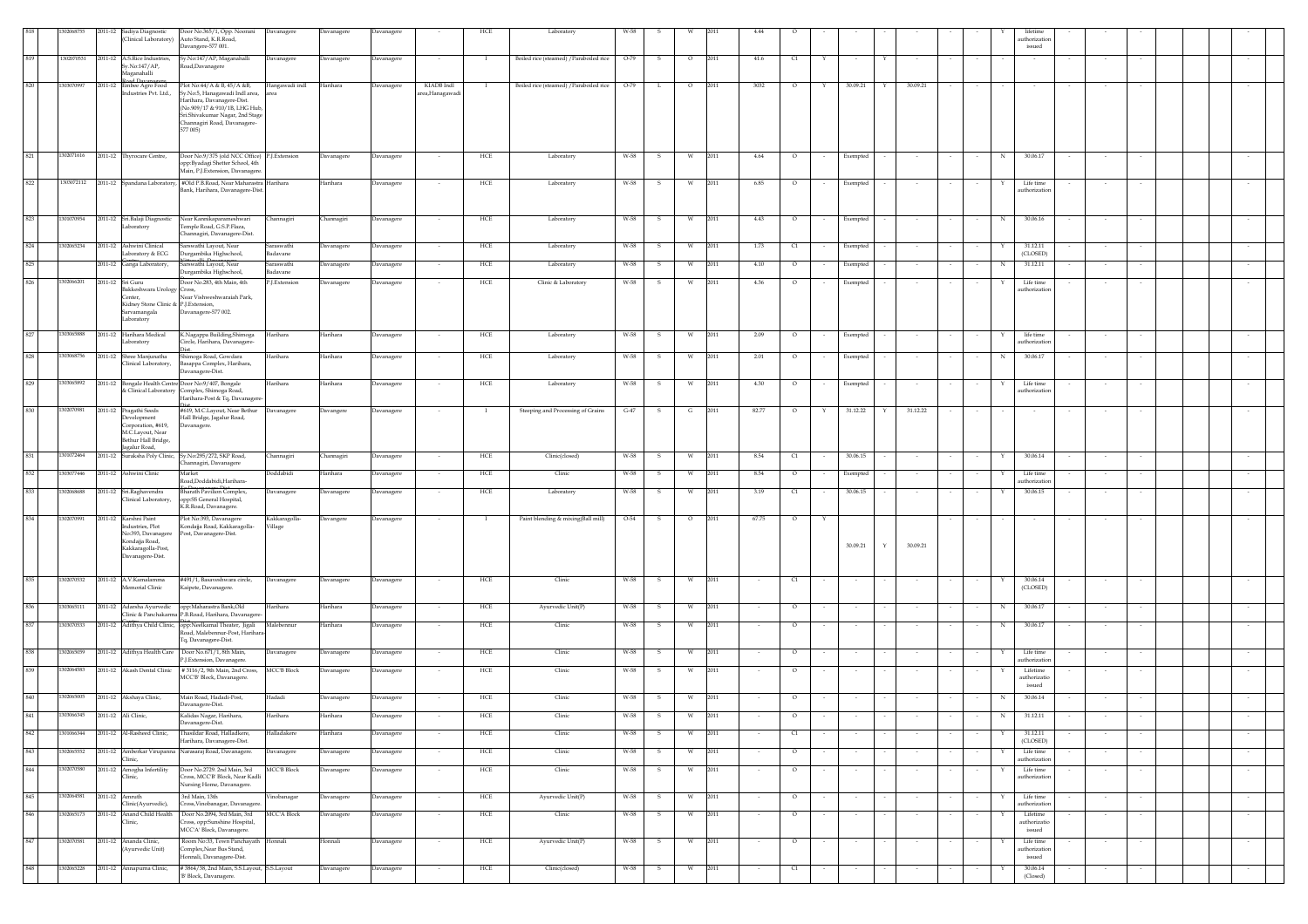|         | 02068755                       | 2011-12 Sadiya Diagnostic                                                                                                   | Door No.365/1, Opp. Noorani<br>(Clinical Laboratory) Auto Stand, K.R.Road,<br>Davangere-577 001.                                                                                                          | Davanagere                | Davanagere        | Davanagere |                               | HCF          | Laboratory                              |        |              |          |      |        |                                  |                          |          |                         |        |        |            | uthorizatio<br>$\,$ issued                 |        |        |  |        |  |
|---------|--------------------------------|-----------------------------------------------------------------------------------------------------------------------------|-----------------------------------------------------------------------------------------------------------------------------------------------------------------------------------------------------------|---------------------------|-------------------|------------|-------------------------------|--------------|-----------------------------------------|--------|--------------|----------|------|--------|----------------------------------|--------------------------|----------|-------------------------|--------|--------|------------|--------------------------------------------|--------|--------|--|--------|--|
| 819     | 1302070531                     | 2011-12 A.S.Rice Industries,<br>Sy.No:147/AP,<br>Maganahalli                                                                | Sy.No:147/AP, Maganahalli<br>Road, Davanagere                                                                                                                                                             | Davanagere                | Davanagere        | Davanagere |                               | $\mathbf I$  | Boiled rice (steamed) / Paraboiled rice | $O-79$ | s            | $\circ$  | 2011 | 41.6   | $\alpha$                         |                          | $\sim$   | Y                       |        |        |            |                                            |        |        |  |        |  |
| 820     | 1303070997                     | ad Daw<br>2011-12 Embee Agro Food<br>ndustries Pvt. Ltd.,                                                                   | Plot No:44/A & B, 45/A &B,<br>y.No:5, Hanagawadi Indl area,<br>Iarihara, Davanagere-Dist.<br>(No.909/17 & 910/1B, LHG Hub,<br>Sri.Shivakumar Nagar, 2nd Stage<br>Channagiri Road, Davanagere-<br>577 005) | Hangawadi indl<br>area    | Harihara          | Davanagere | KIADB Indl<br>area, Hanagawad | $\mathbf{I}$ | Boiled rice (steamed) / Paraboiled rice | $O-79$ | L            | $\circ$  | 2011 | 3032   | $\circ$                          | Y                        | 30.09.21 | Y<br>30.09.21           |        |        |            |                                            |        |        |  |        |  |
| 821     | 302071616                      | 2011-12 Thyrocare Centre,                                                                                                   | Door No.9/375 (old NCC Office) P.J.Extension<br>opp:Byadagi Shetter School, 4th<br>Main, P.J. Extension, Davanagere                                                                                       |                           | Davanagere        | Davanagere |                               | HCE          | Laboratory                              | W-58   | s            | W        | 2011 | 4.64   | $\circ$                          |                          | Exempted |                         |        |        | N          | 30.06.17                                   |        |        |  |        |  |
| 822     | 1303072112                     |                                                                                                                             | 2011-12 Spandana Laboratory, #Old P.B.Road, Near Maharastra Harihara<br>Bank, Harihara, Davanagere-Dist.                                                                                                  |                           | Harihara          | Davanagere |                               | ${\rm HCE}$  | Laboratory                              | W-58   | s            | w        | 2011 | 6.85   | $\circ$                          |                          | Exempted |                         |        |        |            | Life time<br>authorizatio                  |        |        |  |        |  |
| 823     | 1301070954                     | 2011-12 Sri.Balaji Diagnostic<br>aboratory                                                                                  | Near Kannikaparameshwari<br>Temple Road, G.S.P.Flaza,<br>Channagiri, Davanagere-Dist.                                                                                                                     | Channagiri                | <b>Channagiri</b> | Davanagere |                               | HCE          | Laboratory                              | W-58   | s            |          | 2011 | 4.43   | $\circ$                          |                          | Exempted |                         |        |        | N          | 30.06.16                                   |        |        |  |        |  |
| 824     | 1302065234                     | 2011-12 Ashwini Clinical                                                                                                    | Sarswathi Lavout, Near                                                                                                                                                                                    | Saraswathi                | Davanagere        | Davanagere |                               | HCE          | Laboratory                              | W-58   | -S           | w        | 2011 | 1.73   | C1                               |                          | Exempted |                         |        |        |            | 31.12.11<br>(CLOSED)                       |        |        |  |        |  |
| 825     |                                | Laboratory & ECG<br>2011-12 Ganga Laboratory,                                                                               | Durgambika Highschool,<br>Sarswathi Layout, Near                                                                                                                                                          | Badavane<br>Saraswathi    | <b>Davanagere</b> | Davanagere |                               | HCE          | Laboratory                              | W-58   | s            | W        | 2011 | 4.10   | $\circ$                          |                          | Exempted |                         |        |        | N          | 31.12.11                                   |        |        |  |        |  |
| 826     | 1302066201                     | 2011-12 Sri Guru                                                                                                            | Durgambika Highschool,<br>Joor No.283, 4th Main, 4th                                                                                                                                                      | Badavane<br>P.J.Extension | Davanagere        | Davanagere |                               | HCE          | Clinic & Laboratory                     | W-58   |              |          | 2011 | 4.36   | $\circ$                          |                          | Exempted |                         |        |        |            | Life time                                  |        |        |  |        |  |
|         |                                | Bakkeshwara Urology Cross,<br>Center.<br>Kidney Stone Clinic & P.J.Extension,<br>Sarvamangala<br>Laboratory                 | Near Vishweshwaraiah Park,<br>Davanagere-577 002.                                                                                                                                                         |                           |                   |            |                               |              |                                         |        |              |          |      |        |                                  |                          |          |                         |        |        |            | authorization                              |        |        |  |        |  |
| 827     | 1303065888                     | 2011-12 Harihara Medical<br>Laboratory                                                                                      | K.Nagappa Building, Shimoga<br>Circle, Harihara, Davanagere-                                                                                                                                              | Harihara                  | Harihara          | Davanagere | $\sim$                        | HCE          | Laboratory                              | W-58   | - S          | W        | 2011 | 2.09   | $\circ$                          | $\sim$                   | Exempted |                         |        |        |            | life time<br>authorization                 | $\sim$ |        |  |        |  |
| 828     | 1303068756                     | 2011-12 Shree Manjunatha<br>Clinical Laboratory,                                                                            | imoga Road, Gowdara<br>asappa Complex, Harihara,<br>Davanagere-Dist.                                                                                                                                      | Iarihara                  | Iarihara          | Davanagere |                               | HCE          | Laboratory                              | W-58   |              | W        | 2011 | 2.01   | $\circ$                          |                          | Exempted |                         |        |        | N          | 30.06.17                                   |        |        |  |        |  |
| 829     | 303065892                      |                                                                                                                             | 2011-12 Bongale Health Centre Door No:9/407, Bongale<br>& Clinical Laboratory Complex, Shimoga Road,<br>Harihara-Post & Tq, Davanagere                                                                    | Harihara                  | Harihara          | Davanagere |                               | HCE          | Laboratory                              | W-58   | -S           | W        | 2011 | 4.30   | $\circ$                          |                          | Exempted |                         |        |        |            | Life time<br>authorizatio                  |        |        |  |        |  |
| 830     | 1302070981                     | 2011-12 Pragathi Seeds<br>Development<br>Corporation, #619.<br>M.C.Layout, Near<br>Bethur Hall Bridge,<br>agalur Road,      | #619, M.C.Layout, Near Bethur<br>Hall Bridge, Jagalur Road,<br>Davanagere.                                                                                                                                | Davanagere                | <b>Davangere</b>  | Davanagere |                               | $\mathbf{I}$ | Steeping and Processing of Grains       | $G-47$ | S.           | G        | 2011 | 82.77  | $\circ$                          | Υ                        | 31.12.22 | 31.12.22<br>Y           |        |        |            |                                            |        |        |  |        |  |
| 831     | 1301072464                     |                                                                                                                             | 2011-12 Suraksha Poly Clinic, Sy.No.295/272, SKP Road,<br>Channagiri, Davanagere                                                                                                                          | Channagiri                | Channagiri        | Davanagere |                               | HCE          | Clinic(closed)                          | W-58   | - S          | W        | 2011 | 8.54   | C1                               |                          | 30.06.15 |                         |        |        |            | 30.06.14                                   |        |        |  |        |  |
| 832     | 1303077446                     | 2011-12 Ashwini Clinic                                                                                                      | Market<br>Road,Doddabidi,Harihara-                                                                                                                                                                        | Doddabidi                 | Harihara          | Davanagere | $\sim$                        | HCE          | Clinic                                  | W-58   | -S           | w        | 2011 | 8.54   | $\circ$                          | $\sim$                   | Exempted | $\sim$                  | $\sim$ | $\sim$ | Y          | Life time<br>authorization                 | $\sim$ | $\sim$ |  |        |  |
| 833     | 1302068688                     | 2011-12 Sri.Raghavendra<br>Clinical Laboratory,                                                                             | <b>Bharath Pavilion Complex</b> ,<br>pp:SS General Hospital,<br>K.R.Road, Davanagere.                                                                                                                     | Davanagere                | Davanagere        | Davanagere |                               | HCE          | Laboratory                              | W-58   | s            |          | 2011 | 3.19   | $\begin{array}{c} 1 \end{array}$ |                          | 30.06.15 |                         |        |        |            | 30.06.15                                   |        |        |  |        |  |
| 834     | 1302070991                     | 2011-12 Karshni Paint<br>Industries, Plot<br>No:393, Davanagere<br>Kondajja Road,<br>Kakkaragolla-Post,<br>Davanagere-Dist. | Plot No:393, Davanagere<br>Kondajja Road, Kakkaragolla-<br>Post, Davanagere-Dist.                                                                                                                         | Kakkaragolla-<br>Village  | Davangere         | Davanagere | $\sim$                        | $\mathbf{I}$ | Paint blending & mixing(Ball mill)      | O-54   | $\mathbf{s}$ | $\circ$  | 2011 | 67.75  | $\circ$                          | $\mathbf Y$              | 30.09.21 | $\mathbf Y$<br>30.09.21 |        |        |            |                                            |        |        |  |        |  |
| 835     |                                | 1302070532 2011-12 A.V.Kamalamma<br>Memorial Clinic                                                                         | #491/1, Basaveshwara circle,<br>Kaipete, Davanagere.                                                                                                                                                      | Davanagere                | Davanagere        | Davanagere | $\sim$                        | HCE          | Clinic                                  | W-58   | $\mathbf{s}$ | W        | 2011 |        | $\alpha$                         | $\overline{\phantom{a}}$ | $\sim$   |                         |        |        |            | 30.06.14<br>(CLOSED)                       | $\sim$ |        |  |        |  |
| 836     | 1303065111                     |                                                                                                                             | 2011-12 Adarsha Ayurvedic opp:Maharastra Bank,Old<br>Clinic & Panchakarma P.B.Road, Harihara, Davanager                                                                                                   | Harihara                  | Harihara          | Davanagere | $\sim$                        | HCE          | Ayurvedic Unit(P)                       | W-58   | -S           | W        | 2011 | $\sim$ | $\circ$                          |                          | $\sim$   | $\sim$                  |        | $\sim$ | N          | 30.06.17                                   | $\sim$ | $\sim$ |  | $\sim$ |  |
| 837     | 1303070533                     |                                                                                                                             | 2011-12 Adithya Child Clinic, opp:Neelkamal Theater, Jigali<br>Road, Malebennur-Post, Harihara<br>Tq, Davanagere-Dist.                                                                                    | Malebennur                | Harihara          | Davanagere | $\sim$                        | HCE          | Clinic                                  | W-58   | s.           | W        | 2011 | $\sim$ | $\circ$                          |                          | $\sim$   | $\sim$                  |        |        | N          | 30.06.17                                   | $\sim$ |        |  |        |  |
| 838     | 1302065059                     |                                                                                                                             | 2011-12 Adithya Health Care Door No.671/1, 8th Main,<br>P.J.Extension, Davanagere.                                                                                                                        | Davanagere                | <b>Davanagere</b> | Davanagere |                               | ${\rm HCE}$  | Clinic                                  | W-58   | s            | W        | 2011 |        | $\circ$                          |                          |          |                         |        |        |            | Life time<br>authorization                 |        |        |  |        |  |
| 839     | 1302064583                     |                                                                                                                             | 2011-12 Akash Dental Clinic # 3116/2, 9th Main, 2nd Cross,<br>MCC'B' Block, Davanagere.                                                                                                                   | MCC'B Block               | Davanagere        | Davanagere |                               | HCE          | Clinic                                  | W-58   | - S          | W        | 2011 |        | $\circ$                          |                          |          |                         |        |        |            | Lifetime<br>authorizatio<br>issued         |        |        |  |        |  |
| 840     | 1302065005                     | 2011-12 Akshaya Clinic,                                                                                                     | Main Road, Hadadi-Post,<br>Davanagere-Dist.                                                                                                                                                               | Hadadi                    | <b>Davanagere</b> | Davanagere |                               | HCE          | Clinic                                  | W-58   | -S           | w        | 2011 |        | $\circ$                          |                          |          |                         |        |        | N          | 30.06.14                                   |        |        |  |        |  |
| 841     | 1303066345 2011-12 Ali Clinic, |                                                                                                                             | Kalidas Nagar, Harihara,<br>Davanagere-Dist.                                                                                                                                                              | Harihara                  | Harihara          | Davanagere |                               | HCE          | Clinic                                  | W-58   | s            | W        | 2011 |        | $\circ$                          |                          |          |                         |        |        | $_{\rm N}$ | 31.12.11                                   |        |        |  |        |  |
| $842\,$ | 1301066344                     | 2011-12 Al-Rasheed Clinic,                                                                                                  | Thasildar Road, Halladkere,<br>Harihara, Davanagere-Dist.                                                                                                                                                 | Halladakere               | Harihara          | Davanagere |                               | HCE          | Clinic                                  | W-58   |              |          | 2011 |        | C1                               |                          |          |                         |        |        |            | 31.12.11<br>(CLOSED)                       |        |        |  |        |  |
| 843     | 1302065552                     |                                                                                                                             | 2011-12 Amberkar Virupanna Narasaraj Road, Davanagere.                                                                                                                                                    | Davanagere                | Davanagere        | Davanagere |                               | HCE          | Clinic                                  | W-58   | -S           | w        | 2011 |        | $\circ$                          |                          |          |                         |        |        |            | Life time                                  |        |        |  |        |  |
| 844     | 1302070580                     | Clinic,<br>2011-12 Amogha Infertility<br>Clinic,                                                                            | Door No.2729. 2nd Main, 3rd<br>Cross, MCC'B' Block, Near Kadli<br>Nursing Home, Davanagere.                                                                                                               | <b>MCC'B Block</b>        | <b>Davanagere</b> | Davanagere | $\sim$                        | HCE          | Clinic                                  | W-58   | s            | w        | 2011 |        | $\circ$                          | $\sim$                   | $\sim$   | $\sim$                  |        |        |            | authorizatio<br>Life time<br>authorization | $\sim$ | $\sim$ |  | $\sim$ |  |
| 845     | 1302064581                     | 2011-12 Amruth<br>Clinic(Ayurvedic),                                                                                        | 3rd Main, 13th<br>Cross, Vinobanagar, Davanagere                                                                                                                                                          | inobanagar                | <b>Javanagere</b> | Davanagere |                               | HCE          | Ayurvedic Unit(P)                       | W-58   | s            |          | 2011 |        | $\circ$                          |                          |          |                         |        |        |            | Life time<br>authorization                 |        |        |  |        |  |
| 846     | 1302065173                     | Clinic,                                                                                                                     | 2011-12 Anand Child Health Door No.2094, 3rd Main, 3rd<br>Cross, opp:Sunshine Hospital,<br>MCC'A' Block, Davanagere.                                                                                      | <b>MCC'A Block</b>        | Davanagere        | Davanagere |                               | HCE          | Clinic                                  | W-58   |              |          | 2011 |        | $\circ$                          |                          |          |                         |        |        |            | Lifetime<br>authorizatio<br>issued         |        |        |  |        |  |
| 847     | 1302070581                     | 2011-12 Ananda Clinic,<br>(Avurvedic Unit)                                                                                  | Room No:33, Town Panchayath Honnali<br>Complex, Near Bus Stand,<br>Honnali, Davanagere-Dist.                                                                                                              |                           | Honnali           | Davanagere | $\sim$                        | HCE          | Ayurvedic Unit(P)                       | W-58   | -S           | <b>W</b> | 2011 | $\sim$ | $\circ$                          |                          | $\sim$   | $\sim$                  |        | $\sim$ | Y          | Life time<br>authorization<br>issued       | $\sim$ | $\sim$ |  | $\sim$ |  |
| 848     | 1302065228                     | 2011-12 Annapurna Clinic,                                                                                                   | #3864/38, 2nd Main, S.S.Layout, S.S.Layout<br>'B' Block, Davanagere.                                                                                                                                      |                           | Davanagere        | Davanagere | $\sim$                        | ${\rm HCE}$  | Clinic(closed)                          | W-58   | s            | W        | 2011 |        | C1                               |                          |          |                         |        |        |            | 30.06.14<br>(Closed)                       | $\sim$ |        |  |        |  |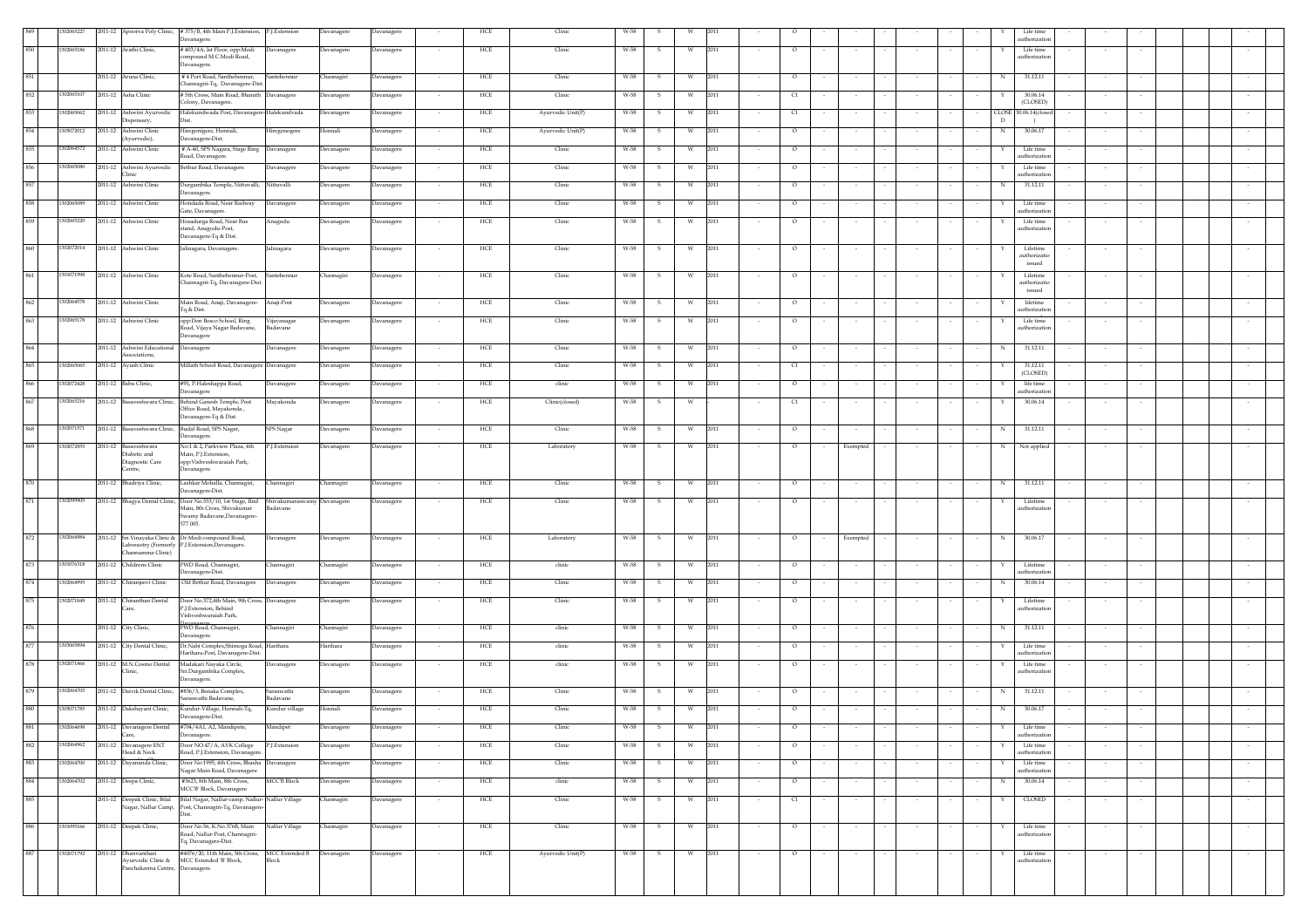|              | 0206522    |                                                       | 2011-12 Apoorva Poly Clinic, #375/B, 4th Main P.J.Extension, P.J.Extension                                                           | Davanagere       | Davanagere        |        | HCE        | Clinic            | W-58 |              |          |      |        |         |        |                  |        |                  | Life time<br>authorization                  |        |        |        |
|--------------|------------|-------------------------------------------------------|--------------------------------------------------------------------------------------------------------------------------------------|------------------|-------------------|--------|------------|-------------------|------|--------------|----------|------|--------|---------|--------|------------------|--------|------------------|---------------------------------------------|--------|--------|--------|
|              | 302065186  | 2011-12 Arathi Clinic,                                | Davanagere.<br>#403/4A, Ist Floor, opp:Modi<br>Davanagere                                                                            | Davanagere       | Davanagere        |        | HCE        | Clinic            | W-58 | s.           | <b>W</b> | 2011 |        | $\circ$ |        | $\sim$           |        |                  | Life time<br>Y                              |        |        |        |
|              |            |                                                       | compound M.C.Modi Road,<br>Davanagere.                                                                                               |                  |                   |        |            |                   |      |              |          |      |        |         |        |                  |        |                  | authorization                               |        |        |        |
|              |            | 2011-12 Aruna Clinic,                                 | #4 Port Road, Santhebennur,<br>Santebennur                                                                                           | Channagiri       | Davanagere        |        | HCE        | Clinic            | W-58 | s            | W        | 2011 |        | $\circ$ |        |                  |        |                  | $\,$ N $\,$<br>31.12.11                     |        |        |        |
| 852          | 1302065107 | 2011-12 Asha Clinic                                   | Channagiri-Tq, Davanagere-Dist<br># 5th Cross, Main Road, Bharath Davanagere                                                         | Davanagere       | Davanagere        | $\sim$ | HCE        | Clinic            | W-58 | -S.          | W        | 2011 | $\sim$ | C1      |        | $\sim$           | $\sim$ |                  | 30.06.14                                    | $\sim$ |        |        |
|              |            |                                                       | Colony, Davanagere                                                                                                                   |                  |                   |        |            |                   |      |              |          |      |        |         |        |                  |        |                  | (CLOSED)                                    |        |        |        |
|              | 302065062  | 2011-12 Ashwini Ayurvedic<br>Dispensary,              | Halekundwada Post, Davanagere-Halekundvada<br>Dist.                                                                                  | Davanagere       | Davanagere        | $\sim$ | HCE        | Ayurvedic Unit(P) | W-58 | s.           | w        | 2011 | $\sim$ | C1      | $\sim$ | $\sim$           | $\sim$ |                  | CLOSE 30.06.14(closed<br>D<br>$\rightarrow$ | $\sim$ | $\sim$ |        |
| 854          | 05072012   | 2011-12 Ashwini Clinic<br>(Ayurvedic),                | Hiregonigere, Honnali,<br>Hiregonogere<br>Davanagere-Dist.                                                                           | Honnali          | Davanagere        | $\sim$ | HCE        | Ayurvedic Unit(P) | W-58 | s.           | W        | 2011 | $\sim$ | $\circ$ |        | $\sim$           | $\sim$ |                  | 30.06.17<br>N                               | $\sim$ |        |        |
| 855          | 1302064572 | 2011-12 Ashwini Clinic                                | # A-40, SPS Nagara, Stage Ring Davanagere                                                                                            | Davanagere       | Davanagere        |        | HCE        | Clinic            | W-58 | s            | W        | 2011 |        | $\circ$ |        |                  |        |                  | Life time<br>Y                              |        |        |        |
| 856          | 1302065080 | 2011-12 Ashwini Ayurvedic Bethur Road, Davanagere.    | Road, Davanagere.<br>Davanagere                                                                                                      | Davanagere       | Davanagere        |        | HCE        | Clinic            | W-58 | $\mathbf{s}$ | W        | 2011 |        | $\circ$ |        |                  |        |                  | authorization<br>Life time                  |        |        |        |
| 857          |            | Clinic<br>2011-12 Ashwini Clinic                      |                                                                                                                                      |                  |                   |        |            | Clinic            |      |              |          | 2011 |        |         |        |                  |        |                  | authorization<br>31.12.11                   |        |        |        |
|              |            |                                                       | Durgambika Temple, Nittuvalli, Nittuvalli<br>Davanagere.                                                                             | Davanagere       | Davanagere        | $\sim$ | HCE        |                   | W-58 | - S          | W        |      | $\sim$ | $\circ$ | $\sim$ | $\sim$<br>$\sim$ | $\sim$ | $\sim$           | N                                           | $\sim$ | $\sim$ |        |
| 858          | 302065089  | 2011-12 Ashwini Clinic                                | Hondada Road, Near Railway<br>Davanagere<br>Gate, Davanagere.                                                                        | Davanagere       | Davanagere        | $\sim$ | HCE        | Clinic            | W-58 | -S           | W        | 2011 | $\sim$ | $\circ$ |        | $\sim$           | $\sim$ |                  | Life time<br>Y<br>authorization             | $\sim$ |        |        |
| 859          | 1302065220 | 2011-12 Ashwini Clinic                                | Hosadurga Road, Near Bus<br>Anagodu<br>stand, Anagodu-Post,                                                                          | Davanagere       | Davanagere        |        | HCE        | Clinic            | W-58 | $\mathbf{s}$ | W        | 2011 |        | $\circ$ |        | $\sim$           |        |                  | Life time<br>Y<br>authorization             | $\sim$ |        |        |
|              |            |                                                       | Davanagere-Tq & Dist.                                                                                                                |                  |                   |        |            |                   |      |              |          |      |        |         |        |                  |        |                  |                                             |        |        |        |
|              | 1302072014 | 2011-12 Ashwini Clinic                                | Jalinagara, Davanagere.<br>Jalinagara                                                                                                | Davanagere       | Davanagere        |        | HCE        | Clinic            | W-58 | -S           | W        | 2011 |        | $\circ$ |        |                  |        |                  | Lifetime<br>Y<br>authorizatio               |        |        |        |
|              |            |                                                       |                                                                                                                                      |                  |                   |        |            |                   |      |              |          |      |        |         |        |                  |        |                  | issued                                      |        |        |        |
|              | 301071998  | 2011-12 Ashwini Clinic                                | Kote Road, Santhebennur-Post, Santebennur<br>Channagiri-Tq, Davanagere-Dist.                                                         | Channagiri       | Davanagere        |        | HCE        | Clinic            | W-58 | s            | w        | 2011 |        | $\circ$ |        |                  |        |                  | Lifetime<br>Y<br>authorizatio               |        |        |        |
|              | 1302064578 | 2011-12 Ashwini Clinic                                | Main Road, Anaji, Davanagere-<br>Anaji-Post                                                                                          | Davanagere       | Davanagere        |        | HCE        | Clinic            | W-58 |              |          | 2011 |        | $\circ$ |        |                  |        |                  | issued<br>lifetime                          |        |        |        |
|              |            |                                                       | Tq & Dist.                                                                                                                           |                  |                   |        |            |                   |      |              |          |      |        |         |        |                  |        |                  | authorization                               |        |        |        |
|              | 1302065178 | 2011-12 Ashwini Clinic                                | opp:Don Bosco School, Ring<br>Vijayanagar<br>Road, Vijaya Nagar Badavane,<br>Badavane                                                | Davanagere       | Davanagere        |        | HCE        | Clinic            | W-58 | -S.          | W        | 2011 |        | $\circ$ |        |                  |        |                  | Life time<br>authorization                  |        |        |        |
|              |            | 2011-12 Ashwini Educational                           | Davanagere<br>Davanagere<br>Davanagere                                                                                               | Davanagere       | Davanagere        |        | HCE        | Clinic            | W-58 | -S           | W        | 2011 |        | $\circ$ |        |                  |        |                  | 31.12.11<br>N                               | $\sim$ |        |        |
|              |            | Associations,                                         |                                                                                                                                      |                  |                   |        |            |                   |      |              |          |      |        |         |        |                  |        |                  |                                             |        |        |        |
|              | 1302065065 | 2011-12 Ayush Clinic                                  | Millath School Road, Davanagere Davanagere                                                                                           | Davanagere       | Davanagere        |        | HCE        | Clinic            | W-58 | s            | W        | 2011 |        | C1      |        |                  |        |                  | 31.12.11<br>(CLOSED)                        |        |        |        |
| 866          | 1302072428 | 2011-12 Babu Clinic,                                  | #91, P.Haleshappa Road,<br>Davanagere<br>Davanagere                                                                                  | Davanagere       | Davanagere        | $\sim$ | HCE        | clinic            | W-58 | S.           | W        | 2011 | $\sim$ | $\circ$ |        | $\sim$           |        |                  | life time<br>Y<br>authorizatio              | $\sim$ |        |        |
|              | 1302065216 |                                                       | 2011-12 Basaveshwara Clinic, Behind Ganesh Temple, Post<br>Mayakonda                                                                 | Davanagere       | Davanagere        | $\sim$ | HCE        | Clinic(closed)    | W-58 | S.           | <b>W</b> |      | $\sim$ | C1      | $\sim$ | $\sim$<br>$\sim$ | $\sim$ | $\sim$<br>$\sim$ | 30.06.14<br>Y                               | $\sim$ | $\sim$ | $\sim$ |
|              |            |                                                       | Office Road, Mavakonda<br>Davanagere-Tq & Dist.                                                                                      |                  |                   |        |            |                   |      |              |          |      |        |         |        |                  |        |                  |                                             |        |        |        |
| 868          | 302071571  | 2011-12 Basaveshwara Clinic, Budal Road, SPS Nagar,   | SPS Nagar<br>Davanagere.                                                                                                             | Davanagere       | <b>Davanagere</b> |        | HCE        | Clinic            | W-58 | s            | W        | 2011 |        | $\circ$ |        |                  |        |                  | 31.12.11<br>N                               |        |        |        |
| 869          | 1302072855 | 2011-12 Basaveshwara                                  | No:1 & 2, Parkview Plaza, 4th<br>P.J.Extension                                                                                       | Davanagere       | Davanagere        |        | HCE        | Laboratory        | W-58 |              | W        | 2011 |        | $\circ$ |        | Exempted         |        |                  | Not applied<br>N                            |        |        |        |
|              |            | Diabetic and<br>Diagnostic Care                       | Main, P.J. Extension,<br>opp: Vishveshwaraiah Park,                                                                                  |                  |                   |        |            |                   |      |              |          |      |        |         |        |                  |        |                  |                                             |        |        |        |
|              |            | Centre,                                               | Davanagere.                                                                                                                          |                  |                   |        |            |                   |      |              |          |      |        |         |        |                  |        |                  |                                             |        |        |        |
|              |            | 2011-12 Bhadriya Clinic,                              | Lashkar Mohalla, Channagiri,<br>Channagiri<br>Davanagere-Dist.                                                                       | Channagiri       | Davanagere        | $\sim$ | HCE        | Clinic            | W-58 | s.           | W        | 2011 |        | $\circ$ | $\sim$ | $\sim$           |        |                  | 31.12.11<br>N                               | $\sim$ |        |        |
| 871          | 302099905  |                                                       | 2011-12 Bhagya Dental Clinic, Door No.553/10, 1st Stage, IInd Shivakumaraswamy Davanagere<br>Main, 8th Cross, Shivakumar<br>Badavane |                  | Davanagere        |        | HCE        | Clinic            | W-58 | S.           | W        | 2011 |        | $\circ$ |        | $\sim$           |        |                  | Lifetime<br>Y<br>authorization              |        |        |        |
|              |            |                                                       | Swamy Badavane, Davanagere-<br>577 005.                                                                                              |                  |                   |        |            |                   |      |              |          |      |        |         |        |                  |        |                  |                                             |        |        |        |
| 872          | 302064984  | 2011-12 Sri.Vinayaka Clinic & Dr.Modi compound Road,  | Davanagere                                                                                                                           | Davanagere       | Davanagere        |        | HCE        | Laboratory        | W-58 | s            | W        | 2011 |        | $\circ$ |        | Exempted         |        |                  | 30.06.17<br>N                               |        |        |        |
|              |            | Channamma Clinic)                                     | Laboraotry (Formerly P.J.Extension,Davanagere.                                                                                       |                  |                   |        |            |                   |      |              |          |      |        |         |        |                  |        |                  |                                             |        |        |        |
|              | 301076318  | 2011-12 Childrens Clinic                              | PWD Road, Channagiri,<br>Channagiri                                                                                                  | <b>hannagiri</b> | Davanagere        |        | HCE        | clinic            | W-58 |              | W        | 2011 |        | $\circ$ |        |                  |        |                  | Lifetime<br>Y                               |        |        |        |
|              | 1302064995 | 2011-12 Chiranjeevi Clinic                            | Davanagere-Dist.<br>Old Bethur Road, Davanagere<br>Davanagere                                                                        | Davanagere       | Davanagere        |        | HCE        | Clinic            | W-58 |              | W        | 2011 |        | $\circ$ |        |                  |        |                  | authorizatio<br>30.06.14<br>N               |        |        |        |
| $87^{\circ}$ |            |                                                       |                                                                                                                                      |                  |                   |        |            |                   |      |              |          |      |        |         |        |                  |        |                  |                                             |        |        |        |
|              | 1302071849 | 2011-12 Chiranthan Dental                             | Door No.372,4th Main, 9th Cross, Davanagere<br>P.J.Extension, Behind                                                                 | Davanagere       | Davanagere        |        | HCE        | Clinic            | W-58 |              | W        | 2011 |        | $\circ$ |        |                  |        |                  | Lifetime<br>authorizatio                    |        |        |        |
|              |            | 2011-12 City Clinic,                                  | Vishveshwaraiah Park,<br>PWD Road, Channagiri,<br>Channagiri                                                                         | Channagiri       | Davanagere        |        | HCE        | clinic            | W-58 | -S.          | W        | 2011 |        | $\circ$ |        |                  |        |                  | 31.12.11<br>N                               |        |        |        |
|              |            |                                                       | Davanagere.                                                                                                                          |                  |                   |        |            |                   |      |              |          |      |        |         |        |                  |        |                  |                                             |        |        |        |
| 877          | 03065894   | 2011-12 City Dental Clinic,                           | Dr.Nabi Complex, Shimoga Road, Harihara<br>Harihara-Post, Davanagere-Dist.                                                           | Harihara         | Davanagere        |        | HCE        | clinic            | W-58 | -S.          | <b>W</b> | 2011 |        | $\circ$ |        |                  |        |                  | Life time<br>Y<br>authorization             |        |        |        |
| 878          | 1302071866 | 2011-12 M.N.Cosmo Dental<br>Clinic,                   | Madakari Nayaka Circle,<br>Davanagere<br>Sri.Durgambika Complex,                                                                     | Davanagere       | Davanagere        |        | HCE        | clinic            | W-58 | s            | W        | 2011 |        | $\circ$ |        |                  |        |                  | Life time<br>authorization                  |        |        |        |
|              |            |                                                       | Davanagere.                                                                                                                          |                  |                   |        |            |                   |      |              |          |      |        |         |        |                  |        |                  |                                             |        |        |        |
|              | 1302064705 | 2011-12 Daivik Dental Clinic, #836/3, Benaka Complex, | Saraswathi<br>Saraswathi Badavane<br>Badavane                                                                                        | Davanagere       | Davanagere        |        | <b>HCE</b> | Clinic            | W-58 | -S.          | - W      | 2011 |        | $\circ$ |        | $\sim$           |        |                  | 31.12.11<br>N                               | $\sim$ |        |        |
| 880          | 1305071785 | 2011-12 Dakshayani Clinic,                            | Kundur-Village, Honnali-Tq,<br>Kundur village<br>Davanagere-Dist.                                                                    | Honnali          | Davanagere        |        | HCE        | Clinic            | W-58 | s            | W        | 2011 |        | $\circ$ |        |                  |        |                  | 30.06.17<br>N                               |        |        |        |
|              | 1302064698 | 2011-12 Davanagere Dental<br>Care,                    | #704/4A1, A2, Mandipete,<br>Mandipet<br>Davanagere.                                                                                  | Davanagere       | Davanagere        |        | HCE        | Clinic            | W-58 |              | W        | 2011 |        | $\circ$ |        |                  |        |                  | Life time<br>authorization                  |        |        |        |
| 882          | 1302064962 | 2011-12 Davanagere ENT                                | Door NO.47/A, AVK College<br>P.J.Extension                                                                                           | Davanagere       | Davanagere        |        | HCE        | Clinic            | W-58 |              | W        | 2011 |        | $\circ$ |        |                  |        |                  | Life time                                   |        |        |        |
| 883          | 1302064700 | Head & Neck                                           | Road, P.J.Extension, Davanagere<br>Door No:1995, 4th Cross, Bhasha Davanagere                                                        |                  | Davanagere        |        | HCE        | Clinic            | W-58 | $\mathbf{s}$ | W        | 2011 |        | $\circ$ |        | $\sim$           |        |                  | authorization<br>Life time                  |        |        |        |
|              |            | 2011-12 Dayananda Clinic,                             | Nagar Main Road, Davanagere                                                                                                          | Davanagere       |                   |        |            |                   |      |              |          |      |        |         |        |                  |        |                  | authorization                               |        |        |        |
| 884          | 1302064702 | 2011-12 Deepa Clinic,                                 | #3623, 8th Main, 8th Cross,<br><b>MCC'B Block</b><br>MCC'B' Block, Davanagere                                                        | Davanagere       | Davanagere        |        | HCE        | clinic            | W-58 | -S           | W        | 2011 |        | $\circ$ |        | $\sim$           | $\sim$ |                  | 30.06.14<br>$_{\rm N}$                      | $\sim$ | $\sim$ | $\sim$ |
| 885          |            | 2011-12 Deepak Clinic, Bilal                          | Bilal Nagar, Nallur-camp, Nallur-Nallur Village<br>Nagar, Nallur Camp, Post, Channagiri-Tq, Davanagere-                              | Channagiri       | Davanagere        |        | HCE        | Clinic            | W-58 | -S           | W        | 2011 |        | C1      |        | $\sim$           | $\sim$ |                  | CLOSED<br>Y                                 | $\sim$ | $\sim$ | $\sim$ |
|              |            |                                                       | Dist.                                                                                                                                |                  |                   |        |            |                   |      |              |          |      |        |         |        |                  |        |                  |                                             |        |        |        |
| 886          | 301095166  | 2011-12 Deepak Clinic,                                | Door No.56, K.No.376B, Main<br>Nallur Village<br>Road, Nallur-Post, Channagiri-                                                      | Channagiri       | Davanagere        |        | HCE        | Clinic            | W-58 | -S           | W        | 2011 |        | $\circ$ |        |                  |        |                  | Life time<br>authorization                  |        |        |        |
| 887          | 302071792  | 2011-12 Dhanvanthari                                  | Tq, Davanagere-Dist.<br>#4076/20, 11th Main, 5th Cross, MCC Extended B                                                               | Davanagere       | Davanagere        |        | HCE        | Ayurvedic Unit(P) | W-58 |              | W        | 2011 |        |         |        |                  |        |                  | Life time                                   |        |        |        |
|              |            |                                                       | Avurvedic Clinic & MCC Extended 'B' Block,<br>Block                                                                                  |                  |                   |        |            |                   |      |              |          |      |        | $\circ$ |        |                  |        |                  | authorization                               |        |        |        |
|              |            | Panchakarma Centre, Davanagere.                       |                                                                                                                                      |                  |                   |        |            |                   |      |              |          |      |        |         |        |                  |        |                  |                                             |        |        |        |
|              |            |                                                       |                                                                                                                                      |                  |                   |        |            |                   |      |              |          |      |        |         |        |                  |        |                  |                                             |        |        |        |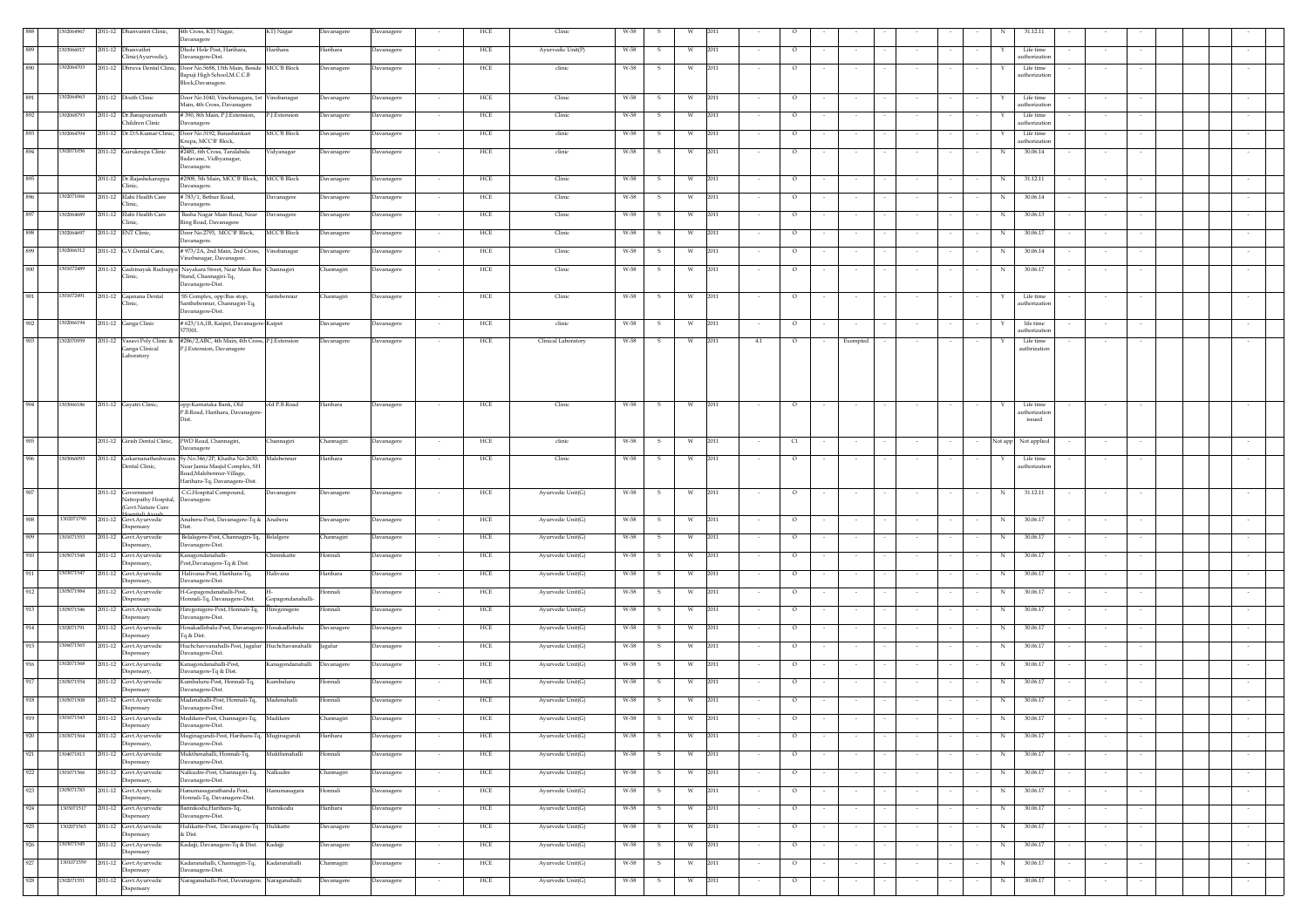|     | 1302064967 |         | 2011-12 Dhanvantri Clinic,                      | 4th Cross, KTJ Nagar,                                                                                    | KTJ Nagar          | Davanagere | Davanagere                             | HCE         | Clinic              | W-58                            |    |      |        |         |        |                  |        |                       | 31.12.11                           |        |                          |
|-----|------------|---------|-------------------------------------------------|----------------------------------------------------------------------------------------------------------|--------------------|------------|----------------------------------------|-------------|---------------------|---------------------------------|----|------|--------|---------|--------|------------------|--------|-----------------------|------------------------------------|--------|--------------------------|
|     |            |         |                                                 | Davanagere                                                                                               |                    |            |                                        |             |                     |                                 |    |      |        |         |        |                  |        |                       |                                    |        |                          |
| 889 | 130306601  |         | 2011-12 Dhanvathri                              | Dhole Hole Post, Harihara.                                                                               | Harihara           | Harihara   | Davanagere                             | HCE         | Ayurvedic Unit(P)   | W-58<br>-S                      | W  | 2011 |        | $\circ$ |        |                  |        |                       | Life time                          |        |                          |
|     |            |         | Clinic(Ayurvedic),                              | Davanagere-Dist.                                                                                         |                    |            |                                        |             |                     |                                 |    |      |        |         |        |                  |        |                       | authorization                      |        |                          |
| 890 | 1302064703 |         |                                                 | 2011-12 Dhruva Dental Clinic, Door No.5688, 13th Main, Beside MCC'B Block<br>Bapuji High School, M.C.C.B |                    | Davanagere | Davanagere                             | HCE         | clinic              | W-58<br>- S                     |    | 2011 |        | $\circ$ |        |                  |        |                       | Life time<br>authorization         |        |                          |
|     |            |         |                                                 | Block, Davanagere                                                                                        |                    |            |                                        |             |                     |                                 |    |      |        |         |        |                  |        |                       |                                    |        |                          |
| 891 | 1302064963 |         | 2011-12 Dixith Clinic                           | Door No.1040, Vinobanagara, 1st                                                                          | Vinobanagar        | Davanagere | Davanagere                             | HCE         | Clinic              | W-58<br>s                       | W  | 2011 |        | $\circ$ |        |                  |        |                       | Life time                          |        |                          |
|     |            |         |                                                 | Main, 4th Cross, Davanagere                                                                              |                    |            |                                        |             |                     |                                 |    |      |        |         |        |                  |        |                       | authorizatio                       |        |                          |
| 892 | 1302068793 |         | 2011-12 Dr.Banapuramath                         | #390, 8th Main, P.J.Extension,                                                                           | P.J.Extension      | Davanagere | Davanagere                             | HCE         | Clinic              | W-58                            |    | 2011 |        | $\circ$ |        |                  |        |                       | Life time                          |        |                          |
|     |            |         | Children Clinic                                 | Davanagere                                                                                               |                    |            |                                        |             |                     |                                 |    |      |        |         |        |                  |        |                       | authorization                      |        |                          |
| 893 | 1302064704 |         |                                                 | 2011-12 Dr.D.S.Kumar Clinic, Door No.3192, Banashankari                                                  | <b>MCC'B Block</b> | Davanagere | Davanagere                             | HCE         | clinic              | W-58<br>- S                     | W. | 2011 |        | $\circ$ |        |                  |        |                       | Life time                          |        |                          |
| 894 | 1302071056 |         |                                                 | Krupa, MCC'B' Block,<br>#2481, 6th Cross, Taralabalu                                                     |                    |            |                                        | HCE         |                     | W-58                            |    |      |        |         |        |                  |        |                       | authorization<br>30.06.14          |        |                          |
|     |            |         | 2011-12 Gurukrupa Clinic                        | Badavane, Vidhyanagar,                                                                                   | Vidyanagar         | Davanagere | Davanagere                             |             | clinic              | - S                             | W  | 2011 |        | $\circ$ |        |                  |        | N                     |                                    |        |                          |
|     |            |         |                                                 | Davanagere.                                                                                              |                    |            |                                        |             |                     |                                 |    |      |        |         |        |                  |        |                       |                                    |        |                          |
| 895 |            |         | 2011-12 Dr.Rajashekarappa                       | #2908, 5th Main, MCC'B' Block, MCC'B Block                                                               |                    | Davanagere | Davanagere                             | HCE         | Clinic              | W-58                            | W  | 2011 |        | $\circ$ |        |                  |        | N                     | 31.12.11                           |        |                          |
|     |            |         | Clinic,                                         | Davanagere.                                                                                              |                    |            |                                        |             |                     |                                 |    |      |        |         |        |                  |        |                       |                                    |        |                          |
| 896 | 1302071066 |         | 2011-12 Elahi Health Care<br>Clinic,            | #783/1. Bethur Road.<br>Davanagere.                                                                      | Davanagere         | Davanagere | Davanagere                             | HCE         | Clinic              | W-58<br>$\overline{\mathbf{s}}$ | W  | 2011 |        | $\circ$ |        |                  |        |                       | $_{\rm N}$<br>30.06.14             |        |                          |
| 897 | 1302064689 |         | 2011-12 Elahi Health Care                       | Basha Nagar Main Road, Near                                                                              | Davanagere         | Davanagere | Davanagere<br>$\sim$                   | HCE         | Clinic              | W-58<br>S.                      | W  | 2011 | $\sim$ | $\circ$ | $\sim$ | $\sim$           | $\sim$ | N<br>$\sim$<br>$\sim$ | 30.06.13<br>$\sim$                 | $\sim$ | $\sim$                   |
|     |            |         | Clinic,                                         | Ring Road, Davanagere                                                                                    |                    |            |                                        |             |                     |                                 |    |      |        |         |        | $\sim$           |        |                       |                                    |        |                          |
| 898 | 1302064697 |         | 2011-12 ENT Clinic,                             | Door No.2793, MCC'B' Block,                                                                              | <b>MCC'B Block</b> | Davanagere | Davanagere<br>$\sim$                   | ${\rm HCE}$ | Clinic              | W-58<br>-S                      | W  | 2011 | $\sim$ | $\circ$ |        | $\sim$           |        | N                     | 30.06.17<br>$\sim$                 |        |                          |
|     |            |         |                                                 | Davanagere.                                                                                              |                    |            |                                        |             |                     |                                 |    |      |        |         |        |                  |        |                       |                                    |        |                          |
| 899 | 1302066312 |         | 2011-12 G.V.Dental Care,                        | # 973/2A, 2nd Main, 2nd Cross,<br>Vinobanagar, Davanagere.                                               | Vinobanagar        | Davanagere | Davanagere                             | ${\rm HCE}$ | Clinic              | W-58<br>s                       | W  | 2011 |        | $\circ$ |        |                  |        | N                     | 30.06.14                           |        |                          |
| 900 | 1301072489 |         |                                                 | 2011-12 Gadrinayak Rudrappa Nayakara Street, Near Main Bus Channagiri                                    |                    | Channagiri | Davanagere                             | HCE         | Clinic              | W-58<br>S.                      | W  | 2011 |        | $\circ$ |        |                  |        | N                     | 30.06.17                           |        |                          |
|     |            |         | Clinic,                                         | Stand, Channagiri-Tq,                                                                                    |                    |            |                                        |             |                     |                                 |    |      |        |         |        |                  |        |                       |                                    |        |                          |
|     |            |         |                                                 | Davanagere-Dist.                                                                                         |                    |            |                                        |             |                     |                                 |    |      |        |         |        |                  |        |                       |                                    |        |                          |
| 901 | 1301072491 |         | 2011-12 Gajanana Dental                         | SS Complex, opp:Bus stop,                                                                                | Santebennur        | Channagiri | Davanagere<br>$\sim$                   | HCE         | Clinic              | W-58<br>s                       | W  | 2011 |        | $\circ$ |        | $\sim$           |        | Y                     | Life time                          |        |                          |
|     |            |         | Clinic,                                         | Santhebennur, Channagiri-Tq,<br>Davanagere-Dist.                                                         |                    |            |                                        |             |                     |                                 |    |      |        |         |        |                  |        |                       | authorization                      |        |                          |
|     | 1302066194 |         |                                                 |                                                                                                          |                    |            |                                        |             |                     |                                 |    |      |        |         |        |                  |        |                       |                                    |        |                          |
| 902 |            |         | 2011-12 Ganga Clinic                            | # 623/1A,1B, Kaipet, Davanagere-Kaipet<br>577001.                                                        |                    | Davanagere | Davanagere                             | ${\rm HCE}$ | clinic              | W-58<br>s                       | W  | 2011 |        | $\circ$ |        | $\sim$           |        |                       | life time<br>$\sim$<br>uthorizatio |        |                          |
| 903 | 1302070959 |         |                                                 | 2011-12 Vasavi Poly Clinic & #286/2, ABC, 4th Main, 4th Cross, P.J.Extension                             |                    | Davanagere | Davanagere                             | HCE         | Clinical Laboratory | W-58<br>$\mathbf{s}$            | W  | 2011 | 4.1    | $\circ$ |        | Exempted         |        |                       | Life time                          |        |                          |
|     |            |         | Ganga Clinical                                  | P.J.Extension, Davanagere                                                                                |                    |            |                                        |             |                     |                                 |    |      |        |         |        |                  |        |                       | uthrizatio                         |        |                          |
|     |            |         | Laboratory                                      |                                                                                                          |                    |            |                                        |             |                     |                                 |    |      |        |         |        |                  |        |                       |                                    |        |                          |
|     |            |         |                                                 |                                                                                                          |                    |            |                                        |             |                     |                                 |    |      |        |         |        |                  |        |                       |                                    |        |                          |
|     |            |         |                                                 |                                                                                                          |                    |            |                                        |             |                     |                                 |    |      |        |         |        |                  |        |                       |                                    |        |                          |
|     |            |         |                                                 |                                                                                                          |                    |            |                                        |             |                     |                                 |    |      |        |         |        |                  |        |                       |                                    |        |                          |
| 904 | 1303066186 |         | 2011-12 Gayatri Clinic,                         | opp:Karnataka Bank, Old                                                                                  | old P.B.Road       | Harihara   | Davanagere                             | HCE         | Clinic              | W-58                            |    | 2011 |        | $\circ$ |        |                  |        |                       | Life time                          |        |                          |
|     |            |         |                                                 | P.B.Road, Harihara, Davanagere-                                                                          |                    |            |                                        |             |                     |                                 |    |      |        |         |        |                  |        |                       | authorization                      |        |                          |
|     |            |         |                                                 | Dist.                                                                                                    |                    |            |                                        |             |                     |                                 |    |      |        |         |        |                  |        |                       | issued                             |        |                          |
|     |            |         |                                                 |                                                                                                          |                    |            |                                        |             |                     |                                 |    |      |        |         |        |                  |        |                       |                                    |        |                          |
| 905 |            |         |                                                 | 2011-12 Girish Dental Clinic, PWD Road, Channagiri,<br>Davanagere                                        | Channagiri         | Channagiri | Davanagere                             | HCE         | clinic              | W-58<br>-S                      | W  | 2011 |        | C1      |        |                  |        |                       | Not app Not applied                |        |                          |
| 906 | 1303066093 |         |                                                 | 2011-12 Gokarnanatheshwara Sy.No.346/2P, Khatha No:2630,                                                 | Malebennur         | Harihara   | Davanagere                             | HCE         | Clinic              | W-58<br>- S                     |    | 2011 |        | $\circ$ |        |                  |        |                       | Life time                          |        |                          |
|     |            |         | Dental Clinic.                                  | Near Jamia Masjid Complex, SH                                                                            |                    |            |                                        |             |                     |                                 |    |      |        |         |        |                  |        |                       | authorization                      |        |                          |
|     |            |         |                                                 | Road.Malebennur-Village,<br>Harihara-Tq, Davanagere-Dist.                                                |                    |            |                                        |             |                     |                                 |    |      |        |         |        |                  |        |                       |                                    |        |                          |
| 907 |            |         | 2011-12 Government                              | C.G.Hospital Compound,                                                                                   |                    |            |                                        | HCE         | Avurvedic Unit(G)   | W-58<br>- S                     | W  | 2011 |        |         |        |                  |        |                       |                                    |        |                          |
|     |            |         | Natropathy Hospital, Davanagere.                |                                                                                                          | Davanagere         | Davanagere | Davanagere                             |             |                     |                                 |    |      |        | $\circ$ |        |                  |        | N                     | 31.12.11                           |        |                          |
|     |            |         | (Govt.Nature Cure<br>districts                  |                                                                                                          |                    |            |                                        |             |                     |                                 |    |      |        |         |        |                  |        |                       |                                    |        |                          |
| 908 | 1302071790 |         | 2011-12 Govt.Ayurvedic                          | Anaberu-Post, Davanagere-Tq & Anaberu                                                                    |                    | Davanagere | Davanagere<br>$\sim$                   | ${\rm HCE}$ | Ayurvedic Unit(G)   | W-58<br>$\mathbf{s}$            | W  | 2011 | $\sim$ | $\circ$ | $\sim$ | $\sim$           | $\sim$ |                       | $_{\rm N}$<br>30.06.17<br>$\sim$   |        |                          |
|     |            |         | Dispensary                                      | Dist.                                                                                                    |                    |            |                                        |             |                     |                                 |    |      |        |         |        |                  |        |                       |                                    |        |                          |
| 909 | 1301071553 |         | 2011-12 Govt.Ayurvedic<br>Dispensary,           | Belalagere-Post, Channagiri-Tq, Belalgere<br>Davanagere-Dist.                                            |                    | Channagiri | Davanagere<br>$\sim$                   | ${\rm HCE}$ | Ayurvedic Unit(G)   | W-58<br>s                       | W  | 2011 | $\sim$ | $\circ$ |        | $\sim$           | $\sim$ |                       | $_{\rm N}$<br>30.06.17<br>$\sim$   |        |                          |
| 910 | 1305071548 |         | 2011-12 Govt.Ayurvedic                          | Kanagondanahalli-                                                                                        | Chinnikatte        | Honnali    | Davanagere<br>$\sim$                   | HCE         | Ayurvedic Unit(G)   | W-58<br>-S                      | W  | 2011 | $\sim$ | $\circ$ |        | $\sim$           | $\sim$ |                       | $_{\rm N}$<br>30.06.17<br>$\sim$   |        |                          |
|     |            |         | Dispensary,                                     | Post, Davanagere-Tq & Dist.                                                                              |                    |            |                                        |             |                     |                                 |    |      |        |         |        |                  |        |                       |                                    |        |                          |
| 911 | 1303071547 |         | 2011-12 Govt.Avurvedic                          | Halivana-Post, Harihara-Tq,                                                                              | Halivana           | Harihara   | Davanagere<br>$\sim$                   | HCE         | Ayurvedic Unit(G)   | W-58<br>S.                      | W  | 2011 | $\sim$ | $\circ$ | $\sim$ | $\sim$           | $\sim$ | N<br>$\sim$<br>$\sim$ | 30.06.17<br>$\sim$                 |        |                          |
|     |            |         | Dispensary,                                     | Davanagere-Dist.                                                                                         |                    |            |                                        |             |                     |                                 |    |      |        |         |        |                  |        |                       |                                    |        |                          |
| 912 | 1305071984 |         | 2011-12 Govt.Ayurvedic                          | H-Gopagondanahalli-Post,                                                                                 |                    | Honnali    | Davanagere<br>$\overline{\phantom{a}}$ | ${\rm HCE}$ | Ayurvedic Unit(G)   | W-58<br>s                       | w  | 2011 |        | $\circ$ |        | $\sim$           |        | N                     | 30.06.17<br>$\sim$                 |        |                          |
|     | 1305071546 | 2011-12 | <i>dispensary</i>                               | Honnali-Tq, Davanagere-Dist.                                                                             | Gopagondanahalli   | Honnali    |                                        |             |                     |                                 |    | 2011 |        |         |        |                  |        |                       | 30.06.17                           |        |                          |
|     |            |         | Govt.Ayurvedic<br>Dispensary                    | Hiregonigere-Post, Honnali-Tq,<br>Davanagere-Dist.                                                       | Hiregonigere       |            | avanagere                              | HCE         | Ayurvedic Unit(G)   | W-58                            |    |      |        | $\circ$ |        |                  |        | N                     |                                    |        |                          |
| 914 | 1302071791 |         | 2011-12 Govt.Ayurvedia                          | Hosakadlebalu-Post, Davanagere-Hosakadlebalu                                                             |                    | Davanagere | Davanagere                             | HCE         | Ayurvedic Unit(G)   | W-58                            |    | 2011 |        | $\circ$ |        |                  |        | N                     | 30.06.17                           |        |                          |
|     |            |         | Dispensary                                      | Tq & Dist.                                                                                               |                    |            |                                        |             |                     |                                 |    |      |        |         |        |                  |        |                       |                                    |        |                          |
| 915 | 1306071565 |         | 2011-12 Govt.Ayurvedic                          | Huchchavvanahalli-Post, Jagalur Huchchavanahalli                                                         |                    | Jagalur    | Davanagere                             | HCE         | Ayurvedic Unit(G)   | W-58<br>- S                     | W. | 2011 |        | $\circ$ |        |                  |        | N                     | 30.06.17                           |        |                          |
| 916 | 1302071568 |         | Dispensary                                      | Davanagere-Dist.                                                                                         |                    |            |                                        |             |                     |                                 |    |      |        |         |        |                  |        |                       |                                    |        |                          |
|     |            |         | 2011-12 Govt.Ayurvedic<br>Dispensary,           | Kanagondanahalli-Post,<br>Davanagere-Tq & Dist.                                                          | Kanagondanahalli   | Davanagere | Davanagere<br>$\sim$                   | HCE         | Avurvedic Unit(G)   | W-58<br>-S                      | W  | 2011 |        | $\circ$ |        | $\sim$           |        | N                     | 30.06.17<br>$\sim$                 |        |                          |
| 917 | 1305071554 |         | 2011-12 Govt.Ayurvedic                          | Kumbaluru-Post, Honnali-Tq,                                                                              | Kumbaluru          | Honnali    | Davanagere                             | HCE         | Ayurvedic Unit(G)   | W-58                            |    | 2011 |        | $\circ$ |        |                  |        | N                     | 30.06.17                           |        |                          |
|     |            |         | Dispensary                                      | Davanagere-Dist.                                                                                         |                    |            |                                        |             |                     |                                 |    |      |        |         |        |                  |        |                       |                                    |        |                          |
| 918 | 1305071508 |         | 2011-12 Govt.Ayurvedic                          | Madenahalli-Post, Honnali-Tq,                                                                            | Madenahalli        | Honnali    | Davanagere                             | HCE         | Ayurvedic Unit(G)   | W-58                            | W  | 2011 |        | $\circ$ |        |                  |        | N                     | 30.06.17                           |        |                          |
|     |            |         | Dispensary                                      | Davanagere-Dist.                                                                                         |                    |            |                                        |             |                     |                                 |    |      |        |         |        |                  |        |                       |                                    |        |                          |
| 919 |            |         | 1301071543 2011-12 Govt.Ayurvedic<br>Dispensary | Medikere-Post, Channagiri-Tq, Madikere<br>Davanagere-Dist.                                               |                    | Channagiri | Davanagere                             | HCE         | Ayurvedic Unit(G)   | $W-58$<br>S                     | W  | 2011 |        | $\circ$ |        |                  |        |                       | 30.06.17<br>N                      |        |                          |
| 920 | 1303071564 |         | 2011-12 Govt.Ayurvedic                          | Muginagundi-Post, Harihara-Tq, Muginagundi                                                               |                    | Harihara   | Davanagere<br>$\sim$                   | HCE         | Ayurvedic Unit(G)   | W-58<br>-S                      | w  | 2011 | $\sim$ | $\circ$ | $\sim$ | $\sim$           | $\sim$ | N<br>$\sim$           | 30.06.17<br>$\sim$                 | $\sim$ | $\sim$                   |
|     |            |         | Dispensary,                                     | Davanagere-Dist.                                                                                         |                    |            |                                        |             |                     |                                 |    |      |        |         |        |                  |        |                       |                                    |        |                          |
| 921 | 1304071813 |         | 2011-12 Govt.Ayurvedic                          | Mukthenahalli, Honnali-Tq,                                                                               | Mukthenahalli      | Honnali    | Davanagere                             | HCE         | Ayurvedic Unit(G)   | W-58<br>-S                      | W  | 2011 |        | $\circ$ |        |                  |        | N                     | 30.06.17                           |        |                          |
|     |            |         | Dispensary                                      | Davanagere-Dist.                                                                                         |                    |            |                                        |             |                     |                                 |    |      |        |         |        |                  |        |                       |                                    |        |                          |
| 922 | 1301071566 |         | 2011-12 Govt.Ayurvedic<br>Dispensary,           | Nalkudre-Post, Channagiri-Tq,<br>Davanagere-Dist.                                                        | Nalkudre           | Channagiri | Davanagere                             | HCE         | Ayurvedic Unit(G)   | W-58<br>S                       | W  | 2011 |        | $\circ$ |        |                  |        | N                     | 30.06.17                           |        |                          |
| 923 | 1305071783 |         | 2011-12 Govt.Ayurvedic                          | Hanumasagarathanda Post,                                                                                 | Hanumasagara       | Honnali    | Davanagere                             | HCE         | Avurvedic Unit(G)   | W-58<br>- S                     | W  | 2011 |        | $\circ$ |        | $\sim$           |        | N                     | 30.06.17                           |        |                          |
|     |            |         | Dispensary,                                     | Honnali-Tq, Davanagere-Dist.                                                                             |                    |            |                                        |             |                     |                                 |    |      |        |         |        |                  |        |                       |                                    |        |                          |
| 924 | 1303071517 |         | 2011-12 Govt.Ayurvedic                          | Bannikodu, Harihara-Tq,                                                                                  | Bannikodu          | Harihara   | Davanagere<br>$\sim$                   | HCE         | Ayurvedic Unit(G)   | W-58<br>s.                      | W. | 2011 | $\sim$ | $\circ$ | $\sim$ | $\sim$<br>$\sim$ | $\sim$ | N<br>$\sim$<br>$\sim$ | 30.06.17<br>$\sim$                 | $\sim$ | $\sim$                   |
|     |            |         | Dispensary                                      | Davanagere-Dist.                                                                                         |                    |            |                                        |             |                     |                                 |    |      |        |         |        |                  |        |                       |                                    |        |                          |
| 925 | 1302071563 |         | 2011-12 Govt.Ayurvedic<br>Dispensary            | Hulikatte-Post, Davanagere-Tq<br>& Dist.                                                                 | Hulikatte          | Davanagere | Davanagere<br>$\overline{\phantom{a}}$ | HCE         | Ayurvedic Unit(G)   | W-58<br>s                       |    | 2011 |        | $\circ$ |        | $\sim$           | $\sim$ | $_{\rm N}$            | 30.06.17<br>$\sim$                 |        | $\overline{\phantom{a}}$ |
| 926 | 1303071545 |         | 2011-12 Govt.Ayurvedic                          | Kadajji, Davanagere-Tq & Dist.                                                                           | Kadajji            | Davanagere | Davanagere                             | HCE         | Ayurvedic Unit(G)   | W-58<br>s                       | W  | 2011 |        | $\circ$ |        | $\sim$           | $\sim$ |                       | $_{\rm N}$<br>30.06.17             |        |                          |
|     |            |         | Dispensary                                      |                                                                                                          |                    |            |                                        |             |                     |                                 |    |      |        |         |        |                  |        |                       |                                    |        |                          |
| 927 | 1301071559 |         | 2011-12 Govt.Avurvedic                          | Kadaranahalli, Channagiri-Tq,                                                                            | Kadaranahalli      | Channagiri | Davanagere<br>$\sim$                   | HCE         | Avurvedic Unit(G)   | W-58<br>-S                      | W  | 2011 | $\sim$ | $\circ$ | $\sim$ | $\sim$           | $\sim$ | N<br>$\sim$<br>$\sim$ | 30.06.17<br>$\sim$                 |        | $\sim$                   |
|     |            |         | Dispensary                                      | Davanagere-Dist.                                                                                         |                    |            |                                        |             |                     |                                 |    |      |        |         |        |                  |        |                       |                                    |        |                          |
| 928 | 1302071551 |         | 2011-12 Govt.Ayurvedic                          | Naraganahalli-Post, Davanagere. Naraganahalli                                                            |                    | Davanagere | Davanagere<br>$\sim$                   | HCE         | Ayurvedic Unit(G)   | W-58<br>s.                      | w  | 2011 | $\sim$ | $\circ$ | $\sim$ | $\sim$           | $\sim$ | $\sim$<br>N<br>$\sim$ | 30.06.17<br>$\sim$                 | $\sim$ | $\sim$                   |
|     |            |         | Dispensary                                      |                                                                                                          |                    |            |                                        |             |                     |                                 |    |      |        |         |        |                  |        |                       |                                    |        |                          |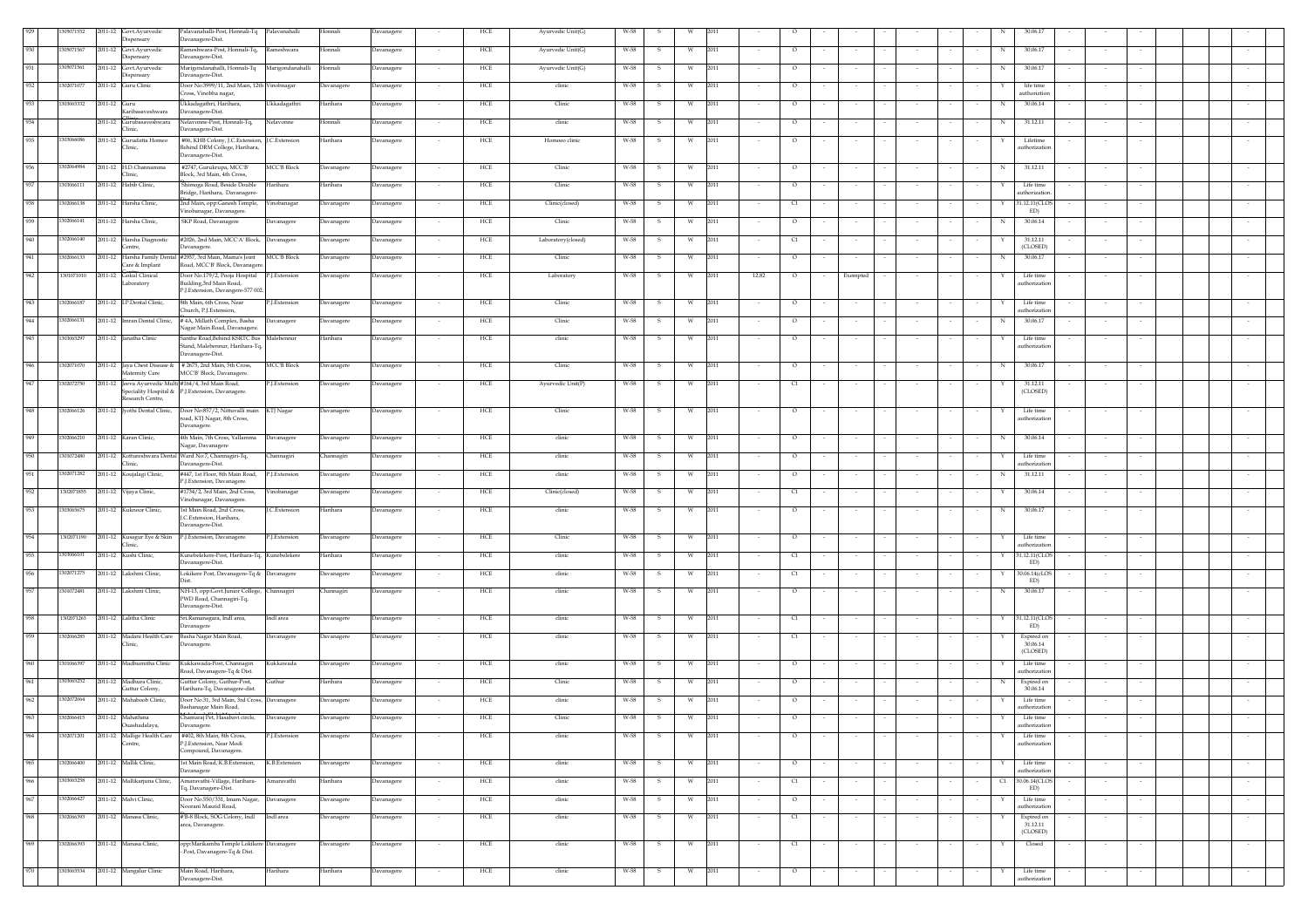|     | 05071552   | 2011-12 | Govt.Ayurvedic                               | Palavanahalli-Post, Honnali-Tq Palavanahalli                                                                             | Honnali           | Davanagere           | HCE | Ayurvedic Unit(G)  | W-58 |              |          |      |        |          |        |          |                          |        |    |                            |        |        |  |
|-----|------------|---------|----------------------------------------------|--------------------------------------------------------------------------------------------------------------------------|-------------------|----------------------|-----|--------------------|------|--------------|----------|------|--------|----------|--------|----------|--------------------------|--------|----|----------------------------|--------|--------|--|
| 930 | 305071567  | 2011-12 | Dispensary<br>Govt.Ayurvedic                 | Davanagere-Dist.<br>kameshwara-Post, Honnali-Tq,<br>Rameshwara                                                           | Honnali           | Davanagere           | HCE | Ayurvedic Unit(G)  | W-58 |              | W        | 2011 |        | $\circ$  |        |          |                          |        | N  | 30.06.17                   |        |        |  |
| 931 | 305071561  | 2011-12 | ispensary                                    | Javanagere-Dist.                                                                                                         |                   |                      |     |                    |      |              |          | 2011 |        |          |        |          |                          |        |    |                            |        |        |  |
|     |            |         | Govt.Ayurvedic<br>ispensary                  | Marigondanahalli, Honnali-Tq Marigondanahalli<br>Davanagere-Dist.                                                        | Honnali           | Davanagere<br>$\sim$ | HCE | Ayurvedic Unit(G)  | W-58 | -S.          | W        |      |        | $\circ$  |        |          |                          |        | N  | 30.06.17                   |        |        |  |
| 932 | 302071077  | 2011-12 | Guru Clinic                                  | Door No:3999/11, 2nd Main, 12th Vinobnagar<br>Cross. Vinobha nagar,                                                      | Davanagere        | Davanagere<br>$\sim$ | HCE | clinic             | W-58 | s.           | w        | 2011 | $\sim$ | $\circ$  | $\sim$ | $\sim$   | $\sim$                   |        |    | life time<br>authoriztion  | $\sim$ |        |  |
| 933 | 303065332  | 2011-12 | Guru                                         | Jkkadagathri, Harihara,<br>Ukkadagathri                                                                                  | Harihara          | avanagere            | HCE | Clinic             | W-58 |              | W        | 2011 |        | $\circ$  |        |          |                          |        | N  | 30.06.14                   |        |        |  |
| 934 |            |         | Karibasaveshwara<br>2011-12 Gurubasaveshwara | Davanagere-Dist.<br>Nelavonne-Post, Honnali-Tq,<br>Nelavonne                                                             | Honnali           | Davanagere           | HCE | clinic             | W-58 |              | W        | 2011 |        | $\circ$  |        |          |                          |        | N  | 31.12.11                   |        |        |  |
| 935 | 1303066086 |         | Clinic.<br>2011-12 Gurudatta Homeo           | Davanagere-Dist.<br>#06, KHB Colony, J.C.Extension, J.C.Extension                                                        | Harihara          |                      | HCE | Homoeo clinic      | W-58 | -S           | W        | 2011 |        | $\circ$  |        |          |                          |        |    | Lifetime                   |        |        |  |
|     |            |         | Clinic,                                      | Behind DRM College, Harihara,<br>Davanagere-Dist.                                                                        |                   | Davanagere           |     |                    |      |              |          |      |        |          |        |          |                          |        |    | authorization              |        |        |  |
| 936 | 1302064984 |         | 2011-12 H.D.Channamma                        | #2747, Gurukrupa, MCC'B'<br><b>MCC'B Block</b>                                                                           | Davanagere        | Davanagere<br>$\sim$ | HCE | Clinic             | W-58 | -S           | W        | 2011 | $\sim$ | $\circ$  |        | $\sim$   | $\sim$                   |        | N  | 31.12.11                   | $\sim$ |        |  |
|     | 303066111  |         | linic,                                       | Block, 3rd Main, 4th Cross,                                                                                              |                   |                      |     |                    |      |              |          |      |        |          |        |          |                          |        |    |                            |        |        |  |
| 937 |            |         | 2011-12 Habib Clinic,                        | Shimoga Road, Beside Double<br>Harihara<br>Bridge, Harihara, Davanagere-                                                 | Harihara          | Davanagere<br>$\sim$ | HCE | Clinic             | W-58 | $\mathbf{s}$ | W        | 2011 | $\sim$ | $\circ$  |        |          | $\overline{\phantom{a}}$ |        |    | Life time<br>horizatio     | $\sim$ |        |  |
| 938 | 1302066138 |         | 2011-12 Harsha Clinic,                       | 2nd Main, opp:Ganesh Temple,<br>Vinobanagar<br>/inobanagar, Davanagere.                                                  | Davanagere        | Davanagere<br>$\sim$ | HCE | Clinic(closed)     | W-58 | S.           | W        | 2011 | $\sim$ | C1       |        | $\sim$   | $\sim$                   |        | Y  | 31.12.11(CLOS<br>ED)       | $\sim$ |        |  |
| 939 | 302066141  |         | 2011-12 Harsha Clinic,                       | SKP Road, Davanagere<br>Davanagere                                                                                       | Davanagere        | Davanagere<br>$\sim$ | HCE | Clinic             | W-58 | -S           | W        | 2011 | $\sim$ | $\circ$  |        | $\sim$   | $\sim$                   |        | N  | 30.06.14                   | $\sim$ |        |  |
| 940 | 302066140  |         | 2011-12 Harsha Diagnostic                    | #2026, 2nd Main, MCC'A' Block, Davanagere                                                                                | Davanagere        | Davanagere<br>$\sim$ | HCE | Laboratory(closed) | W-58 | $\mathbf{S}$ | w        | 2011 | $\sim$ | C1       |        | $\sim$   | $\sim$                   |        |    | 31.12.11                   | $\sim$ |        |  |
| 941 | 302066133  | 2011-12 | entre.                                       | Javanagere.<br>Harsha Family Dental #2937, 3rd Main, Mama's Joint<br><b>MCC'B Block</b>                                  | <b>Davanagere</b> | Davanagere           | HCE | Clinic             | W-58 |              | W        | 2011 |        | $\circ$  |        |          |                          |        |    | (CLOSED)<br>30.06.17       |        |        |  |
|     |            |         | Care & Implant                               | Road, MCC'B' Block, Davanagere                                                                                           |                   |                      |     |                    |      |              |          |      |        |          |        |          |                          |        |    |                            |        |        |  |
| 942 | 1301071010 | 2011-12 | Gokul Clinical<br>aboratory                  | Door No.179/2, Pooja Hospital<br>P.J.Extension<br>Building, 3rd Main Road,                                               | Davanagere        | Davanagere           | HCE | Laboratory         | W-58 |              | W        | 2011 | 12.82  | $\circ$  |        | Exempted |                          |        |    | Life time<br>authorization |        |        |  |
| 943 | 1302066187 |         | 2011-12 I.P.Dental Clinic,                   | P.J.Extension, Davangere-577 002.<br>8th Main, 6th Cross, Near<br>P.J.Extension                                          | Davanagere        | Davanagere<br>$\sim$ | HCE | Clinic             | W-58 | s.           | w        | 2011 | $\sim$ | $\circ$  |        | $\sim$   |                          |        | Y  | Life time                  | $\sim$ | $\sim$ |  |
|     |            |         |                                              | Church, P.J.Extension.                                                                                                   |                   |                      |     |                    |      |              |          |      |        |          |        |          |                          |        |    | authorization              |        |        |  |
| 944 | 1302066131 |         | 2011-12 Imran Dental Clinic,                 | #4A, Millath Complex, Basha<br>Davanagere<br>Vagar Main Road, Davanagere.                                                | Davanagere        | Davanagere           | HCE | Clinic             | W-58 | s            | W        | 2011 |        | $\circ$  |        |          |                          |        | N  | 30.06.17                   | $\sim$ |        |  |
| 945 | 1303065297 |         | 2011-12 Janatha Clinic                       | Santhe Road, Behind KSRTC Bus Malebennur<br>stand, Malebennur, Harihara-Tq,                                              | Harihara          | Davanagere           | HCE | clinic             | W-58 | S            | W        | 2011 |        | $\circ$  |        |          |                          |        |    | Life time<br>uthorizatio   |        |        |  |
| 946 | 302071070  |         |                                              | Davanagere-Dist.<br>2011-12 Jaya Chest Disease & # 2675, 2nd Main, 5th Cross,<br><b>MCC'B Block</b>                      |                   | $\sim$               | HCE | Clinic             | W-58 | -S.          | W        | 2011 |        | $\circ$  |        |          |                          | $\sim$ | N  | 30.06.17                   | $\sim$ |        |  |
|     |            |         | Maternity Care                               | MCC'B' Block, Davanagere                                                                                                 | Davanagere        | Davanagere           |     |                    |      |              |          |      |        |          |        |          | $\sim$                   |        |    |                            |        |        |  |
| 947 | 302072750  |         |                                              | 2011-12 Jeeva Ayurvedic Multi #164/4, 3rd Main Road,<br>P.J.Extension<br>Speciality Hospital & P.I.Extension, Davanagere | Davanagere        | Davanagere<br>$\sim$ | HCE | Ayurvedic Unit(P)  | W-58 | s.           | w        | 2011 | $\sim$ | C1       | $\sim$ | $\sim$   | $\sim$                   | $\sim$ |    | 31.12.11<br>(CLOSED)       | $\sim$ |        |  |
| 948 |            |         | Research Centre.                             |                                                                                                                          |                   |                      |     |                    |      |              |          |      |        |          |        |          |                          |        |    |                            |        |        |  |
|     | 1302066126 |         |                                              | 2011-12 Jyothi Dental Clinic, Door No:857/2, Nittuvalli main<br>KTJ Nagar<br>oad, KTJ Nagar, 8th Cross,                  | Davanagere        | Davanagere           | HCE | Clinic             | W-58 | S.           | W        | 2011 |        | $\circ$  |        |          |                          |        |    | Life time<br>authorization |        |        |  |
| 949 | 302066210  |         | 2011-12 Karan Clinic,                        | Davanagere.<br>4th Main, 7th Cross, Yallamma<br>Davanagere                                                               | Davanagere        | Davanagere           | HCE | clinic             | W-58 | -S           | W        | 2011 |        | $\circ$  |        |          |                          |        | N  | 30.06.14                   |        |        |  |
| 950 | 301072480  |         |                                              | Nagar, Davanagere<br>2011-12 Kottureshwara Dental Ward No:7, Channagiri-Tq,<br>Channagiri                                | Channagiri        | Davanagere           | HCE | clinic             | W-58 | -S           | W        | 2011 |        | $\circ$  |        |          |                          |        | Y  | Life time                  |        |        |  |
|     |            |         | Clinic.                                      | Davanagere-Dist.                                                                                                         |                   |                      |     |                    |      |              |          |      |        |          |        | $\sim$   | $\sim$                   |        |    | authorization              | $\sim$ |        |  |
| 951 | 302071282  | 2011-12 | Koujalagi Clinic,                            | #447, 1st Floor, 8th Main Road,<br>P.J.Extension<br>P.J.Extension, Davanagere.                                           | Davanagere        | Davanagere           | HCE | clinic             | W-58 | s            | W        | 2011 |        | $\circ$  |        |          |                          |        | N  | 31.12.11                   | $\sim$ |        |  |
| 952 | 1302071855 | 2011-12 | Vijaya Clinic,                               | #1734/2, 3rd Main, 2nd Cross,<br>Vinobanagar<br>/inobanagar, Davanagere.                                                 | Davanagere        | Davanagere           | HCE | Clinic(closed)     | W-58 | -S           | W        | 2011 |        | C1       |        |          |                          |        |    | 30.06.14                   |        |        |  |
| 953 | 303065675  |         | 2011-12 Kuknoor Clinic,                      | 1st Main Road, 2nd Cross.<br>J.C.Extension                                                                               | Harihara          | Davanagere<br>$\sim$ | HCE | clinic             | W-58 | S.           | W        | 2011 | $\sim$ | $\circ$  |        | $\sim$   | $\sim$                   |        | N  | 30.06.17                   | $\sim$ |        |  |
|     |            |         |                                              | J.C.Extension, Harihara,<br>Davanagere-Dist.                                                                             |                   |                      |     |                    |      |              |          |      |        |          |        |          |                          |        |    |                            |        |        |  |
| 954 | 1302071190 |         | 2011-12 Kusagur Eye & Skin<br>linic.         | P.J.Extension, Davanagere.<br>P.J.Extension                                                                              | Davanagere        | Davanagere           | HCE | Clinic             | W-58 | s            | W        | 2011 |        | $\circ$  |        |          |                          |        |    | Life time<br>authorization |        |        |  |
| 955 | 1303066101 |         | 2011-12 Kushi Clinic,                        | Kunebelekere-Post, Harihara-Tq, Kunebelekere<br>Davanagere-Dist.                                                         | Harihara          | Davanagere           | HCE | clinic             | W-58 |              | W        | 2011 |        | C1       |        |          |                          |        |    | 31.12.11(CLO)<br>ED)       |        |        |  |
| 956 | 1302071275 |         | 2011-12 Lakshmi Clinic.                      | Lokikere Post, Davanagere-Tq & Davanagere                                                                                | Davanagere        | Davanagere           | HCE | clinic             | W-58 | -S           | <b>W</b> | 2011 |        | C1       |        |          |                          |        |    | 30.06.14(cLOS              |        |        |  |
| 957 | 1301072481 |         | 2011-12 Lakshmi Clinic,                      | Dist<br>NH-13, opp:Govt.Junior College, Channagiri                                                                       | Channagiri        | Davanagere           | HCE | clinic             | W-58 |              | W        | 2011 |        | $\circ$  |        |          |                          |        | N  | ED)<br>30.06.17            |        |        |  |
|     |            |         |                                              | PWD Road, Channagiri-Tq,<br>Davanagere-Dist.                                                                             |                   |                      |     |                    |      |              |          |      |        |          |        |          |                          |        |    |                            |        |        |  |
| 958 | 1302071263 |         | 2011-12 Lalitha Clinic                       | Sri.Ramanagara, Indl area,<br>Indl area                                                                                  | Davanagere        | Davanagere           | HCE | clinic             | W-58 | s            | W        | 2011 |        | $\alpha$ |        |          |                          |        |    | 31.12.11(CLOS              | $\sim$ |        |  |
| 959 | 302066285  |         | 2011-12 Madani Health Care                   | Davanagere<br>Basha Nagar Main Road,<br>Davanagere                                                                       | Davanagere        | Davanagere           | HCE | clinic             | W-58 | -S           | W        | 2011 |        | C1       |        |          |                          |        |    | ED)<br>Expired on          |        |        |  |
|     |            |         | Clinic,                                      | Davanagere.                                                                                                              |                   |                      |     |                    |      |              |          |      |        |          |        |          |                          |        |    | 30.06.14<br>(CLOSED)       |        |        |  |
| 960 | 301066397  |         | 2011-12 Madhumitha Clinic                    | Kukkawada-Post, Channagiri<br>Kukkawada                                                                                  | Davanagere        | Davanagere           | HCE | clinic             | W-58 |              | w        | 2011 |        | $\circ$  |        |          |                          |        |    | Life time                  |        |        |  |
| 961 | 303065252  |         | 2011-12 Madhura Clinic,                      | Road, Davanagere-Tq & Dist.<br>Guttur Colony, Guthur-Post,<br>Guthur                                                     | Harihara          | avanagere            | HCE | Clinic             | W-58 |              | W        | 2011 |        | $\circ$  |        |          |                          |        |    | authorizatio<br>Expired on |        |        |  |
| 962 | 302072064  | 2011-12 | Guttur Colony,<br>Mahaboob Clinic,           | Harihara-Tq, Davanagere-dist.<br>Door No.31, 3rd Main, 3rd Cross, Davanagere                                             | Davanagere        | Davanagere           | HCE | clinic             | W-58 |              | W        | 2011 |        | $\circ$  |        |          |                          |        |    | 30.06.14<br>Life time      |        |        |  |
|     |            |         |                                              | Bashanagar Main Road,                                                                                                    |                   |                      |     |                    |      |              |          |      |        |          |        |          |                          |        |    | authorization              |        |        |  |
| 963 | 1302066415 |         | 2011-12 Mahathma<br>Ouashadalaya,            | Chamaraj Pet, Hasabavi circle, Davanagere<br>Davanagere.                                                                 | Davanagere        | Davanagere           | HCE | Clinic             | W-58 | S.           | W        | 2011 |        | $\circ$  |        |          |                          |        |    | Life time<br>authorizatic  |        |        |  |
| 964 | 1302071201 |         | 2011-12 Mallige Health Care<br>Centre,       | #402, 8th Main, 8th Cross,<br>P.J.Extension<br>P I Extension. Near Modi                                                  | Davanagere        | <b>Javanagere</b>    | HCE | clinic             | W-58 |              |          | 2011 |        | $\circ$  |        |          |                          |        |    | Life time<br>authorization |        |        |  |
|     |            |         |                                              | Compound, Davanagere.                                                                                                    |                   |                      |     |                    |      |              |          |      |        |          |        |          |                          |        |    |                            |        |        |  |
| 965 | 302066400  |         | 2011-12 Mallik Clinic,                       | 1st Main Road, K.B.Extension,<br>K.B.Extension<br>Davanagere                                                             | Davanagere        | Davanagere           | HCE | clinic             | W-58 |              | W        | 2011 |        | $\circ$  |        |          |                          |        |    | Life time<br>authorization |        |        |  |
| 966 | 303065258  |         | 2011-12 Mallikarjuna Clinic,                 | Amaravathi-Village, Harihara-<br>Amaravathi<br>Fq, Davanagere-Dist.                                                      | Harihara          | Davanagere           | HCE | clinic             | W-58 |              | W        | 2011 |        | C1       |        |          |                          |        | C1 | 30.06.14(CLOS<br>ED)       |        |        |  |
| 967 | 302066427  |         | 2011-12 Malvi Clinic,                        | Door No.550/331, Imam Nagar,<br>Davanagere<br>Noorani Maszid Road.                                                       | Davanagere        | Davanagere           | HCE | clinic             | W-58 | -S.          | W        | 2011 |        | $\circ$  |        | $\sim$   | $\sim$                   |        |    | Life time<br>uthorizatio   |        |        |  |
| 968 | 302066393  |         | 2011-12 Manasa Clinic,                       | #'B-8 Block, SOG Colony, Indl<br>Indl area                                                                               | Davanagere        | Davanagere           | HCE | clinic             | W-58 |              | W        | 2011 |        | C1       |        | $\sim$   | $\sim$                   |        |    | Expired on                 |        |        |  |
|     |            |         |                                              | area, Davanagere.                                                                                                        |                   |                      |     |                    |      |              |          |      |        |          |        |          |                          |        |    | 31.12.11<br>(CLOSED)       |        |        |  |
| 969 | 1302066393 |         | 2011-12 Manasa Clinic,                       | opp:Marikamba Temple Lokikere Davanagere<br>Post, Davanagere-Tq & Dist.                                                  | Davanagere        | <b>Javanagere</b>    | HCE | clinic             | W-58 |              | W        | 2011 |        | C1       |        |          |                          |        |    | Closed                     |        |        |  |
|     |            |         |                                              |                                                                                                                          |                   |                      |     |                    |      |              |          |      |        |          |        |          |                          |        |    |                            |        |        |  |
| 970 | 1303065534 | 2011-12 | Mangalur Clinic                              | Main Road, Harihara,<br>Harihara<br>Davanagere-Dist.                                                                     | Harihara          | Davanagere           | HCE | clinic             | W-58 | -S           | W        | 2011 |        | $\circ$  |        |          |                          |        |    | Life time<br>authorization |        |        |  |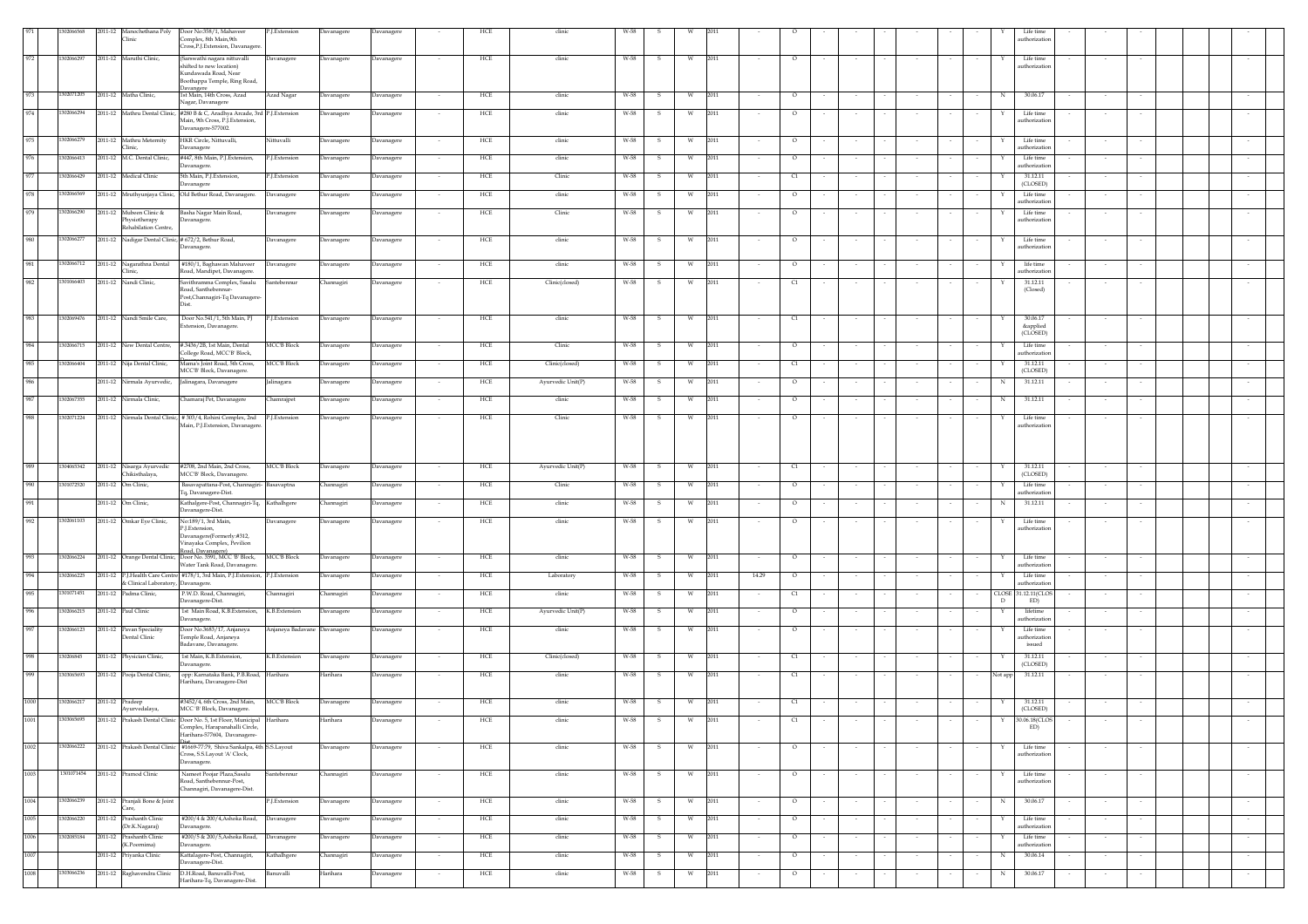|      | 302066568  |                                             | 2011-12 Manochethana Poly Door No:358/1, Mahaveer<br>P.J.Extension                                               | Davanagere | Davanagere        |                          | HCE | clinic            |        |              |   |                |                                  |        |        |        |                  |        |              | Life time                 |        |        |  |        |
|------|------------|---------------------------------------------|------------------------------------------------------------------------------------------------------------------|------------|-------------------|--------------------------|-----|-------------------|--------|--------------|---|----------------|----------------------------------|--------|--------|--------|------------------|--------|--------------|---------------------------|--------|--------|--|--------|
|      |            | Clinic                                      | Complex, 8th Main, 9th<br>Cross,P.J.Extension, Davanagere                                                        |            |                   |                          |     |                   |        |              |   |                |                                  |        |        |        |                  |        |              | uthorizatio               |        |        |  |        |
| 972  | 1302066297 | 2011-12 Maruthi Clinic,                     | Sarswathi nagara nittuvalli<br>Davanagere                                                                        | Davanagere | Davanagere        |                          | HCE | clinic            | W-58   | -S           |   | 2011           |                                  |        |        |        |                  |        |              | Life time                 |        |        |  |        |
|      |            |                                             | shifted to new location)<br>Kundawada Road, Near                                                                 |            |                   |                          |     |                   |        |              |   |                |                                  |        |        |        |                  |        |              | uthorization              |        |        |  |        |
|      |            |                                             | Boothappa Temple, Ring Road,                                                                                     |            |                   |                          |     |                   |        |              |   |                |                                  |        |        |        |                  |        |              |                           |        |        |  |        |
| 973  | 1302071205 | 2011-12 Matha Clinic,                       | 1st Main, 14th Cross, Azad<br>Azad Nagar                                                                         | Davanagere | Davanagere        | $\overline{\phantom{a}}$ | HCE | clinic            | W-58   | s            | W | 2011           | $\circ$                          |        | $\sim$ |        |                  |        | N            | 30.06.17                  |        |        |  |        |
| 974  | 1302066294 |                                             | Nagar, Davanagere                                                                                                |            |                   |                          | HCE | clinic            | W-58   |              | W | 2011           | $\circ$                          |        |        |        |                  |        |              | Life time                 |        |        |  |        |
|      |            |                                             | 2011-12 Mathru Dental Clinic, #280 B & C, Aradhya Arcade, 3rd P.J.Extension<br>Main, 9th Cross, P.J. Extension,  | Davanagere | Davanagere        |                          |     |                   |        | s            |   |                |                                  |        |        |        |                  |        |              | uthorizatic               |        |        |  |        |
|      |            |                                             | Davanagere-577002.                                                                                               |            |                   |                          |     |                   |        |              |   |                |                                  |        |        |        |                  |        |              |                           |        |        |  |        |
| 975  | 1302066279 | 2011-12 Mathru Meternity<br>Clinic.         | HKR Circle, Nittuvalli,<br>Vittuvalli<br>Davanagere                                                              | Davanagere | Davanagere        |                          | HCE | clinic            | W-58   | s            | W | 2011           | $\circ$                          |        |        |        |                  |        |              | Life time<br>uthorization |        |        |  |        |
| 976  | 1302066413 | 2011-12 M.C. Dental Clinic,                 | #447, 8th Main, P.J.Extension,<br>P.J.Extension                                                                  | Davanagere | Davanagere        |                          | HCE | clinic            | W-58   | s            | W | 2011           | $\circ$                          |        |        |        |                  |        |              | Life time                 |        |        |  |        |
| 977  | 1302066429 | 2011-12 Medical Clinic                      | Davanagere.<br>P.J.Extension                                                                                     |            |                   |                          | HCE |                   | W-58   | s            | W | 2011           |                                  |        |        |        |                  |        |              | uthorization<br>31.12.11  |        |        |  |        |
|      |            |                                             | 5th Main, P.J.Extension,<br>Davanagere                                                                           | Davanagere | Davanagere        |                          |     | Clinic            |        |              |   |                | C1                               |        |        |        |                  |        |              | (CLOSED)                  |        |        |  |        |
| 978  | 1302066569 |                                             | 2011-12 Mruthyunjaya Clinic, Old Bethur Road, Davanagere.<br>Davanagere                                          | Davanagere | Davanagere        |                          | HCE | clinic            | W-58   | -S           | W | 2011           | $\circ$                          |        |        |        |                  |        |              | Life time<br>uthorization |        |        |  |        |
| 979  | 1302066290 | 2011-12 Mubeen Clinic &                     | Basha Nagar Main Road,<br>Davanagere                                                                             | Davanagere | Davanagere        |                          | HCE | Clinic            | W-58   | -S           | W | 2011           | $\circ$                          |        |        |        |                  |        |              | Life time                 |        |        |  |        |
|      |            | Physiotherapy<br><b>Rehabilation Centre</b> | Davanagere.                                                                                                      |            |                   |                          |     |                   |        |              |   |                |                                  |        |        |        |                  |        |              | uthorization              |        |        |  |        |
| 980  | 1302066277 |                                             | 2011-12 Nadigar Dental Clinic, # 672/2, Bethur Road,<br>Davanagere                                               | Davanagere | Davanagere        |                          | HCE | clinic            | W-58   | s            | W | 2011           | $\circ$                          |        |        |        |                  |        |              | Life time                 |        |        |  |        |
|      |            |                                             | Davanagere.                                                                                                      |            |                   |                          |     |                   |        |              |   |                |                                  |        |        |        |                  |        |              | uthorizatio               |        |        |  |        |
| 981  | 1302066712 | 2011-12 Nagarathna Dental                   | #180/1, Baghawan Mahaveer<br>Davanagere                                                                          | Davanagere | Davanagere        |                          | HCE | clinic            | W-58   | -S           | w | 2011           | $\circ$                          |        |        |        |                  |        |              | life time                 |        |        |  |        |
|      |            | Clinic,                                     | Road, Mandipet, Davanagere.                                                                                      |            |                   |                          |     |                   |        |              |   |                |                                  |        |        |        |                  |        |              | uthorization              |        |        |  |        |
| 982  | 1301066403 | 2011-12 Nandi Clinic,                       | Savithramma Complex, Sasalu<br>Santebennur<br>Road, Santhebennur-                                                | Channagiri | Davanagere        |                          | HCE | Clinic(closed)    | W-58   | -S           | W | 2011           | q                                |        |        |        |                  |        |              | 31.12.11<br>(Closed)      |        |        |  |        |
|      |            |                                             | Post, Channagiri-Tq Davanagere                                                                                   |            |                   |                          |     |                   |        |              |   |                |                                  |        |        |        |                  |        |              |                           |        |        |  |        |
| 983  |            |                                             |                                                                                                                  |            |                   |                          |     |                   |        |              |   |                |                                  |        |        |        |                  |        |              |                           |        |        |  |        |
|      | 1302069476 | 2011-12 Nandi Smile Care,                   | Door No.541/1, 5th Main, PJ<br>P.J.Extension<br>xtension, Davanagere.                                            | Davanagere | Davanagere        | $\overline{\phantom{a}}$ | HCE | clinic            | W-58   | $\mathbf{s}$ | W | 2011           | C1                               |        | $\sim$ |        |                  |        |              | 30.06.17<br>&applied      |        |        |  |        |
|      |            |                                             |                                                                                                                  |            |                   |                          |     |                   |        |              |   |                |                                  |        |        |        |                  |        |              | (CLOSED)                  |        |        |  |        |
| 984  | 1302066715 | 2011-12 New Dental Centre,                  | <b>MCC'B Block</b><br>#.3436/2B. 1st Main. Dental<br>College Road, MCC'B' Block,                                 | Davanagere | Davanagere        | $\sim$                   | HCE | Clinic            | W-58   | -S           | W | 2011<br>$\sim$ | $\circ$                          |        | $\sim$ |        | $\sim$           |        |              | Life time<br>uthorizatio  | $\sim$ |        |  | $\sim$ |
| 985  | 302066404  | 2011-12 Nija Dental Clinic,                 | Mama's Joint Road, 5th Cross,<br><b>MCC'B Block</b>                                                              | Davanagere | Davanagere        |                          | HCE | Clinic(closed)    | W-58   | s            | W | 2011           | C1                               |        |        |        |                  |        |              | 31.12.11                  |        |        |  |        |
| 986  |            | 2011-12 Nirmala Ayurvedic,                  | MCC'B' Block, Davanagere.<br>Jalinagara, Davanagere                                                              |            |                   |                          | HCE | Ayurvedic Unit(P) | W-58   | s            | W | 2011           | $\circ$                          |        |        |        |                  |        |              | (CLOSED)<br>31.12.11      |        |        |  |        |
|      |            |                                             | alinagara                                                                                                        | Davanagere | Davanagere        |                          |     |                   |        |              |   |                |                                  |        |        |        |                  |        |              |                           |        |        |  |        |
| 987  | 1302067355 | 2011-12 Nirmala Clinic,                     | Chamaraj Pet, Davanagere<br>Chamrajpet                                                                           | Davanagere | Davanagere        |                          | HCE | clinic            | W-58   | -S           | W | 2011           | $\circ$                          |        |        |        |                  |        | N            | 31.12.11                  |        |        |  |        |
| 988  | 1302071224 |                                             | 2011-12 Nirmala Dental Clinic, #303/4, Rohini Complex, 2nd<br>P.I.Extension                                      | Davanagere | Davanagere        |                          | HCE | Clinic            | W-58   | -S           | W | 2011           | $\circ$                          |        |        |        |                  |        |              | Life time                 |        |        |  |        |
|      |            |                                             | Main, P.J.Extension, Davanagere                                                                                  |            |                   |                          |     |                   |        |              |   |                |                                  |        |        |        |                  |        |              | uthorization              |        |        |  |        |
|      |            |                                             |                                                                                                                  |            |                   |                          |     |                   |        |              |   |                |                                  |        |        |        |                  |        |              |                           |        |        |  |        |
|      |            |                                             |                                                                                                                  |            |                   |                          |     |                   |        |              |   |                |                                  |        |        |        |                  |        |              |                           |        |        |  |        |
| 989  | 1304065342 | 2011-12 Nisarga Ayurvedic                   | #2708, 2nd Main, 2nd Cross,<br><b>MCC'B Block</b>                                                                | Davanagere | Davanagere        | $\sim$                   | HCE | Ayurvedic Unit(P) | W-58   | -S           | W | 2011           | C1                               |        | $\sim$ |        |                  |        |              | 31.12.11                  | $\sim$ |        |  |        |
| 990  |            | Chikisthalaya,                              | MCC'B' Block, Davanagere                                                                                         |            |                   |                          |     |                   |        |              |   |                |                                  |        |        |        |                  |        |              | (CLOSED)                  |        |        |  |        |
|      | 1301072520 | 2011-12 Om Clinic,                          | Basavapattana-Post, Channagiri-<br><b>Basavaptna</b>                                                             | Channagiri | Davanagere        |                          | HCE | Clinic            | W-58   | s            | W | 2011           | $\circ$                          |        | $\sim$ |        |                  |        |              | Life time<br>uthorization | $\sim$ |        |  |        |
|      |            |                                             | Tq, Davanagere-Dist.                                                                                             |            |                   |                          |     |                   |        |              |   |                |                                  |        |        |        |                  |        |              |                           |        |        |  |        |
| 991  |            | 2011-12 Om Clinic,                          | Kathalgere-Post, Channagiri-Tq, Kathalhgere                                                                      | hannagiri  | <b>Davanagere</b> |                          | HCE | clinic            | W-58   |              | W | 2011           | $\circ$                          |        |        |        |                  |        |              | 31.12.11                  |        |        |  |        |
|      |            |                                             | Davanagere-Dist.                                                                                                 |            |                   |                          |     |                   |        |              |   |                |                                  |        |        |        |                  |        |              |                           |        |        |  |        |
| 992  | 1302061103 | 2011-12 Omkar Eye Clinic,                   | No:189/1, 3rd Main,<br><b>Javanagere</b><br>P.J.Extension,                                                       | Davanagere | Davanagere        |                          | HCE | clinic            | W-58   |              | W | 2011           | $\circ$                          |        |        |        |                  |        |              | Life time<br>uthorizatio  |        |        |  |        |
|      |            |                                             | Davanagere(Formerly:#312,<br>Vinayaka Complex, Pevilion                                                          |            |                   |                          |     |                   |        |              |   |                |                                  |        |        |        |                  |        |              |                           |        |        |  |        |
| 993  | 1302066224 |                                             | <b>MCCB</b> Block                                                                                                |            |                   |                          |     | clinic            |        | -S           | W | 2011           | $\circ$                          |        | $\sim$ |        |                  |        | Y            | Life time                 |        |        |  |        |
|      |            |                                             | Road, Davanagere)<br>2011-12 Orange Dental Clinic, Door No. 3591, MCC 'B' Block,<br>Water Tank Road, Davanagere. | Davanagere | Davanagere        |                          | HCE |                   | W-58   |              |   |                |                                  |        |        |        |                  |        |              | uthorization              |        |        |  |        |
| 994  | 1302066225 | & Clinical Laboratory, Davanagere.          | 2011-12 P.J.Health Care Centre #178/1, 3rd Main, P.J.Extension, P.J.Extension                                    | Davanagere | Davanagere        |                          | HCE | Laboratory        | W-58   | s            | w | 2011<br>14.29  | $\circ$                          |        | $\sim$ |        |                  |        | Y            | Life time<br>uthorization |        |        |  |        |
| 995  | 1301071451 | 2011-12 Padma Clinic,                       | P.W.D. Road, Channagiri,<br>Channagiri                                                                           | Channagiri | Davanagere        |                          | HCE | clinic            | W-58   | s            |   | 2011           | $\begin{array}{c} 1 \end{array}$ |        | $\sim$ |        |                  |        | <b>CLOSE</b> | 31.12.11(CLOS             |        |        |  |        |
| 996  | 302066215  |                                             | Davanagere-Dist.                                                                                                 |            |                   |                          |     |                   |        |              | W |                |                                  |        |        |        |                  |        | D            | ED)                       |        |        |  |        |
|      |            | 2011-12 Paul Clinic                         | 1st Main Road, K.B.Extension,<br>K.B.Extension<br>Davanagere.                                                    | Davanagere | Davanagere        |                          | HCE | Ayurvedic Unit(P) | W-58   | -S           |   | 2011           | $\circ$                          |        |        |        |                  |        |              | lifetime<br>thorizatic    |        |        |  |        |
| 997  | 1302066123 | 2011-12 Pavan Speciality                    | Door No.3683/17, Anjaneya<br>Anjaneya Badavane Davanagere                                                        |            | Davanagere        | $\overline{\phantom{a}}$ | HCE | clinic            | W-58   | -S           | W | 2011           | $\circ$                          |        | $\sim$ |        |                  |        |              | Life time                 |        |        |  |        |
|      |            | Dental Clinic                               | Temple Road, Anjaneya<br>Badavane, Davanagere.                                                                   |            |                   |                          |     |                   |        |              |   |                |                                  |        |        |        |                  |        |              | uthorizatio<br>issued     |        |        |  |        |
|      | 130206845  | 2011-12 Physician Clinic,                   | 1st Main, K.B.Extension,<br>K.B.Extension                                                                        | Davanagere | Davanagere        |                          | HCE | Clinic(closed)    | W-58   |              |   | 2011           | C1                               |        |        |        |                  |        |              | 31.12.11                  |        |        |  |        |
|      |            |                                             | Davanagere.                                                                                                      |            |                   |                          |     |                   |        |              |   | 2011           |                                  |        |        |        |                  |        |              | (CLOSED)                  |        |        |  |        |
|      | 1303065693 | 2011-12 Pooja Dental Clinic,                | opp: Karnataka Bank, P.B.Road, Harihara<br>Harihara, Davanagere-Dist                                             | Harihara   | Davanagere        |                          | HCE | clinic            | W-58   |              |   |                | C1                               |        |        |        |                  |        | Not app      | 31.12.11                  |        |        |  |        |
|      |            |                                             |                                                                                                                  |            |                   |                          |     |                   |        |              |   |                |                                  |        |        |        |                  |        |              |                           |        |        |  |        |
| 1000 | 1302066217 | 2011-12 Pradeep<br>Ayurvedalaya,            | <b>MCC'B Block</b><br>#3452/4, 6th Cross, 2nd Main.<br>MCC 'B' Block, Davanagere.                                | Davanagere | Davanagere        |                          | HCE | clinic            | W-58   | -S           | w | 2011           | C1                               |        |        |        |                  |        |              | 31.12.11<br>(CLOSED)      |        |        |  |        |
|      | 1303065695 | 2011-12 Prakash Dental Clinic               | Door No. 5, 1st Floor, Munic                                                                                     | Harihara   |                   |                          | HCI |                   | $W-58$ |              |   |                |                                  |        |        |        |                  |        |              |                           |        |        |  |        |
|      |            |                                             | Complex, Harapanahalli Circle,<br>Harihara-577604, Davanagere-                                                   |            |                   |                          |     |                   |        |              |   |                |                                  |        |        |        |                  |        |              | ED)                       |        |        |  |        |
| 1002 | 1302066222 |                                             | 2011-12 Prakash Dental Clinic #1669-77:79, Shiva Sankalpa, 4th S.S.Layout                                        | Davanagere | Davanagere        |                          | HCE | clinic            | W-58   |              | W | 2011           | $\circ$                          |        |        |        |                  |        |              | Life time                 |        |        |  |        |
|      |            |                                             | Cross, S.S.Layout 'A' Clock,<br>Davanagere.                                                                      |            |                   |                          |     |                   |        |              |   |                |                                  |        |        |        |                  |        |              | uthorizatio               |        |        |  |        |
| 1003 | 1301071454 | 2011-12 Pramod Clinic                       | Nameet Poojar Plaza, Sasalu<br>Santebennur                                                                       | Channagiri | Davanagere        | $\sim$                   | HCE | clinic            | W-58   | S.           | W | 2011<br>$\sim$ | $\circ$                          | $\sim$ | $\sim$ |        | $\sim$<br>$\sim$ | $\sim$ | Y            | Life time                 | $\sim$ | $\sim$ |  | $\sim$ |
|      |            |                                             | Road, Santhebennur-Post,<br>Channagiri, Davanagere-Dist.                                                         |            |                   |                          |     |                   |        |              |   |                |                                  |        |        |        |                  |        |              | uthorizatio               |        |        |  |        |
| 1004 | 1302066239 | 2011-12 Pranjali Bone & Joint               | <sup>2</sup> .J.Extension                                                                                        | Davanagere | Davanagere        |                          | HCE | clinic            | W-58   |              | W | 2011           | $\circ$                          |        |        |        |                  |        | N            | 30.06.17                  |        |        |  |        |
|      |            | Care,                                       |                                                                                                                  |            |                   |                          |     |                   |        |              |   |                |                                  |        |        |        |                  |        |              |                           |        |        |  |        |
| 1005 | 1302066220 | 2011-12 Prashanth Clinic<br>(Dr.K.Nagaraj)  | #200/4 & 200/4, Ashoka Road, Davanagere<br>Davanagere.                                                           | Davanagere | Davanagere        |                          | HCE | clinic            | W-58   | s            | W | 2011           | $\circ$                          |        |        |        |                  |        |              | Life time<br>uthorization |        |        |  |        |
| 1006 | 1302085184 | 2011-12 Prashanth Clinic                    | #200/5 & 200/5, Ashoka Road, Davanagere                                                                          | Davanagere | Davanagere        |                          | HCE | clinic            | W-58   | -S           | w | 2011           | $\circ$                          |        |        |        |                  |        |              | Life time                 |        |        |  |        |
|      |            | (K.Poornima)                                | Davanagere.                                                                                                      |            |                   | $\sim$                   |     |                   |        |              | w |                |                                  |        |        | $\sim$ | $\sim$           | $\sim$ |              | uthorization              | $\sim$ |        |  |        |
| 1007 |            | 2011-12 Priyanka Clinic                     | Kattalagere-Post, Channagiri,<br>Kathalhgere<br>Davanagere-Dist.                                                 | Channagiri | Davanagere        |                          | HCE | clinic            | W-58   | s            |   | 2011           | $\circ$                          |        | $\sim$ |        |                  |        | N            | 30.06.14                  |        | $\sim$ |  | $\sim$ |
| 1008 | 1303066236 | 2011-12 Raghavendra Clinic                  | D.H.Road, Banuvalli-Post,<br>Banuvalli<br>Harihara-Tq, Davanagere-Dist.                                          | Harihara   | Davanagere        |                          | HCE | clinic            | W-58   | s            |   | 2011           | $\circ$                          |        | $\sim$ |        |                  |        | N            | 30.06.17                  | $\sim$ |        |  |        |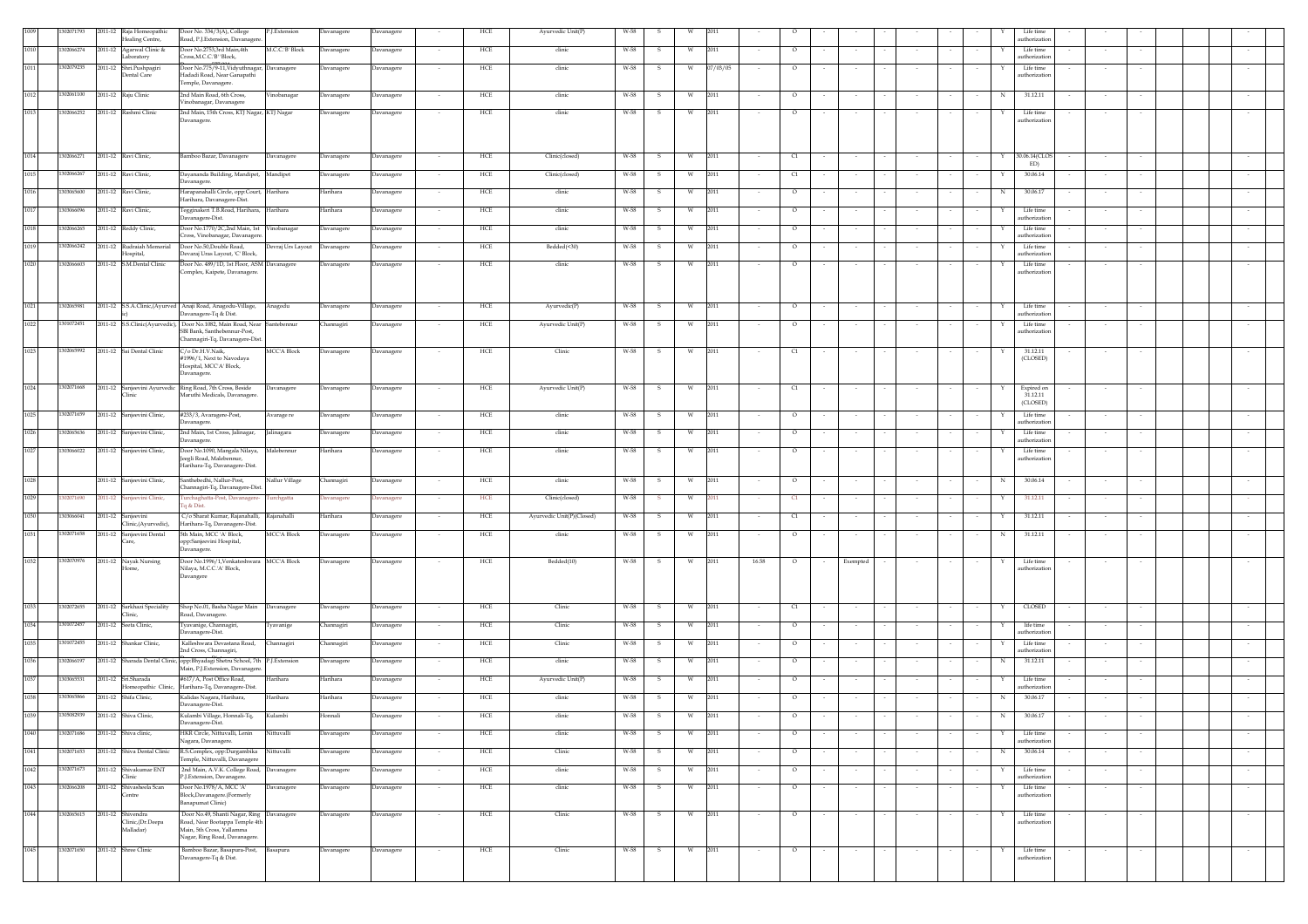|      | 02071793   | 2011-12 Raja Homeopathic<br>Healing Centre,                        | Door No. 334/3(A), College<br>Road, P.J.Extension, Davanagere                                            | P.J.Extension      | Davanagere        | Davanagere |                          | HCE        | Ayurvedic Unit(P)         | W-58 |     |          |                          |                   |          |                         |        |             | Life time<br>uthorization  |  |        |        |  |        |
|------|------------|--------------------------------------------------------------------|----------------------------------------------------------------------------------------------------------|--------------------|-------------------|------------|--------------------------|------------|---------------------------|------|-----|----------|--------------------------|-------------------|----------|-------------------------|--------|-------------|----------------------------|--|--------|--------|--|--------|
| 101  | 302066274  | 011-12<br>Agarwal Clinic &<br>aboratory                            | oor No.2753,3rd Main,4th<br>ross, M.C.C.'B' 'Block,                                                      | M.C.C.'B' Block    | Davanagere        | Davanagere |                          | HCE        | clinic                    | W-58 |     |          | 2011<br>$\circ$          |                   |          |                         |        |             | Life time<br>uthorization  |  |        |        |  |        |
| 1011 | 302079235  | 2011-12 Shri.Pushpagir                                             | Joor No.775/9-11, Vidyuthnagar, Davanagere<br>Iadadi Road, Near Ganapathi                                |                    | Davanagere        | Davanagere | $\sim$                   | HCE        | clinic                    | W-58 | -S. | W        | 07/03/05                 | $\circ$           |          |                         |        |             | Life time<br>uthorizatio   |  |        |        |  |        |
|      |            | <b>Dental Care</b>                                                 | 'emple, Davanagere.                                                                                      |                    |                   |            |                          |            |                           |      |     |          |                          |                   |          |                         |        |             |                            |  |        |        |  |        |
| 1012 | 302061100  | 2011-12 Raju Clinic                                                | 2nd Main Road, 6th Cross,<br>/inobanagar, Davanagere                                                     | Vinobanagar        | <b>Javanagere</b> | Davanagere |                          | HCE        | clinic                    | W-58 | s   | W        | 2011                     | $\circ$           | $\sim$   |                         |        | N           | 31.12.11                   |  |        |        |  |        |
| 1013 | 1302066252 | 2011-12 Rashmi Clinic                                              | 2nd Main, 15th Cross, KTJ Nagar, KTJ Nagar<br>Javanagere.                                                |                    | Davanagere        | Davanagere |                          | HCE        | clinic                    | W-58 | s   | W        | 2011                     | $\circ$           |          |                         |        |             | Life time<br>uthorization  |  |        |        |  |        |
|      |            |                                                                    |                                                                                                          |                    |                   |            |                          |            |                           |      |     |          |                          |                   |          |                         |        |             |                            |  |        |        |  |        |
| 1014 | 302066271  | 2011-12 Ravi Clinic,                                               | Bamboo Bazar, Davanagere                                                                                 | Davanagere         | Davanagere        | Davanagere | $\sim$                   | HCE        | Clinic(closed)            | W-58 | S.  | W        | 2011                     | C1                | $\sim$   |                         |        | Y           | 30.06.14(CLOS              |  | $\sim$ |        |  |        |
| 1015 | 02066267   | 2011-12 Ravi Clinic,                                               | Dayananda Building, Mandipet, Mandipet                                                                   |                    | Davanagere        | Davanagere | $\sim$                   | HCE        | Clinic(closed)            | W-58 | s   | - W      | 2011<br>C1               |                   |          |                         |        |             | ED)<br>30.06.14            |  |        |        |  |        |
| 1016 | 303065600  | 2011-12 Ravi Clinic,                                               | Javanagere.<br>Iarapanahalli Circle, opp:Court, Harihara                                                 |                    | Harihara          | Davanagere |                          | HCE        | clinic                    | W-58 | s   |          | 2011                     | $\circ$           |          |                         |        | N           | 30.06.17                   |  |        |        |  |        |
|      | 303066096  |                                                                    | Iarihara, Davanagere-Dist.                                                                               |                    |                   |            |                          |            |                           |      |     | w        |                          |                   |          |                         |        |             |                            |  |        |        |  |        |
| 1017 |            | 2011-12 Ravi Clinic,                                               | egginakeri T.B.Road, Harihara, Harihara<br>Javanagere-Dist.                                              |                    | Harihara          | Davanagere |                          | HCE        | clinic                    | W-58 | -S  |          | 2011<br>$\circ$          |                   |          |                         |        |             | Life time<br>uthorization  |  |        |        |  |        |
| 1018 | 1302066265 | 2011-12 Reddy Clinic,                                              | Door No.1770/2C,2nd Main, 1st Vinobanagar<br>ross, Vinobanagar, Davanagere.                              |                    | Davanagere        | Davanagere |                          | HCE        | clinic                    | W-58 | -S  | <b>W</b> | 2011<br>$\circ$          |                   |          |                         |        |             | Life time<br>uthorization  |  |        |        |  |        |
| 1019 | 02066242   | 2011-12 Rudraiah Memorial<br>Hospital,                             | Door No.50,Double Road,<br>Devaraj Uras Layout, 'C' Block,                                               | Devraj Urs Layout  | Davanagere        | Davanagere |                          | HCE        | Bedded(<30)               | W-58 | -S  |          | 2011<br>$\circ$          |                   |          |                         |        |             | Life time<br>uthorization  |  |        |        |  |        |
| 1020 | 1302066603 | 2011-12 S.M.Dental Clinic                                          | Door No. 489/1D, 1st Floor, ASM Davanagere<br>Complex, Kaipete, Davanagere.                              |                    | Davanagere        | Davanagere |                          | HCE        | clinic                    | W-58 | s   |          | 2011<br>$\circ$          |                   |          |                         |        |             | Life time<br>uthorization  |  |        |        |  |        |
|      |            |                                                                    |                                                                                                          |                    |                   |            |                          |            |                           |      |     |          |                          |                   |          |                         |        |             |                            |  |        |        |  |        |
| 1021 | 302065981  |                                                                    | 2011-12 S.S.A.Clinic,(Ayurved Anaji Road, Anagodu-Village,                                               | Anagodu            | Davanagere        | Davanagere |                          | HCE        | Ayurvedic(P)              | W-58 | -S  | W        | 2011<br>$\circ$          |                   |          |                         |        |             | Life time                  |  |        |        |  |        |
| 1022 | 1301072451 |                                                                    | avanagere-Tq & Dist.<br>2011-12 S.S.Clinic(Ayurvedic), Door No.1082, Main Road, Near Santebennur         |                    | Channagiri        | Davanagere | $\sim$                   | HCE        | Avurvedic Unit(P)         | W-58 | -S  | W.       | 2011<br>$\circ$          |                   |          |                         |        |             | athorizatio<br>Life time   |  |        |        |  |        |
|      |            |                                                                    | SBI Bank, Santhebennur-Post,<br>Channagiri-Tq, Davanagere-Dist.                                          |                    |                   |            |                          |            |                           |      |     |          |                          |                   |          |                         |        |             | uthorization               |  |        |        |  |        |
| 1023 | 02065992   | 2011-12 Sai Dental Clinic                                          | C/o Dr.H.V.Naik,<br>#1996/1, Next to Navodaya                                                            | <b>MCC'A Block</b> | Davanagere        | Davanagere | $\sim$                   | HCE        | Clinic                    | W-58 | s   |          | 2011<br>C1               |                   |          |                         |        |             | 31.12.11<br>(CLOSED)       |  |        |        |  |        |
|      |            |                                                                    | Hospital, MCC'A' Block,<br>avanagere.                                                                    |                    |                   |            |                          |            |                           |      |     |          |                          |                   |          |                         |        |             |                            |  |        |        |  |        |
| 1024 | 1302071668 | 2011-12 Sanjeevini Ayurvedic Ring Road, 7th Cross, Beside<br>Clini |                                                                                                          | Davanagere         | Davanagere        | Davanagere |                          | HCE        | Ayurvedic Unit(P)         | W-58 | - S |          | 2011<br>C1               |                   |          |                         |        |             | Expired on<br>31.12.11     |  |        |        |  |        |
|      |            |                                                                    | Maruthi Medicals, Davanagere.                                                                            |                    |                   |            |                          |            |                           |      |     |          |                          |                   |          |                         |        |             | (CLOSED)                   |  |        |        |  |        |
| 1025 | 1302071659 | 2011-12 Sanjeevini Clinic,                                         | #233/3, Avaragere-Post,<br>Javanagere.                                                                   | Avarage re         | Davanagere        | Davanagere | $\sim$                   | HCE        | clinic                    | W-58 | - S | <b>W</b> | 2011<br>$\circ$          |                   |          |                         |        |             | Life time<br>uthorization  |  |        |        |  |        |
| 1026 | 302065636  | 2011-12 Sanjeevini Clinic,                                         | 2nd Main, 1st Cross, Jalinagar,<br>Javanagere.                                                           | Jalinagara         | Davanagere        | Davanagere | $\sim$                   | HCE        | clinic                    | W-58 | s   | <b>W</b> | 2011                     | $\circ$           |          |                         |        |             | Life time<br>uthorization  |  |        |        |  |        |
| 1027 | 303066022  | 2011-12 Sanjeevini Clinic,                                         | Door No.1090, Mangala Nilaya,<br>eegli Road, Malebennur,                                                 | Malebennur         | Harihara          | Davanagere | $\overline{\phantom{a}}$ | HCE        | clinic                    | W-58 | s   | W        | 2011                     | $\circ$           |          |                         |        |             | Life time<br>uthorization  |  |        |        |  |        |
|      |            |                                                                    | Harihara-Tq, Davanagere-Dist.                                                                            |                    |                   |            |                          |            |                           |      |     |          |                          |                   |          |                         |        |             |                            |  |        |        |  |        |
| 1028 |            | 2011-12 Sanjeevini Clinic,                                         | Santhebedhi, Nallur-Post.<br>Thannagiri-Tq, Davanagere-Dist.                                             | Nallur Village     | Channagiri        | Davanagere |                          | HCE        | clinic                    | W-58 | -S  | W.       | 2011<br>$\circ$          |                   |          |                         |        | N           | 30.06.14                   |  |        |        |  |        |
| 1029 | 207169     | mjeevini Clinic,<br>$011 - 12$                                     | urchaghatta-Post, Davanagere-<br>a & Dist.                                                               | urchgatta          | Javanagere        | Davanagere | $\sim$                   | HCE        | Clinic(closed)            | W-58 |     |          | 2011<br>C1               |                   |          |                         |        |             | 31.12.11                   |  |        |        |  |        |
| 1030 | 03066041   | 011-12<br>Sanjeevini<br>Clinic, (Ayurvedic),                       | C/o Sharat Kumar, Rajanahalli<br>Iarihara-Tq, Davanagere-Dist.                                           | lajanahalli        | Harihara          | Davanagere |                          | HCE        | Ayurvedic Unit(P)(Closed) | W-58 |     |          | 2011                     | C1                |          |                         |        |             | 31.12.11                   |  |        |        |  |        |
| 1031 | 302071658  | 011-12<br>Sanjeevini Dental                                        | 5th Main, MCC 'A' Block,<br>opp:Sanjeevini Hospital,                                                     | <b>MCC'A Block</b> | Davanagere        | Davanagere |                          | HCE        | clinic                    | W-58 |     |          | 2011<br>$\circ$          |                   |          |                         |        | N           | 31.12.11                   |  |        |        |  |        |
| 1032 | 1302070976 | 2011-12 Nayak Nursing                                              | Javanagere.<br>Door No.1996/1, Venkateshwara MCC'A Block                                                 |                    | Davanagere        | Davanagere | $\sim$                   | HCE        | Bedded(10)                | W-58 | S.  | W        | 2011<br>16.58<br>$\circ$ | $\sim$            | Exempted | $\sim$ $\sim$<br>$\sim$ | $\sim$ | $\sim$<br>Y | Life time                  |  | $\sim$ | $\sim$ |  | $\sim$ |
|      |            |                                                                    | Nilaya, M.C.C.'A' Block,<br><b>Javangere</b>                                                             |                    |                   |            |                          |            |                           |      |     |          |                          |                   |          |                         |        |             | uthorization               |  |        |        |  |        |
|      |            |                                                                    |                                                                                                          |                    |                   |            |                          |            |                           |      |     |          |                          |                   |          |                         |        |             |                            |  |        |        |  |        |
| 1033 | 302072655  | 2011-12 Sarkhazi Speciality                                        | Shop No.01, Basha Nagar Main Davanagere                                                                  |                    | <b>Davanagere</b> | Davanagere |                          | HCE        | Clinic                    | W-58 | s   | W        | 2011                     | C1                | $\sim$   |                         |        | Y           | <b>CLOSED</b>              |  |        |        |  |        |
| 1034 | 301072457  | Clinic,<br>2011-12 Seeta Clinic,                                   | Road, Davanagere.<br>yavanige, Channagiri,                                                               | yavanige           | Channagiri        | Davanagere |                          | HCE        | Clinic                    | W-58 | -S  | W        | 2011                     | $\circ$           |          |                         |        |             | life time                  |  |        |        |  |        |
| 1035 | 301072455  | 2011-12 Shankar Clinic,                                            | avanagere-Dist.<br>Kalleshwara Devastana Road,                                                           | Channagiri         | Channagiri        | Davanagere |                          | <b>HCE</b> | Clinic                    | W-58 | -S  | W        | 2011<br>$\circ$          |                   | $\sim$   |                         |        |             | uthorization<br>Life time  |  |        |        |  |        |
| 1036 | 02066197   | 2011-12 Sharada Dental Clinic,                                     | 2nd Cross, Channagiri,<br>opp:Bhyadagi Shetru School, 7th P.J.Extension                                  |                    | Davanagere        | Davanagere |                          | HCE        | clinic                    | W-58 | -S  | <b>W</b> | 2011<br>$\circ$          |                   | $\sim$   |                         |        | N           | uthorization<br>31.12.11   |  |        |        |  |        |
| 1037 | 303065531  | 2011-12 Sri.Sharada                                                | Main. P.J.Extension, Davanagere<br>#617/A, Post Office Road,                                             | Harihara           | Harihara          | Davanagere |                          | HCE        | Ayurvedic Unit(P)         | W-58 |     |          | 2011                     | $\circ$           |          |                         |        |             | Life time                  |  |        |        |  |        |
|      |            | Iomeopathic Clinic,                                                | Harihara-Tq, Davanagere-Dist.                                                                            |                    |                   |            |                          |            |                           |      |     |          |                          |                   |          |                         |        |             | uthorization               |  |        |        |  |        |
| 1038 | 303065866  | 2011-12 Shifa Clinic,                                              | Galidas Nagara, Harihara,<br>Javanagere-Dist.                                                            | Harihara           | Harihara          | Davanagere |                          | HCE        | clinic                    | W-58 | s   |          | 2011                     | $\circ$           |          |                         |        | N           | 30.06.17                   |  |        |        |  |        |
| 1039 | 1305082939 | 2011-12 Shiva Clinic,                                              | Kulambi Village, Honnali-Tq,                                                                             | Kulambi            | Honnali           | Davanagere |                          | HCE        | clinic                    | W-58 | S.  | W        | 2011<br>$\circ$          |                   |          |                         |        | N           | 30.06.17                   |  |        |        |  |        |
| 1040 | 302071686  | 2011-12 Shiva clinic,                                              | IKR Circle, Nittuvalli, Lenin<br>Jagara, Davanagere.                                                     | Nittuvalli         | <b>Javanagere</b> | Davanagere |                          | HCE        | clinic                    | W-58 |     |          | 2011<br>$\circ$          |                   |          |                         |        |             | Life time<br>uthorization  |  |        |        |  |        |
| 1041 | 302071653  | 2011-12 Shiva Dental Clinic                                        | R.S.Complex, opp:Durgambika<br>'emple, Nittuvalli, Davanagere                                            | Nittuvalli         | <b>Javanagere</b> | Davanagere |                          | HCE        | Clinic                    | W-58 |     |          | 2011<br>$\circ$          |                   |          |                         |        |             | 30.06.14                   |  |        |        |  |        |
| 1042 | 302071673  | 2011-12 Shivakumar ENT<br>Clinic                                   | 2nd Main, A.V.K. College Road, Davanagere<br>P.J.Extension, Davanagere.                                  |                    | Davanagere        | Davanagere |                          | HCE        | clinic                    | W-58 |     |          | 2011<br>$\circ$          |                   |          |                         |        |             | Life time<br>uthorization  |  |        |        |  |        |
| 1043 | 1302066208 | 2011-12 Shivasheela Scan<br>Centre                                 | Door No.1978/A, MCC 'A'<br>Block, Davanagere. (Formerly                                                  | Davanagere         | Davanagere        | Davanagere |                          | HCE        | clinic                    | W-58 |     | W.       | 2011<br>$\circ$          |                   |          |                         |        |             | Life time<br>authorization |  |        |        |  |        |
|      |            |                                                                    | anapumat Clinic)                                                                                         |                    |                   |            |                          |            |                           |      |     |          |                          |                   |          |                         |        |             |                            |  |        |        |  |        |
| 1044 | 302065615  | 2011-12 Shivendra<br>Clinic, (Dr.Deepa<br>Malladar)                | Door No.49, Shanti Nagar, Ring Davanagere<br>Road, Near Bootappa Temple 4th<br>Main, 5th Cross, Yallamma |                    | Davanagere        | Davanagere | $\sim$                   | HCE        | Clinic                    | W-58 | s   | <b>W</b> | 2011<br>$\circ$          |                   | $\sim$   |                         |        |             | Life time<br>authorization |  | $\sim$ |        |  |        |
|      |            |                                                                    | Nagar, Ring Road, Davanagere.                                                                            |                    |                   |            |                          |            |                           |      |     |          |                          |                   |          |                         |        |             |                            |  |        |        |  |        |
| 1045 | 1302071650 | 2011-12 Shree Clinic                                               | Bamboo Bazar, Basapura-Post, Basapura<br>Davanagere-Tq & Dist.                                           |                    | Davanagere        | Davanagere | $\sim$                   | HCE        | Clinic                    | W-58 | S.  | W        | 2011<br>$\sim$           | $\circ$<br>$\sim$ | $\sim$   | $\sim$                  |        | Y<br>$\sim$ | Life time<br>uthorization  |  | $\sim$ |        |  | $\sim$ |
|      |            |                                                                    |                                                                                                          |                    |                   |            |                          |            |                           |      |     |          |                          |                   |          |                         |        |             |                            |  |        |        |  |        |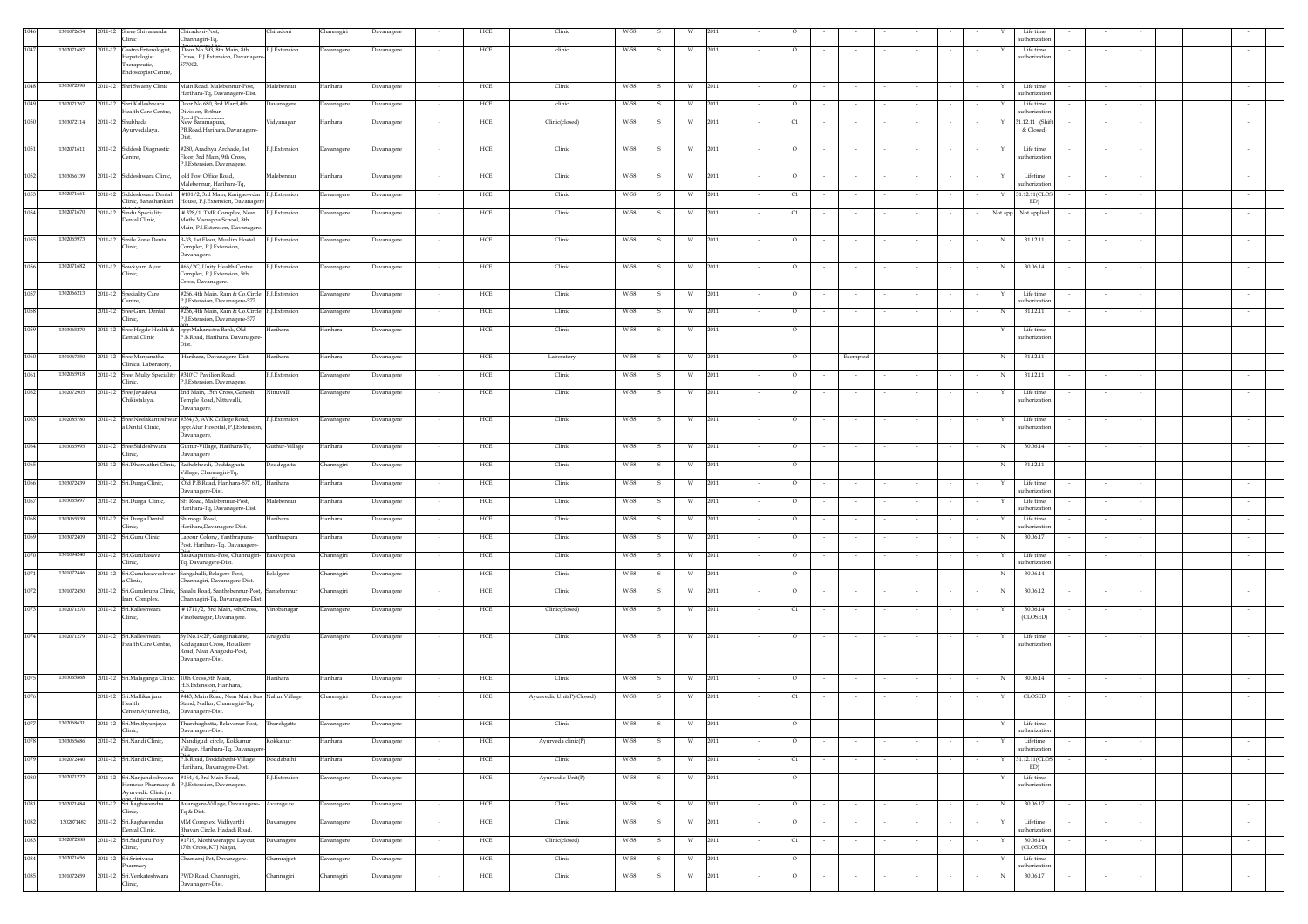|      | 301072654  | 2011-12 Shree Shivananda                       | Chiradoni-Post,                                                                                            | Chiradoni      | Channagiri | Davanagere |                          | HCE | Clinic                    |      |              |   |                           |        |          |        |        |            | Life tim                        |                  |  |        |
|------|------------|------------------------------------------------|------------------------------------------------------------------------------------------------------------|----------------|------------|------------|--------------------------|-----|---------------------------|------|--------------|---|---------------------------|--------|----------|--------|--------|------------|---------------------------------|------------------|--|--------|
|      |            | Clinic                                         | Channagiri-Tq,                                                                                             |                |            |            |                          |     |                           |      |              |   |                           |        |          |        |        |            | uthorizatio                     |                  |  |        |
| 1047 | 1302071687 | 2011-12 Gastro Enterologist,<br>Hepatologist   | Door No.393, 8th Main, 8th<br>Cross, P.J.Extension, Davanager                                              | P.J.Extension  | Davanagere | Davanagere |                          | HCE | clinic                    | W-58 |              | W | 2011<br>$\circ$           |        |          |        |        |            | Life time<br>uthorization       |                  |  |        |
|      |            | Therapeutic,<br>Endoscopist Centre,            | 577002.                                                                                                    |                |            |            |                          |     |                           |      |              |   |                           |        |          |        |        |            |                                 |                  |  |        |
|      |            |                                                |                                                                                                            |                |            |            |                          |     |                           |      |              |   |                           |        |          |        |        |            |                                 |                  |  |        |
| 1048 | 1303072398 | 2011-12 Shri Swamy Clinic                      | Main Road, Malebennur-Post,<br>Harihara-Tq, Davanagere-Dist.                                               | Malebennur     | Harihara   | Davanagere | $\sim$                   | HCE | Clinic                    | W-58 | S.           | W | 2011<br>$\circ$<br>$\sim$ | $\sim$ | $\sim$   | $\sim$ | $\sim$ | Y          | Life time<br>uthorization       | $\sim$<br>$\sim$ |  | $\sim$ |
| 1049 | 1302071267 | 2011-12 Shri.Kalleshwara                       | Door No.680, 3rd Ward, 4th                                                                                 | Davanagere     | Davanagere | Davanagere |                          | HCE | clinic                    | W-58 | s            | W | 2011<br>$\circ$           |        |          |        |        |            | Life time                       |                  |  |        |
| 1050 | 1303072114 | Health Care Centre,<br>2011-12 Shubhada        | Division, Bethur<br>New Baramapura,                                                                        | Vidyanagar     | Harihara   | Davanagere |                          | HCE | Clinic(closed)            | W-58 | s            | W | 2011<br>C1                |        |          |        |        |            | uthorization<br>31.12.11 (Shift |                  |  |        |
|      |            | Ayurvedalaya,                                  | PB.Road, Harihara, Davanagere-<br>hst.                                                                     |                |            |            |                          |     |                           |      |              |   |                           |        |          |        |        |            | & Closed)                       |                  |  |        |
| 1051 | 1302071611 | 2011-12 Siddesh Diagnostic                     | #280. Aradhya Archade. 1st                                                                                 | P.I.Extension  | Davanagere | Davanagere |                          | HCE | Clinic                    | W-58 | - S          | W | 2011<br>$\circ$           |        |          |        |        | Y          | Life time                       |                  |  |        |
|      |            | Centre,                                        | Floor, 3rd Main, 9th Cross.<br>P.J.Extension, Davanagere.                                                  |                |            |            |                          |     |                           |      |              |   |                           |        |          |        |        |            | uthorization                    |                  |  |        |
| 1052 | 1303066139 | 2011-12 Siddeshwara Clinic,                    | old Post Office Road,                                                                                      | Malebennur     | Harihara   | Davanagere |                          | HCE | Clinic                    | W-58 | s            |   | 2011<br>$\circ$           |        |          |        |        |            | Lifetime                        |                  |  |        |
| 1053 | 1302071661 |                                                | Malebennur, Harihara-Tq,                                                                                   |                |            |            |                          | HCE |                           | W-58 |              | W | 2011                      |        |          |        |        |            | uthorization                    |                  |  |        |
|      |            | Clinic, Banashankari                           | 2011-12 Siddeshwara Dental #181/2, 3rd Main, Karigaowdar P.J.Extension<br>House, P.J.Extension, Davanagero |                | Davanagere | Davanagere |                          |     | Clinic                    |      | s            |   | C1                        |        |          |        |        |            | 31.12.11(CLOS<br>ED)            |                  |  |        |
| 1054 | 1302071670 | 2011-12 Sindu Speciality<br>Dental Clinic,     | #328/1, TMR Complex, Near<br>Mothi Veerappa School, 8th                                                    | P.J.Extension  | Davanagere | Davanagere |                          | HCE | Clinic                    | W-58 | -S           | w | 2011<br>C1                |        | $\sim$   |        |        | Not app    | Not applied                     |                  |  |        |
|      |            |                                                | Main, P.J.Extension, Davanager                                                                             |                |            |            |                          |     |                           |      |              |   |                           |        |          |        |        |            |                                 |                  |  |        |
| 1055 | 1302065973 | 2011-12 Smile Zone Dental<br>Clinic.           | B-33, 1st Floor, Muslim Hostel                                                                             | P.J.Extension  | Davanagere | Davanagere | $\overline{\phantom{a}}$ | HCE | Clinic                    | W-58 | - S          | w | 2011<br>$\circ$           |        | $\sim$   | $\sim$ | $\sim$ | N          | 31.12.11                        | $\sim$           |  |        |
|      |            |                                                | Complex, P.J. Extension,<br>Davanagere.                                                                    |                |            |            |                          |     |                           |      |              |   |                           |        |          |        |        |            |                                 |                  |  |        |
| 1056 | 1302071682 | 2011-12 Sowkyam Ayur                           | #66/2C, Unity Health Centre                                                                                | P.J.Extension  | Davanagere | Davanagere |                          | HCE | Clinic                    | W-58 | s            | W | 2011<br>$\circ$           |        |          |        |        | N          | 30.06.14                        |                  |  |        |
|      |            | Clinic,                                        | Complex, P.J.Extension, 5th<br>Cross, Davanagere.                                                          |                |            |            |                          |     |                           |      |              |   |                           |        |          |        |        |            |                                 |                  |  |        |
| 1057 | 1302066213 | 2011-12 Speciality Care                        | #266, 4th Main, Ram & Co.Circle, P.J.Extension                                                             |                | Davanagere | Davanagere | $\sim$                   | HCE | Clinic                    | W-58 | - S          | W | 2011<br>$\circ$           |        |          |        |        | Y          | Life time                       |                  |  |        |
| 1058 |            | Centre.<br>2011-12 Sree Guru Dental            | P.J.Extension, Davanagere-577<br>#266, 4th Main, Ram & Co.Circle, P.J.Extension                            |                | Davanagere | Davanagere | $\sim$                   | HCE | Clinic                    | W-58 | s            | W | 2011<br>$\circ$           |        | $\sim$   | $\sim$ | $\sim$ | $_{\rm N}$ | uthorization<br>31.12.11        | $\sim$<br>$\sim$ |  |        |
|      |            | Clinic,                                        | P.J.Extension, Davanagere-577                                                                              |                |            |            |                          |     |                           |      |              |   |                           |        |          |        |        |            |                                 |                  |  |        |
| 1059 | 1303065270 | 2011-12 Sree Hegde Health &<br>Dental Clinic   | opp:Maharastra Bank, Old<br>P.B.Road, Harihara, Davanagere-                                                | Harihara       | Harihara   | Davanagere | $\overline{\phantom{a}}$ | HCE | Clinic                    | W-58 | s            | W | 2011<br>$\circ$           |        | $\sim$   |        |        |            | Life time<br>uthorization       | $\sim$           |  |        |
|      |            |                                                |                                                                                                            |                |            |            |                          |     |                           |      |              |   |                           |        |          |        |        |            |                                 |                  |  |        |
| 1060 | 1301067350 | 2011-12 Sree Maniunatha<br>Clinical Laboratory | Harihara, Davanagere-Dist.                                                                                 | Harihara       | Harihara   | Davanagere | $\sim$                   | HCE | Laboratory                | W-58 | -S           | W | 2011<br>$\circ$<br>$\sim$ | $\sim$ | Exempted | $\sim$ | $\sim$ | N          | 31.12.11                        | $\sim$<br>$\sim$ |  | $\sim$ |
| 1061 | 1302065918 |                                                | 2011-12 Sree. Multy Speciality #310'C' Pavilion Road,                                                      | P.J.Extension  | Davanagere | Davanagere | $\overline{\phantom{a}}$ | HCE | Clinic                    | W-58 | s            | W | 2011<br>$\circ$           |        | $\sim$   | $\sim$ |        | N          | 31.12.11                        | $\sim$           |  |        |
|      |            | Clinic.                                        | P.I.Extension. Davanagere.                                                                                 |                |            |            |                          |     |                           |      |              |   |                           |        |          |        |        |            |                                 |                  |  |        |
| 1062 | 1302072905 | 2011-12 Sree.Jayadeva<br>Chikistalaya,         | 2nd Main, 15th Cross, Ganesh<br>Temple Road, Nittuvalli,                                                   | Nittuvalli     | Davanagere | Davanagere |                          | HCE | Clinic                    | W-58 | s            | W | 2011<br>$\circ$           |        |          |        |        |            | Life time<br>uthorizatio        |                  |  |        |
|      |            |                                                | Davanagere.                                                                                                |                |            |            |                          |     |                           |      |              |   |                           |        |          |        |        |            |                                 |                  |  |        |
| 1063 | 1302085780 | a Dental Clinic,                               | 2011-12 Sree.Neelakanteshwar #334/3, AVK College Road,<br>opp:Alur Hospital, P.J. Extension                | P.J.Extension  | Davanagere | Davanagere |                          | HCE | Clinic                    | W-58 | S            | W | 2011<br>$\circ$           |        | $\sim$   |        |        | Y          | Life time<br>uthorization       |                  |  |        |
|      |            |                                                | Davanagere.                                                                                                |                |            |            |                          |     |                           |      |              |   |                           |        |          |        |        |            |                                 |                  |  |        |
| 1064 | 1303065995 | 2011-12 Sree.Siddeshwara<br>Clinic.            | Guttur-Village, Harihara-Tq,<br>Davanagere                                                                 | Guthur-Village | Harihara   | Davanagere |                          | HCE | Clinic                    | W-58 | $\mathbf{s}$ | w | 2011<br>$\circ$           |        | $\sim$   |        |        | N          | 30.06.14                        |                  |  |        |
| 1065 |            |                                                | 2011-12 Sri.Dhanvathri Clinic, Rathabheedi, Doddaghata-                                                    | Doddagatta     | Channagiri | Davanagere |                          | HCE | Clinic                    | W-58 | s            |   | 2011<br>$\circ$           |        | $\sim$   |        |        | N          | 31.12.11                        |                  |  |        |
|      |            |                                                | Village, Channagiri-Tq,                                                                                    |                |            |            |                          |     |                           |      |              |   |                           |        |          |        |        |            |                                 |                  |  |        |
| 1066 | 303072439  | 2011-12 Sri.Durga Clinic,                      | Old P.B.Road, Harihara-577 601, Harihara<br>Davanagere-Dist.                                               |                | Harihara   | Davanagere |                          | HCE | Clinic                    | W-58 | -S           | W | 2011<br>$\circ$           |        |          |        |        |            | Life time<br>athorizatio        |                  |  |        |
| 1067 | 1303065897 | 2011-12 Sri.Durga Clinic,                      | SH Road, Malebennur-Post,                                                                                  | Malebennur     | Harihara   | Davanagere | $\overline{\phantom{a}}$ | HCE | Clinic                    | W-58 | -S           | w | 2011<br>$\circ$           |        | $\sim$   |        |        |            | Life time                       |                  |  |        |
| 1068 | 1303065539 | 2011-12 Sri.Durga Dental                       | Harihara-Tq, Davanagere-Dist.<br>Shimoga Road,                                                             | Iarihara       | Harihara   | Davanagere |                          | HCE | Clinic                    | W-58 | s            | W | 2011<br>$\circ$           |        |          |        |        |            | uthorizatio<br>Life time        |                  |  |        |
|      |            | Clinic.                                        | Harihara,Davanagere-Dist.                                                                                  |                |            |            |                          |     |                           |      |              |   |                           |        |          |        |        |            | uthorizatio                     |                  |  |        |
| 1069 | 1303072409 | 2011-12 Sri.Guru Clinic,                       | Labour Colony, Yanthrapura-<br>Post, Harihara-Tq, Davanagere-                                              | Yanthrapura    | Harihara   | Davanagere |                          | HCE | Clinic                    | W-58 | s            |   | 2011<br>$\circ$           |        |          |        |        |            | 30.06.17                        |                  |  |        |
| 1070 | 1301094240 | 2011-12 Sri.Gurubasava                         | Basavapattana-Post, Channagiri- Basavaptna                                                                 |                | Channagiri | Davanagere |                          | HCE | Clinic                    | W-58 |              |   | 2011<br>$\circ$           |        |          |        |        |            | Life time                       |                  |  |        |
| 1071 | 1301072446 | Clinic,                                        | Tq, Davanagere-Dist.<br>2011-12 Sri.Gurubasaveshwar Sangahalli, Belagere-Post,                             | Belalgere      |            |            |                          | HCE | Clinic                    | W-58 |              | w | 2011                      |        |          |        |        | N          | uthorization<br>30.06.14        |                  |  |        |
|      |            | a Clinic.                                      | Channagiri, Davanagere-Dist.                                                                               |                | Channagiri | Davanagere |                          |     |                           |      | -S           |   | $\circ$                   |        |          |        |        |            |                                 |                  |  |        |
| 1072 | 1301072450 | Irani Complex,                                 | 2011-12 Sri.Gurukrupa Clinic, Sasalu Road, Santhebennur-Post,<br>Channagiri-Tq, Davanagere-Dist.           | antebennur     | Channagiri | Davanagere |                          | HCE | Clinic                    | W-58 | -S           | W | 2011<br>$\circ$           |        |          |        |        | N          | 30.06.12                        |                  |  |        |
| 107  | 1302071270 | 2011-12 Sri.Kalleshwara                        | #1711/2, 3rd Main, 4th Cross,                                                                              | Vinobanagar    | Davanagere | Davanagere |                          | HCE | Clinic(closed)            | W-58 |              |   | 2011<br>q                 |        |          |        |        |            | 30.06.14                        |                  |  |        |
|      |            | Clinic,                                        | Vinobanagar, Davanagere.                                                                                   |                |            |            |                          |     |                           |      |              |   |                           |        |          |        |        |            | (CLOSED)                        |                  |  |        |
| 1074 | 1302071279 | 2011-12 Sri.Kalleshwara                        | Sy.No.14:2P, Ganganakatte,                                                                                 | Anagodu        | Davanagere | Davanagere |                          | HCE | Clinic                    | W-58 | $\mathbf{s}$ | W | 2011<br>$\circ$           |        |          |        |        |            | Life time                       |                  |  |        |
|      |            | Health Care Centre,                            | Codaganur Cross, Holalkere<br>Road, Near Anagodu-Post,                                                     |                |            |            |                          |     |                           |      |              |   |                           |        |          |        |        |            | uthorization                    |                  |  |        |
|      |            |                                                | Davanagere-Dist.                                                                                           |                |            |            |                          |     |                           |      |              |   |                           |        |          |        |        |            |                                 |                  |  |        |
|      | 1303065868 |                                                | 2011-12 Sri.Malaganga Clinic, 10th Cross,5th Main,                                                         | Harihara       | Harihara   |            | $\sim$                   | HCE | Clinic                    | W-58 | -S           | w | 2011<br>$\circ$           |        | $\sim$   |        | $\sim$ | N          | 30.06.14                        | $\sim$           |  |        |
|      |            |                                                | H.S.Extension, Harihara.                                                                                   |                |            | Davanagere |                          |     |                           |      |              |   |                           |        |          |        |        |            |                                 |                  |  |        |
|      |            | 2011-12 Sri.Mallikarjuna<br>Health             | #443, Main Road, Near Main Bus Nallur Village<br>Stand, Nallur, Channagiri-Tq,                             |                | Channagiri | Davanagere |                          | HCE | Ayurvedic Unit(P)(Closed) | W-58 | s            | w | 2011<br>C1                |        |          |        |        |            | CLOSED                          |                  |  |        |
|      |            | Center(Ayurvedic),                             | Davanagere-Dist.                                                                                           |                |            |            |                          |     |                           |      |              |   |                           |        |          |        |        |            |                                 |                  |  |        |
|      |            | 2011-12 Sri.Mrutnyunjaya                       | hurchaghatta, Belavanur Post, Il hurchgatta                                                                |                | Davanagere | ıvanager   |                          | HCE | Clinic                    |      |              |   |                           |        |          |        |        |            | Life time                       |                  |  |        |
| 1078 | 1303065686 | Clinic,<br>2011-12 Sri.Nandi Clinic,           | Davanagere-Dist.<br>Nandigudi circle, Kokkanur                                                             | Kokkanur       | Harihara   | Davanagere |                          | HCE | Ayurveda clinic(P)        | W-58 | $\mathbf{s}$ | W | 2011<br>$\circ$           |        |          |        |        |            | authorization<br>Lifetime       |                  |  |        |
|      |            |                                                | Village, Harihara-Tq, Davanagere                                                                           |                |            |            |                          |     |                           |      |              |   |                           |        |          |        |        |            | uthorization                    |                  |  |        |
| 1079 | 1302072440 | 2011-12 Sri.Nandi Clinic,                      | P.B.Road, Doddabathi-Village,<br>Harihara, Davanagere-Dist.                                                | Doddabathi     | Harihara   | Davanagere | $\sim$                   | HCE | Clinic                    | W-58 | - S          | w | 2011<br>C1                |        | $\sim$   |        |        | Y          | 31.12.11(CLOS<br>ED)            | $\sim$           |  | $\sim$ |
| 1080 | 1302071222 |                                                | 2011-12 Sri.Nanjundeshwara #164/4, 3rd Main Road,                                                          | P.J.Extension  | Davanagere | Davanagere | $\sim$                   | HCE | Ayurvedic Unit(P)         | W-58 | -S           | W | 2011<br>$\circ$<br>$\sim$ |        | $\sim$   | $\sim$ | $\sim$ | Y          | Life time                       | $\sim$<br>$\sim$ |  | $\sim$ |
|      |            | Ayurvedic Clinic(in                            | Homoeo Pharmacy & P.J.Extension, Davanagere.                                                               |                |            |            |                          |     |                           |      |              |   |                           |        |          |        |        |            | authorization                   |                  |  |        |
| 1081 | 1302071484 | 2011-12 Sri.Raghavendra                        | Avaragere-Village, Davanagere- Avarage re                                                                  |                | Davanagere | Davanagere | $\sim$                   | HCE | Clinic                    | W-58 | $\mathsf{s}$ | W | 2011<br>$\circ$           |        | $\sim$   | $\sim$ | $\sim$ | N          | 30.06.17                        | $\sim$<br>$\sim$ |  | $\sim$ |
| 1082 | 1302071482 | Clinic,<br>2011-12 Sri.Raghavendra             | Tq & Dist.<br>MM Complex, Vidhyarthi                                                                       |                |            |            |                          | HCE | Clinic                    | W-58 |              |   | 2011                      |        |          |        |        | Y          | Lifetime                        |                  |  |        |
|      |            | Dental Clinic,                                 | Bhavan Circle, Hadadi Road,                                                                                | Davanagere     | Davanagere | Davanagere | $\sim$                   |     |                           |      | S.           | W | $\circ$<br>$\sim$         | $\sim$ | $\sim$   | $\sim$ | $\sim$ |            | authorization                   | $\sim$<br>$\sim$ |  | $\sim$ |
| 1083 | 1302072588 | 2011-12 Sri.Sadguru Poly<br>Clinic,            | #1719, Mothiveerappa Layout,<br>17th Cross, KTJ Nagar,                                                     | Davanagere     | Davanagere | Davanagere | $\sim$                   | HCE | Clinic(closed)            | W-58 | s            | W | 2011<br>C1                |        | $\sim$   | $\sim$ |        | Y          | 30.06.14<br>(CLOSED)            | $\sim$<br>$\sim$ |  | $\sim$ |
| 1084 | 1302071656 | 2011-12 Sri.Srinivasa                          | Chamaraj Pet, Davanagere.                                                                                  | Chamrajpet     | Davanagere | Davanagere |                          | HCE | Clinic                    | W-58 | s            | W | 2011<br>$\circ$           |        | $\sim$   | $\sim$ |        |            | Life time                       |                  |  | $\sim$ |
|      |            | Pharmacy                                       |                                                                                                            |                |            |            |                          |     |                           |      |              |   |                           |        |          |        |        |            | uthorization                    |                  |  |        |
| 1085 | 1301072459 | 2011-12 Sri.Venkateshwara<br>Clinic,           | PWD Road, Channagiri,<br>Davanagere-Dist.                                                                  | hannagiri      | Channagiri | Davanagere |                          | HCE | Clinic                    | W-58 | s            | W | 2011<br>$\circ$           |        |          |        |        | N          | 30.06.17                        |                  |  |        |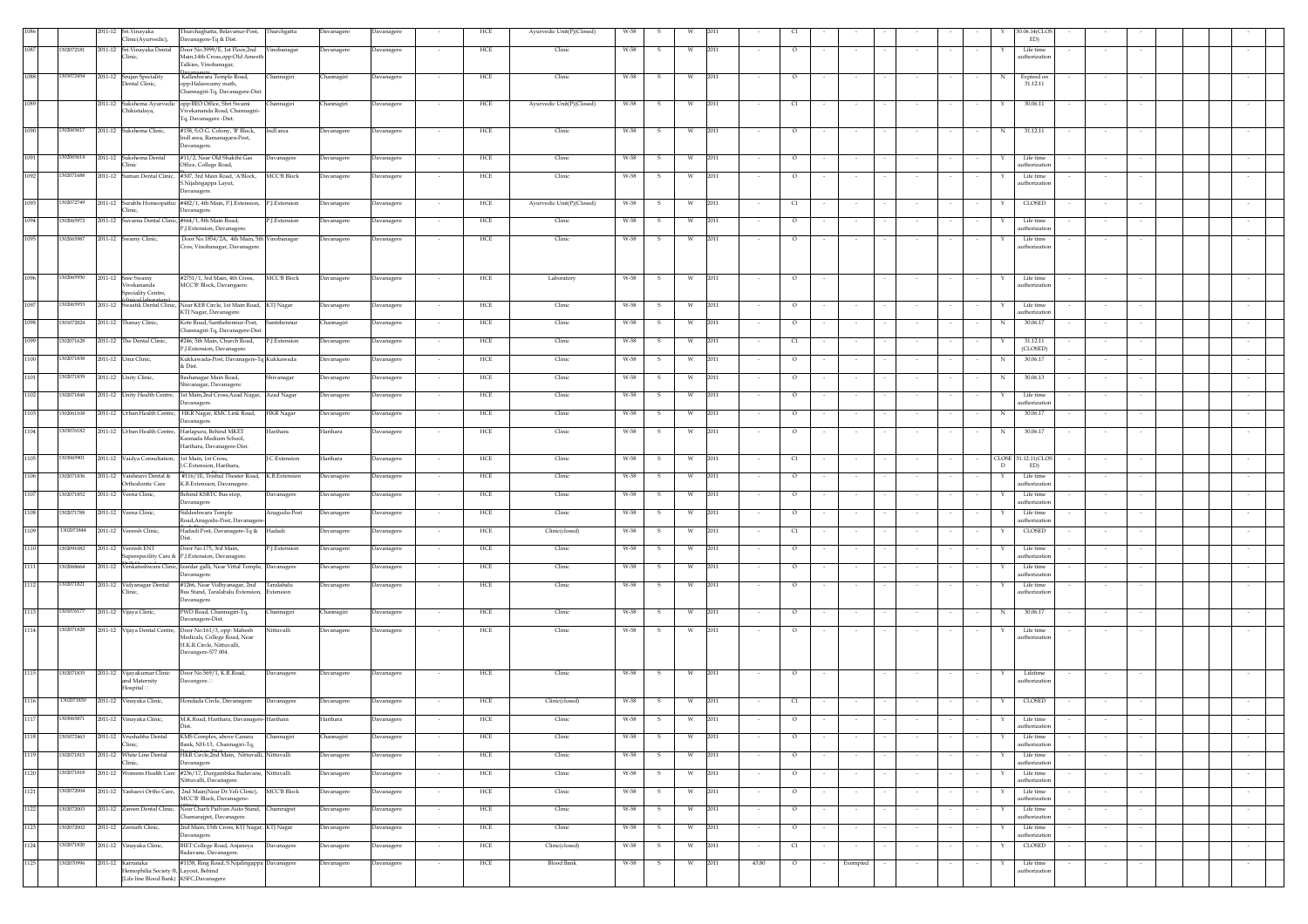|      |            | 2011-12 Sri.Vinayaka                                                                                 | Thurchaghatta, Belavanur-Post,                                                                                | Thurchgatta               | Davanagere        | Davanagere        | HCE                             | Ayurvedic Unit(P)(Closed) | W-58 |              |   |      |        |         |        |                          |        |        |   | 30.06.14(CLO)               |                          |        |  |        |
|------|------------|------------------------------------------------------------------------------------------------------|---------------------------------------------------------------------------------------------------------------|---------------------------|-------------------|-------------------|---------------------------------|---------------------------|------|--------------|---|------|--------|---------|--------|--------------------------|--------|--------|---|-----------------------------|--------------------------|--------|--|--------|
|      |            | Clinic(Ayurvedic),                                                                                   | Davanagere-Tq & Dist.                                                                                         |                           |                   |                   |                                 |                           |      |              |   |      |        |         |        |                          |        |        |   | ED)                         |                          |        |  |        |
| 1087 | 1302072181 | 2011-12 Sri.Vinayaka Dental<br>Clinic,                                                               | Door No.3999/E, 1st Floor,2nd<br>Main,14th Cross,opp:Old Ameeth<br>Talkies, Vinobanagar,                      | /inobanagar               | Davanagere        | Davanagere        | HCE                             | Clinic                    | W-58 | s            | W | 2011 |        | $\circ$ |        | $\overline{\phantom{a}}$ |        |        |   | Life time<br>uthorizatic    |                          |        |  |        |
| 1088 | 1301072454 | 2011-12 Srujan Speciality<br>Dental Clinic,                                                          | Kalleshwara Temple Road,<br>opp:Halaswamy math,<br>Channagiri-Tq, Davanagere-Dist                             | Thannagiri                | Channagiri        | Davanagere        | HCE<br>$\sim$                   | Clinic                    | W-58 | -S           | w | 2011 |        | $\circ$ |        |                          |        |        | N | Expired on<br>31.12.11      |                          |        |  |        |
| 1089 |            | 2011-12 Sukshema Ayurvedic<br>Chikistalaya,                                                          | opp:BEO Office, Shri Swami<br>Vivekananda Road, Channagiri-                                                   | hannagiri                 | <b>Channagiri</b> | <b>Davanagere</b> | HCE                             | Ayurvedic Unit(P)(Closed) | W-58 | s            | W | 2011 |        | q       |        |                          |        |        | Y | 30.06.11                    |                          |        |  |        |
| 1090 | 1302065617 | 2011-12 Sukshema Clinic,                                                                             | Tq, Davanagere -Dist.<br>#158, S.O.G. Colony, 'B' Block,<br>Indl area, Ramanagara-Post,                       | Indl area                 | Davanagere        | Davanagere        | HCE                             | Clinic                    | W-58 |              | W | 2011 |        | $\circ$ |        |                          |        |        | N | 31.12.11                    |                          |        |  |        |
| 1091 | 1302065614 | 2011-12 Sukshema Dental                                                                              | Davanagere.<br>#11/2, Near Old Shakthi Gas                                                                    | Davanagere                | Davanagere        | Davanagere        | HCE<br>$\sim$                   | Clinic                    | W-58 | -S           | W | 2011 | $\sim$ | $\circ$ |        | $\sim$                   |        | $\sim$ | Y | Life time                   | $\sim$                   | $\sim$ |  |        |
|      |            | Clinic                                                                                               | Office, College Road,                                                                                         |                           |                   |                   |                                 |                           |      |              |   |      |        |         |        |                          |        |        |   | uthorization                |                          |        |  |        |
| 1092 | 1302071688 |                                                                                                      | 2011-12 Suman Dental Clinic, #307, 3rd Main Road, 'A'Block,<br>S.Nijalingappa Layut,<br>Davanagere.           | <b>MCC'B Block</b>        | Davanagere        | Davanagere        | ${\rm HCE}$<br>$\sim$           | Clinic                    | W-58 | s            | W | 2011 | $\sim$ | $\circ$ |        | $\sim$                   |        |        | Y | Life time<br>uthorizatio    | $\sim$                   | $\sim$ |  |        |
| 1093 | 1302072749 | Clinic,                                                                                              | 2011-12 Surabhi Homeopathic #482/1, 4th Main, P.J.Extension,<br>Davanagere.                                   | P.J.Extension             | Davanagere        | Davanagere        | HCE                             | Ayurvedic Unit(P)(Closed) | W-58 | s            | W | 2011 |        | C1      |        |                          |        |        |   | CLOSED                      |                          |        |  |        |
| 1094 | 302065972  | 2011-12 Suvarna Dental Clinic, #664/1, 8th Main Road,                                                | P.J.Extension, Davanagere                                                                                     | <sup>2</sup> .J.Extension | Davanagere        | Davanagere        | HCE<br>$\sim$                   | Clinic                    | W-58 | s.           | W | 2011 | $\sim$ | $\circ$ |        | $\sim$                   |        |        | Y | Life time<br>uthorizatio    |                          |        |  |        |
| 1095 | 1302065987 | 2011-12 Swamy Clinic,                                                                                | Door No.1854/2A, 4th Main, 5th Vinobanagar                                                                    |                           | Davanagere        | Davanagere        | HCE<br>$\sim$                   | Clinic                    | W-58 | s.           | W | 2011 | $\sim$ | $\circ$ |        | $\overline{\phantom{a}}$ |        |        | x | Life time                   |                          |        |  |        |
| 1096 | 1302065950 |                                                                                                      | Cros, Vinobanagar, Davanagere.                                                                                |                           |                   |                   | HCE                             |                           | W-58 |              |   | 2011 |        | $\circ$ |        |                          |        |        |   | uthorizatio                 |                          |        |  |        |
|      |            | 2011-12 Sree Swamy<br>Vivekananda<br>Speciality Centre,<br>inical laborator                          | #2751/1, 3rd Main, 4th Cross,<br>MCC'B' Block, Davangaere.                                                    | <b>MCC'B Block</b>        | Davanagere        | <b>Davanagere</b> |                                 | Laboratory                |      | s            | W |      |        |         |        |                          |        |        |   | Life time<br>authorizatio   |                          |        |  |        |
| 1097 | 1302065953 |                                                                                                      | 2011-12 Swastik Dental Clinic, Near KEB Circle, 1st Main Road,<br>KTJ Nagar, Davanagere                       | KTJ Nagar                 | Davanagere        | Davanagere        | HCE                             | Clinic                    | W-58 | -S           | W | 2011 |        | $\circ$ |        |                          |        |        | Y | Life time<br>uthorizatio    |                          |        |  |        |
| 1098 | 301072824  | 2011-12 Thanay Clinic,                                                                               | Kote Road, Santhebennur-Post,<br>Channagiri-Tq, Davanagere-Dist                                               | santebennur               | Channagiri        | Davanagere        | HCE                             | Clinic                    | W-58 | s            | W | 2011 |        | $\circ$ |        |                          |        |        | N | 30.06.17                    |                          |        |  |        |
| 1099 | 1302071628 | 2011-12 The Dental Clinic,                                                                           | #246, 5th Main, Church Road,                                                                                  | P.J.Extension             | Davanagere        | <b>Javanagere</b> | HCE                             | Clinic                    | W-58 | s            | W | 2011 |        | C1      |        |                          |        |        |   | 31.12.11                    |                          |        |  |        |
| 1100 | 1302071838 | 2011-12 Uma Clinic,                                                                                  | P.J.Extension, Davanagere.<br>Kukkawada-Post, Davanagere-Tq Kukkawada                                         |                           | Davanagere        | Davanagere        | HCE                             | Clinic                    | W-58 |              | W | 2011 |        | $\circ$ |        |                          |        |        | N | (CLOSED)<br>30.06.17        |                          |        |  |        |
| 1101 | 1302071839 | 2011-12 Unity Clinic,                                                                                | & Dist.<br>Bashanagar Main Road,                                                                              | Shivanagar                | Davanagere        | Davanagere        | HCE                             | Clinic                    | W-58 |              | W | 2011 |        | $\circ$ |        |                          |        |        | N | 30.06.13                    |                          |        |  |        |
| 1102 | 1302071848 | 2011-12 Unity Health Centre,                                                                         | Shivanagar, Davanagere.<br>1st Main, 2nd Cross, Azad Nagar,                                                   | Azad Nagar                | Davanagere        | <b>Davanagere</b> | HCE                             | Clinic                    | W-58 |              | W | 2011 |        | $\circ$ |        |                          |        |        |   | Life time                   |                          |        |  |        |
| 1103 | 1302061108 |                                                                                                      | Davanagere.                                                                                                   |                           |                   |                   | HCE                             | Clinic                    | W-58 |              |   | 2011 |        | $\circ$ |        |                          |        |        | N | authorization<br>30.06.17   |                          |        |  |        |
|      |            | 2011-12 Urban Health Centre,                                                                         | HKR Nagar, RMC Link Road,<br>Davanagere.                                                                      | <b>HKR</b> Nagar          | Davanagere        | avanagere         |                                 |                           |      |              | W |      |        |         |        |                          |        |        |   |                             |                          |        |  |        |
| 1104 | 1303076182 | 2011-12 Urban Health Centre,                                                                         | Harlapura, Behind MKET<br>Kannada Medium School,<br>Harihara, Davanagere-Dist                                 | Iarihara                  | Harihara          | Davanagere        | HCE                             | Clinic                    | W-58 |              | W | 2011 |        | $\circ$ |        |                          |        |        | N | 30.06.17                    |                          |        |  |        |
| 1105 | 303065901  | 2011-12 Vaidya Consultation, 1st Main, 1st Cross,                                                    | J.C.Extension, Harihara                                                                                       | <b>C.Extension</b>        | Harihara          | Davanagere        | HCE<br>$\sim$                   | Clinic                    | W-58 | s.           | w | 2011 | $\sim$ | C1      |        | $\sim$                   |        |        | D | CLOSE 31.12.11 (CLOS<br>ED) |                          |        |  |        |
| 1106 | 302071836  | 2011-12 Vaishnavi Dental &<br>Orthodontic Care                                                       | #116/1E, Trishul Theater Road,<br>K.B.Extension, Davanagere                                                   | K.B.Extension             | Davanagere        | <b>Davanagere</b> | HCE                             | Clinic                    | W-58 | s            | W | 2011 |        | $\circ$ |        |                          |        |        | Y | Life time<br>authorizatio   |                          |        |  |        |
| 1107 | 1302071852 | 2011-12 Veena Clinic,                                                                                | Behind KSRTC Bus stop,<br>Davanagere                                                                          | Javanagere                | Davanagere        | avanagere         | HCE                             | Clinic                    | W-58 |              | W | 2011 |        | $\circ$ |        |                          |        |        |   | Life time<br>authorization  |                          |        |  |        |
| 1108 | 1302071788 | 2011-12 Veena Clinic,                                                                                | Siddeshwara Temple<br>Road, Anagodu-Post, Davanager                                                           | Anagodu-Post              | Davanagere        | Davanagere        | HCE                             | Clinic                    | W-58 |              | W | 2011 |        | $\circ$ |        |                          |        |        |   | Life time<br>uthorization   |                          |        |  |        |
| 1109 | 1302071844 | 2011-12 Veeresh Clinic,                                                                              | Hadadi Post, Davanagere-Tq & Hadadi<br>Dist                                                                   |                           | Davanagere        | <b>Davanagere</b> | HCE                             | Clinic(closed)            | W-58 |              | W | 2011 |        | C1      |        |                          |        |        | Y | <b>CLOSED</b>               |                          |        |  |        |
| 1110 | 302091082  | 2011-12 Veeresh ENT                                                                                  | Door No.175, 3rd Main,<br>Superspecility Care & P.J.Extension, Davanagere.                                    | <sup>2</sup> .J.Extension | Davanagere        | Davanagere        | HCE                             | Clinic                    | W-58 | -S           | W | 2011 |        | $\circ$ |        | $\sim$                   |        |        |   | Life time<br>uthorization   |                          |        |  |        |
| 1111 | 1302068664 |                                                                                                      | 2011-12 Venkateshwara Clinic, Izardar galli, Near Vittal Temple,<br>Davanagere.                               | <b>Davanagere</b>         | Davanagere        | <b>Javanagere</b> | HCE                             | Clinic                    | W-58 |              | W | 2011 |        | $\circ$ |        |                          |        |        |   | Life time<br>uthorizatic    |                          |        |  |        |
| 1112 | 1302071821 | 2011-12 Vidyanagar Dental<br>linic,                                                                  | #1266, Near Vidhyanagar, 2nd<br>Bus Stand, Taralabalu Extension,<br>Davanagere.                               | Taralabalu<br>xtension    | Davanagere        | Davanagere        | HCE                             | Clinic                    | W-58 |              | W | 2011 |        | $\circ$ |        |                          |        |        |   | Life time<br>uthorizatio    |                          |        |  |        |
| 1113 | 1301076177 | 2011-12 Vijaya Clinic,                                                                               | PWD Road, Channagiri-Tq,<br>Davanagere-Dist.                                                                  | <b>Thannagiri</b>         | Channagiri        | Davanagere        | HCE<br>$\sim$                   | Clinic                    | W-58 | -S           | W | 2011 | $\sim$ | $\circ$ |        | $\sim$                   | $\sim$ | $\sim$ | N | 30.06.17                    | $\sim$                   |        |  |        |
| 1114 | 1302071828 | 2011-12 Vijaya Dental Centre,                                                                        | Door No:161/3, opp: Mahesh<br>Medicals, College Road, Near<br>H.K.R.Circle, Nittuvalli,<br>Davangere-577 004. | Vittuvalli                | Davanagere        | <b>Davanagere</b> | ${\rm HCE}$                     | Clinic                    | W-58 | s            | W | 2011 |        | $\circ$ |        | $\overline{\phantom{a}}$ |        |        | x | Life time<br>uthorizatic    |                          |        |  |        |
| 1115 | 1302071835 | 2011-12 Vijayakumar Clinic<br>and Maternity<br>Hospital <sup>[]</sup>                                | Door No.569/1, K.R.Road,<br>Davangere.                                                                        | Davanagere                | Davanagere        | Davanagere        | HCE                             | Clinic                    | W-58 | $\mathbf{s}$ | W | 2011 |        | $\circ$ |        |                          |        |        |   | Lifetime<br>uthorizatio     |                          |        |  |        |
| 1116 | 1302071830 | 2011-12 Vinayaka Clinic,                                                                             | Hondada Circle, Davanagere                                                                                    | Davanagere                | Davanagere        | Davanagere        | HCE<br>$\sim$                   | Clinic(closed)            | W-58 | S.           | W | 2011 | $\sim$ | C1      |        |                          |        | $\sim$ | Y | CLOSED                      |                          |        |  |        |
| 1117 | 1303065871 | 2011-12 Vinayaka Clinic,                                                                             | M.K.Road, Harihara, Davanagere-Harihara<br>Dist.                                                              |                           | Harihara          | Davanagere        | HCE                             | Clinic                    | W-58 | S            | W | 2011 |        | $\circ$ |        |                          |        |        | Y | Life time<br>authorization  |                          |        |  |        |
| 1118 | 301072463  | 2011-12 Vrushabha Dental<br>Clinic,                                                                  | KMS Complex, above Canara<br>Bank, NH-13, Channagiri-Tq,                                                      | <b>hannagiri</b>          | Channagiri        | avanagere         | HCE                             | Clinic                    | W-58 |              | W | 2011 |        | $\circ$ |        |                          |        |        |   | Life time<br>uthorization   |                          |        |  |        |
| 1119 | 1302071815 | 2011-12 White Line Dental                                                                            | HKR Circle,2nd Main, Nittuvalli, Nittuvalli                                                                   |                           | Davanagere        | <b>Davanagere</b> | HCE                             | Clinic                    | W-58 | s            | W | 2011 |        | $\circ$ |        |                          |        |        |   | Life time                   |                          |        |  |        |
| 1120 | 1302071818 | Clinic,                                                                                              | Davanagere<br>2011-12 Womens Health Care #236/17, Durgambika Badavane, Nittuvalli                             |                           | Davanagere        | Davanagere        | HCE                             | Clinic                    | W-58 | -S           | W | 2011 |        | $\circ$ |        | $\sim$                   |        |        |   | uthorization<br>Life time   |                          |        |  | $\sim$ |
| 1121 | 1302072004 |                                                                                                      | Nittuvalli, Davanagere.<br>2011-12 Yashasvi Ortho Care, 2nd Main(Near Dr.Yeli Clinic),                        | <b>MCC'B Block</b>        | Davanagere        | Davanagere        | HCE<br>$\overline{\phantom{a}}$ | Clinic                    | W-58 | s            | W | 2011 | $\sim$ | $\circ$ |        | $\sim$                   |        |        | Y | authorization<br>Life time  |                          | $\sim$ |  | $\sim$ |
| 1122 | 1302072003 |                                                                                                      | MCC'B' Block, Davanagere-<br>2011-12 Zareen Dental Clinic, Near Charli Pailvan Auto Stand,                    | Chamrajpet                | Davanagere        | Davanagere        | HCE<br>$\sim$                   | Clinic                    | W-58 | s            | W | 2011 | $\sim$ | $\circ$ |        | $\sim$                   |        |        | Y | authorization<br>Life time  | $\sim$                   | $\sim$ |  | $\sim$ |
| 1123 | 1302072002 | 2011-12 Zeenath Clinic,                                                                              | Chamarajpet, Davanagere.<br>2nd Main, 15th Cross, KTJ Nagar, KTJ Nagar                                        |                           | Davanagere        | <b>Davanagere</b> | HCE                             | Clinic                    | W-58 | s            | W | 2011 |        | $\circ$ |        |                          |        |        |   | uthorization<br>Life time   |                          |        |  |        |
|      | 1302071820 |                                                                                                      | Davanagere.                                                                                                   |                           |                   |                   | $\sim$                          |                           |      |              |   |      | $\sim$ |         |        | $\sim$                   |        |        |   | uthorizatio                 |                          |        |  | $\sim$ |
| 1124 |            | 2011-12 Vinayaka Clinic,                                                                             | BIET College Road, Anjaneya<br>Badavane, Davanagere.                                                          | Davanagere                | Davanagere        | Davanagere        | HCE                             | Clinic(closed)            | W-58 | $\mathbf{s}$ | W | 2011 |        | C1      |        | $\sim$                   |        |        | Y | CLOSED                      |                          |        |  | $\sim$ |
| 1125 | 1302070996 | 2011-12 Karnataka<br>Hemophilia Society ®, Layout, Behind<br>[Life line Blood Bank) KSFC, Davanagere | #1138, Ring Road, S.Nijalingappa Davanagere                                                                   |                           | Davanagere        | Davanagere        | ${\rm HCE}$<br>$\sim$           | <b>Blood Bank</b>         | W-58 | s            | W | 2011 | 43.80  | $\circ$ | $\sim$ | Exempted                 |        | $\sim$ | Y | Life time<br>uthorizatio    | $\overline{\phantom{a}}$ | $\sim$ |  | $\sim$ |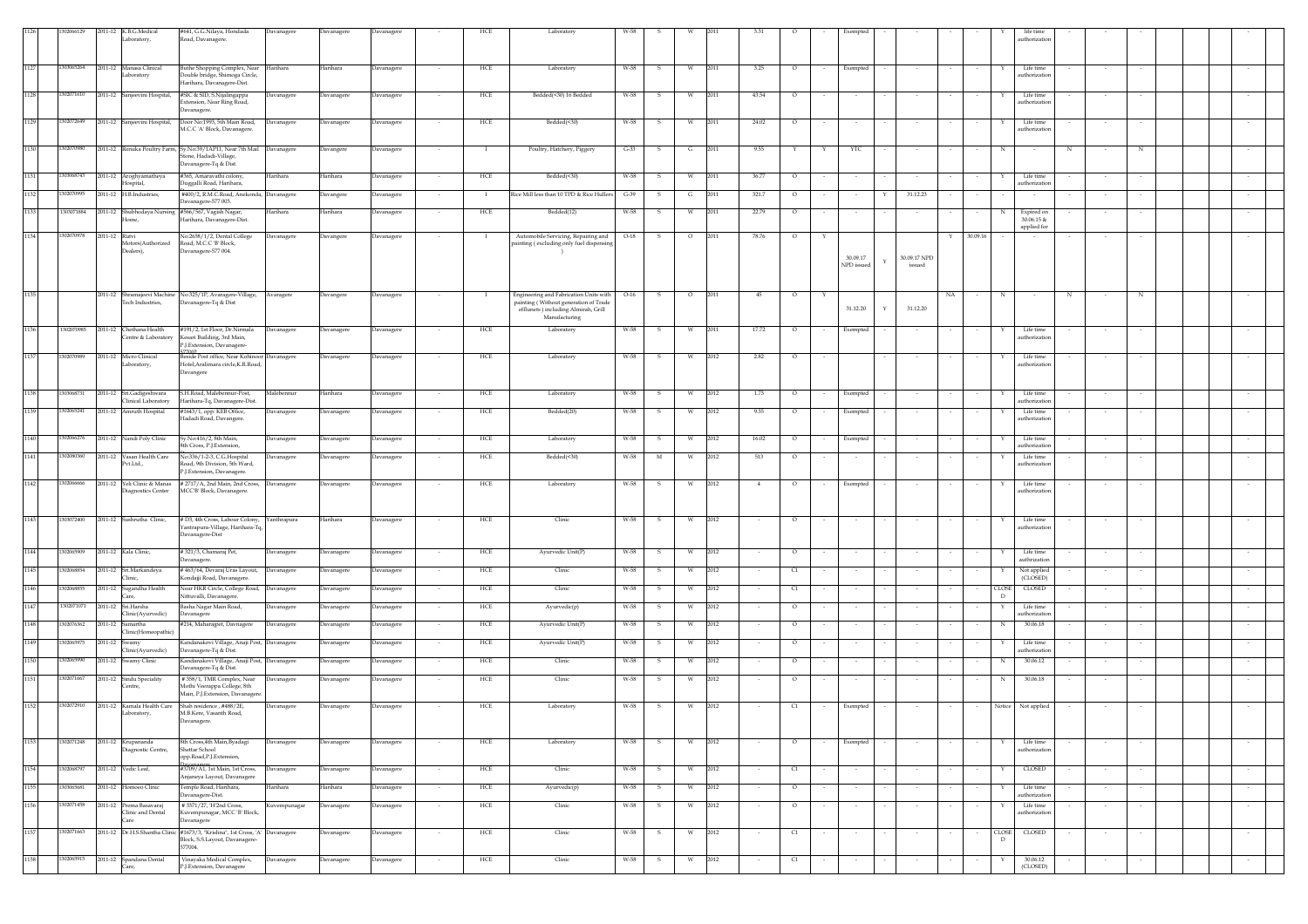|      | 206612     |               | 2011-12 K.B.G.Medical                         | #641, G.G.Nilaya, Hondada                                             | Davanagere      | Davanagere | Davanagere |                          | HCE          | Laboratory                                                                    |        |              |          |                |                                  |            |              |              |                                    | life time                   |        |        |  |        |
|------|------------|---------------|-----------------------------------------------|-----------------------------------------------------------------------|-----------------|------------|------------|--------------------------|--------------|-------------------------------------------------------------------------------|--------|--------------|----------|----------------|----------------------------------|------------|--------------|--------------|------------------------------------|-----------------------------|--------|--------|--|--------|
|      |            |               | .aboratory.                                   | Road, Davanagere.                                                     |                 |            |            |                          |              |                                                                               |        |              |          |                |                                  |            |              |              |                                    | authorization               |        |        |  |        |
|      |            |               |                                               |                                                                       |                 |            |            |                          |              |                                                                               |        |              |          |                |                                  |            |              |              |                                    |                             |        |        |  |        |
| 1127 | 1303065264 | 2011-12       | Manasa Clinical                               | Buthe Shopping Complex, Near Harihara                                 |                 | Harihara   | Davanagere |                          | HCE          | Laboratory                                                                    | W-58   | s            | W        | 3.25<br>2011   | $\circ$                          | Exempted   |              |              |                                    | Life time                   |        |        |  |        |
|      |            |               | aboratory                                     | Double bridge, Shimoga Circle,<br>Harihara, Davanagere-Dist.          |                 |            |            |                          |              |                                                                               |        |              |          |                |                                  |            |              |              |                                    | uthorizatio                 |        |        |  |        |
| 1128 | 1302071610 |               | 2011-12 Sanjeevini Hospital,                  | #SIC & SID, S.Nijalingappa                                            |                 |            |            | $\overline{\phantom{a}}$ | HCE          | Bedded(<30) 16 Bedded                                                         | W-58   | S.           | W        | 2011<br>43.54  | $\circ$                          |            |              |              | Y                                  | Life time                   | $\sim$ |        |  |        |
|      |            |               |                                               | ixtension, Near Ring Road,                                            | Davanagere      | Davanagere | Davanagere |                          |              |                                                                               |        |              |          |                |                                  | $\sim$     |              |              |                                    | uthorizatio                 |        |        |  |        |
|      |            |               |                                               | Davanagere.                                                           |                 |            |            |                          |              |                                                                               |        |              |          |                |                                  |            |              |              |                                    |                             |        |        |  |        |
| 1129 | 1302072649 |               | 2011-12 Sanjeevini Hospital,                  | Door No:1993, 5th Main Road,<br>M.C.C 'A' Block, Davanagere.          | Davanagere      | Javanagere | Davanagere |                          | HCE          | Bedded(<30)                                                                   | W-58   |              |          | 2011<br>24.02  | $\circ$                          |            |              |              |                                    | Life time<br>authorization  |        |        |  |        |
|      |            |               |                                               |                                                                       |                 |            |            |                          |              |                                                                               |        |              |          |                |                                  |            |              |              |                                    |                             |        |        |  |        |
| 1130 | 1302070980 |               |                                               | 2011-12 Renuka Poultry Farm, Sy.No:39/1AP11, Near 7th Mail Davanagere |                 | Davangere  | Davanagere |                          | - 1          | Poultry, Hatchery, Piggery                                                    | $G-33$ | $\mathbf{s}$ | G        | 2011<br>9.55   | Y<br>Y                           | YTC        |              |              | $_{\rm N}$                         | $_{\rm N}$                  |        | N      |  |        |
|      |            |               |                                               | one, Hadadi-Village,<br>avanagere-Tq & Dist.                          |                 |            |            |                          |              |                                                                               |        |              |          |                |                                  |            |              |              |                                    |                             |        |        |  |        |
| 1131 | 303068743  |               | 2011-12 Aroghyamatheya                        | #365, Amaravathi colony,                                              | <b>Jarihara</b> | Harihara   | Davanagere |                          | HCE          | Bedded(<30)                                                                   | W-58   | -S           | <b>W</b> | 2011<br>36.77  | $\circ$                          |            |              |              |                                    | Life time                   |        |        |  |        |
|      |            |               | Iospital,                                     | Duggalli Road, Harihara,                                              |                 |            |            |                          |              |                                                                               |        |              |          |                |                                  |            |              |              |                                    | authorization               |        |        |  |        |
| 1132 | 302070995  | 2011-12       | H.B.Industries,                               | #400/2, R.M.C.Road, Anekonda, Davanagere<br>Davanagere-577 003.       |                 | Javangere  | Davanagere |                          |              | Rice Mill less than 10 TPD & Rice Hullers                                     | $G-39$ |              |          | 2011<br>321.7  | $\circ$                          |            |              | 31.12.23     |                                    |                             |        |        |  |        |
| 1133 | 1303071884 | 2011-12       | hubhodaya Nursing                             | #566/567, Vagish Nagar,                                               | Iarihara        | Harihara   | Davanagere |                          | HCE          | Bedded(12)                                                                    | W-58   | S            | W        | 2011<br>22.79  | $\circ$                          |            |              |              |                                    | Expired on                  |        |        |  |        |
|      |            |               | ome,                                          | Harihara, Davanagere-Dist.                                            |                 |            |            |                          |              |                                                                               |        |              |          |                |                                  |            |              |              |                                    | $30.06.15$ &<br>applied for |        |        |  |        |
| 1134 | 1302070978 | 2011-12 Rutvi |                                               | No:2658/1/2, Dental College                                           | Davanagere      | Davangere  | Davanagere |                          |              | Automobile Servicing, Repairing and                                           | $O-18$ | s            | $\circ$  | 2011<br>78.76  | $\circ$                          |            |              |              | 30.09.16<br>Y                      |                             |        |        |  |        |
|      |            |               | Motors(Authorized<br>Dealers),                | Road, M.C.C 'B' Block,<br>Davanagere-577 004.                         |                 |            |            |                          |              | painting (excluding only fuel dispensing                                      |        |              |          |                |                                  |            |              |              |                                    |                             |        |        |  |        |
|      |            |               |                                               |                                                                       |                 |            |            |                          |              |                                                                               |        |              |          |                |                                  | 30.09.17   | $\mathbf{Y}$ | 30.09.17 NPD |                                    |                             |        |        |  |        |
|      |            |               |                                               |                                                                       |                 |            |            |                          |              |                                                                               |        |              |          |                |                                  | NPD issued |              | issued       |                                    |                             |        |        |  |        |
|      |            |               |                                               |                                                                       |                 |            |            |                          |              |                                                                               |        |              |          |                |                                  |            |              |              |                                    |                             |        |        |  |        |
| 1135 |            |               |                                               | 2011-12 Shramajeevi Machine No:325/1P, Avaragere-Village, Avaragere   |                 | Davangere  | Davanagere | $\overline{\phantom{a}}$ | $\mathbf{I}$ | Engineering and Fabrication Units with                                        | $O-16$ | s.           | $\circ$  | 2011<br>45     | $\circ$                          |            |              |              | NA<br>N<br>$\sim$                  | N<br>$\sim$                 |        | N      |  |        |
|      |            |               | Tech Industries,                              | Davanagere-Tq & Dist                                                  |                 |            |            |                          |              | painting (Without generation of Trade<br>efflunets ) including Almirah, Grill |        |              |          |                |                                  | 31.12.20   | Y            | 31.12.20     |                                    |                             |        |        |  |        |
|      |            |               |                                               |                                                                       |                 |            |            |                          |              | Manufacturing                                                                 |        |              |          |                |                                  |            |              |              |                                    |                             |        |        |  |        |
| 1136 | 1302070985 |               | 2011-12 Chethana Health<br>entre & Laboratory | #191/2, 1st Floor, Dr.Nirmala<br>Kesari Building, 3rd Main.           | Davanagere      | Davanagere | Davanagere | $\sim$                   | HCE          | Laboratory                                                                    | W-58   | s.           | W        | 2011<br>17.72  | $\circ$                          | Exempted   |              |              | Y                                  | Life time<br>authorization  | $\sim$ |        |  |        |
|      |            |               |                                               | P.J.Extension, Davanagere-                                            |                 |            |            |                          |              |                                                                               |        |              |          |                |                                  |            |              |              |                                    |                             |        |        |  |        |
| 1137 | 1302070989 | 2011-12       | Micro Clinical                                | 77002<br>eside Post office, Near Kohinoor Davanagere                  |                 | Davanagere | Davanagere |                          | HCE          | Laboratory                                                                    | W-58   | s            |          | 2012<br>2.82   | $\circ$                          |            |              |              |                                    | Life time                   |        |        |  |        |
|      |            |               | .aboratory,                                   | Hotel, Aralimara circle, K.R.Road,<br>Davangere                       |                 |            |            |                          |              |                                                                               |        |              |          |                |                                  |            |              |              |                                    | authorization               |        |        |  |        |
|      |            |               |                                               |                                                                       |                 |            |            |                          |              |                                                                               |        |              |          |                |                                  |            |              |              |                                    |                             |        |        |  |        |
| 1138 | 1303068731 |               | 2011-12 Sri.Gadigeshwara                      | 5.H.Road, Malebennur-Post,                                            | Malebennur      | Harihara   | Davanagere | $\sim$                   | HCE          | Laboratory                                                                    | W-58   | -S           | W        | 2012<br>1.73   | $\circ$                          | Exempted   |              |              |                                    | Life time                   | $\sim$ |        |  |        |
| 1139 |            |               | linical Laboratory<br>Amruth Hospital         | Harihara-Tq, Davanagere-Dist.<br>#1643/1, opp: KEB Office,            |                 |            |            |                          |              |                                                                               |        |              |          |                |                                  |            |              |              |                                    | uthorizatic                 |        |        |  |        |
|      | 302065241  | 2011-12       |                                               | Hadadi Road, Davangere.                                               | Davanagere      | Davanagere | Davanagere | $\sim$                   | HCE          | Bedded(20)                                                                    | W-58   | s            | <b>W</b> | 2012<br>9.35   | $\circ$<br>$\sim$                | Exempted   |              | $\sim$       | $\sim$<br>$\overline{\phantom{a}}$ | Life time<br>authorization  | $\sim$ | $\sim$ |  | $\sim$ |
|      |            |               |                                               |                                                                       |                 |            |            |                          |              |                                                                               |        |              |          |                |                                  |            |              |              |                                    |                             |        |        |  |        |
| 1140 | 1302066276 |               | 2011-12 Nandi Poly Clinic                     | Sy.No:416/2, 8th Main,<br>th Cross, P.J.Extension,                    | Davanagere      | Davanagere | Davanagere |                          | HCE          | Laboratory                                                                    | W-58   | s            | W        | 2012<br>16.02  | $\circ$                          | Exempted   |              |              |                                    | Life time<br>uthorization   |        |        |  |        |
| 1141 | 1302080360 |               | 2011-12 Vasan Health Care                     | No:336/1-2-3, C.G.Hospital                                            | Davanagere      | Davanagere | Davanagere |                          | HCE          | Bedded(<30)                                                                   | W-58   | $_{\rm M}$   | W        | 2012<br>513    | $\circ$                          |            |              |              |                                    | Life time                   |        |        |  |        |
|      |            |               | vt.Ltd.,                                      | Road, 9th Division, 5th Ward,<br>P.J.Extension, Davanagere.           |                 |            |            |                          |              |                                                                               |        |              |          |                |                                  |            |              |              |                                    | authorization               |        |        |  |        |
| 1142 | 1302066666 |               | 2011-12 Yeli Clinic & Manas                   | # 2717/A, 2nd Main, 2nd Cross, Davanagere                             |                 | Davanagere | Davanagere | $\sim$                   | HCE          | Laboratory                                                                    | W-58   | - S          | W        | 2012<br>$-4$   | $\circ$<br>$\sim$                | Exempted   |              |              | Y                                  | Life time                   | $\sim$ |        |  |        |
|      |            |               | liagnostics Center                            | MCC'B' Block, Davanagere.                                             |                 |            |            |                          |              |                                                                               |        |              |          |                |                                  |            |              |              |                                    | authorization               |        |        |  |        |
|      |            |               |                                               |                                                                       |                 |            |            |                          |              |                                                                               |        |              |          |                |                                  |            |              |              |                                    |                             |        |        |  |        |
| 1143 | 1303072400 |               | 2011-12 Sushrutha Clinic,                     | # D3, 4th Cross, Labour Colony,                                       | Yanthrapura     | Harihara   | Davanagere |                          | HCE          | Clinic                                                                        | W-58   | s            | W        | 2012           | $\circ$                          |            |              |              |                                    | Life time                   |        |        |  |        |
|      |            |               |                                               | Yantrapura-Village, Harihara-Tq,                                      |                 |            |            |                          |              |                                                                               |        |              |          |                |                                  |            |              |              |                                    | uthorizatio                 |        |        |  |        |
|      |            |               |                                               | Davanagere-Dist                                                       |                 |            |            |                          |              |                                                                               |        |              |          |                |                                  |            |              |              |                                    |                             |        |        |  |        |
| 1144 | 1302065909 |               | 2011-12 Kala Clinic,                          | #321/3, Chamaraj Pet,                                                 | Davanagere      | Davanagere | Davanagere | $\sim$                   | HCE          | Ayurvedic Unit(P)                                                             | W-58   | s            | W        | 2012           | $\circ$                          |            |              |              |                                    | Life time                   |        |        |  |        |
|      |            |               |                                               | avanagere.                                                            |                 |            |            |                          |              |                                                                               |        |              |          |                |                                  |            |              |              |                                    | authrization                |        |        |  |        |
| 1145 | 1302068854 | 2011-12       | Sri.Markandeya<br>linic                       | #463/64, Devaraj Uras Layout, Davanagere<br>Condajji Road, Davanagere |                 | Davanagere | Davanagere | $\sim$                   | HCE          | Clinic                                                                        | W-58   | -S           | <b>W</b> | 2012           | C1                               | $\sim$     |              |              |                                    | Not applied<br>(CLOSED)     | $\sim$ |        |  |        |
| 1146 | 302068855  | 2011-12       | ugandha Health                                | lear HKR Circle, College Road, Davanagere                             |                 | Davanagere | Davanagere | $\sim$                   | HCE          | Clinic                                                                        | W-58   | s            | <b>W</b> | 2012<br>$\sim$ | C1                               | $\sim$     |              | $\sim$       | <b>CLOSE</b>                       | CLOSED                      | $\sim$ |        |  |        |
| 1147 | 1302071071 | 2011-12       | Sri.Harsha                                    | Nittuvalli, Davanagere<br>asha Nagar Main Road,                       | Davanagere      | Davanagere | Davanagere |                          | HCE          | Ayurvedic(p)                                                                  | W-58   | s            | w        | 2012           | $\circ$                          |            |              |              | D                                  | Life time                   |        |        |  |        |
|      |            |               | linic(Ayurvedic)                              | Davanagere                                                            |                 |            |            |                          |              |                                                                               |        |              |          |                |                                  |            |              |              |                                    | authorizatio                |        |        |  |        |
| 1148 | 1302076362 | 2011-12       | amartha                                       | #214, Maharajpet, Davnagere                                           | Davanagere      | Davanagere | Davanagere |                          | HCE          | Ayurvedic Unit(P)                                                             | W-58   | -S           | W        | 2012           | $\circ$                          |            |              |              | N                                  | 30.06.18                    |        |        |  |        |
| 1149 | 1302065975 | 2011-12       | linic(Homeopathic)<br>Swamv                   | Kandanakovi Village, Anaji Post, Davanagere                           |                 | Davanagere | Davanagere |                          | HCE          | Ayurvedic Unit(P)                                                             | W-58   | -S           | W        | 2012           | $\circ$                          | $\sim$     |              |              |                                    | Life time                   |        |        |  |        |
|      |            |               | Clinic(Ayurvedic)                             | Davanagere-Tq & Dist.                                                 |                 |            |            |                          |              |                                                                               |        |              |          |                |                                  |            |              |              |                                    | authorization               |        |        |  |        |
| 1150 | 1302065990 | 2011-12       | Swamy Clinic                                  | Kandanakovi Village, Anaji Post, Davanagere<br>Davanagere-Tq & Dist.  |                 | Davanagere | Davanagere |                          | HCE          | Clinic                                                                        | W-58   | -S           | <b>W</b> | 2012           | $\circ$                          | $\sim$     |              |              | N                                  | 30.06.12                    |        |        |  |        |
| 1151 | 1302071667 |               | 2011-12 Sindu Speciality                      | #358/1, TMR Complex, Near                                             | Davanagere      | Davanagere | Davanagere | $\overline{\phantom{a}}$ | HCE          | Clinic                                                                        | W-58   | s            | W        | 2012           | $\circ$                          | $\sim$     |              |              | N                                  | 30.06.18                    | $\sim$ |        |  |        |
|      |            |               | ntre.                                         | Mothi Veerappa College, 8th                                           |                 |            |            |                          |              |                                                                               |        |              |          |                |                                  |            |              |              |                                    |                             |        |        |  |        |
|      | 1302072910 |               |                                               | Main, P.J.Extension, Davanager                                        |                 |            |            |                          |              |                                                                               |        |              |          |                |                                  |            |              |              |                                    |                             |        |        |  |        |
| 1152 |            |               | 2011-12 Kamala Health Care<br>aboratory,      | Shah residence, #488/2E,<br>M.B.Kere, Vasanth Road,                   | Davanagere      | Davanagere | Davanagere |                          | HCE          | Laboratory                                                                    | W-58   | s            | W        | 2012           | C1                               | Exempted   |              |              |                                    | Notice Not applied          |        |        |  |        |
|      |            |               |                                               |                                                                       |                 |            |            |                          |              |                                                                               |        |              |          |                |                                  |            |              |              |                                    |                             |        |        |  |        |
|      |            |               |                                               |                                                                       |                 |            |            |                          |              |                                                                               |        |              |          |                |                                  |            |              |              |                                    |                             |        |        |  |        |
| 1153 | 1302071248 |               | 2011-12 Krupananda<br>liagnostic Centre,      | 8th Cross, 4th Main, Byadagi<br>Shettar School                        | Davanagere      | Davanagere | Davanagere |                          | HCE          | Laboratory                                                                    | W-58   | s            | - W      | 2012           | $\circ$                          | Exempted   |              |              |                                    | Life time<br>authorizatio   |        |        |  |        |
|      |            |               |                                               | opp.Road,P.J.Extension,                                               |                 |            |            |                          |              |                                                                               |        |              |          |                |                                  |            |              |              |                                    |                             |        |        |  |        |
| 1154 | 1302068797 |               | 2011-12 Vedic Leaf,                           | #3709/A1, 1st Main, 1st Cross,<br>Anjaneya Layout, Davanagere         | Davanagere      | Davanagere | Davanagere |                          | HCE          | Clinic                                                                        | W-58   | s            | W        | 2012           | C1                               |            |              |              |                                    | CLOSED                      |        |        |  |        |
| 1155 | 1303065681 | 2011-12       | Homoeo Clinio                                 | Femple Road, Harihara,                                                | Harihara        | Harihara   | Davanagere |                          | HCE          | Ayurvedic(p)                                                                  | W-58   | s            | W        | 2012           | $\circ$                          |            |              |              |                                    | Life time                   |        |        |  |        |
|      |            |               |                                               | Javanagere-Dist.                                                      |                 |            |            |                          |              |                                                                               |        |              |          |                |                                  |            |              |              |                                    | authorization               |        |        |  |        |
| 1156 | 1302071458 |               | 2011-12 Prema Basayarai<br>Clinic and Dental  | #3371/27. H'2nd Cross.<br>Kuvempunagar, MCC 'B' Block,                | Kuvempunagar    | Davanagere | Davanagere |                          | HCE          | Clinic                                                                        | W-58   | -S           | W        | 2012           | $\circ$                          | $\sim$     |              |              |                                    | Life time<br>authorization  | $\sim$ |        |  |        |
|      |            |               | are                                           | Davanagere                                                            |                 |            |            |                          |              |                                                                               |        |              |          |                |                                  |            |              |              |                                    |                             |        |        |  |        |
| 1157 | 1302071663 |               | 2011-12 Dr.H.S.Shantha Clinic                 | #1673/3, "Krishna", 1st Cross, 'A' Davanagere                         |                 | Davanagere | Davanagere |                          | HCE          | Clinic                                                                        | W-58   |              |          | 2012           | $\begin{array}{c} 1 \end{array}$ |            |              |              | CLOSE                              | <b>CLOSED</b>               |        |        |  |        |
|      |            |               |                                               | Block, S.S.Layout, Davanagere-<br>577004.                             |                 |            |            |                          |              |                                                                               |        |              |          |                |                                  |            |              |              | $\mathbb D$                        |                             |        |        |  |        |
| 1158 | 1302065915 |               | 2011-12 Spandana Dental                       | Vinayaka Medical Complex,                                             | Davanagere      | Davanagere | Davanagere |                          | HCE          | Clinic                                                                        | W-58   | $\mathbf{s}$ | W        | 2012           | C1                               |            |              |              |                                    | 30.06.12                    |        |        |  |        |
|      |            |               | are,                                          | P.J.Extension, Davanagere                                             |                 |            |            |                          |              |                                                                               |        |              |          |                |                                  |            |              |              |                                    | (CLOSED)                    |        |        |  |        |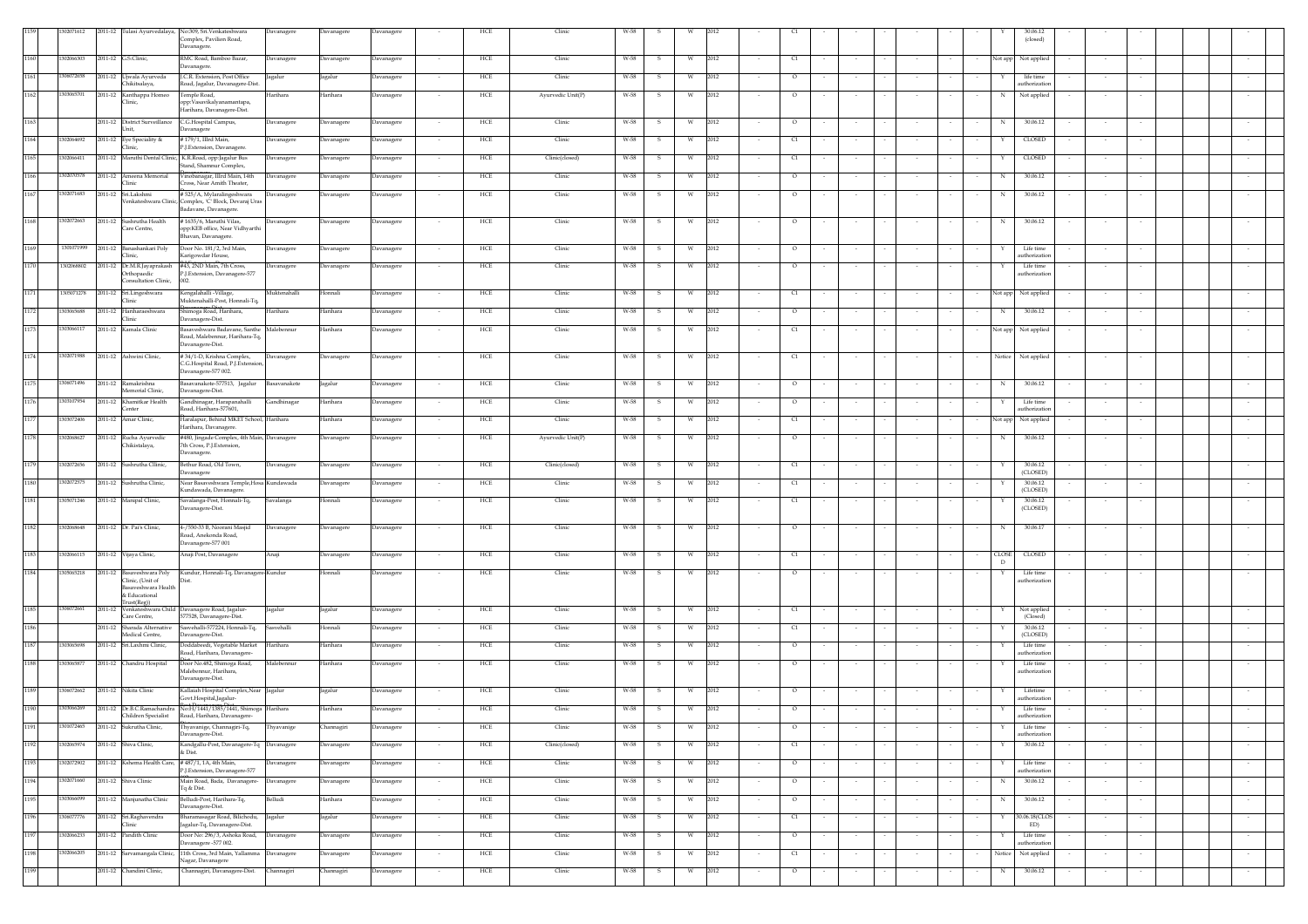|      | 1302071612 |                                                                                       | 2011-12 Tulasi Ayurvedalaya, No:309, Sri. Venkateshwara<br>Complex, Pavilion Road,<br>Davanagere. | Davanagere   | Davanagere | Davanagere | HCF           | Clinic            | $W-58$               |            |                                  |                          |                  |        |                   | (closed)                    |        |        |        |
|------|------------|---------------------------------------------------------------------------------------|---------------------------------------------------------------------------------------------------|--------------|------------|------------|---------------|-------------------|----------------------|------------|----------------------------------|--------------------------|------------------|--------|-------------------|-----------------------------|--------|--------|--------|
| 1160 | 1302066303 | 2011-12 G.S.Clinic,                                                                   | RMC Road, Bamboo Bazar,<br>Davanagere.                                                            | Davanagere   | Davanagere | Davanagere | HCE           | Clinic            | W-58<br>- S          | 2012       | C1                               |                          |                  |        |                   | Not app Not applied         |        |        |        |
| 1161 | 1306072658 | 2011-12 Ujwala Ayurveda<br>Chikitsalava.                                              | J.C.R. Extension, Post Office<br>Road, Jagalur, Davanagere-Dist.                                  | Jagalur      | Jagalur    | Davanagere | HCE<br>$\sim$ | Clinic            | W-58<br>-S           | 2012       | $\circ$                          |                          |                  |        | Y.                | life time<br>uthorization   |        |        |        |
| 1162 | 1303065701 | 2011-12 Kanthappa Homeo<br>Clinic,                                                    | Temple Road,<br>opp:Vasavikalyanamantapa,<br>Harihara, Davanagere-Dist.                           | Harihara     | Harihara   | Davanagere | HCE<br>$\sim$ | Ayurvedic Unit(P) | W-58<br>s            | 2012<br>W  | $\circ$                          |                          |                  |        | $_{\rm N}$        | Not applied                 |        |        |        |
| 1163 |            | 2011-12 District Surveillance<br>Unit,                                                | C.G.Hospital Campus,<br>Davanagere                                                                | Davanagere   | Davanagere | Davanagere | HCE<br>$\sim$ | Clinic            | W-58<br>s            | 2012<br>W  | $\circ$                          |                          |                  |        | N                 | 30.06.12                    |        |        |        |
| 1164 | 1302064692 | 2011-12 Eye Speciality &                                                              | #179/1, IIIrd Main,                                                                               | Davanagere   | Davanagere | Davanagere | HCE<br>$\sim$ | Clinic            | W-58<br>-S           | 2012<br>W. | C1<br>$\sim$                     | $\sim$                   | $\sim$           |        |                   | CLOSED                      | $\sim$ |        |        |
| 1165 | 02066411   | Clinic,                                                                               | P.J.Extension, Davanagere.<br>2011-12 Maruthi Dental Clinic, K.R.Road, opp:Jagalur Bus            | Davanagere   | Davanagere | Davanagere | HCE<br>$\sim$ | Clinic(closed)    | W-58<br>S.           | 2012<br>W  | C1<br>$\sim$                     | $\sim$                   | $\sim$           | $\sim$ | Y.                | CLOSED                      | $\sim$ |        |        |
| 1166 | 1302070578 | 2011-12 Ameena Memorial                                                               | Stand, Shamnur Complex,<br>Vinobanagar, IIIrd Main, 14th                                          | Davanagere   | Davanagere | Davanagere | HCE           | Clinic            | W-58<br>s            | 2012<br>W  | $\circ$                          |                          |                  |        | N                 | 30.06.12                    |        |        |        |
| 1167 | 1302071683 | Clinic<br>2011-12 Sri.Lakshmi                                                         | Cross, Near Amith Theater,<br>#525/A, Mylaralingeshwara                                           | Davanagere   | Davanagere | Davanagere | HCE           | Clinic            | W-58<br>s            | 2012<br>W  | $\circ$                          |                          |                  |        | N                 | 30.06.12                    |        |        |        |
|      |            |                                                                                       | Venkateshwara Clinic, Complex, 'C' Block, Devaraj Uras<br>Badavane, Davanagere.                   |              |            |            |               |                   |                      |            |                                  |                          |                  |        |                   |                             |        |        |        |
| 1168 | 1302072663 | 2011-12 Sushrutha Health<br>Care Centre,                                              | #1635/6, Maruthi Vilas,<br>opp:KEB office, Near Vidhyarthi<br>Bhavan, Davanagere.                 | Davanagere   | Davanagere | Davanagere | HCE           | Clinic            | W-58<br>- S          | 2012<br>W  | $\circ$                          |                          |                  |        | N                 | 30.06.12                    |        |        |        |
| 1169 |            | 1301071999 2011-12 Banashankari Poly<br>Clinic,                                       | Door No. 181/2, 3rd Main,<br>Karigowdar House,                                                    | Davanagere   | Davanagere | Davanagere | HCE           | Clinic            | W-58<br>s            | 2012       | $\circ$                          |                          |                  |        |                   | Life time<br>uthorization   |        |        |        |
| 1170 | 1302068802 | Orthopaedic<br>Consultation Clinic,                                                   | 2011-12 Dr.M.R.Jayaprakash #43, 2ND Main, 7th Cross,<br>P.J.Extension, Davanagere-577<br>002.     | Davanagere   | Davanagere | Davanagere | HCE           | Clinic            | W-58<br>-S           | 2012<br>W  | $\circ$                          |                          |                  |        |                   | Life time<br>uthorization   |        |        |        |
| 1171 | 1305071278 | 2011-12 Sri.Lingeshwara<br>Clinic                                                     | Kengalahalli - Village,<br>Muktenahalli-Post, Honnali-Tq,                                         | Muktenahalli | Honnali    | Davanagere | HCE           | Clinic            | W-58                 | 2012       | $\epsilon$                       |                          |                  |        | Not app           | Not applied                 |        |        |        |
| 1172 | 1303065688 | 2011-12 Hariharaeshwara<br>Clinic                                                     | Shimoga Road, Harihara,<br>Davanagere-Dist.                                                       | Harihara     | Harihara   | Davanagere | HCE           | Clinic            | W-58                 | 2012       | $\circ$                          |                          |                  |        | N                 | 30.06.12                    |        |        |        |
| 1173 | 1303066117 | 2011-12 Kamala Clinic                                                                 | Basaveshwara Badavane, Santhe<br>Road, Malebennur, Harihara-Tq,                                   | Malebennur   | Harihara   | Davanagere | HCE           | Clinic            | W-58                 | 2012       | C1                               |                          |                  |        | Not app           | Not applied                 |        |        |        |
| 1174 | 1302071988 | 2011-12 Ashwini Clinic,                                                               | Davanagere-Dist.<br>#34/1-D, Krishna Complex,<br>C.G.Hospital Road, P.J.Extension,                | Davanagere   | Davanagere | Davanagere | HCE<br>$\sim$ | Clinic            | W-58<br>- S          | 2012<br>W  | C1                               |                          |                  |        |                   | Notice Not applied          |        |        |        |
| 1175 | 1306071496 | 2011-12 Ramakrishna                                                                   | Davanagere-577 002.<br>sasavanakote-577513, Jagalur                                               | Basavanakote | Jagalur    | Davanagere | HCE<br>$\sim$ | Clinic            | W-58                 | 2012       | $\circ$                          |                          |                  |        | N                 | 30.06.12                    |        |        |        |
| 1176 | 1303107954 | Memorial Clinic,<br>2011-12 Khamitkar Health                                          | Davanagere-Dist.<br>Gandhinagar, Harapanahalli                                                    | Gandhinagar  | Harihara   | Davanagere | HCE           | Clinic            | W-58                 | 2012<br>W  | $\circ$                          |                          |                  |        |                   | Life time                   |        |        |        |
| 1177 | 1303072406 | Center<br>2011-12 Amar Clinic.                                                        | load, Harihara-577601,<br><br>Haralapur, Behind MKET School, Harihara                             |              | Harihara   | Davanagere | HCE<br>$\sim$ | Clinic            | W-58<br>s            | 2012<br>W  | C1                               |                          |                  |        | Not app           | uthorization<br>Not applied |        |        |        |
| 1178 | 1302068627 | 2011-12 Rucha Ayurvedic                                                               | Harihara, Davanagere<br>#480, Jingade Complex, 4th Main, Davanagere                               |              |            |            | HCE           | Ayurvedic Unit(P) | W-58                 | 2012       | $\circ$                          |                          |                  |        |                   | 30.06.12                    |        |        |        |
|      |            | Chikistalaya,                                                                         | 7th Cross, P.J.Extension,<br>Davanagere.                                                          |              | Davanagere | Davanagere | $\sim$        |                   |                      | w          |                                  |                          |                  |        | N                 |                             | $\sim$ |        |        |
| 1179 | 1302072656 | 2011-12 Sushrutha Cllinic,                                                            | Bethur Road, Old Town,<br>Davanagere                                                              | Davanagere   | Davanagere | Davanagere | HCE           | Clinic(closed)    | W-58<br>s            | 2012<br>W  | $\begin{array}{c} 1 \end{array}$ |                          |                  |        |                   | 30.06.12<br>(CLOSED)        |        |        |        |
| 1180 | 302072575  | 2011-12 Sushrutha Clinic,                                                             | Near Basaveshwara Temple, Hosa Kundawada<br>Kundawada, Davanagere                                 |              | Davanagere | Davanagere | HCE           | Clinic            | W-58                 | 2012<br>W  | C1                               |                          |                  |        |                   | 30.06.12<br>(CLOSED)        |        |        |        |
| 1181 | 1305071246 | 2011-12 Manipal Clinic,                                                               | Savalanga-Post, Honnali-Tq,<br>Davanagere-Dist.                                                   | Savalanga    | Honnali    | Davanagere | HCE           | Clinic            | W-58<br>- S          | 2012<br>W  | C1                               |                          |                  |        |                   | 30.06.12<br>(CLOSED)        |        |        |        |
| 1182 | 1302068648 | 2011-12 Dr. Pai's Clinic,                                                             | 4-/550-33 B, Noorani Masjid<br>Road, Anekonda Road,<br>Davanagere-577 001                         | Davanagere   | Davanagere | Davanagere | HCE           | Clinic            | W-58                 | 2012       | $\circ$                          |                          |                  |        | N                 | 30.06.17                    |        |        |        |
| 1183 | 1302066115 | 2011-12 Vijaya Clinic,                                                                | Anaji Post, Davanagere                                                                            | Anaji        | Davanagere | Davanagere | HCE<br>$\sim$ | Clinic            | W-58<br>$\mathbf{s}$ | W<br>2012  | C1                               |                          |                  | $\sim$ | <b>CLOSE</b><br>D | <b>CLOSED</b>               |        |        |        |
| 1184 | 1305065218 | 2011-12 Basaveshwara Poly<br>Clinic, (Unit of<br>Basaveshwara Health<br>& Educational | Kundur, Honnali-Tq, Davanagere-Kundur<br>Dist                                                     |              | Honnali    | Davanagere | HCE<br>$\sim$ | Clinic            | W-58<br>-S.          | 2012<br>W  | $\circ$<br>$\sim$                |                          |                  | $\sim$ | Y                 | Life time<br>uthorizatio    | $\sim$ |        |        |
| 1185 | 1306072661 | Trust(Reg))                                                                           | 2011-12 Venkateshwara Child Davanagere Road, Jagalur-                                             | Jagalur      | Jagalur    | Davanagere | HCE           | Clinic            | W-58                 | 2012       | C1                               |                          |                  |        |                   | Not applied                 |        |        |        |
| 1186 |            | Care Centre,<br>2011-12 Sharada Alternative                                           | 577528, Davanagere-Dist.<br>Sasvehalli-577224, Honnali-Tq,                                        | Sasvehalli   | Honnali    | Davanagere | HCE           | Clinic            | W-58                 | 2012       | C1                               |                          |                  |        |                   | (Closed)<br>30.06.12        |        |        |        |
| 1187 | 1303065698 | Medical Centre,<br>2011-12 Sri.Laxhmi Clinic,                                         | Davanagere-Dist.<br>Doddabeedi, Vegetable Market                                                  | Harihara     | Harihara   | Davanagere | HCE           | Clinic            | W-58                 | 2012<br>W. | $\circ$                          |                          |                  |        |                   | (CLOSED)<br>Life time       |        |        |        |
| 1188 | 1303065877 | 2011-12 Chandru Hospital                                                              | Road, Harihara, Davanagere-<br>Door No.482, Shimoga Road,                                         | Malebennur   | Harihara   | Davanagere | HCE<br>$\sim$ | Clinic            | W-58<br>s            | 2012<br>W. | $\circ$                          |                          |                  |        |                   | uthorization<br>Life time   | $\sim$ |        |        |
|      |            |                                                                                       | Malebennur, Harihara,<br>Davanagere-Dist.                                                         |              |            |            |               |                   |                      |            |                                  |                          |                  |        |                   | authorization               |        |        |        |
| 1189 | 1306072662 | 2011-12 Nikita Clinic                                                                 | Kallaiah Hospital Complex, Near Jagalur<br>Govt.Hospital,Jagalur-                                 |              | Jagalur    | Davanagere | HCE<br>$\sim$ | Clinic            | W-58<br>S            | 2012<br>W  | $\circ$                          | $\sim$                   |                  |        |                   | Lifetime<br>uthorization    | $\sim$ |        |        |
| 1190 | 1303066269 | Children Specialist                                                                   | 2011-12 Dr.B.C.Ramachandra No:H/1441/1385/1441, Shimoga Harihara<br>Road, Harihara, Davanagere-   |              | Harihara   | Davanagere | HCE<br>$\sim$ | Clinic            | W-58<br>$\mathbf{s}$ | W<br>2012  | $\circ$                          |                          |                  |        |                   | Life time<br>uthorization   |        |        |        |
| 1191 | 1301072465 | 2011-12 Sukrutha Clinic,                                                              | Thyavanige, Channagiri-Tq,<br>Davanagere-Dist.                                                    | Thyavanige   | Channagiri | Davanagere | HCE           | Clinic            | W-58<br>- S          | 2012<br>W  | $\circ$                          |                          |                  |        |                   | Life time<br>uthorization   |        |        |        |
| 1192 | 1302065974 | 2011-12 Shiva Clinic,                                                                 | Kandgallu-Post, Davanagere-Tq Davanagere<br>& Dist.                                               |              | Davanagere | Davanagere | HCE<br>$\sim$ | Clinic(closed)    | W-58                 | 2012<br>w  | q                                |                          |                  |        | Y                 | 30.06.12                    |        |        | $\sim$ |
| 1193 | 1302072902 |                                                                                       | 2011-12 Kshema Health Care, #487/1, 1A, 4th Main,<br>P.J.Extension, Davanagere-577                | avanagere    | Davanagere | Davanagere | HCE           | Clinic            | W-58                 | 2012<br>W  | $\circ$                          |                          |                  |        |                   | Life time<br>authorization  |        |        |        |
| 1194 | 302071660  | 2011-12 Shiva Clinic                                                                  | Main Road, Bada, Davanagere-<br>Tq & Dist.                                                        | Davanagere   | Davanagere | Davanagere | HCE           | Clinic            | W-58                 | 2012<br>W  | $\circ$                          |                          |                  |        | N                 | 30.06.12                    |        |        |        |
| 1195 | 1303066099 | 2011-12 Manjunatha Clinic                                                             | Belludi-Post, Harihara-Tq,<br>Davanagere-Dist.                                                    | Belludi      | Harihara   | Davanagere | HCE           | Clinic            | W-58                 | 2012<br>W  | $\circ$                          |                          |                  |        | N                 | 30.06.12                    |        |        |        |
| 1196 | 1306077776 | 2011-12 Sri.Raghavendra<br>Clinic                                                     | Bharamasagar Road, Bilichodu,<br>Jagalur-Tq, Davanagere-Dist.                                     | Jagalur      | Jagalur    | Davanagere | HCE<br>$\sim$ | Clinic            | W-58<br>- S          | 2012<br>W  | q<br>$\sim$<br>$\sim$            | $\sim$                   | $\sim$<br>$\sim$ | $\sim$ | Y                 | 30.06.18(CLOS<br>ED)        | $\sim$ | $\sim$ | $\sim$ |
| 1197 | 302066233  | 2011-12 Pandith Clinic                                                                | Door No: 296/3, Ashoka Road,<br>Davanagere -577 002.                                              | Davanagere   | Davanagere | Davanagere | HCE           | Clinic            | W-58                 | 2012       | $\circ$                          | $\overline{\phantom{a}}$ |                  |        |                   | Life time<br>uthorization   |        |        | $\sim$ |
| 1198 | 302066205  | 2011-12 Sarvamangala Clinic,                                                          | 11th Cross, 3rd Main, Yallamma<br>Nagar, Davanagere                                               | Davanagere   | Davanagere | Davanagere | HCE           | Clinic            | W-58                 | 2012<br>W  | C1                               |                          |                  |        | Notice            | Not applied                 |        |        |        |
| 1199 |            | 2011-12 Chandini Clinic.                                                              | Channagiri, Davanagere-Dist.                                                                      | Channagiri   | Channagiri | Davanagere | HCE<br>$\sim$ | Clinic            | W-58<br>s            | 2012<br>W  | $\circ$                          |                          |                  | $\sim$ | N                 | 30.06.12                    | $\sim$ |        |        |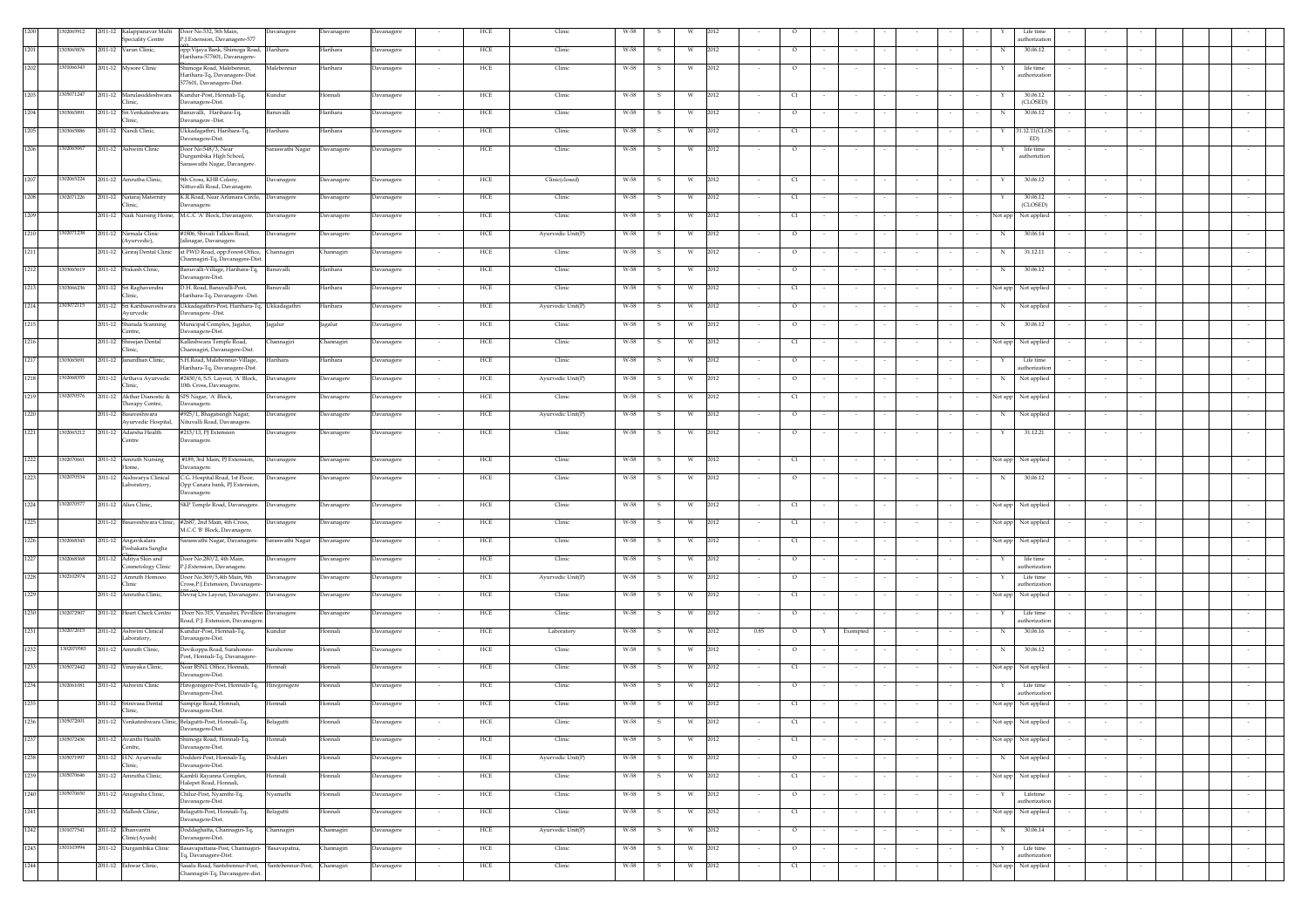|      | 02065912   | 2011-12 Kalappanavar Multi Door No.532, 5th Main,             | Davanagere                                                                             | Davanagere        | Davanagere |        | HCE | Clinic            | W-58                 |            |        |                                  |          |        |                   | Life time                   |                  |                          |
|------|------------|---------------------------------------------------------------|----------------------------------------------------------------------------------------|-------------------|------------|--------|-----|-------------------|----------------------|------------|--------|----------------------------------|----------|--------|-------------------|-----------------------------|------------------|--------------------------|
| 1201 | 303065876  | <b>Speciality Centre</b><br>2011-12 Varun Clinic,             | P.J.Extension, Davanagere-577<br>opp: Vijaya Bank, Shimoga Road, Harihara              | Harihara          | Davanagere |        | HCE | Clinic            | W-58<br>s            | 2012       |        | $\circ$                          |          |        | N                 | uthorization<br>30.06.12    |                  |                          |
|      |            |                                                               | Harihara-577601, Davanagere-                                                           |                   |            |        |     |                   |                      |            |        |                                  |          |        |                   |                             |                  |                          |
| 1202 | 301066343  | 2011-12 Mysore Clinic                                         | Shimoga Road, Malebennur,<br>Malebennur<br>Harihara-Tq, Davanagere-Dist.               | Harihara          | Davanagere |        | HCE | Clinic            | W-58<br>-S           | 2012<br>W  |        | $\circ$                          |          |        |                   | life time<br>uthorizatic    |                  |                          |
|      |            |                                                               | 577601, Davanagere-Dist.                                                               |                   |            |        |     |                   |                      |            |        |                                  |          |        |                   |                             |                  |                          |
| 1203 | 305071247  | 2011-12 Marulasiddeshwara Kundur-Post, Honnali-Tq,<br>Clinic. | Kundur<br>Davanagere-Dist.                                                             | Honnali           | Davanagere |        | HCE | Clinic            | W-58<br>s            | 2012<br>W  |        | q                                |          |        |                   | 30.06.12<br>(CLOSED)        |                  |                          |
| 1204 | 303065891  | 2011-12 Sri.Venkateshwara                                     | Banuvalli, Harihara-Tq,<br>Banuvalli                                                   | Harihara          | Davanagere |        | HCE | Clinic            | W-58<br>s            | 2012<br>W  |        | $\circ$                          |          |        |                   | 30.06.12                    |                  |                          |
| 1205 | 303065886  | Clinic,<br>2011-12 Nandi Clinic,                              | Davanagere-Dist<br>Ukkadagathri, Harihara-Tq,<br>Harihara                              | Harihara          | Davanagere |        | HCE | Clinic            | W-58<br>s            | 2012<br>W  |        | C1                               |          |        |                   | 1.12.11(CLOS                |                  |                          |
|      |            |                                                               | Davanagere-Dist.                                                                       |                   |            |        |     |                   |                      |            |        |                                  |          |        |                   | ED)                         |                  |                          |
| 1206 | 1302065067 | 2011-12 Ashwini Clinic                                        | Door No:548/3, Near<br>Saraswathi Nagar<br>Durgambika High School,                     | Davanagere        | Davanagere |        | HCE | Clinic            | W-58<br>$\mathbf{s}$ | W<br>2012  |        | $\circ$                          |          |        |                   | life time<br>authoriztion   |                  |                          |
|      |            |                                                               | iaraswathi Nagar, Davangere.                                                           |                   |            |        |     |                   |                      |            |        |                                  |          |        |                   |                             |                  |                          |
| 1207 | 1302065224 | 2011-12 Amrutha Clinic.                                       | 9th Cross, KHB Colony,<br>Davanagere                                                   | Davanagere        | Davanagere | $\sim$ | HCE | Clinic(closed)    | W-58<br>$\mathbf{s}$ | W<br>2012  |        | C1                               | $\sim$   | $\sim$ | $\sim$<br>Y       | 30.06.12                    | $\sim$<br>$\sim$ |                          |
| 1208 | 302071226  | 2011-12 Nataraj Maternity                                     | Nittuvalli Road, Davanagere<br>K.R.Road, Near Arlimara Circle, Davanagere              | Davanagere        | Davanagere |        | HCE | Clinic            | W-58<br>-S           | 2012<br>W  |        | C1                               |          |        |                   | 30.06.12                    |                  |                          |
|      |            | Clinic,                                                       | Davanagere.                                                                            |                   |            |        |     |                   |                      |            |        |                                  |          |        |                   | (CLOSED)                    |                  |                          |
|      |            |                                                               | 2011-12 Naik Nursing Home, M.C.C 'A' Block, Davanagere.<br>Davanagere                  | Davanagere        | Davanagere |        | HCE | Clinic            | W-58<br>-S           | 2012<br>W  |        | C1                               |          |        | Not app           | Not applied                 |                  |                          |
| 1210 | 302071238  | 2011-12 Nirmala Clinic<br>(Ayurvedic),                        | #1806, Shivali Talkies Road,<br>Davanagere<br>alinagar, Davanagere.                    | Davanagere        | Davanagere |        | HCE | Ayurvedic Unit(P) | W-58                 | 2012<br>W  |        | $\circ$                          |          |        |                   | 30.06.14                    |                  |                          |
|      |            | 2011-12 Giriraj Dental Clinic                                 | at PWD Road, opp:Forest Office, Channagiri                                             | <b>Channagiri</b> | Davanagere |        | HCE | Clinic            | W-58                 | 2012<br>W  |        | $\circ$                          |          |        | N                 | 31.12.11                    |                  |                          |
| 1212 | 303065619  | 2011-12 Prakash Clinic,                                       | Channagiri-Tq, Davanagere-Dist.                                                        |                   |            |        |     | Clinic            |                      | 2012       |        |                                  |          |        |                   |                             |                  |                          |
|      |            |                                                               | Banuvalli-Village, Harihara-Tq, Banuvalli<br>Davanagere-Dist.                          | Harihara          | Davanagere |        | HCE |                   | W-58<br>-S           | W          |        | $\overline{\circ}$               |          |        | N                 | 30.06.12                    |                  |                          |
| 121  | 43066236   | 2011-12 Sri Raghavendra<br>Clinic,                            | D.H. Road, Banuvalli-Post,<br>Banuvalli<br>Harihara-Tq, Davanagere -Dist               | Harihara          | Davanagere |        | HCE | Clinic            | W-58<br>- S          | 2012<br>W  |        | $\alpha$                         |          |        | Not app           | Not applied                 |                  |                          |
| 1214 | 303072115  | 2011-12 Sri Karibasaveshwara                                  | Ukkadagathri-Post, Harihara-Tq, Ukkadagathri                                           | Harihara          | Davanagere |        | HCE | Ayurvedic Unit(P) | W-58                 | 2012       |        | $\circ$                          |          |        | N                 | Not applied                 |                  |                          |
|      |            | Ayurvedic<br>2011-12 Sharada Scanning                         | Davanagere-Dist.                                                                       |                   |            |        | HCE | Clinic            | W-58                 | 2012<br>W  |        | $\circ$                          |          |        | N                 | 30.06.12                    |                  |                          |
|      |            | Centre,                                                       | Municipal Complex, Jagalur,<br>Jagalur<br>Davanagere-Dist.                             | Jagalur           | Davanagere |        |     |                   |                      |            |        |                                  |          |        |                   |                             |                  |                          |
|      |            | 2011-12 Shreejan Dental<br>Clinic,                            | Kalleshwara Temple Road,<br>Channagiri<br>Channagiri, Davanagere-Dist.                 | Channagiri        | Davanagere |        | HCE | Clinic            | W-58<br>-S           | 2012<br>W. |        | C1                               |          |        | Not app           | Not applied                 |                  |                          |
|      | 303065691  | 2011-12 Janardhan Clinic,                                     | S.H.Road, Malebennur-Village,<br>Harihara                                              | Harihara          | Davanagere |        | HCE | Clinic            | W-58                 | 2012       |        | $\circ$                          |          |        |                   | Life time                   |                  |                          |
| 1218 | 302068355  | 2011-12 Arthava Ayurvedic                                     | Harihara-Tq, Davanagere-Dist.<br>#2430/6, S.S. Layout, 'A' Block,                      |                   |            |        | HCE | Ayurvedic Unit(P) | W-58                 | 2012       |        | $\circ$                          |          |        |                   | uthorization<br>Not applied |                  |                          |
|      |            | Clinic,                                                       | Davanagere<br>10th Cross, Davanagere.                                                  | Davanagere        | Davanagere |        |     |                   |                      |            |        |                                  |          |        |                   |                             |                  |                          |
|      | 1302070576 | 2011-12 Akthar Dianostic &<br>Therapy Centre,                 | SPS Nagar, 'A' Block,<br>Davanagere<br>Davanagere.                                     | Davanagere        | Davanagere |        | HCE | Clinic            | W-58                 | 2012       |        | C1                               |          |        | Not app           | Not applied                 |                  |                          |
|      |            | 2011-12 Basayeshwara                                          | #925/1, Bhagatsingh Nagar,<br>Davanagere                                               | Davanagere        | Davanagere |        | HCE | Avurvedic Unit(P) | W-58<br>- S          | 2012<br>W. |        | $\circ$                          |          |        | N                 | Not applied                 |                  |                          |
|      | 1302065212 | 2011-12 Adarsha Health                                        | Ayurvedic Hospital, Nituvalli Road, Davanagere.<br>#213/13, PJ Extension<br>Davanagere | Davanagere        | Davanagere |        | HCE | Clinic            | W-58<br>s            | 2012<br>W  |        | $\circ$                          |          |        | Y                 | 31.12.21                    |                  |                          |
|      |            | Centre                                                        | Davanagere.                                                                            |                   |            |        |     |                   |                      |            |        |                                  |          |        |                   |                             |                  |                          |
| 1222 | 1302070661 | 2011-12 Amruth Nursing                                        | #189, 3rd Main, PJ Extension,<br>Davanagere                                            | Davanagere        | Davanagere |        | HCE | Clinic            | W-58<br>s            | 2012<br>W  |        | C1                               |          |        | Not app           | Not applied                 |                  |                          |
|      |            | Home,                                                         | Davanagere.                                                                            |                   |            |        |     |                   |                      |            |        |                                  |          |        |                   |                             |                  |                          |
|      | 302070534  | 2011-12 Aishwarya Clinical<br>Laboratory,                     | C.G. Hospital Road, 1st Floor,<br>Davanagere<br>Opp Canara bank, PJ Extension,         | Davanagere        | Davanagere |        | HCE | Clinic            | W-58<br>-S           | 2012<br>W  |        | $\circ$                          |          |        | N                 | 30.06.12                    |                  |                          |
|      |            |                                                               | Davanagere.                                                                            |                   |            |        |     |                   |                      |            |        |                                  |          |        |                   |                             |                  |                          |
| 1224 | 302070577  | 2011-12 Alies Clinic,                                         | SKP Temple Road, Davanagere. Davanagere                                                | Davanagere        | Davanagere |        | HCE | Clinic            | W-58<br>-S           | 2012<br>W  |        | q                                |          |        | Not app           | Not applied                 |                  |                          |
| 1225 |            | 2011-12 Basaveshwara Clinic, #2687, 2nd Main, 4th Cross,      | Davanagere                                                                             | Davanagere        | Davanagere |        | HCE | Clinic            | W-58                 | 2012<br>W  |        | $\begin{array}{c} 1 \end{array}$ |          |        | Not app           | Not applied                 |                  |                          |
| 1226 | 1302068343 | 2011-12 Angavikalara                                          | M.C.C 'B' Block, Davanagere.<br>iaraswathi Nagar, Davanagere.<br>Saraswathi Nagar      | Davanagere        | Davanagere |        | HCE | Clinic            | W-58<br>-S           | 2012<br>W  |        | C1                               |          |        | Not app           | Not applied                 |                  |                          |
|      |            | Poshakara Sangha                                              |                                                                                        |                   |            |        |     |                   |                      |            |        |                                  |          |        |                   |                             |                  |                          |
| 1227 | 1302068368 | 2011-12 Aditya Skin and<br>Cosmetology Clinic                 | Door No.280/2, 4th Main.<br>Davanagere<br>P.J.Extension, Davanagere                    | Davanagere        | Davanagere |        | HCE | Clinic            | W-58<br>-S           | 2012<br>W  |        | $\circ$                          |          |        |                   | life time<br>uthorization   |                  |                          |
| 1228 | 1302102974 | 2011-12 Amruth Homoeo                                         | Door No.369/5,4th Main, 9th<br>Davanagere                                              | Davanagere        | Davanagere |        | HCE | Ayurvedic Unit(P) | W-58<br>- S          | 2012<br>W  |        | $\circ$                          |          |        |                   | Life time                   |                  |                          |
|      |            | Clinic<br>2011-12 Amrutha Clinic,                             | Cross, P.J. Extension, Davanagere-<br>Devraj Urs Layout, Davanagere. Davanagere        | Davanagere        | Davanagere |        | HCE | Clinic            | W-58<br>s            | 2012       |        | $\begin{array}{c} 1 \end{array}$ |          |        | Not app           | uthorization<br>Not applied |                  |                          |
|      |            |                                                               |                                                                                        |                   |            |        |     |                   |                      |            |        |                                  |          |        |                   |                             |                  |                          |
|      | 302072907  | 2011-12 Heart Check Centre                                    | Door No.315, Vanashri, Pevillion Davanagere<br>load, P.J. Extension, Davanagere        | Davanagere        | Davanagere |        | HCE | Clinic            | $W-58$<br>s          | 2012<br>W  |        | $\circ$                          |          |        |                   | Life time<br>thorizatio     |                  |                          |
|      | 1302072015 | 2011-12 Ashwini Clinical                                      | Kundur-Post, Honnali-Tq,<br>Kundur                                                     | Honnali           | Davanagere |        | HCE | Laboratory        | W-58<br>$\mathbf{s}$ | W<br>2012  | 0.85   | $\circ$<br>Y                     | Exempted |        | N                 | 30.06.16                    |                  |                          |
|      | 302070583  | Laboratory,<br>2011-12 Amruth Clinic,                         | Davanagere-Dist.<br>Devikoppa Road, Surahonne-<br>Surahonne                            | Honnali           | Davanagere |        | HCE | Clinic            | W-58<br>s            | 2012<br>W  |        | $\circ$                          |          |        | N                 | 30.06.12                    |                  |                          |
|      |            |                                                               | Post, Honnali-Tq, Davanagere-                                                          |                   |            |        |     |                   |                      |            |        |                                  |          |        |                   |                             |                  |                          |
|      | 305072442  | 2011-12 Vinayaka Clinic,                                      | Near BSNL Office, Honnali,<br>Honnali<br>Davanagere-Dist.                              | Honnali           | Davanagere |        | HCE | Clinic            | W-58<br>s            | 2012<br>W  |        | C1                               |          |        | Not app           | Not applied                 |                  |                          |
|      | 1302061081 | 2011-12 Ashwini Clinic                                        | Hiregonigere-Post, Honnali-Tq, Hiregonigere<br>Javanagere-Dist                         | Honnali           | Davanagere |        | HCE | Clinic            | W-58<br>s            | 2012<br>W  |        | $\circ$                          |          |        |                   | Life time<br>uthorizatio    |                  |                          |
|      |            | 2011-12 Srinivasa Dental                                      | Sampige Road, Honnali,<br>Honnali                                                      | Honnali           | Davanagere |        | HCE | Clinic            | W-58<br>s            | 2012       |        | C1                               |          |        | Not app           | Not applied                 |                  |                          |
|      |            | Clinic,                                                       | Davanagere-Dist.                                                                       |                   |            |        |     |                   |                      |            |        |                                  |          |        |                   |                             |                  |                          |
|      |            |                                                               | Davanagere-Dist.                                                                       |                   |            |        |     |                   |                      |            |        |                                  |          |        |                   |                             |                  |                          |
| 1237 | 305072436  | 2011-12 Avanthi Health<br>Centre.                             | Shimoga Road, Honnali-Tq,<br>Honnali<br>Davanagere-Dist.                               | Honnali           | Davanagere | $\sim$ | HCE | Clinic            | W-58<br>s.           | 2012<br>W. | $\sim$ | C1                               | $\sim$   |        |                   | Not app Not applied         | $\sim$<br>$\sim$ | $\sim$                   |
| 1238 | 1305071997 | 2011-12 H.N. Ayurvedic                                        | Dodderi-Post, Honnali-Tq,<br>Dodderi                                                   | Honnali           | Davanagere | $\sim$ | HCE | Ayurvedic Unit(P) | W-58<br>s            | 2012       |        | $\circ$                          | $\sim$   | $\sim$ | N                 | Not applied                 | $\sim$<br>$\sim$ | $\sim$                   |
|      | 1305070646 | Clinic,                                                       | Davanagere-Dist.                                                                       |                   |            |        |     |                   |                      |            |        |                                  |          |        |                   |                             |                  |                          |
| 1239 |            | 2011-12 Amrutha Clinic,                                       | Kambli Rayanna Complex,<br>Honnali<br>Halepet Road, Honnali,                           | Honnali           | Davanagere | $\sim$ | HCE | Clinic            | W-58<br>s            | W<br>2012  |        | C1                               |          |        | Not app           | Not applied                 |                  | $\sim$                   |
| 1240 | 305070650  | 2011-12 Anugraha Clinic,                                      | Chilur-Post, Nyamthi-Tq,<br>Nyamathi                                                   | Honnali           | Davanagere | $\sim$ | HCE | Clinic            | W-58<br>-S.          | 2012<br>W  | $\sim$ | $\circ$                          | $\sim$   | $\sim$ |                   | Lifetime<br>uthorization    | $\sim$<br>$\sim$ | $\sim$                   |
| 1241 |            | 2011-12 Mallesh Clinic,                                       | Davanagere-Dist.<br>Belagutti-Post, Honnali-Tq,<br>Belagutti                           | Honnali           | Davanagere | $\sim$ | HCE | Clinic            | W-58<br>-S           | 2012<br>W  | $\sim$ | C1<br>$\sim$                     | $\sim$   | $\sim$ | Not app<br>$\sim$ | Not applied                 | $\sim$<br>$\sim$ | $\sim$                   |
|      |            |                                                               | Davanagere-Dist.                                                                       |                   |            |        |     |                   |                      |            |        |                                  |          |        |                   |                             |                  |                          |
| 1242 | 301077541  | 2011-12 Dhanvantri<br>Clinic(Ayush)                           | Ooddaghatta, Channagiri-Tq,<br>Channagiri<br>Davanagere-Dist.                          | hannagiri         | Davanagere |        | HCE | Ayurvedic Unit(P) | W-58<br>s            | 2012<br>W  |        | $\circ$                          |          |        | N                 | 30.06.14                    |                  | $\overline{\phantom{a}}$ |
| 1243 | 1301103994 | 2011-12 Durgambika Clinic                                     | Basavapattana-Post, Channagiri- 'Basavapatna,<br>Tq, Davanagere-Dist.                  | Channagiri        | Davanagere |        | HCE | Clinic            | W-58<br>s            | 2012<br>W  |        | $\circ$                          |          |        |                   | Life time<br>uthorization   |                  |                          |
| 1244 |            | 2011-12 Eshwar Clinic.                                        | Sasalu Road, Santebennur-Post, Santebennur-Post, Channagiri                            |                   | Davanagere |        | HCE | Clinic            | W-58<br>S.           | 2012<br>W  |        | C1                               |          |        | Not app           | Not applied                 |                  |                          |
|      |            |                                                               | Channagiri-Tq, Davanagere-dist.                                                        |                   |            |        |     |                   |                      |            |        |                                  |          |        |                   |                             |                  |                          |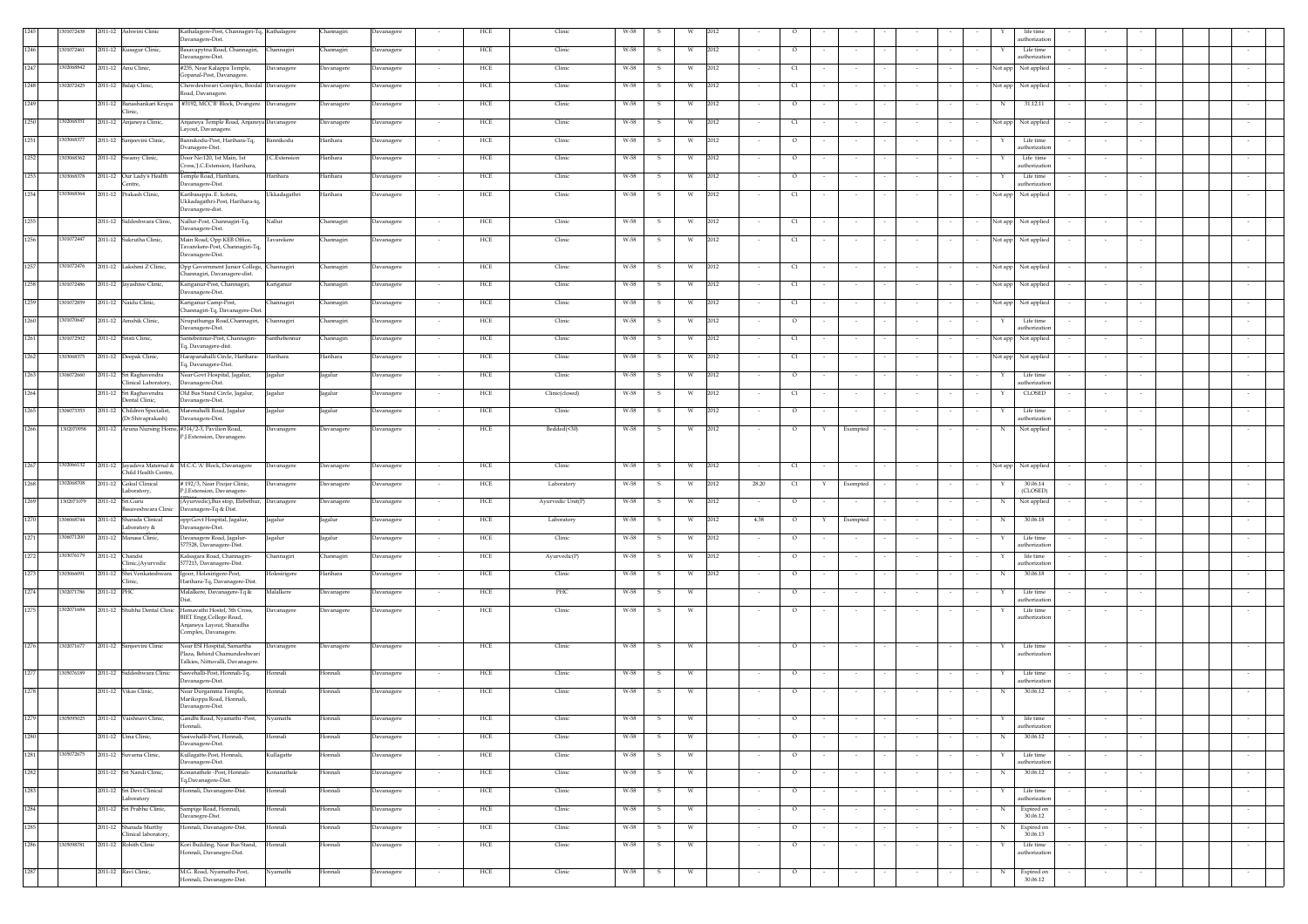| 1245     | 01072438  |             | 2011-12 Ashwini Clinic                              | Kathalagere-Post, Channagiri-Tq, Kathalagere                             |                      | Channagiri | Davanagere        |        | HCE         | Clinic            | W-58 |               |                         |      |        |          |   |                          |        |        |         | life time                            |        |            |        |  |
|----------|-----------|-------------|-----------------------------------------------------|--------------------------------------------------------------------------|----------------------|------------|-------------------|--------|-------------|-------------------|------|---------------|-------------------------|------|--------|----------|---|--------------------------|--------|--------|---------|--------------------------------------|--------|------------|--------|--|
| 1246     | 301072461 |             | 2011-12 Kusagur Clinic,                             | Davanagere-Dist.<br>Basavapytna Road, Channagiri,                        | Channagiri           | Channagiri | Davanagere        |        | HCE         | Clinic            | W-58 | -S            | W                       | 2012 |        | $\circ$  |   |                          |        |        |         | authorization<br>Life time           |        |            |        |  |
|          |           |             |                                                     | Davanagere-Dist.                                                         |                      |            |                   |        |             |                   |      |               |                         |      |        |          |   |                          |        |        |         | authorization                        |        |            |        |  |
| 1247     | 302068842 |             | 2011-12 Anu Clinic,                                 | #235, Near Kalappa Temple,<br>Gopanal-Post, Davanagere.                  | Davanagere           | Davanagere | Davanagere        |        | HCE         | Clinic            | W-58 | -S            | W                       | 2012 |        | C1       |   |                          |        |        |         | Not app Not applied                  |        |            |        |  |
| 1248     | 302072425 |             | 2011-12 Balaji Clinic,                              | Chowdeshwari Complex, Boodal Davanagere                                  |                      | Davanagere | Davanagere        | $\sim$ | HCE         | Clinic            | W-58 | -S.           | W                       | 2012 | $\sim$ | C1       |   | $\sim$                   | $\sim$ |        |         | Not app Not applied                  | $\sim$ |            |        |  |
| 1249     |           |             | 2011-12 Banashankari Krupa                          | load, Davanagere.<br>#3192, MCC'B' Block, Dvangere. Davanagere           |                      | Davanagere | <b>Javanagere</b> |        | HCE         | Clinic            | W-58 | - 5           | W                       | 2012 |        | $\circ$  |   |                          | $\sim$ |        | N       | 31.12.11                             | $\sim$ |            |        |  |
|          |           |             | Clinic.                                             |                                                                          |                      |            |                   |        |             |                   |      |               |                         |      |        |          |   |                          |        |        |         |                                      |        |            |        |  |
| 1250     | 302068351 |             | 2011-12 Anjaneya Clinic,                            | Anjaneya Temple Road, Anjaneya Davanagere<br>ayout, Davanagere           |                      | Davanagere | <b>Javanagere</b> |        | HCE         | Clinic            | W-58 | s             | W                       | 2012 |        | $\alpha$ |   |                          |        |        |         | vot app Not applied                  |        |            |        |  |
| 1251     | 303068377 |             | 2011-12 Sanjeevini Clinic,                          | Bannikodu-Post, Harihara-Tq,<br>bvanagere-Dist.                          | Bannikodu            | Harihara   | <b>Davanagere</b> |        | HCE         | Clinic            | W-58 | -S            | W                       | 2012 |        | $\circ$  |   |                          |        |        |         | Life time<br>uthorization            |        |            |        |  |
| 1252     | 303068362 |             | 2011-12 Swamy Clinic,                               | Door No:120, 1st Main, 1st                                               | <b>I.C.Extension</b> | Harihara   | Davanagere        |        | HCE         | Clinic            | W-58 | -S            | W                       | 2012 |        | $\circ$  |   |                          |        |        |         | Life time                            | $\sim$ |            |        |  |
| 1253     | 303068378 |             | 2011-12 Our Lady's Health                           | Tross, J.C.Extension, Harihara,<br>Temple Road, Harihara,                | Harihara             | Harihara   | Davanagere        |        | HCE         | Clinic            | W-58 | -S.           | W                       | 2012 |        | $\circ$  |   |                          |        |        |         | authorization<br>Life time           | $\sim$ |            |        |  |
|          |           |             | Centre.                                             | Javanagere-Dist.                                                         |                      |            |                   |        |             |                   |      |               |                         |      |        |          |   |                          |        |        |         | authorization                        |        |            |        |  |
| 1254     | 303068364 |             | 2011-12 Prakash Clinic,                             | Karibasappa. E. kotera,<br>Ukkadagathri-Post, Harihara-tq,               | Ukkadagathri         | Harihara   | Davanagere        |        | HCE         | Clinic            | W-58 |               | W                       | 2012 |        | $\alpha$ |   |                          |        |        | Not app | Not applied                          |        |            |        |  |
| 1255     |           |             |                                                     | Davanagere-dist.                                                         | Nallur               |            |                   |        |             |                   |      |               |                         |      |        |          |   |                          |        |        |         |                                      |        |            |        |  |
|          |           |             | 2011-12 Siddeshwara Clinic,                         | Nallur-Post, Channagiri-Tq,<br>Javanagere-Dist.                          |                      | Channagiri | <b>Javanagere</b> |        | HCE         | Clinic            | W-58 | - S           | W                       | 2012 |        | C1       |   |                          |        |        |         | Not app Not applied                  |        |            |        |  |
| 1256     | 301072447 |             | 2011-12 Sukrutha Clinic,                            | Main Road, Opp KEB Office,<br>Tavarekere-Post, Channagiri-Tq,            | Tavarekere           | Channagiri | Davanagere        | $\sim$ | HCE         | Clinic            | W-58 | - S           | W                       | 2012 |        | C1       |   |                          |        |        |         | Not app Not applied                  |        |            |        |  |
|          |           |             |                                                     | Davanagere-Dist.                                                         |                      |            |                   |        |             |                   |      |               |                         |      |        |          |   |                          |        |        |         |                                      |        |            |        |  |
| 1257     | 301072476 |             | 2011-12 Lakshmi Z Clinic,                           | Opp Government Junior College, Channagiri<br>hannagiri, Davanagere-dist. |                      | Channagiri | avanagere         |        | HCE         | Clinic            | W-58 |               | W                       | 2012 |        | C1       |   |                          |        |        | lot app | Not applied                          |        |            |        |  |
| 1258     | 301072486 |             | 2011-12 Jayashree Clinic,                           | Kariganur-Post, Channagiri,<br>Javanagere-Dist.                          | Kariganur            | Channagiri | <b>Javanagere</b> |        | HCE         | Clinic            | W-58 |               | W                       | 2012 |        | C1       |   |                          |        |        |         | Not app Not applied                  |        |            |        |  |
| 1259     | 301072859 |             | 2011-12 Naidu Clinic,                               | Kariganur Camp-Post,<br>Channagiri-Tq, Davanagere-Dist.                  | Channagiri           | Channagiri | Davanagere        |        | HCE         | Clinic            | W-58 | -S            | W                       | 2012 |        | C1       |   |                          |        |        |         | Not app Not applied                  |        |            |        |  |
| 1260     | 301070647 |             | 2011-12 Amshik Clinic,                              | Nrupathunga Road, Channagiri, Channagiri                                 |                      | Channagiri | Davanagere        |        | HCE         | Clinic            | W-58 | -S            | W                       | 2012 |        | $\circ$  |   |                          |        |        | Y       | Life time                            |        |            |        |  |
| 1261     | 301072502 |             | 2011-12 Sristi Clinic,                              | Davanagere-Dist.<br>Santebennur-Post, Channagiri-                        | Santhebennur         | Channagiri | Davanagere        |        | HCE         | Clinic            | W-58 |               | W                       | 2012 |        | $\alpha$ |   |                          |        |        |         | authorization<br>Not app Not applied | $\sim$ |            |        |  |
|          |           |             |                                                     | lq, Davanagere-dist.                                                     |                      |            |                   |        |             |                   |      |               |                         |      |        |          |   |                          |        |        |         |                                      |        |            |        |  |
| 1262     | 303068375 |             | 2011-12 Deepak Clinic,                              | Iarapanahalli Circle, Harihara-<br>'q, Davanagere-Dist.                  | Harihara             | Harihara   | Davanagere        |        | HCE         | Clinic            | W-58 | $\mathcal{S}$ | W                       | 2012 |        | C1       |   |                          |        |        |         | Not app Not applied                  |        |            |        |  |
| 1263     | 306072660 |             | 2011-12 Sri Raghavendra<br>Clinical Laboratory,     | Near Govt Hospital, Jagalur,<br>Davanagere-Dist.                         | Jagalur              | Jagalur    | Davanagere        | $\sim$ | HCE         | Clinic            | W-58 | -S.           | W                       | 2012 | $\sim$ | $\circ$  |   | $\sim$                   | $\sim$ |        |         | Life time<br>athorizatio             | $\sim$ |            |        |  |
| 1264     |           |             | 2011-12 Sri Raghavendra<br>Dental Clinic.           | Old Bus Stand Circle, Jagalur,                                           | Jagalur              | Jagalur    | Davanagere        | $\sim$ | HCE         | Clinic(closed)    | W-58 | -S.           | W                       | 2012 | $\sim$ | C1       |   | $\sim$                   | $\sim$ |        | Y       | CLOSED                               | $\sim$ | $\sim$     |        |  |
| 1265     | 306073353 |             | 2011-12 Children Specialist,                        | Javanagere-Dist.<br>Marenahalli Road, Jagalur                            | Jagalur              | Jagalur    | <b>Davanagere</b> |        | HCE         | Clinic            | W-58 | -S            | W                       | 2012 | $\sim$ | $\circ$  |   | $\sim$                   | $\sim$ |        |         | Life time                            | $\sim$ | $\sim$     |        |  |
| 1266     | 302070958 |             | (Dr.Shivaprakash)                                   | Davanagere-Dist.<br>2011-12 Aruna Nursing Home, #314/2-3, Pavilion Road, | Davanagere           | Davanagere | <b>Davanagere</b> |        | HCE         | Bedded(<30)       | W-58 | -S            | W                       | 2012 |        | $\circ$  |   | Exempted                 |        |        | N       | uthorization<br>Not applied          |        |            |        |  |
|          |           |             |                                                     | <sup>2</sup> .J.Extension, Davanagere.                                   |                      |            |                   |        |             |                   |      |               |                         |      |        |          |   |                          |        |        |         |                                      |        |            |        |  |
|          |           |             |                                                     |                                                                          |                      |            |                   |        |             |                   |      |               |                         |      |        |          |   |                          |        |        |         |                                      |        |            |        |  |
| 1267     | 302066132 |             | 2011-12 Jayadeva Maternal &<br>Child Health Centre, | M.C.C.'A' Block, Davanagere                                              | Davanagere           | Davanagere | Javanagere        |        | HCE         | Clinic            | W-58 | - S           | W                       | 2012 |        | C1       |   |                          |        |        |         | Not app Not applied                  |        |            |        |  |
| 1268     | 302068708 |             | 2011-12 Gokul Clinical                              | #192/3, Near Poojar Clinic,                                              | Davanagere           | Davanagere | <b>Javanagere</b> |        | HCE         | Laboratory        | W-58 | -S.           | W                       | 2012 | 28.20  | $\alpha$ | Y | Exempted                 | $\sim$ |        |         | 30.06.14                             | $\sim$ |            |        |  |
| 1269     | 302071079 | 2011-12     | Laboratory,<br>Sri.Guru                             | ?.J.Extension, Davanagere-<br>Ayurvedic), Bus stop, Elebethur,           | Davanagere           | Davanagere | <b>Javanagere</b> |        | HCE         | Ayurvedic Unit(P) | W-58 |               | W                       | 2012 |        | $\circ$  |   |                          |        |        |         | (CLOSED)<br>Not applied              |        |            |        |  |
|          |           |             | Basaveshwara Clinic                                 | Davanagere-Tq & Dist.                                                    |                      |            |                   |        |             |                   |      |               |                         |      |        |          |   |                          |        |        |         |                                      |        |            |        |  |
| 1270     | 306068744 |             | 2011-12 Sharada Clinical<br>Laboratory &            | opp:Govt Hospital, Jagalur,<br>Davanagere-Dist.                          | agalur               | Jagalur    | ) avanagere       |        | HCE         | Laboratory        | W-58 |               | W                       | 2012 | 4.38   | $\circ$  |   | Exempted                 |        |        |         | 30.06.18                             |        |            |        |  |
| 1271     | 306071200 |             | 2011-12 Manasa Clinic,                              | Davanagere Road, Jagalur-<br>577528, Davanagere-Dist.                    | Jagalur              | Jagalur    | <b>Javanagere</b> |        | HCE         | Clinic            | W-58 |               | W                       | 2012 |        | $\circ$  |   |                          |        |        |         | Life time<br>athorizatio             |        |            |        |  |
| 1272     | 303076179 |             | 2011-12 Chandsi                                     | Calsagara Road, Channagiri-                                              | Channagiri           | Channagiri | avanagere         |        | HCE         | Ayurvedic(P)      | W-58 | - 51          | W                       | 2012 |        | $\circ$  |   |                          | $\sim$ |        |         | life time                            | $\sim$ |            |        |  |
| 1273     | 03066091  | 2011-12     | Clinic, (Avurvedic<br>Shri.Venkateshwara            | 577213, Davanagere-Dist.<br>Igoor, Holesirigere-Post,                    | Iolesirigere         | Harihara   | avanagere         |        | HCE         | Clinic            | W-58 |               | W                       | 2012 |        | $\circ$  |   |                          |        |        |         | uthorizatio<br>30.06.18              |        |            |        |  |
| 1274     | 302071786 | 2011-12 PHC | linic.                                              | -Iarihara-Tq, Davanagere-Dist.<br>Malalkere, Davanagere-Tq &             | Malalkere            |            |                   |        | HCE         | PHC               | W-58 |               | W                       |      |        | $\circ$  |   |                          |        |        |         | Life time                            |        |            |        |  |
|          |           |             |                                                     |                                                                          |                      | Davanagere | vanagere          |        |             |                   |      |               |                         |      |        |          |   |                          |        |        |         | uthorization                         |        |            |        |  |
| 1275     | 302071684 |             | 2011-12 Shubha Dental Clinic                        | Hemavathi Hostel, 3th Cross,<br>BIET Engg.College Road,                  | Davanagere           | Davanagere | <b>Davanagere</b> |        | HCE         | Clinic            | W-58 |               |                         |      |        | $\circ$  |   |                          |        |        |         | Life time<br>authorization           |        |            |        |  |
|          |           |             |                                                     | Anjaneya Layout, Sharadha<br>Complex, Davanagere.                        |                      |            |                   |        |             |                   |      |               |                         |      |        |          |   |                          |        |        |         |                                      |        |            |        |  |
| 1276     | 302071677 |             | 2011-12 Sanjeevini Clinic                           | Near ESI Hospital, Samartha                                              | Davanagere           | Davanagere | Davanagere        |        | HCE         | Clinic            | W-58 | S.            | W                       |      |        | $\circ$  |   |                          |        |        | Y       | Life time                            |        |            |        |  |
|          |           |             |                                                     | Plaza, Behind Chamundeshwari<br>Falkies, Nittuvalli, Davanagere          |                      |            |                   |        |             |                   |      |               |                         |      |        |          |   |                          |        |        |         | authorization                        |        |            |        |  |
| 1277     | 305076189 |             | 2011-12 Siddeshwara Clinic                          | asvehalli-Post, Honnali-Tq,<br>Javanagere-Dist.                          | Honnali              | Honnali    | <b>Javanagere</b> |        | HCE         | Clinic            | W-58 |               | W                       |      |        | $\circ$  |   |                          |        |        |         | Life time<br>athorizatio             |        |            |        |  |
| 1278     |           |             | 2011-12 Vikas Clinic,                               | Near Durgamma Temple,                                                    | Honnali              | Honnali    | <b>Javanagere</b> |        | HCE         | Clinic            | W-58 | S.            | W                       |      |        | $\circ$  |   |                          |        |        | N       | 30.06.12                             |        |            |        |  |
|          |           |             |                                                     | Marikoppa Road, Honnali,<br>Davanagere-Dist.                             |                      |            |                   |        |             |                   |      |               |                         |      |        |          |   |                          |        |        |         |                                      |        |            |        |  |
| $1279\,$ |           |             | 1305095025 2011-12 Vaishnavi Clinic,                | Gandhi Road, Nyamathi -Post, Nyamathi<br>Honnali.                        |                      | Honnali    | Davanagere        |        | HCE         | Clinic            | W-58 | $\mathbf{s}$  | $\ensuremath{\text{W}}$ |      |        | $\circ$  |   |                          |        |        | Y       | life time<br>authorization           |        |            |        |  |
| 1280     |           |             | 2011-12 Uma Clinic,                                 | sivehalli-Post, Honnali,                                                 | Honnali              | Honnali    | avanagere         |        | ${\rm HCE}$ | Clinic            | W-58 | -S            | W                       |      |        | $\circ$  |   | $\overline{\phantom{a}}$ |        |        | N       | 30.06.12                             |        |            |        |  |
| 1281     | 305072675 |             | 2011-12 Suvarna Clinic,                             | Davanagere-Dist.<br>Kullagatte-Post, Honnali,                            | Kullagatte           | Honnali    | <b>Davanagere</b> |        | HCE         | Clinic            | W-58 | -S            | W                       |      |        | $\circ$  |   |                          |        |        |         | Life time                            |        |            |        |  |
|          |           |             |                                                     | Davanagere-Dist.                                                         |                      |            |                   |        |             |                   |      |               |                         |      |        |          |   |                          |        |        |         | authorization                        |        |            |        |  |
| 1282     |           |             | 2011-12 Sri Nandi Clinic.                           | Konanathele -Post, Honnali-<br>Tq,Davanagere-Dist.                       | Konanathele          | Honnali    | Davanagere        |        | HCE         | Clinic            | W-58 | S.            | W                       |      | $\sim$ | $\circ$  |   | $\sim$                   | $\sim$ | $\sim$ | N       | 30.06.12                             | $\sim$ | $\sim$     | $\sim$ |  |
| 1283     |           |             | 2011-12 Sri Devi Clinical<br>Laboratory             | Honnali, Davanagere-Dist.                                                | Honnali              | Honnali    | Davanagere        |        | HCE         | Clinic            | W-58 | s.            | W                       |      |        | $\circ$  |   | $\sim$                   | $\sim$ |        | Y       | Life time<br>authorization           |        | $\sim$     | $\sim$ |  |
| 1284     |           |             | 2011-12 Sri Prabhu Clinic,                          | Sampige Road, Honnali,<br>Davanegre-Dist.                                | Honnali              | Honnali    | Davanagere        |        | HCE         | Clinic            | W-58 | s             | W                       |      | $\sim$ | $\circ$  |   | $\sim$                   | $\sim$ |        | N       | Expired on<br>30.06.12               | $\sim$ | $\epsilon$ | $\sim$ |  |
| 1285     |           |             | 2011-12 Sharada Murthy                              | Ionnali, Davanagere-Dist.                                                | Honnali              | Honnali    | Davanagere        |        | HCE         | Clinic            | W-58 | -S            | W                       |      |        | $\circ$  |   |                          |        |        |         | Expired on                           |        |            |        |  |
| 1286     | 05098781  |             | Clinical laboratory,<br>2011-12 Rohith Clinic       | Kori Building, Near Bus Stand,                                           | Honnali              | Honnali    | Davanagere        | $\sim$ | HCE         | Clinic            | W-58 | -S.           | W                       |      | $\sim$ | $\circ$  |   | $\sim$                   | $\sim$ |        |         | 30.06.13<br>Life time                | $\sim$ |            |        |  |
|          |           |             |                                                     | Ionnali, Davanegre-Dist.                                                 |                      |            |                   |        |             |                   |      |               |                         |      |        |          |   |                          |        |        |         | uthorization                         |        |            |        |  |
| 1287     |           |             | 2011-12 Ravi Clinic,                                | M.G. Road, Nyamathi-Post,<br>Ionnali, Davanagere-Dist.                   | Nyamathi             | Honnali    | avanagere         |        | HCE         | Clinic            | W-58 |               | W                       |      |        | $\circ$  |   |                          |        |        |         | Expired on<br>30.06.12               |        |            |        |  |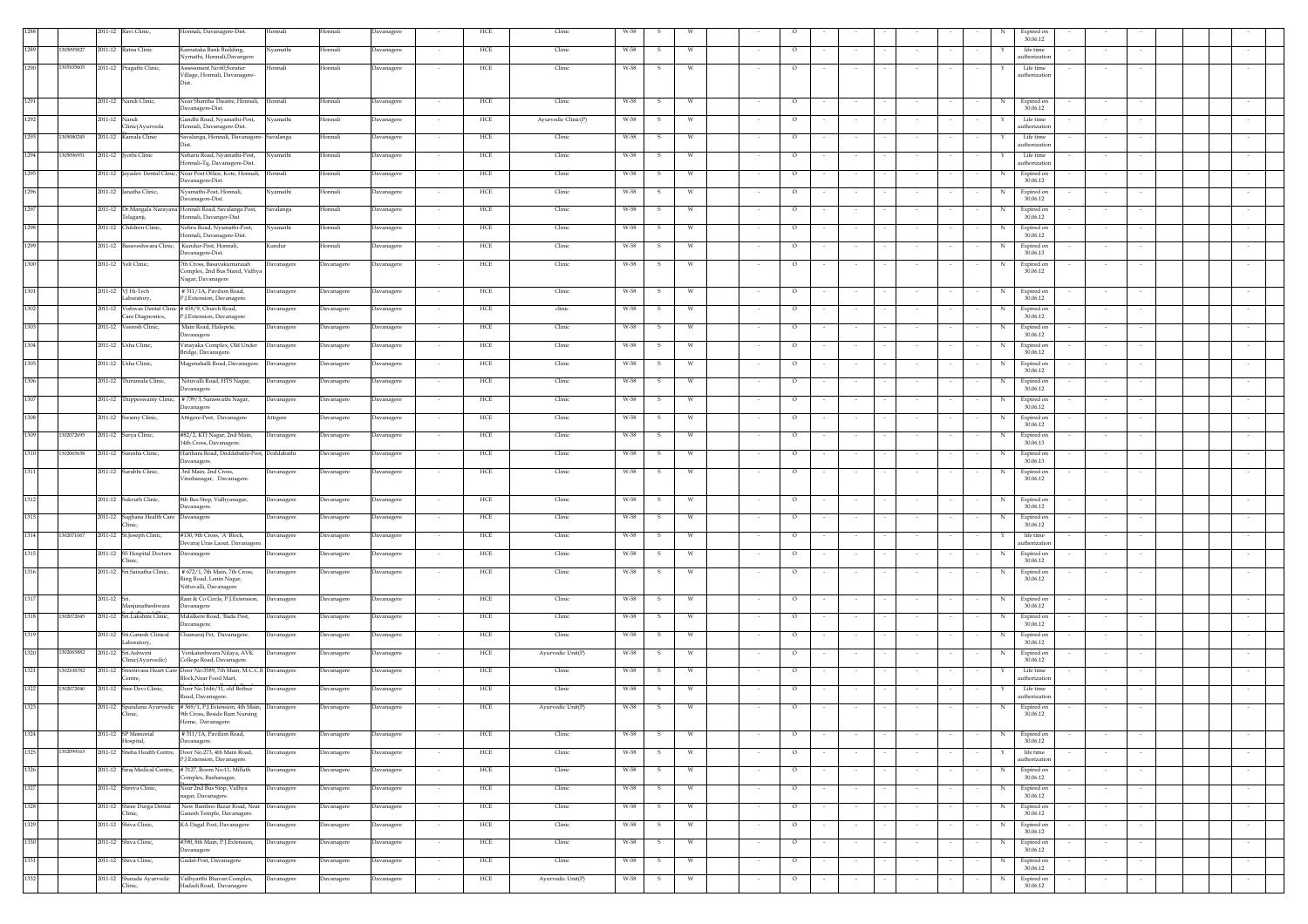|      |            |              | 2011-12 Ravi Clinic,                                                     | Honnali, Davanagere-Dist.                                                                               | Honnali           | Honnali    | Davanagere | HCE                   | Clinic              | W-58           |    |                             |        |                          |        |                          |   | Expired on<br>30.06.12     |                  |        |
|------|------------|--------------|--------------------------------------------------------------------------|---------------------------------------------------------------------------------------------------------|-------------------|------------|------------|-----------------------|---------------------|----------------|----|-----------------------------|--------|--------------------------|--------|--------------------------|---|----------------------------|------------------|--------|
| 1289 | 30509582   |              | 2011-12 Ratna Clinic                                                     | Karnataka Bank Building,<br>Nymathi, Honnali,Davangere                                                  | Nyamathi          | Honnali    | Davanagere | HCE<br>$\sim$         | Clinic              | W-58<br>- 5    |    | $\circ$                     | $\sim$ |                          |        |                          |   | life time<br>uthorization  |                  |        |
| 1290 | 1305105605 |              | 2011-12 Pragathi Clinic,                                                 | Assessment No:60,Soratur                                                                                | Honnali           | Honnali    | Davanagere | HCE                   | Clinic              | W-58           |    | $\circ$                     |        |                          |        |                          |   | Life time                  |                  |        |
|      |            |              |                                                                          | Village, Honnali, Davanagere-<br>Dist                                                                   |                   |            |            |                       |                     |                |    |                             |        |                          |        |                          |   | authorization              |                  |        |
| 1291 |            |              | 2011-12 Nandi Clinic,                                                    | Near Shantha Theatre, Honnali, Honnali                                                                  |                   | Honnali    | Davanagere | HCE<br>$\sim$         | Clinic              | W-58<br>- S    | w  | $\circ$                     |        |                          |        |                          | N | Expired on                 |                  |        |
| 1292 |            |              | 2011-12 Nandi                                                            | Davanagere-Dist.<br>Gandhi Road, Nyamathi-Post,                                                         | Nyamathi          | Honnali    | Davanagere | HCE                   | Ayurvedic Clinic(P) | W-58<br>s      |    | $\circ$                     |        |                          |        |                          |   | 30.06.12<br>Life time      |                  |        |
| 1293 | 305080245  |              | Clinic(Ayurveda<br>2011-12 Kamala Clinic                                 | Honnali, Davanagere-Dist.<br>Savalanga, Honnali, Davanagere- Savalanga                                  |                   | Honnali    | Davanagere | HCE                   | Clinic              | W-58<br>-S     |    | $\circ$                     |        |                          |        |                          |   | uthorization<br>Life time  |                  |        |
| 1294 | 1305096951 |              | 2011-12 [vothi Clinic                                                    | Neharu Road, Nyamathi-Post,                                                                             | Nyamathi          | Honnali    | Davanagere | HCE<br>$\sim$         | Clinic              | W-58<br>-S     |    | $\circ$                     |        |                          |        |                          |   | uthorization<br>Life time  | $\sim$           |        |
|      |            |              |                                                                          | Honnali-Tq, Davanagere-Dist.                                                                            |                   |            |            |                       |                     |                |    |                             |        |                          |        |                          |   | uthorization               |                  |        |
| 1295 |            |              |                                                                          | 2011-12 Jayadev Dental Clinic, Near Post Office, Kote, Honnali,<br>Davanagere-Dist.                     | Honnali           | Honnali    | Davanagere | HCE<br>$\sim$         | Clinic              | W-58<br>- S    | w  | $\circ$                     |        |                          |        |                          | N | Expired on<br>30.06.12     | $\sim$           |        |
| 1296 |            |              | 2011-12 Janatha Clinic,                                                  | Nyamathi-Post, Honnali,<br>Davanagere-Dist.                                                             | Nyamathi          | Honnali    | Davanagere | ${\rm HCE}$<br>$\sim$ | Clinic              | W-58<br>s      |    | $\circ$                     |        |                          |        |                          | N | Expired on<br>30.06.12     | $\sim$           |        |
| 1297 |            |              | Telaganji,                                                               | 2011-12 Dr.Mangala Narayana Honnali Road, Savalanga Post,<br>Honnali, Davanger-Dist                     | Savalanga         | Honnali    | Davanagere | HCE                   | Clinic              | W-58<br>s      |    | $\circ$                     |        |                          |        |                          |   | Expired on<br>30.06.12     |                  |        |
| 1298 |            |              | 2011-12 Children Clinic,                                                 | Nehru Road, Nyamathi-Post,<br>Honnali, Davanagere-Dist.                                                 | Nyamathi          | Honnali    | Davanagere | HCE                   | Clinic              | W-58<br>s      | W  | $\circ$                     |        |                          |        |                          | N | Expired on<br>30.06.12     |                  |        |
| 1299 |            |              | 2011-12 Basaveshwara Clinic, Kundur-Post, Honnali,                       | Davanagere-Dist.                                                                                        | Kundur            | Honnali    | Davanagere | HCE<br>$\sim$         | Clinic              | W-58<br>-S     | w  | $\circ$                     |        |                          |        |                          | N | Expired on<br>30.06.13     | $\sim$<br>$\sim$ |        |
| 1300 |            |              | 2011-12 Yeli Clinic,                                                     | 7th Cross, Basavakumaraiah<br>Complex, 2nd Bus Stand, Vidhya                                            | Davanagere        | Davanagere | Davanagere | ${\rm HCE}$<br>$\sim$ | Clinic              | W-58<br>s      | W  | $\circ$                     | $\sim$ |                          |        |                          | N | Expired on<br>30.06.12     | $\sim$<br>$\sim$ |        |
|      |            |              |                                                                          | Nagar, Davanagere                                                                                       |                   |            |            |                       |                     |                |    |                             |        |                          |        |                          |   |                            |                  |        |
| 1301 |            |              | 2011-12 VJ Hi-Tech<br>Laboratory,                                        | #311/1A, Pavilion Road,<br>P.J.Extension, Davanagere.                                                   | Davanagere        | Davanagere | Davanagere | HCE<br>$\sim$         | Clinic              | W-58<br>s      | W  | $\circ$                     |        |                          |        |                          | N | Expired on<br>30.06.12     |                  |        |
| 1302 |            |              | 2011-12 Vishwas Dental Clinic # 458/9. Church Road.<br>Care Diagnostics, | P.J.Extension, Davanagere                                                                               | Davanagere        | Davanagere | Davanagere | HCE<br>$\sim$         | clinic              | W-58<br>-S     | W  | $\circ$                     | $\sim$ | $\sim$                   |        |                          | N | Expired on<br>30.06.12     | $\sim$           |        |
| 1303 |            |              | 2011-12 Veeresh Clinic,                                                  | Main Road, Halepete,<br>Davanagere                                                                      | Davanagere        | Davanagere | Davanagere | HCE<br>$\sim$         | Clinic              | W-58<br>s      | W  | $\circ$                     |        |                          |        |                          | N | Expired on<br>30.06.12     | $\sim$           |        |
| 1304 |            |              | 2011-12 Usha Clinic,                                                     | Vinayaka Complex, Old Under<br>Bridge, Davanagere                                                       | Davanagere        | Davanagere | Davanagere | HCE                   | Clinic              | W-58<br>s      | W  | $\circ$                     |        |                          |        |                          |   | Expired on<br>30.06.12     |                  |        |
| 1305 |            |              | 2011-12 Usha Clinic,                                                     | Magenahalli Road, Davanagere.                                                                           | Davanagere        | Davanagere | Davanagere | HCE                   | Clinic              | W-58<br>-S     | W  | $\circ$                     |        |                          |        |                          |   | Expired on<br>30.06.12     |                  |        |
| 1306 |            |              | 2011-12 Thirumala Clinic.                                                | Nituvalli Road, HTS Nagar,                                                                              | Davanagere        | Davanagere | Davanagere | HCE                   | Clinic              | W-58<br>-S     | W  | $\circ$                     | $\sim$ |                          |        |                          | N | Expired on                 |                  |        |
| 1307 |            |              |                                                                          | Davanagere<br>2011-12 Thippeswamy Clinic, #739/3, Saraswathi Nagar,                                     | Davanagere        | Davanagere | Davanagere | HCE                   | Clinic              | W-58<br>-S     | w  | $\circ$                     |        |                          |        |                          | N | 30.06.12<br>Expired on     |                  |        |
| 1308 |            |              | 2011-12 Swamy Clinic,                                                    | Davanagere<br>Attigere-Post, Davanagere                                                                 | Attigere          | Davanagere | Davanagere | HCE                   | Clinic              | W-58<br>s      |    | $\circ$                     |        |                          |        |                          | N | 30,06.12<br>Expired on     |                  |        |
| 1309 | 1302072695 |              | 2011-12 Surya Clinic,                                                    | #82/2, KTJ Nagar, 2nd Main,                                                                             | Davanagere        | Davanagere | Davanagere | HCE                   | Clinic              | W-58<br>S      |    | $\circ$                     |        |                          |        |                          | N | 30.06.12<br>Expired on     |                  |        |
| 1310 | 1302065638 |              | 2011-12 Suresha Clinic,                                                  | 14th Cross, Davanagere.<br>Harihara Road, Doddabathi-Post, Doddabathi                                   |                   |            |            | $\sim$                |                     | s              | W  |                             |        |                          |        |                          | N | 30.06.13                   |                  |        |
|      |            |              |                                                                          | Davanagere.                                                                                             |                   | Davanagere | Davanagere | HCE                   | Clinic              | W-58           |    | $\circ$                     |        |                          |        |                          |   | Expired on<br>30.06.13     |                  |        |
| 1311 |            |              | 2011-12 Surabhi Clinic,                                                  | 3rd Main, 2nd Cross,<br>Vinobanagar, Davanagere.                                                        | Davanagere        | Davanagere | Davanagere | HCE                   | Clinic              | W-58<br>s      | w  | $\circ$                     |        |                          |        |                          | N | Expired on<br>30.06.12     |                  |        |
|      |            |              | 2011-12 Sukruth Clinic,                                                  | 8th Bus Stop, Vidhyanagar,                                                                              | Davanagere        | Davanagere | Davanagere | HCE<br>$\sim$         | Clinic              | W-58<br>s      | w  | $\circ$                     |        |                          |        | $\sim$                   | N | Expired on                 | $\sim$           |        |
|      |            |              | 2011-12 Sughana Health Care                                              | Davanagere.<br>Davanagere                                                                               | <b>Davanagere</b> | Davanagere | Davanagere | HCE                   | Clinic              | W-58           |    | $\circ$                     |        |                          |        |                          |   | 30.06.12<br>Expired on     |                  |        |
| 1314 | 1302071067 |              | Clinic,<br>2011-12 St.Joseph Clinic,                                     | #130, 9th Cross, 'A' Block,                                                                             | Davanagere        | Davanagere | Davanagere | HCE                   | Clinic              | W-58           |    | $\circ$                     |        |                          |        |                          |   | 30.06.12<br>life time      |                  |        |
| 1315 |            |              |                                                                          | Devaraj Uras Laout, Davanagere.<br>Davanagere                                                           | Davanagere        | Davanagere |            | HCE                   | Clinic              | W-58           |    | $\circ$                     |        |                          |        |                          |   | uthorization<br>Expired on |                  |        |
|      |            |              | 2011-12 SS Hospital Doctors<br>Clinic,                                   |                                                                                                         |                   |            | Davanagere |                       |                     |                |    |                             |        |                          |        |                          |   | 30.06.12                   |                  |        |
| 1316 |            |              | 2011-12 Sri.Sainatha Clinic,                                             | # 672/1, 7th Main, 7th Cross,<br>Ring Road, Lenin Nagar,<br>Nittuvalli, Davanagere                      | Davanagere        | Davanagere | Davanagere | HCE<br>$\sim$         | Clinic              | W-58<br>s.     | w  | $\circ$<br>$\sim$           | $\sim$ | $\sim$                   |        |                          | N | Expired on<br>30.06.12     | $\sim$           |        |
| 1317 |            | 2011-12 Sri. |                                                                          | Ram & Co Circle, P.J. Extension,                                                                        | Davanagere        | Davanagere | Davanagere | HCE<br>$\sim$         | Clinic              | W-58<br>s      | W  | $\circ$<br>$\sim$           | $\sim$ | $\sim$                   |        |                          | N | Expired on                 | $\sim$           |        |
| 1318 | 1302072045 |              | Manjunatheshwara<br>2011-12 Sri.Lakshmi Clinic,                          | Davanagere<br>Malalkere Road, 'Bada Post,                                                               | Davanagere        | Davanagere | Davanagere | HCE<br>$\sim$         | Clinic              | W-58<br>s      | W  | $\circ$                     | $\sim$ | $\sim$                   |        |                          | N | 30.06.12<br>Expired on     | $\sim$           |        |
| 1319 |            |              | 2011-12 Sri.Ganesh Clinical                                              | Davanagere.<br>Chamaraj Pet, Davanagere.                                                                | Davanagere        | Davanagere | Davanagere | HCE<br>$\sim$         | Clinic              | W-58<br>-S     | W  | $\circ$<br>$\sim$           | $\sim$ | $\sim$                   |        |                          | N | 30.06.12<br>Expired on     | $\sim$<br>$\sim$ |        |
| 1320 | 1302065882 |              | Laboratory.<br>2011-12 Sri.Ashwini                                       | Venkateshwara Nilaya, AVK                                                                               | Davanagere        | Davanagere | Davanagere | HCE<br>$\sim$         | Ayurvedic Unit(P)   | W-58<br>s      | W  | $\circ$<br>$\sim$           | $\sim$ | $\overline{\phantom{a}}$ |        |                          | N | 30.06.12<br>Expired on     | $\sim$           |        |
| 1321 | 302108782  | 2011-12      | Clinic(Avurvedic)                                                        | College Road, Davanagere<br>Sreenivasa Heart Care Door No:3589, 7th Main, M.C.C.B Davanagere            |                   | Davanagere | Davanagere | HCE                   | Clinic              | W-58           | W  | $\circ$                     |        |                          |        |                          |   | 30.06.12<br>Life time      |                  |        |
|      |            |              | Centre,                                                                  | Block, Near Food Mart,                                                                                  |                   |            |            |                       |                     |                |    |                             |        |                          |        |                          |   | uthorization               |                  |        |
| 1322 | 1302072040 |              | 2011-12 Sree Devi Clinic,                                                | Door No.1646/11, old Bethur<br>load, Davanagere.                                                        | Davanagere        | Davanagere | Davanagere | HCE                   | Clinic              | W-58           | W  | $\circ$                     |        |                          |        |                          |   | Life time<br>uthorization  |                  |        |
| 1323 |            |              | Clinic,                                                                  | 2011-12 Spandana Ayurvedic #369/1, P.J.Extension, 4th Main, Davanagere<br>9th Cross, Beside Ram Nursing |                   | Davanagere | Davanagere | HCE                   | Ayurvedic Unit(P)   | W-58<br>- S    | W. | $\circ$                     |        |                          |        |                          |   | Expired on<br>30.06.12     |                  |        |
| 1324 |            |              | 2011-12 SP Memorial                                                      | Iome, Davanagen<br>#311/1A, Pavilion Road,                                                              | Davanagere        | Davanagere | Davanagere | HCE                   | Clinic              | W-58<br>s      |    | $\circ$                     |        |                          |        |                          | N | Expired on                 |                  |        |
| 1325 | 1302099163 |              | Hospital,                                                                | Davanagere.<br>2011-12 Sneha Health Centre, Door No.273, 4th Main Road,                                 | Davanagere        | Davanagere | Davanagere | HCE                   | Clinic              | W-58<br>s      | W  | $\circ$                     |        |                          |        |                          |   | 30.06.12<br>life time      |                  | $\sim$ |
| 1326 |            |              |                                                                          | P.J.Extension, Davanagere.<br>2011-12 Siraj Medical Centre, #3127, Room No:11, Millath                  | Davanagere        | Davanagere | Davanagere | HCE<br>$\sim$         | Clinic              | W-58<br>-S     | w  | $\circ$<br>$\sim$<br>$\sim$ | $\sim$ | $\sim$                   |        | $\sim$                   | N | uthorization<br>Expired on | $\sim$           | $\sim$ |
| 1327 |            |              |                                                                          | Complex, Bashanagar,<br>Near 2nd Bus Stop, Vidhya                                                       |                   |            |            |                       |                     |                |    |                             |        |                          |        |                          |   | 30.06.12                   |                  |        |
|      |            |              | 2011-12 Shreya Clinic,                                                   | agar, Davanagere.                                                                                       | Davanagere        | Davanagere | Davanagere | HCE<br>$\sim$         | Clinic              | W-58<br>s.     | w  | $\circ$                     | $\sim$ | $\overline{\phantom{a}}$ |        | $\overline{\phantom{a}}$ | N | Expired on<br>30.06.12     | $\sim$           | $\sim$ |
| 1328 |            |              | 2011-12 Shree Durga Dental<br>Clinic,                                    | New Bamboo Bazar Road, Near<br>Ganesh Temple, Davanagere.                                               | Davanagere        | Davanagere | Davanagere | HCE                   | Clinic              | W-58<br>s      |    | $\circ$                     |        |                          |        |                          | N | Expired on<br>30.06.12     |                  |        |
| 1329 |            |              | 2011-12 Shiva Clinic,                                                    | KA Dagal Post, Davanagere                                                                               | Davanagere        | Davanagere | Davanagere | HCE                   | Clinic              | W-58<br>s      | W  | $\circ$                     |        |                          |        |                          | N | Expired on<br>30.06.12     |                  |        |
| 1330 |            |              | 2011-12 Shiva Clinic,                                                    | #390, 8th Main, P.J.Extension,<br>Davanagere                                                            | Davanagere        | Davanagere | Davanagere | HCE<br>$\sim$         | Clinic              | W-58<br>s      | W  | $\circ$                     |        |                          |        |                          | N | Expired on<br>30.06.12     |                  |        |
| 1331 |            |              | 2011-12 Shiva Clinic,                                                    | Gudal-Post, Davanagere                                                                                  | Davanagere        | Davanagere | Davanagere | HCE<br>$\sim$         | Clinic              | W-58<br>-S     | W  | $\circ$<br>$\sim$           | $\sim$ |                          |        | $\sim$                   | N | Expired on<br>30.06.12     | $\sim$<br>$\sim$ | $\sim$ |
| 1332 |            |              | 2011-12 Sharada Ayurvedic<br>Clinic,                                     | Vidhyarthi Bhavan Complex,<br>Hadadi Road, Davanagere                                                   | Davanagere        | Davanagere | Davanagere | HCE<br>$\sim$         | Ayurvedic Unit(P)   | W-58<br>$\,$ s | W  | $\circ$<br>$\sim$<br>$\sim$ | $\sim$ | $\sim$<br>$\sim$         | $\sim$ | $\sim$                   | N | Expired on<br>30.06.12     | $\sim$<br>$\sim$ | $\sim$ |
|      |            |              |                                                                          |                                                                                                         |                   |            |            |                       |                     |                |    |                             |        |                          |        |                          |   |                            |                  |        |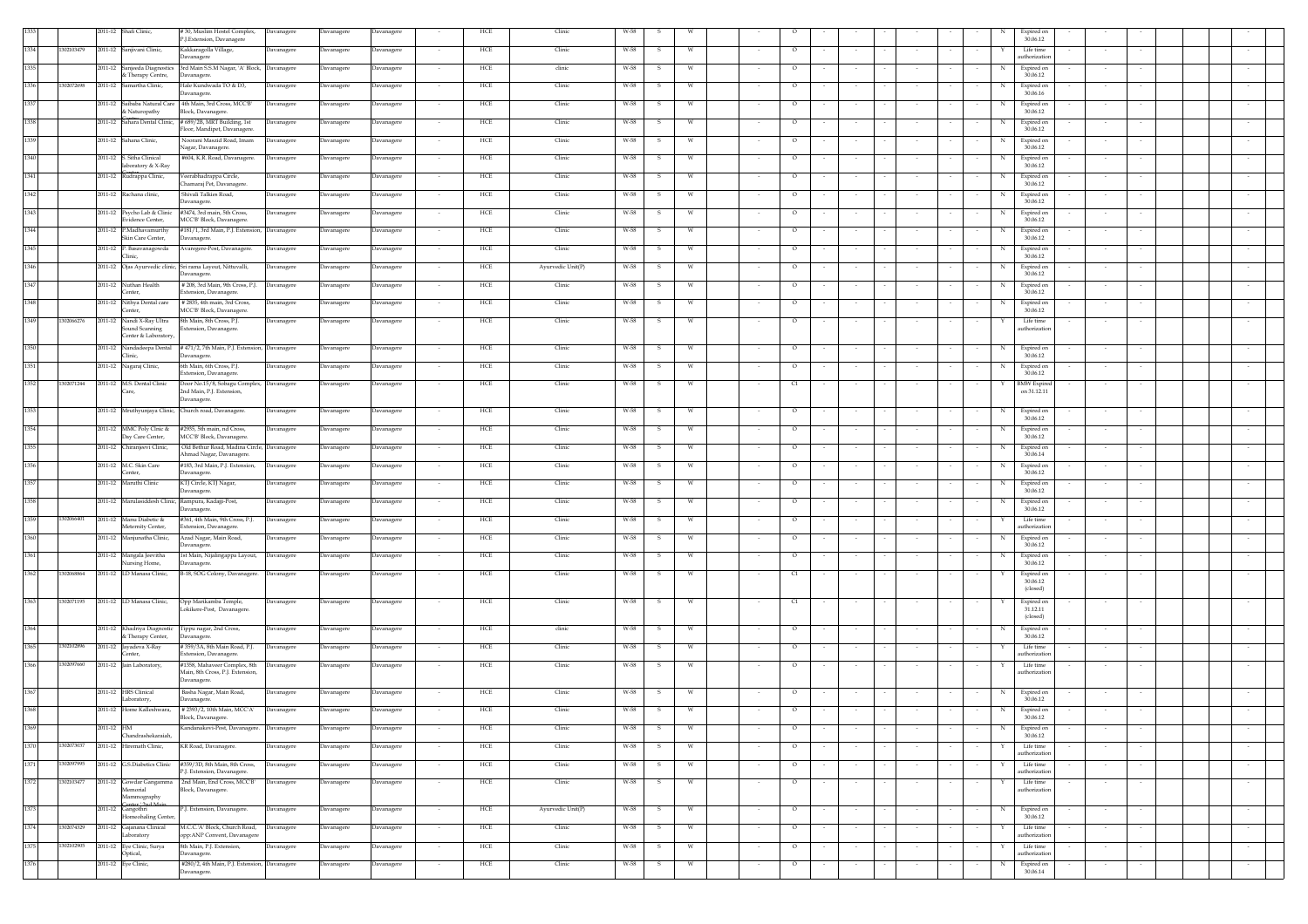| 30.06.12<br>P.J.Extension, Davanagere<br>1334<br>1302103479<br>2011-12 Sanjivani Clinic,<br>Kakkaragolla Village,<br>Davanagere<br>HCE<br>Clinic<br>W-58<br>Life time<br>Davanagere<br>Davanagere<br>$\circ$<br>uthorization<br>Davanagere<br>3rd Main S.S.M Nagar, 'A' Block, Davanagere<br>1335<br>2011-12 Sanjeeda Diagnostics<br>Davanagere<br>Davanagere<br>HCE<br>clinic<br>W-58<br>$\circ$<br>Expired on<br>$\mathcal{S}$<br>W<br>& Therapy Centre,<br>30.06.12<br>Davanagere.<br>1336<br>1302072698<br>2011-12 Samartha Clinic.<br>Hale Kundwada TO & D3,<br>HCE<br>Clinic<br>W-58<br>Expired on<br>Davanagere<br>Davanagere<br>Davanagere<br>W<br>$\circ$<br>$\sim$<br>-S.<br>$\sim$<br>$\sim$<br>$\sim$<br>N<br>$\sim$<br>Davanagere.<br>30.06.16<br>1337<br>2011-12 Saibaba Natural Care 4th Main, 3rd Cross, MCC'B'<br>HCE<br>Clinic<br>W-58<br>Expired on<br>Davanagere<br>Davanagere<br>Davanagere<br>$\circ$<br>w<br>-5<br>& Naturopathy<br>30.06.12<br>Block, Davanagere.<br>1338<br>2011-12 Sahara Dental Clinic, #689/2B, MRT Building, 1st<br>HCE<br>Clinic<br>W-58<br>$\circ$<br>Expired on<br>Davanagere<br>Davanagere<br>Davanagere<br>W<br>Floor, Mandipet, Davanagere.<br>30.06.12<br>1339<br>2011-12 Sahana Clinic,<br>Noorani Maszid Road, Imam<br>HCE<br>Davanagere<br>Davanagere<br><b>Davanagere</b><br>Clinic<br>W-58<br>$\circ$<br>Expired on<br>$\mathcal{S}$<br>W<br>Nagar, Davanagere.<br>30.06.12<br>1340<br>2011-12 S. Sitha Clinical<br>#604, K.R. Road, Davanagere.<br><b>HCE</b><br>Clinic<br>W-58<br>$\circ$<br>Expired on<br>Davanagere<br>Davanagere<br>Davanagere<br>-S<br>W<br>laboratory & X-Ray<br>30.06.12<br>1341<br>2011-12 Rudrappa Clinic,<br>Veerabhadrappa Circle,<br>HCE<br>Clinic<br>W-58<br>Expired on<br><b>Davanagere</b><br>$\circ$<br><b>Javanagere</b><br>Davanagere<br>W<br>Chamaraj Pet, Davanagere.<br>30.06.12<br>1342<br>2011-12 Rachana clinic,<br>Shivali Talkies Road,<br>HCE<br>Clinic<br>W-58<br>Expired on<br><b>Davanagere</b><br>Davanagere<br>Davanagere<br>$\circ$<br>30.06.12<br>Davanagere.<br>#3474, 3rd main, 5th Cross,<br>1343<br>2011-12 Psycho Lab & Clinic<br>W-58<br><b>Javanagere</b><br>Davanagere<br><b>Davanagere</b><br>HCE<br>Clinic<br>$\circ$<br>Expired on<br>Evidence Center,<br>MCC'B' Block, Davanagere.<br>30.06.12<br>2011-12 P.Madhavamurthy<br>#181/1, 3rd Main, P.J. Extension, Davanagere<br>1344<br>HCE<br>Clinic<br>W-58<br>Expired on<br>Davanagere<br>Davanagere<br>$\circ$<br>- W<br>Skin Care Center,<br>Davanagere.<br>30.06.12<br>2011-12 P. Basavanagowda<br>Avaregere-Post, Davanagere.<br>HCE<br>Clinic<br>W-58<br>Expired on<br>Davanagere<br>Davanagere<br><b>Javanagere</b><br>$\circ$<br>w<br>30.06.12<br>Clinic.<br>2011-12 Ojas Ayurvedic clinic, Sri rama Layout, Nittuvalli,<br>1346<br>HCE<br>Ayurvedic Unit(P)<br>W-58<br>$\circ$<br>Expired on<br>Davanagere<br>Davanagere<br>Davanagere<br>s<br>w<br>N<br>30.06.12<br>Davanagere.<br>1347<br>2011-12 Nuthan Health<br># 208, 3rd Main, 9th Cross, P.J.<br>HCE<br>Clinic<br>W-58<br>Davanagere<br>Davanagere<br>$\circ$<br>Expired on<br><b>Javanagere</b><br>W<br>s<br>30.06.12<br>Center,<br>Extension, Davanagere.<br>1348<br>2011-12 Nithya Dental care<br># 2835, 4th main, 3rd Cross,<br>Davanagere<br>Davanagere<br><b>Javanagere</b><br>HCE<br>Clinic<br>W-58<br>$\circ$<br>Expired on<br>-S<br>W<br>Center,<br>MCC'B' Block, Davanagere.<br>30.06.12<br>1349<br>1302066276<br>2011-12 Nandi X-Ray Ultra<br>8th Main, 8th Cross, P.J.<br>HCE<br>Clinic<br>W-58<br>Life time<br>Davanagere<br>Davanagere<br>Davanagere<br>S.<br>W<br>$\circ$<br>Sound Scanning<br>Extension, Davanagere.<br>authorization<br>Center & Laboratory<br>1350<br>2011-12 Nandadeepa Dental<br>#471/2, 7th Main, P.J. Extension, Davanagere<br>HCE<br>Clinic<br>W-58<br>Davanagere<br>Davanagere<br>W<br>$\circ$<br>Expired on<br>Clinic,<br>30.06.12<br>Davanagere. |        |
|-------------------------------------------------------------------------------------------------------------------------------------------------------------------------------------------------------------------------------------------------------------------------------------------------------------------------------------------------------------------------------------------------------------------------------------------------------------------------------------------------------------------------------------------------------------------------------------------------------------------------------------------------------------------------------------------------------------------------------------------------------------------------------------------------------------------------------------------------------------------------------------------------------------------------------------------------------------------------------------------------------------------------------------------------------------------------------------------------------------------------------------------------------------------------------------------------------------------------------------------------------------------------------------------------------------------------------------------------------------------------------------------------------------------------------------------------------------------------------------------------------------------------------------------------------------------------------------------------------------------------------------------------------------------------------------------------------------------------------------------------------------------------------------------------------------------------------------------------------------------------------------------------------------------------------------------------------------------------------------------------------------------------------------------------------------------------------------------------------------------------------------------------------------------------------------------------------------------------------------------------------------------------------------------------------------------------------------------------------------------------------------------------------------------------------------------------------------------------------------------------------------------------------------------------------------------------------------------------------------------------------------------------------------------------------------------------------------------------------------------------------------------------------------------------------------------------------------------------------------------------------------------------------------------------------------------------------------------------------------------------------------------------------------------------------------------------------------------------------------------------------------------------------------------------------------------------------------------------------------------------------------------------------------------------------------------------------------------------------------------------------------------------------------------------------------------------------------------------------------------------------------------------------------------------------------------------------------------------------------------------------------------------------------------------------------------------------------------------------------------------------------------------------------------------------------------------------------------------------------------------------------------------------------------------------------|--------|
|                                                                                                                                                                                                                                                                                                                                                                                                                                                                                                                                                                                                                                                                                                                                                                                                                                                                                                                                                                                                                                                                                                                                                                                                                                                                                                                                                                                                                                                                                                                                                                                                                                                                                                                                                                                                                                                                                                                                                                                                                                                                                                                                                                                                                                                                                                                                                                                                                                                                                                                                                                                                                                                                                                                                                                                                                                                                                                                                                                                                                                                                                                                                                                                                                                                                                                                                                                                                                                                                                                                                                                                                                                                                                                                                                                                                                                                                                                                                     |        |
|                                                                                                                                                                                                                                                                                                                                                                                                                                                                                                                                                                                                                                                                                                                                                                                                                                                                                                                                                                                                                                                                                                                                                                                                                                                                                                                                                                                                                                                                                                                                                                                                                                                                                                                                                                                                                                                                                                                                                                                                                                                                                                                                                                                                                                                                                                                                                                                                                                                                                                                                                                                                                                                                                                                                                                                                                                                                                                                                                                                                                                                                                                                                                                                                                                                                                                                                                                                                                                                                                                                                                                                                                                                                                                                                                                                                                                                                                                                                     |        |
|                                                                                                                                                                                                                                                                                                                                                                                                                                                                                                                                                                                                                                                                                                                                                                                                                                                                                                                                                                                                                                                                                                                                                                                                                                                                                                                                                                                                                                                                                                                                                                                                                                                                                                                                                                                                                                                                                                                                                                                                                                                                                                                                                                                                                                                                                                                                                                                                                                                                                                                                                                                                                                                                                                                                                                                                                                                                                                                                                                                                                                                                                                                                                                                                                                                                                                                                                                                                                                                                                                                                                                                                                                                                                                                                                                                                                                                                                                                                     |        |
|                                                                                                                                                                                                                                                                                                                                                                                                                                                                                                                                                                                                                                                                                                                                                                                                                                                                                                                                                                                                                                                                                                                                                                                                                                                                                                                                                                                                                                                                                                                                                                                                                                                                                                                                                                                                                                                                                                                                                                                                                                                                                                                                                                                                                                                                                                                                                                                                                                                                                                                                                                                                                                                                                                                                                                                                                                                                                                                                                                                                                                                                                                                                                                                                                                                                                                                                                                                                                                                                                                                                                                                                                                                                                                                                                                                                                                                                                                                                     |        |
|                                                                                                                                                                                                                                                                                                                                                                                                                                                                                                                                                                                                                                                                                                                                                                                                                                                                                                                                                                                                                                                                                                                                                                                                                                                                                                                                                                                                                                                                                                                                                                                                                                                                                                                                                                                                                                                                                                                                                                                                                                                                                                                                                                                                                                                                                                                                                                                                                                                                                                                                                                                                                                                                                                                                                                                                                                                                                                                                                                                                                                                                                                                                                                                                                                                                                                                                                                                                                                                                                                                                                                                                                                                                                                                                                                                                                                                                                                                                     |        |
|                                                                                                                                                                                                                                                                                                                                                                                                                                                                                                                                                                                                                                                                                                                                                                                                                                                                                                                                                                                                                                                                                                                                                                                                                                                                                                                                                                                                                                                                                                                                                                                                                                                                                                                                                                                                                                                                                                                                                                                                                                                                                                                                                                                                                                                                                                                                                                                                                                                                                                                                                                                                                                                                                                                                                                                                                                                                                                                                                                                                                                                                                                                                                                                                                                                                                                                                                                                                                                                                                                                                                                                                                                                                                                                                                                                                                                                                                                                                     |        |
|                                                                                                                                                                                                                                                                                                                                                                                                                                                                                                                                                                                                                                                                                                                                                                                                                                                                                                                                                                                                                                                                                                                                                                                                                                                                                                                                                                                                                                                                                                                                                                                                                                                                                                                                                                                                                                                                                                                                                                                                                                                                                                                                                                                                                                                                                                                                                                                                                                                                                                                                                                                                                                                                                                                                                                                                                                                                                                                                                                                                                                                                                                                                                                                                                                                                                                                                                                                                                                                                                                                                                                                                                                                                                                                                                                                                                                                                                                                                     |        |
|                                                                                                                                                                                                                                                                                                                                                                                                                                                                                                                                                                                                                                                                                                                                                                                                                                                                                                                                                                                                                                                                                                                                                                                                                                                                                                                                                                                                                                                                                                                                                                                                                                                                                                                                                                                                                                                                                                                                                                                                                                                                                                                                                                                                                                                                                                                                                                                                                                                                                                                                                                                                                                                                                                                                                                                                                                                                                                                                                                                                                                                                                                                                                                                                                                                                                                                                                                                                                                                                                                                                                                                                                                                                                                                                                                                                                                                                                                                                     |        |
|                                                                                                                                                                                                                                                                                                                                                                                                                                                                                                                                                                                                                                                                                                                                                                                                                                                                                                                                                                                                                                                                                                                                                                                                                                                                                                                                                                                                                                                                                                                                                                                                                                                                                                                                                                                                                                                                                                                                                                                                                                                                                                                                                                                                                                                                                                                                                                                                                                                                                                                                                                                                                                                                                                                                                                                                                                                                                                                                                                                                                                                                                                                                                                                                                                                                                                                                                                                                                                                                                                                                                                                                                                                                                                                                                                                                                                                                                                                                     |        |
|                                                                                                                                                                                                                                                                                                                                                                                                                                                                                                                                                                                                                                                                                                                                                                                                                                                                                                                                                                                                                                                                                                                                                                                                                                                                                                                                                                                                                                                                                                                                                                                                                                                                                                                                                                                                                                                                                                                                                                                                                                                                                                                                                                                                                                                                                                                                                                                                                                                                                                                                                                                                                                                                                                                                                                                                                                                                                                                                                                                                                                                                                                                                                                                                                                                                                                                                                                                                                                                                                                                                                                                                                                                                                                                                                                                                                                                                                                                                     |        |
|                                                                                                                                                                                                                                                                                                                                                                                                                                                                                                                                                                                                                                                                                                                                                                                                                                                                                                                                                                                                                                                                                                                                                                                                                                                                                                                                                                                                                                                                                                                                                                                                                                                                                                                                                                                                                                                                                                                                                                                                                                                                                                                                                                                                                                                                                                                                                                                                                                                                                                                                                                                                                                                                                                                                                                                                                                                                                                                                                                                                                                                                                                                                                                                                                                                                                                                                                                                                                                                                                                                                                                                                                                                                                                                                                                                                                                                                                                                                     |        |
|                                                                                                                                                                                                                                                                                                                                                                                                                                                                                                                                                                                                                                                                                                                                                                                                                                                                                                                                                                                                                                                                                                                                                                                                                                                                                                                                                                                                                                                                                                                                                                                                                                                                                                                                                                                                                                                                                                                                                                                                                                                                                                                                                                                                                                                                                                                                                                                                                                                                                                                                                                                                                                                                                                                                                                                                                                                                                                                                                                                                                                                                                                                                                                                                                                                                                                                                                                                                                                                                                                                                                                                                                                                                                                                                                                                                                                                                                                                                     |        |
|                                                                                                                                                                                                                                                                                                                                                                                                                                                                                                                                                                                                                                                                                                                                                                                                                                                                                                                                                                                                                                                                                                                                                                                                                                                                                                                                                                                                                                                                                                                                                                                                                                                                                                                                                                                                                                                                                                                                                                                                                                                                                                                                                                                                                                                                                                                                                                                                                                                                                                                                                                                                                                                                                                                                                                                                                                                                                                                                                                                                                                                                                                                                                                                                                                                                                                                                                                                                                                                                                                                                                                                                                                                                                                                                                                                                                                                                                                                                     |        |
|                                                                                                                                                                                                                                                                                                                                                                                                                                                                                                                                                                                                                                                                                                                                                                                                                                                                                                                                                                                                                                                                                                                                                                                                                                                                                                                                                                                                                                                                                                                                                                                                                                                                                                                                                                                                                                                                                                                                                                                                                                                                                                                                                                                                                                                                                                                                                                                                                                                                                                                                                                                                                                                                                                                                                                                                                                                                                                                                                                                                                                                                                                                                                                                                                                                                                                                                                                                                                                                                                                                                                                                                                                                                                                                                                                                                                                                                                                                                     |        |
|                                                                                                                                                                                                                                                                                                                                                                                                                                                                                                                                                                                                                                                                                                                                                                                                                                                                                                                                                                                                                                                                                                                                                                                                                                                                                                                                                                                                                                                                                                                                                                                                                                                                                                                                                                                                                                                                                                                                                                                                                                                                                                                                                                                                                                                                                                                                                                                                                                                                                                                                                                                                                                                                                                                                                                                                                                                                                                                                                                                                                                                                                                                                                                                                                                                                                                                                                                                                                                                                                                                                                                                                                                                                                                                                                                                                                                                                                                                                     |        |
|                                                                                                                                                                                                                                                                                                                                                                                                                                                                                                                                                                                                                                                                                                                                                                                                                                                                                                                                                                                                                                                                                                                                                                                                                                                                                                                                                                                                                                                                                                                                                                                                                                                                                                                                                                                                                                                                                                                                                                                                                                                                                                                                                                                                                                                                                                                                                                                                                                                                                                                                                                                                                                                                                                                                                                                                                                                                                                                                                                                                                                                                                                                                                                                                                                                                                                                                                                                                                                                                                                                                                                                                                                                                                                                                                                                                                                                                                                                                     |        |
|                                                                                                                                                                                                                                                                                                                                                                                                                                                                                                                                                                                                                                                                                                                                                                                                                                                                                                                                                                                                                                                                                                                                                                                                                                                                                                                                                                                                                                                                                                                                                                                                                                                                                                                                                                                                                                                                                                                                                                                                                                                                                                                                                                                                                                                                                                                                                                                                                                                                                                                                                                                                                                                                                                                                                                                                                                                                                                                                                                                                                                                                                                                                                                                                                                                                                                                                                                                                                                                                                                                                                                                                                                                                                                                                                                                                                                                                                                                                     |        |
|                                                                                                                                                                                                                                                                                                                                                                                                                                                                                                                                                                                                                                                                                                                                                                                                                                                                                                                                                                                                                                                                                                                                                                                                                                                                                                                                                                                                                                                                                                                                                                                                                                                                                                                                                                                                                                                                                                                                                                                                                                                                                                                                                                                                                                                                                                                                                                                                                                                                                                                                                                                                                                                                                                                                                                                                                                                                                                                                                                                                                                                                                                                                                                                                                                                                                                                                                                                                                                                                                                                                                                                                                                                                                                                                                                                                                                                                                                                                     |        |
|                                                                                                                                                                                                                                                                                                                                                                                                                                                                                                                                                                                                                                                                                                                                                                                                                                                                                                                                                                                                                                                                                                                                                                                                                                                                                                                                                                                                                                                                                                                                                                                                                                                                                                                                                                                                                                                                                                                                                                                                                                                                                                                                                                                                                                                                                                                                                                                                                                                                                                                                                                                                                                                                                                                                                                                                                                                                                                                                                                                                                                                                                                                                                                                                                                                                                                                                                                                                                                                                                                                                                                                                                                                                                                                                                                                                                                                                                                                                     |        |
|                                                                                                                                                                                                                                                                                                                                                                                                                                                                                                                                                                                                                                                                                                                                                                                                                                                                                                                                                                                                                                                                                                                                                                                                                                                                                                                                                                                                                                                                                                                                                                                                                                                                                                                                                                                                                                                                                                                                                                                                                                                                                                                                                                                                                                                                                                                                                                                                                                                                                                                                                                                                                                                                                                                                                                                                                                                                                                                                                                                                                                                                                                                                                                                                                                                                                                                                                                                                                                                                                                                                                                                                                                                                                                                                                                                                                                                                                                                                     |        |
|                                                                                                                                                                                                                                                                                                                                                                                                                                                                                                                                                                                                                                                                                                                                                                                                                                                                                                                                                                                                                                                                                                                                                                                                                                                                                                                                                                                                                                                                                                                                                                                                                                                                                                                                                                                                                                                                                                                                                                                                                                                                                                                                                                                                                                                                                                                                                                                                                                                                                                                                                                                                                                                                                                                                                                                                                                                                                                                                                                                                                                                                                                                                                                                                                                                                                                                                                                                                                                                                                                                                                                                                                                                                                                                                                                                                                                                                                                                                     |        |
| 1351<br>6th Main, 6th Cross, P.J.<br>HCE<br>2011-12 Nagaraj Clinic,<br><b>Javanagere</b><br>Davanagere<br><b>Davanagere</b><br>Clinic<br>W-58<br>$\circ$<br>Expired on<br>W<br>xtension, Davanagere<br>30.06.12                                                                                                                                                                                                                                                                                                                                                                                                                                                                                                                                                                                                                                                                                                                                                                                                                                                                                                                                                                                                                                                                                                                                                                                                                                                                                                                                                                                                                                                                                                                                                                                                                                                                                                                                                                                                                                                                                                                                                                                                                                                                                                                                                                                                                                                                                                                                                                                                                                                                                                                                                                                                                                                                                                                                                                                                                                                                                                                                                                                                                                                                                                                                                                                                                                                                                                                                                                                                                                                                                                                                                                                                                                                                                                                     |        |
| 1352<br>1302071244<br>Door No.15/8, Sobagu Complex, Davanagere<br><b>HCE</b><br>2011-12 M.S. Dental Clinic<br>Clinic<br>W-58<br><b>BMW</b> Expired<br>Davanagere<br>Davanagere<br>W<br>C1<br>-S<br>$\sim$<br>2nd Main, P.J. Extension,<br>on 31.12.11<br>Care                                                                                                                                                                                                                                                                                                                                                                                                                                                                                                                                                                                                                                                                                                                                                                                                                                                                                                                                                                                                                                                                                                                                                                                                                                                                                                                                                                                                                                                                                                                                                                                                                                                                                                                                                                                                                                                                                                                                                                                                                                                                                                                                                                                                                                                                                                                                                                                                                                                                                                                                                                                                                                                                                                                                                                                                                                                                                                                                                                                                                                                                                                                                                                                                                                                                                                                                                                                                                                                                                                                                                                                                                                                                       |        |
| Davanagere.<br>1353<br>2011-12 Mruthyunjaya Clinic, Church road, Davanagere.                                                                                                                                                                                                                                                                                                                                                                                                                                                                                                                                                                                                                                                                                                                                                                                                                                                                                                                                                                                                                                                                                                                                                                                                                                                                                                                                                                                                                                                                                                                                                                                                                                                                                                                                                                                                                                                                                                                                                                                                                                                                                                                                                                                                                                                                                                                                                                                                                                                                                                                                                                                                                                                                                                                                                                                                                                                                                                                                                                                                                                                                                                                                                                                                                                                                                                                                                                                                                                                                                                                                                                                                                                                                                                                                                                                                                                                        |        |
| HCE<br>Clinic<br>W-58<br>Davanagere<br>$\circ$<br>Expired on<br>Davanagere<br>Davanagere<br>S.<br>W<br>N<br>$\sim$<br>$\sim$<br>$\sim$<br>$\sim$<br>$\sim$<br>30.06.12                                                                                                                                                                                                                                                                                                                                                                                                                                                                                                                                                                                                                                                                                                                                                                                                                                                                                                                                                                                                                                                                                                                                                                                                                                                                                                                                                                                                                                                                                                                                                                                                                                                                                                                                                                                                                                                                                                                                                                                                                                                                                                                                                                                                                                                                                                                                                                                                                                                                                                                                                                                                                                                                                                                                                                                                                                                                                                                                                                                                                                                                                                                                                                                                                                                                                                                                                                                                                                                                                                                                                                                                                                                                                                                                                              |        |
| 1354<br>2011-12 MMC Poly Clnic &<br>#2935, 5th main, nd Cross,<br>HCE<br>Clinic<br>W-58<br>Expired on<br><b>Davanagere</b><br>Davanagere<br><b>Davanagere</b><br>W<br>$\circ$<br>S<br>N<br>Day Care Center,<br>MCC'B' Block, Davanagere.<br>30.06.12                                                                                                                                                                                                                                                                                                                                                                                                                                                                                                                                                                                                                                                                                                                                                                                                                                                                                                                                                                                                                                                                                                                                                                                                                                                                                                                                                                                                                                                                                                                                                                                                                                                                                                                                                                                                                                                                                                                                                                                                                                                                                                                                                                                                                                                                                                                                                                                                                                                                                                                                                                                                                                                                                                                                                                                                                                                                                                                                                                                                                                                                                                                                                                                                                                                                                                                                                                                                                                                                                                                                                                                                                                                                                |        |
| 1355<br>2011-12 Chiranjeevi Clinic,<br>Old Bethur Road, Madina Circle, Davanagere<br>Davanagere<br>Davanagere<br>HCE<br>Clinic<br>W-58<br>W<br>$\circ$<br>Expired on<br>S.<br>Ahmad Nagar, Davanagere.<br>30.06.14                                                                                                                                                                                                                                                                                                                                                                                                                                                                                                                                                                                                                                                                                                                                                                                                                                                                                                                                                                                                                                                                                                                                                                                                                                                                                                                                                                                                                                                                                                                                                                                                                                                                                                                                                                                                                                                                                                                                                                                                                                                                                                                                                                                                                                                                                                                                                                                                                                                                                                                                                                                                                                                                                                                                                                                                                                                                                                                                                                                                                                                                                                                                                                                                                                                                                                                                                                                                                                                                                                                                                                                                                                                                                                                  |        |
| 1356<br>2011-12 M.C. Skin Care<br>#183, 3rd Main, P.J. Extension,<br>HCE<br>Clinic<br>W-58<br>Davanagere<br>Davanagere<br>Davanagere<br>S.<br><b>W</b><br>$\circ$<br>$\sim$<br>N<br>Expired on<br>$\sim$<br>$\sim$<br>$\sim$<br>$\sim$                                                                                                                                                                                                                                                                                                                                                                                                                                                                                                                                                                                                                                                                                                                                                                                                                                                                                                                                                                                                                                                                                                                                                                                                                                                                                                                                                                                                                                                                                                                                                                                                                                                                                                                                                                                                                                                                                                                                                                                                                                                                                                                                                                                                                                                                                                                                                                                                                                                                                                                                                                                                                                                                                                                                                                                                                                                                                                                                                                                                                                                                                                                                                                                                                                                                                                                                                                                                                                                                                                                                                                                                                                                                                              |        |
| Center,<br>Davanagere.<br>30.06.12<br>1357<br>2011-12 Maruthi Clinic<br>KTJ Circle, KTJ Nagar,<br>HCE<br>Clinic<br>W-58<br>Expired on<br>Davanagere<br>$\circ$<br>Davanagere<br>Davanagere<br>W<br>-S                                                                                                                                                                                                                                                                                                                                                                                                                                                                                                                                                                                                                                                                                                                                                                                                                                                                                                                                                                                                                                                                                                                                                                                                                                                                                                                                                                                                                                                                                                                                                                                                                                                                                                                                                                                                                                                                                                                                                                                                                                                                                                                                                                                                                                                                                                                                                                                                                                                                                                                                                                                                                                                                                                                                                                                                                                                                                                                                                                                                                                                                                                                                                                                                                                                                                                                                                                                                                                                                                                                                                                                                                                                                                                                               |        |
| 30.06.12<br>Davanagere.<br>1358<br>2011-12 Marulasiddesh Clinic, Rampura, Kadajji-Post,<br>HCE<br>Clinic<br>W-58<br>Expired on<br>Davanagere<br>Davanagere<br>Davanagere<br>W<br>$\circ$                                                                                                                                                                                                                                                                                                                                                                                                                                                                                                                                                                                                                                                                                                                                                                                                                                                                                                                                                                                                                                                                                                                                                                                                                                                                                                                                                                                                                                                                                                                                                                                                                                                                                                                                                                                                                                                                                                                                                                                                                                                                                                                                                                                                                                                                                                                                                                                                                                                                                                                                                                                                                                                                                                                                                                                                                                                                                                                                                                                                                                                                                                                                                                                                                                                                                                                                                                                                                                                                                                                                                                                                                                                                                                                                            |        |
| 30.06.12<br>Davanagere.<br>302066401                                                                                                                                                                                                                                                                                                                                                                                                                                                                                                                                                                                                                                                                                                                                                                                                                                                                                                                                                                                                                                                                                                                                                                                                                                                                                                                                                                                                                                                                                                                                                                                                                                                                                                                                                                                                                                                                                                                                                                                                                                                                                                                                                                                                                                                                                                                                                                                                                                                                                                                                                                                                                                                                                                                                                                                                                                                                                                                                                                                                                                                                                                                                                                                                                                                                                                                                                                                                                                                                                                                                                                                                                                                                                                                                                                                                                                                                                                |        |
| #361, 4th Main, 9th Cross, P.J.<br>1359<br>2011-12 Manu Diabetic &<br>Davanagere<br>Davanagere<br><b>Davanagere</b><br>HCE<br>Clinic<br>W-58<br>$\circ$<br>Life time<br>Meternity Center,<br>Extension, Davanagere.<br>thorizatio                                                                                                                                                                                                                                                                                                                                                                                                                                                                                                                                                                                                                                                                                                                                                                                                                                                                                                                                                                                                                                                                                                                                                                                                                                                                                                                                                                                                                                                                                                                                                                                                                                                                                                                                                                                                                                                                                                                                                                                                                                                                                                                                                                                                                                                                                                                                                                                                                                                                                                                                                                                                                                                                                                                                                                                                                                                                                                                                                                                                                                                                                                                                                                                                                                                                                                                                                                                                                                                                                                                                                                                                                                                                                                   |        |
| 1360<br>Azad Nagar, Main Road,<br>2011-12 Manjunatha Clinic,<br>HCE<br>Clinic<br>W-58<br>Davanagere<br>Davanagere<br>Davanagere<br>$\circ$<br>Expired on<br>- W<br>Davanagere.<br>30.06.12                                                                                                                                                                                                                                                                                                                                                                                                                                                                                                                                                                                                                                                                                                                                                                                                                                                                                                                                                                                                                                                                                                                                                                                                                                                                                                                                                                                                                                                                                                                                                                                                                                                                                                                                                                                                                                                                                                                                                                                                                                                                                                                                                                                                                                                                                                                                                                                                                                                                                                                                                                                                                                                                                                                                                                                                                                                                                                                                                                                                                                                                                                                                                                                                                                                                                                                                                                                                                                                                                                                                                                                                                                                                                                                                          |        |
| 1361<br>2011-12 Mangala Jeevitha<br>1st Main, Nijalingappa Layout,<br>HCE<br>Clinic<br>W-58<br>Expired on<br>Davanagere<br>Davanagere<br><b>Javanagere</b><br>$\circ$<br>W<br>30.06.12<br>Nursing Home,<br>Davanagere                                                                                                                                                                                                                                                                                                                                                                                                                                                                                                                                                                                                                                                                                                                                                                                                                                                                                                                                                                                                                                                                                                                                                                                                                                                                                                                                                                                                                                                                                                                                                                                                                                                                                                                                                                                                                                                                                                                                                                                                                                                                                                                                                                                                                                                                                                                                                                                                                                                                                                                                                                                                                                                                                                                                                                                                                                                                                                                                                                                                                                                                                                                                                                                                                                                                                                                                                                                                                                                                                                                                                                                                                                                                                                               |        |
| 1362<br>1302068864<br>2011-12 LD Manasa Clinic,<br>B-18, SOG Colony, Davanagere.<br>HCE<br>Clinic<br>W-58<br>Expired on<br>Davanagere<br>Davanagere<br><b>Javanagere</b><br>C1                                                                                                                                                                                                                                                                                                                                                                                                                                                                                                                                                                                                                                                                                                                                                                                                                                                                                                                                                                                                                                                                                                                                                                                                                                                                                                                                                                                                                                                                                                                                                                                                                                                                                                                                                                                                                                                                                                                                                                                                                                                                                                                                                                                                                                                                                                                                                                                                                                                                                                                                                                                                                                                                                                                                                                                                                                                                                                                                                                                                                                                                                                                                                                                                                                                                                                                                                                                                                                                                                                                                                                                                                                                                                                                                                      |        |
| 30.06.12<br>(closed)                                                                                                                                                                                                                                                                                                                                                                                                                                                                                                                                                                                                                                                                                                                                                                                                                                                                                                                                                                                                                                                                                                                                                                                                                                                                                                                                                                                                                                                                                                                                                                                                                                                                                                                                                                                                                                                                                                                                                                                                                                                                                                                                                                                                                                                                                                                                                                                                                                                                                                                                                                                                                                                                                                                                                                                                                                                                                                                                                                                                                                                                                                                                                                                                                                                                                                                                                                                                                                                                                                                                                                                                                                                                                                                                                                                                                                                                                                                |        |
| 1363<br>1302071195<br>2011-12 LD Manasa Clinic,<br>Opp Marikamba Temple,<br>HCE<br>Clinic<br>Davanagere<br>Davanagere<br><b>Davanagere</b><br>W-58<br>C1<br>Expired on<br>5<br>.okikere-Post, Davanagere.<br>31.12.11                                                                                                                                                                                                                                                                                                                                                                                                                                                                                                                                                                                                                                                                                                                                                                                                                                                                                                                                                                                                                                                                                                                                                                                                                                                                                                                                                                                                                                                                                                                                                                                                                                                                                                                                                                                                                                                                                                                                                                                                                                                                                                                                                                                                                                                                                                                                                                                                                                                                                                                                                                                                                                                                                                                                                                                                                                                                                                                                                                                                                                                                                                                                                                                                                                                                                                                                                                                                                                                                                                                                                                                                                                                                                                               |        |
| (closed)                                                                                                                                                                                                                                                                                                                                                                                                                                                                                                                                                                                                                                                                                                                                                                                                                                                                                                                                                                                                                                                                                                                                                                                                                                                                                                                                                                                                                                                                                                                                                                                                                                                                                                                                                                                                                                                                                                                                                                                                                                                                                                                                                                                                                                                                                                                                                                                                                                                                                                                                                                                                                                                                                                                                                                                                                                                                                                                                                                                                                                                                                                                                                                                                                                                                                                                                                                                                                                                                                                                                                                                                                                                                                                                                                                                                                                                                                                                            |        |
| 1364<br>HCE<br>2011-12 Khadriya Diagnostic Tippu nagar, 2nd Cross,<br>W-58<br>Davanagere<br>Davanagere<br>Davanagere<br>clinic<br>$\circ$<br>Expired on<br>-S.<br>w<br>& Therapy Center,<br>Davanagere.<br>30.06.12                                                                                                                                                                                                                                                                                                                                                                                                                                                                                                                                                                                                                                                                                                                                                                                                                                                                                                                                                                                                                                                                                                                                                                                                                                                                                                                                                                                                                                                                                                                                                                                                                                                                                                                                                                                                                                                                                                                                                                                                                                                                                                                                                                                                                                                                                                                                                                                                                                                                                                                                                                                                                                                                                                                                                                                                                                                                                                                                                                                                                                                                                                                                                                                                                                                                                                                                                                                                                                                                                                                                                                                                                                                                                                                 |        |
| 1365<br>HCE<br>1302102896<br>2011-12 Jayadeva X-Ray<br>#359/3A, 8th Main Road, P.J.<br>Clinic<br>W-58<br>Life time<br>Davanagere<br>Davanagere<br>Davanagere<br>$\circ$<br>$\sim$<br>s.<br><b>W</b><br>Y<br>$\sim$<br>Extension, Davanagere.<br>Center.<br>authorization                                                                                                                                                                                                                                                                                                                                                                                                                                                                                                                                                                                                                                                                                                                                                                                                                                                                                                                                                                                                                                                                                                                                                                                                                                                                                                                                                                                                                                                                                                                                                                                                                                                                                                                                                                                                                                                                                                                                                                                                                                                                                                                                                                                                                                                                                                                                                                                                                                                                                                                                                                                                                                                                                                                                                                                                                                                                                                                                                                                                                                                                                                                                                                                                                                                                                                                                                                                                                                                                                                                                                                                                                                                            |        |
| 1366<br>1302097660<br>#1358, Mahaveer Complex, 8th<br>2011-12 Jain Laboratory,<br>HCE<br>Clinic<br>W-58<br>$\circ$<br>Life time<br>Davanagere<br>Davanagere<br>W<br>Davanagere<br>-S<br>$\sim$<br>$\sim$<br>$\sim$<br>Main, 8th Cross, P.J. Extension,<br>authorization                                                                                                                                                                                                                                                                                                                                                                                                                                                                                                                                                                                                                                                                                                                                                                                                                                                                                                                                                                                                                                                                                                                                                                                                                                                                                                                                                                                                                                                                                                                                                                                                                                                                                                                                                                                                                                                                                                                                                                                                                                                                                                                                                                                                                                                                                                                                                                                                                                                                                                                                                                                                                                                                                                                                                                                                                                                                                                                                                                                                                                                                                                                                                                                                                                                                                                                                                                                                                                                                                                                                                                                                                                                             |        |
| Davanagere.                                                                                                                                                                                                                                                                                                                                                                                                                                                                                                                                                                                                                                                                                                                                                                                                                                                                                                                                                                                                                                                                                                                                                                                                                                                                                                                                                                                                                                                                                                                                                                                                                                                                                                                                                                                                                                                                                                                                                                                                                                                                                                                                                                                                                                                                                                                                                                                                                                                                                                                                                                                                                                                                                                                                                                                                                                                                                                                                                                                                                                                                                                                                                                                                                                                                                                                                                                                                                                                                                                                                                                                                                                                                                                                                                                                                                                                                                                                         |        |
| 1367<br>2011-12 HRS Clinical<br>Basha Nagar, Main Road,<br>Davanagere<br>Davanagere<br>HCE<br>Clinic<br>W-58<br>$\circ$<br>Expired on<br>Davanagere<br>s<br>W<br>30.06.12<br>Laboratory,<br>Davanagere.                                                                                                                                                                                                                                                                                                                                                                                                                                                                                                                                                                                                                                                                                                                                                                                                                                                                                                                                                                                                                                                                                                                                                                                                                                                                                                                                                                                                                                                                                                                                                                                                                                                                                                                                                                                                                                                                                                                                                                                                                                                                                                                                                                                                                                                                                                                                                                                                                                                                                                                                                                                                                                                                                                                                                                                                                                                                                                                                                                                                                                                                                                                                                                                                                                                                                                                                                                                                                                                                                                                                                                                                                                                                                                                             |        |
| 1368<br>2011-12 Home Kalleshwara,<br>#2393/2, 10th Main, MCCA<br>HCE<br>Clinic<br>W-58<br>Davanagere<br>Davanagere<br>Davanagere<br>W<br>$\circ$<br>Expired on<br>$\sim$<br>-S.<br>N<br>$\sim$<br>Block, Davanagere<br>30.06.12                                                                                                                                                                                                                                                                                                                                                                                                                                                                                                                                                                                                                                                                                                                                                                                                                                                                                                                                                                                                                                                                                                                                                                                                                                                                                                                                                                                                                                                                                                                                                                                                                                                                                                                                                                                                                                                                                                                                                                                                                                                                                                                                                                                                                                                                                                                                                                                                                                                                                                                                                                                                                                                                                                                                                                                                                                                                                                                                                                                                                                                                                                                                                                                                                                                                                                                                                                                                                                                                                                                                                                                                                                                                                                     |        |
| 1369<br>Kandanakovi-Post, Davanagere.<br>HCE<br>Clinic<br>2011-12 HM<br>W-58<br>Davanagere<br>Davanagere<br>Davanagere<br>s.<br>w<br>$\circ$<br>Expired on<br>$\sim$<br>$\sim$<br>$\sim$<br>$\sim$<br>Chandrashekaraiah.<br>30.06.12                                                                                                                                                                                                                                                                                                                                                                                                                                                                                                                                                                                                                                                                                                                                                                                                                                                                                                                                                                                                                                                                                                                                                                                                                                                                                                                                                                                                                                                                                                                                                                                                                                                                                                                                                                                                                                                                                                                                                                                                                                                                                                                                                                                                                                                                                                                                                                                                                                                                                                                                                                                                                                                                                                                                                                                                                                                                                                                                                                                                                                                                                                                                                                                                                                                                                                                                                                                                                                                                                                                                                                                                                                                                                                |        |
| 1370<br>1302073037<br>2011-12 Hiremath Clinic,<br>KR Road, Davanagere.<br>HCE<br>Clinic<br>W-58<br>Life time<br><b>Davanagere</b><br>Davanagere<br>Davanagere<br>W<br>$\circ$<br>S<br>$\sim$                                                                                                                                                                                                                                                                                                                                                                                                                                                                                                                                                                                                                                                                                                                                                                                                                                                                                                                                                                                                                                                                                                                                                                                                                                                                                                                                                                                                                                                                                                                                                                                                                                                                                                                                                                                                                                                                                                                                                                                                                                                                                                                                                                                                                                                                                                                                                                                                                                                                                                                                                                                                                                                                                                                                                                                                                                                                                                                                                                                                                                                                                                                                                                                                                                                                                                                                                                                                                                                                                                                                                                                                                                                                                                                                        |        |
| authorization<br>1371<br>1302097995<br>2011-12 G.S.Diabetics Clinic #359/3D, 8th Main, 8th Cross,<br>Davanagere<br>Davanagere<br>HCE<br>Clinic<br>W-58<br>W<br>$\circ$<br>Life time<br>Davanagere<br>S.                                                                                                                                                                                                                                                                                                                                                                                                                                                                                                                                                                                                                                                                                                                                                                                                                                                                                                                                                                                                                                                                                                                                                                                                                                                                                                                                                                                                                                                                                                                                                                                                                                                                                                                                                                                                                                                                                                                                                                                                                                                                                                                                                                                                                                                                                                                                                                                                                                                                                                                                                                                                                                                                                                                                                                                                                                                                                                                                                                                                                                                                                                                                                                                                                                                                                                                                                                                                                                                                                                                                                                                                                                                                                                                             |        |
| P.J. Extension, Davanagere.<br>authorization                                                                                                                                                                                                                                                                                                                                                                                                                                                                                                                                                                                                                                                                                                                                                                                                                                                                                                                                                                                                                                                                                                                                                                                                                                                                                                                                                                                                                                                                                                                                                                                                                                                                                                                                                                                                                                                                                                                                                                                                                                                                                                                                                                                                                                                                                                                                                                                                                                                                                                                                                                                                                                                                                                                                                                                                                                                                                                                                                                                                                                                                                                                                                                                                                                                                                                                                                                                                                                                                                                                                                                                                                                                                                                                                                                                                                                                                                        |        |
| 1372<br>1302103477<br>2011-12 Gowdar Gangamma 2nd Main, End Cross, MCC'B' Davanagere<br>HCE<br>W-58<br>Clinic<br>Life time<br>Davanagere<br>Davanagere<br>- S<br>W<br>$\circ$<br>$\sim$<br>$\sim$<br>$\sim$<br>$\sim$<br>$\sim$<br>$\sim$<br>Memorial<br>Block, Davanagere.<br>authorization                                                                                                                                                                                                                                                                                                                                                                                                                                                                                                                                                                                                                                                                                                                                                                                                                                                                                                                                                                                                                                                                                                                                                                                                                                                                                                                                                                                                                                                                                                                                                                                                                                                                                                                                                                                                                                                                                                                                                                                                                                                                                                                                                                                                                                                                                                                                                                                                                                                                                                                                                                                                                                                                                                                                                                                                                                                                                                                                                                                                                                                                                                                                                                                                                                                                                                                                                                                                                                                                                                                                                                                                                                        |        |
| Mammography<br>inter Load M<br>1373<br>2011-12 Gangothri<br>P.J. Extension, Davanagere.<br>HCE<br>Ayurvedic Unit(P)<br>W-58<br>Davanagere<br>Davanagere<br>$\mathbf{s}$<br>W<br>$\circ$<br>N<br>Expired on<br>Davanagere<br>$\sim$<br>$\sim$<br>$\sim$<br>$\sim$<br>$\sim$<br>$\sim$<br>$\sim$<br>$\sim$                                                                                                                                                                                                                                                                                                                                                                                                                                                                                                                                                                                                                                                                                                                                                                                                                                                                                                                                                                                                                                                                                                                                                                                                                                                                                                                                                                                                                                                                                                                                                                                                                                                                                                                                                                                                                                                                                                                                                                                                                                                                                                                                                                                                                                                                                                                                                                                                                                                                                                                                                                                                                                                                                                                                                                                                                                                                                                                                                                                                                                                                                                                                                                                                                                                                                                                                                                                                                                                                                                                                                                                                                            |        |
| Homeohaling Center,<br>30.06.12<br>1374<br>1302074329<br>2011-12 Gajanana Clinical<br>M.C.C.'A' Block, Church Road,<br>HCE<br>Clinic<br>W-58<br>Life time<br>W<br>$\circ$<br>s                                                                                                                                                                                                                                                                                                                                                                                                                                                                                                                                                                                                                                                                                                                                                                                                                                                                                                                                                                                                                                                                                                                                                                                                                                                                                                                                                                                                                                                                                                                                                                                                                                                                                                                                                                                                                                                                                                                                                                                                                                                                                                                                                                                                                                                                                                                                                                                                                                                                                                                                                                                                                                                                                                                                                                                                                                                                                                                                                                                                                                                                                                                                                                                                                                                                                                                                                                                                                                                                                                                                                                                                                                                                                                                                                      | $\sim$ |
| Davanagere<br><b>Javanagere</b><br><b>Javanagere</b><br>$\sim$<br>$\sim$<br>$\sim$<br>$\sim$<br>Laboratory<br>opp:ANP Convent, Davanagere<br>uthorization                                                                                                                                                                                                                                                                                                                                                                                                                                                                                                                                                                                                                                                                                                                                                                                                                                                                                                                                                                                                                                                                                                                                                                                                                                                                                                                                                                                                                                                                                                                                                                                                                                                                                                                                                                                                                                                                                                                                                                                                                                                                                                                                                                                                                                                                                                                                                                                                                                                                                                                                                                                                                                                                                                                                                                                                                                                                                                                                                                                                                                                                                                                                                                                                                                                                                                                                                                                                                                                                                                                                                                                                                                                                                                                                                                           |        |
| 2011-12 Eye Clinic, Surya<br>1375<br>1302102905<br>8th Main, P.J. Extension,<br>HCE<br>Clinic<br>W-58<br>Life time<br><b>Javanagere</b><br>Davanagere<br><b>Javanagere</b><br>W<br>$\circ$<br>$\sim$<br>Optical,<br>uthorization<br>Davanagere.                                                                                                                                                                                                                                                                                                                                                                                                                                                                                                                                                                                                                                                                                                                                                                                                                                                                                                                                                                                                                                                                                                                                                                                                                                                                                                                                                                                                                                                                                                                                                                                                                                                                                                                                                                                                                                                                                                                                                                                                                                                                                                                                                                                                                                                                                                                                                                                                                                                                                                                                                                                                                                                                                                                                                                                                                                                                                                                                                                                                                                                                                                                                                                                                                                                                                                                                                                                                                                                                                                                                                                                                                                                                                     |        |
| 1376<br>2011-12 Eye Clinic,<br>#280/2, 4th Main, P.J. Extension, Davanagere<br>HCE<br>W-58<br>Davanagere<br><b>Javanagere</b><br>Clinic<br>$\circ$<br>Expired on<br>W<br>30.06.14<br>Davanagere.                                                                                                                                                                                                                                                                                                                                                                                                                                                                                                                                                                                                                                                                                                                                                                                                                                                                                                                                                                                                                                                                                                                                                                                                                                                                                                                                                                                                                                                                                                                                                                                                                                                                                                                                                                                                                                                                                                                                                                                                                                                                                                                                                                                                                                                                                                                                                                                                                                                                                                                                                                                                                                                                                                                                                                                                                                                                                                                                                                                                                                                                                                                                                                                                                                                                                                                                                                                                                                                                                                                                                                                                                                                                                                                                    |        |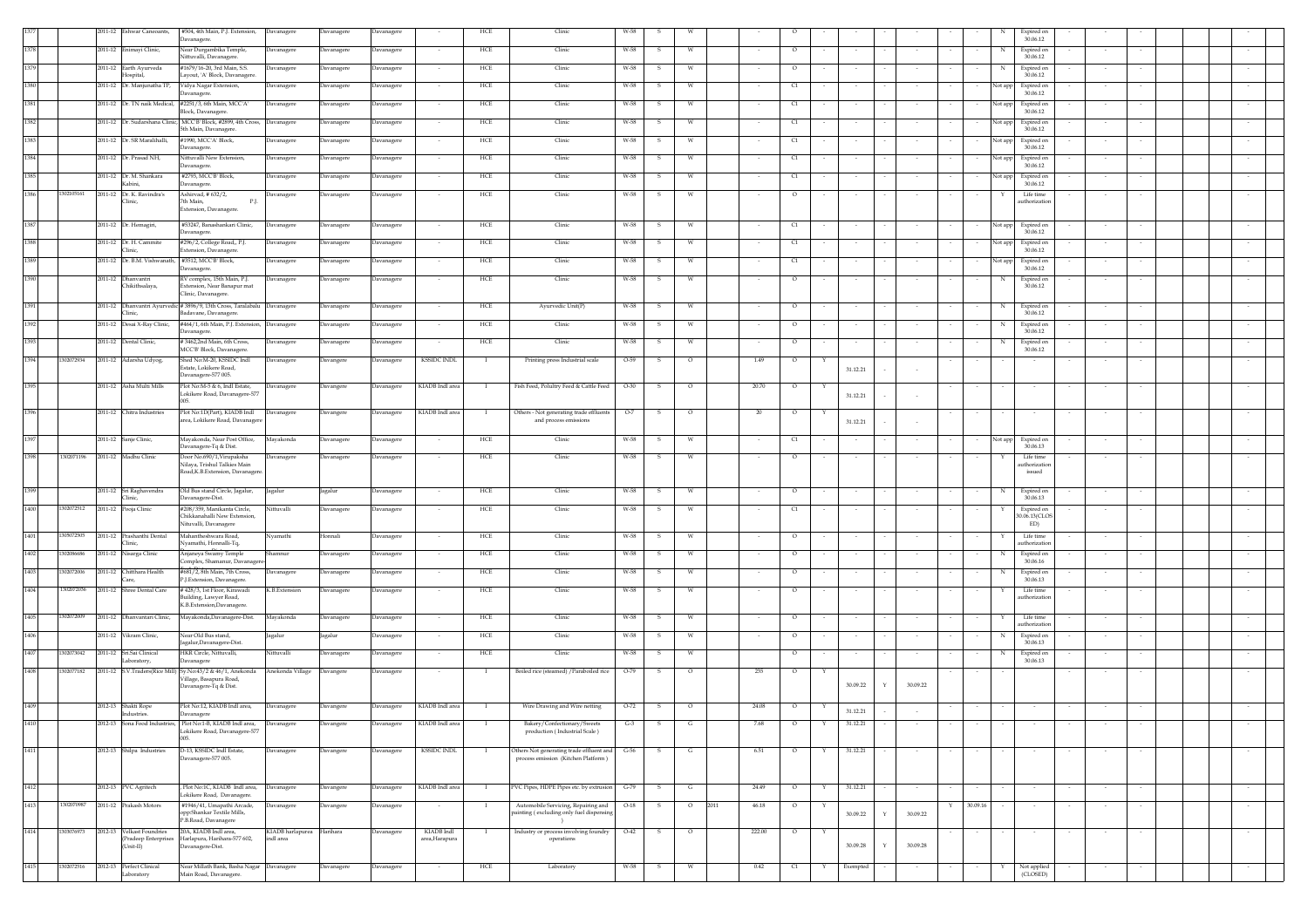|      |            |                                                                | 2011-12 Eshwar Caneoants, #504, 4th Main, P.J. Extension, Davanagere                                            |                  | Davanagere            | Davanagere               |                              | HCE          | Clinic                                                                          | W-58         |                         |      |           |               |        |                         |          |          | Expired on                                     |        |        |        |
|------|------------|----------------------------------------------------------------|-----------------------------------------------------------------------------------------------------------------|------------------|-----------------------|--------------------------|------------------------------|--------------|---------------------------------------------------------------------------------|--------------|-------------------------|------|-----------|---------------|--------|-------------------------|----------|----------|------------------------------------------------|--------|--------|--------|
|      |            | 2011-12 Enimayi Clinic,                                        | Davanagere.<br>Near Durgambika Temple,                                                                          | Davanagere       | Davanagere            | Davanagere               |                              | HCE          | Clinic                                                                          | W-58         | -S.<br><b>W</b>         |      |           | $\circ$       |        |                         |          |          | 30.06.12<br>Expired on<br>N                    |        |        |        |
|      |            |                                                                | Nittuvalli, Davanagere.                                                                                         |                  |                       |                          |                              |              |                                                                                 |              |                         |      |           |               |        |                         |          |          | 30.06.12                                       |        |        |        |
|      |            | 2011-12 Earth Ayurveda<br>Hospital,                            | #1679/16-20, 3rd Main, S.S.<br>Layout, 'A' Block, Davanagere.                                                   | Davanagere       | Davanagere            | Davanagere               |                              | HCE          | Clinic                                                                          | W-58         |                         |      |           | $\circ$       |        |                         |          |          | Expired on<br>30.06.12                         |        |        |        |
|      |            | 2011-12 Dr. Manjunatha TP,                                     | Vidya Nagar Extension,<br>Davanagere.                                                                           | Davanagere       | Davanagere            | Davanagere               |                              | HCE          | Clinic                                                                          | W-58         | W                       |      |           | C1            |        |                         |          |          | Expired on<br>Not app<br>30.06.12              |        |        |        |
|      |            | 2011-12 Dr. TN naik Medical, #2251/3, 6th Main, MCC'A'         |                                                                                                                 | Davanagere       | Davanagere            | Davanagere               |                              | HCE          | Clinic                                                                          | W-58         | - W<br>-S               |      |           | C1            |        |                         |          |          | Not app<br>Expired on                          |        |        |        |
|      |            |                                                                | Block, Davanagere<br>2011-12 Dr. Sudarshana Clinic, MCC'B' Block, #2899, 4th Cross, Davanagere                  |                  |                       |                          |                              | HCE          | Clinic                                                                          | W-58         |                         |      |           | C1            |        |                         |          |          | 30.06.12<br>Expired on                         |        |        |        |
|      |            |                                                                | 5th Main, Davanager                                                                                             |                  | Davanagere            | Davanagere               | $\sim$                       |              |                                                                                 |              | w<br>-5                 |      | $\sim$    |               | $\sim$ | $\sim$                  | $\sim$   |          | Not app<br>30.06.12                            | $\sim$ |        |        |
|      |            | 2011-12 Dr. SR Maralihalli,                                    | #1990, MCCA' Block,<br>Davanagere.                                                                              | Davanagere       | Davanagere            | Davanagere               |                              | HCE          | Clinic                                                                          | W-58         | W                       |      |           | C1            |        |                         |          |          | Expired on<br>Not app<br>30.06.12              |        |        |        |
|      |            | 2011-12 Dr. Prasad NH,                                         | Nittuvalli New Extension,                                                                                       | Davanagere       | Davanagere            | Davanagere               |                              | HCE          | Clinic                                                                          | W-58         | W                       |      |           | C1            |        |                         |          |          | Expired on<br>Not app                          |        |        |        |
|      |            | 2011-12 Dr. M. Shankara                                        | Davanagere.<br>#2793. MCC'B' Block.                                                                             | Davanagere       | Davanagere            | Davanagere               |                              | HCE          | Clinic                                                                          | W-58         | W<br>-S                 |      |           | C1            |        |                         |          |          | 30.06.12<br>Not app<br>Expired on              |        |        |        |
|      |            | Kabini.                                                        | Davanagere.                                                                                                     |                  |                       |                          |                              |              |                                                                                 |              |                         |      |           |               |        |                         |          |          | 30.06.12                                       |        |        |        |
|      | 1302105161 | 2011-12 Dr. K. Ravindra's<br>Clinic.                           | Ashirvad, #632/2,<br>P.J.<br>7th Main.<br>Extension, Davanagere.                                                | Davanagere       | Davanagere            | Davanagere               |                              | HCE          | Clinic                                                                          | W-58         | -S<br>w                 |      |           | $\circ$       |        | $\sim$                  |          |          | Life time<br>Y<br>authorization                | $\sim$ |        |        |
|      |            | 2011-12 Dr. Hemagiri,                                          | #53247, Banashankari Clinic,                                                                                    | Davanagere       | Davanagere            | Davanagere               | $\sim$                       | HCE          | Clinic                                                                          | W-58         | S.<br>W                 |      | $\sim$    | C1            | $\sim$ | $\sim$                  | $\sim$   |          | Not app<br>Expired on<br>30.06.12              | $\sim$ | $\sim$ |        |
|      |            | 2011-12 Dr. H. Cammite                                         | Davanagere.<br>#296/2, College Road,, P.J.                                                                      | Davanagere       | Davanagere            | Davanagere               |                              | HCE          | Clinic                                                                          | W-58         | W<br>s                  |      | $\sim$    | C1            |        | $\sim$                  | $\sim$   |          | Expired on<br>Not app                          | $\sim$ | $\sim$ |        |
|      |            | Clinic,                                                        | Extension, Davanagere                                                                                           |                  |                       |                          |                              |              |                                                                                 |              |                         |      |           |               |        |                         |          |          | 30.06.12                                       |        |        |        |
|      |            | 2011-12 Dr. B.M. Vishwanath, #3512, MCC'B' Block,              | Davanagere.                                                                                                     | Davanagere       | Davanagere            | Davanagere               |                              | HCE          | Clinic                                                                          | W-58         | s<br>W                  |      |           | C1            |        |                         |          |          | Not app<br>Expired on<br>30.06.12              |        |        |        |
|      |            | 2011-12 Dhanvantri<br>Chikithsalaya,                           | RV complex, 15th Main, P.J.<br>Extension, Near Banapur mat<br>Clinic, Davanagere                                | Davanagere       | Davanagere            | Davanagere               |                              | HCE          | Clinic                                                                          | W-58         | $\mathbf{s}$<br>W       |      |           | $\circ$       |        | $\sim$                  |          |          | N<br>Expired on<br>30.06.12                    |        |        |        |
|      |            | Clinic.                                                        | 2011-12 Dhanvantri Ayurvedic #3896/9, 13th Cross, Taralabalu Davanagere<br>Badavane, Davanagere.                |                  | Davanagere            | Davanagere               | $\sim$                       | HCE          | Ayurvedic Unit(P)                                                               | W-58         | s.<br><b>W</b>          |      | $\sim$    | $\circ$       |        | $\sim$                  |          |          | Expired on<br>N<br>30.06.12                    | $\sim$ |        |        |
|      |            | 2011-12 Desai X-Ray Clinic,                                    | #464/1, 6th Main, P.J. Extension, Davanagere                                                                    |                  | Davanagere            | Davanagere               |                              | HCE          | Clinic                                                                          | W-58         | s<br>W                  |      |           | $\circ$       |        | $\sim$                  |          |          | Expired on<br>N<br>30.06.12                    | $\sim$ |        |        |
|      |            | 2011-12 Dental Clinic,                                         | Davanagere.<br>#3462,2nd Main, 6th Cross,                                                                       | Davanagere       | Davanagere            | Davanagere               |                              | HCE          | Clinic                                                                          | W-58         | -S<br>W                 |      |           | $\circ$       |        |                         |          |          | Expired on<br>N                                |        |        |        |
|      | 1302072934 |                                                                | MCC'B' Block, Davanagere.<br>Shed No:M-20, KSSIDC Indl                                                          |                  |                       |                          | <b>KSSIDC INDL</b>           |              |                                                                                 |              |                         |      |           |               |        |                         |          |          | 30.06.12                                       |        |        |        |
|      |            | 2011-12 Adarsha Udyog,                                         | Estate, Lokikere Road,<br>Davanagere-577 005.                                                                   | Davanagere       | Davangere             | Davanagere               |                              | $\mathbf{I}$ | Printing press Industrial scale                                                 | $O-59$       | $\circ$<br>-S.          |      | 1.49      | $\circ$       | Y      | 31.12.21                |          |          |                                                |        |        |        |
|      |            | 2011-12 Asha Multi Mills                                       | Plot No:M-5 & 6, Indl Estate,<br>Lokikere Road, Davanagere-577                                                  | Davanagere       | Davangere             | Davanagere               | KIADB Indl area              |              | Fish Feed, Polultry Feed & Cattle Feed                                          | $O-30$       | $\circ$                 |      | 20.70     | $\circ$       |        | 31.12.21                |          |          |                                                |        |        |        |
|      |            | 2011-12 Chitra Industries                                      | Plot No:1D(Part), KIADB Indl<br>area, Lokikere Road, Davanagere                                                 | Davanagere       | Davangere             | Davanagere               | KIADB Indl area              | $\mathbf{I}$ | Others - Not generating trade effluents<br>and process emissions                | $O-7$        | s<br>$\circ$            |      | 20        | $\circ$       |        | 31.12.21                |          |          |                                                |        |        |        |
|      |            | 2011-12 Sanje Clinic,                                          | Mayakonda, Near Post Office,<br>Davanagere-Tq & Dist.                                                           | Mayakonda        | Davanagere            | Davanagere               | $\sim$                       | HCE          | Clinic                                                                          | W-58         | S.<br>W                 |      | $\sim$    | C1            |        | $\sim$                  | $\sim$   | $\sim$   | Not app Expired on<br>30.06.13                 | $\sim$ | $\sim$ |        |
| 1398 | 1302071196 | 2011-12 Madhu Clinic                                           | Door No.690/1, Virupaksha<br>Nilaya, Trishul Talkies Main<br>Road, K.B. Extension, Davanagere                   | Davanagere       | Davanagere            | Davanagere               | $\sim$                       | HCE          | Clinic                                                                          | W-58         | W<br>s                  |      | $\sim$    | $\circ$       |        | $\sim$                  |          |          | Life time<br>authorization                     | $\sim$ |        |        |
|      |            |                                                                |                                                                                                                 |                  |                       |                          |                              |              |                                                                                 |              |                         |      |           |               |        |                         |          |          | issued                                         |        |        |        |
|      |            |                                                                |                                                                                                                 |                  |                       |                          |                              |              |                                                                                 |              |                         |      |           |               |        |                         |          |          |                                                |        |        |        |
| 1400 | 302072512  | 2011-12 Sri Raghavendra<br>Clinic,<br>2011-12 Pooja Clinic     | Old Bus stand Circle, Jagalur,<br>Jagalur<br>Davanagere-Dist.<br>#208/359, Manikanta Circle,<br>Nittuvalli      |                  | Jagalur<br>Davanagere | Davanagere<br>Davanagere | $\sim$                       | HCE<br>HCE   | Clinic<br>Clinic                                                                | W-58<br>W-58 | -S<br>W<br>S.<br>W      |      | $\sim$    | $\circ$<br>C1 | $\sim$ | $\sim$                  | $\sim$   |          | N<br>Expired on<br>30.06.13<br>Y<br>Expired on | $\sim$ |        |        |
|      | 305072505  | 2011-12 Prashanthi Dental                                      | Chikkanahalli New Extension.<br>Nituvalli, Davanagere<br>Mahantheshwara Road,                                   | Vyamathi         | Honnali               | Davanagere               |                              | HCE          | Clinic                                                                          | W-58         | w                       |      |           | $\circ$       |        |                         |          |          | 30.06.13(CLOS<br>ED)<br>Life time              |        |        |        |
|      |            | Clinic,                                                        | Nyamathi, Honnalli-Tq,                                                                                          |                  |                       |                          |                              |              |                                                                                 |              |                         |      |           |               |        |                         |          |          | authorizatio                                   |        |        |        |
| 1402 | 302086686  | 2011-12 Nisarga Clinic                                         | Anjaneya Swamy Temple<br>Complex, Shamanur, Davanagere                                                          |                  | Javanagere            | Davanagere               |                              | HCE          | Clinic                                                                          | W-58         |                         |      |           | $\circ$       |        |                         |          |          | Expired on<br>30.06.16                         |        |        |        |
| 1403 | 302072006  | 2011-12 Chitthara Health<br>Care,                              | #681/2.8th Main. 7th Cross.                                                                                     | Davanagere       | Davanagere            | Davanagere               |                              | HCE          | Clinic                                                                          | W-58         | <b>W</b>                |      |           | $\circ$       |        |                         |          |          | Expired on<br>N<br>30.06.13                    |        |        |        |
| 1404 | 1302072036 | 2011-12 Shree Dental Care                                      | P.J.Extension, Davanagere.<br>#428/3, 1st Floor, Kirawadi<br>Building, Lawyer Road,<br>K.B.Extension,Davanagere | K.B.Extension    | Davanagere            | Davanagere               |                              | HCE          | Clinic                                                                          | W-58         | -S<br>- W               |      |           | $\circ$       |        |                         |          |          | Life time<br>authorization                     |        |        |        |
| 1405 | 1302072009 | 2011-12 Dhanvantari Clinic,                                    | Mayakonda, Davanagere-Dist.                                                                                     | Mayakonda        | Davanagere            | Davanagere               | $\overline{\phantom{a}}$     | HCE          | Clinic                                                                          | W-58         | s<br>W                  |      |           | $\circ$       |        | $\sim$                  |          |          | Life time<br>Y                                 | $\sim$ |        |        |
| 1406 |            | 2011-12 Vikram Clinic.                                         | Near Old Bus stand,<br>Jagalur                                                                                  |                  | Jagalur               | Davanagere               |                              | HCE          | Clinic                                                                          | W-58         | W<br>-S                 |      |           | $\circ$       |        |                         |          |          | authorization<br>N<br>Expired on               |        |        |        |
|      |            |                                                                | lagalur, Davanagere-Dist.                                                                                       |                  |                       |                          |                              |              |                                                                                 |              |                         |      |           |               |        |                         |          |          | 30.06.13                                       |        |        |        |
| 1407 | 302073042  | 2011-12 Sri Sai Clinical<br>Laboratory,                        | HKR Circle, Nittuvalli,<br>Nittuvalli<br>Davanagere                                                             |                  | Davanagere            | Davanagere               | $\sim$                       | HCE          | Clinic                                                                          | W-58         | S.<br>W                 |      |           | $\circ$       | $\sim$ | $\sim$<br>$\sim$        | $\sim$   |          | N<br>Expired on<br>30.06.13                    | $\sim$ | $\sim$ | $\sim$ |
| 1408 | 302077182  |                                                                | 2011-12 S.V.Traders(Rice Mill) Sy.No:43/2 & 46/1, Anekonda<br>Village, Basapura Road,<br>Davanagere-Tq & Dist.  | Anekonda Village | Davangere             | Davanagere               |                              | $\mathbf{I}$ | Boiled rice (steamed) / Paraboiled rice                                         | $O-79$       | $\circ$<br>s.           |      | 235       | $\circ$       | Y      | 30.09.22                | 30.09.22 |          |                                                |        |        |        |
|      |            | 2012-13 Shakti Rope                                            | Plot No:12, KIADB Indl area,                                                                                    | Davanagere       | Davangere             | Davanagere               | KIADB Indl area              | $\mathbf{I}$ | Wire Drawing and Wire netting                                                   | $O-72$       | $\mathbf{s}$<br>$\circ$ |      | 24.08     | $\circ$       | Y      |                         |          |          |                                                |        |        |        |
|      |            | Industries.<br>2012-13 Sona Food Industr                       | Davanagere<br>Plot No:1-B, KIADB Indl area,                                                                     |                  |                       | Davanagere               | KIADB Indl are               |              | Bakery/Confectionary/Sweets                                                     | $G-3$        | G                       |      | 7.68      | $\circ$       |        | 31.12.21<br>31.12.21    |          |          |                                                |        |        |        |
|      |            |                                                                | Lokikere Road, Davanagere-577<br>005.                                                                           | anagere          | Davangere             |                          |                              |              | production (Industrial Scale)                                                   |              |                         |      |           |               |        |                         |          |          |                                                |        |        |        |
| 1411 |            | 2012-13 Shilpa Industries                                      | D-13, KSSIDC Indl Estate,<br>Davanagere-577 005.                                                                | Davanagere       | Davangere             | Davanagere               | <b>KSSIDC INDL</b>           |              | Others Not generating trade effluent and<br>process emission (Kitchen Platform) | $G-56$       | s<br>G                  |      | 6.51      | $\circ$       | Y      | 31.12.21                |          |          |                                                |        |        |        |
| 1412 |            | 2012-13 PVC Agritech                                           | , Plot No:1C, KIADB Indl area,                                                                                  | Davanagere       | Davangere             | Davanagere               | KIADB Indl area              |              | PVC Pipes, HDPE Pipes etc. by extrusion                                         | $G-79$       | G                       |      | 24.49     | $\circ$       |        | 31.12.21                |          |          |                                                |        |        |        |
| 1413 | 1302070987 | 2011-12 Prakash Motors                                         | okikere Road, Davanagere.<br>#1946/41, Umapathi Arcade,                                                         | Davanagere       | Davangere             | Davanagere               |                              |              | Automobile Servicing, Repairing and                                             | $O-18$       | $\circ$                 | 2011 | $46.18\,$ | $\circ$       |        |                         |          | 30.09.16 |                                                |        |        |        |
|      | 1303076973 |                                                                | opp:Shankar Textile Mills,<br>P.B.Road, Davanagere                                                              |                  |                       |                          |                              |              | painting (excluding only fuel dispensin<br>$\rightarrow$                        |              |                         |      |           |               |        | 30.09.22<br>Y           | 30.09.22 |          |                                                |        |        |        |
| 1414 |            | 2012-13 Velkast Foundries<br>(Pradeep Enterprises<br>(Unit-II) | 20A, KIADB Indl area,<br>Harlapura, Harihara-577 602,<br>indl area<br>Davanagere-Dist.                          | KIADB harlapurea | Harihara              | Davanagere               | KIADB Indl<br>area, Harapura |              | Industry or process involving foundry<br>operations                             | $O-42$       | $\mathbf{s}$<br>$\circ$ |      | 222.00    | $\circ$       |        | 30.09.28<br>$\mathbf Y$ | 30.09.28 |          |                                                |        |        | $\sim$ |
| 1415 | 1302072516 | 2012-13 Perfect Clinical<br>Laboratory                         | Near Millath Bank, Basha Nagar Davanagere<br>Main Road, Davanagere.                                             |                  | Davanagere            | Davanagere               |                              | HCE          | Laboratory                                                                      | W-58         | S.<br>W                 |      | 0.42      | C1            | Y      | Exempted                |          |          | Not applied<br>(CLOSED)                        |        |        |        |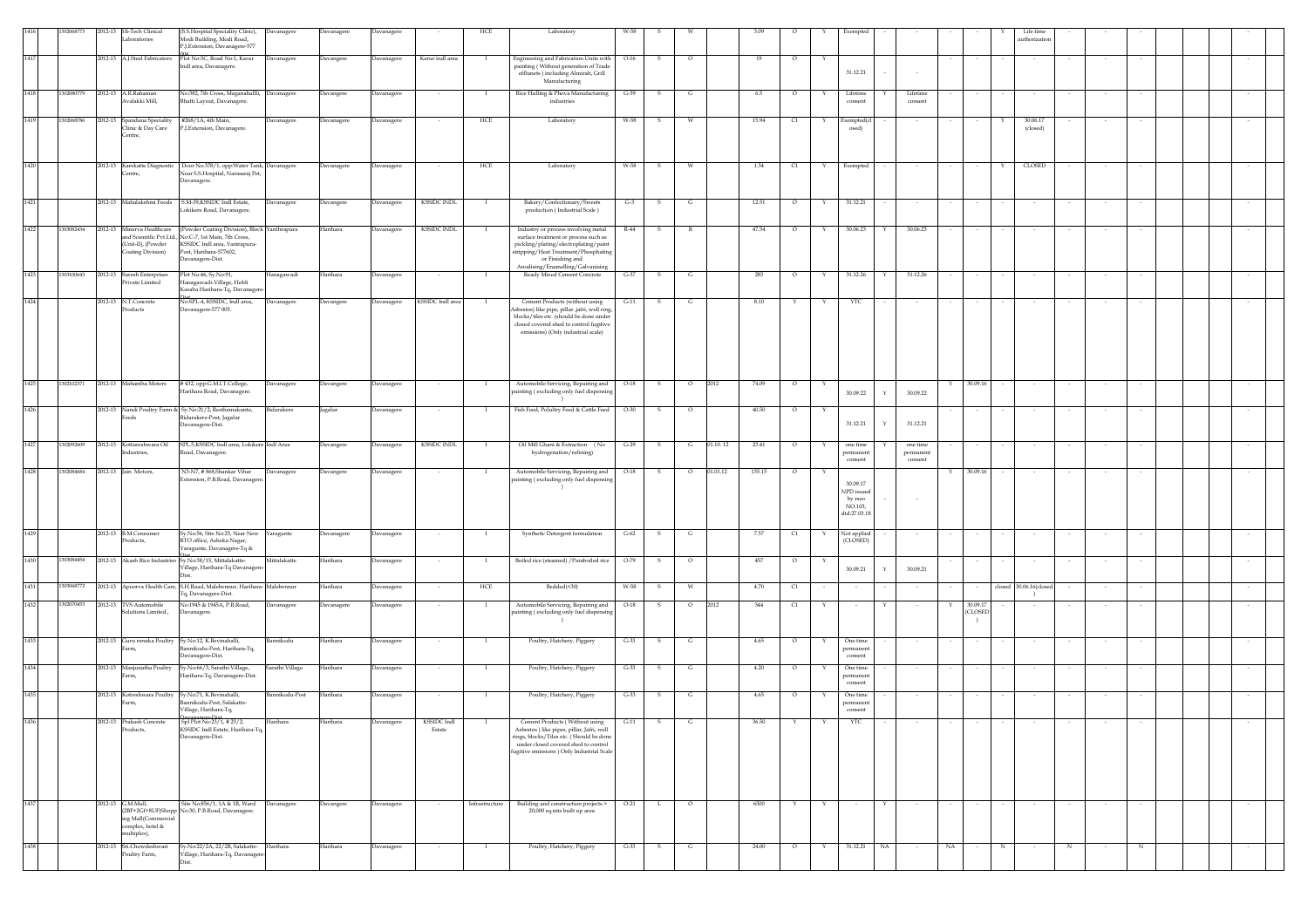|      |            | 2012-13 | Hi-Tech Clinical                              | (S.S.Hospital Speciality Clinic),                                                               | Davanagere      | Davanagere | Davanagere        |                          | HCE            | Laboratory                                                                                | W-58   |              |         |                    |         |   | xempte                  |              |                      |    |                          | Life time                               |   |        |   |  |  |
|------|------------|---------|-----------------------------------------------|-------------------------------------------------------------------------------------------------|-----------------|------------|-------------------|--------------------------|----------------|-------------------------------------------------------------------------------------------|--------|--------------|---------|--------------------|---------|---|-------------------------|--------------|----------------------|----|--------------------------|-----------------------------------------|---|--------|---|--|--|
|      |            |         | <i>aboratories</i>                            | Modi Building, Modi Road,<br>P.J.Extension, Davanagere-577                                      |                 |            |                   |                          |                |                                                                                           |        |              |         |                    |         |   |                         |              |                      |    |                          | authorization                           |   |        |   |  |  |
| 1417 |            |         | 2012-13 A.J.Steel Fabricators                 | Plot No:5C, Road No:1, Karur                                                                    | Davanagere      | Davangere  | Davanagere        | Karur indl area          |                | Engineering and Fabrication Units with                                                    | $O-16$ | -S           | $\circ$ | 19                 | $\circ$ |   |                         |              |                      |    |                          |                                         |   |        |   |  |  |
|      |            |         |                                               | Indl area, Davanagere.                                                                          |                 |            |                   |                          |                | painting (Without generation of Trade<br>efflunets ) including Almirah, Grill             |        |              |         |                    |         |   | 31.12.21                |              |                      |    |                          |                                         |   |        |   |  |  |
|      |            |         |                                               |                                                                                                 |                 |            |                   |                          |                | Manufacturing                                                                             |        |              |         |                    |         |   |                         |              |                      |    |                          |                                         |   |        |   |  |  |
| 1418 | 1302080779 |         | 2012-13 A.R.Rahaman                           | No:382, 7th Cross, Maganahallli, Davanagere                                                     |                 | Javangere  | Davanagere        |                          |                | Rice Hulling & Phova Manufacturing                                                        | $G-39$ | s            | G       | $6.5\,$            | $\circ$ | Y | Lifetime                |              | Lifetime             |    |                          |                                         |   |        |   |  |  |
|      |            |         | valakki Mill,                                 | Bhatti Layout, Davanagere.                                                                      |                 |            |                   |                          |                | $\operatorname{industries}$                                                               |        |              |         |                    |         |   | consent                 |              | consent              |    |                          |                                         |   |        |   |  |  |
| 1419 | 1302068786 | 2012-13 | Spandana Speciality                           | #268/1A, 4th Main,                                                                              | Davanagere      | Davanagere | Davanagere        |                          | HCE            | Laboratory                                                                                | W-58   | -S           |         | 15.94              | C1      | Y | Exempted(cl             |              |                      |    |                          | 30.06.17                                |   |        |   |  |  |
|      |            |         | linic & Day Care<br>entre,                    | P.J.Extension, Davanagere.                                                                      |                 |            |                   |                          |                |                                                                                           |        |              |         |                    |         |   | osed)                   |              |                      |    |                          | (closed)                                |   |        |   |  |  |
|      |            |         |                                               |                                                                                                 |                 |            |                   |                          |                |                                                                                           |        |              |         |                    |         |   |                         |              |                      |    |                          |                                         |   |        |   |  |  |
| 1420 |            |         |                                               |                                                                                                 |                 |            |                   |                          |                |                                                                                           | W-58   | s            |         |                    |         | Y |                         |              |                      |    |                          | CLOSED                                  |   |        |   |  |  |
|      |            |         | 2012-13 Karekatte Diagnostic<br>entre,        | Door No:378/1, opp:Water Tank, Davanagere<br>Near S.S.Hospital, Narasaraj Pet,                  |                 | Davanagere | Davanagere        |                          | HCE            | Laboratory                                                                                |        |              |         | 1.34               | C1      |   | Exempted                |              |                      |    |                          |                                         |   |        |   |  |  |
|      |            |         |                                               | Davanagere.                                                                                     |                 |            |                   |                          |                |                                                                                           |        |              |         |                    |         |   |                         |              |                      |    |                          |                                         |   |        |   |  |  |
| 1421 |            |         | 2012-13 Mahalakshmi Foods                     | S.M-39, KSSIDC Indl Estate,                                                                     | Davanagere      | Davangere  | Davanagere        | <b>KSSIDC INDL</b>       | - 1            | Bakery/Confectionary/Sweets                                                               | $G-3$  |              |         | 12.51              | $\circ$ | Y | 31.12.21                |              |                      |    |                          |                                         |   |        |   |  |  |
|      |            |         |                                               | Lokikere Road, Davanagere.                                                                      |                 |            |                   |                          |                | production (Industrial Scale)                                                             |        |              |         |                    |         |   |                         |              |                      |    |                          |                                         |   |        |   |  |  |
| 1422 | 303082434  |         | 2012-13 Minerva Healthcare                    | (Powder Coating Division), Block Yanthrapura                                                    |                 | Harihara   | Davanagere        | <b>KSSIDC INDL</b>       | - 1            | Industry or process involving metal                                                       | R-44   | -S           |         | 47.54              | $\circ$ | Y | 30.06.23                | Y            | 30.06.23             |    |                          |                                         |   |        |   |  |  |
|      |            |         |                                               | nd Scientific Pvt.Ltd., No:C-7, 1st Main, 7th Cross,                                            |                 |            |                   |                          |                | surface treatment or process such as                                                      |        |              |         |                    |         |   |                         |              |                      |    |                          |                                         |   |        |   |  |  |
|      |            |         | (Unit-II), (Powder<br>oating Division)        | KSSIDC Indl area, Yantrapura-<br>Post, Harihara-577602,                                         |                 |            |                   |                          |                | pickling/plating/electroplating/paint<br>tripping/Heat Treatment/Phosphating              |        |              |         |                    |         |   |                         |              |                      |    |                          |                                         |   |        |   |  |  |
|      |            |         |                                               | Davanagere-Dist.                                                                                |                 |            |                   |                          |                | or Finishing and<br>Anodising/Enamelling/Galvanising                                      |        |              |         |                    |         |   |                         |              |                      |    |                          |                                         |   |        |   |  |  |
| 1423 | 1303100643 |         | 2012-13 Suresh Enterprises<br>Private Limited | Plot No:46, Sy.No:91,<br>Hanagawadi-Village, Hobli                                              | Hanagawadi      | Harihara   | Davanagere        |                          |                | Ready Mixed Cement Concrete                                                               | $G-37$ | - S          | G       | 283                | $\circ$ |   | 31.12.26                |              | 31.12.26             |    |                          |                                         |   |        |   |  |  |
|      |            |         |                                               | Kasaba Harihara-Tq, Davanagere-                                                                 |                 |            |                   |                          |                |                                                                                           |        |              |         |                    |         |   |                         |              |                      |    |                          |                                         |   |        |   |  |  |
| 1424 |            |         | 2012-13 N.T.Concrete                          | vo:SPL-4, KSSIDC, Indl area,<br>Davanagere-577 005.                                             | Davanagere      | Davangere  | Davanagere        | <b>KSSIDC</b> Indl area  |                | Cement Products (without using                                                            | $G-11$ | -S           |         | 8.10               |         |   | YTC                     |              |                      |    |                          |                                         |   |        |   |  |  |
|      |            |         | roducts                                       |                                                                                                 |                 |            |                   |                          |                | Asbestos) like pipe, pillar ,jafri, well ring,<br>blocks/tiles etc. (should be done under |        |              |         |                    |         |   |                         |              |                      |    |                          |                                         |   |        |   |  |  |
|      |            |         |                                               |                                                                                                 |                 |            |                   |                          |                | closed covered shed to control fugitive<br>emissions) (Only industrial scale)             |        |              |         |                    |         |   |                         |              |                      |    |                          |                                         |   |        |   |  |  |
|      |            |         |                                               |                                                                                                 |                 |            |                   |                          |                |                                                                                           |        |              |         |                    |         |   |                         |              |                      |    |                          |                                         |   |        |   |  |  |
|      |            |         |                                               |                                                                                                 |                 |            |                   |                          |                |                                                                                           |        |              |         |                    |         |   |                         |              |                      |    |                          |                                         |   |        |   |  |  |
|      |            |         |                                               |                                                                                                 |                 |            |                   |                          |                |                                                                                           |        |              |         |                    |         |   |                         |              |                      |    |                          |                                         |   |        |   |  |  |
| 1425 | 1302102371 |         | 2012-13 Mahantha Motors                       | #432, opp:G.M.I.T.College,                                                                      | Davanagere      | Davangere  | Davanagere        | $\overline{\phantom{a}}$ | - 1            | Automobile Servicing, Repairing and                                                       | $O-18$ | S.           | $\circ$ | 2012<br>74.09      | $\circ$ | Y |                         |              |                      | Y  | 30.09.16                 | $\sim$                                  |   |        |   |  |  |
|      |            |         |                                               | Harihara Road, Davanagere                                                                       |                 |            |                   |                          |                | ainting (excluding only fuel dispensin                                                    |        |              |         |                    |         |   | 30.09.22                | Y            | 30.09.22             |    |                          |                                         |   |        |   |  |  |
| 1426 |            |         |                                               | 2012-13 Nandi Poultry Farm & Sy.No:21/2, Resthemakunte,                                         | Bidarakere      | Jagalur    | Davanagere        |                          | $\blacksquare$ | Fish Feed, Polultry Feed & Cattle Feed                                                    | $O-30$ | s            | $\circ$ | 40.50              | $\circ$ | Y |                         |              |                      |    |                          |                                         |   |        |   |  |  |
|      |            |         | eeds                                          | Bidarakere-Post, Jagalur<br>Davanagere-Dist.                                                    |                 |            |                   |                          |                |                                                                                           |        |              |         |                    |         |   | 31.12.21                | Y            | 31.12.21             |    |                          |                                         |   |        |   |  |  |
|      |            |         |                                               |                                                                                                 |                 |            |                   |                          |                |                                                                                           |        |              |         |                    |         |   |                         |              |                      |    |                          |                                         |   |        |   |  |  |
| 1427 | 1302092609 |         | 2012-13 Kottureshwara Oil                     | SPL.5, KSSIDC Indl area, Lokikere Indl Area                                                     |                 | Davangere  | Davanagere        | <b>KSSIDC INDL</b>       |                | Oil Mill Ghani & Extraction (No                                                           | $G-29$ |              | G       | 01.10.12<br>23.41  | $\circ$ |   | one time                |              | one time             |    |                          |                                         |   |        |   |  |  |
|      |            |         | dustries,                                     | oad, Davanagere.                                                                                |                 |            |                   |                          |                | hydrogenation/refining)                                                                   |        |              |         |                    |         |   | permanen<br>consent     |              | permanent<br>consent |    |                          |                                         |   |        |   |  |  |
| 1428 | 302084684  | 2012-13 | Jain Motors,                                  | N3-N7, #868,Shankar Vihar                                                                       | Davanagere      | Davangere  | Davanagere        |                          | $\mathbf{I}$   | Automobile Servicing, Repairing and                                                       | $O-18$ | -S           | $\circ$ | 01.01.12<br>135.15 | $\circ$ | Y |                         |              |                      | Y  | 30.09.16                 |                                         |   |        |   |  |  |
|      |            |         |                                               | xtension, P.B.Road, Davanager                                                                   |                 |            |                   |                          |                | ainting (excluding only fuel dispensin                                                    |        |              |         |                    |         |   | 30.09.17                |              |                      |    |                          |                                         |   |        |   |  |  |
|      |            |         |                                               |                                                                                                 |                 |            |                   |                          |                |                                                                                           |        |              |         |                    |         |   | NPD issued<br>by rseo   |              |                      |    |                          |                                         |   |        |   |  |  |
|      |            |         |                                               |                                                                                                 |                 |            |                   |                          |                |                                                                                           |        |              |         |                    |         |   | NO.103,<br>dtd:27.03.18 |              |                      |    |                          |                                         |   |        |   |  |  |
|      |            |         |                                               |                                                                                                 |                 |            |                   |                          |                |                                                                                           |        |              |         |                    |         |   |                         |              |                      |    |                          |                                         |   |        |   |  |  |
| 1429 |            |         | 2012-13 B.M.Consumer<br>roducts,              | Sy.No:56, Site No:25, Near New Yaragunte<br>RTO office, Ashoka Nagar,                           |                 | Davanagere | Davanagere        |                          | $\bf{I}$       | Synthetic Detergent formulation                                                           | $G-62$ | $\mathbf{s}$ | G       | 7.57               | C1      | Y | Not applied<br>(CLOSED) |              |                      |    |                          |                                         |   |        |   |  |  |
|      |            |         |                                               | aragunte, Davanagere-Tq &                                                                       |                 |            |                   |                          |                |                                                                                           |        |              |         |                    |         |   |                         |              |                      |    |                          |                                         |   |        |   |  |  |
| 1430 | 1303084454 |         |                                               | 2012-13 Akash Rice Industries Sy.No:38/15, Mittalakatte-<br>Village, Harihara-Tq Davanager      | Mittalakatte    | Iarihara   | Davanagere        | $\sim$                   |                | Boiled rice (steamed) / Paraboiled rice                                                   | $O-79$ | s            | $\circ$ | 457                | $\circ$ | Y | 30.09.21                | $\mathbf{Y}$ | 30.09.21             |    | $\overline{\phantom{a}}$ | $\sim$                                  |   | $\sim$ |   |  |  |
|      |            |         |                                               |                                                                                                 |                 |            |                   |                          |                |                                                                                           |        |              |         |                    |         |   |                         |              |                      |    |                          |                                         |   |        |   |  |  |
| 1431 | 1303068772 |         |                                               | 2012-13 Apoorva Health Care, S.H.Road, Malebennur, Harihara- Malebennur<br>Tq, Davanagere-Dist. |                 | Harihara   | Davanagere        |                          | HCE            | Bedded(<30)                                                                               | W-58   | -S           |         | 4.70               | C1      |   |                         |              |                      |    |                          | closed 30.06.16(closed<br>$\rightarrow$ |   |        |   |  |  |
| 1432 | 302070453  |         | 2012-13 TVS Automobile                        | No:1945 & 1945A, P.B.Road,                                                                      | Davanagere      | Davanagere | Davanagere        |                          |                | Automobile Servicing, Repairing and                                                       | $O-18$ | -S           | $\circ$ | 2012<br>344        | q       | Y |                         | Y            |                      |    | 30.09.17                 |                                         |   |        |   |  |  |
|      |            |         | Solutions Limited                             | Davanagere.                                                                                     |                 |            |                   |                          |                | painting (excluding only fuel dispensing                                                  |        |              |         |                    |         |   |                         |              |                      |    | (CLOSED)                 |                                         |   |        |   |  |  |
|      |            |         |                                               |                                                                                                 |                 |            |                   |                          |                |                                                                                           |        |              |         |                    |         |   |                         |              |                      |    |                          |                                         |   |        |   |  |  |
| 1433 |            | 2012-13 | Guru renuka Poultry<br>ırm,                   | Sy.No:12, K.Bevinahalli,<br>nnikodu-Post, Harihara-Tq,                                          | annikodu        | Harihara   | Davanagere        |                          |                | Poultry, Hatchery, Piggery                                                                | $G-33$ | s            | G       | 4.65               | $\circ$ | Υ | One time                |              |                      |    |                          |                                         |   |        |   |  |  |
|      |            |         |                                               | Davanagere-Dist.                                                                                |                 |            |                   |                          |                |                                                                                           |        |              |         |                    |         |   | ermane:<br>consent      |              |                      |    |                          |                                         |   |        |   |  |  |
| 1434 |            |         | 2012-13 Manjunatha Poultry                    | Sy.No:66/3, Sarathi-Village,                                                                    | Sarathi Village | Harihara   | Davanagere        |                          |                | Poultry, Hatchery, Piggery                                                                | $G-33$ | -S           | G       | 4.20               |         |   | One time                |              |                      |    |                          |                                         |   |        |   |  |  |
|      |            |         |                                               | Iarihara-Tq, Davanagere-Dist.                                                                   |                 |            |                   |                          |                |                                                                                           |        |              |         |                    |         |   | ermane<br>consent       |              |                      |    |                          |                                         |   |        |   |  |  |
| 1435 |            |         | 2012-13 Kotreshwara Poultry                   | Sy.No:71, K.Bevinahalli,                                                                        | nnikodu-Post    | Harihara   | <b>Davanagere</b> |                          |                | Poultry, Hatchery, Piggery                                                                | $G-33$ |              |         | 4.65               | $\circ$ |   | One time                |              |                      |    |                          |                                         |   |        |   |  |  |
|      |            |         | ırm,                                          | annikodu-Post, Salakatte-<br>Village, Harihara-Tq,                                              |                 |            |                   |                          |                |                                                                                           |        |              |         |                    |         |   | permanen<br>consent     |              |                      |    |                          |                                         |   |        |   |  |  |
|      |            |         |                                               | 3:23   1, # 23   2,                                                                             |                 |            |                   |                          |                |                                                                                           |        |              |         |                    |         |   |                         |              |                      |    |                          |                                         |   |        |   |  |  |
|      |            |         | roducts,                                      | KSSIDC Indl Estate, Harihara-Tq,<br>Davanagere-Dist.                                            |                 |            |                   | Estate                   |                | Asbestos) like pipes, pillar, Jafri, well<br>rings, blocks/Tiles etc. (Should be done     |        |              |         |                    |         |   |                         |              |                      |    |                          |                                         |   |        |   |  |  |
|      |            |         |                                               |                                                                                                 |                 |            |                   |                          |                | under closed covered shed to control<br>fugitive emissions ) Only Industrial Scale        |        |              |         |                    |         |   |                         |              |                      |    |                          |                                         |   |        |   |  |  |
|      |            |         |                                               |                                                                                                 |                 |            |                   |                          |                |                                                                                           |        |              |         |                    |         |   |                         |              |                      |    |                          |                                         |   |        |   |  |  |
|      |            |         |                                               |                                                                                                 |                 |            |                   |                          |                |                                                                                           |        |              |         |                    |         |   |                         |              |                      |    |                          |                                         |   |        |   |  |  |
|      |            |         |                                               |                                                                                                 |                 |            |                   |                          |                |                                                                                           |        |              |         |                    |         |   |                         |              |                      |    |                          |                                         |   |        |   |  |  |
| 1437 |            | 2012-13 | G.M.Mall,                                     | Site No:856/1, 1A & 1B, Ward Davanagere                                                         |                 | Davangere  | Davanagere        |                          | Infrastructur  | Building and construction projects >                                                      | $O-21$ | L            | $\circ$ | 6500               |         |   |                         | Y            |                      |    |                          |                                         |   |        |   |  |  |
|      |            |         | ing Mall(Commercial                           | (2BF+2Gf+8UF)Shopp No:30, P.B.Road, Davanagere.                                                 |                 |            |                   |                          |                | 20,000 sq.mts built up area                                                               |        |              |         |                    |         |   |                         |              |                      |    |                          |                                         |   |        |   |  |  |
|      |            |         | complex, hotel &                              |                                                                                                 |                 |            |                   |                          |                |                                                                                           |        |              |         |                    |         |   |                         |              |                      |    |                          |                                         |   |        |   |  |  |
|      |            |         | $nultiplex$ ),                                |                                                                                                 |                 |            |                   |                          |                |                                                                                           |        |              |         |                    |         |   |                         |              |                      |    |                          |                                         |   |        |   |  |  |
| 1438 |            |         | 2012-13 Sri.Chowdeshwari<br>oultry Farm,      | Sy.No:22/2A, 22/2B, Salakatte- Harihara<br>.<br>Illage, Harihara-Tq, Davanagere                 |                 | Harihara   | Davanagere        |                          |                | Poultry, Hatchery, Piggery                                                                | $G-33$ | $\mathbf{s}$ | G       | 24.00              | $\circ$ | Y | 31.12.21 NA             |              |                      | NA | N                        |                                         | N |        | N |  |  |
|      |            |         |                                               |                                                                                                 |                 |            |                   |                          |                |                                                                                           |        |              |         |                    |         |   |                         |              |                      |    |                          |                                         |   |        |   |  |  |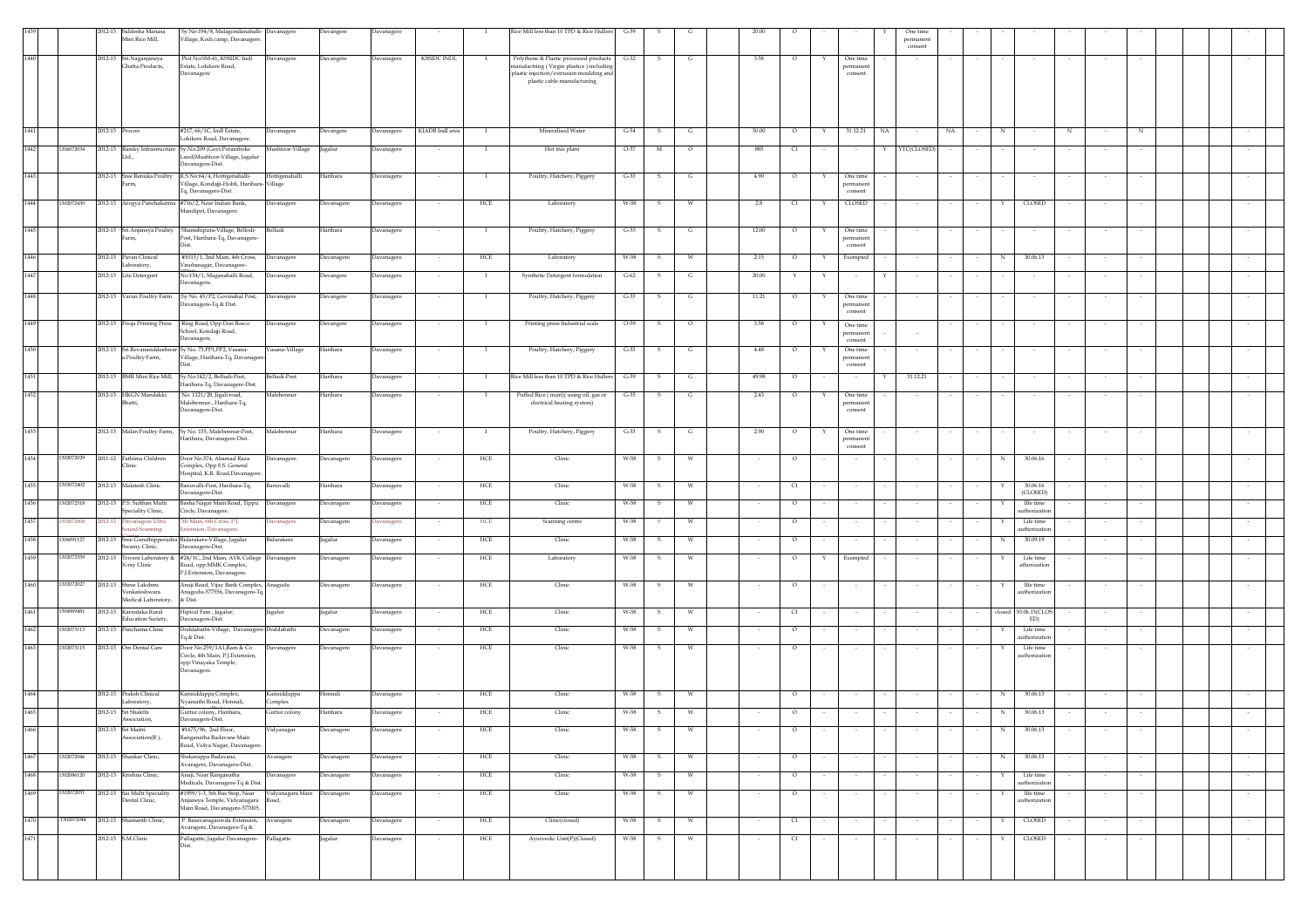|              | 2012-13                                        | Siddesha Manasa<br>Mini Rice Mill,                           | Sy.No:194/8, Malagondanahalli- Davanagere<br>Village, Kodi camp, Davanagere.                                |                           | Davangere            | Davanagere                      |                    |                | Rice Mill less than 10 TPD & Rice Hullers                                                                                                                     | $G-39$       |        |              | 20.00    |                    |                                       | One time<br>permanent<br>consent |        |        |                           |            |            |        |  |
|--------------|------------------------------------------------|--------------------------------------------------------------|-------------------------------------------------------------------------------------------------------------|---------------------------|----------------------|---------------------------------|--------------------|----------------|---------------------------------------------------------------------------------------------------------------------------------------------------------------|--------------|--------|--------------|----------|--------------------|---------------------------------------|----------------------------------|--------|--------|---------------------------|------------|------------|--------|--|
| 1440         | 2012-13                                        | Sri.Naganjaneya<br>Ghatta Products,                          | Plot No:SM-41, KSSIDC Indl<br>state, Lokikere Road,<br>Davanagere                                           | Davanagere                | Davangere            | Davanagere                      | <b>KSSIDC INDL</b> | $\bf{I}$       | Polythene & Plastic processed products<br>nanufactring (Virgin plastics) including<br>plastic injection/extrusion moulding and<br>plastic cable manufacturing | $G-32$       | s      | G            | 3.58     | $\circ$            | One time<br>permanent<br>consent      |                                  |        |        |                           |            |            |        |  |
| 1441         |                                                | 2012-13 Procon                                               | #217, 66/1C, Indl Estate,<br>Lokikere Road, Davanagere.                                                     | Davanagere                | Davangere            | Davanagere                      | KIADB Indl area    |                | Mineralised Water                                                                                                                                             | $G-54$       | s      | G            | 50.00    | $\circ$            | 31.12.21 NA                           | NA                               |        | N      |                           | $_{\rm N}$ | $_{\rm N}$ |        |  |
| 1442         | 1306072034                                     | Ltd.,                                                        | 2012-13 Ramky Infrastructure Sy.No:209 (Govt.Poramboke<br>Land)Mushtoor-Village, Jagalur                    | Mushtoor-Village          | Jagalur              | <b>Javanagere</b>               |                    |                | Hot mix plant                                                                                                                                                 | $O-37$       | M      | $\circ$      | 885      | C1                 |                                       | YTC(CLOSED)                      |        |        |                           |            |            |        |  |
| 1443         |                                                | 2012-13 Sree Renuka Poultry                                  | Davanagere-Dist.<br>R.S.No:64/4, Hottigenahalli-                                                            | Hottigenahalli            | Harihara             | Davanagere                      | $\sim$             | -1             | Poultry, Hatchery, Piggery                                                                                                                                    | $G-33$       | - S    | G            | 4.90     | $\circ$            | One time<br>Y                         |                                  |        |        |                           | $\sim$     | $\sim$     |        |  |
|              |                                                | arm,                                                         | Village, Kondajji-Hobli, Harihara- Village<br>Tq, Davanagere-Dist.                                          |                           |                      |                                 |                    |                |                                                                                                                                                               |              |        |              |          |                    | permanen<br>consent                   |                                  |        |        |                           |            |            |        |  |
| 1444         | 1302072430                                     |                                                              | 2012-13 Arogya Panchakarma #716/2, Near Indian Bank,<br>Mandipet, Davanagere.                               | Davanagere                | Davanagere           | Davanagere                      |                    | ${\rm HCE}$    | Laboratory                                                                                                                                                    | W-58         | s      | W            | 2.8      | C1                 | CLOSED<br>Y                           |                                  |        |        | CLOSED                    |            |            |        |  |
| 1445         |                                                | 2012-13 Sri.Anjaneya Poultry<br>ırm,                         | Shamshipura-Village, Bellodi-<br>Post, Harihara-Tq, Davanagere-                                             | Belludi                   | Harihara             | Davanagere                      | $\sim$             | $\mathbf{I}$   | Poultry, Hatchery, Piggery                                                                                                                                    | $G-33$       | -S     | G            | 12.00    | $\circ$            | One time<br>Y<br>bermaner<br>consent  |                                  |        |        |                           |            |            |        |  |
| 1446         |                                                | 2012-13 Pavan Clinical<br>Laboratory,                        | #1015/1, 2nd Main, 4th Cross,<br>/inobanagar, Davanagere-                                                   | Davanagere                | Davanagere           | Davanagere                      |                    | HCE            | Laboratory                                                                                                                                                    | W-58         | s      | W            | 2.15     | $\circ$            | Exempted<br>Y                         |                                  |        | N      | 30.06.13                  |            |            |        |  |
| 1447         |                                                | 2012-13 Lite Detergent                                       | No:134/1, Maganahalli Road,<br>vanagere                                                                     | Davanagere                | Davangere            | <b>Javanagere</b>               |                    | $\mathbf{I}$   | Synthetic Detergent formulation                                                                                                                               | $G-62$       | s      | G            | 20.00    |                    | Y<br>$\sim$                           |                                  |        |        |                           |            |            |        |  |
| 1448         |                                                | 2012-13 Varun Poultry Farm                                   | Sy No. 45/P2, Govinahal Post,<br>Davanagere-Tq & Dist.                                                      | Davanagere                | Davangere            | Davanagere                      |                    |                | Poultry, Hatchery, Piggery                                                                                                                                    | $G-33$       | s      | G            | 11.21    | $\circ$            | One time<br>permanent<br>consent      |                                  |        |        |                           |            |            |        |  |
| 1449         |                                                | 2012-13 Pooja Printing Press                                 | Ring Road, Opp Don Bosco<br>School, Kondajji Road,                                                          | Davanagere                | Davangere            | Davanagere                      |                    | - 1            | Printing press Industrial scale                                                                                                                               | $O-59$       | -S     | $\circ$      | 3.58     | $\circ$            | One time<br>permanent                 |                                  |        |        |                           |            |            |        |  |
| 1450         |                                                | a Poultry Farm,                                              | Davanagere.<br>2012-13 Sri.Revanasiddeshwar Sy No. 73, PP1, PP2, Vasana-<br>Village, Harihara-Tq, Davanager | Vasana-Village            | Harihara             | Davanagere                      |                    | $\mathbf{I}$   | Poultry, Hatchery, Piggery                                                                                                                                    | $G-33$       | s      | G            | $4.48\,$ | $\circ$            | consent<br>One time<br>permanent      |                                  |        |        |                           |            |            |        |  |
| 1451         |                                                | 2012-13 BMR Mini Rice Mill,                                  | Sy.No:142/2, Belludi-Post,                                                                                  | Belludi-Post              | Harihara             | Davanagere                      |                    | - 1            | Rice Mill less than 10 TPD & Rice Hullers                                                                                                                     | $G-39$       | - S    | G            | 49.98    | $\circ$            | consent                               | 31.12.21                         |        |        |                           |            |            |        |  |
| 1452         |                                                | 2012-13 HKGN Mandakki<br>Bhatti.                             | Harihara-Tq, Davanagere-Dist.<br>No. 1121/28, Jigali road,<br>Malebennur., Harihara-Tq,                     | Malebennur                | Harihara             | Davanagere                      | $\sim$             | $\mathbf{I}$   | Puffed Rice (muri)(using oil, gas or<br>electrical heating system)                                                                                            | $G-35$       | s.     | G            | 2.43     | $\circ$            | One time<br>Y<br>permanent            |                                  |        |        |                           | $\sim$     | $\sim$     |        |  |
|              |                                                |                                                              | Davanagere-Dist.                                                                                            |                           |                      |                                 |                    |                |                                                                                                                                                               |              |        |              |          |                    | consent                               |                                  |        |        |                           |            |            |        |  |
| 1453         |                                                |                                                              | 2012-13 Malan Poultry Farm, Sy No. 155, Malebennur-Post,<br>Harihara, Davanagere-Dist.                      | Malebennur                | Harihara             | Davanagere                      | $\sim$             | $\overline{1}$ | Poultry, Hatchery, Piggery                                                                                                                                    | $G-33$       | S      | $\mathbf{G}$ | 2.90     | $\circ$            | One time<br>Y<br>permanent<br>consent |                                  |        |        |                           |            |            |        |  |
| 1454         | 1302072029                                     | 2011-12 Fathima Children<br>Clinic                           | Door No.374, Ahamad Raza<br>Complex, Opp S.S. General<br>Hospital, K.R. Road, Davanagere                    | Davanagere.               | Davanagere           | Davanagere                      | $\sim$             | HCE            | Clinic                                                                                                                                                        | W-58         | - S    | W            | $\sim$   | $\circ$            | $\sim$                                | $\sim$                           | $\sim$ | N      | 30.06.16                  | $\sim$     |            |        |  |
| 1455         | 1303072402                                     | 2012-13 Malatesh Clinic                                      | Banuvalli-Post, Harihara-Tq,<br>Davanagere-Dist.                                                            | Banuvalli                 | Harihara             | Javanagere                      |                    | HCE            | Clinic                                                                                                                                                        | W-58         | s      | W            |          | $\alpha$           | $\sim$                                |                                  |        |        | 30.06.16<br>(CLOSED)      |            |            |        |  |
| 1456         | 1302072518                                     | 2012-13 P.S. Sulthan Multi<br>Speciality Clinic,             | Basha Nagar Main Road, Tippu<br>Circle, Davanagere.                                                         | Davanagere                | Davanagere           | Davanagere                      |                    | HCE            | Clinic                                                                                                                                                        | W-58         |        | W            |          | $\circ$            |                                       |                                  |        |        | IIfe time<br>uthorization |            |            |        |  |
| 1457         | 02072008<br>012-13                             | Davanagere Ultra<br>bund Scanning                            | th Main, 6th Cross, P.J.<br>tension, Davanagere.<br>Bidarakere-Village, Jagalur                             | <b>Davanagere</b>         | Davanagere           | avanagere                       |                    | HCE            | Scanning centre                                                                                                                                               | W-58         |        | W            |          | $\circ$            | $\sim$                                |                                  |        |        | Life time<br>uthorization |            |            |        |  |
| 1458<br>1459 | 2012-13<br>1306091127<br>1302072559<br>2012-13 | Sree Guruthipperudra<br>wamy Clinic,<br>Triveni Laboratory & | Davanagere-Dist.<br>#24/1C, 2nd Main, AVK College Davanagere                                                | Bidarakere                | agalur<br>Davanagere | <b>Javanagere</b><br>Davanagere |                    | HCE<br>HCE     | Clinic<br>Laboratory                                                                                                                                          | W-58<br>W-58 | s<br>s | W<br>W       |          | $\circ$<br>$\circ$ | $\sim$<br>Exempted                    |                                  |        | N      | 30.09.19<br>Life time     |            |            |        |  |
|              |                                                | <b>X-ray Clinic</b>                                          | Road, opp:MMK Complex,<br>P.J.Extension, Davanagere.                                                        |                           |                      |                                 |                    |                |                                                                                                                                                               |              |        |              |          |                    |                                       |                                  |        |        | athorization              |            |            |        |  |
| 1460         | 302072027                                      | 2012-13 Shree Lakshmi<br>enkateshwara<br>Medical Laboratory, | Anaji Road, Vijay Bank Complex, Anagodu<br>Anagodu-577556, Davanagere-Tq<br>& Dist.                         |                           | Davanagere           | Davanagere                      |                    | HCE            | Clinic                                                                                                                                                        | W-58         |        |              |          | $\circ$            |                                       |                                  |        |        | IIfe time<br>uthorization |            |            |        |  |
| 1461         | 1306069481                                     | 2012-13 Karnataka Rural<br><b>Education Society.</b>         | Hipical Fam , Jagalur,<br>Davanagere-Dist.                                                                  | Jagalur                   | Jagalur              | Davanagere                      | $\sim$             | HCE            | Clinic                                                                                                                                                        | W-58         | s.     | W            | $\sim$   | C1                 | $\sim$                                | $\sim$                           | $\sim$ | closed | 30.06.13(CLOS<br>ED)      | $\sim$     |            |        |  |
| 1462         | 1302073113                                     | 2012-13 Panchama Clinic                                      | Doddabathi-Village, Davanagere-Doddabathi<br>Tq & Dist.                                                     |                           | Davanagere           | <b>Davanagere</b>               |                    | HCE            | Clinic                                                                                                                                                        | W-58         | s      | W            |          | $\circ$            |                                       |                                  |        |        | Life time<br>uthorization |            |            |        |  |
| 1463         | 1302073115                                     | 2012-13 Om Dental Care                                       | Door No.259/1A1, Ram & Co<br>Circle, 4th Main, P.J. Extension,<br>opp: Vinayaka Temple,<br>Davanagere.      | Davanagere                | Davanagere           | Davanagere                      |                    | HCE            | Clinic                                                                                                                                                        | W-58         |        |              |          | $\circ$            |                                       |                                  |        |        | Life time<br>uthorization |            |            |        |  |
| 1464         |                                                | 2012-13 Praksh Clinical<br>Laboratory,                       | Karisiddappa Complex,<br>Nyamathi Road, Honnali,                                                            | Karisiddappa<br>Complex   | Honnali              | Davanagere                      |                    | HCE            | Clinic                                                                                                                                                        | W-58         | -S     | W            |          | $\circ$            |                                       |                                  |        | N      | 30.06.13                  |            |            |        |  |
| 1465         | 2012-13                                        | Sri Shakthi<br>Association.                                  | Guttur colony, Harihara,<br>Davanagere-Dist.                                                                | Guttur colony             | Harihara             | Davanagere                      |                    | HCE            | Clinic                                                                                                                                                        | W-58         | s      | W            |          | $\circ$            |                                       |                                  |        | N      | 30.06.13                  |            |            |        |  |
| 1466         |                                                | 2012-13 Sri Maitri<br>Association(R),                        | #1675/96, 2nd Floor,<br>Ranganatha Badavane Main<br>Road, Vidya Nagar, Davanagere.                          | Vidyanagar                | Davanagere           | Davanagere                      |                    | HCE            | Clinic                                                                                                                                                        | W-58         | s      | W            |          | $\circ$            |                                       |                                  |        | N      | 30.06.13                  |            |            |        |  |
| 1467         | 1302072046                                     | 2012-13 Shankar Clinic,                                      | Shekarappa Badavane,<br>Avaragere, Davanagere-Dist.                                                         | Avaragere                 | Davanagere           | Davanagere                      |                    | HCE            | Clinic                                                                                                                                                        | W-58         |        | W            |          | $\circ$            |                                       |                                  |        | N      | 30.06.13                  |            |            |        |  |
| 1468         | 302086120                                      | 2012-13 Krishna Clinic,                                      | Anaji, Near Ranganatha<br>Medicals, Davanagere-Tq & Dist.                                                   | Davanagere                | Davanagere           | Davanagere                      | $\sim$             | HCE            | Clinic                                                                                                                                                        | W-58         | -S     | w            |          | $\circ$            | $\sim$                                |                                  |        |        | Life time<br>uthorization |            |            | $\sim$ |  |
| 1469         | 1302072051<br>2012-13                          | Sai Multi Speciality<br>Dental Clinic,                       | #1959/1-3, 5th Bus Stop, Near<br>njaneya Temple, Vidyanagara<br>Main Road, Davanagere-577005.               | Vidyanagara Main<br>Road, | Davanagere           | Davanagere                      | $\sim$             | HCE            | Clinic                                                                                                                                                        | W-58         | s.     | W            | $\sim$   | $\circ$            | $\sim$<br>$\overline{\phantom{a}}$    | $\sim$                           | $\sim$ |        | IIfe time<br>uthorization | $\sim$     | $\sim$     | $\sim$ |  |
| 1470         | 1302072044                                     | 2012-13 Shamanth Clinic,                                     | P. Basavanagaowda Extension,<br>Avaragere, Davanagere-Tq &                                                  | Avaragere                 | Davanagere           | Davanagere                      |                    | HCE            | Clinic(closed)                                                                                                                                                | W-58         | s      | W            |          | C1                 |                                       |                                  |        |        | CLOSED                    |            |            |        |  |
| 1471         |                                                | 2012-13 S.M.Clinic                                           | Pallagatte, Jagalur Davanagere- Pallagatte                                                                  |                           | Jagalur              | Davanagere                      |                    | HCE            | Ayurvedic Unit(P)(Closed)                                                                                                                                     | W-58         | s      | W            |          | C1                 | $\sim$                                |                                  |        | Υ      | CLOSED                    |            |            |        |  |
|              |                                                |                                                              |                                                                                                             |                           |                      |                                 |                    |                |                                                                                                                                                               |              |        |              |          |                    |                                       |                                  |        |        |                           |            |            |        |  |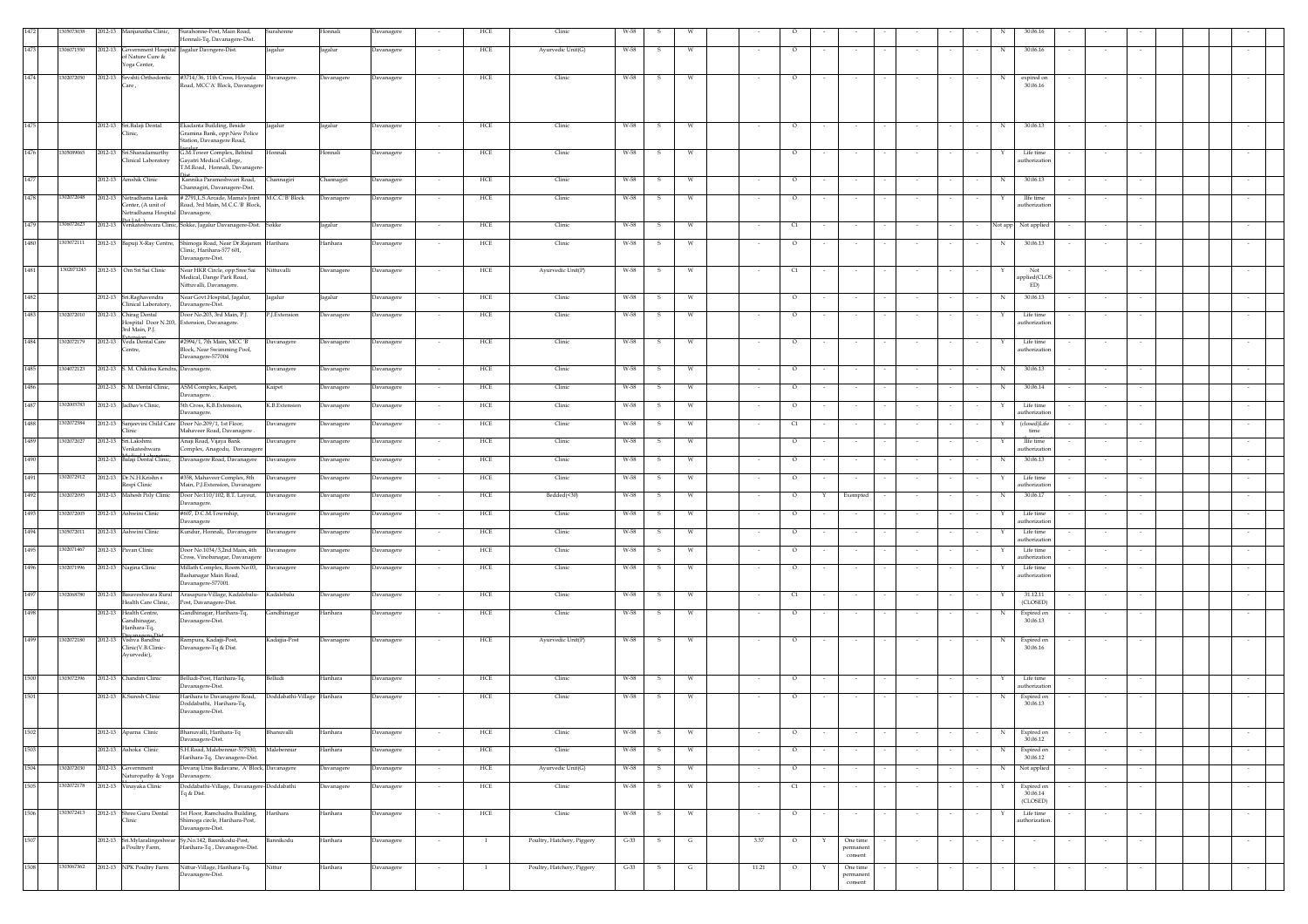|          | 305073038  | 2012-13 Manjunatha Clinic,                                                        | Surahonne-Post, Main Road,                                                                                           | Surahonne                   | Honnali    | Davanagere |                          | HCE          | Clinic                     | W-58   |              |              |       |         |        |                                  |        |        |         |                                    |        |        |  |        |
|----------|------------|-----------------------------------------------------------------------------------|----------------------------------------------------------------------------------------------------------------------|-----------------------------|------------|------------|--------------------------|--------------|----------------------------|--------|--------------|--------------|-------|---------|--------|----------------------------------|--------|--------|---------|------------------------------------|--------|--------|--|--------|
|          |            |                                                                                   | Honnali-Tq, Davanagere-Dist.                                                                                         |                             |            |            |                          |              |                            |        |              |              |       |         |        |                                  |        |        |         |                                    |        |        |  |        |
| 1473     | 1306071550 | of Nature Cure &                                                                  | 2012-13 Government Hospital Jagalur Davngere-Dist.                                                                   | Jagalur                     | Jagalur    | Davanagere |                          | HCE          | Ayurvedic Unit(G)          | W-58   | - S          |              |       | $\circ$ |        |                                  |        |        | N       | 30,06.16                           |        |        |  |        |
| 1474     | 1302072050 | Yoga Center,                                                                      | 2012-13 Srvshti Orthodontic #3714/36, 11th Cross, Hoysala Davanagere.                                                |                             | Davanagere | Davanagere |                          | HCE          | Clinic                     | W-58   |              |              |       | $\circ$ |        |                                  |        |        |         | expired on                         |        |        |  |        |
|          |            | Care,                                                                             | Road, MCC'A' Block, Davanagere                                                                                       |                             |            |            |                          |              |                            |        |              |              |       |         |        |                                  |        |        |         | 30.06.16                           |        |        |  |        |
|          |            |                                                                                   |                                                                                                                      |                             |            |            |                          |              |                            |        |              |              |       |         |        |                                  |        |        |         |                                    |        |        |  |        |
| 1475     |            | 2012-13 Sri.Balaji Dental<br>Clinic.                                              | Ekadanta Building, Beside<br>Gramina Bank, opp:New Police                                                            | Jagalur                     | Jagalur    | Davanagere |                          | HCE          | Clinic                     | W-58   | s            | W            |       | $\circ$ |        |                                  |        |        | N       | 30.06.13                           |        |        |  |        |
| 1476     | 1305089065 | 2012-13 Sri.Sharadamurthy                                                         | Station, Davanagere Road,<br>G.M.Tower Complex, Behind                                                               | <b>Ionnali</b>              | Honnali    | Davanagere |                          | HCE          | Clinic                     | W-58   |              |              |       | $\circ$ |        |                                  |        |        |         | Life time                          |        |        |  |        |
|          |            | Clinical Laboratory                                                               | Gayatri Medical College,<br>M.Road, Honnali, Davanager                                                               |                             |            |            |                          |              |                            |        |              |              |       |         |        |                                  |        |        |         | uthorizatio                        |        |        |  |        |
| 1477     |            | 2012-13 Amshik Clinic                                                             | Kannika Parameshwari Road,<br>Channagiri, Davanagere-Dist.                                                           | Channagiri                  | Channagiri | Davanagere | $\sim$                   | HCE          | Clinic                     | W-58   | s            | W            |       | $\circ$ |        |                                  |        |        | N       | 30.06.13                           |        |        |  |        |
| 1478     | 1302072048 | 2012-13 Netradhama Lasik<br>Center, (A unit of<br>Netradhama Hospital Davanagere. | # 2791, L.S. Arcade, Mama's Joint M.C.C. B' Block<br>Road, 3rd Main, M.C.C.'B' Block,                                |                             | Davanagere | Davanagere |                          | HCE          | Clinic                     | W-58   |              |              |       | $\circ$ |        |                                  |        |        |         | Ife time<br>uthorization           |        |        |  |        |
| 1479     | 1306072623 |                                                                                   | Pot Ltd. \<br>2012-13 Venkateshwara Clinic, Sokke, Jagalur Davanagere-Dist. Sokke                                    |                             | Jagalur    | Davanagere |                          | HCE          | Clinic                     | W-58   |              | W            |       | C1      |        |                                  |        |        | Not app | Not applied                        |        |        |  |        |
| 1480     | 1303072111 |                                                                                   | 2012-13 Bapuji X-Ray Centre, Shimoga Road, Near Dr.Rajaram Harihara<br>Clinic, Harihara-577 601,<br>Davanagere-Dist. |                             | Harihara   | Davanagere |                          | HCE          | Clinic                     | W-58   | -S           | W            |       | $\circ$ |        |                                  |        |        | N       | 30.06.13                           |        |        |  |        |
| 1481     | 1302071243 | 2012-13 Om Sri Sai Clinic                                                         | Near HKR Circle, opp:Sree Sai<br>Medical, Dange Park Road,<br>Nittuvalli, Davanagere.                                | Nittuvalli                  | Davanagere | Davanagere |                          | HCE          | Ayurvedic Unit(P)          | W-58   | s            | W            |       | C1      |        |                                  |        |        |         | Not<br>applied(CLOS<br>ED)         |        |        |  |        |
| 1482     |            | 2012-13 Sri.Raghavendra<br>Clinical Laboratory,                                   | Near Govt.Hospital, Jagalur,<br>Davanagere-Dist.                                                                     | Jagalur                     | Jagalur    | Davanagere |                          | HCE          | Clinic                     | W-58   | $\mathbf{s}$ | W            |       | $\circ$ |        | $\sim$                           |        |        | N       | 30.06.13                           |        |        |  |        |
| 1483     | 1302072010 | 2012-13 Chirag Dental<br>3rd Main, P.J.                                           | Door No.203, 3rd Main, P.J.<br>Hospital Door N.203, Extension, Davanagere.                                           | P.I.Extension               | Davanagere | Davanagere | $\overline{\phantom{a}}$ | HCE          | Clinic                     | W-58   | -S           | W            |       | $\circ$ |        | $\sim$                           |        |        | Y       | Life time<br>uthorizatio           | $\sim$ |        |  |        |
| 1484     | 1302072179 | 2012-13 Veda Dental Care<br>Centre,                                               | #2994/1, 7th Main, MCC 'B'<br>Block, Near Swimming Pool,<br>Davanagere-577004                                        | Davanagere                  | Davanagere | Davanagere |                          | HCE          | Clinic                     | W-58   | s            |              |       | $\circ$ |        |                                  |        |        |         | Life time<br>uthorization          |        |        |  |        |
| 1485     | 1304072123 | 2012-13 S. M. Chikitsa Kendra, Davanagere.                                        |                                                                                                                      | Davanagere                  | Davanagere | Davanagere | $\cdot$                  | HCE          | Clinic                     | W-58   | s            | W            |       | $\circ$ |        | $\sim$                           |        |        | N       | 30.06.13                           |        |        |  |        |
| 1486     |            | 2012-13 S. M. Dental Clinic,                                                      | ASM Complex, Kaipet,<br>Davanagere.                                                                                  | Kaipet                      | Davanagere | Davanagere |                          | HCE          | Clinic                     | W-58   | s            | W            |       | $\circ$ |        | $\sim$                           |        |        | N       | 30.06.14                           |        |        |  |        |
| 1487     | 1302005783 | 2012-13 Jadhav's Clinic,                                                          | 5th Cross, K.B.Extension,<br>Javanagere.                                                                             | K.B.Extension               | Davanagere | Davanagere |                          | HCE          | Clinic                     | W-58   | s            | W            |       | $\circ$ |        | $\sim$                           |        |        | Y       | Life time<br>uthorizatio           | $\sim$ |        |  |        |
| $1488\,$ | 1302072584 | Clinic                                                                            | 2012-13 Sanjeevini Child Care Door No.209/1, 1st Floor,<br>Mahaveer Road, Davanagere.                                | Davanagere                  | Davanagere | Davanagere |                          | HCE          | Clinic                     | W-58   | s            |              |       | C1      |        |                                  |        |        |         | (closed)Life<br>time               |        |        |  |        |
| 1489     | 1302072027 | 2012-13 Sri.Lakshmi<br>Venkateshwara                                              | Anaji Road, Vijaya Bank<br>Complex, Anagodu, Davanagere                                                              | Davanagere                  | Davanagere | Davanagere |                          | HCE          | Clinic                     | W-58   | s            | W            |       | $\circ$ |        |                                  |        |        |         | IIfe time<br>uthorizatio           |        |        |  |        |
| 1490     |            | 2012-13 Balaji Dental Clinic,                                                     | Davanagere Road, Davanagere Davanagere                                                                               |                             | Davanagere | Davanagere |                          | HCE          | Clinic                     | W-58   | -S           |              |       | $\circ$ |        |                                  |        |        | N       | 30.06.13                           |        |        |  |        |
| 1491     | 1302072912 | 2012-13 Dr.N.H.Krishn s<br>Respi Clinic                                           | #358, Mahaveer Complex, 8th<br>Main, P.J. Extension, Davanagere                                                      | Davanagere                  | Davanagere | Davanagere | $\sim$                   | HCE          | Clinic                     | W-58   | - S          | W            |       | $\circ$ |        | $\sim$                           |        |        | Y       | Life time<br>uthorization          |        | $\sim$ |  |        |
| 1492     | 1302072095 | 2012-13 Mahesh Poly Clinic                                                        | Door No:110/102, B.T. Layout,<br>Davanagere.                                                                         | Davanagere                  | Davanagere | Davanagere |                          | HCE          | Bedded(<30)                | W-58   | s            |              |       | $\circ$ |        | Exempted                         |        |        | N       | 30.06.17                           |        |        |  |        |
| 1493     | 1302072005 | 2012-13 Ashwini Clinic                                                            | #607, D.C.M.Township,<br><b>Davanagere</b>                                                                           | Davanagere                  | Davanagere | Davanagere | $\cdot$                  | HCE          | Clinic                     | W-58   | s            | W            |       | $\circ$ |        |                                  |        |        |         | Life time<br>uthorizatio           |        |        |  |        |
| 1494     | 1305072011 | 2012-13 Ashwini Clinic                                                            | Kundur, Honnali, Davanagere                                                                                          | Davanagere                  | Davanagere | Davanagere | $\sim$                   | HCE          | Clinic                     | W-58   | -S           | W            |       | $\circ$ |        | $\sim$                           | $\sim$ |        |         | Life time<br>uthorizatio           | $\sim$ |        |  |        |
| 1495     | 1302071467 | 2012-13 Pavan Clinic                                                              | Door No.1034/3,2nd Main, 4th<br>Cross, Vinobanagar, Davanager                                                        | Davanagere                  | Davanagere | Davanagere | $\overline{\phantom{a}}$ | HCE          | Clinic                     | W-58   | s            | W            |       | $\circ$ |        | $\sim$                           | $\sim$ |        | x       | Life time<br>uthorization          | $\sim$ |        |  |        |
| 1496     | 1302071996 | 2012-13 Nagina Clinic                                                             | Millath Complex, Room No:03,<br>Bashanagar Main Road,<br>Davanagere-577001.                                          | Davanagere                  | Davanagere | Davanagere |                          | HCE          | Clinic                     | W-58   | s            | W            |       | $\circ$ |        |                                  |        |        |         | Life time<br>uthorizatio           |        |        |  |        |
| 1497     | 1302068780 | Health Care Clinic,                                                               | 2012-13 Basaveshwara Rural Arasapura-Village, Kadalebalu- Kadalebalu<br>Post, Davanagere-Dist.                       |                             | Davanagere | Davanagere |                          | <b>HCE</b>   | Clinic                     | W-58   | -S           | W            |       | C1      |        | $\sim$                           |        |        |         | 31.12.11<br>(CLOSED)               |        |        |  |        |
| 1498     |            | 2012-13 Health Centre,<br>Gandhinagar.<br>Harihara-Tq,                            | Gandhinagar, Harihara-Tq,<br>Davanagere-Dist.                                                                        | Gandhinagar                 | Harihara   | Davanagere |                          | HCE          | Clinic                     | W-58   | -S           | W            |       | $\circ$ |        | $\sim$                           |        |        | N       | Expired on<br>30.06.13             |        |        |  |        |
| 1499     | 1302072180 | 2012-13 Vishva Bandhu<br>Clinic(V.B.Clinic-<br>Ayurvedic),                        | Rampura, Kadajji-Post,<br>Davanagere-Tq & Dist.                                                                      | Kadajjia-Post               | Davanagere | Davanagere |                          | HCE          | Ayurvedic Unit(P)          | W-58   | s            |              |       | $\circ$ |        |                                  |        |        | N       | Expired on<br>30.06.16             |        |        |  |        |
| 1500     | 1303072396 | 2012-13 Chandini Clinic                                                           | Belludi-Post, Harihara-Tq,<br>Davanagere-Dist.                                                                       | Belludi                     | Harihara   | Davanagere |                          | HCE          | Clinic                     | W-58   | -S           | W            |       | $\circ$ |        |                                  |        |        |         | Life time<br>uthorization          |        |        |  |        |
| 1501     |            | 2012-13 K.Suresh Clinic                                                           | Harihara to Davanagere Road,<br>Doddabathi, Harihara-Tq,                                                             | Doddabathi-Village Harihara |            | Davanagere |                          | HCE          | Clinic                     | W-58   | -S           |              |       | $\circ$ |        |                                  |        |        | N       | Expired on<br>30.06.13             |        |        |  |        |
|          |            |                                                                                   | Davanagere-Dist.                                                                                                     |                             |            |            |                          |              |                            |        |              |              |       |         |        |                                  |        |        |         |                                    |        |        |  |        |
| 1502     |            | 2012-13 Aparna Clinic                                                             | Bhanuvalli, Harihara-Tq<br>Davanagere-Dist.                                                                          | Bhanuvalli                  | Harihara   | Davanagere |                          | HCE          | Clinic                     | W-58   | s            | W            |       | $\circ$ |        |                                  |        |        | N       | Expired on<br>30.06.12             |        |        |  | $\sim$ |
| 1503     |            | 2012-13 Ashoka Clinic                                                             | S.H.Road, Malebennur-577530, Malebennur<br>Harihara-Tq, Davanagere-Dist.                                             |                             | Harihara   | Davanagere | $\sim$                   | HCE          | Clinic                     | W-58   | S.           | W            |       | $\circ$ | $\sim$ | $\sim$                           | $\sim$ |        | N       | Expired on<br>30.06.12             | $\sim$ | $\sim$ |  | $\sim$ |
| 1504     | 1302072030 | 2012-13 Government<br>Naturopathy & Yoga Davanagere.                              | Devaraj Uras Badavane, 'A' Block, Davanagere                                                                         |                             | Davanagere | Davanagere |                          | HCE          | Ayurvedic Unit(G)          | W-58   | s            |              |       | $\circ$ |        |                                  |        |        |         | Not applied                        |        |        |  | ٠      |
| 1505     | 1302072178 | 2012-13 Vinayaka Clinic                                                           | Doddabathi-Village, Davanagere-Doddabathi<br>lq & Dist.                                                              |                             | Davanagere | Davanagere |                          | HCE          | Clinic                     | W-58   | s            | W            |       | C1      |        |                                  |        |        |         | Expired on<br>30.06.14<br>(CLOSED) |        |        |  |        |
| 1506     | 1303072413 | 2012-13 Shree Guru Dental<br>Clinic                                               | 1st Floor, Ramchadra Building,<br>Shimoga circle, Harihara-Post,<br>Davanagere-Dist.                                 | Harihara                    | Harihara   | Davanagere | $\overline{\phantom{a}}$ | HCE          | Clinic                     | W-58   | $\mathbf{s}$ | W            |       | $\circ$ |        | $\sim$                           |        |        |         | Life time<br>authorization         | $\sim$ |        |  | $\sim$ |
| 1507     |            | a Poultry Farm,                                                                   | 2012-13 Sri.Mylaralingeshwar Sy.No.142, Bannikodu-Post,<br>Harihara-Tq , Davanagere-Dist.                            | Bannikodu                   | Harihara   | Davanagere | $\overline{\phantom{a}}$ | $\bf{I}$     | Poultry, Hatchery, Piggery | $G-33$ | s            | $\mathsf{G}$ | 3.37  | $\circ$ | Y      | One time<br>permanent<br>consent |        |        |         |                                    |        |        |  | $\sim$ |
| 1508     | 1303067362 | 2012-13 NPK Poultry Farm                                                          | Nittur-Village, Harihara-Tq,<br>Davanagere-Dist.                                                                     | Vittur                      | Harihara   | Davanagere | $\sim$                   | $\mathbf{I}$ | Poultry, Hatchery, Piggery | $G-33$ | -S           | G            | 11.21 | $\circ$ | Y      | One time<br>permanent            |        | $\sim$ |         |                                    |        |        |  | $\sim$ |
|          |            |                                                                                   |                                                                                                                      |                             |            |            |                          |              |                            |        |              |              |       |         |        | consent                          |        |        |         |                                    |        |        |  |        |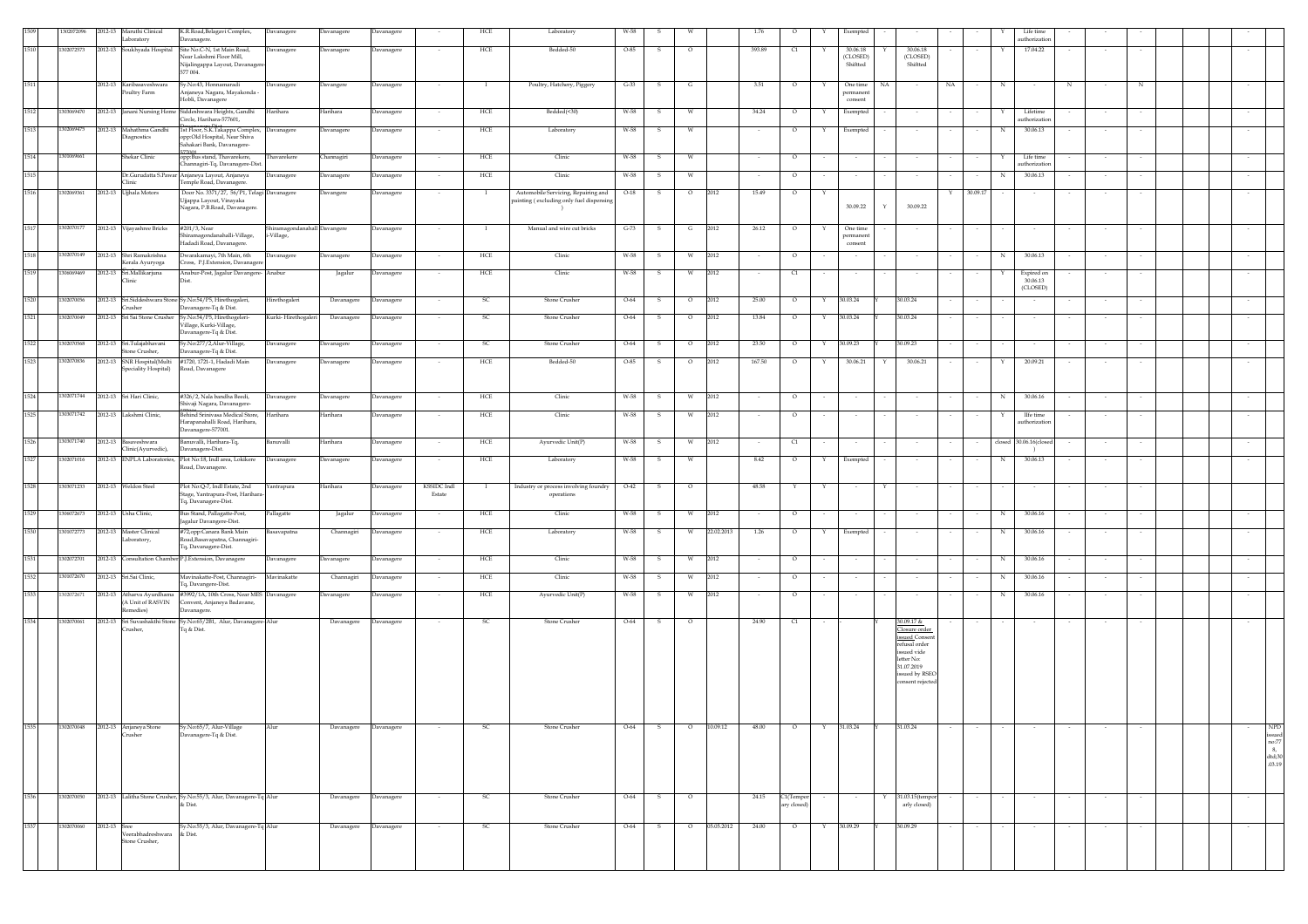| 1509 | 1302072096 | 2012-13      | Maruthi Clinical<br>aboratory                | K.R.Road, Belagavi Complex,<br>avanagere.                                                                       | Davanagere                                 | Davanagere            | Davanagere |                          | HCE          | Laboratory                                                                      | W-58   |              |         |            | 1.76   | $\circ$                  |        | Exempted                        |    |                                                                                                                                  |          |            | Life time<br>athorizatio           |                  |                          |        |  |                                                       |
|------|------------|--------------|----------------------------------------------|-----------------------------------------------------------------------------------------------------------------|--------------------------------------------|-----------------------|------------|--------------------------|--------------|---------------------------------------------------------------------------------|--------|--------------|---------|------------|--------|--------------------------|--------|---------------------------------|----|----------------------------------------------------------------------------------------------------------------------------------|----------|------------|------------------------------------|------------------|--------------------------|--------|--|-------------------------------------------------------|
| 1510 | 302072573  |              | 2012-13 Soukhyada Hospital                   | Site No.C-N, 1st Main Road,                                                                                     | Davanagere                                 | Davanagere            | Davanagere | $\sim$                   | HCE          | Bedded-50                                                                       | $O-85$ | s            | $\circ$ |            | 393.89 | C1                       |        | 30.06.18                        |    | 30,06.18                                                                                                                         |          | Y          | 17.04.22                           |                  | $\sim$                   |        |  | $\sim$                                                |
|      |            |              |                                              | Near Lakshmi Floor Mill,<br>Nijalingappa Layout, Davanagere<br>577 004.                                         |                                            |                       |            |                          |              |                                                                                 |        |              |         |            |        |                          |        | (CLOSED)<br>Shiftted            |    | (CLOSED)<br>Shiftted                                                                                                             |          |            |                                    |                  |                          |        |  |                                                       |
| 1511 |            |              | 2012-13 Karibasaveshwara<br>oultry Farm      | Sv.No:43. Honnamaradi<br>Anjaneya Nagara, Mayakonda -<br>Hobli, Davanagere                                      | Davanagere                                 | Davangere             | Davanagere | $\sim$                   | $\mathbf{I}$ | Poultry, Hatchery, Piggery                                                      | $G-33$ | - S          | G       |            | 3.51   | $\circ$                  | Y      | One time<br>permanen<br>consent | NA | NA                                                                                                                               | $\sim$   | N          | $\sim$                             | N                | $\sim$                   | N      |  |                                                       |
| 1512 | 1303069470 |              |                                              | 2012-13 Janani Nursing Home Siddeshwara Heights, Gandhi<br>Circle, Harihara-577601,                             | Harihara                                   | Harihara              | Davanagere |                          | ${\rm HCE}$  | Bedded(<30)                                                                     | W-58   | $\mathbf{s}$ | W       |            | 34.24  | $\circ$                  | Y      | Exempted                        |    |                                                                                                                                  |          | Y          | Lifetime<br>uthorizatio            |                  | $\sim$                   |        |  |                                                       |
| 1513 | 1302069475 | 2012-13      | Mahathma Gandhi<br>iagnostics                | 1st Floor, S.K.Takappa Complex, Davanagere<br>opp:Old Hospital, Near Shiva<br>ahakari Bank, Davanagere-         |                                            | <b>Davanagere</b>     | Davanagere |                          | ${\rm HCE}$  | Laboratory                                                                      | W-58   | s            | W       |            |        | $\circ$                  |        | Exempted                        |    |                                                                                                                                  |          | N          | 30.06.13                           |                  |                          |        |  |                                                       |
| 1514 | 301069661  |              | Shekar Clinic                                | 7001<br>opp:Bus stand, Thavarekere,                                                                             | Thavarekere                                | <b>Channagiri</b>     | Davanagere |                          | HCE          | Clinic                                                                          | W-58   | -S           | W       |            |        | $\circ$                  |        | $\sim$                          |    |                                                                                                                                  |          |            | Life time                          |                  |                          |        |  |                                                       |
| 1515 |            |              |                                              | Thannagiri-Tq, Davanagere-Dist.<br>Or.Gurudatta S.Pawar Anjaneya Layout, Anjaneya                               | Davanagere                                 | Javanagere            | Davanagere |                          | HCE          | Clinic                                                                          | W-58   | s            | W       |            |        | $\circ$                  |        | $\sim$                          |    |                                                                                                                                  |          |            | uthorizatic<br>30.06.13            |                  |                          |        |  |                                                       |
|      |            |              | <b>linic</b>                                 | Temple Road, Davanagere.                                                                                        |                                            |                       |            |                          |              |                                                                                 |        |              |         |            |        |                          |        |                                 |    |                                                                                                                                  |          |            |                                    |                  |                          |        |  |                                                       |
| 1516 | 1302069361 |              | 2012-13 Ujjhala Motors                       | Door No. 3371/27, 56/P1, Telagi Davanagere<br>Ujjappa Layout, Vinayaka<br>Nagara, P.B.Road, Davanagere.         |                                            | <b>Davangere</b>      | Davanagere |                          |              | Automobile Servicing, Repairing and<br>painting (excluding only fuel dispensing | $O-18$ | s            | $\circ$ | 2012       | 15.49  | $\circ$                  |        | 30.09.22                        | Y  | 30.09.22                                                                                                                         | 30.09.17 |            |                                    |                  |                          |        |  |                                                       |
| 1517 | 1302070177 |              | 2012-13 Vijayashree Bricks                   | #201/3, Near<br>hiramagondanahalli-Village,                                                                     | Shiramagondanahall Davangere<br>i-Village, |                       | Davanagere | $\sim$                   | $\mathbf{I}$ | Manual and wire cut bricks                                                      | $G-73$ | s            | G       | 2012       | 26.12  | $\circ$                  |        | One time<br>permanent           |    |                                                                                                                                  |          |            |                                    |                  |                          |        |  |                                                       |
| 1518 | 1302070149 |              | 2012-13 Shri Ramakrishna                     | Hadadi Road, Davanagere.<br>Dwarakamayi, 7th Main, 6th                                                          | Davanagere                                 | Davanagere            | Davanagere | $\sim$                   | HCE          | Clinic                                                                          | W-58   | $\mathbf{s}$ | W       | 2012       |        | $\circ$                  |        | consent<br>$\sim$               |    | $\sim$                                                                                                                           | $\sim$   | N          | 30.06.13                           |                  |                          |        |  | $\sim$                                                |
| 1519 | 1306069469 | 2012-13      | erala Ayuryoga<br>Sri.Mallikarjuna           | ross, P.J.Extension, Davanage                                                                                   |                                            |                       |            |                          |              | Clinic                                                                          | W-58   |              |         | 2012       |        |                          |        |                                 |    |                                                                                                                                  |          |            |                                    |                  |                          |        |  |                                                       |
|      |            |              | linic                                        | Anabur-Post, Jagalur Davangere- Anabur                                                                          |                                            | Jagalur               | Davanagere | $\sim$                   | ${\rm HCE}$  |                                                                                 |        | S.           | W       |            | $\sim$ | C1                       | $\sim$ | $\sim$                          |    | $\sim$                                                                                                                           | $\sim$   | Y          | Expired on<br>30.06.13<br>(CLOSED) |                  | $\sim$                   | $\sim$ |  | $\sim$                                                |
| 1520 | 1302070056 |              | rusher                                       | 2012-13 Sri.Siddeshwara Stone Sy.No:54/P5, Hirethogaleri,<br>Davanagere-Tq & Dist.                              | Hirethogaleri                              | Davanagere            | Davanagere |                          | SC           | Stone Crusher                                                                   | $O-64$ | s            | $\circ$ | 2012       | 25.00  | $\circ$                  |        | 30.03.24                        |    | 30.03.24                                                                                                                         |          |            |                                    |                  |                          |        |  |                                                       |
| 1521 | 1302070049 |              |                                              | 2012-13 Sri Sai Stone Crusher Sy.No:54/P5, Hirethogeleri-<br>Village, Kurki-Village,<br>Davanagere-Tq & Dist.   | Kurki-Hirethogaleri                        | Davanagere            | Davanagere | $\sim$                   | SC.          | Stone Crusher                                                                   | O-64   | -S           | $\circ$ | 2012       | 13.84  | $\circ$                  | Y      | 30.03.24                        |    | 30.03.24                                                                                                                         |          |            |                                    |                  |                          |        |  |                                                       |
| 1522 | 1302070568 |              | 2012-13 Sri.Tulajabhavani<br>tone Crusher,   | Sy.No:277/2,Alur-Village,<br>avanagere-Tq & Dist.                                                               | Davanagere                                 | <b>Davanagere</b>     | Davanagere |                          | SC           | Stone Crusher                                                                   | $O-64$ | s            | $\circ$ | 2012       | 23.50  | $\circ$                  | Y      | 30.09.23                        |    | 30.09.23                                                                                                                         |          |            |                                    |                  |                          |        |  |                                                       |
| 1523 | 1302070836 | 2012-13      | SNR Hospital(Multi<br>peciality Hospital)    | #1720, 1721-1, Hadadi Main<br>Road, Davanagere                                                                  | Davanagere                                 | Javanagere            | Davanagere |                          | HCE          | Bedded-50                                                                       | $O-85$ | s            | $\circ$ | 2012       | 167.50 | $\circ$                  | Y      | 30.06.21                        | Y  | 30.06.21                                                                                                                         |          | Y          | 20.09.21                           |                  |                          |        |  |                                                       |
| 1524 | 1302071744 |              | 2012-13 Sri Hari Clinic,                     | #326/2, Nala bandha Beedi,<br>Shivaji Nagara, Davanagere-                                                       | Davanagere                                 | Davanagere            | Davanagere | $\sim$                   | HCE          | Clinic                                                                          | W-58   | - S          | W       | 2012       |        | $\circ$                  |        | $\sim$                          |    |                                                                                                                                  |          | $_{\rm N}$ | 30.06.16                           |                  |                          | $\sim$ |  |                                                       |
| 1525 | 1303071742 |              | 2012-13 Lakshmi Clinic,                      | Behind Srinivasa Medical Store,<br>Harapanahalli Road, Harihara,<br>Davanagere-577001.                          | Harihara                                   | Harihara              | Davanagere | $\sim$                   | ${\rm HCE}$  | Clinic                                                                          | W-58   | s            | W       | 2012       | $\sim$ | $\circ$                  |        | $\sim$                          |    |                                                                                                                                  |          | Y          | IIfe time<br>uthorizatio           |                  | $\overline{\phantom{a}}$ | $\sim$ |  |                                                       |
| 1526 | 1303071740 | 2012-13      | Basaveshwara<br>linic(Ayurvedic),            | anuvalli, Harihara-Tq,<br>Davanagere-Dist.                                                                      | Banuvalli                                  | Harihara              | Davanagere |                          | HCE          | Ayurvedic Unit(P)                                                               | W-58   | s            | W       | 2012       |        | C1                       |        | $\sim$                          |    |                                                                                                                                  |          | closed     | 30.06.16(close<br>$\rightarrow$    |                  |                          |        |  |                                                       |
| 1527 | 302071016  | 2012-13      | ENPLA Laboratories,                          | Plot No:18, Indl area, Lokikere<br>Road, Davanagere.                                                            | Davanagere                                 | Davanagere            | Davanagere | $\sim$                   | HCE          | Laboratory                                                                      | W-58   | -S           | W       |            | 8.42   | $\circ$                  | Y      | Exempted                        |    | $\sim$                                                                                                                           |          | N          | 30.06.13                           |                  |                          |        |  |                                                       |
| 1528 | 1303071233 |              | 2012-13 Weldon Steel                         | Plot No:Q-7, Indl Estate, 2nd<br>Stage, Yantrapura-Post, Harihara-                                              | Yantrapura                                 | Harihara              | Davanagere | KSSIDC Indl<br>Estate    | $\mathbf{I}$ | Industry or process involving foundry<br>operations                             | $O-42$ | $\mathbf{s}$ | $\circ$ |            | 48.58  | Y                        | Y      | $\sim$                          | Y  | $\sim$                                                                                                                           | $\sim$   |            |                                    |                  | $\sim$                   | $\sim$ |  |                                                       |
| 1529 | 1306072673 | 2012-13      | Usha Clinic,                                 | Tq, Davanagere-Dist.<br>Bus Stand, Pallagatte-Post,                                                             | Pallagatte                                 | Jagalur               | Davanagere |                          | HCE          | Clinic                                                                          | W-58   |              | W       | 2012       |        | $\circ$                  |        |                                 |    |                                                                                                                                  |          | N          | 30.06.16                           |                  |                          |        |  |                                                       |
| 1530 | 1301072773 |              | 2012-13 Master Clinical<br>Laboratory,       | agalur Davangere-Dist.<br>#72,opp:Canara Bank Main<br>Road, Basavapatna, Channagiri-<br>Tq, Davanagere-Dist.    | Basavapatna                                | Channagiri            | Davanagere |                          | HCE          | Laboratory                                                                      | W-58   | -S           | W       | 22.02.2013 | 1.26   | $\circ$                  | Y      | Exempted                        |    |                                                                                                                                  |          | N          | 30.06.16                           |                  |                          |        |  |                                                       |
| 1531 | 1302072701 | 2012-13      |                                              | 'onsultation Chamber P.J.Extension, Davanagere                                                                  | Davanagere                                 | Javanagere            | Davanagere |                          | HCE          | Clinic                                                                          | W-58   | s            | W       | 2012       |        | $\circ$                  |        | $\sim$                          |    |                                                                                                                                  |          | N          | 30.06.16                           |                  |                          |        |  |                                                       |
| 1532 | 1301072670 |              | 2012-13 Sri.Sai Clinic,                      | Mavinakatte-Post, Channagiri-                                                                                   | Mavinakatte                                | Channagiri            | Davanagere |                          | HCE          | Clinic                                                                          | W-58   | s            | W       | 2012       |        | $\circ$                  |        | $\sim$                          |    |                                                                                                                                  |          | N          | 30.06.16                           |                  |                          |        |  |                                                       |
| 1533 | 1302072671 | 2012-13      |                                              | 'q, Davangere-Dist.<br>Atharva Ayurdhama #3992/1A, 10th Cross, Near MES Davanagere                              |                                            | Davanagere            | Davanagere | $\sim$                   | HCE          | Ayurvedic Unit(P)                                                               | W-58   | s            | W       | 2012       | $\sim$ | $\circ$                  |        | $\sim$                          |    | $\sim$                                                                                                                           |          | N          | 30.06.16                           |                  |                          |        |  |                                                       |
| 1534 | 1302070061 |              | A Unit of RASVIN<br>emedies)                 | Convent, Anjaneya Badavane,<br>Davanagere.<br>2012-13 Sri Suvashakthi Stone Sy.No:65/2B1, Alur, Davanagere-Alur |                                            | Davanagere            | Davanagere | $\overline{\phantom{a}}$ | -SC          | Stone Crusher                                                                   | $O-64$ | s.           | $\circ$ |            | 24.90  | C1                       |        |                                 |    | 30.09.17 &                                                                                                                       | $\sim$   |            |                                    |                  |                          |        |  |                                                       |
|      |            |              | rusher,                                      | Tq & Dist.                                                                                                      |                                            |                       |            |                          |              |                                                                                 |        |              |         |            |        |                          |        |                                 |    | Closure order<br>issued Consen<br>refusal order<br>issued vide<br>letter No:<br>31.07.2019<br>issued by RSEO<br>consent rejected |          |            |                                    |                  |                          |        |  |                                                       |
| 1535 |            |              | 1302070048 2012-13 Anjaneya Stone<br>Crusher | Sy.No:65/7, Alur-Village<br>Davanagere-Tq & Dist.                                                               | Alur                                       | Davanagere Davanagere |            | $\sim$ $\sim$            | SC           | Stone Crusher                                                                   | $O-64$ | - s          | $\circ$ | 10.09.12   | 48.00  | $\overline{\phantom{0}}$ |        | Y 31.03.24 Y 31.03.24           |    | $\sim$                                                                                                                           | $\sim$   |            | $\sim$ 100 $\mu$                   | $\sim$ 100 $\mu$ | $\sim$                   |        |  | NPD                                                   |
|      |            |              |                                              |                                                                                                                 |                                            |                       |            |                          |              |                                                                                 |        |              |         |            |        |                          |        |                                 |    |                                                                                                                                  |          |            |                                    |                  |                          |        |  | $_{\rm no:77}^{\rm issued}$<br>8,<br>dtd;30<br>.03.19 |
| 1536 | 1302070050 |              |                                              | 2012-13 Lalitha Stone Crusher, Sy.No:55/3, Alur, Davanagere-Tq Alur<br>& Dist.                                  |                                            | Davanagere Davanagere |            |                          | SC           | Stone Crusher                                                                   | $O-64$ | $\mathbf{S}$ | $\circ$ |            | 24.15  | C1(Tempor<br>ary closed) |        |                                 |    | 31.03.15(tempor<br>arly closed)                                                                                                  |          |            |                                    |                  |                          |        |  | $\sim$                                                |
| 1537 | 1302070060 | 2012-13 Sree |                                              | Sy.No:55/3, Alur, Davanagere-Tq Alur                                                                            |                                            | Davanagere            | Davanagere |                          | SC           | Stone Crusher                                                                   | $O-64$ | s            | $\circ$ | 05.05.2012 | 24.00  | $\circ$                  |        | 30.09.29                        |    | 30.09.29                                                                                                                         |          |            |                                    |                  |                          |        |  |                                                       |
|      |            |              | Veerabhadreshwara & Dist.<br>Stone Crusher.  |                                                                                                                 |                                            |                       |            |                          |              |                                                                                 |        |              |         |            |        |                          |        |                                 |    |                                                                                                                                  |          |            |                                    |                  |                          |        |  |                                                       |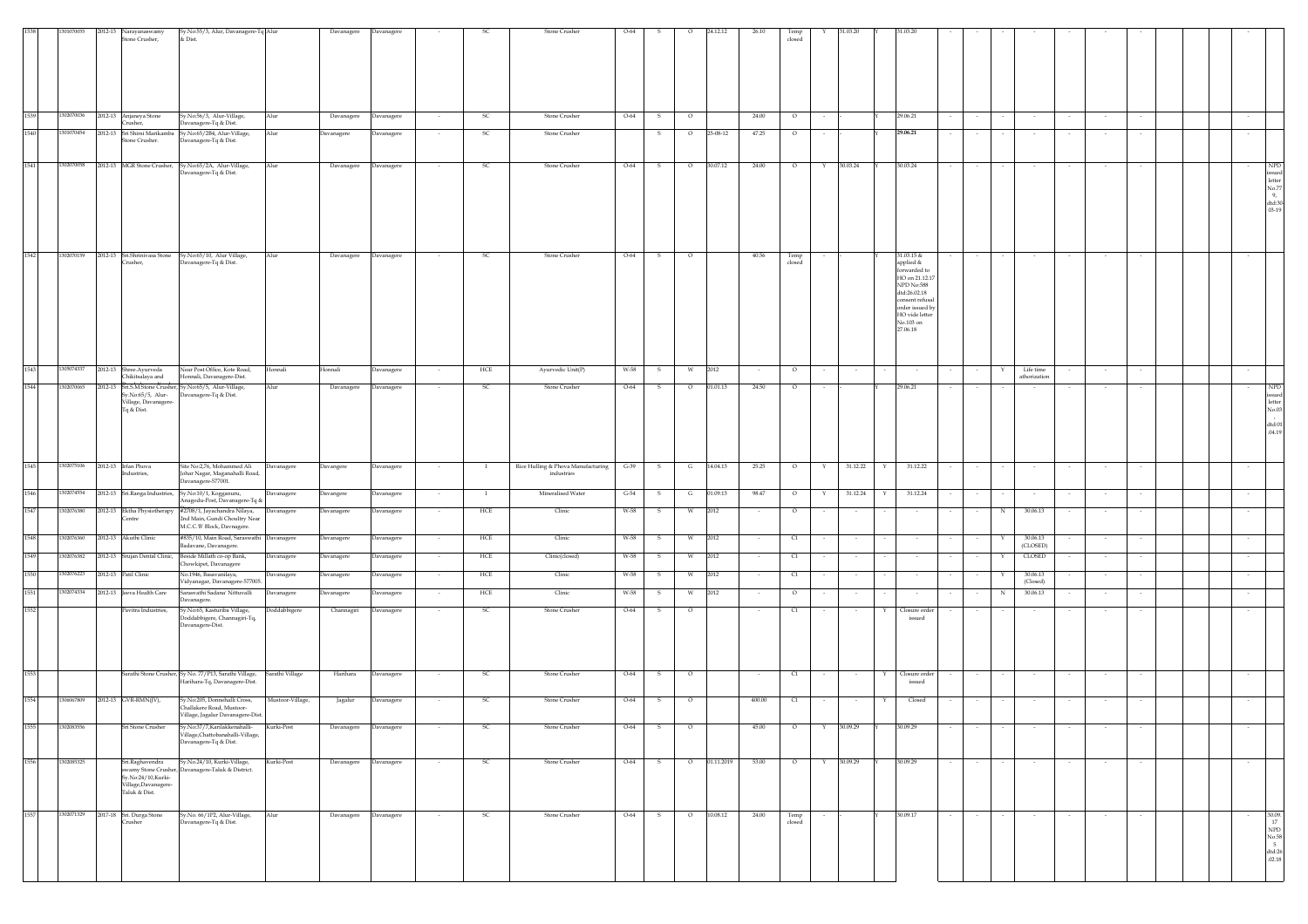|      |            | 2012-13 | Narayanaswamy                                                                 | Sy.No:55/3, Alur, Davanagere-Tq Alur                                                                                                       |                  | Davanagere            | Davanagere |                          |               | <b>Stone Crusher</b>                             | $O-64$ |              | $\circ$ | 24.12.12   | 26.10  | Temp                             |                          | 31.03.20 |   | 31.03.20                                                                                                                                                  |        |   |                           |        |                          |        |  |        |                                                                                         |
|------|------------|---------|-------------------------------------------------------------------------------|--------------------------------------------------------------------------------------------------------------------------------------------|------------------|-----------------------|------------|--------------------------|---------------|--------------------------------------------------|--------|--------------|---------|------------|--------|----------------------------------|--------------------------|----------|---|-----------------------------------------------------------------------------------------------------------------------------------------------------------|--------|---|---------------------------|--------|--------------------------|--------|--|--------|-----------------------------------------------------------------------------------------|
|      |            |         | Stone Crusher,                                                                | & Dist.                                                                                                                                    |                  |                       |            |                          |               |                                                  |        |              |         |            |        | closed                           |                          |          |   |                                                                                                                                                           |        |   |                           |        |                          |        |  |        |                                                                                         |
| 1539 | 1302070036 |         | 2012-13 Anjaneya Stone                                                        | Sy.No:56/3, Alur-Village,                                                                                                                  | Alur             | Davanagere            | Davanagere |                          | <sub>SC</sub> | <b>Stone Crusher</b>                             | O-64   | - S          | $\circ$ |            | 24.00  | $\circ$                          |                          |          |   | 29.06.21                                                                                                                                                  |        |   |                           |        |                          |        |  |        |                                                                                         |
| 1540 | 1301070454 | 2012-13 | rusher,<br>Sri Shirsi Marikamba                                               | Davanagere-Tq & Dist.<br>Sy.No:65/2B4, Alur-Village,                                                                                       | Alur             | Davanagere            | Davanagere |                          | SC            | Stone Crusher                                    |        | s            | $\circ$ | 25-08-12   | 47.25  | $\circ$                          |                          |          |   | 29.06.21                                                                                                                                                  |        |   |                           |        |                          |        |  | $\sim$ |                                                                                         |
|      |            |         | tone Crusher.                                                                 | Davanagere-Tq & Dist.                                                                                                                      |                  |                       |            |                          |               |                                                  |        |              |         |            |        |                                  |                          |          |   |                                                                                                                                                           |        |   |                           |        |                          |        |  |        |                                                                                         |
| 1541 | 1302070058 |         | 2012-13 MGR Stone Crusher,                                                    | Sy.No:65/2A, Alur-Village,<br>avanagere-Tq & Dist.                                                                                         | Alur             | Davanagere            | Davanagere |                          | SC            | Stone Crusher                                    | $O-64$ | s            | $\circ$ | 30.07.12   | 24.00  | $\circ$                          | Y                        | 30.03.24 |   | 30.03.24                                                                                                                                                  |        |   |                           |        |                          |        |  |        | <b>NPD</b><br>issued<br>letter<br>No.77<br>9,<br>${\rm d} {\rm td}$ :30 $\,$ 03-19 $\,$ |
| 1542 | 1302070159 |         | 2012-13 Sri.Shrinivasa Stone                                                  | Sy.No:65/10, Alur Village,                                                                                                                 | Alur             | Davanagere            | Davanagere |                          | SC            | <b>Stone Crusher</b>                             | O-64   | s            | $\circ$ |            | 40.56  | Temp<br>closed                   |                          |          |   | 31.03.15 &                                                                                                                                                |        |   |                           |        |                          |        |  |        |                                                                                         |
|      |            |         | Crusher,                                                                      | Davanagere-Tq & Dist.                                                                                                                      |                  |                       |            |                          |               |                                                  |        |              |         |            |        |                                  |                          |          |   | applied &<br>orwarded to<br>HO on 21.12.17<br>NPD No:588<br>dtd:26.02.18<br>consent refusal<br>order issued by<br>HO vide letter<br>No.103 on<br>27.06.18 |        |   |                           |        |                          |        |  |        |                                                                                         |
| 1543 | 305074337  | 2012-13 | Shree.Ayurveda<br>Chikitsalaya and                                            | Near Post Office, Kote Road,<br>Honnali, Davanagere-Dist.                                                                                  | Honnali          | Ionnali               | Davanagere |                          | HCE           | Ayurvedic Unit(P)                                | W-58   | s            | W       | 2012       |        | $\circ$                          |                          | $\sim$   |   |                                                                                                                                                           |        |   | Life time<br>athorization |        | $\overline{\phantom{a}}$ |        |  |        |                                                                                         |
| 1544 | 1302070065 |         | y.No:65/5, Alur-<br>Village, Davanagere<br>Tq & Dist.                         | 2012-13 Sri.S.M.Stone Crusher, Sy.No:65/5, Alur-Village,<br>avanagere-Tq & Dist.                                                           | Alur             | Davanagere            | Davanagere |                          | <sub>SC</sub> | Stone Crusher                                    | $O-64$ | s            | $\circ$ | 01.01.13   | 24.50  | $\circ$                          |                          |          |   | 29.06.21                                                                                                                                                  |        |   |                           |        |                          |        |  |        | <b>NPD</b><br>sued<br>letter<br>No.03<br>dtd:01<br>.04.19                               |
| 1545 | 1302075106 |         | 2012-13 Irfan Phova<br>ndustries,                                             | Site No:2,76, Mohammed Ali<br>Johar Nagar, Maganahalli Road,<br>Davanagere-577001.                                                         | Davanagere       | Davangere             | Davanagere |                          |               | Rice Hulling & Phova Manufacturing<br>industries | $G-39$ | $\,$ s       | G       | 14.04.13   | 25.25  | $\circ$                          | Y                        | 31.12.22 |   | 31.12.22                                                                                                                                                  |        |   |                           |        |                          |        |  |        |                                                                                         |
| 1546 | 1302074554 |         |                                                                               | 2012-13 Sri.Ranga Industries, Sy.No:10/1, Kogganuru,<br>Anagodu-Post, Davanagere-Tq &                                                      | Davanagere       | Davangere             | Davanagere | $\sim$                   | $\mathbf{I}$  | Mineralised Water                                | $G-54$ | - S          | G       | 01.09.13   | 98.47  | $\circ$                          | Y                        | 31.12.24 | Y | 31.12.24                                                                                                                                                  | $\sim$ |   | $\sim$                    |        | $\sim$                   | $\sim$ |  | $\sim$ |                                                                                         |
| 1547 | 302076380  |         | 2012-13 Ektha Physiotherapy<br>entre                                          | #2708/1, Jayachandra Nilaya,<br>2nd Main, Gundi Choultry Near                                                                              | Davanagere       | <b>Davanagere</b>     | Davanagere |                          | HCE           | Clinic                                           | W-58   | s            | W       | 2012       |        | $\circ$                          |                          | $\sim$   |   |                                                                                                                                                           |        | N | 30.06.13                  |        |                          |        |  |        |                                                                                         |
| 1548 | 1302076360 | 2012-13 | Akuthi Clinic                                                                 | M.C.C.'B' Block, Davnagere.<br>#835/10, Main Road, Saraswathi Davanagere                                                                   |                  | <b>Davanagere</b>     | Davanagere |                          | HCE           | Clinic                                           | W-58   |              | W       | 2012       |        | C1                               |                          |          |   |                                                                                                                                                           |        |   | 30.06.13                  |        |                          |        |  |        |                                                                                         |
| 1549 | 1302076382 | 2012-13 | Srujan Dental Clinic,                                                         | Badavane, Davanagere.<br>Beside Millath co-op Bank,                                                                                        | Davanagere       | <b>Davanagere</b>     | Davanagere |                          | HCE           | Clinic(closed)                                   | W-58   | s            | W       | 2012       |        | C1                               |                          | $\sim$   |   |                                                                                                                                                           |        |   | (CLOSED)<br>CLOSED        |        |                          |        |  | $\sim$ |                                                                                         |
| 1550 | 1302076223 | 012-13  | Patil Clinic                                                                  | howkipet, Davanagere<br>vo.1946, Basavanilaya,                                                                                             | Davanagere       | <b>Davanagere</b>     | Davanagere |                          | HCE           | Clinic                                           | W-58   | -S           | W       | 2012       | $\sim$ | C1                               | $\sim$                   | $\sim$   |   | $\sim$                                                                                                                                                    | $\sim$ | x | 30.06.13                  |        | $\sim$                   | $\sim$ |  | $\sim$ |                                                                                         |
| 1551 | 1302074334 | 2012-13 | Jeeva Health Care                                                             | Vidyanagar, Davanagere-577005.<br>rasvathi Sadana' Nittuvalli                                                                              | Davanagere       | Javanagere            | Davanagere |                          | HCE           | Clinic                                           | W-58   | 5            | W       | 2012       |        | $\circ$                          |                          |          |   |                                                                                                                                                           |        |   | (Closed)<br>30.06.13      |        |                          |        |  |        |                                                                                         |
| 1552 |            |         | Pavitra Industries,                                                           | Javanagere.<br>Sy.No:65, Kasturiba Village,                                                                                                | Doddabbigere     | Channagiri            | Davanagere |                          | SC            | Stone Crusher                                    | O-64   |              |         |            |        | C1                               |                          |          |   | Closure order                                                                                                                                             |        |   |                           |        |                          |        |  |        |                                                                                         |
| 1553 |            |         |                                                                               | oddabbigere, Channagiri-Tq,<br>Davanagere-Dist.<br>Sarathi Stone Crusher, Sy No. 77/P13, Sarathi Village,<br>Harihara-Tq, Davanagere-Dist. | Sarathi Village  | Harihara              | Davanagere | $\sim$                   | SC            | Stone Crusher                                    | $O-64$ | s            | $\circ$ |            |        | $\begin{array}{c} 1 \end{array}$ |                          | $\sim$   | Y | issued<br>Closure order<br>issued                                                                                                                         | $\sim$ |   | $\sim$                    | $\sim$ | $\sim$                   | $\sim$ |  | $\sim$ |                                                                                         |
| 1554 | 1306067809 |         | 2012-13 GVR-RMN(JV),                                                          | Sy.No:205, Donnehalli Cross,                                                                                                               | Mustoor-Village, | Jagalur               | Davanagere |                          | <sub>SC</sub> | <b>Stone Crusher</b>                             | $O-64$ | s            | $\circ$ |            | 400.00 | C1                               | $\overline{\phantom{a}}$ | $\sim$   | Y | Closed                                                                                                                                                    |        |   |                           |        |                          |        |  | $\sim$ |                                                                                         |
|      |            |         |                                                                               | Challakere Road, Mustoor-<br>Village, Jagalur Davanagere-Dist.                                                                             |                  |                       |            |                          |               |                                                  |        |              |         |            |        |                                  |                          |          |   |                                                                                                                                                           |        |   |                           |        |                          |        |  |        |                                                                                         |
| 1555 | 1302083556 |         | Sri Stone Crusher                                                             | Sy.No:37/7,Karilakkenahalli-<br>Village, Chattobanahalli-Village,<br>Davanagere-Tq & Dist.                                                 | Kurki-Post       | Davanagere            | Davanagere |                          | SC            | Stone Crusher                                    | $O-64$ | S            | $\circ$ |            | 45.00  | $\circ$                          | Y                        | 30.09.29 |   | 30.09.29                                                                                                                                                  |        |   |                           |        |                          |        |  |        |                                                                                         |
| 1556 | 1302085325 |         | Sri.Raghavendra<br>Sy.No:24/10,Kurki-<br>Village,Davanagere-<br>Taluk & Dist. | Sy.No.24/10, Kurki-Village,<br>swamy Stone Crusher, Davanagere-Taluk & District.                                                           | Kurki-Post       | Davanagere            | Davanagere | $\overline{\phantom{a}}$ | <sub>SC</sub> | Stone Crusher                                    | $O-64$ | s            | $\circ$ | 01.11.2019 | 53.00  | $\circ$                          | Y                        | 30.09.29 |   | 30.09.29                                                                                                                                                  |        |   |                           |        |                          |        |  |        |                                                                                         |
| 1557 | 1302071329 |         | 2017-18 Sri. Durga Stone<br>Crusher                                           | Sy.No. 66/1P2, Alur-Village,<br>Davanagere-Tq & Dist.                                                                                      | Alur             | Davanagere Davanagere |            |                          | SC            | Stone Crusher                                    | O-64   | $\mathbf{s}$ | $\circ$ | 10.08.12   | 24.00  | Temp<br>closed                   |                          |          |   | 30.09.17                                                                                                                                                  |        |   |                           |        |                          |        |  |        | $\frac{30.09}{17}$<br>$\ensuremath{\mathsf{NPD}}$<br>No.58<br>5<br>$dtd:26$<br>.02.18   |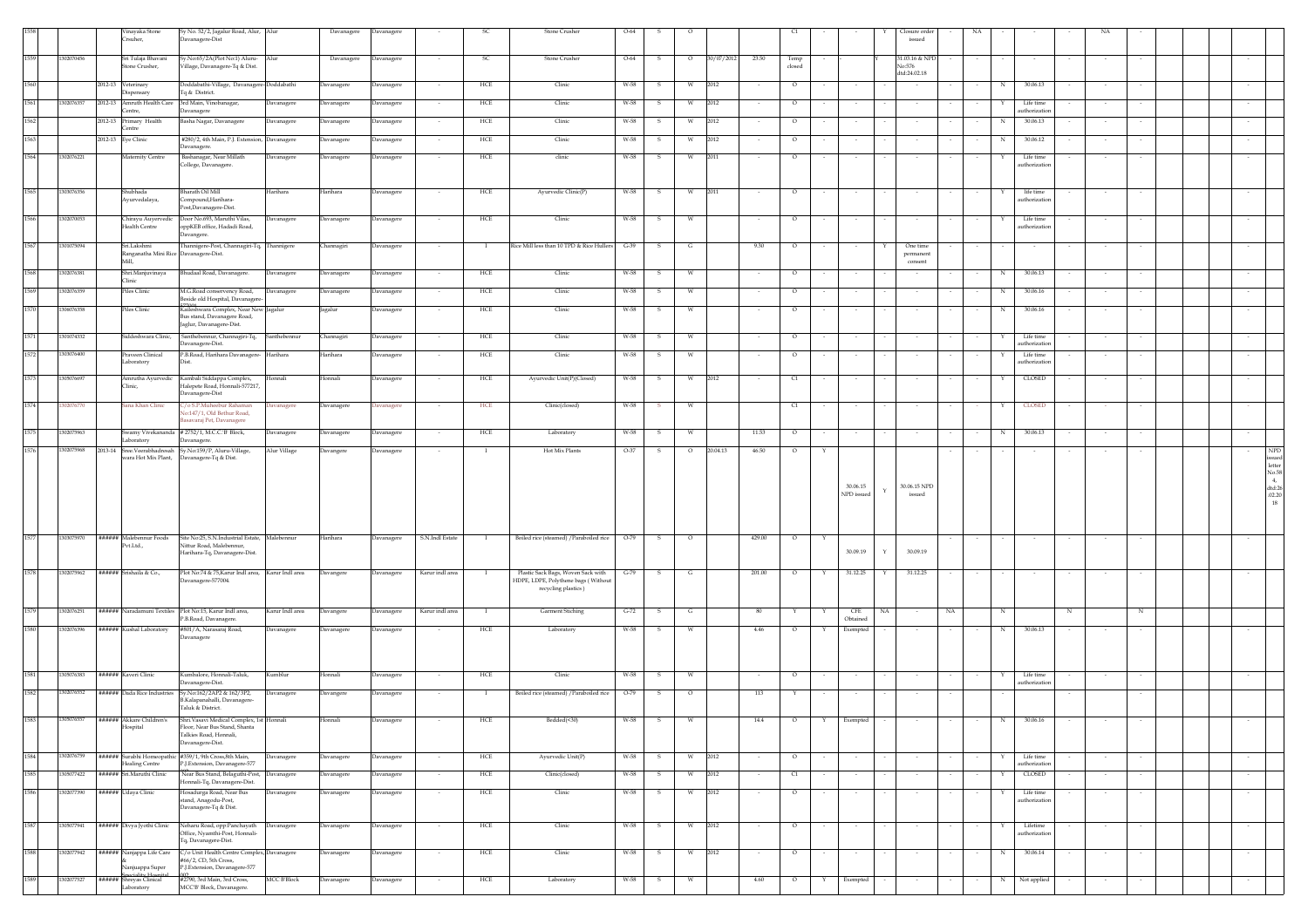|      |            | Vinayaka Stone<br>rsuher,                                                      | Sy No. 52/2, Jagalur Road, Alur, Alur<br>Davanagere-Dist                                                   |                    | Davanagere | <b>Davanagere</b> |                 |              | Stone Crusher                                                                                    | 0-64   |              |         |            |          |                |        |                          |              | losure orde<br>issued            |        |              |                           |   |                          |        |  |        |                                                      |
|------|------------|--------------------------------------------------------------------------------|------------------------------------------------------------------------------------------------------------|--------------------|------------|-------------------|-----------------|--------------|--------------------------------------------------------------------------------------------------|--------|--------------|---------|------------|----------|----------------|--------|--------------------------|--------------|----------------------------------|--------|--------------|---------------------------|---|--------------------------|--------|--|--------|------------------------------------------------------|
| 1559 | 1302070456 | Sri Tulaja Bhavani<br>Stone Crusher,                                           | Sy.No:65/2A(Plot No:1) Aluru-<br>Village, Davanagere-Tq & Dist.                                            | Alur               | Davanagere | Davanagere        |                 | <b>SC</b>    | <b>Stone Crusher</b>                                                                             | $O-64$ | -S           | $\circ$ | 30/07/2012 | 23.50    | Temp<br>closed |        |                          |              | 31.03.16 & NPD<br>No:576         |        |              |                           |   |                          |        |  |        |                                                      |
| 1560 |            | 2012-13 Veterinary<br>Dispensary                                               | Doddabathi-Village, Davanagere-Doddabathi<br>Tq & District.                                                |                    | Davanagere | Davanagere        | $\sim$          | HCE          | Clinic                                                                                           | W-58   | s            | W       | 2012       |          | $\circ$        |        | $\sim$                   |              | dtd:24.02.18                     |        | N            | 30.06.13                  |   |                          |        |  | $\sim$ |                                                      |
| 1561 | 1302076357 | 2012-13 Amruth Health Care                                                     | 3rd Main, Vinobanagar,                                                                                     | Davanagere         | Davanagere | Davanagere        | $\sim$          | HCE          | Clinic                                                                                           | W-58   | s            | W       | 2012       | $\sim$   | $\circ$        |        | $\sim$                   |              |                                  |        | Y            | Life time                 |   |                          |        |  | $\sim$ |                                                      |
|      |            | Centre,                                                                        | Davanagere                                                                                                 |                    |            |                   |                 |              |                                                                                                  |        |              |         |            |          |                |        |                          |              |                                  |        |              | uthorizatic               |   |                          |        |  |        |                                                      |
| 1562 |            | 2012-13 Primary Health<br>Centre                                               | Basha Nagar, Davanagere                                                                                    | Davanagere         | Davanagere | Davanagere        | $\sim$          | HCE          | Clinic                                                                                           | W-58   | s            | W       | 2012       | $\sim$   | $\circ$        | $\sim$ | $\sim$                   |              | $\sim$                           | $\sim$ | N            | 30.06.13                  |   | $\sim$                   | $\sim$ |  | $\sim$ |                                                      |
| 1563 |            | 2012-13 Eye Clinic                                                             | #280/2, 4th Main, P.J. Extension,                                                                          | Davanagere         | Davanagere | <b>Davanagere</b> | $\sim$          | ${\rm HCE}$  | Clinic                                                                                           | W-58   | s            | W       | 2012       | $\sim$   | $\circ$        |        | $\sim$                   |              | $\sim$                           |        | N            | 30.06.12                  |   | $\sim$                   | $\sim$ |  | $\sim$ |                                                      |
|      |            |                                                                                | Davanagere.                                                                                                |                    |            |                   |                 |              |                                                                                                  |        |              |         |            |          |                |        |                          |              |                                  |        |              |                           |   |                          |        |  |        |                                                      |
| 1564 | 1302076221 | Maternity Centre                                                               | Bashanagar, Near Millath<br>College, Davanagere.                                                           | <b>Davanagere</b>  | Davanagere | <b>Davanagere</b> |                 | ${\rm HCE}$  | $_{\rm{clinic}}$                                                                                 | W-58   | s            | W       | 2011       |          | $\circ$        |        | $\sim$                   |              |                                  |        |              | Life time<br>uthorizatio  |   |                          |        |  |        |                                                      |
| 1565 | 1303076356 | ihubhada<br>Ayurvedalaya,                                                      | harath Oil Mill<br>Compound, Harihara-<br>Post,Davanagere-Dist.                                            | <b>Jarihara</b>    | Harihara   | <b>Davanagere</b> |                 | HCE          | Ayurvedic Clinic(P)                                                                              | W-58   | s            | W       | 2011       |          | $\circ$        |        |                          |              |                                  |        |              | life time<br>uthorizatic  |   |                          |        |  |        |                                                      |
| 1566 | 1302070053 | Chirayu Auyervedic<br>Health Centre                                            | Door No.693, Maruthi Vilas,<br>pppKEB office, Hadadi Road,<br>Davangere.                                   | Davanagere         | Davanagere | Davanagere        | $\sim$          | HCE          | Clinic                                                                                           | W-58   | s.           | w       |            | $\sim$   | $\circ$        |        | $\sim$                   |              |                                  |        | Y            | Life time<br>uthorizatic  |   |                          |        |  |        |                                                      |
| 1567 | 301075094  | Sri.Lakshmi<br>Ranganatha Mini Rice Davanagere-Dist.<br>Mill.                  | Thannigere-Post, Channagiri-Tq,                                                                            | Thannigere         | Channagiri | <b>Davanagere</b> |                 | $\mathbf{I}$ | Rice Mill less than 10 TPD & Rice Hullers                                                        | $G-39$ | s.           | G       |            | 9.30     | $\circ$        |        | $\sim$                   |              | One time<br>permanent<br>consent |        |              |                           |   | $\sim$                   | $\sim$ |  | $\sim$ |                                                      |
| 1568 | 1302076381 | Shri.Manjuvinaya<br>Clinic                                                     | Bhudaal Road, Davanagere.                                                                                  | Davanagere         | Davanagere | Davanagere        |                 | HCE          | Clinic                                                                                           | W-58   | s            |         |            |          | $\circ$        |        |                          |              |                                  |        | N            | 30.06.13                  |   |                          |        |  |        |                                                      |
| 1569 | 1302076359 | Piles Clinic                                                                   | M.G.Road conservency Road,                                                                                 | Davanagere         | Davanagere | Davanagere        |                 | HCE          | Clinic                                                                                           | W-58   | s.           | W       |            |          | $\circ$        |        |                          |              |                                  |        | N            | 30.06.16                  |   |                          |        |  |        |                                                      |
|      |            |                                                                                | Beside old Hospital, Davanagere                                                                            |                    |            |                   |                 |              |                                                                                                  |        |              |         |            |          |                |        |                          |              |                                  |        |              |                           |   |                          |        |  |        |                                                      |
| 1570 | 1306076358 | Piles Clinic                                                                   | Kaileshwara Complex, Near New Jagalur<br>Bus stand, Davanagere Road,<br>Jaglur, Davanagere-Dist.           |                    | Jagalur    | Davanagere        |                 | HCE          | Clinic                                                                                           | W-58   | s.           | W       |            |          | $\circ$        |        |                          |              |                                  |        | N            | 30.06.16                  |   |                          |        |  |        |                                                      |
| 1571 | 1301074332 | Siddeshwara Clinic,                                                            | Santhebennur, Channagiri-Tq,<br>Davanagere-Dist.                                                           | ianthebennur       | Channagiri | <b>Davanagere</b> | $\sim$          | HCE          | Clinic                                                                                           | $W-58$ | s            | W       |            | $\sim$   | $\circ$        |        | $\sim$                   |              |                                  |        |              | Life time<br>athorizatio  |   |                          |        |  |        |                                                      |
| 1572 | 303076400  | Praveen Clinical<br>aboratory                                                  | P.B.Road, Harihara Davanagere-<br>)ist.                                                                    | Harihara           | Harihara   | <b>Davanagere</b> |                 | HCE          | Clinic                                                                                           | W-58   | s            | W       |            |          | $\circ$        |        |                          |              |                                  |        | Y            | Life time<br>uthorizatic  |   |                          |        |  |        |                                                      |
| 1573 | 1305076697 | Amrutha Ayurvedic<br>Clinic,                                                   | Kambali Siddappa Complex,<br>Halepete Road, Honnali-577217,                                                | Ionnali            | Honnali    | <b>Davanagere</b> |                 | ${\rm HCE}$  | Ayurvedic Unit(P)(Closed)                                                                        | W-58   | s            | W       | 2012       | $\sim$   | C1             |        | $\sim$                   |              |                                  |        | Y            | CLOSED                    |   | $\overline{\phantom{a}}$ |        |  | $\sim$ |                                                      |
| 1574 | 02076770   | Sana Khan Clinic                                                               | Davanagere-Dist<br>C/o S.P.Muheebur Rahaman<br>lo:147/1, Old Bethur Road,                                  | avanagere          | Davanagere | <b>Davanagere</b> | $\sim$          | HCE          | Clinic(closed)                                                                                   | W-58   | - S          | W       |            |          | C1             |        | $\sim$                   |              |                                  |        | Y            | <b>CLOSED</b>             |   |                          |        |  |        |                                                      |
|      |            |                                                                                | savaraj Pet, Davanagere                                                                                    |                    |            |                   |                 |              |                                                                                                  |        |              |         |            |          |                |        |                          |              |                                  |        |              |                           |   |                          |        |  |        |                                                      |
| 1575 | 1302075963 | Laboratory                                                                     | Swamy Vivekananda # 2752/1, M.C.C.'B' Block,<br>Davanagere.                                                | Davanagere         | Davanagere | <b>Javanagere</b> |                 | HCE          | Laboratory                                                                                       | W-58   | s            | W       |            | 11.53    | $\circ$        |        |                          |              |                                  |        | N            | 30.06.13                  |   |                          |        |  |        |                                                      |
| 1576 | 1302075968 | 2013-14 Sree.Veerabhadresah Sy.No:159/P, Aluru-Village,<br>wara Hot Mix Plant, | Davanagere-Tq & Dist.                                                                                      | Alur Village       | Davangere  | Davanagere        |                 |              | Hot Mix Plants                                                                                   | $O-37$ |              | $\circ$ | 20.04.13   | 46.50    | $\circ$        |        |                          |              |                                  |        |              |                           |   |                          |        |  |        | <b>NPD</b>                                           |
|      |            |                                                                                |                                                                                                            |                    |            |                   |                 |              |                                                                                                  |        |              |         |            |          |                |        | 30.06.15<br>NPD issued   |              | 30.06.15 NPD<br>issued           |        |              |                           |   |                          |        |  |        | $\mbox{letter}$<br>No.58<br>4,<br>$dtd:26$<br>.02.20 |
| 1577 |            |                                                                                |                                                                                                            |                    |            |                   |                 |              |                                                                                                  |        |              |         |            |          |                |        |                          |              |                                  |        |              |                           |   |                          |        |  |        | 18                                                   |
|      | 1303075970 | ###### Malebennur Foods<br>Pvt.Ltd.,                                           | Site No:25, S.N.Industrial Estate, Malebennur<br>Nittur Road, Malebennur,<br>Harihara-Tq, Davanagere-Dist. |                    | Harihara   | Davanagere        | S.N.Indl Estate | $\mathbf{I}$ | Boiled rice (steamed) / Paraboiled rice 0-79 5                                                   |        |              | $\circ$ |            | 429.00   | $\circ$        | Y      | 30.09.19                 | $\mathbf{Y}$ | 30.09.19                         |        |              |                           |   |                          |        |  |        |                                                      |
|      |            |                                                                                |                                                                                                            |                    |            |                   |                 |              |                                                                                                  |        |              |         |            |          |                |        |                          |              |                                  |        |              |                           |   |                          |        |  |        |                                                      |
| 1578 | 1302075962 | ###### Srishaila & Co.,                                                        | Plot No:74 & 75, Karur Indl area, Karur Indl area<br>Davanagere-577004.                                    |                    | Davangere  | Davanagere        | Karur indl area | - 1          | Plastic Sack Bags, Woven Sack with<br>HDPE, LDPE, Polythene bags (Without<br>recycling plastics) | $G-79$ | s.           | G       |            | 201.00   | $\circ$        | Y      | 31.12.25                 | Y            | 31.12.25                         |        |              |                           |   |                          |        |  |        |                                                      |
| 1579 | 1302076251 | ###### Naradamuni Textiles Plot No:15, Karur Indl area,                        |                                                                                                            | Karur Indl area    | Davangere  | <b>Davanagere</b> | Karur indl area | $\bf{I}$     | Garment Stiching                                                                                 | $G-72$ | s            | G       |            | 80       |                |        | CFE                      | NA           | NA                               |        | N            |                           | N |                          |        |  |        |                                                      |
|      |            |                                                                                | P.B.Road, Davanagere.                                                                                      |                    |            |                   |                 |              |                                                                                                  |        |              |         |            |          |                |        | Obtained                 |              |                                  |        |              |                           |   |                          |        |  |        |                                                      |
| 1580 | 302076396  | ###### Kushal Laboratory                                                       | #801/A, Narasaraj Road,<br><b>Davanagere</b>                                                               | Davanagere         | Davanagere | Davanagere        |                 | HCE          | Laboratory                                                                                       | W-58   | s            | W       |            | $4.46\,$ | $\circ$        |        | Exempted                 |              |                                  |        | N            | 30.06.13                  |   |                          |        |  |        |                                                      |
| 1581 | 305076383  | ##### Kaveri Clinic                                                            | Kumbalore, Honnali-Taluk,                                                                                  | <b>umblur</b>      | Honnali    | <b>Javanagere</b> |                 | HCE          | Clinic                                                                                           | W-58   | s            | W       |            |          | $\circ$        |        | $\overline{\phantom{a}}$ |              |                                  |        |              | Life time                 |   | $\sim$                   | $\sim$ |  |        |                                                      |
| 1582 | 1302076552 | ###### Dada Rice Industries                                                    | Davanagere-Dist.<br>Sy.No:162/2AP2 & 162/3P2,<br>B.Kalapanahalli, Davanagere-                              | avanagere          | Davangere  | avanagere         |                 | -1           | Boiled rice (steamed) / Paraboiled rice                                                          | $O-79$ | $\mathbf{S}$ | $\circ$ |            | 113      |                |        |                          |              |                                  |        |              | uthorizatio               |   |                          |        |  |        |                                                      |
|      |            | Hospital                                                                       | Taluk & District.<br>Floor, Near Bus Stand, Shanta                                                         |                    |            |                   |                 |              | rcuucu(~.v)                                                                                      |        |              |         |            |          |                |        |                          |              |                                  |        |              |                           |   |                          |        |  |        |                                                      |
| 1584 | 1302076759 | ###### Surabhi Homeopathic #359/1, 9th Cross,8th Main,                         | Talkies Road, Honnali,<br>Davanagere-Dist.                                                                 | Davanagere         | Davanagere | Davanagere        | $\sim$          | HCE          | Ayurvedic Unit(P)                                                                                | W-58   | ${\bf S}$    | W       | 2012       | $\sim$   | $\circ$        |        | $\sim$                   |              | $\sim$                           | $\sim$ | Y            | Life time                 |   | $\sim$                   | $\sim$ |  | $\sim$ |                                                      |
|      |            | Healing Centre                                                                 | P.J.Extension, Davanagere-577                                                                              |                    |            |                   |                 |              |                                                                                                  |        |              |         |            |          |                |        |                          |              |                                  |        |              | authorization             |   |                          |        |  |        |                                                      |
| 1585 | 1305077422 | ###### Sri.Maruthi Clinic                                                      | Near Bus Stand, Belaguthi-Post,                                                                            | <b>Davanagere</b>  | Davanagere | Davanagere        | $\sim$          | ${\rm HCE}$  | Clinic(closed)                                                                                   | W-58   | s            | W       | 2012       | $\sim$   | C1             |        | $\sim$                   |              | $\sim$                           |        | $\mathbf{Y}$ | CLOSED                    |   | $\overline{\phantom{a}}$ | $\sim$ |  | $\sim$ |                                                      |
| 1586 | 1302077390 | ###### Udaya Clinic                                                            | Honnali-Tq, Davanagere-Dist.<br>Hosadurga Road, Near Bus<br>stand, Anagodu-Post,<br>Davanagere-Tq & Dist.  | Javanagere         | Davanagere | Davanagere        |                 | HCE          | Clinic                                                                                           | W-58   |              | W       | 2012       |          | $\circ$        |        |                          |              |                                  |        |              | Life time<br>uthorizatio  |   |                          |        |  |        |                                                      |
| 1587 | 1305077941 | ###### Divya Jyothi Clinic                                                     | Neharu Road, opp:Panchayath<br>Office, Nyamthi-Post, Honnali-                                              | Davanagere         | Davanagere | Davanagere        | $\sim$          | HCE          | Clinic                                                                                           | W-58   | s            | W       | 2012       | $\sim$   | $\circ$        |        | $\sim$                   |              |                                  |        |              | Lifetime<br>authorization |   |                          |        |  | $\sim$ |                                                      |
| 1588 | 1302077942 | ###### Nanjappa Life Care                                                      | Tq, Davanagere-Dist.<br>C/o Unit Health Centre Complex, Davanagere<br>#66/2, CD, 5th Cross,                |                    | Davanagere | Davanagere        |                 | HCE          | Clinic                                                                                           | W-58   | -S           | W       | 2012       |          | $\circ$        |        | $\overline{\phantom{a}}$ |              |                                  |        | N            | 30.06.14                  |   |                          |        |  | $\sim$ |                                                      |
| 1589 | 302077527  | Nanjuappa Super<br>Speciality Hospit                                           | P.J.Extension, Davanagere-577<br>#2790, 3rd Main, 3rd Cross,                                               | <b>MCC B'Block</b> | Davanagere | Davanagere        |                 | HCE          | Laboratory                                                                                       | W-58   | s            | W       |            | 4.60     | $\circ$        | Y      | Exempted                 |              |                                  |        | N            | Not applied               |   |                          |        |  |        |                                                      |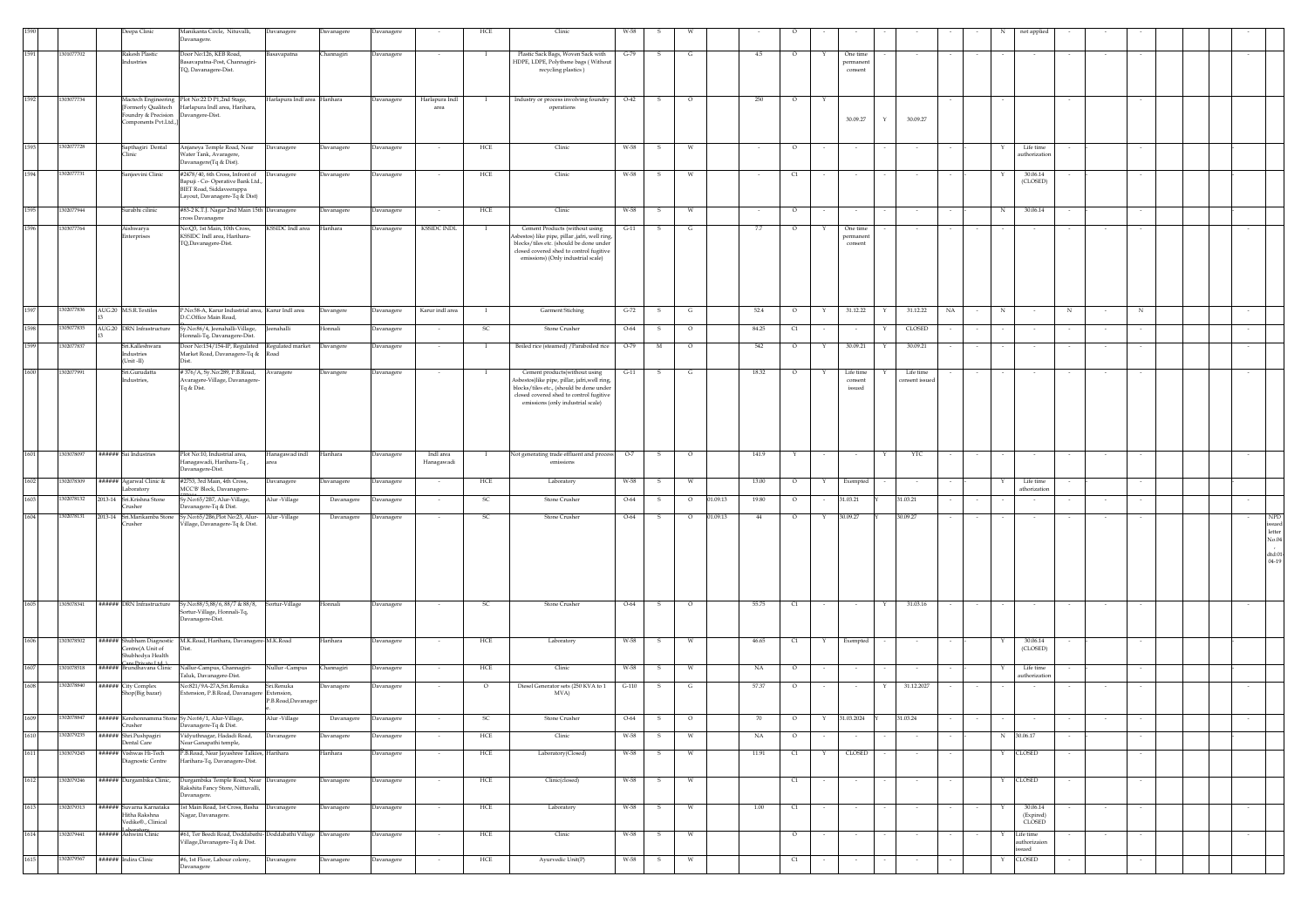|              |                          | Deepa Clinic                                                                             | Manikanta Circle, Nituvalli,<br>Davanagere.                                                                                        | Davanagere                                    | Davanagere        | Davanagere                      |                         | HCE          | Clinic                                                                                                                                                                                                      | W-58         |              |                     |        |               |   |                                 |                            |    |   | not applied                                  |   |        |  |                                                      |
|--------------|--------------------------|------------------------------------------------------------------------------------------|------------------------------------------------------------------------------------------------------------------------------------|-----------------------------------------------|-------------------|---------------------------------|-------------------------|--------------|-------------------------------------------------------------------------------------------------------------------------------------------------------------------------------------------------------------|--------------|--------------|---------------------|--------|---------------|---|---------------------------------|----------------------------|----|---|----------------------------------------------|---|--------|--|------------------------------------------------------|
| 1591         | 1301077702               | Rakesh Plastic<br>Industries                                                             | Door No:126, KEB Road,<br>Basavapatna-Post, Channagiri-<br>TQ, Davanagere-Dist.                                                    | kasavapatna                                   | <b>Channagiri</b> | Davanagere                      |                         | - 1          | Plastic Sack Bags, Woven Sack with<br>HDPE, LDPE, Polythene bags (Without<br>recycling plastics)                                                                                                            | $G-79$       | -S           | G                   | 4.5    | $\circ$       | Y | One time<br>permanen<br>consent |                            |    |   |                                              |   |        |  |                                                      |
| 1592         | 303077734                | Foundry & Precision Davangere-Dist.<br>Components Pvt.Ltd.,                              | Mactech Engineering Plot No:22 D P1,2nd Stage,<br>ormerly Qualitech Harlapura Indl area, Harihara,                                 | Iarlapura Indl area Harihara                  |                   | Davanagere                      | Harlapura Indl<br>area  |              | Industry or process involving foundry<br>operations                                                                                                                                                         | $O-42$       | -S           | $\circ$             | 250    | $\circ$       | Y | 30.09.27                        | 30.09.27<br>Y              |    |   |                                              |   |        |  |                                                      |
| 1593         | 1302077728               | Sapthagiri Dental<br><b>Clinic</b>                                                       | Anjaneya Temple Road, Near<br>Water Tank, Avaragere,<br>Davanagere(Tq & Dist).                                                     | Davanagere                                    | <b>Davanagere</b> | <b>Davanagere</b>               |                         | HCE          | Clinic                                                                                                                                                                                                      | W-58         |              | W                   |        | $\circ$       |   |                                 |                            |    |   | Life time<br>authorizatio                    |   |        |  |                                                      |
| 1594         | 1302077731               | Sanjeevini Clinic                                                                        | #2478/40, 6th Cross, Infront of<br>Bapuji - Co- Operative Bank Ltd.,<br>BIET Road, Siddaveerappa<br>Layout, Davanagere-Tq & Dist)  | Davanagere                                    | Davanagere        | <b>Javanagere</b>               |                         | HCE          | Clinic                                                                                                                                                                                                      | W-58         |              | W                   |        | $\mathsf{C}1$ |   |                                 |                            |    |   | 30.06.14<br>(CLOSED)                         |   |        |  |                                                      |
|              | 1302077944               | Surabhi cilinic                                                                          | #83-2 K.T.J. Nagar 2nd Main 15th Davanagere<br>ross Davanagere                                                                     |                                               | Davanagere        | Davanagere                      | $\sim$                  | HCE          | Clinic                                                                                                                                                                                                      | W-58         | s.           | w                   | $\sim$ | $\circ$       |   | $\sim$                          |                            |    | N | 30.06.14                                     |   | $\sim$ |  |                                                      |
| 1596         | 03077764                 | Aishwarya<br><b>interprises</b>                                                          | No:Q3, 1st Main, 10th Cross,<br>KSSIDC Indl area, Harihara-<br>TQ,Davanagere-Dist.                                                 | KSSIDC Indl area                              | Harihara          | avanagere                       | <b>KSSIDC INDL</b>      |              | Cement Products (without using<br>sbestos) like pipe, pillar ,jafri, well ring,<br>blocks/tiles etc. (should be done under<br>closed covered shed to control fugitive<br>emissions) (Only industrial scale) | $G-11$       |              | G                   | 7.7    | О             |   | One time<br>permanen<br>consent |                            |    |   |                                              |   |        |  |                                                      |
| 1597         | 1302077836               | AUG.20 M.S.R.Textiles                                                                    | P.No:58-A, Karur Industrial area, Karur Indl area<br>O.C.Office Main Road,                                                         |                                               | Davangere         | Davanagere                      | Karur indl area         |              | Garment Stiching                                                                                                                                                                                            | $G-72$       | s            | G                   | 52.4   | $\circ$       | Y | 31.12.22                        | 31.12.22<br>Υ              | NA | N |                                              | N | N      |  | $\sim$                                               |
| 1598         | 1305077835               | AUG.20 DRN Infrastructure                                                                | Sy.No:86/4, Jeenahalli-Village,<br>ionnali-Tq, Davanagere-Dist.                                                                    | enahalli                                      | Honnali           | Davanagere                      |                         | <b>SC</b>    | Stone Crusher                                                                                                                                                                                               | $O-64$       | -S           | $\circ$             | 84.25  | C1            |   |                                 | CLOSED                     |    |   |                                              |   |        |  |                                                      |
| 1599         | 1302077837               | Sri.Kalleshwara<br>Industries<br>(Unit-II)                                               | Door No:154/154-IP, Regulated<br>Market Road, Davanagere-Tq &                                                                      | Regulated market<br>baol                      | Davangere         | Davanagere                      | $\sim$                  | $\mathbf{I}$ | Boiled rice (steamed) / Paraboiled rice                                                                                                                                                                     | O-79         | $_{\rm M}$   | $\circ$             | 542    | $\circ$       | Υ | 30.09.21                        | 30.09.21<br>Y              |    |   |                                              |   | $\sim$ |  | $\sim$                                               |
| 1600         | 1302077991               | Sri.Gurudatta<br>Industries,                                                             | #376/A, Sy.No:289, P.B.Road,<br>Avaragere-Village, Davanagere<br>Tq & Dist.                                                        | Avaragere                                     | Davangere         | Davanagere                      |                         | $\mathbf{I}$ | Cement products(without using<br>sbestos)like pipe, pillar, jafri, well ring,<br>blocks/tiles etc., (should be done under<br>closed covered shed to control fugitive<br>emissions (only industrial scale)   | $G-11$       | s            | ${\bf G}$           | 18.32  | $\circ$       | Y | Life time<br>consent<br>issued  | Life time<br>onsent issued |    |   |                                              |   |        |  | $\sim$                                               |
| 1601         | 303078097                | ###### Sai Industries                                                                    | Plot No:10, Industrial area,<br>Hanagawadi, Harihara-Tq,<br>Davanagere-Dist.                                                       | lanagawad indl                                | Harihara          | avanagere                       | Indl area<br>Hanagawadi |              | Not generating trade effluent and process<br>emissions                                                                                                                                                      | $O-7$        | s            | $\circ$             | 141.9  |               |   |                                 | YTC                        |    |   |                                              |   |        |  |                                                      |
| 1602         | 1302078309               | ###### Agarwal Clinic &<br>Laboratory                                                    | #2753, 3rd Main, 4th Cross,<br>MCC'B' Block, Davanagere-                                                                           | Davanagere                                    | Davanagere        | Davanagere                      |                         | HCE          | Laboratory                                                                                                                                                                                                  | W-58         | s.           | W                   | 13.00  | $\circ$       | Y | Exempted                        |                            |    |   | Life time<br>athorization                    |   |        |  |                                                      |
| 1603         | 1302078132               | 2013-14 Sri.Krishna Stone<br>Crusher                                                     | Sy.No:65/2B7, Alur-Village,<br>Davanagere-Tq & Dist.                                                                               | Alur -Village                                 | Davanagere        | <b>Davanagere</b>               |                         | -SC          | Stone Crusher                                                                                                                                                                                               | $O-64$       | -S           | 01.09.13<br>$\circ$ | 19.80  | $\circ$       |   | 31.03.21                        | 31.03.21                   |    |   |                                              |   |        |  |                                                      |
| 1604         | 1302078131               | 2013-14 Sri.Marikamba Stone<br>Crusher                                                   | Sy.No:65/2B6,Plot No:23, Alur-<br>Village, Davanagere-Tq & Dist.                                                                   | Alur -Village                                 | Davanagere        | avanagere                       |                         |              | Stone Crusher                                                                                                                                                                                               | O-64         |              | 01.09.13<br>$\circ$ | 44     | $\circ$       |   | 30.09.27                        | 30.09.27                   |    |   |                                              |   |        |  | <b>NPD</b><br>letter<br>No.04<br>dtd:01<br>$04 - 19$ |
| 1605         | 1305078341               |                                                                                          | ###### DRN Infrastructure Sy.No:88/5,88/6, 88/7 & 88/8,<br>Sortur-Village, Honnali-Tq,<br>Davanagere-Dist.                         | Sortur-Village                                | Honnali           | Davanagere                      |                         | -SC          | Stone Crusher                                                                                                                                                                                               | $O-64$       | S.           | $\circ$             | 55.75  | C1            |   |                                 | 31.03.16<br>Y              |    |   |                                              |   |        |  |                                                      |
| 1606         | 303078502                | ###### Shubham Diagnostic<br>Centre(A Unit of<br>Shubhodya Health                        | M.K.Road, Harihara, Davanagere-M.K.Road                                                                                            |                                               | Harihara          | Davanagere                      |                         | HCE          | Laboratory                                                                                                                                                                                                  | W-58         | s            | W                   | 46.65  | C1            | Y | Exempted                        |                            |    |   | 30.06.14<br>(CLOSED)                         |   |        |  |                                                      |
| 1607         | 1301078518               | a Deixata Ltd. 1<br>###### Brundhavana Clinic                                            | Nallur-Campus, Channagiri-<br>Taluk, Davanagere-Dist.                                                                              | Nullur -Campus                                | Channagiri        | Davanagere                      |                         | HCE          | Clinic                                                                                                                                                                                                      | W-58         | $\mathbf{s}$ | W                   | NA     | $\circ$       |   |                                 |                            |    | Υ | Life time<br>authorizatio                    |   |        |  |                                                      |
| 1608         | 1302078840               | ###### City Complex<br>Shop(Big bazar)                                                   | No:821/9A-27A,Sri.Renuka<br>xtension, P.B.Road, Davanager                                                                          | šri.Renuka<br>Extension.<br>P.B.Road,Davanage | <b>Davanagere</b> | <b>Davanagere</b>               |                         | $\circ$      | Diesel Generator sets (250 KVA to 1<br>MVA)                                                                                                                                                                 | $G-110$      | -S           | G                   | 57.37  | $\circ$       |   | $\overline{\phantom{a}}$        | 31.12.2027<br>Y            |    |   |                                              |   |        |  |                                                      |
| 1609         |                          | Crusher                                                                                  | 1302078847 ###### Kerehonnamma Stone Sy.No:66/1, Alur-Village,<br>Davanagere-Tq & Dist.                                            | Alur -Village                                 | Davanagere        | Davanagere                      |                         | SC           | Stone Crusher                                                                                                                                                                                               | $O-64$       | S            | $\circ$             | 70     | $\circ$       | Y | 31.03.2024                      | 31.03.24                   |    |   |                                              |   |        |  |                                                      |
| 1610         | 1302079235               | ###### Shri.Pushpagiri<br>Dental Care                                                    | Vidyuthnagar, Hadadi Road,<br>Near Ganapathi temple,                                                                               | Davanagere                                    | Davanagere        | <b>Javanagere</b>               |                         | HCE          | Clinic                                                                                                                                                                                                      | W-58         |              | W                   | NA     | $\circ$       |   |                                 |                            |    | N | 30.06.17                                     |   |        |  |                                                      |
| 1611         | 1303079245               | ###### Vishwas Hi-Tech<br>Diagnostic Centre                                              | P.B.Road, Near Jayashree Talkies, Harihara<br>Harihara-Tq, Davanagere-Dist.                                                        |                                               | Harihara          | Davanagere                      |                         | HCE          | Laboratory(Closed)                                                                                                                                                                                          | W-58         | S.           | W                   | 11.91  | C1            | Y | <b>CLOSED</b>                   |                            |    |   | Y CLOSED                                     |   |        |  |                                                      |
| 1612         | 1302079246               | ###### Durgambika Clinic,                                                                | Durgambika Temple Road, Near Davanagere<br>Rakshita Fancy Store, Nittuvalli,<br>Davanagere.                                        |                                               | Davanagere        | Davanagere                      |                         | HCE          | Clinic(closed)                                                                                                                                                                                              | W-58         | s            | W                   |        | $\alpha$      |   | $\sim$                          |                            |    |   | Y CLOSED                                     |   | $\sim$ |  |                                                      |
| 1613<br>1614 | 1302079313<br>1302079441 | ###### Suvarna Karnataka<br>Hitha Rakshna<br>Vedike®., Clinical<br>###### Ashwini Clinic | 1st Main Road, 1st Cross, Basha Davanagere<br>Nagar, Davanagere.<br>#61, Ter Beedi Road, Doddabathi- Doddabathi Village Davanagere |                                               | Davanagere        | Davanagere                      |                         | HCE<br>HCE   | Laboratory<br>Clinic                                                                                                                                                                                        | W-58<br>W-58 | $\mathbf{s}$ | W<br>W              | 1.00   | C1<br>$\circ$ |   |                                 |                            |    | Y | 30.06.14<br>(Expired)<br>CLOSED<br>Life time |   |        |  | $\sim$                                               |
| $1615\,$     | 1302079567               | ###### Indira Clinic                                                                     | Village, Davanagere-Tq $\&$ Dist.<br>#6, 1st Floor, Labour colony,<br>Davanagere                                                   | Davanagere                                    | Davanagere        | <b>Davanagere</b><br>Davanagere |                         | HCE          | Ayurvedic Unit(P)                                                                                                                                                                                           | W-58         | s            | W                   |        | C1            |   |                                 |                            |    |   | authorizaion<br>issued<br>CLOSED             |   |        |  |                                                      |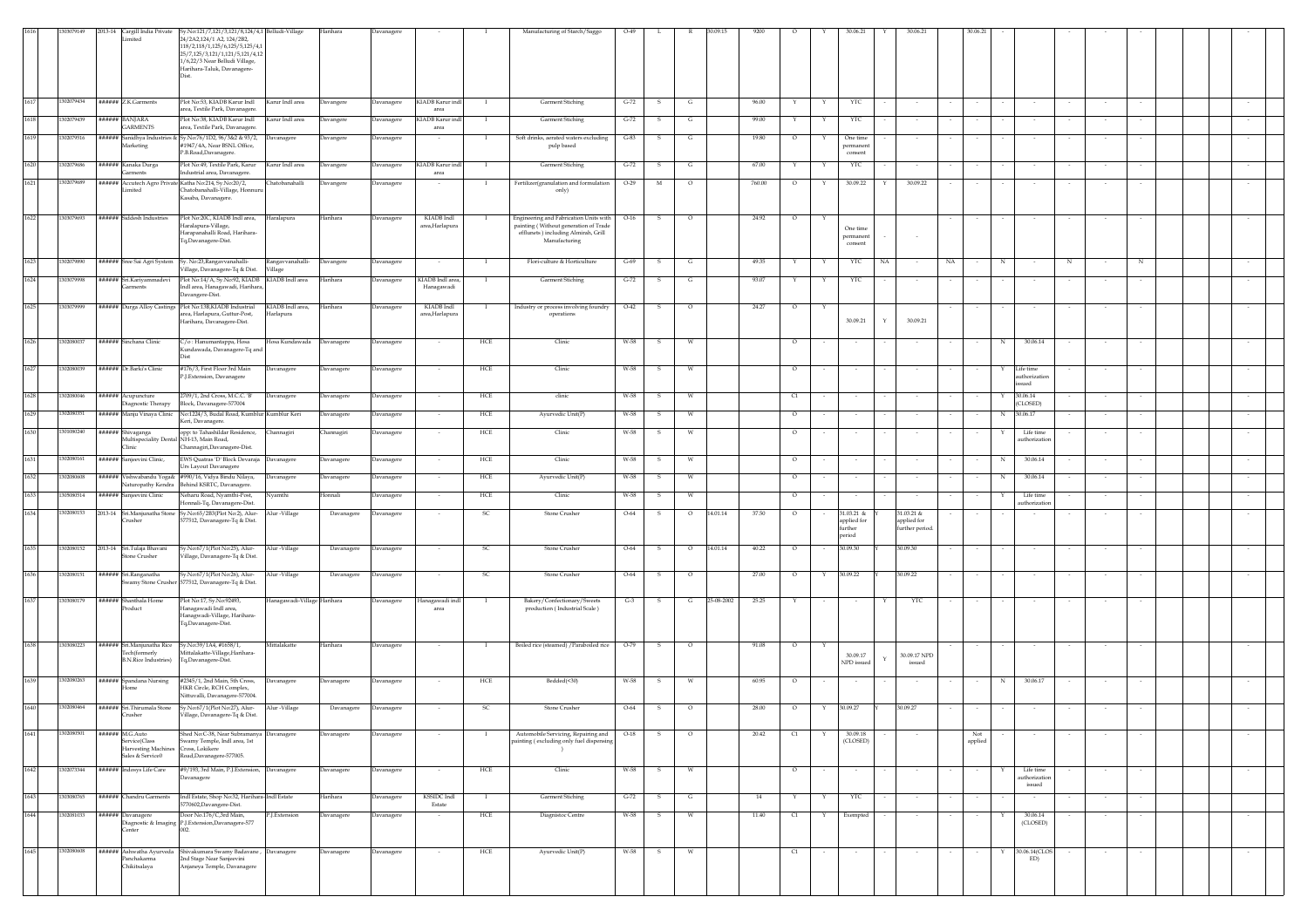|      | 03079149   | mited                                                                       | 2013-14 Cargill India Private Sy.No:121/7,121/3,121/8,124/4,1 Belludi-Village<br>24/2A2,124/1 A2, 124/2B2,<br>118/2,118/1,125/6,125/5,125/4,<br>25/7,125/3,121/1,121/5,121/4,12<br>1/6,22/3 Near Belludi Village,<br>Harihara-Taluk, Davanagere- |                                      | Harihara          | Davanager         |                                |              | Manufacturing of Starch/Saggo                                                                  | $O-49$   |     |         |                     |         |   | 30.06.21                                       | 30.06.2                                      |                  |                 |                                      |   |        |             |  |        |  |
|------|------------|-----------------------------------------------------------------------------|--------------------------------------------------------------------------------------------------------------------------------------------------------------------------------------------------------------------------------------------------|--------------------------------------|-------------------|-------------------|--------------------------------|--------------|------------------------------------------------------------------------------------------------|----------|-----|---------|---------------------|---------|---|------------------------------------------------|----------------------------------------------|------------------|-----------------|--------------------------------------|---|--------|-------------|--|--------|--|
| 1617 | 1302079434 | ###### Z.K.Garments                                                         | Plot No:53, KIADB Karur Indl                                                                                                                                                                                                                     | Karur Indl area                      |                   |                   | KIADB Karur indl               |              | <b>Garment Stiching</b>                                                                        | $G-72$   | s   | G       | 96.00               |         |   | YTC                                            |                                              |                  |                 |                                      |   |        |             |  |        |  |
|      |            |                                                                             | area, Textile Park, Davanagere                                                                                                                                                                                                                   |                                      | Davangere         | Davanagere        | area                           |              |                                                                                                |          |     |         |                     |         |   |                                                |                                              |                  |                 |                                      |   |        |             |  |        |  |
| 1618 | 1302079439 | ###### BANIARA<br><b>GARMENTS</b>                                           | Plot No:38, KIADB Karur Indl<br>area, Textile Park, Davanagere.                                                                                                                                                                                  | Karur Indl area                      | Davangere         | Davanagere        | KIADB Karur indl<br>area       |              | <b>Garment Stiching</b>                                                                        | $G-72$   |     | G       | 99.00               |         | Y | YTC                                            |                                              |                  |                 |                                      |   |        |             |  |        |  |
| 1619 | 1302079516 | Marketing                                                                   | ###### Sanidhya Industries & Sy.No:76/1D2, 96/3&2 & 93/2,<br>#1947/4A, Near BSNL Office,                                                                                                                                                         | Davanagere                           | Davangere         | Davanagere        |                                |              | Soft drinks, aerated waters excluding<br>pulp based                                            | $G-83$   |     | G       | 19.80               | $\circ$ | Y | One time<br>permanen                           |                                              |                  |                 |                                      |   |        |             |  |        |  |
| 1620 | 302079686  | ##### Kanaka Durga<br>arments                                               | P.B.Road,Davanagere.<br>Plot No:49, Textile Park, Karur<br>ndustrial area, Davanagere.                                                                                                                                                           | Karur Indl area                      | <b>Davangere</b>  | Davanagere        | KIADB Karur ind<br>area        |              | Garment Stiching                                                                               | $G-72$   |     | G       | 67.00               |         |   | consent<br>YTC                                 |                                              |                  |                 |                                      |   |        |             |  |        |  |
| 1621 | 302079689  | mited                                                                       | ###### Accutech Agro Private Katha No:214, Sy.No:20/2,<br>Chatobanahalli-Village, Honnur<br>Kasaba, Davanagere.                                                                                                                                  | <b>hatobanahalli</b>                 | Davangere         | Davanager         |                                |              | Fertilizer(granulation and formulation<br>only)                                                | $O-29$   | M   |         | 760.00              | $\circ$ |   | 30.09.22                                       | 30.09.22                                     |                  |                 |                                      |   |        |             |  |        |  |
| 1622 | 1303079693 | ###### Siddesh Industries                                                   | Plot No:20C, KIADB Indl area,                                                                                                                                                                                                                    | Haralapura                           | Iarihara          | Davanagere        | KIADB Indl                     |              | Engineering and Fabrication Units with                                                         | $O-16$   |     |         | 24.92               |         |   |                                                |                                              |                  |                 |                                      |   |        |             |  |        |  |
|      |            |                                                                             | Iaralapura-Village,<br>Harapanahalli Road, Harihara-<br>Tq,Davanagere-Dist.                                                                                                                                                                      |                                      |                   |                   | area,Harlapura                 |              | painting (Without generation of Trade<br>efflunets ) including Almirah, Grill<br>Manufacturing |          |     |         |                     |         |   | One time<br>permanen<br>consent                |                                              |                  |                 |                                      |   |        |             |  |        |  |
| 1623 | 1302079890 |                                                                             | ###### Sree Sai Agri System   Sy. No:23, Rangavvanahalli-<br>/illage, Davanagere-Tq & Dist.                                                                                                                                                      | Rangavvanahalli-<br>/illage          | Davangere         | Davanagere        | $\sim$                         | $\mathbf{I}$ | Flori-culture & Horticulture                                                                   | $G - 69$ | - S | G       | 49.35               | Y       | Y | YTC                                            | NA<br>$\sim$                                 | NA               | N               |                                      | N | $\sim$ | $\mathbb N$ |  |        |  |
| 1624 | 1303079998 | ###### Sri.Kariyammadevi<br>arments                                         | Plot No:14/A, Sy.No:92, KIADB<br>Indl area, Hanagawadi, Harihara<br>Davangere-Dist.                                                                                                                                                              | KIADB Indl area                      | <b>Jarihara</b>   | Davanagere        | KIADB Indl area,<br>Hanagawadi | -1           | <b>Garment Stiching</b>                                                                        | $G-72$   | s   | G       | 93.07               | Y       | Y | YTC                                            |                                              |                  |                 |                                      |   | $\sim$ |             |  |        |  |
| 1625 | 1303079999 | ###### Durga Alloy Castings                                                 | Plot No:13B,KIADB Industrial<br>area, Harlapura, Guttur-Post,                                                                                                                                                                                    | KIADB Indl area,<br><b>Iarlapura</b> | Harihara          | <b>Davanagere</b> | KIADB Indl<br>area, Harlapura  | - 1          | Industry or process involving foundry<br>operations                                            | $O-42$   | s   | $\circ$ | 24.27               | $\circ$ | Υ | 30.09.21                                       | Y<br>30.09.21                                |                  |                 |                                      |   |        |             |  |        |  |
| 1626 | 1302080037 | ###### Sinchana Clinic                                                      | Iarihara, Davanagere-Dist.<br>C/o: Hanumantappa, Hosa                                                                                                                                                                                            | Hosa Kundawada                       | Davanagere        | Davanagere        |                                | HCE          | Clinic                                                                                         | W-58     | s   |         |                     | $\circ$ |   |                                                |                                              |                  | N               | 30.06.14                             |   |        |             |  |        |  |
|      |            |                                                                             | Gundawada, Davanagere-Tq and                                                                                                                                                                                                                     |                                      |                   |                   |                                |              |                                                                                                |          |     |         |                     |         |   |                                                |                                              |                  |                 |                                      |   |        |             |  |        |  |
| 1627 | 1302080039 | ###### Dr.Barki's Clinic                                                    | #176/3, First Floor 3rd Main<br>P.J.Extension, Davanagere                                                                                                                                                                                        | Davanagere                           | Davanagere        | Davanagere        |                                | HCE          | Clinic                                                                                         | W-58     |     |         |                     | $\circ$ |   |                                                |                                              |                  |                 | Life time<br>uthorizatio<br>ued      |   |        |             |  |        |  |
| 1628 | 1302080046 | ###### Acupuncture<br>iagnostic Therapy                                     | 2709/1, 2nd Cross, M.C.C. 'B'<br>Block, Davanagere-577004                                                                                                                                                                                        | Davanagere                           | <b>Davanagere</b> | Davanagere        |                                | ${\rm HCE}$  | clinic                                                                                         | W-58     | s   | w       |                     | C1      |   |                                                |                                              |                  | Y               | 30.06.14<br>(CLOSED)                 |   |        |             |  |        |  |
| 1629 | 1302080351 | ###### Manju Vinaya Clinic                                                  | No:1224/3, Budal Road, Kumblur Kumblur Keri                                                                                                                                                                                                      |                                      | <b>Javanagere</b> | Davanagere        |                                | ${\rm HCE}$  | Ayurvedic Unit(P)                                                                              | $W-58$   | s   |         |                     | $\circ$ |   |                                                |                                              |                  | $_{\rm N}$      | 30.06.17                             |   |        |             |  |        |  |
| 1630 | 1301080240 | ###### Shivaganga                                                           | Keri, Davanagere.<br>opp: to Tahashildar Residence,                                                                                                                                                                                              | Channagiri                           | Channagiri        | Davanagere        |                                | HCE          | Clinic                                                                                         | W-58     | s   | W       |                     | $\circ$ |   |                                                |                                              |                  |                 | Life time                            |   |        |             |  |        |  |
|      |            | Multispeciality Denta<br><b>Tinic</b>                                       | l NH-13, Main Road,<br>Channagiri, Davanagere-Dist.                                                                                                                                                                                              |                                      |                   |                   |                                |              |                                                                                                |          |     |         |                     |         |   |                                                |                                              |                  |                 | authorizatio                         |   |        |             |  |        |  |
| 1631 | 1302080161 | ###### Sanjeevini Clinic,                                                   | EWS Quatras 'D' Block Devaraja<br>Urs Layout Davanagere                                                                                                                                                                                          | Davanagere                           | <b>Javanagere</b> | Davanagere        |                                | HCE          | Clinic                                                                                         | W-58     | -S  | W       |                     | $\circ$ |   |                                                |                                              |                  | N               | 30.06.14                             |   |        |             |  |        |  |
| 1632 | 1302080608 | ###### Vishwabandu Yoga&                                                    | #990/16, Vidya Bindu Nilaya,<br>Naturopathy Kendra Behind KSRTC, Davanagere.                                                                                                                                                                     | Davanagere                           | <b>Davanagere</b> | Davanagere        |                                | HCE          | Ayurvedic Unit(P)                                                                              | W-58     |     |         |                     | $\circ$ |   |                                                |                                              |                  | N               | 30.06.14                             |   |        |             |  |        |  |
| 1633 | 1305080514 | ###### Sanjeevini Clinic                                                    | Veharu Road, Nyamthi-Post,<br>ionnali-Tq, Davanagere-Dist.                                                                                                                                                                                       | Vyamthi                              | Ionnali           | Davanagere        |                                | HCE          | Clinic                                                                                         | W-58     |     | W       |                     | $\circ$ |   |                                                |                                              |                  |                 | Life time<br>uthorizatio             |   |        |             |  |        |  |
| 1634 | 1302080153 | rusher                                                                      | 2013-14 Sri.Manjunatha Stone Sy.No:65/2B3(Plot No:2), Alur-<br>577512, Davanagere-Tq & Dist.                                                                                                                                                     | Alur -Village                        | Davanagere        | Davanagere        |                                | - SC         | Stone Crusher                                                                                  | $O-64$   | -S  | $\circ$ | 14.01.14<br>37.50   | $\circ$ |   | 31.03.21 &<br>applied for<br>further<br>boires | 31.03.21 &<br>applied for<br>further period. |                  |                 |                                      |   |        |             |  |        |  |
| 1635 | 1302080152 | 2013-14 Sri.Tulaja Bhavani<br>Stone Crusher                                 | Sy.No:67/1(Plot No:25), Alur-<br>Village, Davanagere-Tq & Dist.                                                                                                                                                                                  | Alur -Village                        | Davanagere        | Davanagere        |                                | -SC          | <b>Stone Crusher</b>                                                                           | $O-64$   | -S  | $\circ$ | 14.01.14<br>40.22   | $\circ$ |   | 30.09.30                                       | 30.09.30                                     |                  |                 |                                      |   |        |             |  |        |  |
| 1636 | 1302080151 | ###### Sri.Ranganatha<br>wamy Stone Crusher                                 | Sy.No:67/1(Plot No:26), Alur-<br>77512, Davanagere-Tq & Dist.                                                                                                                                                                                    | Alur -Village                        | Davanagere        | Davanagere        |                                | SC           | Stone Crusher                                                                                  | $O-64$   | s   | $\circ$ | 27.00               | $\circ$ | Y | 30.09.22                                       | 30.09.22                                     |                  |                 |                                      |   |        |             |  |        |  |
| 1637 | 1303080179 | ###### Shanthala Home                                                       | Plot No:17, Sy.No:92493,                                                                                                                                                                                                                         | Ianagawadi-Village Harihara          |                   | Davanagere        | Ianagawadi ind                 |              | Bakery/Confectionary/Sweets                                                                    | $G-3$    | s   | G       | 25-08-2002<br>25.25 | Y       |   |                                                | YTC<br>Y                                     |                  |                 |                                      |   |        |             |  |        |  |
|      |            | roduct                                                                      | lanagawadi Indl area,<br>Hanagwadi-Village, Harihara-<br>Tq,Davanagere-Dist.                                                                                                                                                                     |                                      |                   |                   | area                           |              | production (Industrial Scale)                                                                  |          |     |         |                     |         |   |                                                |                                              |                  |                 |                                      |   |        |             |  |        |  |
| 1638 | 1303080223 | ###### Sri.Manjunatha Rice<br>Tech(formerly<br><b>B.N.Rice Industries</b> ) | Sy.No:39/1A4, #1658/1,<br>.<br>Mittalakatte-Village,Harihara-<br>Tq,Davanagere-Dist.                                                                                                                                                             | Mittalakatte                         | Harihara          | Davanagere        | $\sim$                         | - 1          | Boiled rice (steamed) / Paraboiled rice                                                        | $O-79$   | S.  | $\circ$ | 91.08               | $\circ$ |   | 30.09.17<br>NPD issued                         | 30.09.17 NPD<br>$\mathbf{Y}$<br>issued       |                  |                 |                                      |   |        |             |  |        |  |
| 1639 | 1302080263 | ###### Spandana Nursing<br>lome                                             | #2345/1, 2nd Main, 5th Cross,<br>HKR Circle, RCH Complex,<br>Nittuvalli, Davanagere-577004.                                                                                                                                                      | Davanagere                           | <b>Davanagere</b> | Davanagere        | $\sim$                         | HCE          | Bedded(<30)                                                                                    | W-58     | s.  | W       | 60.95               | $\circ$ |   | $\sim$                                         | $\sim$                                       | $\sim$           | N               | 30.06.17                             |   | $\sim$ |             |  |        |  |
| 1640 | 1302080464 | ###### Sri.Thirumala Stone<br>Crusher                                       | Sy.No:67/1(Plot No:27), Alur-<br>Village, Davanagere-Tq & Dist.                                                                                                                                                                                  | Alur -Village                        | Davanagere        | Davanagere        |                                | SC           | Stone Crusher                                                                                  | $O-64$   | s   | $\circ$ | 28.00               | $\circ$ | Y | 30.09.27                                       | 30.09.27                                     |                  |                 |                                      |   |        |             |  |        |  |
| 1641 | 1302080501 | ###### M.G.Auto<br>Service(Class                                            | Shed No:C-38, Near Subramanya Davanagere<br>Swamy Temple, Indl area, 1st                                                                                                                                                                         |                                      | Davanagere        | Davanagere        |                                |              | Automobile Servicing, Repairing and<br>painting (excluding only fuel dispensing                | $O-18$   | s   | $\circ$ | 20.42               | C1      | Y | 30.09.18<br>(CLOSED)                           |                                              |                  | Not<br>$\alpha$ |                                      |   |        |             |  |        |  |
|      |            | Harvesting Machines<br>Sales & Service0                                     | Cross, Lokikere<br>Road, Davanagere-577005.                                                                                                                                                                                                      |                                      |                   |                   |                                |              | $\rightarrow$                                                                                  |          |     |         |                     |         |   |                                                |                                              |                  |                 |                                      |   |        |             |  |        |  |
| 1642 | 1302073344 | ###### Indosys Life Care                                                    | #9/193, 3rd Main, P.J.Extension, Davanagere<br><b>Javanagere</b>                                                                                                                                                                                 |                                      | Davanagere        | Davanagere        |                                | HCE          | Clinic                                                                                         | W-58     | s   | W       |                     | $\circ$ |   |                                                |                                              |                  |                 | Life time<br>authorization<br>issued |   |        |             |  |        |  |
| 1643 | 1303080765 | ###### Chandru Garments                                                     | Indl Estate, Shop No:32, Harihara-Indl Estate<br>5770602, Davangere-Dist.                                                                                                                                                                        |                                      | Harihara          | Davanagere        | <b>KSSIDC</b> Indl<br>Estate   | - 1          | Garment Stiching                                                                               | $G-72$   | -S  | G       | 14                  | Y       | Y | YTC                                            |                                              |                  |                 |                                      |   |        |             |  |        |  |
| 1644 | 1302081033 | ###### Davanagere<br>Center                                                 | Door No.176/C,3rd Main,<br>Diagnostic & Imaging P.J.Extension,Davanagere-577<br>002                                                                                                                                                              | P.J.Extension                        | <b>Davanagere</b> | Davanagere        | $\sim$                         | HCE          | Diagnistoc Centre                                                                              | W-58     | -S  | W       | 11.40               | C1      | Y | Exempted                                       | $\sim$                                       | $\sim$<br>$\sim$ |                 | 30.06.14<br>(CLOSED)                 |   | $\sim$ | $\sim$      |  | $\sim$ |  |
| 1645 | 1302080608 | Panchakarma                                                                 | ###### Ashwatha Ayurveda Shivakumara Swamy Badavane,<br>2nd Stage Near Sanjeevini                                                                                                                                                                | Davanagere                           | Davanagere        | Davanagere        |                                | HCE          | Ayurvedic Unit(P)                                                                              | W-58     | s   |         |                     | C1      |   |                                                |                                              |                  |                 | 30.06.14(CLOS<br>ED)                 |   |        |             |  |        |  |
|      |            | Chikitsalaya                                                                | Anjaneya Temple, Davanagere                                                                                                                                                                                                                      |                                      |                   |                   |                                |              |                                                                                                |          |     |         |                     |         |   |                                                |                                              |                  |                 |                                      |   |        |             |  |        |  |
|      |            |                                                                             |                                                                                                                                                                                                                                                  |                                      |                   |                   |                                |              |                                                                                                |          |     |         |                     |         |   |                                                |                                              |                  |                 |                                      |   |        |             |  |        |  |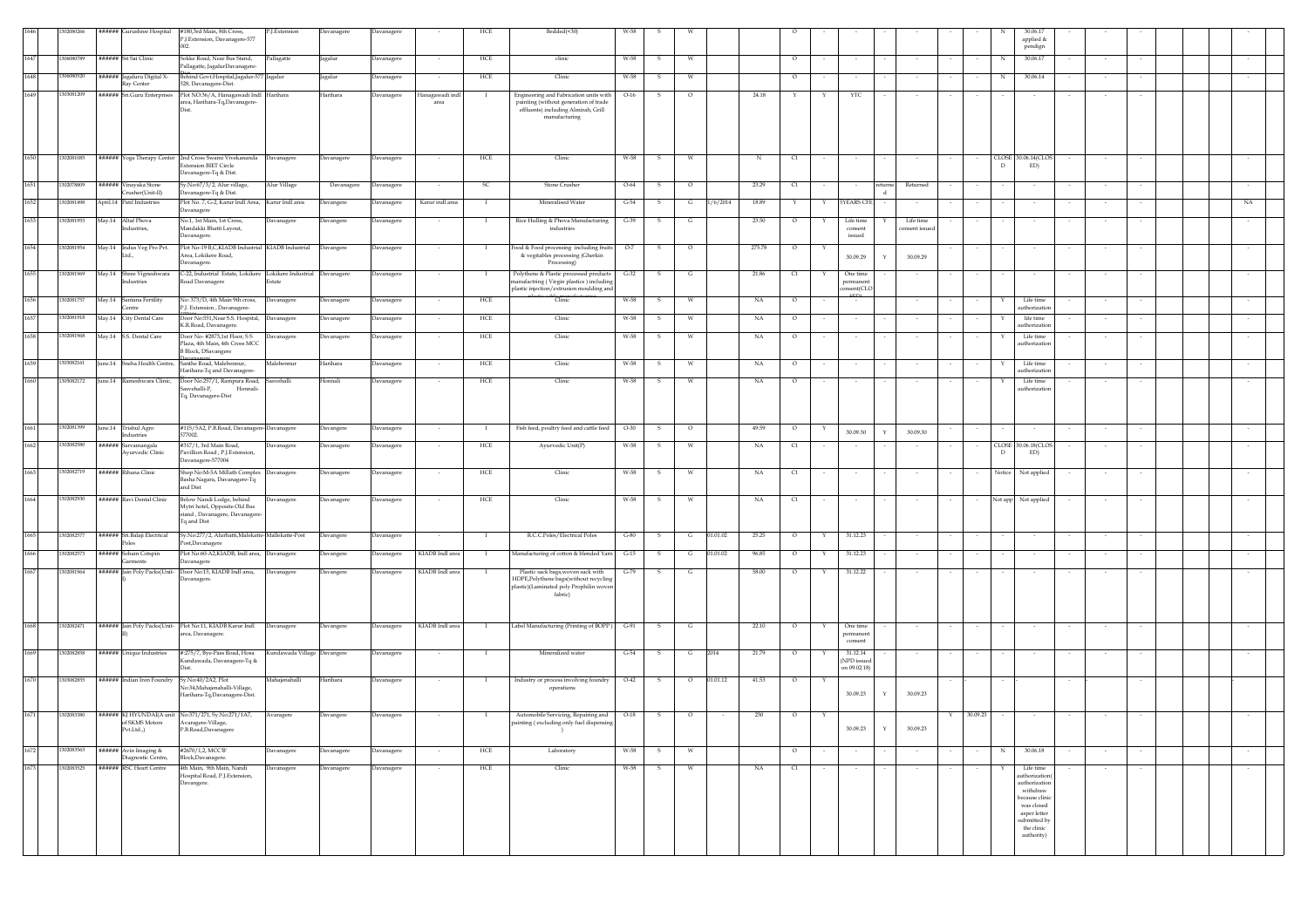|      | 12080266   | ###### Gurushree Hospital                      | #180,3rd Main, 8th Cross,<br>P.J.Extension, Davanagere-577                                                                 | P.J.Extension               | Davanagere | Davanagere        |                        | HCE            | Bedded(<30)                                                                                                                             | W-58   |              |          |          |             |          |              |                                         |        |                         |   |             | 30.06.17<br>applied $\&$                                                                                                                            |        |        |  |        |
|------|------------|------------------------------------------------|----------------------------------------------------------------------------------------------------------------------------|-----------------------------|------------|-------------------|------------------------|----------------|-----------------------------------------------------------------------------------------------------------------------------------------|--------|--------------|----------|----------|-------------|----------|--------------|-----------------------------------------|--------|-------------------------|---|-------------|-----------------------------------------------------------------------------------------------------------------------------------------------------|--------|--------|--|--------|
| 1647 | 1306080789 | ###### Sri Sai Clinic                          | Sokke Road, Near Bus Stand,<br>Pallagatte, JagalurDavanagere-                                                              | Pallagatte                  | Jagalur    | Davanagere        |                        | HCE            | clinic                                                                                                                                  | W-58   | $\mathbf{s}$ | W        |          |             | $\circ$  |              |                                         |        |                         |   | N           | pendign<br>30.06.17                                                                                                                                 |        |        |  |        |
| 1648 | 1306080520 | ###### Jagaluru Digital X-<br>Ray Center       | Behind Govt.Hospital,Jagalur-577 Jagalur<br>528, Davanagere-Dist.                                                          |                             | Jagalur    | Davanagere        | $\sim$                 | HCE            | Clinic                                                                                                                                  | W-58   | -S           | W        |          |             | $\circ$  |              |                                         |        | $\sim$                  |   | N           | 30.06.14                                                                                                                                            | $\sim$ | $\sim$ |  |        |
| 1649 | 1303081209 | ###### Sri.Guru Enterprises                    | Plot NO:36/A, Hanagawadi Indl Harihara<br>area, Harihara-Tq,Davanagere-<br>Dist                                            |                             | Harihara   | <b>Davanagere</b> | lanagawadi ind<br>area |                | Engineering and Fabrication units with<br>painting (without generation of trade<br>effluents) including Almirah, Grill<br>manufacturing | $O-16$ | S.           | $\circ$  |          | 24.18       | Y        | Y            | YTC                                     |        | $\sim$                  |   |             |                                                                                                                                                     | $\sim$ |        |  |        |
| 1650 | 1302081085 |                                                | ###### Yoga Therapy Center 2nd Cross Swami Vivekananda Davanagere<br><b>Extension BIET Circle</b><br>Davanagere-Tq & Dist. |                             | Davanagere | Davanagere        |                        | HCE            | Clinic                                                                                                                                  | W-58   | - S          | W        |          |             | C1       |              |                                         |        |                         |   | $\Gamma$    | CLOSE 30.06.14(CLOS<br>ED)                                                                                                                          |        |        |  |        |
| 1651 | 1302078809 | ###### Vinayaka Stone<br>Crusher(Unit-II)      | Sy.No:67/3/2, Alur village,<br>Davanagere-Tq & Dist.                                                                       | Alur Village                | Davanagere | Davanagere        | $\sim$                 | SC.            | Stone Crusher                                                                                                                           | $O-64$ | s            | $\circ$  |          | 23.29       | C1       |              |                                         | eturne | Returned                |   |             |                                                                                                                                                     |        |        |  |        |
| 1652 | 1302081498 | April.14 Patil Industries                      | Plot No. 7, G-2, Karur Indl Area, Karur Indl area<br>avanagere                                                             |                             | Davangere  | Davanagere        | Karur indl area        | $\blacksquare$ | Mineralised Water                                                                                                                       | $G-54$ | $\mathbf{s}$ | G        | 1/6/2014 | 18.89       | Y        | Y            | <b>5YEARS CFI</b>                       |        |                         |   |             |                                                                                                                                                     |        |        |  | NA.    |
| 1653 | 1302081953 | May.14 Altaf Phova<br>dustries,                | No.1, 1st Main, 1st Cross,<br>Mandakki Bhatti Layout,<br>Davanagere.                                                       | Davanagere                  | Davangere  | Davanagere        | $\sim$                 |                | Rice Hulling & Phova Manufacturing<br>industries                                                                                        | $G-39$ | - S          | G        |          | 23.50       | $\circ$  |              | Life time<br>consent<br>issued          |        | Life time<br>nsent issu |   |             |                                                                                                                                                     |        |        |  |        |
| 1654 | 1302081954 | May.14 Indus Veg Pro Pvt.                      | Plot No-19 B,C,KIADB Industrial KIADB Industrial<br>Area, Lokikere Road,<br>Davanagere.                                    |                             | Davangere  | Davanagere        |                        |                | Food & Food processing including fruits<br>& vegitables processing (Gherkin<br>Processing)                                              | $O-7$  |              | $\circ$  |          | 275.78      | $\circ$  |              | 30.09.29                                |        | 30.09.29                |   |             |                                                                                                                                                     |        |        |  |        |
| 1655 | 1302081969 | May.14 Shree Vigneshwara<br>Industries         | C-22, Industrial Estate, Lokikere Lokikere Industrial Davanagere<br>Road Davanagere                                        | Estate                      |            | Davanagere        | $\sim$                 |                | Polythene & Plastic processed products<br>nanufactring (Virgin plastics) including<br>plastic injection/extrusion moulding and          | $G-32$ | - 5          | G        |          | 21.86       | C1       | Y            | One time<br>permanent<br>nsent(CLC      |        | $\sim$                  |   | $\sim$      |                                                                                                                                                     | $\sim$ |        |  |        |
| 1656 | 1302081757 | May.14 Santana Fertility<br><b>Centre</b>      | No: 373/D, 4th Main 9th cross,<br>P.J. Extension, Davanagere                                                               | Davanagere                  | Davanagere | Davanagere        | $\sim$                 | <b>HCE</b>     | Clinic                                                                                                                                  | W-58   | -S           | W        |          | NA          | $\circ$  |              |                                         |        | $\sim$                  |   |             | Life time<br>uthorizatio                                                                                                                            |        |        |  |        |
|      | 302081918  | May.14 City Dental Care                        | Door No:551, Near S.S. Hospital, Davanagere<br>K.R.Road, Davanagere.                                                       |                             | Davanagere | <b>Davanagere</b> |                        | HCE            | Clinic                                                                                                                                  | W-58   |              | <b>W</b> |          | NA          | $\circ$  |              |                                         |        |                         |   |             | life time<br>uthorization                                                                                                                           |        |        |  |        |
| 1658 | 1302081968 | May.14 S.S. Dental Care                        | Door No- #2873,1st Floor, S S<br>Plaza, 4th Main, 4th Cross MCC<br><b>B Block</b> , DSavangere                             | Davanagere                  | Davanagere | Davanagere        |                        | HCE            | Clinic                                                                                                                                  | W-58   |              | W        |          | $_{\rm NA}$ | $\circ$  |              |                                         |        |                         |   |             | Life time<br>uthorizatio                                                                                                                            |        |        |  |        |
| 1659 | 1303082161 |                                                | June.14 Sneha Health Centre, Santhe Road, Malebennur,<br>Harihara-Tq and Davanagere-                                       | Malebennur                  | Harihara   | Davanagere        |                        | HCE            | Clinic                                                                                                                                  | W-58   | - S          | W        |          | NA          | $\circ$  |              |                                         |        |                         |   |             | Life time<br>uthorization                                                                                                                           | $\sim$ |        |  |        |
| 1660 | 1305082172 |                                                | June.14 Rameshwara Clinic, Door No.257/1, Rampura Road, Sasvehalli<br>sasvehalli-P.<br>Honnali-<br>Tq, Davanagere-Dist     |                             | Honnali    | Davanagere        |                        | HCE            | Clinic                                                                                                                                  | W-58   | - S          | W        |          | NA          | $\circ$  |              |                                         |        |                         |   |             | Life time<br>authorization                                                                                                                          |        |        |  |        |
| 1661 | 1302081399 | June.14 Trishul Agro<br><b>Industries</b>      | #115/5A2, P.B.Road, Davanagere-Davanagere<br>577002.                                                                       |                             | Davangere  | Davanagere        | $\sim$                 |                | Fish feed, poultry feed and cattle feed                                                                                                 | $O-30$ | - S          | $\circ$  |          | 49.59       | $\circ$  |              | 30.09.30                                |        | 30.09.30                |   | $\sim$      |                                                                                                                                                     | $\sim$ | $\sim$ |  | $\sim$ |
| 1662 | 1302082580 | ###### Sarvamangala<br><b>Ayurvedic Clinic</b> | #317/1, 3rd Main Road,<br>Pavillion Road, P.J.Extension,<br>Davanagere-577004                                              | Davanagere                  | Davanagere | Davanagere        |                        | HCE            | Ayurvedic Unit(P)                                                                                                                       | W-58   | -S           | W        |          | NA          | C1       |              |                                         |        |                         |   | $\mathbb D$ | CLOSE 30.06.18(CLOS<br>ED)                                                                                                                          |        |        |  |        |
|      | 302082719  | ###### Rihana Clinic                           | Shop No:M-5A Millath Complex Davanagere<br>Basha Nagara, Davanagere-Tq<br>and Dist                                         |                             | Davanagere | Davanagere        |                        | HCE            | Clinic                                                                                                                                  | W-58   |              | <b>W</b> |          | NA          | $\alpha$ |              |                                         |        |                         |   | Notice      | Not applied                                                                                                                                         |        |        |  |        |
|      | 302082930  | ###### Ravi Dental Clinic                      | Below Nandi Lodge, behind<br>Mytri hotel, Opposite Old Bus<br>stand, Davanagere, Davanagere<br>Tq and Dist                 | Davanagere                  | Davanagere | Davanagere        |                        | HCE            | Clinic                                                                                                                                  | W-58   |              |          |          | NA          | $\alpha$ |              |                                         |        |                         |   | vot app     | Not applied                                                                                                                                         |        |        |  |        |
| 1665 | 1302082577 | ###### Sri.Balaji Electrical<br>Poles          | Sy.No:277/2, Alurhatti, Malekatte-Mallekatte-Post<br>Post,Davanagere                                                       |                             | Davangere  | Davanagere        |                        |                | R.C.C.Poles/Electrical Poles                                                                                                            | $G-80$ | - S          | G        | 01.01.02 | 25.25       | $\circ$  | Y            | 31.12.23                                |        |                         |   |             |                                                                                                                                                     |        |        |  |        |
| 1666 | 1302082573 | ###### Soham Cotspin<br>Garments               | Plot No:60-A2,KIADB, Indl area, Davanagere<br>Davanagere                                                                   |                             | Davangere  | Davanagere        | KIADB Indl area        |                | Manufacturing of cotton & blended Yarn                                                                                                  | $G-15$ | - S          | G        | 01.01.02 | 96.85       | $\circ$  | Y            | 31.12.23                                |        |                         |   |             |                                                                                                                                                     |        |        |  |        |
| 1667 | 1302081964 |                                                | ###### Jain Poly Packs(Unit- Door No:15, KIADB Indl area, Davanagere<br>Davanagere.                                        |                             | Davangere  | Davanagere        | KIADB Indl area        |                | Plastic sack bags, woven sack with<br>HDPE, Polythene bags(without recycling<br>plastic)(Laminated poly Prophilin wover<br>fabric)      | $G-79$ | - 5          | G        |          | 58.00       | $\circ$  |              | 31.12.22                                |        |                         |   |             |                                                                                                                                                     |        |        |  |        |
| 1668 | 1302082471 |                                                | ###### Jain Poly Packs(Unit-Plot No:11, KIADB Karur Indl Davanagere<br>rea, Davanagere                                     |                             | Davangere  | Davanagere        | KIADB Indl area        | -1             | Label Manufacturing (Printing of BOPP)                                                                                                  | $G-91$ | - S          | G        |          | 22.10       | $\circ$  | Y            | One time<br>permaner<br>consent         |        | $\sim$                  |   |             |                                                                                                                                                     | $\sim$ |        |  |        |
| 1669 | 302082858  | ###### Unique Industries                       | #:275/7, Bye-Pass Road, Hosa<br>Gundawada, Davanagere-Tq &                                                                 | Kundawada Village Davangere |            | Davanagere        | $\sim$                 |                | Mineralized water                                                                                                                       | $G-54$ | 5            | G        | 2014     | 21.79       | $\circ$  |              | 31.12.14<br>(NPD issued<br>on 09.02.18) |        |                         |   |             |                                                                                                                                                     |        |        |  |        |
| 1670 | 1303082855 | ###### Indian Iron Foundry                     | Sy.No:40/2A2, Plot<br>o:34, Mahajenahalli-Village,<br>Iarihara-Tq, Davanagere-Dist.                                        | Mahajenahalli               | Harihara   | Davanagere        |                        |                | Industry or process involving foundry<br>operations                                                                                     | $O-42$ | s            | $\circ$  | 01.01.12 | 41.53       | $\circ$  |              | 30.09.23                                |        | 30.09.23                |   |             |                                                                                                                                                     |        |        |  |        |
| 1671 |            | of SKMS Motors<br>Pvt.Ltd.,)                   | 1302083380 ###### KJ HYUNDAI(A unit No:371/271, Sy.No:271/1A7,<br>waragere-Village,<br>P.B.Road,Davanagere                 | Avaragere                   | Davangere  | Davanagere        |                        |                | Automobile Servicing, Repairing and<br>ainting ( excluding only fuel dispensing<br>$\rightarrow$                                        | $O-18$ | $\mathbf{s}$ | $\circ$  | $\sim$   | 230         | $\circ$  | $\mathbf{Y}$ | 30.09.23                                | Y      | 30.09.23                | Y | 30.09.23    |                                                                                                                                                     |        |        |  |        |
| 1672 | 1302083563 | ###### Avin Imaging &<br>Diagnostic Centre,    | #2670/1,2, MCC'B'<br>Block, Davanagere.                                                                                    | Davanagere                  | Davanagere | Davanagere        |                        | HCE            | Laboratory                                                                                                                              | W-58   |              | W        |          |             | $\circ$  |              |                                         |        |                         |   | N           | 30.06.18                                                                                                                                            |        |        |  |        |
| 1673 | 1302083525 | ###### RSC Heart Centre                        | 4th Main, 9th Main, Nandi<br>Hospital Road, P.J.Extension,<br>Davangere.                                                   | Davanagere                  | Davanagere | Davanagere        |                        | HCE            | Clinic                                                                                                                                  | W-58   | - S          | W        |          | NA          | $\alpha$ |              |                                         |        |                         |   |             | Life time<br>authorization<br>authorization<br>withdraw<br>because clinic<br>was closed<br>asper letter<br>submitted by<br>the clinic<br>authority) |        |        |  |        |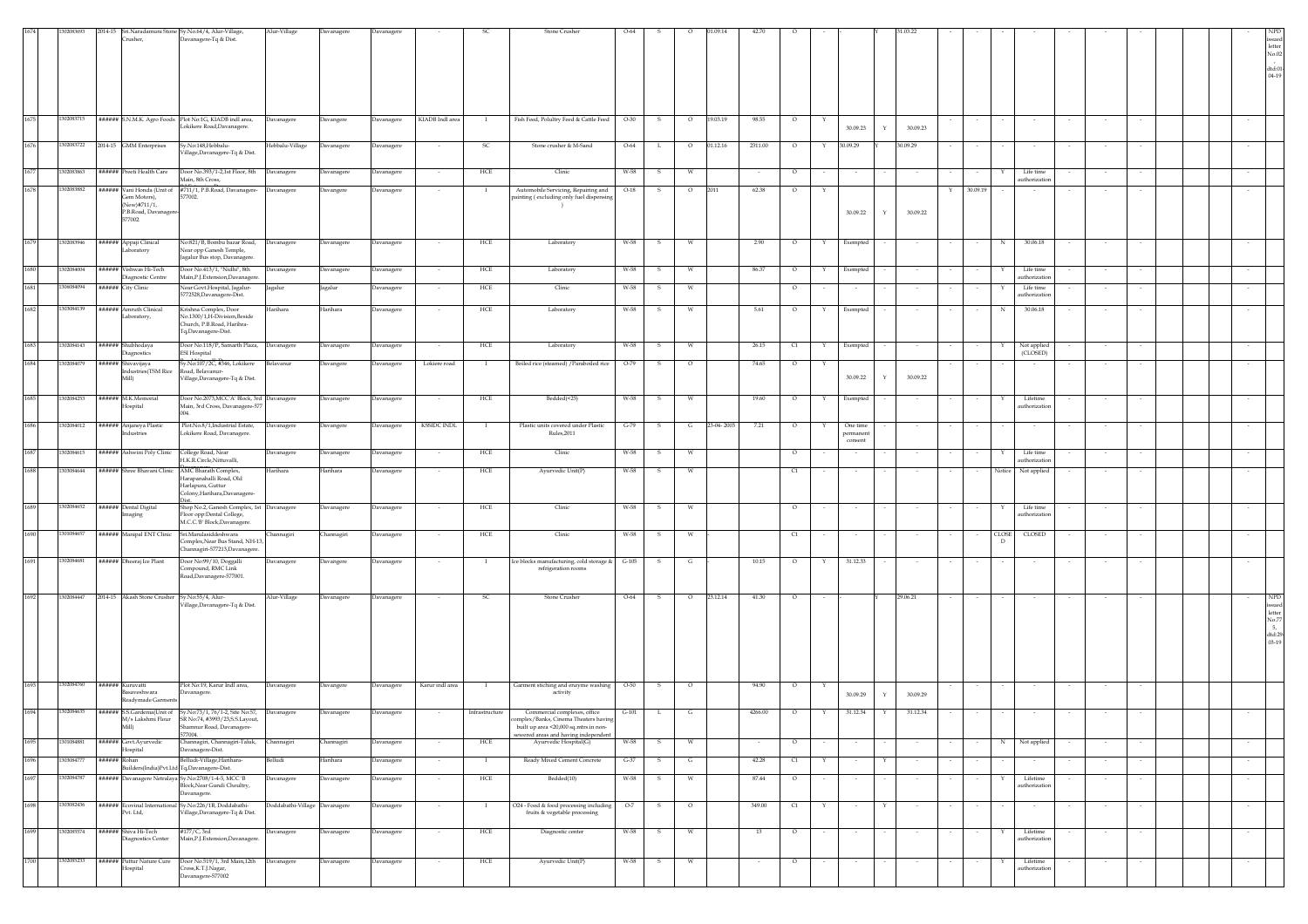| 1674 | 302083693  | 2014-15 Sri.Naradamuni Stone Sy.No.64/4, Alur-Village,<br>Crusher,   | Davanagere-Tq & Dist.                                                                                 | Alur-Village                  | Davanagere        | Davanagere        |                 |                | Stone Crusher                                                                                                     | $O-64$  |    |         | 1.09.14    |         |         |              |                     |   |          |               |                   |                           |        |        |        |        |                                                               |
|------|------------|----------------------------------------------------------------------|-------------------------------------------------------------------------------------------------------|-------------------------------|-------------------|-------------------|-----------------|----------------|-------------------------------------------------------------------------------------------------------------------|---------|----|---------|------------|---------|---------|--------------|---------------------|---|----------|---------------|-------------------|---------------------------|--------|--------|--------|--------|---------------------------------------------------------------|
|      |            |                                                                      |                                                                                                       |                               |                   |                   |                 |                |                                                                                                                   |         |    |         |            |         |         |              |                     |   |          |               |                   |                           |        |        |        |        | ${\rm letter}$<br>$\rm No.02$                                 |
|      |            |                                                                      |                                                                                                       |                               |                   |                   |                 |                |                                                                                                                   |         |    |         |            |         |         |              |                     |   |          |               |                   |                           |        |        |        |        | dtd:01<br>$04 - 19$                                           |
|      |            |                                                                      |                                                                                                       |                               |                   |                   |                 |                |                                                                                                                   |         |    |         |            |         |         |              |                     |   |          |               |                   |                           |        |        |        |        |                                                               |
|      |            |                                                                      |                                                                                                       |                               |                   |                   |                 |                |                                                                                                                   |         |    |         |            |         |         |              |                     |   |          |               |                   |                           |        |        |        |        |                                                               |
| 1675 | 1302083715 | ###### S.N.M.K. Agro Foods Plot No:1G, KIADB indl area,              | Lokikere Road, Davanagere.                                                                            | Davanagere                    | Davangere         | Davanagere        | KIADB Indl area | $\;$ I         | Fish Feed, Polultry Feed & Cattle Feed                                                                            | $O-30$  | s  | $\circ$ | 19.03.19   | 98.55   | $\circ$ | Y            | 30.09.23            |   | 30.09.23 |               |                   |                           |        |        |        |        |                                                               |
| 1676 | 1302083722 | 2014-15 GMM Enterprises                                              | Sy.No:148, Hebbalu-                                                                                   | Hebbalu-Village               | Davanagere        | Davanagere        | $\sim$          | - SC           | Stone crusher & M-Sand                                                                                            | $O-64$  | L. | $\circ$ | 01.12.16   | 2311.00 | $\circ$ | Y            | 30.09.29            |   | 30.09.29 |               |                   |                           |        | $\sim$ |        |        |                                                               |
|      |            |                                                                      | /illage,Davanagere-Tq & Dist.                                                                         |                               |                   |                   |                 |                |                                                                                                                   |         |    |         |            |         |         |              |                     |   |          |               |                   |                           |        |        |        |        |                                                               |
| 1677 | 1302083863 | ###### Preeti Health Care                                            | Door No.393/1-2,1st Floor, 8th<br>Main, 8th Cross,                                                    | Davanagere                    | Davanagere        | Davanagere        |                 | HCE            | Clinic                                                                                                            | W-58    | s  | W       |            |         | $\circ$ |              |                     |   |          |               |                   | Life time<br>uthorization |        |        |        |        |                                                               |
| 1678 | 1302083882 | Gem Motors).<br>(New)#711/1,                                         | ###### Vani Honda (Unit of #711/1, P.B.Road, Davanagere-<br>577002.                                   | Davanagere                    | Davangere         | Davanagere        |                 | $\mathbf{I}$   | Automobile Servicing, Repairing and<br>painting (excluding only fuel dispensing                                   | $O-18$  | -S | $\circ$ | 2011       | 62.38   | $\circ$ | $\mathbf{Y}$ |                     |   |          | 30.09.19<br>Y |                   |                           |        |        |        |        |                                                               |
|      |            | P.B.Road, Davanagere<br>577002.                                      |                                                                                                       |                               |                   |                   |                 |                |                                                                                                                   |         |    |         |            |         |         |              | 30.09.22            | Y | 30.09.22 |               |                   |                           |        |        |        |        |                                                               |
| 1679 | 1302083946 | ###### Appaji Clinical                                               | Vo:821/B, Bombu bazar Road,                                                                           |                               | Davanagere        |                   |                 | HCE            | Laboratory                                                                                                        | W-58    |    |         |            |         | $\circ$ |              |                     |   |          |               |                   | 30.06.18                  |        |        |        |        |                                                               |
|      |            | Laboratory                                                           | Near opp Ganesh Temple,<br>Jagalur Bus stop, Davanagere.                                              | Davanagere                    |                   | <b>Davanagere</b> |                 |                |                                                                                                                   |         | s  | W       |            | 2.90    |         | Y            | Exempted            |   |          |               | $_{\rm N}$        |                           |        |        |        |        |                                                               |
| 1680 | 1302084004 | ###### Vishwas Hi-Tech<br>Diagnostic Centre                          | Door No.413/1, "Nidhi", 8th<br>Main,P.J.Extension,Davanagere.                                         | Davanagere                    | Davanagere        | Davanagere        |                 | HCE            | Laboratory                                                                                                        | W-58    | -S | W       |            | 86.37   | $\circ$ | Y            | Exempted            |   |          |               |                   | Life time<br>uthorization |        |        |        |        |                                                               |
| 1681 | 1306084094 | ###### City Clinic                                                   | Near Govt.Hospital, Jagalur-<br>5772528, Davanagere-Dist.                                             | Jagalur                       | Jagalur           | Davanagere        |                 | HCE            | Clinic                                                                                                            | W-58    | s  | W       |            |         | $\circ$ |              | $\sim$              |   |          |               |                   | Life time<br>uthorization |        |        |        |        |                                                               |
| 1682 | 1303084139 | ###### Amruth Clinical                                               | Krishna Complex, Door                                                                                 | Harihara                      | Harihara          | Davanagere        |                 | HCE            | Laboratory                                                                                                        | W-58    | s  | W       |            | 5.61    | $\circ$ | Y            | Exempted            |   |          |               | N                 | 30.06.18                  |        |        |        |        |                                                               |
|      |            | Laboratory,                                                          | No.1300/1,H-Division,Beside<br>Church, P.B.Road, Harihra-<br>Tq,Davanagere-Dist.                      |                               |                   |                   |                 |                |                                                                                                                   |         |    |         |            |         |         |              |                     |   |          |               |                   |                           |        |        |        |        |                                                               |
| 1683 | 302084143  | ###### Shubhodaya<br><b>Diagnostics</b>                              | Door No.118/P, Samarth Plaza,<br><b>ESI Hospital</b>                                                  | Davanagere                    | Davanagere        | Davanagere        |                 | HCE            | Laboratory                                                                                                        | W-58    | -S | W       |            | 26.15   | C1      | Y            | Exempted            |   |          |               |                   | Not applied<br>(CLOSED)   |        | $\sim$ |        |        |                                                               |
| 1684 | 302084079  | ###### Shivavijaya<br>Industries(TSM Rice                            | /.No:107/2C, #346, Lokikere<br>Road, Belavanur-                                                       | Belavanur                     | Davangere         | avanagere         | Lokiere road    |                | Boiled rice (steamed) / Paraboiled rice                                                                           | $O-79$  | s  | $\circ$ |            | 74.65   | $\circ$ |              |                     |   |          |               |                   |                           |        |        |        |        |                                                               |
|      |            | Mill)                                                                | Village, Davanagere-Tq & Dist.                                                                        |                               |                   |                   |                 |                |                                                                                                                   |         |    |         |            |         |         |              | 30.09.22            | Y | 30.09.22 |               |                   |                           |        |        |        |        |                                                               |
| 1685 | 1302084253 | ###### M.K.Memorial<br>Hospital                                      | Door No.2073, MCC'A' Block, 3rd Davanagere<br>Main, 3rd Cross, Davanagere-577                         |                               | Davanagere        | <b>Davanagere</b> |                 | HCE            | Bedded(<25)                                                                                                       | W-58    | s  | W       |            | 19.60   | $\circ$ |              | Exempted            |   |          |               |                   | Lifetime<br>uthorization  |        |        |        |        |                                                               |
| 1686 | 302084012  | ###### Anjaneya Plastic                                              | 004<br>Plot.No.8/1, Industrial Estate,                                                                | Davanagere                    | Davangere         | Davanagere        | KSSIDC INDL     | <b>I</b>       | Plastic units covered under Plastic                                                                               | $G-79$  | s  | G       | 23-04-2003 | 7.21    | $\circ$ | $\mathbf{Y}$ | One time            |   |          |               |                   |                           |        |        |        |        |                                                               |
|      |            | ndustries                                                            | .okikere Road, Davanagere.                                                                            |                               |                   |                   |                 |                | Rules, 2011                                                                                                       |         |    |         |            |         |         |              | permanen<br>consent |   |          |               |                   |                           |        |        |        |        |                                                               |
| 1687 | 302084615  | ###### Ashwini Poly Clinic                                           | College Road, Near<br>H.K.R.Circle.Nittuvalli.                                                        | Javanagere                    | <b>Davanagere</b> | <b>Javanagere</b> |                 | HCE            | Clinic                                                                                                            | W-58    | s  | W       |            |         | $\circ$ |              |                     |   |          |               |                   | Life time<br>uthorization |        |        |        |        |                                                               |
| 1688 | 1303084644 | ###### Shree Bhavani Clinic                                          | AMC Bharath Complex,<br>Harapanahalli Road, Old<br>Harlapura, Guttur                                  | Iarihara                      | <b>Jarihara</b>   | avanagere         |                 | HCE            | Ayurvedic Unit(P)                                                                                                 | W-58    |    |         |            |         | C1      |              |                     |   |          |               | Notice            | Not applied               |        |        |        |        |                                                               |
| 1689 | 1302084652 |                                                                      | Colony, Harihara, Davanagere-                                                                         |                               |                   |                   |                 |                |                                                                                                                   |         |    |         |            |         |         |              |                     |   |          |               |                   |                           |        |        |        |        |                                                               |
|      |            | ###### Dental Digital<br>aaging                                      | Shop No.2, Ganesh Complex, 1st Davanagere<br>Floor opp:Dental College,<br>M.C.C.'B' Block,Davanagere. |                               | Davanagere        | Davanagere        |                 | HCE            | Clinic                                                                                                            | W-58    | S  | W       |            |         | $\circ$ |              |                     |   |          |               | Y                 | Life time<br>uthorization |        |        |        |        |                                                               |
| 1690 | 1301084657 | ###### Manipal ENT Clinic                                            | Sri.Marulasiddeshwara<br>Complex, Near Bus Stand, NH-13,                                              | hannagiri                     | Channagiri        | Davanagere        |                 | HCE            | Clinic                                                                                                            | W-58    | s  | W       |            |         | q       |              |                     |   |          |               | <b>CLOSE</b><br>D | CLOSED                    |        |        |        |        |                                                               |
| 1691 | 1302084681 | ###### Dheeraj Ice Plant                                             | Channagiri-577213, Davanagere.<br>Door No:99/10, Doggalli                                             | Javanagere                    | Davangere         | Davanagere        |                 | $\mathbf{I}$   | Ice blocks manufacturing, cold storage &                                                                          | $G-105$ | s  | G       |            | 10.15   | $\circ$ | Y            | 31.12.33            |   |          |               |                   |                           |        |        |        |        |                                                               |
|      |            |                                                                      | Compound, RMC Link<br>Road,Davanagere-577001.                                                         |                               |                   |                   |                 |                | refrigeration rooms                                                                                               |         |    |         |            |         |         |              |                     |   |          |               |                   |                           |        |        |        |        |                                                               |
| 1692 | 1302084447 | 2014-15 Akash Stone Crusher Sy.No:55/4, Alur-                        |                                                                                                       | Alur-Village                  | Davanagere        | Davanagere        | $\sim$          | -SC            | Stone Crusher                                                                                                     | O-64    | -S | $\circ$ | 23.12.14   | 41.30   | $\circ$ |              |                     |   | 29.06.21 | $\sim$        |                   |                           |        |        |        | $\sim$ | ${\rm NPD}$                                                   |
|      |            |                                                                      | Village, Davanagere-Tq & Dist.                                                                        |                               |                   |                   |                 |                |                                                                                                                   |         |    |         |            |         |         |              |                     |   |          |               |                   |                           |        |        |        |        | ssued<br>${\rm letter}$<br>No.77                              |
|      |            |                                                                      |                                                                                                       |                               |                   |                   |                 |                |                                                                                                                   |         |    |         |            |         |         |              |                     |   |          |               |                   |                           |        |        |        |        | $\begin{array}{c} \rm{d}t\rm{d}:29 \\ \rm{03-19} \end{array}$ |
|      |            |                                                                      |                                                                                                       |                               |                   |                   |                 |                |                                                                                                                   |         |    |         |            |         |         |              |                     |   |          |               |                   |                           |        |        |        |        |                                                               |
|      |            |                                                                      |                                                                                                       |                               |                   |                   |                 |                |                                                                                                                   |         |    |         |            |         |         |              |                     |   |          |               |                   |                           |        |        |        |        |                                                               |
| 1693 | 1302084760 | ###### Kuruvatti<br><b>Basaveshwara</b>                              | Plot No:19, Karur Indl area,<br>Davanagere.                                                           | Javanagere                    | Davangere         | <b>Davanagere</b> | Karur indl area | $\perp$        | Garment stiching and enzyme washing<br>activity                                                                   | $O-50$  | 5  | $\circ$ |            | 94.90   |         |              | 30.09.29            | Y | 30.09.29 |               |                   |                           |        |        |        |        |                                                               |
| 1694 | 1302084635 | Readymade Garments                                                   | ###### S.S.Gardenia(Unit of Sy.No:73/1, 76/1-2, Site No:57,                                           | Davanagere                    | Davanagere        | Davanagere        |                 | Infrastructure | Commercial complexes, office                                                                                      | $G-101$ | L  | G       |            | 4266.00 | $\circ$ |              | 31.12.34            |   | 31.12.34 |               |                   |                           |        |        |        |        |                                                               |
|      |            | Mill)                                                                | M/s Lakshmi Flour SR No:74, #3993/23, S.S. Layout,<br>Shamnur Road, Davanagere-<br>577004.            |                               |                   |                   |                 |                | plex/Banks, Cinema Theaters havi<br>built up area <20,000 sq.mtrs.in non-<br>sewered areas and having independent |         |    |         |            |         |         |              |                     |   |          |               |                   |                           |        |        |        |        |                                                               |
| 1695 | 1301084881 | ###### Govt.Avurvedic<br>Hospital                                    | Channagiri, Channagiri-Taluk,<br>Davanagere-Dist.                                                     | Channagiri                    | Channagiri        | Davanagere        |                 | HCE            | $\!$ Ayurvedic $\!$ Hospital(G)                                                                                   | W-58    | -S | W       |            |         | $\circ$ |              | $\sim$              |   |          |               | N                 | Not applied               |        |        |        |        |                                                               |
| 1696 | 1303084777 | ###### Rohan                                                         | Belludi-Village, Harihara-<br>Builders(India)Pvt.Ltd Tq,Davanagere-Dist.                              | Belludi                       | Harihara          | Davanagere        | $\sim$          | - 1            | Ready Mixed Cement Concrete                                                                                       | $G-37$  | s. | G       |            | 42.28   | C1      | Y            | $\sim$              | Y | $\sim$   | $\sim$        |                   | $\sim$                    | $\sim$ | $\sim$ | $\sim$ | $\sim$ |                                                               |
| 1697 | 1302084787 | ###### Davanagere Netralaya Sy.No:2708/1-4-5, MCC 'B                 | Block, Near Gundi Choultry,<br>Davanagere.                                                            | Davanagere                    | Davanagere        | Davanagere        |                 | HCE            | Bedded(10)                                                                                                        | W-58    | s  | W       |            | 87.44   | $\circ$ |              |                     |   |          |               |                   | Lifetime<br>authorization |        |        |        |        |                                                               |
| 1698 | 1303082436 | ###### Ecovinal International Sy.No:226/1B, Doddabathi-<br>Pvt. Ltd, | Village, Davanagere-Tq & Dist.                                                                        | Doddabathi-Village Davanagere |                   | Davanagere        |                 |                | O24 - Food & food processing including<br>fruits & vegetable processing                                           | $O-7$   | s  | $\circ$ |            | 349.00  | C1      |              |                     |   |          |               |                   |                           |        |        |        |        |                                                               |
| 1699 | 1302085574 | ###### Shiva Hi-Tech                                                 | #177/C, 3rd                                                                                           | Davanagere                    | Davanagere        | Davanagere        |                 | HCE            | Diagnostic center                                                                                                 | W-58    | s  | W       |            | 13      | $\circ$ |              | $\sim$              |   |          |               |                   | Lifetime                  |        |        |        | $\sim$ |                                                               |
|      |            | Diagnostics Center                                                   | Main, P.J. Extension, Davanagere.                                                                     |                               |                   |                   |                 |                |                                                                                                                   |         |    |         |            |         |         |              |                     |   |          |               |                   | authorization             |        |        |        |        |                                                               |
| 1700 | 1302085233 | ###### Puttur Nature Cure<br>Hospital                                | Door No.519/1, 3rd Main, 12th<br>Cross, K.T.J.Nagar,                                                  | Davanagere                    | Davanagere        | Davanagere        |                 | HCE            | Ayurvedic Unit(P)                                                                                                 | W-58    |    |         |            |         | $\circ$ |              |                     |   |          |               |                   | Lifetime<br>uthorization  |        |        |        |        |                                                               |
|      |            |                                                                      | Davanagere-577002                                                                                     |                               |                   |                   |                 |                |                                                                                                                   |         |    |         |            |         |         |              |                     |   |          |               |                   |                           |        |        |        |        |                                                               |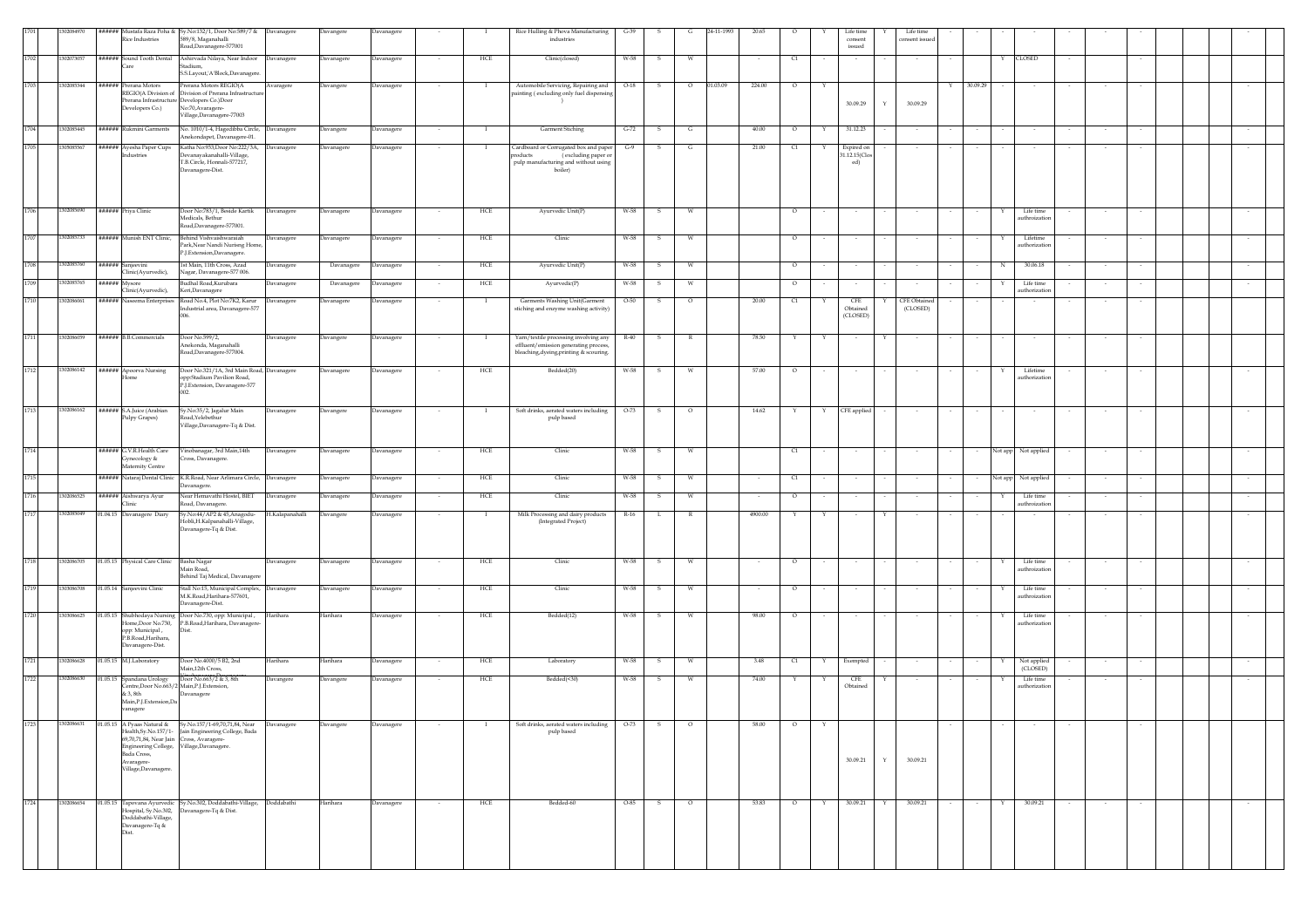|      | 02084970   |                                                  | ###### Mustafa Raza Poha & Sy.No:132/1, Door No:589/7 & Davanagere                                   |                 |            |            |        |                | Rice Hulling & Phova Manufacturing                                             | $G-39$   |              | G            | 24-11-199 |         |                                  |   |                                     | Life time               |        |          |               |                           |        |        |  |  |
|------|------------|--------------------------------------------------|------------------------------------------------------------------------------------------------------|-----------------|------------|------------|--------|----------------|--------------------------------------------------------------------------------|----------|--------------|--------------|-----------|---------|----------------------------------|---|-------------------------------------|-------------------------|--------|----------|---------------|---------------------------|--------|--------|--|--|
|      |            | Rice Industries                                  | 589/8, Maganahalli<br>load,Davanagere-577001                                                         |                 | Davangere  | Davanagere |        |                | industries                                                                     |          |              |              |           |         |                                  |   | Life time<br>$\,$ consent<br>issued | consent issue           |        |          |               |                           |        |        |  |  |
| 1702 | 1302073057 | ###### Sound Tooth Dental                        | Ashirvada Nilaya, Near Indoor Davanagere                                                             |                 | Davanagere | Davanagere |        | HCE            | Clinic(closed)                                                                 | W-58     | $\mathbf{s}$ | W            |           |         | $\begin{array}{c} 1 \end{array}$ |   |                                     |                         |        |          | $\mathbb {Y}$ | <b>CLOSED</b>             |        |        |  |  |
|      |            | "are                                             | stadium,<br>S.S.Layout,'A'Block,Davanagere                                                           |                 |            |            |        |                |                                                                                |          |              |              |           |         |                                  |   |                                     |                         |        |          |               |                           |        |        |  |  |
| 1703 | 1302085344 | ##### Prerana Motors                             | Prerana Motors REGIO(A                                                                               | Avaragere       | Davangere  | Davanagere |        | $\blacksquare$ | Automobile Servicing, Repairing and                                            | $O-18$   | $\mathbf{s}$ | $\circ$      | 01.03.09  | 224.00  | $\circ$                          | Y |                                     |                         | Y      | 30.09.29 |               | $\sim$                    |        |        |  |  |
|      |            | REGIO(A Division of                              | Division of Prerana Infrastructure<br>rerana Infrastructure Developers Co.)Door<br>No:70, Avaragere- |                 |            |            |        |                | painting (excluding only fuel dispensin                                        |          |              |              |           |         |                                  |   | 30.09.29                            | 30.09.29                |        |          |               |                           |        |        |  |  |
|      |            | Developers Co.)                                  | Village, Davanagere-77003                                                                            |                 |            |            |        |                |                                                                                |          |              |              |           |         |                                  |   |                                     |                         |        |          |               |                           |        |        |  |  |
| 1704 | 302085445  | ###### Rukmini Garments                          | No. 1010/1-4, Hagedibba Circle, Davanagere<br>Anekondapet, Davanagere-01.                            |                 | Davangere  | Davanagere |        |                | Garment Stiching                                                               | $G-72$   | - S          | $\mathbf{G}$ |           | 40.00   | $\circ$                          | Y | 31.12.23                            |                         |        |          |               |                           |        |        |  |  |
| 1705 | 05085567   | ###### Ayesha Paper Cups                         | Katha No:933,Door No:222/3A, Davanagere                                                              |                 | Davanagere | Davanagere | $\sim$ | - 1            | Cardboard or Corrugated box and paper                                          | $G-9$    | s.           | G            |           | 21.00   | $\alpha$                         | Y | Expired on                          | $\sim$                  | $\sim$ |          |               |                           | $\sim$ | $\sim$ |  |  |
|      |            | ndustries                                        | Devanavakanahalli-Village.<br>T.B.Circle, Honnali-577217,                                            |                 |            |            |        |                | products<br>(excluding paper or<br>pulp manufacturing and without using        |          |              |              |           |         |                                  |   | 1.12.15(Clos<br>ed)                 |                         |        |          |               |                           |        |        |  |  |
|      |            |                                                  | Davanagere-Dist.                                                                                     |                 |            |            |        |                | boiler)                                                                        |          |              |              |           |         |                                  |   |                                     |                         |        |          |               |                           |        |        |  |  |
|      |            |                                                  |                                                                                                      |                 |            |            |        |                |                                                                                |          |              |              |           |         |                                  |   |                                     |                         |        |          |               |                           |        |        |  |  |
| 1706 | 302085690  | ###### Priya Clinic                              | Door No:783/1, Beside Kartik                                                                         | Davanagere      | Davanagere | Davanagere |        | HCE            | Ayurvedic Unit(P)                                                              | W-58     | S.           | W            |           |         | $\circ$                          |   |                                     |                         |        |          |               | Life time                 | $\sim$ |        |  |  |
|      |            |                                                  | Medicals, Bethur<br>Road, Davanagere-577001.                                                         |                 |            |            |        |                |                                                                                |          |              |              |           |         |                                  |   |                                     |                         |        |          |               | uthroizatic               |        |        |  |  |
| 1707 | 1302085733 | ###### Munish ENT Clinic,                        | Behind Vishvaishwaraiah                                                                              | Davanagere      | Davanagere | Davanagere |        | HCE            | Clinic                                                                         | W-58     |              |              |           |         | $\circ$                          |   |                                     |                         |        |          |               | Lifetime                  |        |        |  |  |
|      |            |                                                  | Park, Near Nandi Nurisng Home,<br>P.J.Extension,Davanagere.                                          |                 |            |            |        |                |                                                                                |          |              |              |           |         |                                  |   |                                     |                         |        |          |               | authorization             |        |        |  |  |
| 1708 | 1302085760 | ###### Sanjeevini<br>Clinic(Ayurvedic),          | 1st Main, 11th Cross, Azad<br>Nagar, Davanagere-577 006.                                             | Davanagere      | Davanagere | Davanagere |        | HCE            | Ayurvedic Unit(P)                                                              | W-58     | $\mathbf{s}$ | W            |           |         | $\circ$                          |   |                                     |                         |        |          | N             | 30.06.18                  |        |        |  |  |
| 1709 | 302085765  | ###### Mysore                                    | Budhal Road, Kurubara                                                                                | Davanagere      | Davanagere | Davanagere |        | HCE            | Ayurvedic(P)                                                                   | W-58     | -S           | W            |           |         | $\circ$                          |   |                                     |                         |        |          |               | Life time                 |        | $\sim$ |  |  |
| 1710 | 302086061  | Clinic(Ayurvedic),<br>###### Naseema Enterprises | Keri, Davanagere<br>Road No.4, Plot No:7K2, Karur                                                    | Davanagere      | Davanagere | Davanagere |        |                | Garments Washing Unit(Garment                                                  | $O-50$   | s.           | $\circ$      |           | 20.00   | C1                               |   | ${\rm CFE}$                         | CFE Obtained            |        |          |               | authorization             |        |        |  |  |
|      |            |                                                  | Industrial area, Davanagere-577                                                                      |                 |            |            |        |                | stiching and enzyme washing activity)                                          |          |              |              |           |         |                                  |   | Obtained<br>(CLOSED)                | (CLOSED)                |        |          |               |                           |        |        |  |  |
|      |            |                                                  |                                                                                                      |                 |            |            |        |                |                                                                                |          |              |              |           |         |                                  |   |                                     |                         |        |          |               |                           |        |        |  |  |
| 1711 | 1302086059 | ###### B.B.Commercials                           | Door No.599/2,<br>Anekonda, Maganahalli                                                              | Davanagere      | Davangere  | Davanagere |        | $\mathbf{I}$   | Yarn/textile processing involving any<br>effluent/emission generating process, | $R - 40$ | $\mathbf{s}$ | R            |           | 78.50   | Y                                | Y |                                     |                         |        |          |               |                           |        |        |  |  |
|      |            |                                                  | Road,Davanagere-577004.                                                                              |                 |            |            |        |                | bleaching, dyeing, printing & scouring.                                        |          |              |              |           |         |                                  |   |                                     |                         |        |          |               |                           |        |        |  |  |
| 1712 | 1302086142 | ###### Apoorva Nursing                           | Door No.321/1A, 3rd Main Road, Davanagere<br>opp:Stadium Pavilion Road,                              |                 | Davanagere | Davanagere |        | HCE            | Bedded(20)                                                                     | W-58     | S.           | W            |           | 57.00   | $\circ$                          |   |                                     |                         |        |          |               | Lifetime<br>authorization |        |        |  |  |
|      |            |                                                  | P.J.Extension, Davanagere-577                                                                        |                 |            |            |        |                |                                                                                |          |              |              |           |         |                                  |   |                                     |                         |        |          |               |                           |        |        |  |  |
| 1713 |            |                                                  |                                                                                                      |                 |            |            |        |                |                                                                                |          |              |              |           |         |                                  |   |                                     |                         |        |          |               |                           |        |        |  |  |
|      | 1302086162 | ###### S.A.Juice (Arabiar<br>Pulpy Grapes)       | Sy.No:35/2, Jagalur Main<br>Road, Yelebethur                                                         | Davanagere      | Davangere  | Davanagere |        |                | Soft drinks, aerated waters including<br>pulp based                            | $O-73$   | S.           | $\circ$      |           | 14.62   | Y                                | Y | CFE applied                         | $\sim$                  |        |          |               |                           |        |        |  |  |
|      |            |                                                  | Village, Davanagere-Tq & Dist.                                                                       |                 |            |            |        |                |                                                                                |          |              |              |           |         |                                  |   |                                     |                         |        |          |               |                           |        |        |  |  |
| 1714 |            | ###### G.V.R.Health Care                         | Vinobanagar, 3rd Main, 14th                                                                          | Davanagere      | Davanagere | Davanagere |        | HCE            | Clinic                                                                         | W-58     | - S          | W            |           |         | C1                               |   |                                     |                         |        |          |               | Not app Not applied       | $\sim$ | $\sim$ |  |  |
|      |            | Gynecology &<br>Aaternity Centre                 | Cross, Davanagere.                                                                                   |                 |            |            |        |                |                                                                                |          |              |              |           |         |                                  |   |                                     |                         |        |          |               |                           |        |        |  |  |
| 1715 |            |                                                  | ###### Nataraj Dental Clinic K.R.Road, Near Arlimara Circle, Davanagere                              |                 | Davanagere | Davanagere | $\sim$ | HCE            | Clinic                                                                         | W-58     | s.           | W            |           | $\sim$  | C1                               |   |                                     |                         |        |          |               | Not app Not applied       | $\sim$ | $\sim$ |  |  |
| 1716 | 302086525  | ###### Aishwarya Ayur                            | Davanagere.<br>Near Hemavathi Hostel, BIET                                                           | Davanagere      | Davanagere | Davanagere |        | HCE            | Clinic                                                                         | W-58     | -S           | W            |           |         | $\circ$                          |   |                                     |                         |        |          |               | Life time                 |        | $\sim$ |  |  |
| 1717 | 302085049  | Clinic<br>01.04.15 Davanagere Diary              | load, Davanagere.<br>Sy.No:44/AP2 & 45,Anagodu-                                                      | H.Kalapanahalli | Davangere  | Davanagere |        |                | Milk Processing and dairy products                                             | R-16     | L.           | $\mathbb{R}$ |           | 4900.00 | Y                                |   |                                     |                         |        |          |               | authroization             |        |        |  |  |
|      |            |                                                  | Hobli, H. Kalpanahalli-Village,<br>Davanagere-Tq & Dist.                                             |                 |            |            |        |                | (Integrated Project)                                                           |          |              |              |           |         |                                  |   |                                     |                         |        |          |               |                           |        |        |  |  |
|      |            |                                                  |                                                                                                      |                 |            |            |        |                |                                                                                |          |              |              |           |         |                                  |   |                                     |                         |        |          |               |                           |        |        |  |  |
| 1718 | 1302086705 | 01.05.15 Physical Care Clinic                    | Basha Nagar                                                                                          |                 |            |            |        | HCE            | Clinic                                                                         | W-58     | s            |              |           |         | $\circ$                          |   |                                     |                         |        |          |               | Life time                 |        |        |  |  |
|      |            |                                                  | Main Road,<br>Behind Taj Medical, Davanagere                                                         | Davanagere      | Davanagere | Davanagere |        |                |                                                                                |          |              | W            |           |         |                                  |   | $\sim$                              |                         |        |          |               | authroization             |        |        |  |  |
| 1719 | 303086708  | 01.05.14 Sanjeevini Clinic                       | Stall No:15, Municipal Complex, Davanagere                                                           |                 | Davanagere | Davanagere |        | HCE            | Clinic                                                                         | W-58     | $\mathbf{s}$ | W            |           |         | $\circ$                          |   |                                     |                         |        |          | Y             | Life time                 | $\sim$ |        |  |  |
|      |            |                                                  | M.K.Road, Harihara-577601,<br>Davanagere-Dist.                                                       |                 |            |            |        |                |                                                                                |          |              |              |           |         |                                  |   |                                     |                         |        |          |               | uthroizatic               |        |        |  |  |
| 1720 | 303086625  | 01.05.15 Shubhodaya Nursing                      | Door No.730, opp: Municipal,                                                                         | Harihara        | Harihara   | Davanagere |        | HCE            | Bedded(12)                                                                     | W-58     | -S           | W            |           | 98.00   | $\circ$                          |   | $\sim$                              | $\sim$                  |        |          |               | Life time                 | $\sim$ |        |  |  |
|      |            | Home, Door No.730,<br>opp: Municipal,            | P.B.Road, Harihara, Davanagere-<br>Dist                                                              |                 |            |            |        |                |                                                                                |          |              |              |           |         |                                  |   |                                     |                         |        |          |               | authorization             |        |        |  |  |
|      |            | P.B.Road, Harihara<br>Davanagere-Dist.           |                                                                                                      |                 |            |            |        |                |                                                                                |          |              |              |           |         |                                  |   |                                     |                         |        |          |               |                           |        |        |  |  |
| 1721 | 302086628  | 01.05.15 M.J.Laboratory                          | Door No.4000/5 B2, 2nd                                                                               | Harihara        | Harihara   | Davanagere |        | HCE            | Laboratory                                                                     | W-58     |              | W            |           | 3.48    | $\alpha$                         | Y | Exempted                            |                         |        |          |               | Not applied               |        |        |  |  |
| 1722 | 302086630  | 01.05.15 Spandana Urology                        | Main, 12th Cross,<br>Door No.663/2 & 3, 8th                                                          | Davangere       | Davangere  | Davanagere |        | HCE            | Bedded(<30)                                                                    | W-58     | -S           | W            |           | 74.00   | Y                                | Y | CFE                                 |                         |        |          |               | (CLOSED)<br>Life time     |        |        |  |  |
|      |            | & 3, 8th                                         | Centre, Door No.663/2 Main, P.J. Extension,<br>Davanagere                                            |                 |            |            |        |                |                                                                                |          |              |              |           |         |                                  |   | Obtained                            |                         |        |          |               | authorization             |        |        |  |  |
|      |            | Main, P.J. Extension, Da<br>anagere              |                                                                                                      |                 |            |            |        |                |                                                                                |          |              |              |           |         |                                  |   |                                     |                         |        |          |               |                           |        |        |  |  |
| 1723 | 1302086631 |                                                  | 01.05.15 A Pyaas Natural & Sy.No.157/1-69,70,71,84, Near Davanagere                                  |                 | Davangere  | Davanagere | $\sim$ | $\mathbf{I}$   |                                                                                |          |              | $\circ$      |           | 58.00   | $\circ$                          |   |                                     |                         |        |          |               |                           |        |        |  |  |
|      |            |                                                  | Health, Sy. No. 157/1- Jain Engineering College, Bada<br>69,70,71,84, Near Jain Cross, Avaragere-    |                 |            |            |        |                | pulp based                                                                     |          |              |              |           |         |                                  |   |                                     |                         |        |          |               |                           |        |        |  |  |
|      |            | Bada Cross,                                      | Engineering College, Village, Davanagere.                                                            |                 |            |            |        |                |                                                                                |          |              |              |           |         |                                  |   |                                     |                         |        |          |               |                           |        |        |  |  |
|      |            | Avaragere-<br>Village, Davanagere.               |                                                                                                      |                 |            |            |        |                |                                                                                |          |              |              |           |         |                                  |   | 30.09.21                            | $\mathbf Y$<br>30.09.21 |        |          |               |                           |        |        |  |  |
|      |            |                                                  |                                                                                                      |                 |            |            |        |                |                                                                                |          |              |              |           |         |                                  |   |                                     |                         |        |          |               |                           |        |        |  |  |
| 1724 | 1302086654 |                                                  | 01.05.15 Tapovana Ayurvedic Sy.No.302, Doddabathi-Village, Doddabathi                                |                 | Harihara   | Davanagere |        | HCE            | Bedded-60                                                                      | $O-85$   | $\mathbf{s}$ | $\circ$      |           | 53.83   | $\circ$                          | Y | 30.09.21                            | 30.09.21<br>Y           |        |          | Y             | 30.09.21                  |        |        |  |  |
|      |            | Doddabathi-Village,                              | Hospital, Sy.No.302, Davanagere-Tq & Dist.                                                           |                 |            |            |        |                |                                                                                |          |              |              |           |         |                                  |   |                                     |                         |        |          |               |                           |        |        |  |  |
|      |            | Davanagere-Tq &<br>Dist.                         |                                                                                                      |                 |            |            |        |                |                                                                                |          |              |              |           |         |                                  |   |                                     |                         |        |          |               |                           |        |        |  |  |
|      |            |                                                  |                                                                                                      |                 |            |            |        |                |                                                                                |          |              |              |           |         |                                  |   |                                     |                         |        |          |               |                           |        |        |  |  |
|      |            |                                                  |                                                                                                      |                 |            |            |        |                |                                                                                |          |              |              |           |         |                                  |   |                                     |                         |        |          |               |                           |        |        |  |  |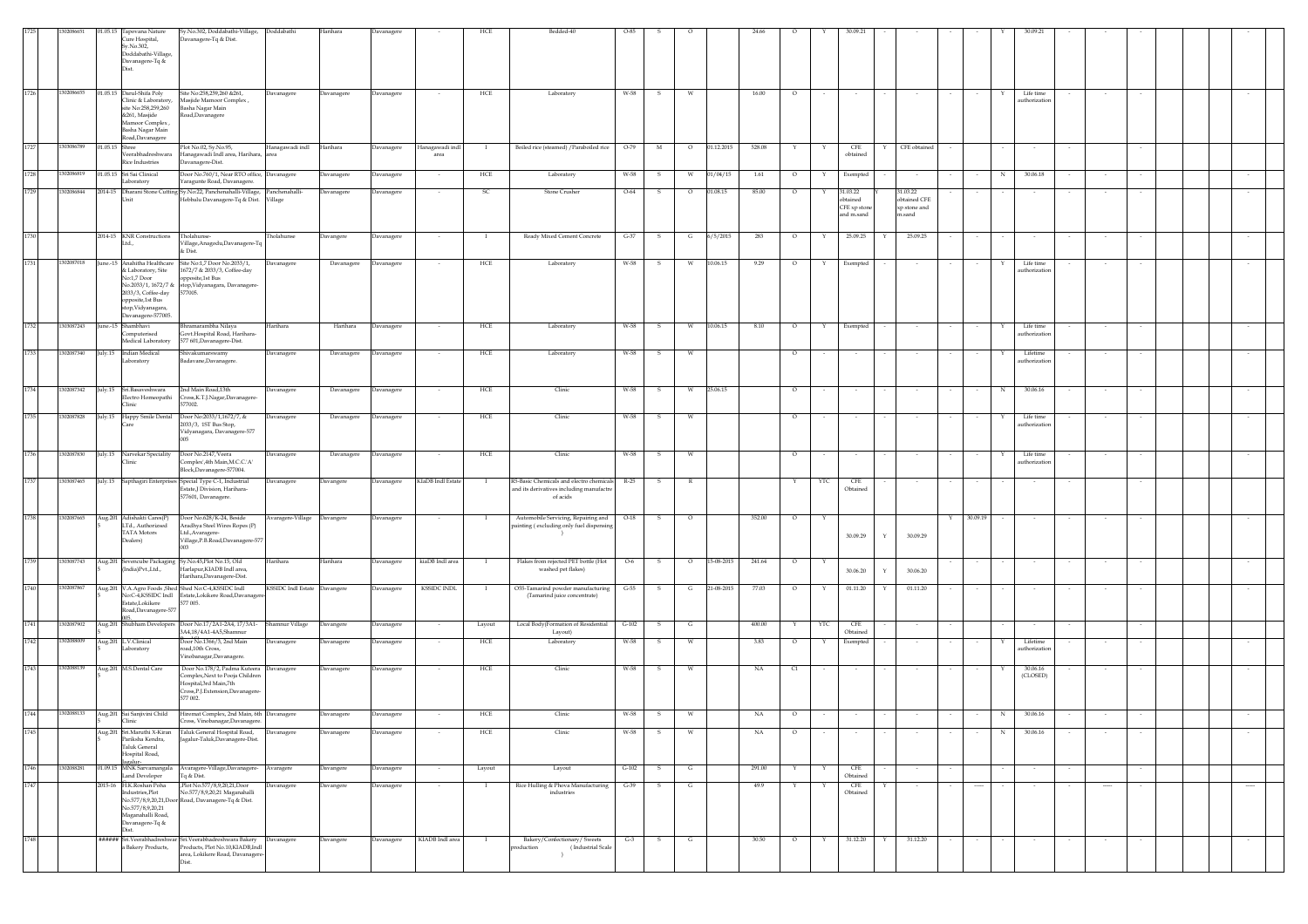|      |            |                | 01.05.15 Tapovana Nature<br>Cure Hospital,<br>Sv.No.302.<br>Doddabathi-Village,<br>Davanagere-Tq &<br>Dist.                                                     | Sy.No.302, Doddabathi-Village, Doddabathi<br>Davanagere-Tq & Dist.                                                                                                           |                              | Harihara          | Davanagere |                         | HCI               | Bedded-40                                                                                             |         |        |         |            | 24.66       |         |     |                                                   |   |                                                    |                  |                            |          |        |  |          |
|------|------------|----------------|-----------------------------------------------------------------------------------------------------------------------------------------------------------------|------------------------------------------------------------------------------------------------------------------------------------------------------------------------------|------------------------------|-------------------|------------|-------------------------|-------------------|-------------------------------------------------------------------------------------------------------|---------|--------|---------|------------|-------------|---------|-----|---------------------------------------------------|---|----------------------------------------------------|------------------|----------------------------|----------|--------|--|----------|
| 1726 |            |                | 1302086655 01.05.15 Darul-Shifa Poly<br>Clinic & Laboratory,<br>site No:258,259,260<br>&261, Masjide<br>Mamoor Complex,<br>Basha Nagar Main<br>Road, Davanagere | Site No:258,259,260 & 261,<br>Masjide Mamoor Complex,<br>Basha Nagar Main<br>Road, Davanagere                                                                                | Davanagere                   | Davanagere        | Davanagere |                         | HCE               | Laboratory                                                                                            | W-58    | -S.    | W       |            | 16.00       | $\circ$ |     |                                                   |   |                                                    |                  | Life time<br>authorization |          |        |  |          |
| 1727 | 1303086789 | 01.05.15 Shree | Veerabhadreshwara<br>Rice Industries                                                                                                                            | Plot No.02, Sy.No.95,<br>Hanagawadi Indl area, Harihara,<br>Davanagere-Dist.                                                                                                 | Hanagawadi indl              | Harihara          | Davanagere | Hanagawadi indl<br>area |                   | Boiled rice (steamed) / Paraboiled rice                                                               | $O-79$  | M      | $\circ$ | 01.12.2015 | 528.08      |         |     | CFE<br>obtained                                   |   | CFE obtained                                       |                  |                            |          |        |  |          |
| 1728 | 302086819  |                | 01.05.15 Sri Sai Clinical<br>Laboratory                                                                                                                         | Door No.760/1, Near RTO office, Davanagere<br>faragunte Road, Davanagere.                                                                                                    |                              | Davanagere        | Davanagere |                         | HCE               | Laboratory                                                                                            | W-58    |        | W       | 01/04/15   | 1.61        | $\circ$ |     | Exempted                                          |   |                                                    | N                | 30.06.18                   |          |        |  |          |
| 1729 | 12086844   |                |                                                                                                                                                                 | 2014-15 Dharani Stone Cutting Sy.No.22, Panchenahalli-Village, Panchenahalli-<br>Hebbalu Davanagere-Tq & Dist.                                                               | Village                      | <b>Davanagere</b> | Davanagere |                         | <b>SC</b>         | Stone Crusher                                                                                         | $O-64$  |        | $\circ$ | 1.08.15    | 85.00       | $\circ$ |     | 31.03.22<br>obtained<br>CFE xp ston<br>and m.sand |   | 31.03.22<br>obtained CFE<br>xp stone and<br>n.sand |                  |                            |          |        |  |          |
| 1730 |            |                | 2014-15 KNR Constructions<br>Ltd.,                                                                                                                              | Tholahunse-<br>Village, Anagodu, Davanagere-Tq<br>& Dist.                                                                                                                    | holahunse                    | <b>Davangere</b>  | Davanagere |                         |                   | Ready Mixed Cement Concrete                                                                           | $G-37$  |        | G       | 6/5/2015   | 283         | $\circ$ |     | 25.09.25                                          |   | 25.09.25                                           |                  |                            |          |        |  |          |
| 1731 | 1302087018 |                | & Laboratory, Site<br>No:1,7 Door<br>2033/3, Coffee-day<br>opposite,1st Bus<br>stop, Vidyanagara,<br>Davanagere-577005.                                         | June.-15 Anahitha Healthcare Site No:1,7 Door No.2033/1,<br>1672/7 & 2033/3, Coffee-day<br>opposite,1st Bus<br>No.2033/1, 1672/7 & stop, Vidyanagara, Davanagere-<br>577005. | Davanagere                   | Davanagere        | Davanagere |                         | HCE               | Laboratory                                                                                            | W-58    | - 5    | W       | 10.06.15   | 9.29        | $\circ$ | Y   | Exempted                                          |   |                                                    | Y                | Life time<br>uthorizatio   |          |        |  | $\sim$   |
| 1732 | 1303087243 |                | June.-15 Shambhavi<br>Computerised<br>Medical Laboratory                                                                                                        | Bhramarambha Nilaya<br>Govt.Hospital Road, Harihara-<br>577 601, Davanagere-Dist.                                                                                            | Harihara                     | Harihara          | Davanagere |                         | HCE               | Laboratory                                                                                            | W-58    |        | W       | 10.06.15   | 8.10        | $\circ$ | Y   | Exempted                                          |   |                                                    |                  | Life time<br>authorizatio  |          |        |  |          |
| 1733 | 1302087340 |                | July.15 Indian Medical<br>Laboratory                                                                                                                            | Shivakumarswamy<br>Badavane, Davanagere                                                                                                                                      | Davanagere                   | Davanagere        | Davanagere |                         | ${\rm HCE}$       | Laboratory                                                                                            | W-58    | -S     | W       |            |             | $\circ$ |     |                                                   |   |                                                    | Y                | Lifetime<br>authorization  | $\sim$   |        |  |          |
| 1734 | 1302087342 |                | July.15 Sri.Basaveshwara<br>Electro Homeopathi<br>Clinic                                                                                                        | 2nd Main Road, 13th<br>Cross, K.T.J.Nagar, Davanagere-<br>577002.                                                                                                            | Davanagere                   | Davanagere        | Davanagere |                         | HCE               | Clinic                                                                                                | W-58    |        | W       | 25.06.15   |             | $\circ$ |     |                                                   |   |                                                    | N                | 30.06.16                   |          |        |  |          |
| 1735 | 1302087828 |                | July 15 Happy Smile Dental                                                                                                                                      | Door No:2033/1,1672/7, &<br>2033/3, 1ST Bus Stop,<br>Vidyanagara, Davanagere-577                                                                                             | Davanagere                   | Davanagere        | Davanagere |                         | HCE               | Clinic                                                                                                | W-58    | -S     | W       |            |             | $\circ$ |     |                                                   |   |                                                    |                  | Life time<br>uthorizatio   |          |        |  |          |
| 1736 | 1302087830 |                | July.15 Narvekar Speciality<br>Clinic                                                                                                                           | Door No.2147, Veera<br>Complex',4th Main, M.C.C.'A'<br>Block,Davanagere-577004.                                                                                              | Davanagere                   | Davanagere        | Davanagere |                         | HCE               | Clinic                                                                                                | W-58    | $\sim$ | W       |            |             | $\circ$ |     |                                                   |   |                                                    | Y                | Life time<br>uthorizatio   |          |        |  |          |
| 1737 | 1303087465 |                |                                                                                                                                                                 | July 15 Sapthagiri Enterprises Special Type C-1, Industrial<br>Estate,J Division, Harihara-<br>577601, Davanagere.                                                           | Davanagere                   | Davangere         | Davanagere | KIaDB Indl Estate       |                   | R5-Basic Chemicals and electro chemicals R-25<br>and its derivatives including manufactre<br>of acids |         | -S.    | R       |            |             |         | YTC | CFE<br>Obtained                                   |   |                                                    |                  |                            |          |        |  |          |
| 1738 | 1302087665 |                | Aug.201 Adishakti Cares(P)<br>LTd., Authorizsed<br>TATA Motors<br>Dealers)                                                                                      | Door No.628/K-24, Beside<br>Aradhya Steel Wires Ropes (P)<br>Ltd., Avaragere-<br>Village, P.B. Road, Davanagere-577                                                          | Avaragere-Village            | Davangere         | Davanagere |                         |                   | Automobile Servicing, Repairing and<br>painting (excluding only fuel dispensing                       | $O-18$  |        | $\circ$ |            | 352.00      | $\circ$ |     | 30.09.29                                          |   | 30.09.29                                           | 30.09.19         |                            |          |        |  |          |
| 1739 | 1303087743 |                | (India)Pvt.,Ltd.,                                                                                                                                               | Aug.201 Sevencube Packaging Sy.No.45,Plot No.15, Old<br>Harlapur, KIADB Indl area,<br>Harihara, Davanagere-Dist.                                                             | Harihara                     | Harihara          | Davanagere | kiaDB Indl area         |                   | Flakes from rejected PET bottle (Hot<br>washed pet flakes)                                            | $O-6$   |        | $\circ$ | 15-08-2015 | 241.64      | $\circ$ | Y   | 30.06.20                                          |   | 30.06.20                                           |                  |                            |          |        |  |          |
| 1740 | 1302087867 |                | Estate.Lokikere<br>Road, Davanagere-577                                                                                                                         | Aug.201 V.A.Agro Foods ,Shed Shed No:C-4,KSSIDC Indl<br>No:C-4,KSSIDC Indl Estate,Lokikere Road,Davanage<br>577 005.                                                         | KSSIDC Indl Estate Davangere |                   | Davanagere | <b>KSSIDC INDL</b>      | - 1               | O55-Tamarind powder manufacturing<br>(Tamarind juice concentrate)                                     | $G-55$  | s.     | G       | 21-08-2015 | 77.03       | $\circ$ | Y   | 01.11.20                                          | Y | 01.11.20                                           |                  | $\sim$                     | $\sim$   | $\sim$ |  | $\sim$   |
| 1741 | 302087902  |                |                                                                                                                                                                 | Aug.201 Shubham Developers Door No.17/2A1-2A4, 17/3A1-<br>3A4,18/4A1-4A5,Shamnur                                                                                             | Shamnur Village              | Davangere         | Davanagere |                         | Layout            | Local Body(Formation of Residential<br>Layout)                                                        | $G-102$ |        | G       |            | 400.00      |         | YTC | CFE<br>Obtained                                   |   |                                                    |                  |                            |          |        |  |          |
| 1742 | 302088009  |                | Aug.201 L.V.Clinical<br>Laboratory                                                                                                                              | Door No.1366/3, 2nd Main<br>pad,10th Cross,<br>Vinobanagar, Davanagere.                                                                                                      | Davanagere                   | Davanagere        | Davanagere |                         | ${\rm HCE}$       | Laboratory                                                                                            | W-58    |        | W       |            | 3.83        | $\circ$ | Y   | Exempted                                          |   |                                                    | Y                | Lifetime<br>authorizatio   | $\sim$   | $\sim$ |  |          |
| 1743 | 1302088139 |                | Aug.201 M.S.Dental Care                                                                                                                                         | Door No.178/2, Padma Kuteera Davanagere<br>Complex, Next to Pooja Children<br>Hospital,3rd Main,7th<br>Cross,P.J.Extension,Davanagere-<br>577 002.                           |                              | Davanagere        | Davanagere |                         | HCE               | Clinic                                                                                                | W-58    |        | W       |            | NA          | C1      |     |                                                   |   |                                                    |                  | 30.06.16<br>(CLOSED)       |          |        |  |          |
| 1744 | 1302088133 |                | Aug.201 Sai Sanjivini Child                                                                                                                                     | Hiremat Complex, 2nd Main, 6th Davanagere<br>oss. Vinoba                                                                                                                     |                              | Davanagere        | Davanagere |                         | ${\rm HCE}$       | Clinic                                                                                                | W-58    | s      | W       |            | $_{\rm NA}$ | $\circ$ |     |                                                   |   |                                                    | $_{\rm N}$       | 30.06.16                   |          |        |  |          |
| 1745 |            |                | Aug.201 Sri.Maruthi X-Kiran<br>Pariksha Kendra,<br>Taluk General<br>Hospital Road,<br>galur-                                                                    | Taluk General Hospital Road,<br>Jagalur-Taluk, Davanagere-Dist.                                                                                                              | Davanagere                   | Davanagere        | Davanagere |                         | $_{\mathrm{HCE}}$ | Clinic                                                                                                | W-58    |        | W       |            | $_{\rm NA}$ | $\circ$ |     |                                                   |   |                                                    | $_{\rm N}$       | 30.06.16                   |          |        |  |          |
| 1746 | 1302088281 |                | 01.09.15 MNK Sarvamangala<br>Land Developer                                                                                                                     | Avaragere-Village, Davanagere-<br>Tq & Dist.                                                                                                                                 | Avaragere                    | Davangere         | Davanagere | $\sim$                  | Layout            | Layout                                                                                                | $G-102$ | -S.    | G       |            | 291.00      |         |     | CFE<br>Obtained                                   |   |                                                    |                  |                            |          | $\sim$ |  |          |
| 1747 |            |                | 2015-16 H.K.Roshan Poha<br>Industries, Plot<br>No.577/8.9.20.21<br>Maganahalli Road,<br>Davanagere-Tq &<br>Dist.                                                | Plot No.577/8,9,20,21,Door<br>No.577/8,9,20,21 Maganahalli<br>No.577/8,9,20,21,Door Road, Davanagere-Tq & Dist.                                                              | Davanagere                   | Davangere         | Davanagere | $\sim$                  |                   | Rice Hulling & Phova Manufacturing<br>$industries$                                                    | $G-39$  | S.     | G       |            | 49.9        |         | Y   | $\mathsf{CFE}$<br>Obtained                        | Υ |                                                    | -----            | $\sim$                     | $\cdots$ |        |  | $\cdots$ |
| 1748 |            |                | a Bakery Products,                                                                                                                                              | ###### Sri.Veerabhadreshwar Sri.Veerabhadreshwara Bakery<br>Products, Plot No.10, KIADB, Indl<br>area, Lokikere Road, Davanagere<br>Dist                                     | Davanagere                   | Davangere         | Davanagere | KIADB Indl area         | $\mathbf{I}$      | Bakery/Confectionary/ Sweets<br>production<br>(Industrial Scale<br>$\rightarrow$                      | $G-3$   | S.     | G       |            | 30.50       | $\circ$ | Y   | 31.12.20                                          | Y | 31.12.20                                           | $\sim$<br>$\sim$ | $\sim$                     | $\sim$   | $\sim$ |  | $\sim$   |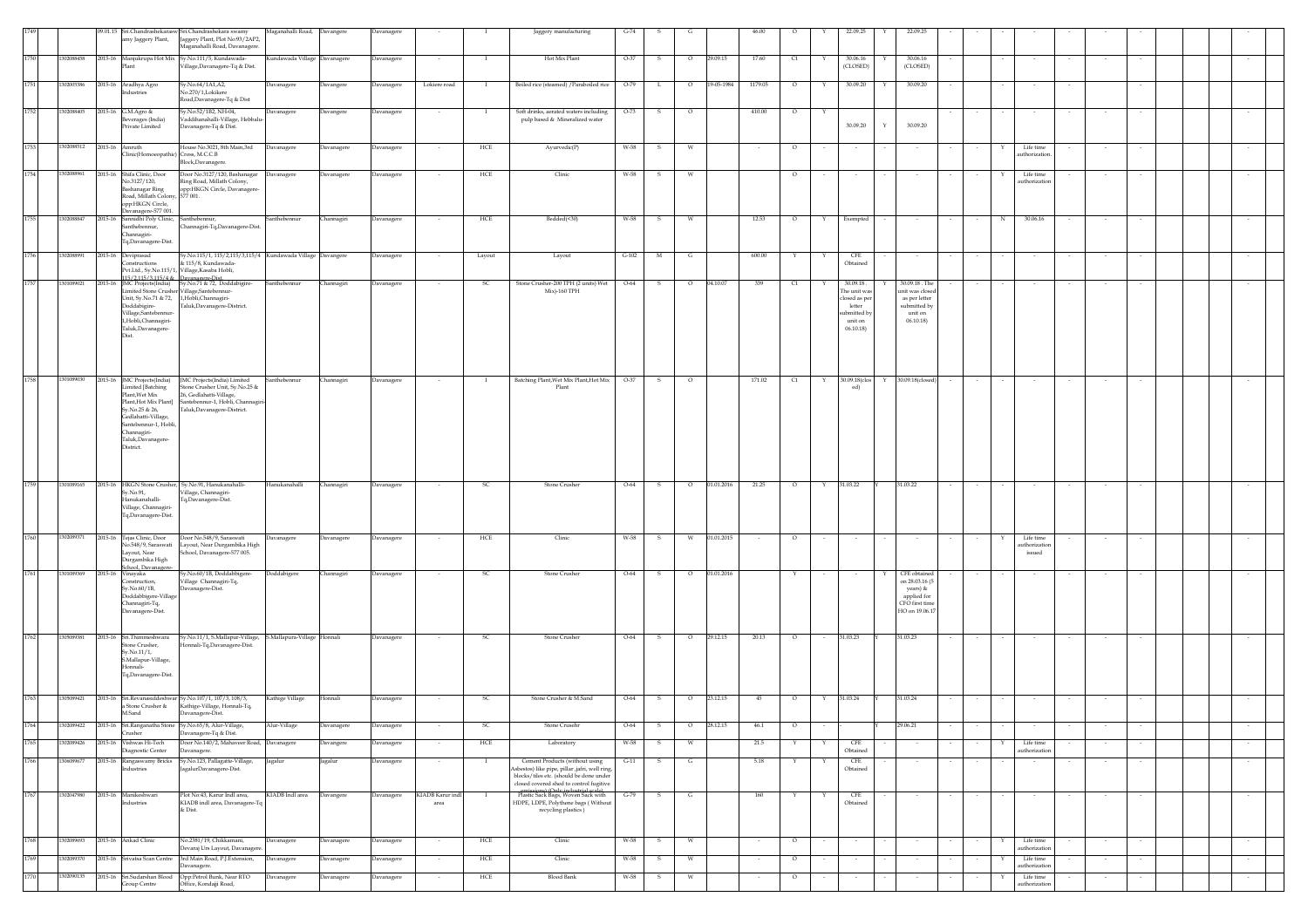|              |                          |         | amy Jaggery Plant,                                                                                                                                                                                             | 09.01.15 Sri.Chandrashekarasw Sri.Chandrashekara swamy<br>Jaggery Plant, Plot No:93/2AP2,<br>Maganahalli Road, Davanagere.                                                        | Maganahalli Road, Davangere  |            | Davanagere |                          |               | Jaggery manufacturing                                                                                                                                                 | $G-74$  |                              |                       | 46.00   |          |   | 22.09.25                                                                                 |   | 22.09.2                                                                                        |        |   |                                   |        |        |  |        |
|--------------|--------------------------|---------|----------------------------------------------------------------------------------------------------------------------------------------------------------------------------------------------------------------|-----------------------------------------------------------------------------------------------------------------------------------------------------------------------------------|------------------------------|------------|------------|--------------------------|---------------|-----------------------------------------------------------------------------------------------------------------------------------------------------------------------|---------|------------------------------|-----------------------|---------|----------|---|------------------------------------------------------------------------------------------|---|------------------------------------------------------------------------------------------------|--------|---|-----------------------------------|--------|--------|--|--------|
| 1750         | 1302088458               |         | Plant                                                                                                                                                                                                          | 2015-16 Manjukrupa Hot Mix Sy.No.111/5, Kundawada-<br>Village, Davanagere-Tq & Dist.                                                                                              | Kundawada Village Davanagere |            | Davanagere |                          |               | Hot Mix Plant                                                                                                                                                         | $O-37$  | s<br>$\circ$                 | 29.09.15              | 17.60   | C1       |   | 30.06.16<br>(CLOSED)                                                                     |   | 30.06.16<br>(CLOSED)                                                                           |        |   |                                   |        |        |  |        |
| 1751         | 1302005386               |         | 2015-16 Aradhya Agro<br>Industries                                                                                                                                                                             | Sy.No.64/1A1,A2,<br>No.270/1,Lokikere<br>Road, Davanagere-Tq & Dist                                                                                                               | <b>Javanagere</b>            | Davangere  | Davanagere | Lokiere road             | - 1           | Boiled rice (steamed) / Paraboiled rice                                                                                                                               | $O-79$  | L.                           | 19-05-1984<br>$\circ$ | 1179.05 | $\circ$  | Y | 30.09.20                                                                                 | Y | 30.09.20                                                                                       |        |   | $\sim$                            |        | $\sim$ |  |        |
| 1752         | 1302088405               |         | 2015-16 G.M.Agro &<br>everages (India)<br>Private Limited                                                                                                                                                      | iy.No:52/1B2, NH-04,<br>Vaddihanahalli-Village, Hebbalu-<br>Davanagere-Tq & Dist.                                                                                                 | Davanagere                   | Davangere  | Davanagere |                          |               | Soft drinks, aerated waters including<br>pulp based & Mineralized water                                                                                               | $O-73$  | s                            | $\circ$               | 410.00  | $\circ$  | Υ | 30.09.20                                                                                 |   | 30.09.20                                                                                       |        |   |                                   |        |        |  |        |
| 1753         | 1302088512               |         | 2015-16 Amruth<br>Clinic(Homoeopathic) Cross, M.C.C.B                                                                                                                                                          | House No.3021, 8th Main,3rd<br>Block, Davanagere.                                                                                                                                 | Davanagere                   | Davanagere | Davanagere |                          | HCE           | Ayurvedic(P)                                                                                                                                                          | W-58    | s<br>W                       |                       |         | $\circ$  |   |                                                                                          |   |                                                                                                |        |   | Life time<br>authorization        |        |        |  |        |
| 1754         | 1302088961               |         | 2015-16 Shifa Clinic, Door<br>No.3127/120,<br>Bashanagar Ring<br>Road, Millath Colony, 577 001.<br>opp:HKGN Circle,<br>Davanagere-577 001.                                                                     | Door No.3127/120, Bashanagar<br>Ring Road, Millath Colony,<br>opp:HKGN Circle, Davanagere-                                                                                        | Davanagere                   | Davanagere | Davanagere |                          | HCE           | Clinic                                                                                                                                                                | W-58    | -S<br>w                      |                       |         | $\circ$  |   |                                                                                          |   |                                                                                                |        |   | Life time<br>uthorizatic          |        |        |  |        |
| 1755         | 1302088847               | 2015-16 | Sannidhi Poly Clinic,<br>Santhebennur,<br>Channagiri-<br>Tq,Davanagere-Dist.                                                                                                                                   | Santhebennur,<br>Thannagiri-Tq,Davanagere-Dist.                                                                                                                                   | anthebennur                  | hannagiri  | Davanagere |                          | HCE           | Bedded(<30)                                                                                                                                                           | W-58    |                              |                       | 12.53   | O        |   | Exempted                                                                                 |   |                                                                                                |        |   | 30.06.16                          |        |        |  |        |
| 1756         | 1302088991               |         | 2015-16 Deviprasad<br>Constructions                                                                                                                                                                            | Sy.No.115/1, 115/2,115/3,115/4 Kundawada Village Davangere<br>& 115/8, Kundawada-<br>Pvt.Ltd., Sy.No.115/1, Village,Kasaba Hobli,                                                 |                              |            | Davanagere |                          | Layout        | Layout                                                                                                                                                                | $G-102$ | M<br>G                       |                       | 600.00  |          |   | CFE<br>Obtained                                                                          |   |                                                                                                |        |   |                                   |        |        |  |        |
| 1757         | 1301089021               |         | 15/2.115/3.115/4 & Davanagere-Dist<br>Doddabigire-<br>Village.Santebennur<br>1,Hobli,Channagiri-<br>Taluk, Davanagere-<br>Dist.                                                                                | 2015-16 JMC Projects(India) Sy.No.71 & 72, Doddabigire-<br>Limited Stone Crusher Village, Santebennur-<br>Unit, Sy.No.71 & 72, 1,Hobli,Channagiri-<br>Taluk, Davanagere-District. | Santhebennur                 | Channagiri | Davanagere |                          | - SC          | Stone Crusher-200 TPH (2 units) Wet<br>Mix)-160 TPH                                                                                                                   | $O-64$  | $\circ$<br>s                 | 04.10.07              | 339     | C1       |   | 30.09.18<br>The unit was<br>osed as per<br>letter<br>ibmitted by<br>unit on<br>06.10.18) |   | 30.09.18 . The<br>unit was closed<br>as per letter<br>submitted by<br>unit on<br>06.10.18      |        |   |                                   |        |        |  |        |
| 1758         | 1301089030               |         | 2015-16 JMC Projects(India)<br>Limited [Batching<br>Plant. Wet Mix<br>Plant, Hot Mix Plant]<br>Sy.No.25 & 26,<br>Gedlahatti-Village,<br>Santebennur-1, Hobli,<br>Channagiri-<br>Taluk,Davanagere-<br>District. | JMC Projects(India) Limited<br>Stone Crusher Unit, Sy.No.25 &<br>26, Gedlahatti-Village,<br>Santebennur-1, Hobli, Channagir<br>Taluk,Davanagere-District.                         | Santhebennur                 | Channagiri | Davanagere |                          |               | Batching Plant, Wet Mix Plant, Hot Mix<br>Plant                                                                                                                       | $O-37$  | s<br>$\circ$                 |                       | 171.02  | $\alpha$ | Y | 30.09.18(clos<br>ed)                                                                     |   | 30.09.18(closed)                                                                               |        |   |                                   |        |        |  | $\sim$ |
| 1759         | 1301089165               |         | Sy.No.91,<br>Hanukanahalli-<br>Village, Channagiri-<br>Tq,Davanagere-Dist.                                                                                                                                     | 2015-16 HKGN Stone Crusher, Sy.No.91, Hanukanahalli-<br>Village, Channagiri-<br>Tq,Davanagere-Dist.                                                                               | Hanukanahalli                | Channagiri | Davanagere | $\sim$                   | <sub>SC</sub> | Stone Crusher                                                                                                                                                         | $O-64$  | S.                           | 01.01.2016<br>$\circ$ | 21.25   | $\circ$  | Y | 31.03.22                                                                                 |   | 31.03.22                                                                                       | $\sim$ |   | $\sim$                            | $\sim$ | $\sim$ |  | $\sim$ |
| 1760         | 1302089371               |         | 2015-16 Tejas Clinic, Door<br>No.548/9, Saraswati<br>Layout, Near<br>Durgambika High                                                                                                                           | Door No.548/9, Saraswati<br>Layout, Near Durgambika High<br>School, Davanagere-577 005.                                                                                           | Davanagere                   | Davanagere | Davanagere |                          | HCE           | Clinic                                                                                                                                                                | W-58    | s<br>W                       | 01.01.2015            |         | $\circ$  |   |                                                                                          |   |                                                                                                |        |   | Life time<br>thorizatio<br>issued |        |        |  |        |
|              | 1301089369               |         | School, Davanagere<br>2015-16 Vinayaka<br>Construction.<br>Sv.No.60/1B.<br>Doddabbigere-Village<br>Channagiri-Tq,<br>Davanagere-Dist.                                                                          | Sy.No.60/1B, Doddabbigere-<br>Village Channagiri-Tq,<br>Davanagere-Dist.                                                                                                          | Doddabigere                  | Channagiri | Davanagere | $\overline{\phantom{a}}$ | -SC           | Stone Crusher                                                                                                                                                         | $O-64$  | s<br>$\circ$                 | 01.01.2016            |         | Y        |   |                                                                                          |   | CFE obtained<br>on 28,03,16 (5)<br>years) &<br>applied for<br>CFO first time<br>HO on 19.06.17 |        |   |                                   |        |        |  | $\sim$ |
| 1762         | 1305089381               |         | 2015-16 Sri.Thimmeshwara<br>Stone Crusher,<br>Sy.No.11/1,<br>S.Mallapur-Village,<br>Honnali-<br>Tq,Davanagere-Dist.                                                                                            | Sy.No.11/1, S.Mallapur-Village, S.Mallapura-Village Honnali<br>Honnali-Tq,Davanagere-Dist.                                                                                        |                              |            | Davanagere |                          | -SC           | Stone Crusher                                                                                                                                                         | $O-64$  | $\circ$<br>-S                | 29.12.15              | 20.13   | $\circ$  |   | 31.03.23                                                                                 |   | 31.03.23                                                                                       |        |   |                                   |        |        |  |        |
| 1763         | 1305089421               |         | a Stone Crusher &<br>M.Sand                                                                                                                                                                                    | 2015-16 Sri.Revanasiddeshwar Sy.No.107/1, 107/3, 108/3,<br>Kathige-Village, Honnali-Tq,<br>Davanagere-Dist.                                                                       | Kathige Village              | Honnali    | Davanagere |                          | SC            | Stone Crusher & M.Sand                                                                                                                                                | O-64    | s                            | $\circ$<br>23.12.15   | 45      | $\circ$  | Υ | 31.03.24                                                                                 |   | 31.03.24                                                                                       |        |   |                                   |        |        |  |        |
| 1764<br>1765 | 1302089422<br>1302089426 |         | Crusher                                                                                                                                                                                                        | 2015-16 Sri.Ranganatha Stone Sy.No.65/8, Alur-Village,<br>Davanagere-Tq & Dist.<br>Door No.140/2, Mahaveer Road, Davanagere                                                       | Alur-Village                 | Davanagere | Davanagere |                          | SC.           | Stone Crusehr                                                                                                                                                         | O-64    | s                            | $\circ$<br>28.12.15   | 46.1    | $\circ$  |   |                                                                                          |   | 29.06.21                                                                                       |        |   |                                   |        |        |  |        |
| 1766         | 1306089677               |         | 2015-16 Vishwas Hi-Tech<br>Diagnostic Center                                                                                                                                                                   | Davanagere.<br>Sy.No.123, Pallagatte-Village,                                                                                                                                     |                              | Davangere  | Davanagere |                          | HCE           | Laboratory                                                                                                                                                            | W-58    | s<br>W<br>s                  |                       | 21.5    |          |   | CFE<br>Obtained<br>CFE                                                                   |   |                                                                                                |        |   | Life time<br>authorization        |        |        |  | $\sim$ |
|              |                          |         | 2015-16 Rangaswamy Bricks<br>Industries                                                                                                                                                                        | agalurDavanagere-Dist.                                                                                                                                                            | Jagalur                      | Jagalur    | Davanagere |                          |               | Cement Products (without using<br>sbestos) like pipe, pillar ,jafri, well ring,<br>blocks/tiles etc. (should be done under<br>closed covered shed to control fugitive | $G-11$  |                              | G                     | 5.18    |          |   | Obtained                                                                                 |   |                                                                                                |        |   |                                   |        |        |  |        |
| 1767         | 1302047980               |         | 2015-16 Manikeshwari<br>Industries                                                                                                                                                                             | Plot No:43, Karur Indl area,<br>KIADB indl area, Davanagere-Tq<br>& Dist.                                                                                                         | KIADB Indl area              | Davangere  | Davanagere | KIADB Karur indl<br>area | $\mathbf{I}$  | amiccione) (Only in ductainl centa)<br>HDPE, LDPE, Polythene bags (Without<br>recycling plastics)                                                                     | $G-79$  | $\mathbf{S}$<br>$\mathbf{G}$ |                       | 160     | Y        | Y | CFE<br>Obtained                                                                          |   |                                                                                                | $\sim$ |   | $\sim$                            |        | $\sim$ |  | $\sim$ |
| 1768         | 1302089693               |         | 2015-16 Ankad Clinic                                                                                                                                                                                           | No.2381/19, Chikkamani,<br>Devaraj Urs Layout, Davanagere                                                                                                                         | Davanagere                   | Davanagere | Davanagere |                          | HCE           | Clinic                                                                                                                                                                | W-58    | W<br>s                       |                       |         | $\circ$  |   |                                                                                          |   |                                                                                                |        |   | Life time<br>authorizatio         |        |        |  |        |
| 1769         | 1302089370               |         | 2015-16 Srivatsa Scan Centre                                                                                                                                                                                   | 3rd Main Road, P.J.Extension,<br>Davanagere.                                                                                                                                      | Davanagere                   | Davanagere | Davanagere |                          | HCE           | Clinic                                                                                                                                                                | W-58    | W<br>-S                      |                       |         | $\circ$  |   | $\sim$                                                                                   |   |                                                                                                |        | Y | Life time<br>authorizatio         |        |        |  | $\sim$ |
| 1770         | 1302090135               |         | 2015-16 Sri.Sudarshan Blood<br>Group Centre                                                                                                                                                                    | Opp:Petrol Bunk, Near RTO<br>Office, Kondajji Road,                                                                                                                               | avanagere                    | Javanagere | Davanagere |                          | HCE           | <b>Blood Bank</b>                                                                                                                                                     | W-58    | W<br>s                       |                       |         | $\circ$  |   | $\sim$                                                                                   |   |                                                                                                |        |   | Life time<br>authorizatio         |        |        |  | $\sim$ |
|              |                          |         |                                                                                                                                                                                                                |                                                                                                                                                                                   |                              |            |            |                          |               |                                                                                                                                                                       |         |                              |                       |         |          |   |                                                                                          |   |                                                                                                |        |   |                                   |        |        |  |        |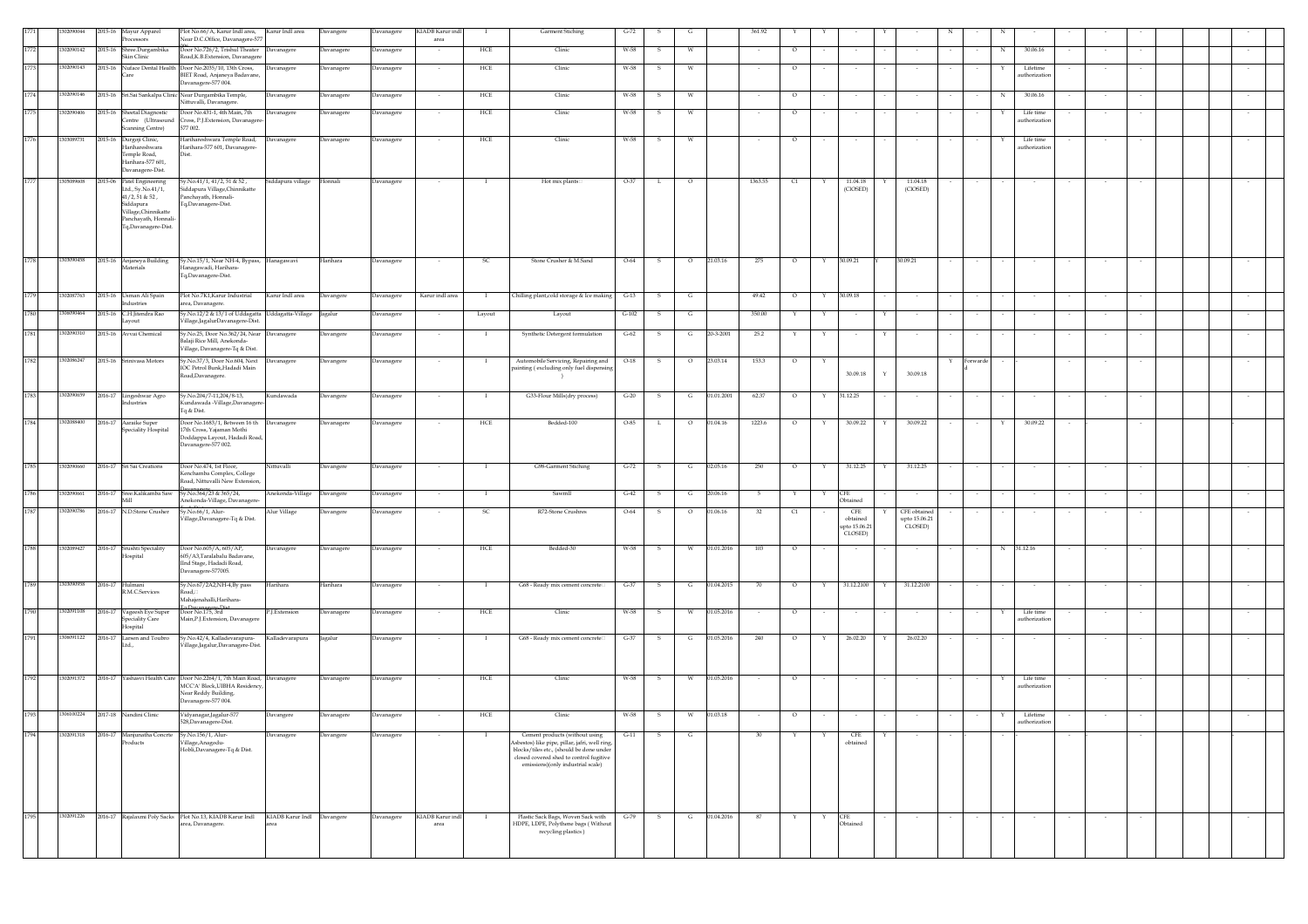|      | 302090044  |         | 2015-16 Mayur Apparel<br>Processors                                                                                                                      | Plot No.66/A, Karur Indl area,<br>Near D.C.Office, Davanagere-577                                                                                      | Karur Indl area            | Davangere  | Davanagere        | KIADB Karur inc<br>area  |          | Garment Stiching                                                                                                                                                                                            | $G-72$  |              |         |            | 361.92  |         |                        |                                             |                                          |          |   |                           |        |        |        |  |        |
|------|------------|---------|----------------------------------------------------------------------------------------------------------------------------------------------------------|--------------------------------------------------------------------------------------------------------------------------------------------------------|----------------------------|------------|-------------------|--------------------------|----------|-------------------------------------------------------------------------------------------------------------------------------------------------------------------------------------------------------------|---------|--------------|---------|------------|---------|---------|------------------------|---------------------------------------------|------------------------------------------|----------|---|---------------------------|--------|--------|--------|--|--------|
|      | 302090142  | 2015-16 | Shree.Durgambika<br>Skin Clinic                                                                                                                          | Door No.726/2, Trishul Theater<br>Road, K.B. Extension, Davanagere                                                                                     | <b>Davanagere</b>          | Davanagere | Davanagere        |                          | HCE      | Clinic                                                                                                                                                                                                      | W-58    |              | W       |            |         | $\circ$ |                        |                                             |                                          |          | N | 30.06.16                  |        |        |        |  |        |
| 1773 | 1302090143 |         | `are                                                                                                                                                     | 2015-16 Nuface Dental Health Door No.2035/10, 13th Cross,<br>BIET Road, Anjaneya Badavane                                                              | Davanagere                 | Davanagere | Davanagere        | $\overline{\phantom{a}}$ | HCE      | Clinic                                                                                                                                                                                                      | W-58    | -S           | W       |            |         | $\circ$ |                        | $\sim$                                      |                                          |          |   | Lifetime<br>uthorizatio   |        |        |        |  |        |
| 1774 | 1302090146 |         |                                                                                                                                                          | Davanagere-577 004.<br>2015-16 Sri.Sai Sankalpa Clinic Near Durgambika Temple,                                                                         | Davanagere                 | Davanagere | Davanagere        |                          | HCE      | Clinic                                                                                                                                                                                                      | W-58    | s            | W       |            |         | $\circ$ |                        |                                             |                                          |          | N | 30.06.16                  |        |        |        |  |        |
| 177  | 1302090406 |         | 2015-16 Sheetal Diagnostic                                                                                                                               | Nittuvalli, Davanagere<br>Door No.431-1, 4th Main, 7th                                                                                                 | Davanagere                 | Davanagere | Davanagere        |                          | HCE      | Clinic                                                                                                                                                                                                      | W-58    | s            | W       |            |         | $\circ$ |                        |                                             |                                          |          |   | Life time                 |        |        |        |  |        |
|      |            |         | Centre (Ultrasound<br>Scanning Centre)                                                                                                                   | Cross, P.J. Extension, Davanager<br>577 002.                                                                                                           |                            |            |                   |                          |          |                                                                                                                                                                                                             |         |              |         |            |         |         |                        |                                             |                                          |          |   | uthorizatio               |        |        |        |  |        |
| 1776 | 1303089731 |         | 2015-16 Durgoji Clinic,<br>Harihareshwara<br>Temple Road,<br>Harihara-577 601,<br>Davanagere-Dist.                                                       | Harihareshwara Temple Road,<br>Harihara-577 601, Davanagere-<br>Dist.                                                                                  | Davanagere                 | Davanagere | Davanagere        |                          | HCE      | Clinic                                                                                                                                                                                                      | W-58    | -S           | w       |            |         | $\circ$ |                        |                                             |                                          |          |   | Life time<br>uthorization |        |        |        |  |        |
| 1777 | 1305089608 |         | 2015-06 Patel Engineering<br>Ltd., Sy.No.41/1,<br>$41/2, 51$ & $52$ ,<br>Siddapura<br>Village, Chinnikatte<br>Panchavath, Honnali<br>Tq,Davanagere-Dist. | Sy.No.41/1, 41/2, 51 & 52,<br>Siddapura Village, Chinnikatte<br>Panchayath, Honnali-<br>Fq,Davanagere-Dist.                                            | Siddapura village          | Honnali    | Davanagere        |                          | <b>I</b> | Hot mix plants                                                                                                                                                                                              | $O-37$  | L            | $\circ$ |            | 1363.55 | C1      |                        | 11.04.18<br>(CIOSED)                        | 11.04.18<br>(CIOSED)                     |          |   |                           |        |        |        |  |        |
| 1778 | 1303090458 |         | 2015-16 Anjaneya Building<br>Materials                                                                                                                   | Sy.No.15/1, Near NH-4, Bypass, Hanagawavi<br>Hanagawadi, Harihara-<br>Tq,Davanagere-Dist.                                                              |                            | Harihara   | Davanagere        |                          | SC.      | Stone Crusher & M.Sand                                                                                                                                                                                      | O-64    | s            | $\circ$ | 21.03.16   | 275     | $\circ$ | 30.09.21<br>Y          |                                             | 30.09.21                                 |          |   |                           |        |        |        |  |        |
| 1779 | 1302087763 |         | 2015-16 Usman Ali Spain<br>Industries                                                                                                                    | Plot No.7K1, Karur Industrial<br>area, Davanagere.                                                                                                     | Karur Indl area            | Davangere  | Davanagere        | Karur indl area          | - 1      | Chilling plant, cold storage & Ice making                                                                                                                                                                   | $G-13$  | s            | G       |            | 49.42   | $\circ$ | 30.09.18<br>Y          |                                             |                                          |          |   |                           |        |        |        |  |        |
| 1780 | 1306090464 |         | 2015-16 C.H.Jitendra Rao<br>avout                                                                                                                        | Sy.No.12/2 & 13/1 of Uddagatta Uddagatta-Village<br>illage,JagalurDavanagere-Dist.                                                                     |                            | Jagalur    | Davanagere        |                          | Layout   | Layout                                                                                                                                                                                                      | $G-102$ | s            | G       |            | 350.00  |         | Y                      |                                             |                                          |          |   |                           |        |        |        |  |        |
| 1781 | 1302090310 |         | 2015-16 Avvai Chemical                                                                                                                                   | Sy.No.25, Door No.362/24, Near Davanagere<br>Balaji Rice Mill, Anekonda<br>Village, Davanagere-Tq & Dist.                                              |                            | Davangere  | Davanagere        | $\sim$                   | <b>I</b> | Synthetic Detergent formulation                                                                                                                                                                             | $G-62$  | -S           | G       | 20-3-2001  | 25.2    |         | Y                      | $\sim$                                      |                                          |          |   |                           |        |        |        |  |        |
| 1782 | 1302086247 |         | 2015-16 Srinivasa Motors                                                                                                                                 | Sy.No.37/3, Door No.604, Next<br>IOC Petrol Bunk.Hadadi Main<br>Road, Davanagere.                                                                      | Davanagere                 | Davangere  | Davanagere        | $\overline{\phantom{a}}$ | $\bf{I}$ | Automobile Servicing, Repairing and<br>ainting (excluding only fuel dispensin                                                                                                                               | $O-18$  | -S           | $\circ$ | 23.03.14   | 153.3   | $\circ$ |                        | 30.09.18                                    | Y<br>30.09.18                            | Forwarde |   |                           |        | $\sim$ |        |  |        |
| 1783 | 1302090659 |         | 2016-17 Lingeshwar Agro<br>Industries                                                                                                                    | Sy.No.204/7-11,204/8-13,<br>Kundawada -Village,Davanagere<br>Tq & Dist.                                                                                | Kundawada                  | Davangere  | Davanagere        | $\sim$                   | $\bf{I}$ | G33-Flour Mills(dry process)                                                                                                                                                                                | $G-20$  | S.           | G       | 01.01.2001 | 62.37   | $\circ$ | 31.12.25<br>Y          |                                             |                                          |          |   | $\sim$                    | $\sim$ | $\sim$ | $\sim$ |  | $\sim$ |
| 1784 | 1302088400 |         | 2016-17 Aaraike Super<br>Speciality Hospital                                                                                                             | Door No.1683/1, Between 16 th Davanagere<br>17th Cross, Yajaman Mothi<br>Doddappa Layout, Hadadi Road,<br>Davanagere-577 002.                          |                            | Davanagere | Davanagere        |                          | HCE      | Bedded-100                                                                                                                                                                                                  | $O-85$  | L            | $\circ$ | 01.04.16   | 1223.6  | $\circ$ | Y                      | 30.09.22                                    | 30.09.22                                 |          | Y | 30.09.22                  |        |        |        |  |        |
| 1785 | 1302090660 |         | 2016-17 Sri Sai Creations                                                                                                                                | Door No.474, 1st Floor,<br>Kenchamba Complex, College<br>Road, Nittuvalli New Extension                                                                | Nittuvalli                 | Davangere  | Davanagere        |                          | $\bf{I}$ | G98-Garment Stiching                                                                                                                                                                                        | $G-72$  | $\mathbf{s}$ | G       | 02.05.16   | 250     | $\circ$ | Y                      | 31.12.25                                    | 31.12.25<br>Y                            | $\sim$   |   |                           |        |        |        |  |        |
| 1786 | 1302090661 |         | 2016-17 Sree.Kalikamba Saw<br>Mill                                                                                                                       | Sy.No.364/23 & 365/24,<br>Anekonda-Village, Davanagere-                                                                                                | Anekonda-Village           | Davangere  | Davanagere        |                          |          | Sawmll                                                                                                                                                                                                      | $G-42$  | -S           | G       | 20.06.16   |         | Y       | CFE<br>Y<br>Obtained   |                                             |                                          |          |   |                           |        |        |        |  |        |
| 1787 | 1302090786 |         | 2016-17 N.D.Stone Crusher                                                                                                                                | Sy.No.66/1, Alur-<br>Village, Davanagere-Tq & Dist.                                                                                                    | Alur Village               | Davangere  | Davanagere        |                          | SC.      | R72-Stone Crushres                                                                                                                                                                                          | $O-64$  |              | $\circ$ | 01.06.16   | 32      | C1      |                        | CFE<br>obtained<br>upto 15.06.21<br>CLOSED) | CFE obtained<br>upto 15.06.21<br>CLOSED) |          |   |                           |        |        |        |  |        |
| 1788 | 1302089427 |         | 2016-17 Srushti Speciality<br>Hospital                                                                                                                   | Door No.605/A, 605/AP,<br>605/A3, Taralabalu Badavane,<br>IInd Stage, Hadadi Road,<br>Davanagere-577005.                                               | Davanagere                 | Davanagere | Davanagere        |                          | HCE      | Bedded-30                                                                                                                                                                                                   | W-58    | s            | W       | 01.01.2016 | 103     | $\circ$ |                        | $\sim$                                      |                                          |          | N | 31.12.16                  |        |        |        |  |        |
| 1789 | 1303090958 |         | 2016-17 Hulmani<br>R.M.C.Services                                                                                                                        | Sy.No.67/2A2,NH-4,By pass<br>Road.<br>Mahajenahalli, Harihara-                                                                                         | Harihara                   | Harihara   | Davanagere        |                          | - 1      | G68 - Ready mix cement concrete                                                                                                                                                                             | $G-37$  | -S           | G       | 01.04.2015 | 70      | $\circ$ | Y                      | 31.12.2100                                  | 31.12.2100                               |          |   |                           |        |        |        |  |        |
| 1790 | 1302091108 |         | 2016-17 Vageesh Eye Super<br><b>Speciality Care</b><br>Hospital                                                                                          | Door No.175, 3rd<br>Main, P.J. Extension, Davanagere                                                                                                   | P.J.Extension              | Davanagere | Davanagere        |                          | HCE      | Clinic                                                                                                                                                                                                      | W-58    | -S           | W       | 01.05.2016 |         | $\circ$ |                        | $\sim$                                      |                                          |          | Y | Life time<br>uthorizatic  |        |        |        |  |        |
| 1791 | 1306091122 | 2016-17 | Larsen and Toubro<br>Ltd                                                                                                                                 | Sy.No.42/4, Kalladevarapura-<br>Village,Jagalur,Davanagere-Dist.                                                                                       | Kalladevarapura            | Jagalur    | Davanagere        |                          | - 1      | G68 - Ready mix cement concrete                                                                                                                                                                             | $G-37$  | -S           | G       | 01.05.2016 | 240     | $\circ$ | Y                      | 26.02.20                                    | 26.02.20<br>Y                            |          |   |                           |        |        |        |  |        |
| 1792 | 1302091372 |         |                                                                                                                                                          | 2016-17 Yashasvi Health Care Door No.2264/1, 7th Main Road, Davanagere<br>MCC'A' Block, UIBHA Residency<br>Near Reddy Building,<br>Davanagere-577 004. |                            | Davanagere | Davanagere        | $\sim$                   | HCE      | Clinic                                                                                                                                                                                                      | W-58    | $\mathbf{s}$ | W       | 01.05.2016 | $\sim$  | $\circ$ |                        | $\sim$                                      | $\sim$                                   |          | Y | Life time<br>uthorizatio  |        |        |        |  | $\sim$ |
| 1793 |            |         | 1306100224 2017-18 Nandini Clinic                                                                                                                        | Vidyanagar, Jagalur-577<br>8.Dava<br>ene-Dist                                                                                                          | Davangere                  | Davanagere | Davanagere        | $\sim$                   | HCE      | Clinic                                                                                                                                                                                                      | W-58    | S            | w       | 01.03.18   | $\sim$  | $\circ$ | $\sim$                 | $\sim$                                      |                                          |          | Y | Lifetime                  |        |        |        |  |        |
| 1794 | 1302091318 |         | 2016-17 Manjunatha Concrte<br>Products                                                                                                                   | Sy.No.156/1, Alur-<br>Village, Anagodu-<br>Hobli, Davanagere-Tq & Dist.                                                                                | Davanagere                 | Davangere  | Davanagere        |                          |          | Cement products (without using<br>sbestos) like pipe, pillar, jafri, well ring,<br>blocks/tiles etc., (should be done under<br>closed covered shed to control fugitive<br>emissions)(only industrial scale) | $G-11$  | s            | G       |            | 30      |         |                        | CFE<br>obtained                             |                                          |          |   |                           |        |        |        |  |        |
| 1795 | 1302091226 |         |                                                                                                                                                          | 2016-17 Rajalaxmi Poly Sacks Plot No.13, KIADB Karur Indl<br>area, Davanagere.                                                                         | KIADB Karur Indl Davangere |            | <b>Javanagere</b> | KIADB Karur ind<br>area  |          | Plastic Sack Bags, Woven Sack with<br>HDPE, LDPE, Polythene bags (Without<br>recycling plastics)                                                                                                            | $G-79$  |              | G       | 01.04.2016 |         |         | <b>CFE</b><br>Obtained |                                             |                                          |          |   |                           |        |        |        |  |        |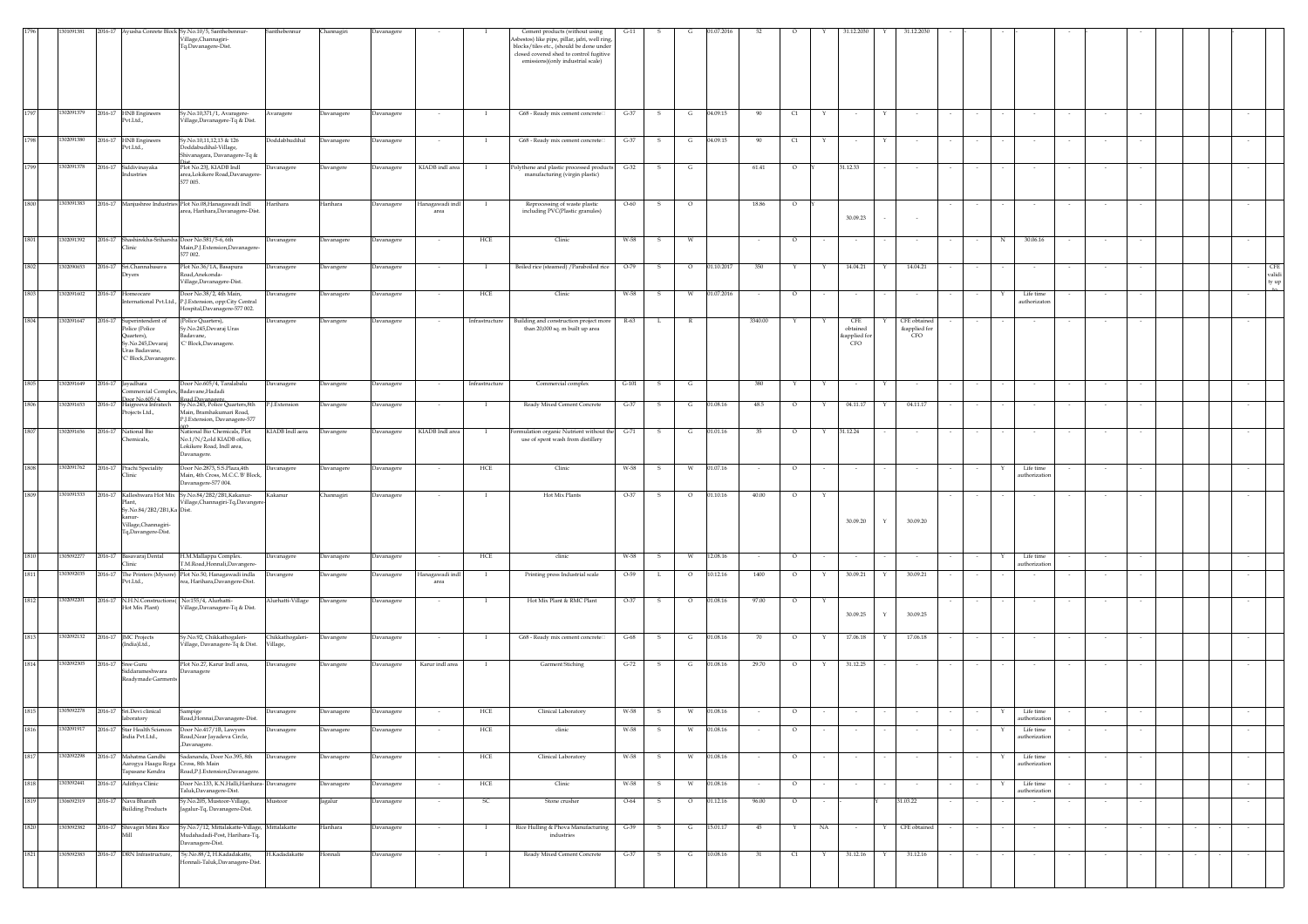|      | 11091381   |         |                                                                                             | 2016-17 Ayusha Conrete Block Sy.No.10/5, Santhebennur-                                                            | Santhebennur                 | Channagiri | <b>Javanagere</b> |                         |                | Cement products (without using                                                                                                                                             | $G-11$   |              |         |            |         |         |             | 1.12.203            |   | 31.12.203                           |        |   |                            |        |        |  |                               |
|------|------------|---------|---------------------------------------------------------------------------------------------|-------------------------------------------------------------------------------------------------------------------|------------------------------|------------|-------------------|-------------------------|----------------|----------------------------------------------------------------------------------------------------------------------------------------------------------------------------|----------|--------------|---------|------------|---------|---------|-------------|---------------------|---|-------------------------------------|--------|---|----------------------------|--------|--------|--|-------------------------------|
|      |            |         |                                                                                             | Village, Channagiri-<br>Tq.Davanagere-Dist.                                                                       |                              |            |                   |                         |                | Asbestos) like pipe, pillar, jafri, well ring,<br>blocks/tiles etc., (should be done under<br>closed covered shed to control fugitive<br>emissions)(only industrial scale) |          |              |         |            |         |         |             |                     |   |                                     |        |   |                            |        |        |  |                               |
|      |            |         |                                                                                             |                                                                                                                   |                              |            |                   |                         |                |                                                                                                                                                                            |          |              |         |            |         |         |             |                     |   |                                     |        |   |                            |        |        |  |                               |
| 1797 | 1302091379 |         | 2016-17 HNB Engineers<br>Pvt.Ltd.,                                                          | Sy.No.10,371/1, Avaragere-<br>Village, Davanagere-Tq & Dist.                                                      | varagere                     | Davanagere | avanagere         |                         | -1             | G68 - Ready mix cement concrete                                                                                                                                            | $G-37$   | S.           | G       | 04.09.15   | 90      | C1      |             | $\sim$              |   |                                     |        |   |                            |        |        |  |                               |
| 1798 | 1302091380 |         | 2016-17 HNB Engineers<br>Pvt.Ltd.,                                                          | Sy.No.10,11,12,13 & 126<br>Ooddabudihal-Village,<br>hivanagara, Davanagere-Tq &                                   | Joddabhudihal                | Davanagere | Davanagere        |                         | $\mathbf{I}$   | G68 - Ready mix cement concrete                                                                                                                                            | $G-37$   | $\mathbf{s}$ | G       | 04.09.15   | 90      | C1      | Y           | $\sim$              | Y |                                     |        |   |                            |        |        |  |                               |
| 1799 | 1302091378 |         | 2016-17 Siddivinayaka<br>ndustries                                                          | Plot No.23J, KIADB Indl<br>area,Lokikere Road,Davanagere-<br>577 005.                                             | Davanagere                   | Davangere  | Davanagere        | KIADB indl area         | $\mathbf{I}$   | Polythene and plastic processed products G-32<br>manufacturing (virgin plastic)                                                                                            |          | $\mathbf{s}$ | G       |            | 61.41   | $\circ$ |             | 31.12.33            |   |                                     |        |   |                            | $\sim$ |        |  |                               |
| 1800 |            |         |                                                                                             | 1303091383 2016-17 Manjushree Industries Plot No.08, Hanagawadi Indl<br>area, Harihara, Davanagere-Dist.          | Harihara                     | Harihara   | Davanagere        | Hanagawadi indl<br>area |                | Reprocessing of waste plastic<br>including PVC(Plastic granules)                                                                                                           | $O - 60$ | s            | $\circ$ |            | 18.86   | $\circ$ |             | 30.09.23            |   |                                     |        |   |                            |        |        |  |                               |
| 1801 | 1302091392 |         | 2016-17 Shashirekha-Sriharsha Door No.581/5-6, 6th<br><b>linic</b>                          | Main, P.J. Extension, Davanagere<br>577 002.                                                                      | <b>Javanagere</b>            | Davanagere | <b>Davanagere</b> |                         | HCE            | Clinic                                                                                                                                                                     | W-58     |              | W       |            |         | $\circ$ |             |                     |   |                                     |        | N | 30.06.16                   |        |        |  |                               |
| 1802 | 1302090653 | 2016-17 | Sri.Channabasava<br>rvers                                                                   | Plot No.36/1A, Basapura<br>Road, Anekonda-<br>Village, Davanagere-Dist.                                           | Javanagere                   | Davangere  | <b>Javanagere</b> |                         | -1             | Boiled rice (steamed) / Paraboiled rice                                                                                                                                    | $O-79$   |              | $\circ$ | 01.10.2017 | 350     |         |             | 14.04.21            |   | 14.04.21                            |        |   |                            |        |        |  | <b>CFE</b><br>validi<br>ty up |
| 1803 | 1302091602 |         | 2016-17 Homeocare                                                                           | Door No.38/2, 4th Main,<br>ternational Pvt.Ltd., P.J.Extension, opp:City Central<br>Hospital, Davanagere-577 002. | Davanagere                   | Davanagere | Davanagere        |                         | HCE            | Clinic                                                                                                                                                                     | W-58     | s            | W       | 01.07.2016 |         | $\circ$ |             |                     |   |                                     |        |   | Life time<br>authorizator  |        |        |  |                               |
| 1804 | 1302091647 |         | 2016-17 Superintendent of<br>Police (Police<br>uarters),                                    | (Police Quarters),<br>.<br>Sv.No.245, Devaraj Uras<br>Badavane,                                                   | Davanagere                   | Davangere  | Davanagere        |                         | Infrastructure | Building and construction project more<br>than 20,000 sq. m built up area                                                                                                  | R-63     | L.           |         |            | 3340.00 | Y       |             | CFE<br>obtained     |   | CFE obtained<br>&applied for<br>CFO |        |   |                            |        |        |  |                               |
|      |            |         | Sy.No.245,Devaraj<br>Jras Badavane,<br>C' Block, Davanagere.                                | 'C' Block, Davanagere.                                                                                            |                              |            |                   |                         |                |                                                                                                                                                                            |          |              |         |            |         |         |             | capplied for<br>CFO |   |                                     |        |   |                            |        |        |  |                               |
| 1805 | 302091649  |         | 2016-17 Jayadhara                                                                           | Door No.605/4, Taralabalu<br>ommercial Complex, Badavane, Hadadi                                                  | Javanagere                   | Davangere  | Javanagere        |                         | Infrastructure | Commercial complex                                                                                                                                                         | $G-101$  | s            | G       |            | 380     | Y       | Y           | $\sim$              | Y |                                     |        |   |                            |        |        |  |                               |
| 1806 | 1302091653 | 2016-17 | Door No.605/4<br>Projects Ltd.,                                                             | Road Davanagere<br>Sy.No.245, Police Quarters,8th<br>Main, Bramhakumari Road,<br>P.J.Extension, Davanagere-577    | J.Extension                  | Davangere  | <b>Davanagere</b> |                         | -1             | Ready Mixed Cement Concrete                                                                                                                                                | $G-37$   | s            | G       | 01.08.16   | 48.5    | $\circ$ |             | 04.11.17            |   | 04.11.17                            |        |   |                            |        |        |  |                               |
| 1807 | 1302091656 | 2016-17 | National Bio<br>hemicals,                                                                   | National Bio Chemicals, Plot<br>No.1/N/2,old KIADB office,<br>Lokikere Road, Indl area,                           | KIADB Indl aera              | Davangere  | Davanagere        | KIADB Indl area         |                | wmulation organic Nutrient without the<br>use of spent wash from distillery                                                                                                | $G-71$   | s            | G       | 01.01.16   | 35      | $\circ$ | Y           | 31.12.24            |   |                                     |        |   |                            |        |        |  |                               |
| 1808 | 1302091762 |         | 2016-17 Prachi Speciality<br><b>Tinic</b>                                                   | Davanagere.<br>Door No.2873, S.S.Plaza,4th<br>Main, 4th Cross, M.C.C.'B' Block,                                   | Javanagere                   | Davanagere | <b>Davanagere</b> | $\sim$                  | HCE            | Clinic                                                                                                                                                                     | W-58     | s.           | W       | 01.07.16   | $\sim$  | $\circ$ | $\sim$      | $\sim$              |   |                                     |        | Y | Life time<br>uthorizatio   | $\sim$ |        |  |                               |
| 1809 | 1301091533 |         |                                                                                             | Davanagere-577 004.<br>2016-17 Kalleshwara Hot Mix Sy.No.84/2B2/2B1,Kakanur-                                      | Kakanur                      | Channagiri | avanagere         |                         | $\mathbf I$    | Hot Mix Plants                                                                                                                                                             | $O-37$   | s            | $\circ$ | 01.10.16   | 40.00   | $\circ$ | $\mathbf Y$ |                     |   |                                     |        |   |                            |        |        |  | $\sim$                        |
|      |            |         | Plant,<br>Sy.No.84/2B2/2B1,Ka Dist.<br>canur-<br>Village, Channagiri-<br>Tq,Davangere-Dist. | Village, Channagiri-Tq, Davanger                                                                                  |                              |            |                   |                         |                |                                                                                                                                                                            |          |              |         |            |         |         |             | 30.09.20            | Y | 30.09.20                            |        |   |                            |        |        |  |                               |
| 1810 | 0509227    | 2016-17 | Basavaraj Dental                                                                            | H.M.Mallappa Complex.<br>T.M.Road,Honnali,Davangere-                                                              | Davanagere                   | Davanagere | Davanagere        |                         | HCE            | clinic                                                                                                                                                                     | W-58     | s            | W       | 12.08.16   |         | $\circ$ |             |                     |   |                                     |        |   | Life time                  |        |        |  |                               |
| 1811 | 1303092035 |         | Clinic<br>2016-17 The Printers (Mysore)<br>Pvt.Ltd.,                                        | Plot No.50, Hanagawadi indla<br>rea, Harihara, Davangere-Dist.                                                    | <b>Davangere</b>             | Davangere  | <b>Javanagere</b> | Hanagawadi indl<br>area | -1             | Printing press Industrial scale                                                                                                                                            | $O-59$   | L            | $\circ$ | 10.12.16   | 1400    | $\circ$ |             | 30.09.21            |   | 30.09.21                            |        |   | uthorizatio                |        |        |  |                               |
| 1812 | 1302092201 |         | 2016-17 N.H.N.Constructions(No:155/4, Alurhatti-<br>Hot Mix Plant)                          | Village, Davanagere-Tq & Dist.                                                                                    | Alurhatti-Village            | Davangere  | Davanagere        | $\sim$                  | $\mathbf{I}$   | Hot Mix Plant & RMC Plant                                                                                                                                                  | $O-37$   | s.           | $\circ$ | 01.08.16   | 97.00   | $\circ$ | Y           | 30.09.25            | Y | 30.09.25                            |        |   |                            |        |        |  |                               |
| 1813 |            |         | 1302092132 2016-17 JMC Projects<br>India)Ltd.,                                              | Sy.No.92, Chikkathogaleri-<br><i>Village</i> , Davanagere-Tq & Dist.                                              | Chikkathogaleri-<br>'illage, | Davangere  | Davanagere        | $\sim$                  | $\mathbf{I}$   | G68 - Ready mix cement concrete                                                                                                                                            | $G-68$   | s            | G       | 01.08.16   | 70      | $\circ$ | Y           | 17.06.18            | Y | 17.06.18                            |        |   | $\sim$                     | $\sim$ | $\sim$ |  | $\sim$                        |
| 1814 | 1302092305 |         | 2016-17 Sree Guru<br>Siddarameshwara                                                        | Plot No.27, Karur Indl area,<br>Davanagere                                                                        | Davanagere                   | Davangere  | Davanagere        | Karur indl area         | $\mathbf{I}$   | <b>Garment Stiching</b>                                                                                                                                                    | $G-72$   | S.           | G       | 01.08.16   | 29.70   | $\circ$ | Y           | 31.12.25            |   |                                     |        |   |                            |        |        |  | $\sim$                        |
| 1815 | 1305092278 |         | Readymade Garments<br>2016-17 Sri.Devi clinical                                             |                                                                                                                   | Davanagere                   | Davanagere | Davanagere        |                         | HCE            | Clinical Laboratory                                                                                                                                                        | W-58     | s            | W       | 01.08.16   |         |         |             |                     |   |                                     |        |   | Life time                  |        |        |  |                               |
| 1816 | 1302091917 |         | laboratory                                                                                  | Sampige<br>Road, Honnai, Davanagere-Dist.<br>2016-17 Star Health Sciences Door No.417/1B, Lawyers                 | Davanagere                   | Davanagere | Davanagere        |                         | HCE            | clinic                                                                                                                                                                     | W-58     | s.           | W       | 01.08.16   |         | $\circ$ |             |                     |   |                                     |        |   | uthorizatio<br>Life time   |        |        |  |                               |
| 1817 | 1302092298 |         | India Pvt.Ltd.,<br>2016-17 Mahatma Gandhi                                                   | Road, Near Jayadeva Circle,<br>,Davanagere.<br>Sadananda, Door No.395, 8th                                        |                              |            |                   |                         |                |                                                                                                                                                                            |          |              |         |            |         |         |             |                     |   |                                     |        |   | authorization              |        |        |  |                               |
|      |            |         | Aarogya Haagu Roga Cross, 8th Main<br>Tapasane Kendra                                       | Road, P.J. Extension, Davanagere.                                                                                 | Davanagere                   | Davanagere | Davanagere        | $\sim$                  | HCE            | Clinical Laboratory                                                                                                                                                        | W-58     | S.           | W       | 01.08.16   | $\sim$  | $\circ$ | $\sim$      | $\sim$              |   | $\sim$                              |        | Y | Life time<br>authorizatio  | $\sim$ | $\sim$ |  | $\sim$                        |
| 1818 | 1303092441 |         | 2016-17 Adithya Clinic                                                                      | Door No.133, K.N.Halli, Harihara-<br>Taluk, Davanagere-Dist.                                                      | Davanagere                   | Davanagere | Davanagere        |                         | HCE            | Clinic                                                                                                                                                                     | W-58     |              | W       | 01.08.16   |         | $\circ$ |             |                     |   |                                     |        |   | Life time<br>authorization |        |        |  |                               |
| 1819 |            |         | 1306092319 2016-17 Nava Bharath<br><b>Building Products</b>                                 | Sy.No.205, Mustoor-Village,<br>Jagalur-Tq, Davanagere-Dist.                                                       | Mustoor                      | Jagalur    | Davanagere        |                         | SC             | Stone crusher                                                                                                                                                              | $O-64$   | -S           | $\circ$ | 01.12.16   | 96.00   | $\circ$ |             |                     |   | 31.03.22                            |        |   |                            |        |        |  | $\sim$                        |
| 1820 |            |         | 1303092382 2016-17 Shivagiri Mini Rice<br>Mill                                              | Sy.No.7/12, Mittalakatte-Village,<br>Mudahadadi-Post, Harihara-Tq,<br>Davanagere-Dist.                            | Mittalakatte                 | Harihara   | Davanagere        |                         |                | Rice Hulling & Phova Manufacturing<br>industries                                                                                                                           | $G-39$   | s            | G       | 15.01.17   | 45      |         | NA          |                     |   | CFE obtained                        |        |   |                            |        |        |  |                               |
| 1821 | 1305092383 |         | 2016-17 DRN Infrastructure.                                                                 | Sy.No.88/2, H.Kadadakatte,<br>Honnali-Taluk,Davanagere-Dist                                                       | H.Kadadakatte                | Honnali    | Davanagere        | $\sim$                  | $\mathbf{I}$   | Ready Mixed Cement Concrete                                                                                                                                                | $G-37$   | S.           | G       | 10.08.16   | 31      | C1      | Y           | 31.12.16            | Y | 31.12.16                            | $\sim$ |   | $\sim$                     | $\sim$ | $\sim$ |  | $\sim$                        |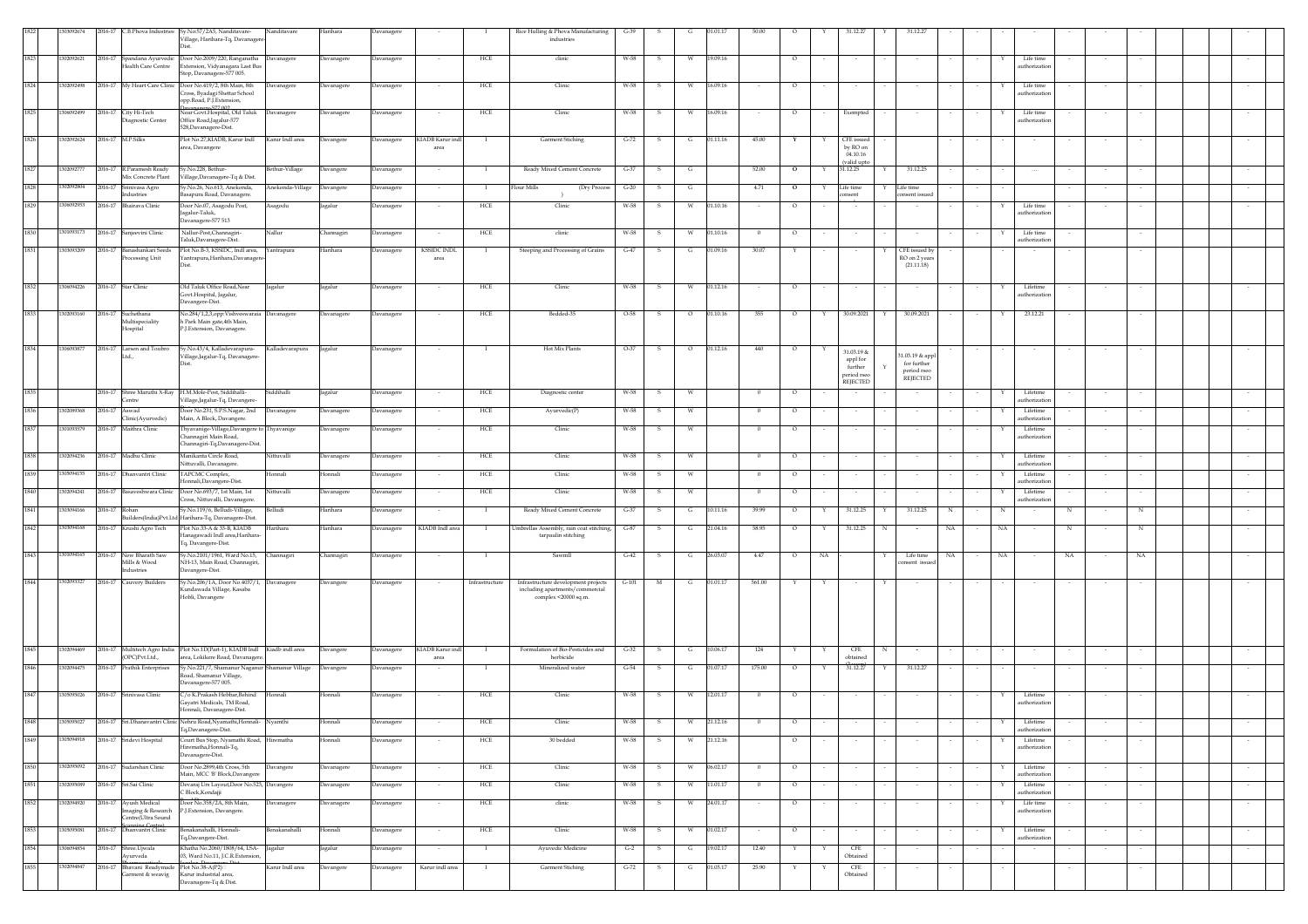|      | 13092674   | 2016-17 C.B.Phova Industries Sy.No:57/2A5, Nanditavare-                                                           | 'illage, Harihara-Tq, Davanager                                                                                                     | Nanditavare      | Harihara          | Davanagere |                            |                | Rice Hulling & Phova Manufacturing<br>industries                                               | $G-39$  |              |          |          |              |                |    |                                                |                                               |            |    |                            |    |        |             |  |         |
|------|------------|-------------------------------------------------------------------------------------------------------------------|-------------------------------------------------------------------------------------------------------------------------------------|------------------|-------------------|------------|----------------------------|----------------|------------------------------------------------------------------------------------------------|---------|--------------|----------|----------|--------------|----------------|----|------------------------------------------------|-----------------------------------------------|------------|----|----------------------------|----|--------|-------------|--|---------|
| 1823 | 1302092621 | Health Care Centre                                                                                                | 2016-17 Spandana Ayurvedic Door No.2009/220, Ranganatha Davanagere<br>Extension, Vidyanagara Last Bus<br>top, Davanagere-577 005.   |                  | Davanagere        | Davanagere |                            | HCE            | clinic                                                                                         | W-58    | -S           |          | 19.09.16 |              | $\circ$        |    |                                                |                                               |            |    | Life time<br>uthorization  |    |        |             |  |         |
| 1824 | 302092498  | 2016-17 My Heart Care Clinic                                                                                      | Door No.419/2, 8th Main, 8th<br>Cross, Byadagi Shettar School<br>opp.Road, P.J.Extension,                                           | Davanagere       | Davanagere        | Davanagere |                            | HCE            | Clinic                                                                                         | W-58    | s            | W        | 16.09.16 |              | $\circ$        |    | $\sim$                                         |                                               |            |    | Life time<br>uthorization  |    | $\sim$ |             |  |         |
| 1825 | 1306092499 | 2016-17 City Hi-Tech<br>liagnostic Center                                                                         | anagere_577.002<br>Vear Govt.Hospital, Old Taluk Davanagere<br>Office Road, Jagalur-577<br>528, Davanagere-Dist.                    |                  | Davanagere        | Davanagere |                            | HCE            | Clinic                                                                                         | W-58    | -S           | W        | 16.09.16 |              | $\circ$        |    | Exempted                                       |                                               |            |    | Life time<br>uthorizatio   |    |        |             |  |         |
| 1826 | 302092624  | 2016-17 M.P.Silks                                                                                                 | Plot No.27,KIADB, Karur Indl<br>srea, Davangere                                                                                     | Karur Indl area  | Davangere         | Davanagere | KIADB Karur inc<br>area    | <b>I</b>       | <b>Garment Stiching</b>                                                                        | $G-72$  | -S           | G        | 01.11.16 | 45.00        | Y              | Y  | CFE issued<br>by RO on<br>04.10.16             |                                               |            |    |                            |    |        |             |  |         |
| 1827 | 1302092777 | 2016-17 R.Paramesh Ready<br>Mix Concrete Plant                                                                    | y.No.228, Bethur-<br>illage,Davanagere-Tq & Dist.                                                                                   | Bethur-Village   | Davangere         | Davanagere |                            |                | Ready Mixed Cement Concrete                                                                    | $G-37$  | s            | G        |          | 52.00        | $\overline{O}$ |    | valid upto<br>31.12.25                         | 31.12.25                                      |            |    |                            |    |        |             |  |         |
| 1828 | 302092804  | 016-17<br>Srinivasa Agro<br>ndustries                                                                             | y.No.26, No.613, Anekonda,<br>asapura Road, Davanagere.                                                                             | Anekonda-Village | <b>Davangere</b>  | Davanagere |                            | $\bf{I}$       | <b>Tour Mills</b><br>(Dry Process                                                              | $G-20$  |              | G        |          | 4.71         | $\circ$        |    | Life time<br>asent                             | Life time<br>nsent issued                     |            |    |                            |    |        |             |  |         |
| 1829 | 306092953  | 2016-17 Bhairava Clinic                                                                                           | Joor No.07, Asagodu Post,<br>agalur-Taluk,<br>Javanagere-577 513                                                                    | Asagodu          | Jagalur           | Davanagere |                            | HCE            | Clinic                                                                                         | W-58    | s            | W        | 01.10.16 |              | $\circ$        |    |                                                |                                               |            |    | Life time<br>uthorizatio   |    |        |             |  |         |
| 1830 | 01093173   | 2016-17 Sanjeevini Clinic                                                                                         | Nallur-Post, Channagiri-<br>'aluk,Davanagere-Dist.                                                                                  | Nallur           | <b>Channagiri</b> | Davanagere |                            | HCE            | clinic                                                                                         | W-58    | -S           | <b>W</b> | 01.10.16 | $\mathbf{0}$ | $\circ$        |    | $\sim$                                         |                                               |            |    | Life time<br>uthorization  |    |        |             |  |         |
| 1831 | 303093209  | 2016-17 Banashankari Seeds<br>Processing Unit                                                                     | Plot No.B-3, KSSIDC, Indl area,<br>antrapura, Harihara, Davanager                                                                   | Yantrapura       | Harihara          | Davanagere | <b>KSSIDC INDI</b><br>area |                | Steeping and Processing of Grains                                                              | $G-47$  |              | G        | 01.09.16 | 30.07        | Υ              |    |                                                | CFE issued by<br>RO on 2 years<br>(21.11.18)  |            |    |                            |    |        |             |  |         |
| 1832 | 1306094226 | 2016-17 Star Clinic                                                                                               | Old Taluk Office Road, Near<br>Govt.Hospital, Jagalur,                                                                              | Jagalur          | agalur            | Davanagere |                            | HCE            | Clinic                                                                                         | W-58    | -S           | <b>W</b> | 01.12.16 |              | $\circ$        |    |                                                |                                               |            |    | Lifetime<br>uthorization   |    |        |             |  |         |
| 1833 | 02093160   | 2016-17 Suchethana<br>Multispeciality<br>Hospital                                                                 | avangere-Dist.<br>No.284/1,2,3,opp:Vishveswaraia Davanagere<br>h Park Main gate,4th Main,<br><sup>2</sup> .J.Extension, Davanagere. |                  | Davanagere        | Davanagere |                            | HCE            | Bedded-35                                                                                      | O-58    | S            | $\circ$  | 01.10.16 | 355          | $\circ$        | Y  | 30.09.2021                                     | 30.09.2021<br>Y                               |            | Y  | 23.12.21                   |    |        |             |  |         |
| 1834 |            | 2016-17 Larsen and Toubro<br>td.                                                                                  | sy.No.43/4, Kalladevarapura-                                                                                                        | Kalladevarapura  | Jagalur           | Davanagere |                            | - 1            | Hot Mix Plants                                                                                 | $O-37$  | s            | $\circ$  | 01.12.16 | 440          | $\circ$        |    | 31.03.19 &                                     | 1.03.19 & appl                                |            |    |                            |    |        |             |  |         |
|      |            |                                                                                                                   | /illage,Jagalur-Tq, Davanagere-                                                                                                     |                  |                   |            |                            |                |                                                                                                |         |              |          |          |              |                |    | appl for<br>further<br>period rseo<br>REJECTED | for further<br>period rseo<br><b>REIECTED</b> |            |    |                            |    |        |             |  |         |
| 1835 |            | 2016-17 Shree Maruthi X-Ray<br><b>Centre</b>                                                                      | H.M.Mole-Post, Siddihalli-<br>/illage,Jagalur-Tq, Davangere-                                                                        | Siddihalli       | Jagalur           | Davanagere |                            | HCE            | Diagnostic center                                                                              | W-58    | s            |          |          |              | $\circ$        |    |                                                |                                               |            |    | Lifetime<br>uthorization   |    |        |             |  |         |
| 1836 | 302089368  | Aswad<br>1016-17<br>Clinic(Ayurvedic)                                                                             | oor No.231, S.P.S.Nagar, 2nd<br>Main, A Block, Davangere.                                                                           | Davanagere       | Davanagere        | Davanagere |                            | HCE            | Ayurvedic(P)                                                                                   | W-58    |              |          |          |              | $\circ$        |    |                                                |                                               |            |    | Lifetime<br>athorizatio    |    |        |             |  |         |
| 1837 | 301093579  | 2016-17 Maithra Clinic                                                                                            | Thyavanige-Village, Davangere to Thyavanige<br>hannagiri Main Road,<br>hannagiri-Tq,Davanagere-Dis                                  |                  | Davanagere        | Davanagere | $\sim$                     | HCE            | Clinic                                                                                         | W-58    | -S           | - W      |          | $^{\circ}$   | $\circ$        |    |                                                |                                               |            |    | Lifetime<br>uthorizatio    |    |        |             |  |         |
| 1838 | 302094236  | 2016-17 Madhu Clinic                                                                                              | Manikanta Circle Road,<br>Vittuvalli, Davanagere.                                                                                   | Nittuvalli       | Davanagere        | Davanagere | $\sim$                     | HCE            | Clinic                                                                                         | W-58    | s            | W        |          | $\mathbf{0}$ | $\circ$        |    | $\sim$                                         |                                               |            | Y  | Lifetime<br>uthorization   |    | $\sim$ |             |  |         |
| 1839 | 305094155  | 2016-17 Dhanvantri Clinic                                                                                         | TAPCMC Complex,<br>Ionnali, Davangere-Dist.                                                                                         | Honnali          | Honnali           | Davanagere |                            | HCE            | Clinic                                                                                         | W-58    | s            | W        |          |              | $\circ$        |    |                                                |                                               |            |    | Lifetime<br>uthorization   |    |        |             |  |         |
| 1840 | 302094241  | 2016-17 Basaveshwara Clinic                                                                                       | Door No.693/7, 1st Main, 1st<br>ross, Nittuvalli, Davanagere.                                                                       | Nittuvalli       | Davanagere        | Davanagere |                            | HCE            | Clinic                                                                                         | W-58    | -S           | W        |          | $\Omega$     | $\circ$        |    |                                                |                                               |            |    | Lifetime<br>uthorization   |    |        |             |  |         |
| 1841 | 303094166  | 2016-17 Rohan                                                                                                     | Sy.No.119/6, Belludi-Village,<br>Builders(India)Pvt.Ltd Harihara-Tq, Davanagere-Dist.                                               | Belludi          | Harihara          | Davanagere |                            | $\blacksquare$ | Ready Mixed Cement Concrete                                                                    | $G-37$  | -S           | G        | 10.11.16 | 39.99        | $\circ$        | Y  | 31.12.25                                       | 31.12.25<br>Y                                 | $_{\rm N}$ | N  |                            | N  |        | $\mathbf N$ |  |         |
| 1842 | 03094168   | 2016-17 Krushi Agro Tech                                                                                          | Plot No.33-A & 33-B, KIADB<br>Janagawadi Indl area.Harihara<br>Tq, Davangere-Dist.                                                  | Harihara         | Harihara          | Davanagere | KIADB Indl area            | - 1            | Umbrellas Assembly, rain coat stitching,<br>tarpaulin stitching                                | $G-87$  | S            | G        | 21.04.16 | 58.95        | $\circ$        | Y  | 31.12.25                                       | N                                             | NA         | NA |                            | N  |        | N           |  |         |
| 1843 | 301094165  | New Bharath Saw<br>016-17<br>Mills & Wood<br>ndustries                                                            | y.No.2101/1961, Ward No.15,<br>NH-13, Main Road, Channagiri,<br>Javangere-Dist.                                                     | Channagiri       | <b>Channagiri</b> | Davanagere |                            |                | Sawmll                                                                                         | $G-42$  |              |          | 26.03.07 | 4.47         | $\circ$        | NA |                                                | Life time<br>onsent issued                    | NA         | NA |                            | NA |        | NA          |  |         |
| 1844 | 302093327  | 2016-17 Cauvery Builders                                                                                          | Sy.No.206/1A, Door No.4037/1, Davanagere<br>undawada Village, Kasaba<br>Hobli, Davangere                                            |                  | Davangere         | Davanagere | $\sim$                     | Infrastructure | Infrastructure development projects<br>including apartments/commercial<br>complex <20000 sq.m. | $G-101$ | M            | G        | 01.01.17 | 561.00       | Y              | Y  | $\sim$                                         | Y                                             |            |    |                            |    |        |             |  |         |
| 1845 | 302094469  | (OPC)Pvt.Ltd.,                                                                                                    | 2016-17 Multitech Agro India Plot No.1D(Part-1), KIADB Indl Kiadb indl area<br>area, Lokikere Road, Davanagere                      |                  | Davangere         | Davanagere | KIADB Karur ind<br>area    | - 1            | Formulation of Bio-Pesticides and<br>herbicide                                                 | $G-32$  | - S          | G        | 10.06.17 | 124          | Y              | Y  | CFE<br>obtained                                | N                                             |            |    |                            |    |        |             |  |         |
| 1846 | 302094475  | 2016-17 Prathik Enterprises                                                                                       | Sy.No.221/7, Shamanur Naganur Shamanur Village<br>toad, Shamanur Village,<br>avanagere-577 005.                                     |                  | Davangere         | Davanagere | $\sim$                     | - 1            | Mineralized water                                                                              | $G-54$  | <b>S</b>     | G        | 01.07.17 | 175.00       | $\circ$        | Y  | 31.12.27                                       | 31.12.27<br>Y                                 |            |    |                            |    |        |             |  |         |
| 1847 | 05095026   | 2016-17<br>Srinivasa Clinic                                                                                       | /o K.Prakash Hebbar, Behind<br>ayatri Medicals, TM Road,<br>Ionnali, Davanagere-Dist.                                               | Honnali          | Honnali           | Davanagere |                            | <b>HCE</b>     | Clinic                                                                                         | W-58    | -S           |          | 12.01.17 |              | $\circ$        |    |                                                |                                               |            |    | Lifetime<br>uthorizatio    |    |        |             |  |         |
|      | 109502     |                                                                                                                   | lehru Koad,Nyamathi,Honnali-    Nyamthi<br>Tq,Davanagere-Dist.                                                                      |                  | lonnali           | avanagere  |                            | HCE            | Clinic                                                                                         | $W-58$  |              |          | 21.12.16 |              |                |    |                                                |                                               |            |    | Lifetim<br>uthorization    |    |        |             |  |         |
| 1849 | 305094918  | 2016-17 Sridevi Hospital                                                                                          | Court Bus Stop, Nyamathi Road, Hirematha<br>lirematha, Honnali-Tq,<br>Davanagere-Dist.                                              |                  | Honnali           | Davanagere | $\sim$                     | HCE            | $30\,\mbox{bedded}$                                                                            | W-58    | $\mathbf{s}$ | W        | 21.12.16 |              | $\circ$        |    |                                                |                                               |            | Y  | Lifetime<br>uthorization   |    | $\sim$ |             |  |         |
| 1850 | 302095092  | 2016-17 Sudarshan Clinic                                                                                          | Door No.2899,4th Cross, 5th<br>Main, MCC 'B' Block, Davangere                                                                       | Davangere        | Davanagere        | Davanagere |                            | HCE            | Clinic                                                                                         | W-58    |              |          | 06.02.17 |              | $\circ$        |    |                                                |                                               |            |    | Lifetime<br>uthorization   |    |        |             |  |         |
| 1851 | 302095089  | 2016-17 Sri Sai Clinic                                                                                            | Devaraj Urs Layout, Door No.523, Davangere<br>. Block,Kondajji                                                                      |                  | Davanagere        | Davanagere |                            | HCE            | Clinic                                                                                         | W-58    |              | W.       | 11.01.17 |              | $\circ$        |    |                                                |                                               |            |    | Lifetime<br>uthorization   |    |        |             |  |         |
| 1852 | 302094920  | 2016-17 Ayush Medical<br>maging & Research<br>Centre(Ultra Sound<br>Scanning Centre)<br>2016-17 Dhanvantri Clinic | Door No.358/2A, 8th Main,<br>P.J.Extension, Davangere.                                                                              | Davanagere       | Davanagere        | Davanagere |                            | HCE            | clinic                                                                                         | W-58    | -S           | W        | 24.01.17 |              | $\circ$        |    | $\sim$                                         |                                               |            |    | Life time<br>authorization |    |        |             |  |         |
| 1853 | 1305095081 |                                                                                                                   | senakanahalli, Honnali-<br>'q,Davangere-Dist.                                                                                       | Benakanahalli    | Honnali           | Davanagere |                            | HCE            | Clinic                                                                                         | W-58    | s            | W        | 01.02.17 |              | $\circ$        |    |                                                |                                               |            |    | Lifetime<br>uthorization   |    |        |             |  | $\cdot$ |
| 1854 | 306094854  | 2016-17<br>Shree.Ujwala<br>Ayurveda                                                                               | Khatha No. 2060/1808/64, I.SA- Jagalur<br>03, Ward No.11, J.C.R.Extension<br>Iacolus Dauangoso Dist.<br>Plot No.38-A(P2)⊟           |                  | agalur            | Davanagere | $\sim$                     | <b>I</b>       | Ayuvedic Medicine                                                                              | $G-2$   | s            | G        | 19.02.17 | 12.40        | Y              | Y  | CFE<br>Obtained                                |                                               |            |    |                            |    |        |             |  | $\sim$  |
| 1855 | 302094847  | 2016-17 Bhavani Readymade<br>Garment & weavig                                                                     | Karur industrial area,<br>Davanagere-Tq & Dist.                                                                                     | Karur Indl area  | Davangere         | Davanagere | Karur indl area            | $\mathbf{I}$   | Garment Stiching                                                                               | $G-72$  | s            | G        | 01.05.17 | 25.90        |                | Y  | CFE<br>Obtained                                |                                               |            |    |                            |    |        |             |  |         |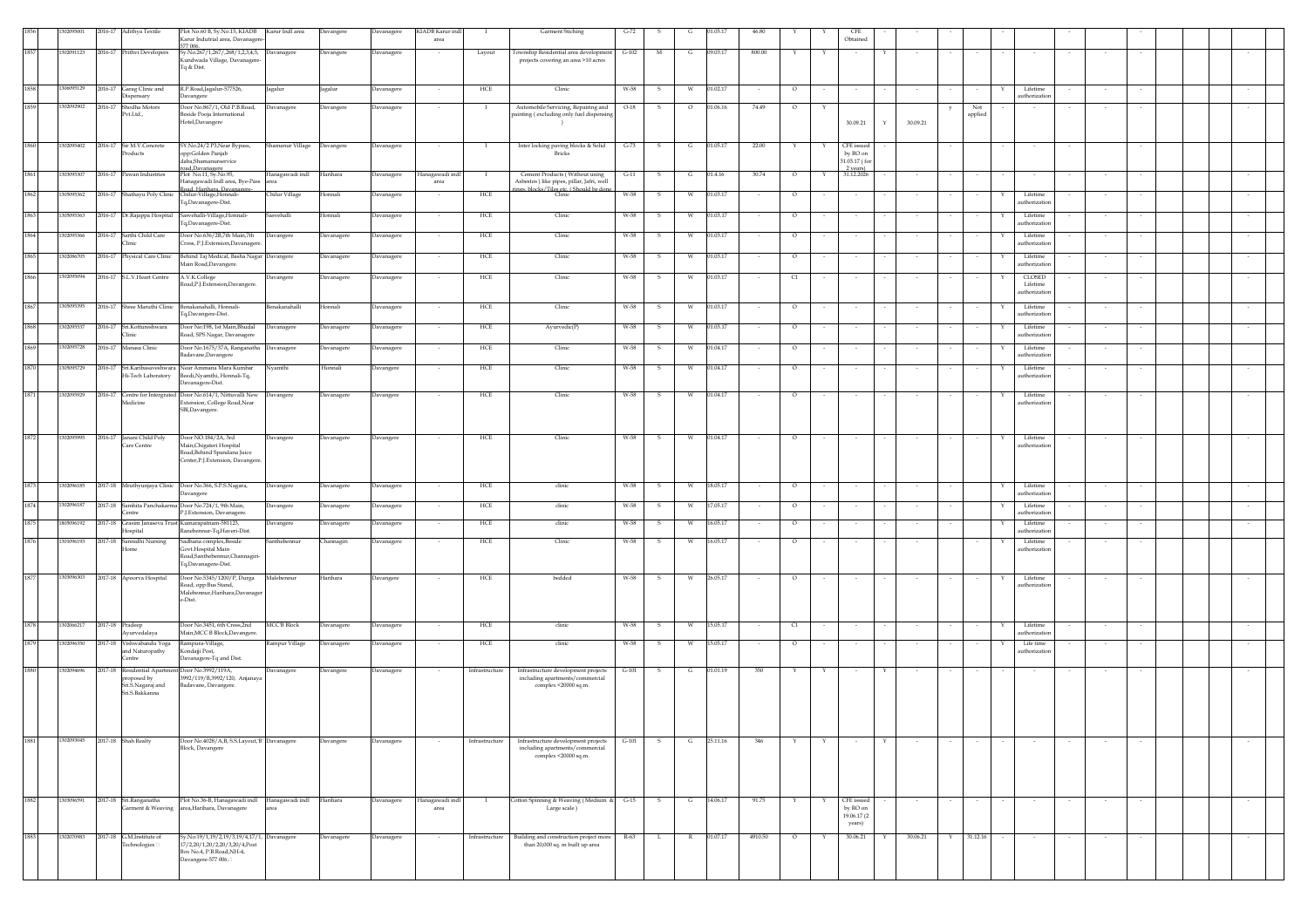|          | 209500     | 2016-17 Adithya Textile                                             | Plot No.60 B, Sy.No.15, KIADB Karur Indl area<br>Karur Indutrial area, Davanager            |                        | Davangere                | Davanagere               | KIADB Karur ind<br>area            |                | Garment Stiching                                                                | $G-72$  |     |              | 01.05.17 | 46.80   |                                     | CFI<br>Obtained                    |   |               |                |   |                           |                  |        |  |        |
|----------|------------|---------------------------------------------------------------------|---------------------------------------------------------------------------------------------|------------------------|--------------------------|--------------------------|------------------------------------|----------------|---------------------------------------------------------------------------------|---------|-----|--------------|----------|---------|-------------------------------------|------------------------------------|---|---------------|----------------|---|---------------------------|------------------|--------|--|--------|
| 1857     | 302091123  | 2016-17 Prithvi Developers                                          | 577 006.<br>Sy.No.267/1,267/,268/1,2,3,4,5, Davanagere<br>Gundwada Village, Davanagere      |                        | Davangere                | Davanagere               |                                    | Layout         | Township Residential area development<br>projects covering an area >10 acres    | $G-102$ | M   | G            | 09.03.17 | 800.00  | Y<br>Y                              |                                    |   |               |                |   |                           |                  |        |  |        |
|          |            |                                                                     | Tq & Dist.                                                                                  |                        |                          |                          |                                    |                |                                                                                 |         |     |              |          |         |                                     |                                    |   |               |                |   |                           |                  |        |  |        |
| 1858     | 306095129  | 2016-17 Garag Clinic and<br><b>Dispensary</b>                       | R.P.Road, Jagalur-577526,<br>avangere                                                       | Jagalur                | Jagalur                  | <b>Davanagere</b>        |                                    | HCE            | Clinic                                                                          | W-58    |     |              | 01.02.17 |         | $\circ$                             |                                    |   |               |                |   | Lifetime<br>uthorization  |                  |        |  |        |
| 1859     | 302092902  | Shodha Motors<br>2016-17<br>Pvt.Ltd.,                               | Door No.867/1, Old P.B.Road,<br>Seside Pooja International                                  | Davanagere             | Davangere                | Davanagere               |                                    |                | Automobile Servicing, Repairing and<br>painting (excluding only fuel dispensing | $O-18$  |     |              | 01.06.16 | 74.49   | $\circ$                             |                                    |   |               | Not<br>applied |   |                           |                  |        |  |        |
|          |            |                                                                     | Iotel,Davangere                                                                             |                        |                          |                          |                                    |                |                                                                                 |         |     |              |          |         |                                     | 30.09.21                           | Y | 30.09.21      |                |   |                           |                  |        |  |        |
| 1860     | 302095402  | 2016-17 Sir M.V.Concrete<br>roducts                                 | SY.No.24/2 P3,Near Bypass,                                                                  | Shamanur Village       | Davangere                | Davanagere               |                                    | <b>I</b>       | Inter locking paving blocks & Solid<br><b>Bricks</b>                            | $G-73$  | -S  | G            | 01.05.17 | 22.00   |                                     | <b>CFE</b> issued<br>by RO on      |   |               |                |   |                           |                  |        |  |        |
|          |            |                                                                     | pp:Golden Panjab<br>laba, Shamanurservice<br>ad.Davanagere                                  |                        |                          |                          |                                    |                |                                                                                 |         |     |              |          |         |                                     | 31.03.17 (for<br>2 years).         |   |               |                |   |                           |                  |        |  |        |
| $1861\,$ | 43095307   | 2016-17 Pawan Industries                                            | Plot No.11, Sv.No.95.<br>lanagawadi Indl area, Bye-Pass<br>ad. Harihara. Davan              | Hanagawadi indl        | Harihara                 | Davanagere               | Hanagawadi ind<br>area             |                | Cement Products (Without using<br>Asbestos) like pipes, pillar, Jafri, well     | $G-11$  | -S  | G            | 01.4.16  | 30.74   | $\circ$                             | 31.12.2026                         |   |               |                |   |                           |                  |        |  |        |
| 1862     | 305095362  | 2016-17 Shathayu Poly Clinic                                        | Chilur-Village, Honnali<br>Fq,Davanagere-Dist.                                              | Chilur Village         | Honnali                  | Davanagere               |                                    | <b>HCE</b>     | nes. blocks/Tiles etc. (Should be don                                           | W-58    | -S  | <b>W</b>     | 01.03.17 |         | $\circ$                             | $\sim$                             |   |               |                |   | Lifetime<br>uthorization  |                  |        |  |        |
| 1863     | 305095363  | 2016-17 Dr.Rajappa Hospital                                         | sasvehalli-Village, Honnali-<br>'q,Davanagere-Dist.                                         | Sasvehalli             | Honnali                  | Davanagere               | $\sim$                             | HCE            | Clinic                                                                          | W-58    | -S  | W            | 01.03.17 | $\sim$  | $\circ$<br>$\sim$                   | $\sim$                             |   | $\sim$        | $\sim$         | Y | Lifetime<br>uthorization  | $\sim$           | $\sim$ |  | $\sim$ |
| 1864     | 302095366  | 2016-17 Sarthi Child Care<br><b>linic</b>                           | Door No.636/2B,7th Main,7th<br>ross. P.I.Extension,Davanagere                               | Davangere              | Davanagere               | Davanagere               | $\sim$                             | HCE            | Clinic                                                                          | W-58    | S   | W            | 01.03.17 | $\sim$  | $\circ$                             | $\sim$                             |   |               |                |   | Lifetime<br>uthorization  | $\sim$           |        |  |        |
| 1865     | 302086705  | 2016-17<br>Physical Care Clinic                                     | Behind Taj Medical, Basha Nagar Davangere<br>fain Road, Davangere.                          |                        | <b>Davanagere</b>        | avanagere                |                                    | HCE            | Clinic                                                                          | W-58    |     |              | 01.03.17 |         | $\circ$                             |                                    |   |               |                |   | Lifetime<br>uthorizatio   |                  |        |  |        |
| 1866     | 1302095094 | 2016-17 S.L.V.Heart Centre                                          | A.V.K.College                                                                               | Davangere              | Davanagere               | Davanagere               |                                    | HCE            | Clinic                                                                          | W-58    | -S  | W            | 01.03.17 |         | C1                                  |                                    |   |               |                |   | CLOSED                    |                  |        |  |        |
|          |            |                                                                     | load, P.J. Extension, Davangere.                                                            |                        |                          |                          |                                    |                |                                                                                 |         |     |              |          |         |                                     |                                    |   |               |                |   | Lifetime<br>authorization |                  |        |  |        |
| 1867     | 1305095395 | 2016-17 Shree Maruthi Clinic                                        | Benakanahalli, Honnali-<br>Iq,Davangere-Dist.                                               | Benakanahalli          | Honnali                  | Davanagere               |                                    | HCE            | Clinic                                                                          | W-58    | -S  | W            | 01.03.17 |         | $\circ$                             | $\sim$                             |   |               |                |   | Lifetime<br>uthorization  |                  |        |  |        |
| 1868     | 302095537  | 2016-17<br>Sri.Kottureshwara<br><b>linic</b>                        | Door No:198, 1st Main, Bhudal<br>Road, SPS Nagar, Davanagere                                | Davanagere             | Davanagere               | Davanagere               | $\sim$                             | HCE            | Ayurvedic(P)                                                                    | W-58    | -S  | W            | 01.03.17 |         | $\circ$                             |                                    |   |               |                |   | Lifetime<br>uthorization  |                  |        |  |        |
| 1869     | 302095728  | 2016-17 Manasa Clinic                                               | Door No.1675/37A, Ranganatha Davanagere<br>adavane,Davangere                                |                        | Davanagere               | Davanagere               |                                    | HCE            | Clinic                                                                          | W-58    |     |              | 01.04.17 |         | $\circ$                             |                                    |   |               |                |   | Lifetime<br>uthorization  |                  |        |  |        |
| 1870     | 305095729  | 2016-17 Sri.Karibasaveshwara<br>Hi-Tech Laboratory                  | Near Ammana Mara Kumbar<br>Beedi, Nyamthi, Honnali-Tq,                                      | Nyamthi                | Honnali                  | Davangere                |                                    | HCE            | Clinic                                                                          | W-58    | s   |              | 01.04.17 |         | $\circ$                             |                                    |   |               |                |   | Lifetime<br>uthorizatio   |                  |        |  |        |
| 1871     | 302095929  |                                                                     | avanagere-Dist.<br>Door No.614/1, Nittuvalli New                                            |                        |                          |                          |                                    | <b>HCE</b>     | Clinic                                                                          | W-58    |     |              | 01.04.17 |         |                                     |                                    |   |               |                |   | Lifetime                  |                  |        |  |        |
|          |            | 2016-17 Centre for Intergrated<br>Medicine                          | Extension, College Road, Near<br>SBI, Davangere.                                            | Davangere              | Davanagere               | Davangere                |                                    |                |                                                                                 |         |     |              |          |         | $\circ$                             |                                    |   |               |                |   | uthorization              |                  |        |  |        |
|          |            |                                                                     |                                                                                             |                        |                          |                          |                                    |                |                                                                                 |         |     |              |          |         |                                     |                                    |   |               |                |   |                           |                  |        |  |        |
| 1872     | 302095995  | 2016-17 Janani Child Poly<br>Care Centre                            | oor NO.184/2A, 3rd<br>Aain, Chigateri Hospital                                              | Davangere              | Davanagere               | Davangere                |                                    | HCE            | Clinic                                                                          | W-58    | s   | W            | 01.04.17 |         | $\circ$                             |                                    |   |               |                |   | Lifetime<br>uthorization  |                  |        |  |        |
|          |            |                                                                     | Road, Behind Spandana Juice<br>Center, P.J. Extension, Davangere.                           |                        |                          |                          |                                    |                |                                                                                 |         |     |              |          |         |                                     |                                    |   |               |                |   |                           |                  |        |  |        |
| 1873     | 302096185  | 2017-18 Mruthyunjaya Clinic                                         | Door No.366, S.P.S.Nagara,                                                                  | Davangere              | Davanagere               | Davanagere               | $\sim$                             | HCE            | clinic                                                                          | W-58    | S.  | W            | 18.05.17 | $\sim$  | $\circ$<br>$\overline{\phantom{a}}$ | $\sim$                             |   | $\sim$        |                | Y | Lifetime                  | $\sim$           | $\sim$ |  |        |
| 1874     | 302096187  | 017-18<br>Samhita Panchakarma                                       | avangere<br>Door No.724/1, 9th Main,                                                        |                        |                          |                          |                                    | HCE            | clinic                                                                          | W-58    | s   | W            | 17.05.17 |         | $\circ$                             |                                    |   |               |                |   | uthorizatio<br>Lifetime   |                  |        |  |        |
| 1875     | 805096192  | <b>Centre</b><br>2017-18 Grasim Janaseva Trust Kumarapatnam-581123, | -J.Extension, Davanagere                                                                    | Davangere<br>Davangere | Davanagere<br>Davanagere | Davanagere<br>Davanagere | $\overline{\phantom{a}}$<br>$\sim$ | HCE            | clinic                                                                          | W-58    | s   | W            | 16.05.17 | $\sim$  | $\circ$                             | $\sim$<br>$\sim$                   |   | $\sim$        |                |   | athorizatio<br>Lifetime   | $\sim$<br>$\sim$ |        |  | $\sim$ |
| 1876     | 301096193  | Hospital<br>Sannidhi Nursing<br>2017-18                             | Ranebennur-Tq, Haveri-Dist.<br>sadhana complex, Beside                                      | Santhebennur           | Channagiri               | Davanagere               | $\overline{\phantom{a}}$           | HCE            | Clinic                                                                          | W-58    | -S  | W            | 16.05.17 |         | $\circ$                             | $\sim$                             |   | $\sim$        |                | Y | uthorizatio<br>Lifetime   | $\sim$           |        |  |        |
|          |            | lome                                                                | Govt.Hospital Main<br>Road,Santhebennur,Channagiri-                                         |                        |                          |                          |                                    |                |                                                                                 |         |     |              |          |         |                                     |                                    |   |               |                |   | uthorization              |                  |        |  |        |
| 1877     | 1303096303 | 2017-18 Apoorva Hospital                                            | Tq,Davanagere-Dist.<br>Door No.5345/1200/P, Durga                                           | Malebennur             | Harihara                 | Davangere                |                                    | HCE            | bedded                                                                          | W-58    | S   | W            | 26.05.17 |         | $\circ$                             |                                    |   |               |                |   | Lifetime                  |                  |        |  |        |
|          |            |                                                                     | Road, opp:Bus Stand,<br>Malebennur, Harihara, Davanager                                     |                        |                          |                          |                                    |                |                                                                                 |         |     |              |          |         |                                     |                                    |   |               |                |   | authorization             |                  |        |  |        |
|          |            |                                                                     | e-Dist.                                                                                     |                        |                          |                          |                                    |                |                                                                                 |         |     |              |          |         |                                     |                                    |   |               |                |   |                           |                  |        |  |        |
| 1878     | 302066217  | 2017-18 Pradeep<br>Ayurvedalaya                                     | Door No.3451, 6th Cross,2nd<br>Main, MCC B Block, Davangere.                                | <b>MCC'B Block</b>     | Davanagere               | Davanagere               | $\sim$                             | HCE            | clinic                                                                          | W-58    | -S  | W            | 15.05.17 | $\sim$  | C1<br>$\sim$                        | $\sim$                             |   | $\sim$        | $\sim$         |   | Lifetime<br>uthorization  | $\sim$           | $\sim$ |  | $\sim$ |
| 1879     | 12096350   | 2017-18 Vishwabandu Yoga<br>and Naturopathy                         | Rampura-Village,<br>Condajji Post,                                                          | Rampur Village         | Davanagere               | Davanagere               | $\sim$                             | HCE            | clinic                                                                          | W-58    | s   | W            | 15.05.17 | $\sim$  | $\circ$                             | $\sim$                             |   | $\sim$        | $\sim$         | Y | Life time<br>uthorization | $\sim$           | $\sim$ |  | $\sim$ |
| 1880     | 1302094696 | Centre<br>2017-18 Residential Apartr                                | Javanagere-Tq and Dist.<br>Door No.3992/119A,                                               | Davanagere             | Davangere                | Davanagere               |                                    | Infrastructure | Infrastructure development projects                                             | $G-101$ | - S | G            | 01.01.19 | 350     | Y<br>Υ                              |                                    | Y |               |                |   |                           |                  |        |  |        |
|          |            | proposed by<br>.<br>Sri.S.Nagaraj and<br>Sri.S.Bakkanna             | 3992/119/B,3992/120, Anjanaya<br>Badavane, Davangere.                                       |                        |                          |                          |                                    |                | including apartments/commercial<br>complex <20000 sq.m.                         |         |     |              |          |         |                                     |                                    |   |               |                |   |                           |                  |        |  |        |
|          |            |                                                                     |                                                                                             |                        |                          |                          |                                    |                |                                                                                 |         |     |              |          |         |                                     |                                    |   |               |                |   |                           |                  |        |  |        |
|          |            |                                                                     |                                                                                             |                        |                          |                          |                                    |                |                                                                                 |         |     |              |          |         |                                     |                                    |   |               |                |   |                           |                  |        |  |        |
| 1881     | 302093045  | 2017-18 Shah Realty                                                 | Door No.4028/A,B, S.S.Layout,'B' Davanagere<br>Block, Davangere                             |                        | Davangere                | Davanagere               |                                    | Infrastructure | Infrastructure development projects<br>including apartments/commercial          | $G-101$ |     |              | 25.11.16 | 346     |                                     |                                    |   |               |                |   |                           |                  |        |  |        |
|          |            |                                                                     |                                                                                             |                        |                          |                          |                                    |                | complex <20000 sq.m.                                                            |         |     |              |          |         |                                     |                                    |   |               |                |   |                           |                  |        |  |        |
|          |            |                                                                     |                                                                                             |                        |                          |                          |                                    |                |                                                                                 |         |     |              |          |         |                                     |                                    |   |               |                |   |                           |                  |        |  |        |
| 1882     | 1303096591 | 2017-18 Sri.Ranganatha                                              | Plot No.36-B, Hanagawadi indl<br>Hanagawadi indl<br>Harihara                                |                        |                          | Davanagere               | Hanagawadi ind                     |                | Cotton Spinning & Weaving (Medium & G-15                                        |         | - S | G            | 14.06.17 | 91.75   | Y                                   | CFE issued                         |   |               |                |   |                           |                  |        |  |        |
|          |            | Garment & Weaving                                                   | rea, Harihara, Davanagere                                                                   |                        |                          |                          | area                               |                | Large scale )                                                                   |         |     |              |          |         |                                     | by RO on<br>19.06.17 (2)<br>years) |   |               |                |   |                           |                  |        |  |        |
| 1883     | 1302070983 | 2017-18 G.M.Institute of                                            | y.No:19/1,19/2,19/3,19/4,17/1, Davanagere                                                   |                        | Davanagere               | Davanagere               |                                    | Infrastructure | Building and construction project more                                          | R-63    | L.  | $\mathbb{R}$ | 01.07.17 | 4910.50 | $\circ$<br>Y                        | 30.06.21                           | Y | 30.06.21<br>Y | 31.12.16       |   |                           |                  |        |  |        |
|          |            | Technologies □                                                      | 7/2,20/1,20/2,20/3,20/4,Post<br>3ox No.4, P.B.Road,NH-4,<br>Davangere-577 006. <sup>□</sup> |                        |                          |                          |                                    |                | than 20,000 sq. m built up area                                                 |         |     |              |          |         |                                     |                                    |   |               |                |   |                           |                  |        |  |        |
|          |            |                                                                     |                                                                                             |                        |                          |                          |                                    |                |                                                                                 |         |     |              |          |         |                                     |                                    |   |               |                |   |                           |                  |        |  |        |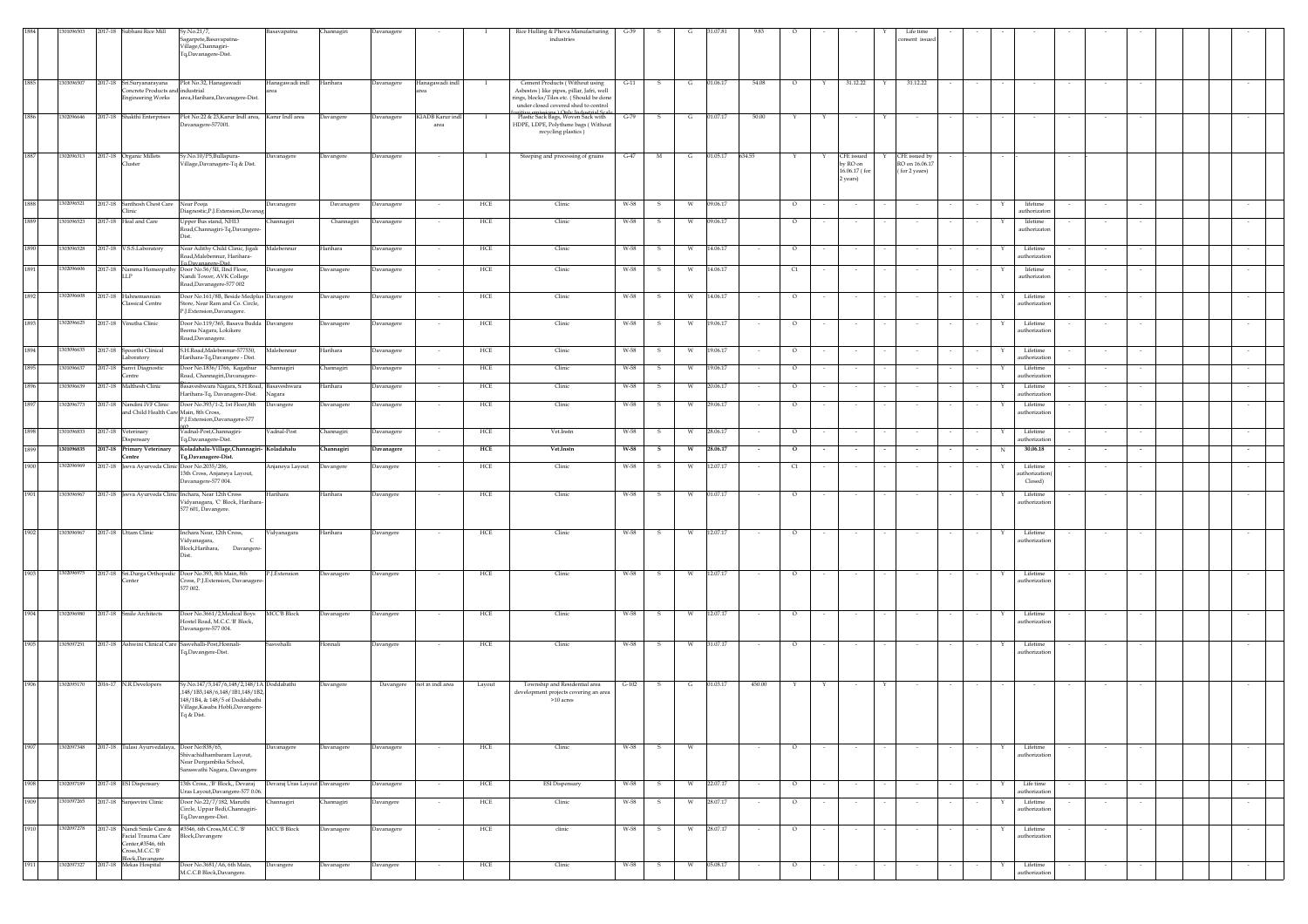|      | 109650     |         | 2017-18 Subhani Rice Mill                    | Sy.No.21/7,                                                                         | Basavapatna                    | Channagiri | Davanagere |                          |             | Rice Hulling & Phova Manufacturing                                               | $G-39$  |              |          |            |        |              |            |               | Life time                       |             |                           |        |        |        |  |
|------|------------|---------|----------------------------------------------|-------------------------------------------------------------------------------------|--------------------------------|------------|------------|--------------------------|-------------|----------------------------------------------------------------------------------|---------|--------------|----------|------------|--------|--------------|------------|---------------|---------------------------------|-------------|---------------------------|--------|--------|--------|--|
|      |            |         |                                              | agarpete, Basavapatna-                                                              |                                |            |            |                          |             | industries                                                                       |         |              |          |            |        |              |            |               | onsent issue                    |             |                           |        |        |        |  |
|      |            |         |                                              | Village, Channagiri-<br>Tq,Davanagere-Dist.                                         |                                |            |            |                          |             |                                                                                  |         |              |          |            |        |              |            |               |                                 |             |                           |        |        |        |  |
|      |            |         |                                              |                                                                                     |                                |            |            |                          |             |                                                                                  |         |              |          |            |        |              |            |               |                                 |             |                           |        |        |        |  |
|      |            |         |                                              |                                                                                     |                                |            |            |                          |             |                                                                                  |         |              |          |            |        |              |            |               |                                 |             |                           |        |        |        |  |
| 1885 | 1303096507 |         | 2017-18 Sri.Suryanarayana                    | Plot No.32, Hanagawadi                                                              | Hanagawadi indl                | Harihara   | Davanagere | Hanagawadi indl          |             | Cement Products (Without using                                                   | $G-11$  | - S          |          | G 01.06.17 | 54.08  | $\circ$<br>Y |            | 31.12.22      | 31.12.22<br>Y                   |             |                           |        |        |        |  |
|      |            |         | oncrete Products and industrial              |                                                                                     |                                |            |            |                          |             | Asbestos) like pipes, pillar, Jafri, well                                        |         |              |          |            |        |              |            |               |                                 |             |                           |        |        |        |  |
|      |            |         | ngineering Works                             | area, Harihara, Davanagere-Dist.                                                    |                                |            |            |                          |             | rings, blocks/Tiles etc. (Should be done<br>under closed covered shed to control |         |              |          |            |        |              |            |               |                                 |             |                           |        |        |        |  |
| 1886 | 30209664   |         | 2017-18 Shakthi Enterprises                  | Plot No:22 & 23, Karur Indl area, Karur Indl area                                   |                                | Davangere  | Davanagere | KIADB Karur ind          |             | soitive emissions ) Only Industrial Sca<br>Plastic Sack Bags, Woven Sack with    | $G-79$  | s            |          | 01.07.17   | 50.00  |              |            |               |                                 |             |                           |        |        |        |  |
|      |            |         |                                              | Davanagere-577001.                                                                  |                                |            |            | area                     |             | HDPE, LDPE, Polythene bags (Without                                              |         |              |          |            |        |              |            |               |                                 |             |                           |        |        |        |  |
|      |            |         |                                              |                                                                                     |                                |            |            |                          |             | recycling plastics)                                                              |         |              |          |            |        |              |            |               |                                 |             |                           |        |        |        |  |
|      |            |         |                                              |                                                                                     |                                |            |            |                          |             |                                                                                  |         |              |          |            |        |              |            |               |                                 |             |                           |        |        |        |  |
| 1887 | 1302096313 |         | 2017-18 Organic Millets                      | Sy.No.10/P5,Bullapura-                                                              | Davanagere                     | Davangere  | Davanagere |                          |             | Steeping and processing of grains                                                | $G-47$  | M            | G        | 01.05.17   | 634.55 |              | CFE issued |               | CFE issued by                   |             |                           |        |        |        |  |
|      |            |         | luster                                       | /illage,Davanagere-Tq & Dist.                                                       |                                |            |            |                          |             |                                                                                  |         |              |          |            |        |              | by RO on   | 16.06.17 (for | RO on 16.06.17<br>(for 2 years) |             |                           |        |        |        |  |
|      |            |         |                                              |                                                                                     |                                |            |            |                          |             |                                                                                  |         |              |          |            |        |              | 2 years)   |               |                                 |             |                           |        |        |        |  |
|      |            |         |                                              |                                                                                     |                                |            |            |                          |             |                                                                                  |         |              |          |            |        |              |            |               |                                 |             |                           |        |        |        |  |
| 1888 | 1302096521 | 2017-18 | Santhosh Chest Care                          | Near Pooja                                                                          | Davanagere                     | Davanagere | Davanagere |                          | HCE         | Clinic                                                                           | W-58    |              |          | 09.06.17   |        | $\circ$      |            |               |                                 |             | lifetime                  |        |        |        |  |
|      |            |         | linic                                        | Diagnostic, P.J. Extension, Davanag                                                 |                                |            |            |                          |             |                                                                                  |         |              |          |            |        |              |            |               |                                 |             | authorizator              |        |        |        |  |
| 1889 | 1301096523 | 2017-18 | <b>Heal</b> and Care                         | Upper Bus stand, NH13<br>oad, Channagiri-Tq, Davangere                              | Channagiri                     | Channagiri | Davanagere |                          | HCE         | Clinic                                                                           | W-58    |              |          | 09.06.17   |        | $\circ$      |            |               |                                 |             | lifetime<br>authorizator  |        |        |        |  |
|      |            |         |                                              | Dist.                                                                               |                                |            |            |                          |             |                                                                                  |         |              |          |            |        |              |            |               |                                 |             |                           |        |        |        |  |
| 1890 | 303096528  |         | 2017-18 V.S.S.Laboratory                     | Near Adithy Child Clinic, Jigali Malebennur                                         |                                | Harihara   | Davanagere |                          | HCE         | Clinic                                                                           | W-58    | -S           |          | 14.06.17   |        | $\circ$      |            |               |                                 |             | Lifetime                  |        |        |        |  |
|      |            |         |                                              | Road, Malebennur, Harihara-                                                         |                                |            |            |                          |             |                                                                                  |         |              |          |            |        |              |            |               |                                 |             | uthorizatio               |        |        |        |  |
| 1891 | 1302096606 | 2017-18 |                                              | To.Davanagere-Dist.<br>Namma Homeopathy Door No.56/5II, IInd Floor,                 | Davangere                      | Javanagere | Davanagere |                          | HCE         | Clinic                                                                           | W-58    | -S           | W        | 14.06.17   |        | $\alpha$     |            |               |                                 |             | lifetime                  |        |        |        |  |
|      |            |         | LP                                           | Nandi Tower, AVK College                                                            |                                |            |            |                          |             |                                                                                  |         |              |          |            |        |              |            |               |                                 |             | authorizaton              |        |        |        |  |
|      |            |         |                                              | Road,Davanagere-577 002                                                             |                                |            |            |                          |             |                                                                                  |         |              |          |            |        |              |            |               |                                 |             |                           |        |        |        |  |
| 1892 | 1302096608 | 2017-18 | Hahnemannian<br>lassical Centre              | Door No.161/8B, Beside Medplus Davangere<br>tore, Near Ram and Co. Circle,          |                                | Davanagere | Davanagere |                          | HCE         | Clinic                                                                           | W-58    | -S           | W        | 14.06.17   |        | $\circ$      |            |               |                                 |             | Lifetime<br>uthorization  |        |        |        |  |
|      |            |         |                                              | P.J.Extension,Davanagere.                                                           |                                |            |            |                          |             |                                                                                  |         |              |          |            |        |              |            |               |                                 |             |                           |        |        |        |  |
| 1893 | 302096625  |         | 2017-18 Vinutha Clinic                       | Door No.119/365, Basava Budda Davangere                                             |                                | Davanagere | Davanagere |                          | HCE         | Clinic                                                                           | W-58    | -S           |          | 19.06.17   |        | $\circ$      |            |               |                                 |             | Lifetime                  |        |        |        |  |
|      |            |         |                                              | Beema Nagara, Lokikere                                                              |                                |            |            |                          |             |                                                                                  |         |              |          |            |        |              |            |               |                                 |             | uthorizatic               |        |        |        |  |
| 1894 |            |         |                                              | Road, Davanagere.<br>S.H.Road, Malebennur-577530,                                   |                                |            |            |                          |             |                                                                                  |         |              |          |            |        |              |            |               |                                 |             |                           |        |        |        |  |
|      | 1303096635 |         | 2017-18 Spoorthi Clinical<br>aboratory       | Harihara-Tq, Davangere - Dist.                                                      | Malebennur                     | Harihara   | Davanagere |                          | HCE         | Clinic                                                                           | W-58    | 5            |          | 19.06.17   |        | $\circ$      |            |               |                                 |             | Lifetime<br>authorization |        |        |        |  |
| 1895 | 1301096637 |         | 2017-18 Sanvi Diagnostic                     | Door No.1836/1766, Kagathur                                                         | Channagiri                     | Channagiri | Davanagere |                          | HCE         | Clinic                                                                           | W-58    | -S           |          | 19.06.17   |        | $\circ$      |            |               |                                 |             | Lifetime                  |        |        |        |  |
|      |            |         | entre                                        | Road, Channagiri, Davanagere-                                                       |                                |            |            |                          |             |                                                                                  |         |              |          |            |        |              |            |               |                                 |             | authorization             |        |        |        |  |
| 1896 | 1303096639 |         | 2017-18 Malthesh Clinic                      | Basaveshwara Nagara, S.H.Road, Basaveshwara<br>Harihara-Tq, Davanagere-Dist. Nagara |                                | Harihara   | Davanagere |                          | HCE         | Clinic                                                                           | W-58    | -S           |          | 20.06.17   |        | $\circ$      |            |               |                                 |             | Lifetime<br>authorization |        |        |        |  |
| 1897 | 1302096773 |         | 2017-18 Nandini IVF Clinic                   | Door No.393/1-2, 1st Floor,8th                                                      | Davangere                      | Davanagere | Davanagere |                          | HCE         | Clinic                                                                           | W-58    | s            | - W      | 29.06.17   |        | $\circ$      |            |               |                                 | Y           | Lifetime                  |        |        |        |  |
|      |            |         | and Child Health Care Main, 8th Cross,       |                                                                                     |                                |            |            |                          |             |                                                                                  |         |              |          |            |        |              |            |               |                                 |             | authorization             |        |        |        |  |
|      |            |         |                                              | P.J.Extension,Davanagere-577                                                        |                                |            |            |                          |             |                                                                                  |         |              |          |            |        |              |            |               |                                 |             |                           |        |        |        |  |
| 1898 | 1301096833 | 2017-18 | Veterinary<br><b>Dispensary</b>              | Vadnal-Post,Channagiri-<br>Fq,Davanagere-Dist.                                      | Vadnal-Post                    | Channagiri | Davanagere |                          | HCE         | Vet.Instn                                                                        | W-58    | s            |          | 28.06.17   |        | $\circ$      |            | $\sim$        |                                 |             | Lifetime<br>authorization |        |        |        |  |
| 1899 | 1301096835 | 2017-18 | Primary Veterinary                           | Koladahalu-Village,Channagiri- Koladahalu                                           |                                | Channagiri | Davanagere |                          | HCE         | Vet.Instn                                                                        | W-58    | s            | w        | 28.06.17   |        | $\circ$      |            |               |                                 |             | 30.06.18<br>N             |        |        |        |  |
|      |            |         | 'entre                                       | Tq,Davanagere-Dist.                                                                 |                                |            |            |                          |             |                                                                                  |         |              |          |            |        |              |            |               |                                 |             |                           |        |        |        |  |
| 1900 | 302096969  | 2017-18 | eeva Ayurveda Clinic Door No.2035/206,       | 13th Cross, Anjaneya Layout,                                                        | Anjaneya Layout                | Davangere  | Davangere  |                          | HCE         | Clinic                                                                           | W-58    |              |          | 12.07.17   |        | C1           |            |               |                                 |             | Lifetime<br>thorization   |        |        |        |  |
|      |            |         |                                              | Davanagere-577 004.                                                                 |                                |            |            |                          |             |                                                                                  |         |              |          |            |        |              |            |               |                                 |             | Closed)                   |        |        |        |  |
| 1901 | 1303096967 |         |                                              | 2017-18 Jeeva Ayurveda Clinic Inchara, Near 12th Cross                              | Harihara                       | Harihara   | Davangere  |                          | HCE         | Clinic                                                                           | W-58    | s            | W        | 01.07.17   |        | $\circ$      |            |               |                                 |             | Lifetime                  |        |        |        |  |
|      |            |         |                                              | Vidyanagara, 'C' Block, Harihara-<br>577 601, Davangere.                            |                                |            |            |                          |             |                                                                                  |         |              |          |            |        |              |            |               |                                 |             | authorization             |        |        |        |  |
|      |            |         |                                              |                                                                                     |                                |            |            |                          |             |                                                                                  |         |              |          |            |        |              |            |               |                                 |             |                           |        |        |        |  |
|      |            |         |                                              |                                                                                     |                                |            |            |                          |             |                                                                                  |         |              |          |            |        |              |            |               |                                 |             |                           |        |        |        |  |
| 1902 | 1303096967 |         | 2017-18 Uttam Clinic                         | Inchara Near, 12th Cross,<br>Vidyanagara,<br>$\epsilon$                             | Vidyanagara                    | Harihara   | Davangere  | $\overline{\phantom{a}}$ | HCE         | Clinic                                                                           | W-58    | -S           | W        | 12.07.17   |        | $\circ$      |            | $\sim$        |                                 |             | Lifetime<br>uthorization  |        |        |        |  |
|      |            |         |                                              | Block, Harihara, Davangere-                                                         |                                |            |            |                          |             |                                                                                  |         |              |          |            |        |              |            |               |                                 |             |                           |        |        |        |  |
|      |            |         |                                              | Dist.                                                                               |                                |            |            |                          |             |                                                                                  |         |              |          |            |        |              |            |               |                                 |             |                           |        |        |        |  |
| 1903 | 1302096975 |         |                                              | 2017-18 Sri.Durga Orthopedic Door No.393, 8th Main, 8th                             | P.J.Extension                  | Davanagere | Davangere  |                          | HCE         | Clinic                                                                           | W-58    | s            |          | 12.07.17   |        | $\circ$      |            |               |                                 |             | Lifetime                  |        |        |        |  |
|      |            |         |                                              | Cross, P.J. Extension, Davanager                                                    |                                |            |            |                          |             |                                                                                  |         |              |          |            |        |              |            |               |                                 |             | uthorization              |        |        |        |  |
|      |            |         |                                              | 577 002.                                                                            |                                |            |            |                          |             |                                                                                  |         |              |          |            |        |              |            |               |                                 |             |                           |        |        |        |  |
|      |            |         |                                              |                                                                                     |                                |            |            |                          |             |                                                                                  |         |              |          |            |        |              |            |               |                                 |             |                           |        |        |        |  |
| 1904 | 1302096980 |         | 2017-18 Smile Architects                     | Door No.3661/2, Medical Boys<br>Hostel Road, M.C.C.'B' Block,                       | <b>MCCB</b> Block              | Davanagere | Davangere  |                          | HCE         | Clinic                                                                           | W-58    | - S          | <b>W</b> | 12.07.17   |        | $\circ$      |            |               |                                 | Y           | Lifetime                  |        |        |        |  |
|      |            |         |                                              | Davanagere-577 004.                                                                 |                                |            |            |                          |             |                                                                                  |         |              |          |            |        |              |            |               |                                 |             | authorization             |        |        |        |  |
|      |            |         |                                              |                                                                                     |                                |            |            |                          |             |                                                                                  |         |              |          |            |        |              |            |               |                                 |             |                           |        |        |        |  |
| 1905 | 1305097251 |         |                                              | 2017-18 Ashwini Clinical Care Sasvehalli-Post, Honnali-<br>Fq,Davangere-Dist.       | Sasvehalli                     | Honnali    | Davangere  | $\sim$                   | HCE         | Clinic                                                                           | W-58    | s.           | W        | 31.07.17   | $\sim$ | $\circ$      | $\sim$     | $\sim$        |                                 | $\sim$<br>Y | Lifetime<br>authorization | $\sim$ |        | $\sim$ |  |
|      |            |         |                                              |                                                                                     |                                |            |            |                          |             |                                                                                  |         |              |          |            |        |              |            |               |                                 |             |                           |        |        |        |  |
|      |            |         |                                              |                                                                                     |                                |            |            |                          |             |                                                                                  |         |              |          |            |        |              |            |               |                                 |             |                           |        |        |        |  |
| 1906 | 1302095170 |         | 2016-17 N.R.Developers                       | Sy.No.147/5,147/6,148/2,148/1A Doddabathi                                           |                                | Davangere  | Davangere  | not in indl area         | Layout      | Township and Residential area                                                    | $G-102$ | - S          | G        | 01.03.17   | 450.00 |              |            |               |                                 |             |                           |        |        |        |  |
|      |            |         |                                              | 148/1B3,148/6,148/1B1,148/1B2,<br>148/1B4, & 148/5 of Doddabathi                    |                                |            |            |                          |             | development projects covering an area<br>$>10$ acres                             |         |              |          |            |        |              |            |               |                                 |             |                           |        |        |        |  |
|      |            |         |                                              | Village, Kasaba Hobli, Davangere-                                                   |                                |            |            |                          |             |                                                                                  |         |              |          |            |        |              |            |               |                                 |             |                           |        |        |        |  |
|      |            |         |                                              | Tq & Dist.                                                                          |                                |            |            |                          |             |                                                                                  |         |              |          |            |        |              |            |               |                                 |             |                           |        |        |        |  |
|      |            |         |                                              |                                                                                     |                                |            |            |                          |             |                                                                                  |         |              |          |            |        |              |            |               |                                 |             |                           |        |        |        |  |
|      |            |         |                                              |                                                                                     |                                |            |            |                          |             |                                                                                  |         |              |          |            |        |              |            |               |                                 |             |                           |        |        |        |  |
| 1907 | 1302097348 |         | 2017-18 Tulasi Ayurvedalaya, Door No:838/65, | ivachidhambaram Layout,                                                             | Davanagere                     | Davanagere | Davanagere | $\sim$                   | HCE         | Clinic                                                                           | W-58    | S.           | <b>W</b> |            | $\sim$ | $\circ$      |            | $\sim$        | $\sim$                          |             | Lifetime<br>uthorization  | $\sim$ |        | $\sim$ |  |
|      |            |         |                                              | Near Durgambika School,                                                             |                                |            |            |                          |             |                                                                                  |         |              |          |            |        |              |            |               |                                 |             |                           |        |        |        |  |
|      |            |         |                                              | raswathi Nagara, Davangere                                                          |                                |            |            |                          |             |                                                                                  |         |              |          |            |        |              |            |               |                                 |             |                           |        |        |        |  |
| 1908 | 1302097189 |         | 2017-18 ESI Dispensary                       | 13th Cross, , 'B' Block,, Devaraj                                                   | Devaraj Uras Layout Davanagere |            | Davanagere | $\sim$                   | HCE         | <b>ESI</b> Dispensary                                                            | W-58    | s            | W        | 22.07.17   | $\sim$ | $\circ$      | $\sim$     | $\sim$        | $\sim$                          | ٠           | Life time                 | $\sim$ | $\sim$ | $\sim$ |  |
|      | 1301097265 |         |                                              | Jras Layout, Davangere-577 0.06.                                                    |                                |            |            |                          |             |                                                                                  |         |              |          |            |        |              |            |               |                                 |             | authorizatio              |        |        |        |  |
| 1909 |            |         | 2017-18 Sanjeevini Clinic                    | oor No.22/7/182, Maruthi<br>Circle, Uppar Bedi, Channagiri-                         | hannagiri                      | hannagiri  | Davangere  |                          | HCE         | Clinic                                                                           | W-58    |              | w        | 28.07.17   |        | $\circ$      |            |               |                                 |             | Lifetime<br>authorization |        |        |        |  |
|      |            |         |                                              | Fq,Davangere-Dist.                                                                  |                                |            |            |                          |             |                                                                                  |         |              |          |            |        |              |            |               |                                 |             |                           |        |        |        |  |
| 1910 |            |         | 1302097278 2017-18 Nandi Smile Care &        | #3546, 6th Cross, M.C.C.'B'<br>Block, Davangere                                     | <b>MCCB</b> Block              | Davanagere | Davanagere | $\overline{\phantom{a}}$ | HCE         | clinic                                                                           | W-58    | - S          | W        | 28.07.17   | $\sim$ | $\circ$      | $\sim$     | $\sim$        |                                 |             | Lifetime<br>authorization | $\sim$ |        | $\sim$ |  |
|      |            |         | Facial Trauma Care<br>enter,#3546, 6th       |                                                                                     |                                |            |            |                          |             |                                                                                  |         |              |          |            |        |              |            |               |                                 |             |                           |        |        |        |  |
|      |            |         | ross, M.C.C.'B'<br>Block,Davangere           |                                                                                     |                                |            |            |                          |             |                                                                                  |         |              |          |            |        |              |            |               |                                 |             |                           |        |        |        |  |
| 1911 | 1302097327 |         | 2017-18 Mekas Hospital                       | Door No.3681/A6, 6th Main,                                                          | Davangere                      | Davanagere | Davangere  | $\overline{\phantom{a}}$ | ${\rm HCE}$ | Clinic                                                                           | W-58    | $\mathbf{s}$ | W        | 05.08.17   | $\sim$ | $\circ$      | $\sim$     | $\sim$        |                                 | Y           | Lifetime                  | $\sim$ |        |        |  |
|      |            |         |                                              | M.C.C.B Block,Davangere.                                                            |                                |            |            |                          |             |                                                                                  |         |              |          |            |        |              |            |               |                                 |             | authorization             |        |        |        |  |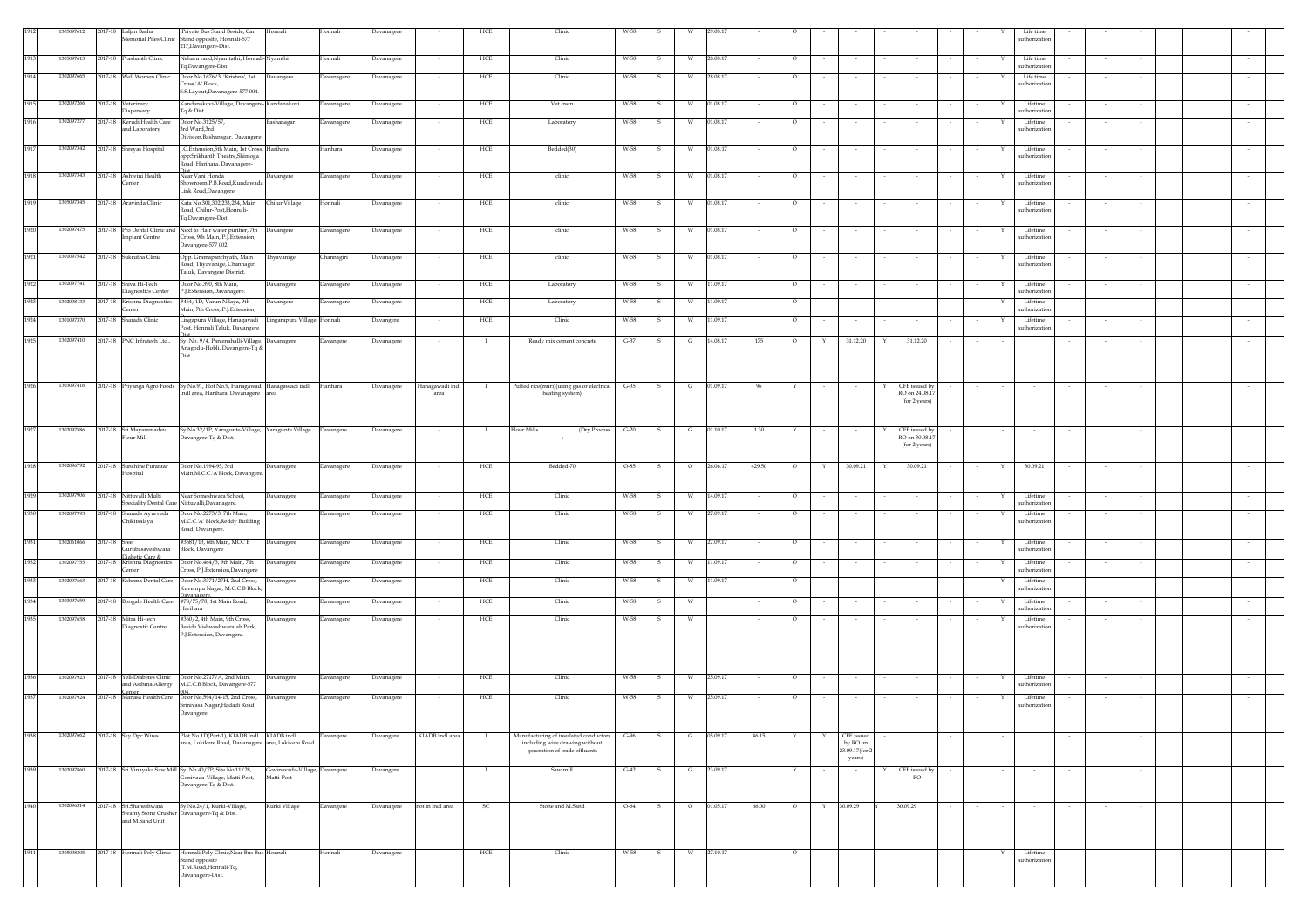|      | 05097612   |              | 2017-18 Laljan Basha                           | Private Bus Stand Beside, Car                                                                       | Honnali                                     | Honnali    | Davanagere |                          | HCE          | Clinic                                                                  | W-58                   |                          |        |              |                        |                                 |        |   | Life time                 |        |        |        |  |  |
|------|------------|--------------|------------------------------------------------|-----------------------------------------------------------------------------------------------------|---------------------------------------------|------------|------------|--------------------------|--------------|-------------------------------------------------------------------------|------------------------|--------------------------|--------|--------------|------------------------|---------------------------------|--------|---|---------------------------|--------|--------|--------|--|--|
|      |            |              |                                                | Memorial Piles Clinic Stand opposite, Honnali-577                                                   |                                             |            |            |                          |              |                                                                         |                        |                          |        |              |                        |                                 |        |   | uthorization              |        |        |        |  |  |
|      |            |              |                                                | 217, Davangere-Dist.                                                                                |                                             |            |            |                          |              |                                                                         |                        |                          |        |              |                        |                                 |        |   |                           |        |        |        |  |  |
| 1913 | 1305097613 |              | 2017-18 Prashanth Clinic                       | Neharu raod, Nyamtathi, Honnali-Nyamthi<br>Tq,Davangere-Dist.                                       |                                             | Honnali    | Davanagere |                          | HCE          | Clinic                                                                  | W-58<br>- S            | 28.08.17                 |        | $\circ$      |                        |                                 |        |   | Life time<br>uthorization |        |        |        |  |  |
| 1914 | 1302097665 |              | 2017-18 Well Women Clinic                      | Door No.1676/3, 'Krishna', 1st                                                                      | Davangere                                   | Davanagere | Davanagere |                          | HCE          | Clinic                                                                  | W-58                   | 28.08.17                 |        | $\circ$      |                        |                                 |        |   | Life time                 |        |        |        |  |  |
|      |            |              |                                                | Cross, A' Block,                                                                                    |                                             |            |            |                          |              |                                                                         |                        |                          |        |              |                        |                                 |        |   | authorization             |        |        |        |  |  |
|      |            |              |                                                | S.S.Layout,Davanagere-577 004.                                                                      |                                             |            |            |                          |              |                                                                         |                        |                          |        |              |                        |                                 |        |   |                           |        |        |        |  |  |
| 1915 | 1302097266 |              | 2017-18 Veterinary<br>Dispensary               | Kandanakovi-Village, Davangere- Kandanakovi<br>Tq & Dist.                                           |                                             | Davanagere | Davanagere |                          | HCE          | Vet.Instn                                                               | W-58                   | 01.08.17<br>w            |        | $\circ$      |                        |                                 |        |   | Lifetime<br>uthorization  |        |        |        |  |  |
| 1916 | 302097277  |              | 2017-18 Kerudi Health Care                     | Door No.3125/57,                                                                                    | Bashanagar                                  | Davanagere | Davanagere |                          | HCE          | Laboratory                                                              | W-58                   | 01.08.17<br>w            |        | $\circ$      |                        |                                 |        |   | Lifetime                  |        |        |        |  |  |
|      |            |              | and Laboratory                                 | 3rd Ward,3rd                                                                                        |                                             |            |            |                          |              |                                                                         |                        |                          |        |              |                        |                                 |        |   | uthorization              |        |        |        |  |  |
|      |            |              |                                                | Division, Bashanagar, Davangere                                                                     |                                             |            |            |                          |              |                                                                         |                        |                          |        |              |                        |                                 |        |   |                           |        |        |        |  |  |
| 1917 | 1302097342 |              | 2017-18 Shreyas Hospital                       | J.C.Extension,5th Main, 1st Cross, Harihara<br>opp:Srikhanth Theatre,Shimoga                        |                                             | Harihara   | Davanagere |                          | HCE          | Bedded(30)                                                              | W-58                   | 01.08.17<br>W            |        | $\circ$      |                        |                                 |        |   | Lifetime<br>uthorization  |        |        |        |  |  |
|      |            |              |                                                | Road, Harihara, Davanagere-                                                                         |                                             |            |            |                          |              |                                                                         |                        |                          |        |              |                        |                                 |        |   |                           |        |        |        |  |  |
| 1918 | 1302097343 |              | 2017-18 Ashwini Health                         | Near Vani Honda                                                                                     | Davangere                                   | Davanagere | Davanagere |                          | HCE          | clinic                                                                  | W-58<br>-S             | 01.08.17<br>W            |        | $\circ$      |                        |                                 |        |   | Lifetime                  |        |        |        |  |  |
|      |            |              | Center                                         | Showroom, P.B. Road, Kundawada                                                                      |                                             |            |            |                          |              |                                                                         |                        |                          |        |              |                        |                                 |        |   | uthorization              |        |        |        |  |  |
|      |            |              |                                                | Link Road, Davangere.                                                                               |                                             |            |            |                          |              |                                                                         |                        |                          |        |              |                        |                                 |        |   |                           |        |        |        |  |  |
| 1919 | 1305097345 |              | 2017-18 Aravinda Clinic                        | Kata No.301,302,233,234, Main<br>Road, Chilur-Post Honnali-                                         | Chilur Village                              | Honnali    | Davanagere | $\sim$                   | HCE          | clinic                                                                  | W-58<br>- S            | 01.08.17<br>W.           | $\sim$ | $\circ$      | $\sim$                 |                                 |        | Y | Lifetime<br>uthorization  |        | $\sim$ |        |  |  |
|      |            |              |                                                | Tq,Davangere-Dist.                                                                                  |                                             |            |            |                          |              |                                                                         |                        |                          |        |              |                        |                                 |        |   |                           |        |        |        |  |  |
| 1920 | 1302097475 |              |                                                | 2017-18 Pro Dental Clinic and Next to Flair water purifier, 7th Davangere                           |                                             | Davanagere | Davanagere |                          | HCE          | clinic                                                                  | W-58<br>-S             | 01.08.17<br>W            |        | $\circ$      |                        |                                 |        |   | Lifetime                  |        |        |        |  |  |
|      |            |              | <b>Implant Centre</b>                          | Cross, 9th Main, P.J. Extension,<br>Davangere-577 002.                                              |                                             |            |            |                          |              |                                                                         |                        |                          |        |              |                        |                                 |        |   | uthorization              |        |        |        |  |  |
| 1921 | 301097542  |              | 2017-18 Sukrutha Clinic                        | Opp. Gramapanchyath, Main                                                                           | Thyavanige                                  | Channagiri | Davanagere |                          | HCE          | clinic                                                                  | W-58<br>- S            | 01.08.17<br>w            |        | $\circ$      |                        |                                 |        |   | Lifetime                  |        |        |        |  |  |
|      |            |              |                                                | Road, Thyavanige, Channagiri                                                                        |                                             |            |            |                          |              |                                                                         |                        |                          |        |              |                        |                                 |        |   | uthorization              |        |        |        |  |  |
|      |            |              |                                                | Taluk, Davangere District.                                                                          |                                             |            |            |                          |              |                                                                         |                        |                          |        |              |                        |                                 |        |   |                           |        |        |        |  |  |
| 1922 | 1302097741 |              | 2017-18 Shiva Hi-Tech<br>Diagnostics Center    | Door No.390, 8th Main,<br>P.J.Extension,Davanagere.                                                 | Davanagere                                  | Davanagere | Davanagere |                          | HCE          | Laboratory                                                              | W-58<br>s              | 11.09.17                 |        | $\circ$      |                        |                                 |        |   | Lifetime<br>uthorization  |        |        |        |  |  |
| 1923 | 1302098133 |              | 2017-18 Krishna Diagnostics                    | #464/1D, Varun Nilaya, 9th                                                                          | Davangere                                   | Davanagere | Davanagere |                          | HCE          | Laboratory                                                              | W-58<br>-S             | 11.09.17                 |        | $\circ$      |                        |                                 |        |   | Lifetime                  |        |        |        |  |  |
|      |            |              | Center                                         | Main, 7th Cross, P.J. Extension,                                                                    |                                             |            |            |                          |              |                                                                         |                        |                          |        |              |                        |                                 |        |   | uthorization              |        |        |        |  |  |
| 1924 | 1301097370 |              | 2017-18 Sharada Clinic                         | Lingapura Village, Hanagavadi Lingarapura Village Honnali                                           |                                             |            | Davangere  |                          | HCE          | Clinic                                                                  | W-58<br>- S            | 11.09.17<br>w            |        | $\circ$      |                        |                                 |        |   | Lifetime                  |        |        |        |  |  |
|      |            |              |                                                | Post, Honnali Taluk, Davangere                                                                      |                                             |            |            |                          |              |                                                                         |                        |                          |        |              |                        |                                 |        |   | uthorization              |        |        |        |  |  |
| 1925 | 1302097410 |              | 2017-18 PNC Infratech Ltd.,                    | Sv. No. 9/4, Panjenahalli-Village, Davanagere                                                       |                                             | Davangere  | Davanagere |                          | - 1          | Ready mix cement concrete                                               | $G-37$<br>-S           | 14.08.17<br>G            | 175    | $\circ$<br>Y | 31.12.20               | 31.12.20<br>Y                   |        |   |                           |        |        |        |  |  |
|      |            |              |                                                | Anagodu-Hobli, Davangere-Tq &<br>Dist                                                               |                                             |            |            |                          |              |                                                                         |                        |                          |        |              |                        |                                 |        |   |                           |        |        |        |  |  |
|      |            |              |                                                |                                                                                                     |                                             |            |            |                          |              |                                                                         |                        |                          |        |              |                        |                                 |        |   |                           |        |        |        |  |  |
|      |            |              |                                                |                                                                                                     |                                             |            |            |                          |              |                                                                         |                        |                          |        |              |                        |                                 |        |   |                           |        |        |        |  |  |
| 1926 | 1303097416 |              |                                                | 2017-18 Priyanga Agro Foods Sy.No.91, Plot No.9, Hanagawadi Hanagawadi indl Harihara                |                                             |            | Davanagere | Hanagawadi indl          | <b>I</b>     | Puffed rice(muri)(using gas or electrical                               | $G-35$<br>- S          | 01.09.17<br>G            | 96     |              |                        | CFE issued by                   |        |   |                           |        |        |        |  |  |
|      |            |              |                                                | Indl area, Harihara, Davanagere                                                                     |                                             |            |            | area                     |              | heating system)                                                         |                        |                          |        |              |                        | RO on 24.08.17<br>(for 2 years) |        |   |                           |        |        |        |  |  |
|      |            |              |                                                |                                                                                                     |                                             |            |            |                          |              |                                                                         |                        |                          |        |              |                        |                                 |        |   |                           |        |        |        |  |  |
|      |            |              |                                                |                                                                                                     |                                             |            |            |                          |              |                                                                         |                        |                          |        |              |                        |                                 |        |   |                           |        |        |        |  |  |
| 1927 | 1302097586 |              | 2017-18 Sri.Mayammadevi                        | Sy.No.32/1P, Yaragunte-Village, Yaragunte Village                                                   |                                             | Davangere  | Davanagere | $\sim$                   | $\mathbf{I}$ | Flour Mills<br>(Dry Process                                             | $G-20$<br>$\mathbf{s}$ | $\mathbf{G}$<br>01.10.17 | 1.30   | Y            |                        | CFE issued by                   |        |   |                           |        |        |        |  |  |
|      |            |              | Flour Mill                                     | Davangere-Tq & Dist.                                                                                |                                             |            |            |                          |              | $\rightarrow$                                                           |                        |                          |        |              |                        | RO on 30.08.1<br>(for 2 years)  |        |   |                           |        |        |        |  |  |
|      |            |              |                                                |                                                                                                     |                                             |            |            |                          |              |                                                                         |                        |                          |        |              |                        |                                 |        |   |                           |        |        |        |  |  |
|      |            |              |                                                |                                                                                                     |                                             |            |            |                          |              |                                                                         |                        |                          |        |              |                        |                                 |        |   |                           |        |        |        |  |  |
| 1928 | 1302096792 |              | 2017-18 Sunshine Purantar                      | Door No.1994-95, 3rd                                                                                |                                             |            |            | $\sim$                   | HCE          | Bedded-70                                                               | O-85<br>$\mathbf{s}$   | 26.06.17<br>$\circ$      | 429.50 | $\circ$<br>Y | 30.09.21               | 30.09.21<br>Y                   | $\sim$ | Y | 30.09.21                  | $\sim$ | $\sim$ | $\sim$ |  |  |
|      |            |              | Hospital                                       | Main, M.C.C.' A'Block, Davangere.                                                                   | Davanagere                                  | Davanagere | Davanagere |                          |              |                                                                         |                        |                          |        |              |                        |                                 |        |   |                           |        |        |        |  |  |
|      |            |              |                                                |                                                                                                     |                                             |            |            |                          |              |                                                                         |                        |                          |        |              |                        |                                 |        |   |                           |        |        |        |  |  |
| 1929 | 1302097906 |              | 2017-18 Nittuvalli Multi                       | Near Someshwara School,                                                                             | Davanagere                                  | Davanagere | Davanagere | $\sim$                   | HCE          | Clinic                                                                  | W-58<br>S              | 14.09.17                 |        | $\circ$      |                        |                                 |        |   | Lifetime                  |        |        |        |  |  |
|      |            |              |                                                | Speciality Dental Care Nittuvalli, Davanagere.                                                      |                                             |            |            |                          |              |                                                                         |                        |                          |        |              |                        |                                 |        |   | uthorization              |        |        |        |  |  |
| 1930 | 1302097993 |              | 2017-18 Sharada Ayurveda<br>Chikitsalaya       | Door No.2273/3, 7th Main,                                                                           | Davanagere                                  | Davanagere | Davanagere |                          | HCE          | Clinic                                                                  | W-58<br>s              | 27.09.17<br>W            |        | $\circ$      |                        |                                 |        |   | Lifetime<br>uthorization  |        |        |        |  |  |
|      |            |              |                                                | M.C.C.'A' Block,Reddy Building<br>Road, Davangere.                                                  |                                             |            |            |                          |              |                                                                         |                        |                          |        |              |                        |                                 |        |   |                           |        |        |        |  |  |
| 1931 | 1302061066 | 2017-18 Sree |                                                | #3681/13, 6th Main, MCC B                                                                           | Davanagere                                  | Davanagere | Davanagere |                          | HCE          | Clinic                                                                  | W-58<br>s              | 27.09.17                 |        | $\circ$      |                        |                                 |        |   | Lifetime                  |        |        |        |  |  |
|      |            |              | Gurubasaveshwara                               | Block, Davangere                                                                                    |                                             |            |            |                          |              |                                                                         |                        |                          |        |              |                        |                                 |        |   | uthorization              |        |        |        |  |  |
| 1932 | 1302097755 |              | Diabetic Care &<br>2017-18 Krishna Diagnostics | Door No.464/3, 9th Main, 7th                                                                        | Davanagere                                  | Davanagere | Davanagere |                          | HCE          | Clinic                                                                  | W-58<br>-S             | 11.09.17                 |        | $\circ$      |                        |                                 |        |   | Lifetime                  |        |        |        |  |  |
|      |            |              | Center                                         | Cross, P.J. Extension, Davangere                                                                    |                                             |            |            |                          |              |                                                                         |                        |                          |        |              |                        |                                 |        |   | uthorization              |        |        |        |  |  |
| 1933 | 1302097663 |              |                                                | 2017-18 Kshema Dental Care Door No.3371/27H, 2nd Cross, Davanagere<br>Kuvempu Nagar, M.C.C.B Block, |                                             | Davanagere | Davanagere |                          | HCE          | Clinic                                                                  | W-58<br>- S            | 11.09.17<br>w            |        | $\circ$      |                        |                                 |        |   | Lifetime<br>uthorization  |        |        |        |  |  |
|      |            |              |                                                |                                                                                                     |                                             |            |            |                          |              |                                                                         |                        |                          |        |              |                        |                                 |        |   |                           |        |        |        |  |  |
| 1934 | 1303097659 |              | 2017-18 Bongale Health Care                    | #78/75/78, 1st Main Road,<br>Harihara                                                               | Davanagere                                  | Davanagere | Davanagere |                          | HCE          | Clinic                                                                  | W-58                   |                          |        | $\circ$      |                        |                                 |        |   | Lifetime<br>uthorization  |        |        |        |  |  |
| 1935 | 1302097658 |              | 2017-18 Mitra Hi-tech                          | #360/2, 4th Main, 9th Cross,                                                                        | Davanagere                                  | Davanagere | Davanagere |                          | HCE          | Clinic                                                                  | W-58                   |                          |        | $\circ$      |                        |                                 |        |   | Lifetime                  |        |        |        |  |  |
|      |            |              | iagnostic Centre                               | Beside Vishweshwaraiah Park,                                                                        |                                             |            |            |                          |              |                                                                         |                        |                          |        |              |                        |                                 |        |   | uthorization              |        |        |        |  |  |
|      |            |              |                                                | P.J.Extension, Davangere.                                                                           |                                             |            |            |                          |              |                                                                         |                        |                          |        |              |                        |                                 |        |   |                           |        |        |        |  |  |
|      |            |              |                                                |                                                                                                     |                                             |            |            |                          |              |                                                                         |                        |                          |        |              |                        |                                 |        |   |                           |        |        |        |  |  |
|      |            |              |                                                |                                                                                                     |                                             |            |            |                          |              |                                                                         |                        |                          |        |              |                        |                                 |        |   |                           |        |        |        |  |  |
| 1936 | 1302097923 |              | 2017-18 Yeli-Diabetes Clinic                   | Door No.2717/A, 2nd Main,                                                                           | Davanagere                                  | Davanagere | Davanagere |                          | HCE          | Clinic                                                                  | W-58<br>S              | 25.09.17                 |        | $\circ$      |                        |                                 |        |   | Lifetime                  |        |        |        |  |  |
|      |            |              |                                                | and Asthma Allergy M.C.C.B Block, Davangere-577                                                     |                                             |            |            |                          |              |                                                                         |                        |                          |        |              |                        |                                 |        |   | uthorization              |        |        |        |  |  |
| 1937 | 1302097924 |              | 2017-18 Manasa Health Care                     | Door No.594/14-15, 2nd Cross,                                                                       | <b>Javanagere</b>                           | Davanagere | Davanagere |                          | HCE          | Clinic                                                                  | W-58                   | 25.09.17<br>W            |        | $\circ$      |                        |                                 |        |   | Lifetime                  |        |        |        |  |  |
|      |            |              |                                                | Srinivasa Nagar, Hadadi Road,                                                                       |                                             |            |            |                          |              |                                                                         |                        |                          |        |              |                        |                                 |        |   | uthorization              |        |        |        |  |  |
|      |            |              |                                                | Davangere.                                                                                          |                                             |            |            |                          |              |                                                                         |                        |                          |        |              |                        |                                 |        |   |                           |        |        |        |  |  |
|      |            |              |                                                |                                                                                                     |                                             |            |            |                          |              |                                                                         |                        |                          |        |              |                        |                                 |        |   |                           |        |        |        |  |  |
| 1938 | 1302097662 |              | 2017-18 Sky Dpc Wires                          | Plot No.1D(Part-1), KIADB Indl KIADB indl<br>area, Lokikere Road, Davanagere. area,Lokikere Road    |                                             | Davangere  | Davangere  | KIADB Indl area          |              | Manufacturing of insulated conductors<br>including wire drawing without | $G-96$                 | 05.09.17<br>G            | 46.15  |              | CFE issued<br>by RO on |                                 |        |   |                           |        |        |        |  |  |
|      |            |              |                                                |                                                                                                     |                                             |            |            |                          |              | generation of trade effluents                                           |                        |                          |        |              | 23.09.17(for 2)        |                                 |        |   |                           |        |        |        |  |  |
|      |            |              |                                                |                                                                                                     |                                             |            |            |                          |              |                                                                         |                        |                          |        |              | years)                 |                                 |        |   |                           |        |        |        |  |  |
| 1939 | 1302097860 |              |                                                | 2017-18 Sri.Vinayaka Saw Mill Sy. No.40/7P, Site No.11/28,<br>Gonivada-Village, Matti-Post,         | Govinavada-Village, Davangere<br>Matti-Post |            | Davangere  |                          | $\mathbf{I}$ | Saw mill                                                                | $G-42$<br>S.           | G<br>23.09.17            |        |              | $\sim$                 | CFE issued by<br>Y<br><b>RO</b> |        |   |                           |        |        | $\sim$ |  |  |
|      |            |              |                                                | Davangere-Tq & Dist.                                                                                |                                             |            |            |                          |              |                                                                         |                        |                          |        |              |                        |                                 |        |   |                           |        |        |        |  |  |
|      |            |              |                                                |                                                                                                     |                                             |            |            |                          |              |                                                                         |                        |                          |        |              |                        |                                 |        |   |                           |        |        |        |  |  |
| 1940 | 302096314  |              | 2017-18 Sri.Shaneshwara                        | Sy.No.24/1, Kurki-Village,                                                                          | Kurki Village                               | Davangere  | Davanagere | not in indl area         | <b>SC</b>    | Stone and M.Sand                                                        | $O - 64$<br>- 5        | 01.05.17<br>$\circ$      | 66.00  | $\circ$<br>Y | 30.09.29               | 30.09.29                        | $\sim$ |   |                           |        |        | $\sim$ |  |  |
|      |            |              | and M.Sand Unit                                | Swamy Stone Crusher Davanagere-Tq & Dist.                                                           |                                             |            |            |                          |              |                                                                         |                        |                          |        |              |                        |                                 |        |   |                           |        |        |        |  |  |
|      |            |              |                                                |                                                                                                     |                                             |            |            |                          |              |                                                                         |                        |                          |        |              |                        |                                 |        |   |                           |        |        |        |  |  |
|      |            |              |                                                |                                                                                                     |                                             |            |            |                          |              |                                                                         |                        |                          |        |              |                        |                                 |        |   |                           |        |        |        |  |  |
| 1941 | 1305098305 |              | 2017-18 Honnali Poly Clinic                    | Honnali Poly Clinic, Near Bus Bus Honnali                                                           |                                             | Honnali    | Davanagere | $\overline{\phantom{a}}$ | HCE          | Clinic                                                                  | W-58<br>s              | 27.10.17                 |        | $\circ$      |                        |                                 |        |   | Lifetime                  |        |        |        |  |  |
|      |            |              |                                                | Stand opposite<br>T.M.Road,Honnali-Tq.<br>Davanagere-Dist.                                          |                                             |            |            |                          |              |                                                                         |                        |                          |        |              |                        |                                 |        |   | uthorization              |        |        |        |  |  |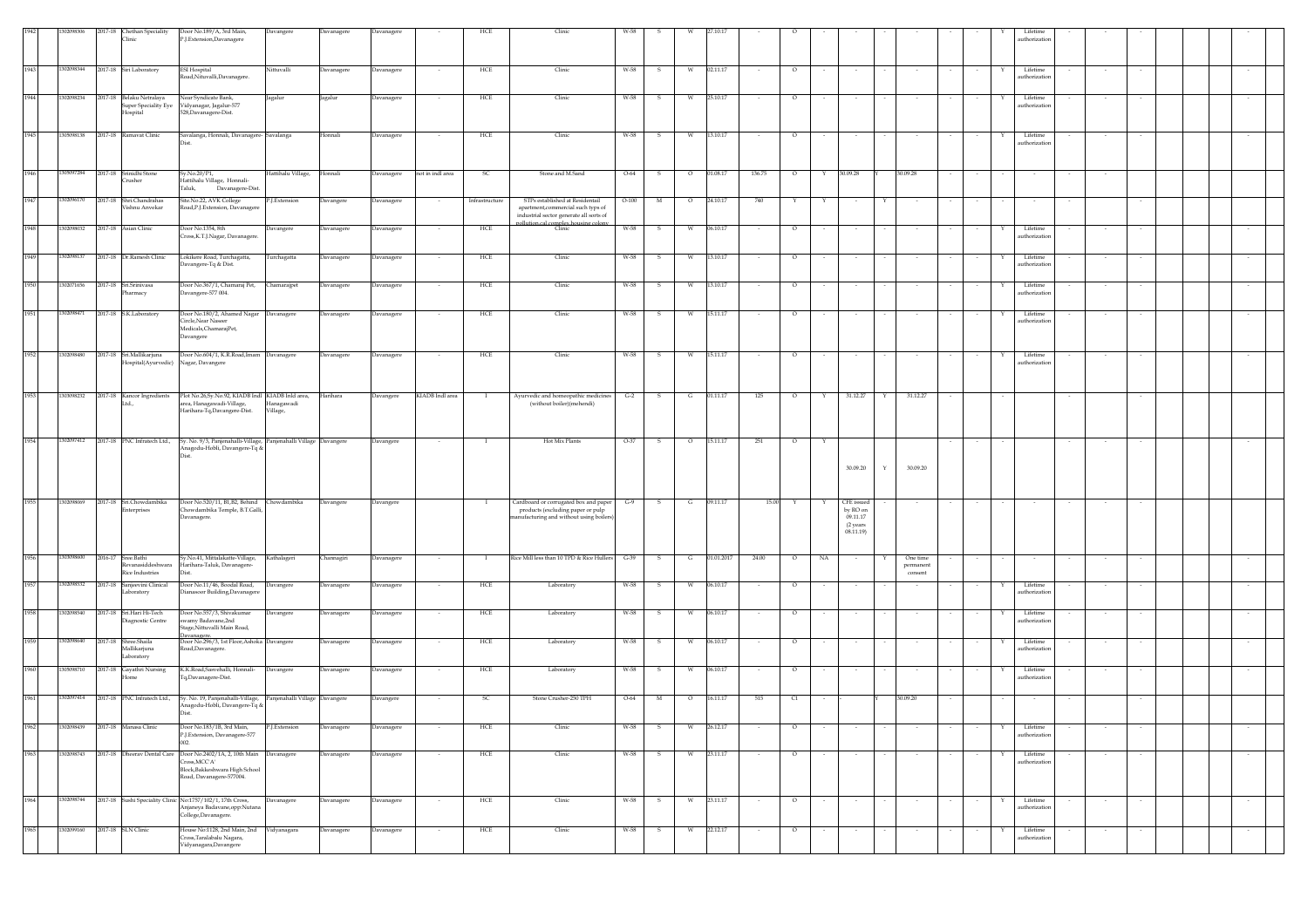|      | 12098306   | 2017-18 | <b>hethan Speciality</b><br><b>linic</b>                    | Door No.189/A, 3rd Main,<br>P.J.Extension,Davanagere                                                                                               | Davangere                      | Davanagere | Davanagere |                  | HCF            | Clinic                                                                                                                                                  | W-58    |            |          |                |        |                   |                                                                   |             |                                  |                          | Lifetime<br>authorization               |        |        |  |        |
|------|------------|---------|-------------------------------------------------------------|----------------------------------------------------------------------------------------------------------------------------------------------------|--------------------------------|------------|------------|------------------|----------------|---------------------------------------------------------------------------------------------------------------------------------------------------------|---------|------------|----------|----------------|--------|-------------------|-------------------------------------------------------------------|-------------|----------------------------------|--------------------------|-----------------------------------------|--------|--------|--|--------|
| 1943 | 1302098344 | 2017-18 | Siri Laboratory                                             | ESI Hospital<br>load,Nituvalli,Davanagere.                                                                                                         | Nittuvalli                     | Davanagere | Davanagere |                  | HCE            | Clinic                                                                                                                                                  | W-58    |            |          | 02.11.17       |        | $\circ$           |                                                                   |             |                                  |                          | Lifetime<br>authorization               |        |        |  |        |
| 1944 | 1302098234 |         | 2017-18 Belaku Netralaya<br>uper Speciality Eye<br>Iospital | Near Syndicate Bank,<br>Vidyanagar, Jagalur-577<br>528, Davanagere-Dist.                                                                           | Jagalur                        | agalur     | Davanagere |                  | HCE            | Clinic                                                                                                                                                  | W-58    | s          |          | 25.10.17       |        | $\circ$           |                                                                   |             |                                  |                          | Lifetime<br>authorization               |        |        |  |        |
| 1945 | 1305098138 |         | 2017-18 Ramavat Clinic                                      | Savalanga, Honnali, Davanagere- Savalanga                                                                                                          |                                | Honnali    | Davanagere |                  | HCE            | Clinic                                                                                                                                                  | W-58    | s.         | - W      | 13.10.17       |        | $\circ$           |                                                                   |             |                                  |                          | Lifetime<br>Y<br>uthorization           |        |        |  |        |
| 1946 | 305097284  | 2017-18 | Srinidhi Stone<br>rusher                                    | Sv.No.20/P1.<br>Hattihalu Village, Honnali-<br>Taluk,<br>Davanagere-Dist.                                                                          | Hattihalu Village,             | Honnali    | Davanagere | not in indl area | - SC           | Stone and M.Sand                                                                                                                                        | $O-64$  | - S        | $\circ$  | 01.08.17       | 136.75 | $\circ$<br>Y      | 30.09.28                                                          |             | 30.09.28                         |                          |                                         |        |        |  |        |
| 1947 | 1302096170 |         | 2017-18 Shri.Chandrahas<br>ishnu Anvekar                    | Site.No.22, AVK College<br>Road, P.J. Extension, Davanagere                                                                                        | <sup>2</sup> .J.Extension      | Davangere  | Davanagere |                  | Infrastructure | STPs established at Residentail<br>apartment, commercial such typs of<br>industrial sector generate all sorts of<br>pollution.cal.complex.housing.colon | $O-100$ | $_{\rm M}$ |          | 24.10.17       | 740    |                   |                                                                   |             |                                  |                          |                                         |        |        |  |        |
| 1948 | 302098032  | 2017-18 | Asian Clinic                                                | Door No.1354, 8th<br>Cross, K.T.J.Nagar, Davanagere.                                                                                               | Davangere                      | Davanagere | Davanagere |                  | HCE            | Clinic                                                                                                                                                  | W-58    | s          | <b>W</b> | 06.10.17       |        | $\circ$           |                                                                   |             |                                  |                          | Lifetime<br>Y<br>uthorization           |        |        |  |        |
| 1949 | 1302098137 |         | 2017-18 Dr.Ramesh Clinic                                    | Lokikere Road, Turchagatta,<br>Javangere-Tq & Dist.                                                                                                | Turchagatta                    | Javanagere | Davanagere |                  | HCE            | Clinic                                                                                                                                                  | W-58    | -5         |          | 13.10.17       |        | $\circ$           |                                                                   |             |                                  |                          | Lifetime<br>uthorizatio                 |        |        |  |        |
| 1950 | 302071656  |         | 2017-18 Sri Sriniyasa<br>harmacy                            | Door No.367/1, Chamaraj Pet, Chamarajpet<br>Javangere-577 004.                                                                                     |                                | Davanagere | Davanagere |                  | HCE            | Clinic                                                                                                                                                  | W-58    | -S         |          | 13.10.17       |        | $\circ$           |                                                                   |             |                                  |                          | Lifetime<br>uthorizatio                 |        |        |  |        |
| 1951 | 1302098471 |         | 2017-18 S.K.Laboratory                                      | Door No.180/2, Ahamed Nagar Davanagere<br>Circle, Near Naseer<br>Medicals, ChamarajPet,<br>Javangere                                               |                                | Davanagere | Davanagere |                  | HCE            | Clinic                                                                                                                                                  | W-58    | s          | W        | 15.11.17       |        | $\circ$           |                                                                   |             |                                  |                          | Lifetime<br>$\mathbf{Y}$<br>uthorizatio |        |        |  |        |
| 1952 | 1302098480 |         | 2017-18 Sri.Mallikarjuna<br>Iospital(Ayurvedic)             | Door No.604/1, K.R.Road, Imam Davanagere<br>Nagar, Davangere                                                                                       |                                | Davanagere | Davanagere | $\sim$           | HCE            | Clinic                                                                                                                                                  | W-58    | S.         | w        | 15.11.17       | $\sim$ | $\circ$<br>$\sim$ | $\sim$                                                            |             | $\sim$                           | $\sim$                   | Lifetime<br>Y<br>authorization          | $\sim$ | $\sim$ |  | $\sim$ |
| 1953 | 1303098232 |         | 2017-18 Kancor Ingredients<br>td                            | Plot No.26,Sy.No.92, KIADB Indl KIADB Inld area,<br>area, Hanagawadi-Village,<br>Harihara-Tq,Davangere-Dist.                                       | Hanagawadi<br>Village,         | Harihara   | Davangere  | KIADB Indl area  |                | Ayurvedic and homeopathic medicines<br>(without boiler)(mehendi)                                                                                        | $G-2$   | s          | G        | 01.11.17       | 125    | $\circ$<br>Y      | 31.12.27                                                          |             | 31.12.27                         |                          |                                         |        |        |  |        |
| 1954 | 1302097412 |         | 2017-18 PNC Infratech Ltd.,                                 | Sy. No. 9/3, Panjenahalli-Village, Panjenahalli Village Davangere<br>Anagodu-Hobli, Davangere-Tq &<br>Dist                                         |                                |            | Davangere  |                  |                | Hot Mix Plants                                                                                                                                          | O-37    | S          | $\circ$  | 15.11.17       | 251    | $\circ$<br>Y      | 30.09.20                                                          | $\mathbf Y$ | 30.09.20                         |                          |                                         |        |        |  |        |
| 1955 | 1302098069 |         | 2017-18 Sri.Chowdambika<br>nterprises                       | Door No.520/11, B1, B2, Behind Chowdambika<br>Chowdambika Temple, B.T.Galli,<br>Davanagere.                                                        |                                | Davangere  | Davangere  |                  | $\mathbf{I}$   | Cardboard or corrugated box and paper<br>products (excluding paper or pulp<br>anufacturing and without using boilers                                    | $G-9$   | - S        |          | $G = 09.11.17$ | 15.00  | $\mathbf{Y}$<br>Y | <b>CFE</b> issued<br>by RO on<br>09.11.17<br>(2 years<br>08.11.19 |             |                                  |                          |                                         |        |        |  |        |
| 1956 | 1303098600 |         | 2016-17 Sree.Bathi<br>Revanasiddeshwara<br>Rice Industries  | Sy.No.41, Mittalakatte-Village, Kathalageri<br>Harihara-Taluk, Davanagere-<br>Dist.                                                                |                                | Channagiri | Davanagere |                  | - 1            | Rice Mill less than 10 TPD & Rice Hullers                                                                                                               | $G-39$  | -S         | G        | 01.01.2017     | 24.00  | NA<br>$\circ$     | $\sim$                                                            |             | One time<br>permanent<br>consent |                          |                                         |        |        |  |        |
| 1957 | 1302098532 | 2017-18 | Sanjeevini Clinical<br>aboratory                            | Door No.11/46, Boodal Road,<br>Dianasoor Building, Davanagere                                                                                      | Davangere                      | Davanagere | Davanagere |                  | HCE            | Laboratory                                                                                                                                              | W-58    | s          | W        | 06.10.17       |        | $\circ$           |                                                                   |             |                                  |                          | Lifetime<br>authorization               |        |        |  |        |
| 1958 | 1302098540 |         | 2017-18 Sri.Hari Hi-Tech<br>liagnostic Centre               | Door No.557/3, Shivakumar<br>wamy Badayane.2nd<br>itage, Nittuvalli Main Road,                                                                     | Davangere                      | Davanagere | Davanagere |                  | HCE            | Laboratory                                                                                                                                              | W-58    | -S         | W        | 06.10.17       |        | $\circ$           |                                                                   |             |                                  |                          | Lifetime<br>Y<br>authorization          |        |        |  |        |
| 1959 | 1302098640 |         | 2017-18 Shree.Shaila<br>Mallikariuna<br>aboratory           | Davanagere.<br>Door No.296/3, 1st Floor, Ashoka Davangere<br>Road, Davanagere.                                                                     |                                | Davanagere | Davanagere |                  | HCE            | Laboratory                                                                                                                                              | W-58    | -S         | W        | 06.10.17       |        | $\circ$           |                                                                   |             |                                  |                          | Lifetime<br>Y<br>authorization          |        |        |  |        |
| 1960 | 1305098710 |         | 2017-18 Gayathri Nursing<br>Iome                            | K.K.Road,Sasvehalli, Honnali- Davangere<br>Tq,Davanagere-Dist.                                                                                     |                                | Davanagere | Davanagere |                  | HCE            | Laboratory                                                                                                                                              | W-58    | -S         | W        | 06.10.17       |        | $\circ$           |                                                                   |             |                                  |                          | Lifetime<br>authorization               |        |        |  |        |
| 1961 | 1302097414 |         | 2017-18 PNC Infratech Ltd.,                                 | 5y. No. 19, Panjenahalli-Village,<br>Anagodu-Hobli, Davangere-Tq &                                                                                 | Panjenahalli Village Davangere |            | Davangere  |                  | S(             | Stone Crusher-250 TPH                                                                                                                                   | O-64    | M          | $\circ$  | 16.11.17       | 515    | C1                |                                                                   |             | 30.09.20                         |                          |                                         |        |        |  |        |
| 1962 | 1302098439 |         | 2017-18 Manasa Clinic                                       | Door No.183/1B, 3rd Main,<br>P.J.Extension, Davanagere-577<br>ກາ                                                                                   | P.J.Extension                  | Davanagere | Davanagere | $\sim$           | HCE            | Clinic                                                                                                                                                  | W-58    | s          | W        | 26.12.17       | $\sim$ | $\circ$           |                                                                   |             |                                  |                          | Lifetime<br>authorization               | $\sim$ |        |  |        |
| 1963 | 1302098743 |         |                                                             | 2017-18 Dheerav Dental Care Door No.2402/1A, 2, 10th Main Davanagere<br>`ross,MCC'A'<br>Block, Bakkeshwara High School<br>Road, Davanagere-577004. |                                | Davanagere | Davanagere |                  | HCE            | Clinic                                                                                                                                                  | W-58    | - S        | W        | 23.11.17       |        | $\circ$           |                                                                   |             |                                  |                          | Lifetime<br>authorization               |        |        |  |        |
| 1964 | 1302098744 |         |                                                             | 2017-18 Sushi Speciality Clinic No:1757/102/1, 17th Cross,<br>Anjaneya Badavane,opp:Nutana<br>College, Davanagere.                                 | Davanagere                     | Davanagere | Davanagere |                  | HCE            | Clinic                                                                                                                                                  | W-58    | -S         | W        | 23.11.17       |        | $\circ$           |                                                                   |             |                                  |                          | Lifetime<br>authorization               |        |        |  |        |
| 1965 | 1302099160 |         | 2017-18 SLN Clinic                                          | House No:1128, 2nd Main, 2nd Vidyanagara<br>Cross,Taralabalu Nagara,<br>Vidyanagara, Davangere                                                     |                                | Davanagere | Davanagere | $\sim$           | HCE            | Clinic                                                                                                                                                  | W-58    | s.         | w        | 22.12.17       | $\sim$ | $\circ$<br>$\sim$ | $\sim$                                                            |             | $\sim$                           | $\overline{\phantom{a}}$ | Lifetime<br>Y<br>authorization          | $\sim$ | $\sim$ |  | $\sim$ |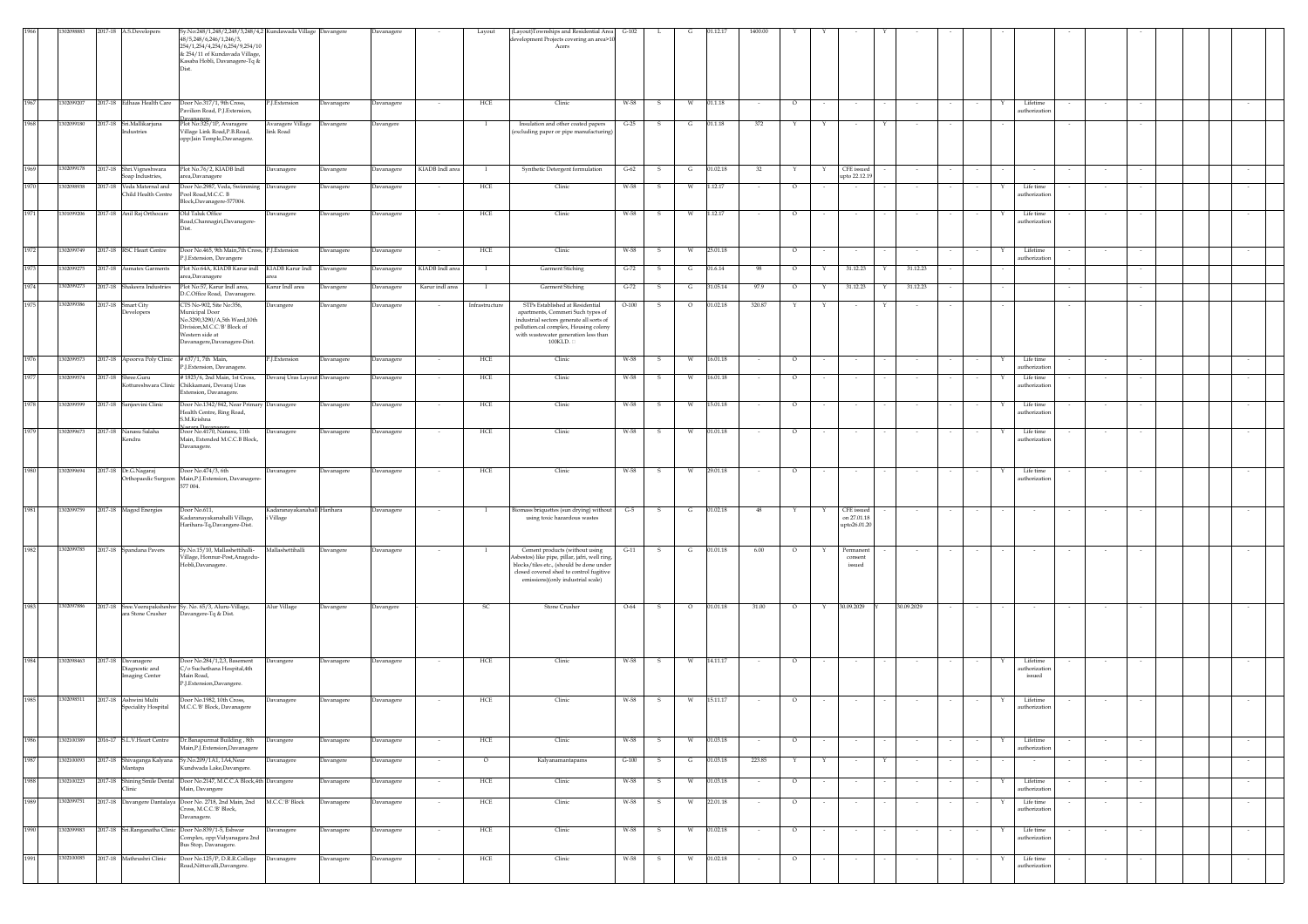|      |            | 2017-18 A.S.Developers                                | Sy.No:248/1,248/2,248/3,248/4,2 Kundawada Village Davangere<br>48/5.248/6.246/1.246/3.<br>254/1,254/4,254/6,254/9,254/10<br>& 254/11 of Kundavada Village,<br>Kasaba Hobli, Davanagere-Tq &<br>Dist. |                                        |            | Davanagere        |                 | Layout         | (Layout)Townships and Residential Area G-102<br>levelopment Projects covering an area>10<br>Acers                                                                                                               |         |              |         | 01.12.1  | 1400.00 |         |        |                                           |   |                 |        |   |                                        |        |        |  |        |
|------|------------|-------------------------------------------------------|------------------------------------------------------------------------------------------------------------------------------------------------------------------------------------------------------|----------------------------------------|------------|-------------------|-----------------|----------------|-----------------------------------------------------------------------------------------------------------------------------------------------------------------------------------------------------------------|---------|--------------|---------|----------|---------|---------|--------|-------------------------------------------|---|-----------------|--------|---|----------------------------------------|--------|--------|--|--------|
| 1967 | 1302099207 | 2017-18 Edhaas Health Care                            | Door No.317/1, 9th Cross,<br>avilion Road, P.J. Extension,                                                                                                                                           | P.J.Extension                          | Davanagere | Davanagere        | $\sim$          | HCE            | Clinic                                                                                                                                                                                                          | W-58    | -S           | W       | 01.1.18  |         | $\circ$ |        |                                           |   |                 |        |   | Lifetime<br>uthorization               |        |        |  |        |
| 1968 | 1302099180 | 2017-18 Sri.Mallikarjuna<br>ndustries                 | Plot No:325/1P, Avaragere<br>Village Link Road, P.B. Road,<br>opp:Jain Temple,Davanagere.                                                                                                            | Avaragere Village<br>ink Road          | Davangere  | Davangere         |                 |                | Insulation and other coated papers<br>(excluding paper or pipe manufacturing)                                                                                                                                   | $G-25$  |              | G       | 01.1.18  | $372\,$ |         |        |                                           |   |                 |        |   |                                        |        |        |  |        |
| 1969 | 1302099178 | 2017-18 Shri.Vigneshwara<br>Soap Industries,          | Plot No.76/2, KIADB Indl<br>area,Davanagere                                                                                                                                                          | Davanagere                             | Davangere  | Davanagere        | KIADB Indl area | $\mathbf{I}$   | Synthetic Detergent formulation                                                                                                                                                                                 | $G-62$  | $\mathbf{s}$ | G       | 01.02.18 | 32      | Y       | Y      | CFE issued<br>upto 22.12.19               |   | $\sim$ 10 $\pm$ | $\sim$ |   | $\sim$                                 | $\sim$ | $\sim$ |  | $\sim$ |
|      | 1302098938 | 2017-18 Veda Maternal and<br>Child Health Centre      | Door No.2987, Veda, Swimming Davanagere<br>Pool Road, M.C.C. B<br>Block, Davanagere-577004.                                                                                                          |                                        | Davanagere | Davanagere        |                 | HCE            | Clinic                                                                                                                                                                                                          | W-58    | s            | W       | 1.12.17  |         | $\circ$ |        |                                           |   |                 |        |   | Life time<br>uthorizatic               |        |        |  |        |
| 1971 | 1301099206 | 2017-18 Anil Raj Orthocare                            | Old Taluk Office<br>Road, Channagiri, Davanagere-<br>Dist.                                                                                                                                           | avanagere                              | Davanagere | Davanagere        |                 | HCE            | Clinic                                                                                                                                                                                                          | W-58    |              | W       | 1.12.17  |         | $\circ$ |        |                                           |   |                 |        |   | Life time<br>uthorizatio               |        |        |  |        |
| 1972 | 1302099749 | 2017-18 RSC Heart Centre                              | Door No.465, 9th Main.7th Cross, P.I.Extension<br>P.J.Extension, Davangere                                                                                                                           |                                        | Davanagere | Davanagere        |                 | HCE            | Clinic                                                                                                                                                                                                          | W-58    | - S          | W       | 25.01.18 |         | $\circ$ |        | $\sim$                                    |   |                 |        |   | Lifetime<br>uthorization               |        |        |  |        |
| 1973 | 1302099275 | 2017-18 Asmatex Garments                              | Plot No:64A, KIADB Karur indl KIADB Karur Indl<br>area,Davanagere                                                                                                                                    |                                        | Davangere  | Davanagere        | KIADB Indl area |                | <b>Garment Stiching</b>                                                                                                                                                                                         | $G-72$  | s            | G       | 01.6.14  | - 98    | $\circ$ |        | 31.12.23                                  | Y | 31.12.23        |        |   |                                        |        |        |  |        |
| 1974 | 1302099273 | 2017-18 Shakeera Industries                           | Plot No:57, Karur Indl area,<br>D.C.Office Road, Davanagere.                                                                                                                                         | Karur Indl area                        | Davangere  | Davanagere        | Karur indl area |                | Garment Stiching                                                                                                                                                                                                | $G-72$  |              | G       | 31.05.14 | 97.9    | $\circ$ |        | 31.12.23                                  |   | 31.12.23        |        |   |                                        |        |        |  |        |
| 197  | 1302099386 | 2017-18 Smart City<br>bevelopers                      | CTS No-902, Site No:356,<br>Municipal Door<br>No.3290,3290/A,5th Ward,10th<br>Division, M.C.C.'B' Block of<br>Western side at<br>Davanagere, Davanagere-Dist.                                        | <b>Davangere</b>                       | Davangere  | Davanagere        |                 | Infrastructure | STPs Established at Residential<br>apartments, Commeri Such types of<br>industrial sectors generate all sorts of<br>pollution.cal complex, Housing colony<br>with wastewater generation less than<br>$100$ KLD. | $O-100$ |              | $\circ$ | 01.02.18 | 320.87  |         |        |                                           |   |                 |        |   |                                        |        |        |  |        |
|      | 1302099573 | 2017-18 Apoorva Poly Clinic                           | # 637/1, 7th Main,<br>P.I.Extension, Davanagere.                                                                                                                                                     | P.J.Extension                          | Davanagere | Davanagere        | $\sim$          | HCE            | Clinic                                                                                                                                                                                                          | W-58    | - S          | w       | 16.01.18 |         | $\circ$ |        | $\sim$                                    |   | $\sim$          |        |   | Life time<br>uthorizatio               | $\sim$ |        |  |        |
|      | 1302099574 | 2017-18 Shree.Guru<br>ottureshwara Clinic             | # 1823/6, 2nd Main, 1st Cross,<br>Chikkamani, Devaraj Uras<br>Extension, Davanagere.                                                                                                                 | Devaraj Uras Layout Davanagere         |            | <b>Javanagere</b> |                 | HCE            | Clinic                                                                                                                                                                                                          | W-58    |              |         | 16.01.18 |         | О       |        |                                           |   |                 |        |   | Life time<br>uthorizatio               |        |        |  |        |
| 1978 | 1302099599 | 2017-18 Sanjeevini Clinic                             | Door No.1342/842, Near Primary Davanagere<br>Health Centre, Ring Road,<br>S.M.Krishna                                                                                                                |                                        | Davanagere | Davanagere        |                 | HCE            | Clinic                                                                                                                                                                                                          | W-58    | s            | W       | 15.01.18 |         | $\circ$ |        |                                           |   |                 |        |   | Life time<br>uthorizatio               |        |        |  |        |
| 1979 | 1302099673 | 2017-18 Nanasu Salaha<br>Kendra                       | Nagara Davanagere<br>Door No.4170, Nanasu, 11th<br>Main, Extended M.C.C.B Block,<br>Davanagere.                                                                                                      | Davanagere                             | Davanagere | Davanagere        | $\sim$          | HCE            | Clinic                                                                                                                                                                                                          | W-58    | - S          | W       | 01.01.18 |         | $\circ$ |        |                                           |   |                 |        | x | Life time<br>uthorization              |        |        |  |        |
|      |            | 2017-18 Dr.G.Nagaraj<br>Orthopaedic Surgeon           | Door No.474/3, 6th<br>Main, P.J. Extension, Davanagere-<br>577 004.                                                                                                                                  | Davanagere                             | Davanagere | Davanagere        |                 | HCE            | Clinic                                                                                                                                                                                                          | W-58    | -S           |         | 29.01.18 |         | $\circ$ |        |                                           |   |                 |        |   | Life time<br>uthorizatio               |        |        |  |        |
| 1981 | 1302099759 | 2017-18 Magod Energies                                | Door No.611,<br>Kadaranayakanahalli Village,<br>Harihara-Tq,Davangere-Dist.                                                                                                                          | Kadaranayakanahall Harihara<br>Village |            | Davanagere        |                 |                | iomass briquettes (sun drying) without<br>using toxic hazardous wastes                                                                                                                                          | $G-5$   | s            | G       | 01.02.18 | 48      |         |        | CFE issued<br>on 27.01.18<br>upto26.01.20 |   |                 |        |   |                                        |        |        |  |        |
| 1982 | 1302099785 | 2017-18 Spandana Pavers                               | Sy.No.15/10, Mallashettihalli-<br>illage, Honnur-Post, Anagodu-<br>Hobli, Davanagere.                                                                                                                | Mallashettihalli                       | Davangere  | Davanagere        |                 |                | Cement products (without using<br>sbestos) like pipe, pillar, jafri, well ring,<br>blocks/tiles etc., (should be done under<br>closed covered shed to control fugitive<br>emissions)(only industrial scale)     | $G-11$  |              | G       | 01.01.18 | 6.00    | $\circ$ |        | Permanen<br>consent<br>issued             |   |                 |        |   |                                        |        |        |  |        |
| 1983 | 1302097886 | ara Stone Crusher                                     | 2017-18 Sree.Veerupaksheshw Sy. No. 65/3, Aluru-Village,<br>Davangere-Tq & Dist.                                                                                                                     | Alur Village                           | Davangere  | Davangere         |                 | - SC           | Stone Crusher                                                                                                                                                                                                   | $O-64$  | S.           | $\circ$ | 01.01.18 | 31.00   | $\circ$ | Y      | 30.09.2029                                |   | 30.09.2029      | $\sim$ |   | $\sim$                                 | $\sim$ | $\sim$ |  | $\sim$ |
| 1984 | 1302098463 | 2017-18 Davanagere<br>Diagnostic and<br>maging Center | Door No.284/1,2,3, Basement<br>C/o Suchethana Hospital,4th<br>Main Road,<br>P.J.Extension,Davangere.                                                                                                 | Davangere                              | Davanagere | Davanagere        |                 | HCE            | Clinic                                                                                                                                                                                                          | W-58    | -S           | W       | 14.11.17 |         | $\circ$ |        |                                           |   |                 |        |   | Lifetime<br>uthorizatio<br>$\,$ issued |        |        |  |        |
| 1985 | 1302098511 | 2017-18 Ashwini Multi<br>Speciality Hospital          | Door No.1982, 10th Cross,<br>M.C.C.'B' Block, Davanagere                                                                                                                                             | avanagere                              | Davanagere | Davanagere        | $\sim$          | HCE            | Clinic                                                                                                                                                                                                          | W-58    | -S           | W       | 15.11.17 |         | $\circ$ |        | $\sim$                                    |   |                 |        | Y | Lifetime<br>uthorization               | $\sim$ |        |  | $\sim$ |
| 1986 | 1302100389 |                                                       | 2016-17 S.L.V. Heart Centre Dr. Banapurmat Building, 8th<br>Main, P.J. Extension, Davanagere                                                                                                         | Davangere                              | Davanagere | Davanagere        |                 | HCE            | Clinic                                                                                                                                                                                                          | W-58    | - S          |         | 01.03.18 |         | $\circ$ |        |                                           |   |                 |        |   | Lifetime<br>uthorization               |        |        |  |        |
| 1987 | 1302100093 | Mantapa                                               | 2017-18 Shivaganga Kalyana Sy.No.209/1A1, 1A4, Near<br>Kundwada Lake,Davangere.                                                                                                                      | Davanagere                             | Davangere  | Davanagere        | $\sim$          | $\circ$        | Kalyanamantapams                                                                                                                                                                                                | $G-100$ | -S           | G       | 01.03.18 | 223.85  | Y       | Y      | $\sim$                                    | Y | $\sim$          |        |   |                                        | $\sim$ |        |  | $\sim$ |
| 1988 | 1302100223 | 2017-18 Shining Smile Dental<br>Clinic                | Door No.2147, M.C.C.A Block, 4th Davangere<br>Main, Davangere                                                                                                                                        |                                        | Davanagere | Davanagere        |                 | HCE            | Clinic                                                                                                                                                                                                          | W-58    | -S           | W       | 01.03.18 |         | $\circ$ |        | $\sim$                                    |   |                 |        | Y | Lifetime<br>uthorization               |        |        |  | $\sim$ |
| 1989 | 1302099751 |                                                       | 2017-18 Davangere Dantalaya Door No. 2718, 2nd Main, 2nd<br>Cross, M.C.C.'B' Block,<br>Davanagere.                                                                                                   | M.C.C.'B' Block                        | Davanagere | Davanagere        |                 | HCE            | Clinic                                                                                                                                                                                                          | W-58    | s            | W       | 22.01.18 |         | $\circ$ |        | $\sim$                                    |   |                 |        |   | Life time<br>authorization             |        |        |  |        |
| 1990 | 1302099983 |                                                       | 2017-18 Sri.Ranganatha Clinic Door No.839/1-5, Eshwar<br>Complex, opp:Vidyanagara 2nd<br>Bus Stop, Davanagere.                                                                                       | avanagere                              | Davanagere | Davanagere        | $\sim$          | HCE            | Clinic                                                                                                                                                                                                          | W-58    | -S           | W       | 01.02.18 | $\sim$  | $\circ$ | $\sim$ | $\sim$                                    |   | $\sim$          | $\sim$ | Y | Life time<br>uthorization              | $\sim$ | $\sim$ |  | $\sim$ |
| 1991 | 1302100085 | 2017-18 Mathrushri Clinic                             | Door No.125/P, D.R.R.College<br>Road,Nittuvalli,Davangere.                                                                                                                                           | Davanagere                             | Davanagere | Davanagere        | $\sim$          | HCE            | Clinic                                                                                                                                                                                                          | W-58    | S.           | W       | 01.02.18 | $\sim$  | $\circ$ | $\sim$ | $\sim$                                    |   | $\sim$          | $\sim$ | Y | Life time<br>uthorization              | $\sim$ | $\sim$ |  | $\sim$ |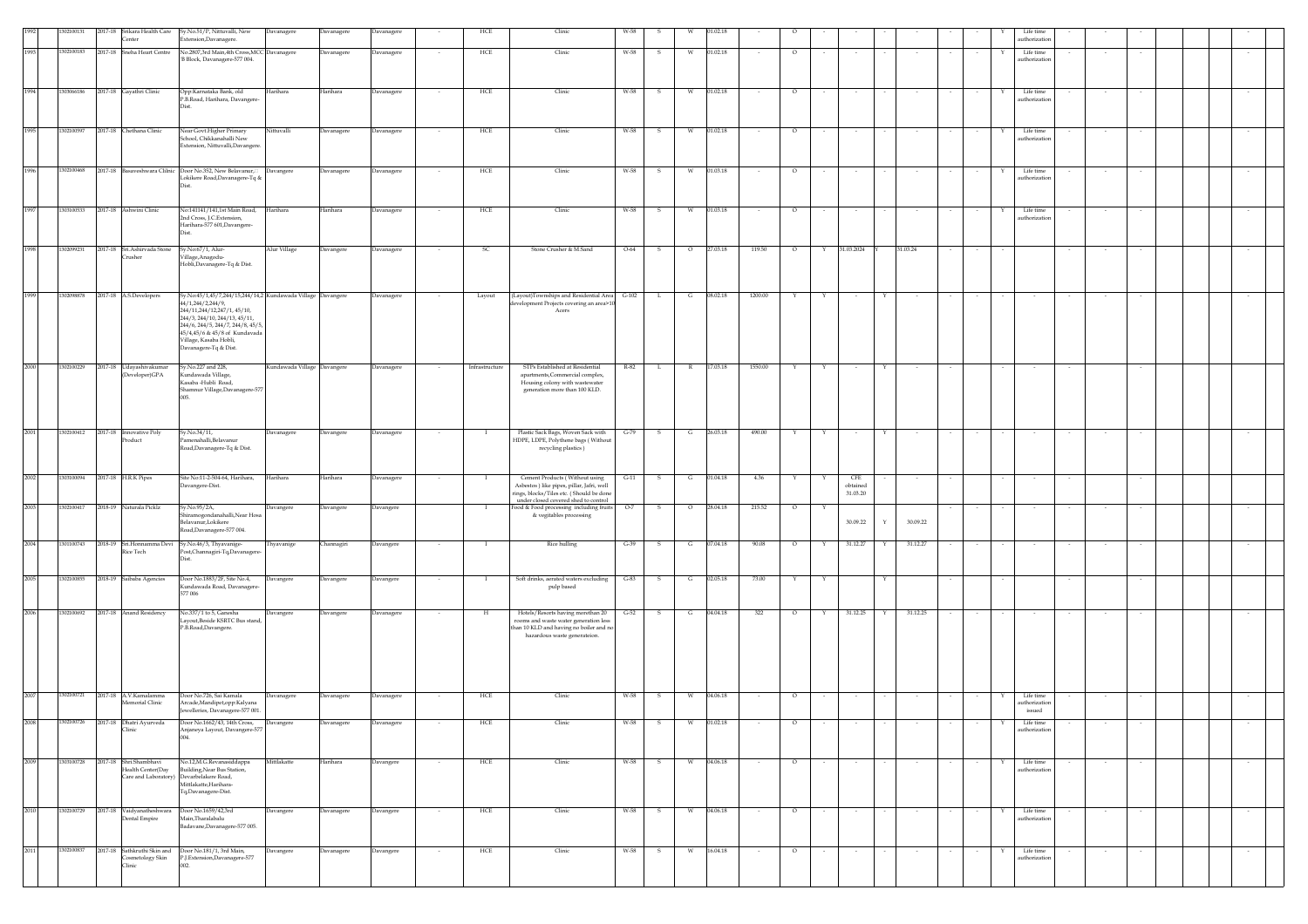|      | 302100131  |                     | Center                                      | 2017-18 Srikara Health Care Sy.No.51/P, Nittuvalli, New<br>Extension, Davanagere.    | Davanagere                  | Davanagere | <b>Javanagere</b> |        | HCE            | Clinic                                                                           | W-58    |              |              |          |         |         |              |                 |        |          |                          |                         | Life time<br>authorization |        |        |  |        |  |
|------|------------|---------------------|---------------------------------------------|--------------------------------------------------------------------------------------|-----------------------------|------------|-------------------|--------|----------------|----------------------------------------------------------------------------------|---------|--------------|--------------|----------|---------|---------|--------------|-----------------|--------|----------|--------------------------|-------------------------|----------------------------|--------|--------|--|--------|--|
| 1993 | 302100183  |                     | 2017-18 Sneha Heart Centre                  | No.2807,3rd Main,4th Cross,MCC Davanagere                                            |                             | Davanagere | Davanagere        |        | HCE            | Clinic                                                                           | W-58    | s            | w            | 01.02.18 |         | $\circ$ |              | $\sim$          |        |          |                          | Y                       | Life time                  | $\sim$ |        |  |        |  |
|      |            |                     |                                             | 'B Block, Davanagere-577 004.                                                        |                             |            |                   |        |                |                                                                                  |         |              |              |          |         |         |              |                 |        |          |                          |                         | authorization              |        |        |  |        |  |
|      |            |                     |                                             |                                                                                      |                             |            |                   |        |                |                                                                                  |         |              |              |          |         |         |              |                 |        |          |                          |                         |                            |        |        |  |        |  |
| 1994 | 1303066186 |                     | 2017-18 Gayathri Clinic                     | Opp:Karnataka Bank, old<br>P.B.Road, Harihara, Davangere-                            | Harihara                    | Harihara   | <b>Davanagere</b> |        | HCE            | Clinic                                                                           | W-58    |              | W            | 01.02.18 |         | $\circ$ |              |                 |        |          |                          |                         | Life time<br>authorization |        |        |  |        |  |
|      |            |                     |                                             |                                                                                      |                             |            |                   |        |                |                                                                                  |         |              |              |          |         |         |              |                 |        |          |                          |                         |                            |        |        |  |        |  |
| 1995 | 1302100597 |                     | 2017-18 Chethana Clinic                     | Near Govt.Higher Primary                                                             | Nittuvalli                  | Davanagere | Davanagere        | $\sim$ | HCE            | Clinic                                                                           | W-58    | s.           | W            | 01.02.18 | $\sim$  | $\circ$ | $\sim$       | $\sim$          |        | $\sim$   |                          | Y<br>$\sim$             | Life time                  | $\sim$ |        |  | $\sim$ |  |
|      |            |                     |                                             | School, Chikkanahalli New<br>Extension, Nittuvalli, Davangere.                       |                             |            |                   |        |                |                                                                                  |         |              |              |          |         |         |              |                 |        |          |                          |                         | authorization              |        |        |  |        |  |
|      |            |                     |                                             |                                                                                      |                             |            |                   |        |                |                                                                                  |         |              |              |          |         |         |              |                 |        |          |                          |                         |                            |        |        |  |        |  |
| 1996 | 1302100468 |                     | 2017-18 Basaveshwara Clilnic                | Door No.352, New Belavanur,                                                          | Davangere                   | Davanagere | Davanagere        |        | HCE            | Clinic                                                                           | W-58    | s            | W            | 01.03.18 |         | $\circ$ |              | $\sim$          |        |          |                          | Y                       | Life time                  |        |        |  |        |  |
|      |            |                     |                                             | Lokikere Road, Davanagere-Tq &<br>Dist                                               |                             |            |                   |        |                |                                                                                  |         |              |              |          |         |         |              |                 |        |          |                          |                         | authorization              |        |        |  |        |  |
|      |            |                     |                                             |                                                                                      |                             |            |                   |        |                |                                                                                  |         |              |              |          |         |         |              |                 |        |          |                          |                         |                            |        |        |  |        |  |
| 1997 | 1303100533 |                     | 2017-18 Ashwini Clinic                      | No:141141/141,1st Main Road,<br>2nd Cross, J.C.Extension,                            | Harihara                    | Harihara   | <b>Javanagere</b> |        | HCE            | Clinic                                                                           | W-58    | s            | W            | 01.03.18 |         | $\circ$ |              | $\sim$          |        |          |                          |                         | Life time<br>authorizatio  |        |        |  |        |  |
|      |            |                     |                                             | Harihara-577 601, Davangere-                                                         |                             |            |                   |        |                |                                                                                  |         |              |              |          |         |         |              |                 |        |          |                          |                         |                            |        |        |  |        |  |
| 1998 | 1302099231 |                     | 2017-18 Sri.Ashirvada Stone                 | Sy.No:67/1, Alur-                                                                    | Alur Village                | Davangere  | <b>Davanagere</b> |        | SC             | Stone Crusher & M.Sand                                                           | $O-64$  | s            | $\circ$      | 27.03.18 | 119.50  | $\circ$ |              | 31.03.2024      |        | 31.03.24 |                          |                         |                            |        |        |  |        |  |
|      |            |                     | rusher                                      | /illage,Anagodu-<br>Hobli, Davanagere-Tq & Dist.                                     |                             |            |                   |        |                |                                                                                  |         |              |              |          |         |         |              |                 |        |          |                          |                         |                            |        |        |  |        |  |
|      |            |                     |                                             |                                                                                      |                             |            |                   |        |                |                                                                                  |         |              |              |          |         |         |              |                 |        |          |                          |                         |                            |        |        |  |        |  |
| 1999 | 1302098878 |                     | 2017-18 A.S.Developers                      | Sy.No:45/1,45/7,244/15,244/14,2 Kundawada Village Davangere                          |                             |            | Davanagere        |        | Layout         | (Layout)Townships and Residential Area                                           | $G-102$ | L.           | G            | 08.02.18 | 1200.00 |         |              |                 |        |          |                          |                         |                            |        |        |  |        |  |
|      |            |                     |                                             | 44/1,244/2,244/9,<br>244/11,244/12,247/1,45/10,                                      |                             |            |                   |        |                | development Projects covering an area>10<br>Acers                                |         |              |              |          |         |         |              |                 |        |          |                          |                         |                            |        |        |  |        |  |
|      |            |                     |                                             | 244/3, 244/10, 244/13, 45/11,<br>244/6, 244/5, 244/7, 244/8, 45/5                    |                             |            |                   |        |                |                                                                                  |         |              |              |          |         |         |              |                 |        |          |                          |                         |                            |        |        |  |        |  |
|      |            |                     |                                             | 45/4,45/6 & 45/8 of Kundavada<br>Village, Kasaba Hobli,                              |                             |            |                   |        |                |                                                                                  |         |              |              |          |         |         |              |                 |        |          |                          |                         |                            |        |        |  |        |  |
|      |            |                     |                                             | Davanagere-Tq & Dist.                                                                |                             |            |                   |        |                |                                                                                  |         |              |              |          |         |         |              |                 |        |          |                          |                         |                            |        |        |  |        |  |
| 2000 | 1302100229 |                     | $2017-18$ Udayashivakumar                   | Sy.No.227 and 228,                                                                   | Kundawada Village Davangere |            | Davanagere        |        | Infrastructure | STPs Established at Residential                                                  | R-82    | L.           | $\mathbb{R}$ | 17.03.18 | 1550.00 |         |              |                 |        |          |                          |                         |                            |        |        |  |        |  |
|      |            |                     | (Developer)GPA                              | Kundawada Village,<br>Kasaba -Hubli Road,                                            |                             |            |                   |        |                | apartments, Commercial complex,<br>Housing colony with wastewater                |         |              |              |          |         |         |              |                 |        |          |                          |                         |                            |        |        |  |        |  |
|      |            |                     |                                             | Shamnur Village, Davanagere-577                                                      |                             |            |                   |        |                | generation more than 100 KLD.                                                    |         |              |              |          |         |         |              |                 |        |          |                          |                         |                            |        |        |  |        |  |
|      |            |                     |                                             |                                                                                      |                             |            |                   |        |                |                                                                                  |         |              |              |          |         |         |              |                 |        |          |                          |                         |                            |        |        |  |        |  |
|      |            |                     |                                             |                                                                                      |                             |            |                   |        |                |                                                                                  |         |              |              |          |         |         |              |                 |        |          |                          |                         |                            |        |        |  |        |  |
| 2001 | 1302100412 |                     | 2017-18 Innovative Poly<br>Product          | Sy.No.34/11,<br>amenahalli, Belavanur                                                | Davanagere                  | Davangere  | Davanagere        |        |                | Plastic Sack Bags, Woven Sack with<br>HDPE, LDPE, Polythene bags (Without        | $G-79$  |              | G            | 26.03.18 | 490.00  |         |              |                 |        |          |                          |                         |                            |        |        |  |        |  |
|      |            |                     |                                             | Road, Davanagere-Tq & Dist.                                                          |                             |            |                   |        |                | recycling plastics)                                                              |         |              |              |          |         |         |              |                 |        |          |                          |                         |                            |        |        |  |        |  |
|      |            |                     |                                             |                                                                                      |                             |            |                   |        |                |                                                                                  |         |              |              |          |         |         |              |                 |        |          |                          |                         |                            |        |        |  |        |  |
| 2002 | 1303100094 | 2017-18 H.R.K Pipes |                                             | Site No:11-2-504-64, Harihara,<br>Davangere-Dist.                                    | Harihara                    | Harihara   | Davanagere        |        |                | Cement Products (Without using<br>Asbestos) like pipes, pillar, Jafri, well      | $G-11$  | $\mathsf{s}$ | G            | 01.04.18 | 4.36    | Y       |              | CFE<br>obtained |        |          |                          |                         |                            |        |        |  |        |  |
|      |            |                     |                                             |                                                                                      |                             |            |                   |        |                | rings, blocks/Tiles etc. (Should be done<br>under closed covered shed to control |         |              |              |          |         |         |              | 31.03.20        |        |          |                          |                         |                            |        |        |  |        |  |
| 2003 | 1302100417 |                     | 2018-19 Naturala Picklz                     | Sy.No.95/2A,<br>.<br>hiramogondanahalli,Near Hosa                                    | Davangere                   | Davangere  | avangere          |        | $\mathbf{I}$   | Food & Food processing including fruits<br>& vegitables processing               | $O-7$   | s            | $\circ$      | 28.04.18 | 215.52  | $\circ$ |              |                 |        |          |                          |                         |                            |        |        |  |        |  |
|      |            |                     |                                             | Belavanur,Lokikere<br>Road, Davanagere-577 004.                                      |                             |            |                   |        |                |                                                                                  |         |              |              |          |         |         |              | 30.09.22        | Y      | 30.09.22 |                          |                         |                            |        |        |  |        |  |
| 2004 | 1301100743 |                     | 2018-19 Sri.Honnamma Devi                   | Sy.No.46/3, Thyavanige-                                                              | Thyavanige                  | Channagiri | Davangere         |        | $\blacksquare$ | <b>Rice hulling</b>                                                              | $G-39$  | - S          | G            | 07.04.18 | 90.08   | $\circ$ | Y            | 31.12.27        | Y      | 31.12.27 |                          |                         |                            |        |        |  |        |  |
|      |            |                     | Rice Tech                                   | Post, Channagiri-Tq, Davanagere                                                      |                             |            |                   |        |                |                                                                                  |         |              |              |          |         |         |              |                 |        |          |                          |                         |                            |        |        |  |        |  |
| 2005 | 1302100855 |                     | 2018-19 Saibaba Agencies                    | Door No.1883/2F, Site No.4,                                                          | Davangere                   | Davangere  |                   | $\sim$ | $\mathbf{I}$   | Soft drinks, aerated waters excluding                                            | $G-83$  | - S          | G            | 02.05.18 | 73.00   | Y       | $\mathbf{Y}$ |                 | Y      |          |                          |                         |                            |        |        |  |        |  |
|      |            |                     |                                             | Gundawada Road, Davanagere-<br>577 006                                               |                             |            | Davangere         |        |                | pulp based                                                                       |         |              |              |          |         |         |              |                 |        |          |                          |                         |                            |        |        |  |        |  |
|      |            |                     |                                             |                                                                                      |                             |            |                   |        |                |                                                                                  |         |              |              |          |         |         |              |                 |        |          |                          |                         |                            |        |        |  |        |  |
| 2006 | 1302100692 |                     | 2017-18 Anand Residency                     | No.337/1 to 5, Ganesha<br>ayout, Beside KSRTC Bus stand,                             | <b>Davangere</b>            | Davangere  | <b>Davanagere</b> |        | H              | Hotels/Resorts having morethan 20<br>rooms and waste water generation less       | $G-52$  |              | G            | 04.04.18 | 322     | $\circ$ |              | 31.12.25        |        | 31.12.25 |                          |                         |                            |        |        |  |        |  |
|      |            |                     |                                             | P.B.Road,Davangere.                                                                  |                             |            |                   |        |                | than 10 KLD and having no boiler and no<br>hazardous waste generateion.          |         |              |              |          |         |         |              |                 |        |          |                          |                         |                            |        |        |  |        |  |
|      |            |                     |                                             |                                                                                      |                             |            |                   |        |                |                                                                                  |         |              |              |          |         |         |              |                 |        |          |                          |                         |                            |        |        |  |        |  |
|      |            |                     |                                             |                                                                                      |                             |            |                   |        |                |                                                                                  |         |              |              |          |         |         |              |                 |        |          |                          |                         |                            |        |        |  |        |  |
|      |            |                     |                                             |                                                                                      |                             |            |                   |        |                |                                                                                  |         |              |              |          |         |         |              |                 |        |          |                          |                         |                            |        |        |  |        |  |
| 2007 | 1302100721 |                     | 2017-18 A V Kamalamma                       | Door No.726, Sai Kamala                                                              | Davanagere                  | Davanagere | Davanagere        |        | HCE            | Clinic                                                                           | W-58    | s            | W            | 04.06.18 |         | $\circ$ |              |                 |        |          |                          |                         | Life time                  |        |        |  |        |  |
|      |            |                     | femorial Clinic                             | Arcade, Mandipet, opp: Kalyana<br>Jewelleries, Davanagere-577 001.                   |                             |            |                   |        |                |                                                                                  |         |              |              |          |         |         |              |                 |        |          |                          |                         | authorization<br>issued    |        |        |  |        |  |
|      | 302100726  | 2017-18             | Dhatri Avurveda                             | Door No.1662/43, 14th Cross,                                                         | Davangere                   | Davanagere | Davanagere        |        | HCE            | Clinic                                                                           | W-58    |              |              | 01.02.18 |         |         |              |                 |        |          |                          |                         | Life time                  |        |        |  |        |  |
|      |            |                     | Clinic                                      | Anjaneya Layout, Davangere-577<br>004.                                               |                             |            |                   |        |                |                                                                                  |         |              |              |          |         |         |              |                 |        |          |                          |                         | authorization              |        |        |  |        |  |
|      |            |                     |                                             |                                                                                      |                             |            |                   |        |                |                                                                                  |         |              |              |          |         |         |              |                 |        |          |                          |                         |                            |        |        |  |        |  |
| 2009 | 1303100728 |                     | 2017-18 Shri.Shambhavi<br>Health Center(Day | No.12,M.G.Revanasiddappa<br>Building, Near Bus Station,                              | Mittlakatte                 | Harihara   | Davangere         | $\sim$ | HCE            | Clinic                                                                           | W-58    | $\mathbf{s}$ | W            | 04.06.18 | $\sim$  | $\circ$ | $\sim$       | $\sim$          |        | $\sim$   |                          | Y<br>$\sim$             | Life time<br>authorization | $\sim$ | $\sim$ |  | $\sim$ |  |
|      |            |                     |                                             | Care and Laboratory) Devarbelakere Road,<br>Mittlakatte, Harihara-                   |                             |            |                   |        |                |                                                                                  |         |              |              |          |         |         |              |                 |        |          |                          |                         |                            |        |        |  |        |  |
|      |            |                     |                                             | Tq,Davanagere-Dist.                                                                  |                             |            |                   |        |                |                                                                                  |         |              |              |          |         |         |              |                 |        |          |                          |                         |                            |        |        |  |        |  |
| 2010 |            |                     | 1302100729 2017-18 Vaidyanatheshwara        | Door No.1659/42,3rd<br>Main, Tharalabalu                                             | Davangere                   | Davanagere | Davangere         | $\sim$ | HCE            | Clinic                                                                           | W-58    | $\mathbf{s}$ | W            | 04.06.18 |         | $\circ$ | $\sim$       | $\sim$          |        | $\sim$   | $\overline{\phantom{a}}$ | Y<br>$\sim$             | Life time<br>authorization | $\sim$ | $\sim$ |  | $\sim$ |  |
|      |            |                     | Dental Empire                               | Badavane, Davanagere-577 005.                                                        |                             |            |                   |        |                |                                                                                  |         |              |              |          |         |         |              |                 |        |          |                          |                         |                            |        |        |  |        |  |
|      |            |                     |                                             |                                                                                      |                             |            |                   |        |                |                                                                                  |         |              |              |          |         |         |              |                 |        |          |                          |                         |                            |        |        |  |        |  |
| 2011 | 1302100837 |                     | Cosmetology Skin                            | 2017-18 Sathkruthi Skin and Door No.181/1, 3rd Main,<br>P.J.Extension,Davanagere-577 | Davangere                   | Davanagere | Davangere         | $\sim$ | HCE            | Clinic                                                                           | W-58    | S            | W            | 16.04.18 | $\sim$  | $\circ$ | $\sim$       | $\sim$          | $\sim$ | $\sim$   | $\sim$                   | $\mathbb {Y}$<br>$\sim$ | Life time<br>authorization | $\sim$ | $\sim$ |  | $\sim$ |  |
|      |            |                     | Clinic                                      | 002.                                                                                 |                             |            |                   |        |                |                                                                                  |         |              |              |          |         |         |              |                 |        |          |                          |                         |                            |        |        |  |        |  |
|      |            |                     |                                             |                                                                                      |                             |            |                   |        |                |                                                                                  |         |              |              |          |         |         |              |                 |        |          |                          |                         |                            |        |        |  |        |  |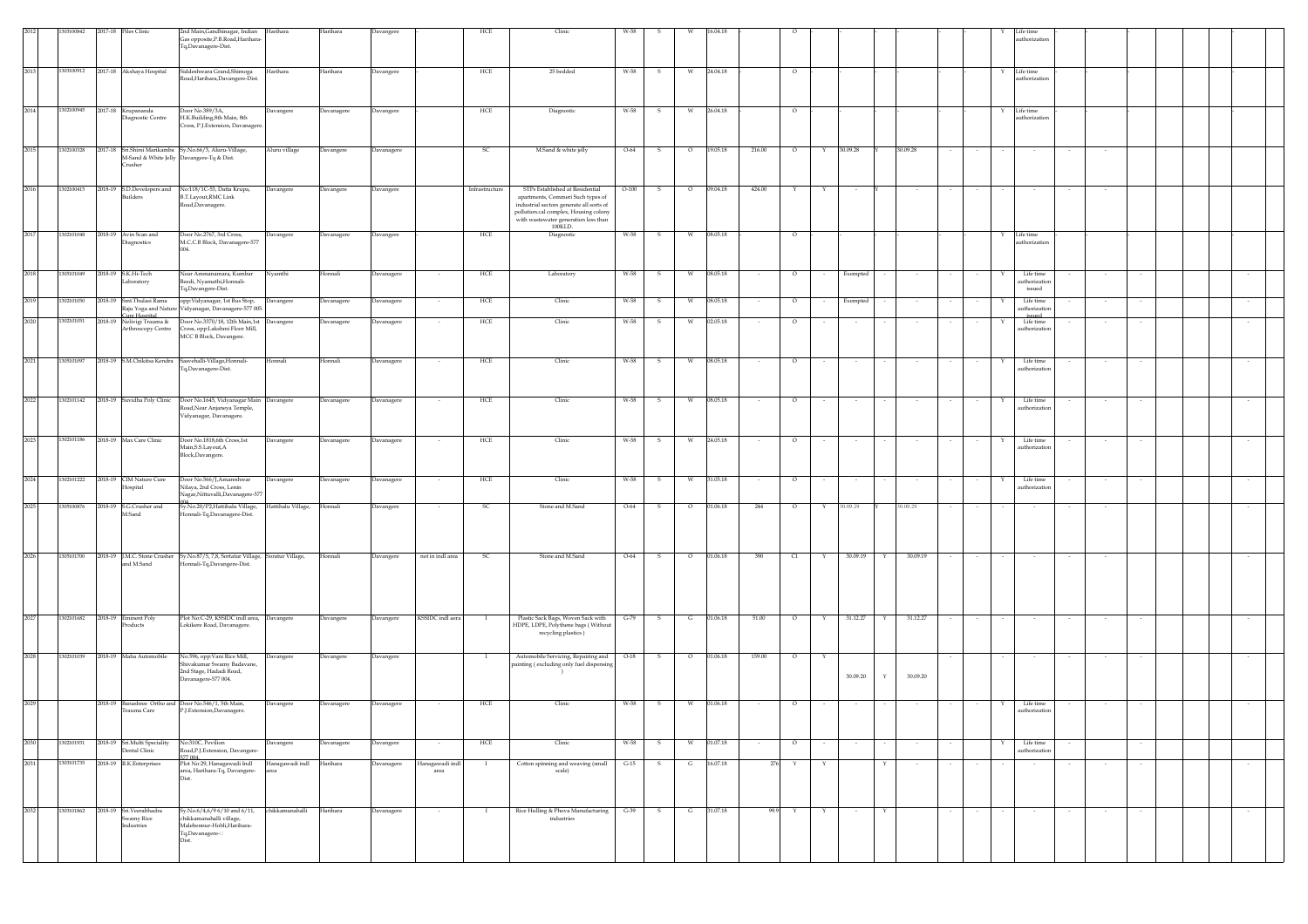|      | 13100842   |         | 2017-18 Piles Clinic                                    | 2nd Main, Gandhinagar, Indian Harihara<br>Gas opposite, P.B.Road, Harihara-<br>Tq,Davanagere-Dist.                                       |                         | Harihara          | Davangere  |                         | HCE            | Clinic                                                                                                                                                                                                       |         |              |         |                |        |         |        |          |        |          |        |   | uthorization                         |        |        |        |  |        |
|------|------------|---------|---------------------------------------------------------|------------------------------------------------------------------------------------------------------------------------------------------|-------------------------|-------------------|------------|-------------------------|----------------|--------------------------------------------------------------------------------------------------------------------------------------------------------------------------------------------------------------|---------|--------------|---------|----------------|--------|---------|--------|----------|--------|----------|--------|---|--------------------------------------|--------|--------|--------|--|--------|
| 2013 | 1303100912 |         | 2017-18 Akshaya Hospital                                | Siddeshwara Grand, Shimoga<br>Road, Harihara, Davangere-Dist.                                                                            | Harihara                | Harihara          | Davangere  |                         | HCE            | 25 bedded                                                                                                                                                                                                    | W-58    | 5            |         | 24.04.18       |        | $\circ$ |        |          |        |          |        |   | Life time<br>uthorization            |        |        |        |  |        |
| 2014 | 1302100945 |         | 2017-18 Krupananda<br>liagnostic Centre                 | Door No.389/3A,<br>H.K.Building,8th Main, 8th<br>Cross, P.J. Extension, Davanagere.                                                      | Davangere               | Davanagere        | Davangere  |                         | ${\rm HCE}$    | Diagnostic                                                                                                                                                                                                   | W-58    | s            | W       | 26.04.18       |        | $\circ$ |        |          |        |          |        | Y | Life time<br>thorization             |        |        |        |  |        |
| 2015 | 1302100328 |         | rusher                                                  | 2017-18 Sri.Shirsi Marikamba Sy.No.66/3, Aluru-Village,<br>M-Sand & White Jelly Davangere-Tq & Dist.                                     | Aluru village           | Davangere         | Davanagere |                         | SC             | M.Sand & white jelly                                                                                                                                                                                         | $O-64$  | $\mathbf{s}$ | $\circ$ | 19.05.18       | 216.00 | $\circ$ | Y      | 30.09.28 |        | 30.09.28 |        |   |                                      |        |        |        |  |        |
| 2016 | 1302100415 |         | 2018-19 S.D.Developers and<br>suilders                  | No:118/1C-53, Datta Krupa,<br><b>B.T.Layout, RMC Link</b><br>Road, Davanagere.                                                           | Davangere               | Davangere         | Davangere  |                         | Infrastructure | STPs Established at Residential<br>apartments, Commeri Such types of<br>industrial sectors generate all sorts of<br>pollution.cal complex, Housing colony<br>with wastewater generation less than<br>100KLD. | $O-100$ | s            | $\circ$ | 09.04.18       | 424.00 |         | Y      |          |        |          |        |   |                                      |        |        |        |  |        |
| 2017 |            |         | 1302101048 2018-19 Avin Scan and<br>iagnostics          | Door No.2767, 3rd Cross,<br>M.C.C.B Block, Davanagere-577                                                                                | Davangere               | Davanagere        | Davangere  |                         | HCE            | Diagnostic                                                                                                                                                                                                   | W-58    | S            | W       | 08.05.18       |        | $\circ$ |        |          |        |          |        |   | Life time<br>uthorization            |        |        |        |  |        |
| 2018 | 1305101049 |         | 2018-19 S.K.Hi-Tech<br><i>aboratory</i>                 | Near Ammanamara, Kumbar<br>Beedi, Nyamathi, Honnali-<br>Tq,Davangere-Dist.                                                               | Nyamthi                 | <b>Ionnali</b>    | Davanagere |                         | HCE            | Laboratory                                                                                                                                                                                                   | W-58    | s            | W       | 08.05.18       |        | $\circ$ |        | Exempted |        |          |        |   | Life time<br>uthorizatio<br>issued   |        |        |        |  |        |
| 2019 | 1302101050 | 2018-19 | Smt.Thulasi Rama                                        | opp: Vidyanagar, 1st Bus Stop,<br>Raju Yoga and Nature Vidyanagar, Davanagere-577 005.                                                   | Davangere               | Davanagere        | Davanagere |                         | HCE            | Clinic                                                                                                                                                                                                       | W-58    | S            | W       | 08.05.18       |        | $\circ$ |        | Exempted |        |          |        | Y | Life time<br>uthorization            |        |        |        |  |        |
| 2020 | 1302101051 | 2018-19 | ure Hospital<br>Nelivigi Trauma &<br>Arthroscopy Centre | Door No.3370/18, 12th Main,1st Davangere<br>Cross, opp:Lakshmi Floor Mill,<br>MCC B Block, Davangere.                                    |                         | Davanagere        | Davanagere |                         | HCE            | Clinic                                                                                                                                                                                                       | W-58    |              | w       | 02.05.18       |        | $\circ$ |        |          |        |          |        |   | issued<br>Life time<br>authorization |        |        |        |  |        |
| 2021 | 1305101097 |         |                                                         | 2018-19 S.M.Chikitsa Kendra Sasvehalli-Village, Honnali-<br>Tq,Davanagere-Dist.                                                          | Honnali                 | Honnali           | Davanagere | $\sim$                  | HCE            | Clinic                                                                                                                                                                                                       | W-58    | -S           | W       | 08.05.18       | $\sim$ | $\circ$ |        | $\sim$   |        |          |        | Y | Life time<br>uthorizatio             |        |        |        |  | $\sim$ |
| 2022 |            |         |                                                         | 1302101142 2018-19 Suvidha Poly Clinic Door No.1645, Vidyanagar Main Davangere<br>Road, Near Anjaneya Temple,<br>Vidyanagar, Davanagere. |                         | Davanagere        | Davanagere | $\sim$                  | HCE            | Clinic                                                                                                                                                                                                       | W-58    | $\mathbf{s}$ | W       | 08.05.18       | $\sim$ | $\circ$ | $\sim$ | $\sim$   | $\sim$ |          | $\sim$ | Y | Life time<br>authorization           |        | $\sim$ | $\sim$ |  | $\sim$ |
| 2023 | 1302101186 |         | 2018-19 Max Care Clinic                                 | Door No.1818,6th Cross,1st<br>Main, S.S. Layout, A<br>Block, Davangere.                                                                  | Davangere               | Davanagere        | Davanagere | $\sim$                  | ${\rm HCE}$    | Clinic                                                                                                                                                                                                       | W-58    | S.           | W       | 24.05.18       | $\sim$ | $\circ$ | $\sim$ | $\sim$   |        | $\sim$   | $\sim$ | Y | Life time<br>uthorizatio             |        | $\sim$ | $\sim$ |  | $\sim$ |
| 2024 | 1302101222 | 2018-19 | CIM Nature Cure<br>Iospital                             | Door No.566/J, Amareshwar<br>Nilaya, 2nd Cross, Lenin<br>Jagar,Nittuvalli,Davanagere-577                                                 | Davangere               | <b>Davanagere</b> | Davanagere | $\sim$                  | HCE            | Clinic                                                                                                                                                                                                       | W-58    | s            | W       | 31.05.18       |        | $\circ$ |        | $\sim$   |        |          |        | Y | Life time<br>authorization           |        |        |        |  |        |
| 2025 | 1305100876 |         | 2018-19 S.G.Crusher and<br>M.Sand                       | Sy.No.20/P2,Hattihalu Village,<br>Ionnali-Tq,Davanagere-Dist.                                                                            | Hattihalu Village,      | Honnali           | Davangere  |                         | <sub>SC</sub>  | Stone and M.Sand                                                                                                                                                                                             | $O-64$  | s            | $\circ$ | 01.06.18       | 244    | $\circ$ | Y      | 30.09.29 |        | 30.09.29 |        |   |                                      |        |        |        |  |        |
| 2026 | 1305101700 |         | and M.Sand                                              | 2018-19 J.M.C. Stone Crusher Sy.No.87/5, 7,8, Sortatur Village, Soratur Village,<br>onnali-Tq,Davangere-Dist.                            |                         | Honnali           | Davangere  | not in indl area        | SC.            | Stone and M.Sand                                                                                                                                                                                             | $O-64$  | s            | $\circ$ | 01.06.18       | 390    | C1      | Y      | 30.09.19 | Y      | 30.09.19 |        |   |                                      |        |        |        |  |        |
| 2027 | 1302101682 | 2018-19 | Eminent Poly<br>roducts                                 | Plot No:C-29, KSSIDC indl area, Davangere<br>Lokikere Road, Davanagere.                                                                  |                         | Davangere         | Davangere  | KSSIDC indl aera        |                | Plastic Sack Bags, Woven Sack with<br>HDPE, LDPE, Polythene bags (Without<br>recycling plastics)                                                                                                             | $G-79$  | S            | G       | 01.06.18       | 51.00  | $\circ$ | Y      | 31.12.27 | Y      | 31.12.27 |        |   |                                      |        |        |        |  |        |
| 2028 | 1302101039 |         | 2018-19 Maha Automobile                                 | No.596, opp:Vani Rice Mill,<br>Shivakumar Swamy Badavane,<br>2nd Stage, Hadadi Road,<br>Davanagere-577 004.                              | Davangere               | Davangere         | Davangere  |                         | $\mathbf{I}$   | Automobile Servicing, Repairing and<br>painting (excluding only fuel dispensing                                                                                                                              | $O-18$  | $\mathbf{s}$ | $\circ$ | 01.06.18       | 159.00 | $\circ$ | Y      | 30.09.20 |        | 30.09.20 |        |   | $\sim$                               | $\sim$ | $\sim$ | $\sim$ |  | $\sim$ |
| 2029 |            |         | Trauma Care                                             | 2018-19 Banashree Ortho and Door No.546/1, 5th Main,<br>P.J.Extension,Davanagere.                                                        | Davangere               | Davanagere        | Davanagere |                         | HCE            | Clinic                                                                                                                                                                                                       | W-58    | S.           | W       | 01.06.18       |        | $\circ$ |        |          |        |          |        | Y | Life time<br>authorization           |        |        |        |  |        |
| 2030 | 1302101931 |         | 2018-19 Sri.Multi Speciality<br>Dental Clinic           | No:310C. Pevilion<br>Road, P.J. Extension, Davangere-                                                                                    | Davangere               | Davanagere        | Davangere  | $\sim$                  | $HCE$          | Clinic                                                                                                                                                                                                       | W-58    | S.           | W       | 01.07.18       | $\sim$ | $\circ$ | $\sim$ | $\sim$   |        | $\sim$   |        |   | Life time<br>uthorization            |        |        | $\sim$ |  |        |
| 2031 | 1303101735 |         | 2018-19 R.K.Enterprises                                 | 77 004.<br>Plot No:29, Hanagawadi Indl<br>area, Harihara-Tq, Davangere-<br>Dist.                                                         | Hanagawadi indl<br>area | Harihara          | Davanagere | Hanagawadi indl<br>area | $\mathbf{I}$   | Cotton spinning and weaving (small<br>scale)                                                                                                                                                                 | $G-15$  | S            | G       | 16.07.18       |        | 276 Y   | Y      |          | Y      | $\sim$   | $\sim$ |   | $\sim$                               |        | $\sim$ | $\sim$ |  | $\sim$ |
| 2032 | 1303101862 |         | 2018-19 Sri.Veerabhadra<br>iwamy Rice<br>ndustries      | Sy.No.6/4,6/9 6/10 and 6/11, chikkamanahalli<br>chikkamanahalli village,<br>Malebennur-Hobli, Harihara-<br>Tq,Davanagere-<br>Dist.       |                         | Harihara          | Davanagere |                         | - 1            | Rice Hulling & Phova Manufacturing<br>industries                                                                                                                                                             | $G-39$  | $\mathbf{s}$ |         | $G = 31.07.18$ |        | 99.9 Y  | Y      | $\sim$   | Y      |          |        |   |                                      |        |        |        |  | $\sim$ |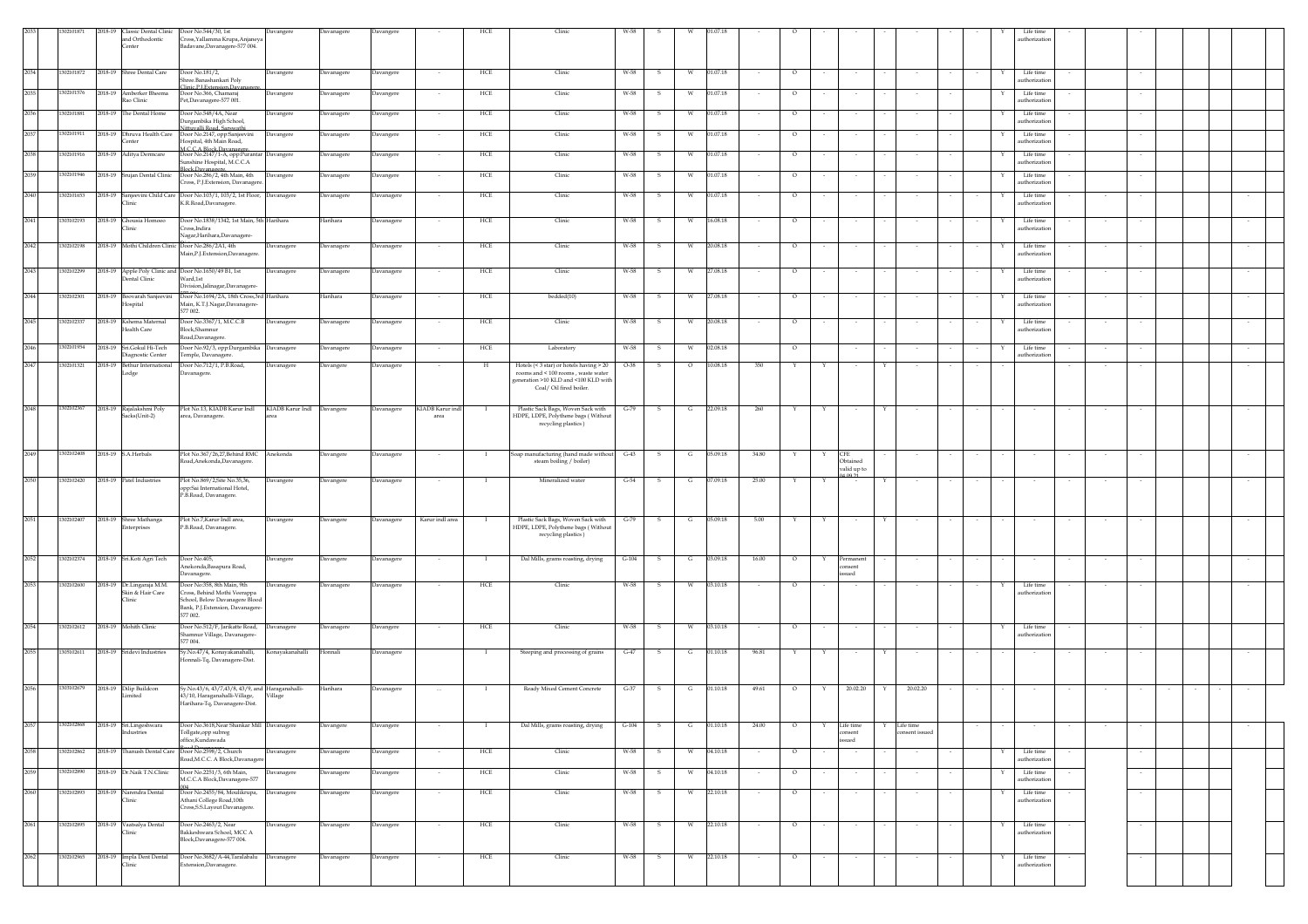|      | 210187     | 2018-19 Classic Dental Clinic<br>nd Orthodontic<br><b>Center</b> | Door No.544/30, 1st<br>ross, Yallamma Krupa, Anjaneya<br>Badavane, Davanagere-577 004.                                                      | Davangere         | Davanagere | Davangere  | HCE                                      | Clinic                                                                                           | W-58    |              |         |                |        |         |        |                                       |                                  |              | Life time<br>uthorization  |        |        |  |        |
|------|------------|------------------------------------------------------------------|---------------------------------------------------------------------------------------------------------------------------------------------|-------------------|------------|------------|------------------------------------------|--------------------------------------------------------------------------------------------------|---------|--------------|---------|----------------|--------|---------|--------|---------------------------------------|----------------------------------|--------------|----------------------------|--------|--------|--|--------|
| 2034 | 302101872  | 2018-19 Shree Dental Care                                        | Door No.181/2,                                                                                                                              | Davangere         | Davanagere | Davangere  | HCE<br>$\sim$                            | Clinic                                                                                           | W-58    | - S          | W       | 01.07.18       |        | $\circ$ |        | $\sim$                                | $\sim$                           | Y            | Life time                  |        |        |  |        |
| 2035 | 302101576  | 2018-19 Amberker Bheema                                          | hree.Banashankari Poly<br>linic.P I Extension.Day<br>Joor No.366, Chamaraj                                                                  | Davangere         | Javanagere | Davangere  | HCE                                      | Clinic                                                                                           | W-58    | s            | W       | 01.07.18       |        | $\circ$ |        |                                       |                                  |              | authorization<br>Life time |        |        |  |        |
| 2036 | 302101881  | Rao Clinic<br>2018-19 The Dental Home                            | Pet,Davanagere-577 001.<br>Door No.548/4A, Near                                                                                             | Davangere         | Davanagere | Davangere  | HCE                                      | Clinic                                                                                           | W-58    | -S           | w       | 01.07.18       |        | $\circ$ |        |                                       |                                  |              | authorization<br>Life time |        |        |  |        |
| 2037 | 302101911  | 2018-19 Dhruva Health Care                                       | urgambika High School,<br>tuvalli Road, Sarswath<br>Door No.2147, opp:Sanjeevini                                                            | Davangere         | Davanagere | Davangere  | HCE                                      | Clinic                                                                                           | W-58    | -S           | W       | 01.07.18       |        | $\circ$ |        |                                       |                                  |              | uthorization<br>Life time  |        |        |  |        |
| 2038 | 302101916  | enter<br>2018-19 Aditya Dermcare                                 | lospital, 4th Main Road,<br><b>I.C.C.A Block.Davanagers</b><br>Door No.2147/1-A, opp:Purantar Davangere                                     |                   | Davanagere | Davangere  | HCE                                      | Clinic                                                                                           | W-58    | - S          | - W     | 01.07.18       |        | $\circ$ |        |                                       |                                  |              | uthorization<br>Life time  |        |        |  |        |
| 2039 | 02101946   | 2018-19<br>Srujan Dental Clinic                                  | unshine Hospital, M.C.C.A<br>Block.Davanagere.<br>Door No.286/2, 4th Main, 4th                                                              | Davangere         | Davanagere | Davangere  | HCE                                      | Clinic                                                                                           | W-58    | - S          | W       | 01.07.18       |        | $\circ$ |        |                                       |                                  |              | uthorization<br>Life time  |        |        |  |        |
| 2040 | 02101653   | 2018-19 Sanjeevini Child Care                                    | ross, P.J. Extension, Davanagere<br>Door No.103/1, 103/2, 1st Floor, Davanagere                                                             |                   | Javanagere | Davanagere | HCE                                      | Clinic                                                                                           | W-58    |              | W       | 01.07.18       |        | $\circ$ |        |                                       |                                  |              | authorization<br>Life time |        |        |  |        |
|      |            | <b>linic</b>                                                     | K.R.Road,Davanagere.                                                                                                                        |                   |            |            |                                          |                                                                                                  |         |              |         |                |        |         |        |                                       |                                  |              | authorization              |        |        |  |        |
| 2041 | 303102193  | 2018-19 Ghousia Homoeo<br>Clinic                                 | Door No.1838/1342, 1st Main, 5th Harihara<br>ross,Indira<br>Jagar, Harihara, Davanagere-                                                    |                   | Harihara   | Davanagere | HCE                                      | Clinic                                                                                           | W-58    | s            | W       | 16.08.18       |        | $\circ$ |        |                                       |                                  |              | Life time<br>authorization |        |        |  |        |
| 2042 | 302102198  | 2018-19 Mothi Children Clinic                                    | Door No.286/2A1, 4th<br>Main, P.J. Extension, Davanagere.                                                                                   | <b>Javanagere</b> | Davanagere | Davanagere | HCE                                      | Clinic                                                                                           | W-58    |              |         | 20.08.18       |        | $\circ$ |        |                                       |                                  |              | Life time<br>uthorization  |        |        |  |        |
| 2043 | 302102299  | 2018-19 Apple Poly Clinic and<br>ental Clinic                    | Door No.1650/49 B1, 1st<br>Vard,1st<br>Division, Jalinagar, Davanagere-                                                                     | Davanagere        | Davanagere | Davanagere | HCE                                      | Clinic                                                                                           | W-58    | s            | W       | 27.08.18       |        | $\circ$ |        |                                       |                                  |              | Life time<br>uthorization  |        |        |  |        |
| 2044 | 1302102301 | 2018-19 Boovarah Sanjeevini<br>Hospital                          | Door No.1694/2A, 18th Cross, 3rd Harihara<br>Main, K.T.J.Nagar,Davanagere-<br>577 002.                                                      |                   | Harihara   | Davanagere | HCE                                      | bedded(10)                                                                                       | W-58    | -S           | W       | 27.08.18       |        | $\circ$ |        |                                       |                                  |              | Life time<br>uthorization  |        |        |  |        |
| 2045 | 02102337   | 2018-19 Kshema Maternal<br>Health Care                           | Door No.3367/1, M.C.C.B<br>Block, Shamnur                                                                                                   | Davanagere        | Davanagere | Davanagere | HCE                                      | Clinic                                                                                           | W-58    | - S          | W       | 20.08.18       |        | $\circ$ |        |                                       |                                  |              | Life time<br>athorizatio   |        |        |  |        |
| 2046 | 302101954  | 2018-19 Sri.Gokul Hi-Tech<br>Diagnostic Center                   | load,Davanagere<br>Door No.92/3, opp:Durgambika Davanagere<br>'emple, Davanagere.                                                           |                   | Davanagere | Davanagere | HCE                                      | Laboratory                                                                                       | W-58    | - S          |         | 02.08.18       |        | $\circ$ |        |                                       |                                  |              | Life time<br>authorization |        |        |  |        |
| 2047 | 302101321  | 2018-19 Bethur International<br>.odge                            | Joor No.712/1, P.B.Road,<br>Javanagere.                                                                                                     | Davanagere        | Davangere  | Davanagere | $_{\rm H}$                               | Hotels (< 3 star) or hotels having > 20<br>rooms and < 100 rooms, waste water                    | O-38    |              | $\circ$ | 10.08.18       | 350    |         |        |                                       |                                  |              |                            |        |        |  |        |
|      |            |                                                                  |                                                                                                                                             |                   |            |            |                                          | generation >10 KLD and <100 KLD with<br>Coal/ Oil fired boiler.                                  |         |              |         |                |        |         |        |                                       |                                  |              |                            |        |        |  |        |
| 2048 | 1302102367 | 2018-19 Rajalakshmi Poly<br>Sacks(Unit-2)                        | Plot No.13, KIADB Karur Indl KIADB Karur Indl Davangere<br>area, Davanagere.                                                                |                   |            | Davanagere | KIADB Karur indl<br>$\mathbf{I}$<br>area | Plastic Sack Bags, Woven Sack with<br>HDPE, LDPE, Polythene bags (Without<br>recycling plastics) | $G-79$  | $\mathbf{s}$ |         | $G = 22.09.18$ | 260    | Y       | Y      | $\sim$                                | Y                                |              |                            |        |        |  |        |
|      |            |                                                                  |                                                                                                                                             |                   |            |            |                                          |                                                                                                  |         |              |         |                |        |         |        |                                       |                                  |              |                            |        |        |  |        |
| 2049 | 302102408  | 2018-19 S.A.Herbals                                              | Plot No.367/26,27, Behind RMC<br>load, Anekonda, Davanagere.                                                                                | Anekonda          | Davangere  | Davanagere | $\sim$<br>- 1                            | Soap manufacturing (hand made without<br>steam boiling / boiler)                                 | $G-43$  | $\mathbf{s}$ | G       | 05.09.18       | 34.80  | Y       | Y      | <b>CFE</b><br>Obtained<br>valid up to |                                  |              | $\sim$                     | $\sim$ | $\sim$ |  |        |
| 2050 | 302102420  | 2018-19 Patel Industries                                         | Plot No.869/2, Site No.35, 36,<br>opp:Sai International Hotel,<br>P.B.Road, Davanagere.                                                     | Davangere         | Davangere  | Davanagere | - 1                                      | Mineralized water                                                                                | $G-54$  | -S           | G       | 07.09.18       | 25.00  |         |        |                                       |                                  |              |                            |        |        |  |        |
| 2051 | 1302102407 | 2018-19 Shree Mathanga<br>interprises                            | Plot No.7, Karur Indl area,<br>P.B.Road, Davanagere.                                                                                        | Davangere         | Davangere  | Davanagere | Karur indl area<br>$\mathbf{I}$          | Plastic Sack Bags, Woven Sack with<br>HDPE, LDPE, Polythene bags (Without                        | $G-79$  | $\mathbf{s}$ | G       | 05.09.18       | 5.00   | Y       | Y      | $\sim$                                | Y<br>$\sim$                      |              |                            | $\sim$ |        |  |        |
|      |            |                                                                  |                                                                                                                                             |                   |            |            |                                          | recycling plastics)                                                                              |         |              |         |                |        |         |        |                                       |                                  |              |                            |        |        |  |        |
| 2052 | 302102374  | 2018-19 Sri.Koti Agri Tech                                       | Door No.405,<br>Anekonda, Basapura Road,<br>Davanagere.                                                                                     | Davangere         | Davangere  | Davanagere | $\sim$<br>$\mathbf{I}$                   | Dal Mills, grams roasting, drying                                                                | $G-104$ | $\mathbf{s}$ | G       | 03.09.18       | 16.00  | $\circ$ | Y      | Permanent<br>nsent<br>sued            | $\sim$                           | $\sim$       | $\sim$                     | $\sim$ |        |  | $\sim$ |
| 2053 | 302102600  | 2018-19 Dr.Lingaraja M.M.<br>Skin & Hair Care<br>Clinic          | Door No:358, 8th Main, 9th<br>ross, Behind Mothi Veerappa<br>School, Below Davanagere Blood<br>Bank, P.J. Extension, Davanagere-<br>77 002. | Davanagere        | Davanagere | Davanagere | HCE                                      | Clinic                                                                                           | W-58    | -S           | W       | 03.10.18       |        | $\circ$ |        |                                       |                                  |              | Life time<br>authorization |        |        |  |        |
| 2054 | 1302102612 | 2018-19 Mohith Clinic                                            | Door No.512/F, Jarikatte Road, Davanagere<br>hamnur Village, Davanagere-                                                                    |                   | Davanagere | Davangere  | HCE                                      | Clinic                                                                                           | W-58    | s            | W       | 03.10.18       |        | $\circ$ |        |                                       |                                  |              | Life time<br>authorization |        |        |  |        |
| 2055 | 305102611  | 2018-19 Sridevi Industries                                       | 577 004.<br>Sy.No.47/4, Konayakanahalli,<br>Ionnali-Tq, Davanagere-Dist.                                                                    | Konayakanahalli   | Honnali    | Davanagere | $\mathbf{I}$                             | Steeping and processing of grains                                                                | $G-47$  | S.           | G       | 01.10.18       | 96.81  | Y       | Y      | $\sim$                                | Y<br>$\sim$                      |              | $\sim$                     | $\sim$ |        |  | $\sim$ |
|      |            |                                                                  |                                                                                                                                             |                   |            |            |                                          |                                                                                                  |         |              |         |                |        |         |        |                                       |                                  |              |                            |        |        |  |        |
| 2056 | 1303102679 | 2018-19 Dilip Buildcon<br>.imited                                | iy.No.43/6, 43/7,43/8, 43/9, and Haraganahalli-<br>13/10, Haraganahalli-Village,<br>Harihara-Tq, Davanagere-Dist.                           | Village           | Harihara   | Davanagere |                                          | Ready Mixed Cement Concrete                                                                      | $G-37$  | $\mathbf{s}$ | G       | 01.10.18       | 49.61  | $\circ$ |        | 20.02.20                              | 20.02.20<br>Y                    |              |                            |        |        |  |        |
| 2057 | 1302102868 | 2018-19 Sri.Lingeshwara<br>Industries                            | Door No.3618, Near Shankar Mill Davanagere<br>Tollgate, opp subreg<br>office,Kundawada                                                      |                   | Davangere  | Davangere  | $\mathbf{I}$<br>$\sim$                   | $\hspace{0.1em}$ Dal Mills, grams roasting, drying                                               | $G-104$ | $\mathbf{s}$ |         | $G = 01.10.18$ | 24.00  | $\circ$ | Y      | Life time<br>consent<br>sued          | Life time<br>Y<br>consent issued |              | $\sim$                     |        |        |  |        |
| 2058 | 1302102862 | 2018-19 Thanush Dental Care                                      | Door No.2598/2, Church<br>oad, M.C.C. A Block, Davanager                                                                                    | Davanagere        | Davanagere | Davangere  | HCE                                      | Clinic                                                                                           | W-58    | S.           | w       | 04.10.18       |        | $\circ$ |        |                                       |                                  |              | Life time<br>uthorization  |        |        |  |        |
| 2059 | 1302102890 | 2018-19 Dr.Naik T.N.Clinic                                       | Door No.2251/3, 6th Main,<br>M.C.C.A Block,Davanagere-577                                                                                   | Davanagere        | Davanagere | Davangere  | HCE                                      | Clinic                                                                                           | W-58    | $\mathbf{s}$ | W       | 04.10.18       |        | $\circ$ |        | $\sim$                                | $\sim$                           | $\mathbf{Y}$ | Life time<br>authorization |        | $\sim$ |  |        |
| 2060 | 302102893  | 2018-19 Narendra Dental<br>Clinic                                | Door No.2455/84, Moulikrupa, Davanagere<br>Athani College Road, 10th<br>Cross, S.S. Layout Davanagere.                                      |                   | Davanagere | Davangere  | HCE<br>$\sim$                            | Clinic                                                                                           | W-58    | -S           | W       | 22.10.18       | $\sim$ | $\circ$ | $\sim$ | $\sim$                                | $\sim$                           |              | Life time<br>uthorization  |        | $\sim$ |  |        |
| 2061 | 302102895  | 2018-19 Vaatsalya Dental<br>Clinic                               | Door No.2463/2, Near<br>Bakkeshwara School, MCC A                                                                                           | Davanagere        | Davanagere | Davangere  | HCE                                      | Clinic                                                                                           | W-58    | - S          | W       | 22.10.18       |        | $\circ$ |        |                                       |                                  |              | Life time<br>uthorization  |        |        |  |        |
| 2062 | 302102965  | 2018-19 Impla Dent Dental                                        | Block,Davanagere-577 004.<br>Door No.3682/A-44, Taralabalu Davanagere                                                                       |                   | Davanagere |            | HCE                                      | Clinic                                                                                           | W-58    | -S           | W       | 22.10.18       |        | $\circ$ |        |                                       |                                  |              | Life time                  |        |        |  |        |
|      |            | Clinic                                                           | xtension, Davanagere.                                                                                                                       |                   |            | Davangere  |                                          |                                                                                                  |         |              |         |                | $\sim$ |         | $\sim$ | $\sim$                                | $\overline{\phantom{a}}$         |              | authorization              |        |        |  |        |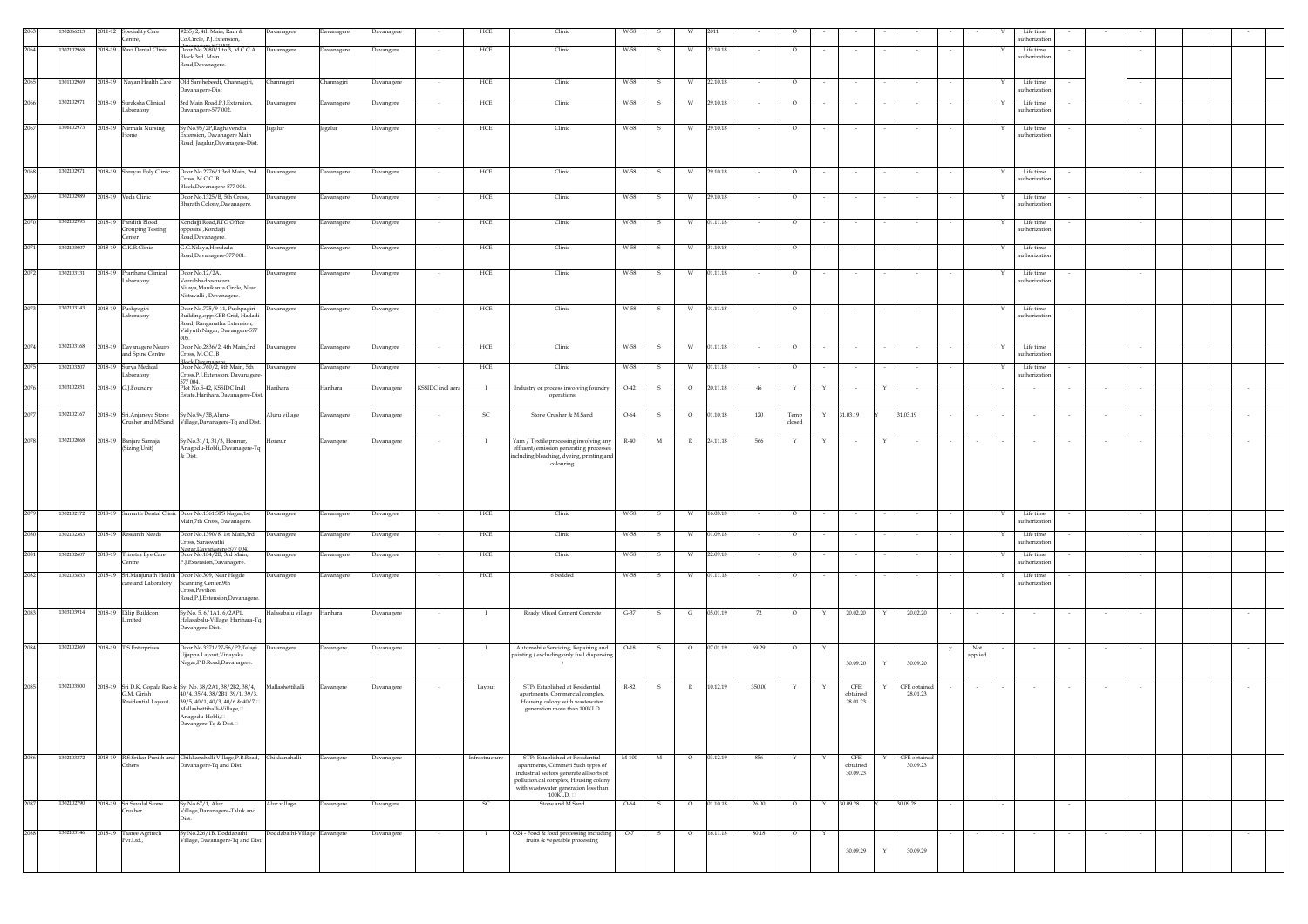|      | 206621     | 2011-12 | <b>Speciality Care</b>                             | #265/2, 4th Main, Ram &                                                                                                                                                                                                   | Davanagere                   | Davanagere | Davanagere |                  | HCE            | Clinic                                                                                                                                                                                                          | W-58   |              |              |                    |        |                |        |                             |             |                          |                     |   | Life time                  |        |        |  |  |
|------|------------|---------|----------------------------------------------------|---------------------------------------------------------------------------------------------------------------------------------------------------------------------------------------------------------------------------|------------------------------|------------|------------|------------------|----------------|-----------------------------------------------------------------------------------------------------------------------------------------------------------------------------------------------------------------|--------|--------------|--------------|--------------------|--------|----------------|--------|-----------------------------|-------------|--------------------------|---------------------|---|----------------------------|--------|--------|--|--|
|      |            |         | entre.                                             | Co.Circle, P.I.Extension.                                                                                                                                                                                                 |                              |            |            |                  |                |                                                                                                                                                                                                                 |        |              |              |                    |        |                |        |                             |             |                          |                     |   | authorization              |        |        |  |  |
| 2064 | 1302102968 |         | 2018-19 Ravi Dental Clinic                         | Door No.2080/1 to 3, M.C.C.A Davanagere<br>Block,3rd Main<br>Road, Davanagere.                                                                                                                                            |                              | Davanagere | Davangere  |                  | HCE            | Clinic                                                                                                                                                                                                          | W-58   | s            |              | 22.10.18           |        | $\circ$        |        |                             |             |                          |                     |   | Life time<br>authorization |        |        |  |  |
| 2065 | 1301102969 | 2018-19 | Nayan Health Care                                  | Old Santhebeedi, Channagiri,<br>avanagere-Dist                                                                                                                                                                            | Channagiri                   | hannagiri  | Davanagere |                  | HCE            | Clinic                                                                                                                                                                                                          | W-58   | s            |              | 22.10.18           |        | $\circ$        |        |                             |             |                          |                     |   | Life time<br>uthorizatio   |        |        |  |  |
| 2066 | 1302102971 | 2018-19 | Suraksha Clinical<br>aboratory                     | 3rd Main Road, P.J. Extension,<br>Davanagere-577 002.                                                                                                                                                                     | Davanagere                   | Davanagere | Davangere  |                  | HCE            | Clinic                                                                                                                                                                                                          | W-58   | S            | W            | 29.10.18           |        | $\circ$        |        |                             |             |                          |                     |   | Life time<br>authorization |        |        |  |  |
| 2067 | 1306102973 | 2018-19 | Nirmala Nursing<br>ome                             | Sy.No.95/2P,Raghavendra<br>dension, Davanagere Main<br>Road, Jagalur, Davanagere-Dist.                                                                                                                                    | Jagalur                      | Jagalur    | Davangere  |                  | HCE            | Clinic                                                                                                                                                                                                          | W-58   | -S           | W.           | 29.10.18           |        | $\circ$        |        |                             |             |                          |                     |   | Life time<br>uthorizatio   |        |        |  |  |
| 2068 | 1302102971 |         | 2018-19 Shreyas Poly Clinic                        | Door No.2776/1,3rd Main, 2nd Davanagere<br>Cross, M.C.C. B<br>Block, Davanagere-577 004.                                                                                                                                  |                              | Davanagere | Davangere  |                  | HCE            | Clinic                                                                                                                                                                                                          | W-58   | -S           | <b>W</b>     | 29.10.18           |        | $\circ$        |        |                             |             |                          |                     | Y | Life time<br>authorization |        |        |  |  |
| 2069 | 1302102989 |         | 2018-19 Veda Clinic                                | Door No.1325/B, 5th Cross,<br>Bharath Colony, Davanagere.                                                                                                                                                                 | Davanagere                   | Davanagere | Davangere  |                  | HCE            | Clinic                                                                                                                                                                                                          | W-58   | -S           | <b>W</b>     | 29.10.18           |        | $\circ$        |        |                             |             |                          |                     |   | Life time<br>authorizatio  |        |        |  |  |
| 2070 | 1302102995 |         | 2018-19 Pandith Blood<br>Grouping Testing<br>enter | Kondajji Road, RTO Office<br>pposite ,Kondajji<br>Road,Davanagere.                                                                                                                                                        | Davanagere                   | Davanagere | Davangere  |                  | HCE            | Clinic                                                                                                                                                                                                          | W-58   | s            | W            | 01.11.18           |        | $\circ$        |        |                             |             |                          |                     |   | Life time<br>authorization |        |        |  |  |
| 2071 | 1302103007 |         | 2018-19 G.K.R.Clinic                               | G.G.Nilaya, Hondada<br>Road, Davanagere-577 001.                                                                                                                                                                          | Davanagere                   | Davanagere | Davangere  |                  | HCE            | Clinic                                                                                                                                                                                                          | W-58   |              |              | 31.10.18           |        | $\circ$        |        |                             |             |                          |                     |   | Life time<br>authorizatio  |        |        |  |  |
| 2072 | 1302103131 | 2018-19 | Prarthana Clinical<br>aboratory                    | Door No.12/2A,<br>eerabhadreshwara<br>Nilaya, Manikanta Circle, Near<br>Nittuvalli, Davanagere.                                                                                                                           | Davanagere                   | Davanagere | Davangere  |                  | HCE            | Clinic                                                                                                                                                                                                          | W-58   | -S           | W            | 01.11.18           |        | $\circ$        |        |                             |             |                          |                     |   | Life time<br>authorization |        |        |  |  |
| 2073 | 1302103143 |         | 2018-19 Pushpagiri<br>aboratory                    | Door No.775/9-11, Pushpagiri<br>uilding, opp:KEB Grid, Hadadi<br>Road, Ranganatha Extension,<br>Vidyuth Nagar, Davangere-577                                                                                              | Davanagere                   | Davanagere | Davangere  |                  | HCE            | Clinic                                                                                                                                                                                                          | W-58   |              | W            | 01.11.18           |        | $\circ$        |        |                             |             |                          |                     |   | Life time<br>authorization |        |        |  |  |
| 2074 | 1302103168 | 2018-19 | Davanagere Neuro<br>nd Spine Centre                | Door No.2836/2, 4th Main, 3rd Davanagere<br>Tross, M.C.C. B                                                                                                                                                               |                              | Davanagere | Davangere  | $\sim$           | HCE            | Clinic                                                                                                                                                                                                          | W-58   | -S           | W            | 01.11.18           | $\sim$ | $\circ$        |        | $\sim$                      |             |                          |                     | Y | Life time<br>uthorizatio   |        |        |  |  |
| 2075 | 1302103207 | 2018-19 | Surya Medical<br>.aboratory                        | Block Davanagere<br>Door No.760/2, 4th Main, 5th<br>ross,P.J.Extension, Davanagere                                                                                                                                        | Davanagere                   | Davanagere | Davangere  | $\sim$           | HCE            | Clinic                                                                                                                                                                                                          | W-58   | s            | - W          | 01.11.18           | $\sim$ | $\circ$        |        | $\sim$                      |             |                          |                     | Y | Life time<br>authorization |        | $\sim$ |  |  |
| 2076 | 1303102351 | 2018-19 | G.J.Foundry                                        | 77.004<br>Plot No.S-42, KSSIDC Indl<br>Estate, Harihara, Davanagere-Dist.                                                                                                                                                 | Harihara                     | Harihara   | Davanagere | KSSIDC indl aera | - 1            | Industry or process involving foundry<br>operations                                                                                                                                                             | $O-42$ | s            | $\circ$      | 20.11.18           | 46     | Y              | Υ      | $\sim$                      | Y           |                          |                     |   |                            |        |        |  |  |
| 2077 | 1302102167 |         | 2018-19 Sri.Anjaneya Stone<br>rusher and M.Sand    | Sy.No.94/3B,Aluru-<br>'illage,Davanagere-Tq and Dist.                                                                                                                                                                     | Aluru village                | Davanagere | Davanagere |                  | SC             | Stone Crusher & M.Sand                                                                                                                                                                                          | O-64   | s            | $\circ$      | 01.10.18           | 120    | Temp<br>closed |        | 31.03.19                    |             | 31.03.19                 |                     |   |                            |        |        |  |  |
| 2078 | 1302102068 | 2018-19 | Banjara Samaja<br>(Sizing Unit)                    | y.No.31/1, 31/3, Honnur,<br>Anagodu-Hobli, Davanagere-Tq<br>& Dist.                                                                                                                                                       | Honnur                       | Davangere  | Davanagere |                  |                | Yarn / Textile processing involving any<br>effluent/emission generating processes<br>including bleaching, dyeing, printing and<br>colouring                                                                     | $R-40$ | M            |              | 24.11.18           | 566    |                |        |                             |             |                          |                     |   |                            |        |        |  |  |
| 2079 | 302102172  |         |                                                    | 2018-19 Samarth Dental Clinic Door No.1361, SPS Nagar, 1st<br>Main,7th Cross, Davanagere.                                                                                                                                 | Davanagere                   | Davanagere | Davangere  | $\sim$           | HCE            | Clinic                                                                                                                                                                                                          | W-58   | -S           | W            | 16.08.18           | $\sim$ | $\circ$        | $\sim$ | $\sim$                      |             |                          |                     | Y | Life time<br>authorization |        |        |  |  |
| 2080 | 1302102363 | 2018-19 | Research Needs                                     | Door No.1390/8, 1st Main,3rd<br>ross, Saraswathi                                                                                                                                                                          | Davanagere                   | Davanagere | Davangere  |                  | HCE            | Clinic                                                                                                                                                                                                          | W-58   |              |              | 01.09.18           |        | $\circ$        |        |                             |             |                          |                     |   | Life time<br>authorization |        |        |  |  |
| 2081 | 1302102607 | 2018-19 | Trinetra Eye Care<br>ntre                          | agar Davanagere-577.00<br>Door No.184/2B, 3rd Main,<br>P.J.Extension,Davanagere.                                                                                                                                          | Davanagere                   | Davanagere | Davangere  |                  | HCE            | Clinic                                                                                                                                                                                                          | W-58   | s            |              | 22.09.18           |        | $\circ$        |        |                             |             |                          |                     |   | Life time<br>uthorizatio   |        |        |  |  |
| 2082 | 1302103853 | 2018-19 | Sri.Manjunath Health<br>are and Laboratory         | Door No.309, Near Hegde<br>canning Center, 9th<br>ross,Pavilion<br>load, P.J. Extension, Davanagere.                                                                                                                      | Davanagere                   | Davanagere | Davangere  |                  | HCE            | 6 bedded                                                                                                                                                                                                        | W-58   | -S           | W            | 01.11.18           |        | $\circ$        |        |                             |             |                          |                     |   | Life time<br>uthorization  |        |        |  |  |
| 2083 | 1303103914 | 2018-19 | Dilip Buildcon<br>iited                            | Sy.No. 5, 6/1A1, 6/2AP1,<br>Halasabalu-Village, Harihara-Tq,<br>Davangere-Dist.                                                                                                                                           | Halasabalu village Harihara  |            | Davanagere |                  | $\mathbf{I}$   | Ready Mixed Cement Concrete                                                                                                                                                                                     | $G-37$ | $\mathbf{s}$ | G            | 05.01.19           | 72     | $\circ$        | Y      | 20.02.20                    | Y           | 20.02.20                 |                     |   |                            |        |        |  |  |
| 2084 | 1302102369 |         | 2018-19 T.S.Enterprises                            | Door No.3371/27-56/P2, Telagi Davanagere<br>Ujjappa Layout, Vinayaka<br>Jagar,P.B.Road,Davanagere.                                                                                                                        |                              | Davangere  | Davanagere |                  | $\mathbf{I}$   | Automobile Servicing, Repairing and<br>painting (excluding only fuel dispensin                                                                                                                                  | $O-18$ | $\mathbf{s}$ | $\circ$      | 07.01.19           | 69.29  | $\circ$        | Y      | 30.09.20                    | Y           | 30.09.20                 | Not<br>y<br>applied |   |                            |        |        |  |  |
| 2085 | 1302103500 |         | G.M. Girish<br>lesidential Layout                  | 2018-19 Sri D.K. Gopala Rao & Sy. No. 38/2A1, 38/2B2, 38/4, Mallashettihalli<br>40/4, 35/4, 38/2B1, 39/1, 39/3,<br>39/5, 40/1, 40/3, 40/6 & 40/7.<br>Mallashettihalli-Village,<br>Anagodu-Hobli,<br>Davangere-Tq & Dist.□ |                              | Davangere  | Davanagere |                  | Layout         | STPs Established at Residential<br>apartments, Commercial complex,<br>Housing colony with wastewater<br>generation more than 100KLD                                                                             | R-82   | -S.          | $\mathbb{R}$ | 10.12.19           | 350.00 |                |        | CFE<br>obtained<br>28.01.23 |             | CFE obtained<br>28.01.23 |                     |   |                            |        |        |  |  |
| 2086 | 1302103372 |         | Others                                             | 2018-19 R.S.Srikar Punith and Chikkanahalli Village, P.B.Road, Chikkanahalli<br>Davanagere-Tq and DIst.                                                                                                                   |                              | Davangere  | Davanagere | $\sim$           | Infrastructure | STPs Established at Residential<br>apartments, Commeri Such types of<br>industrial sectors generate all sorts of<br>pollution.cal complex, Housing colony<br>with wastewater generation less than<br>$100$ KLD. | M-100  | M            |              | $0\qquad 03.12.19$ | 856    | Y              | Y      | CFE<br>obtained<br>30.09.23 |             | CFE obtained<br>30.09.23 |                     |   | $\sim$                     | $\sim$ | $\sim$ |  |  |
| 2087 | 1302102790 |         | 2018-19 Sri.Sevalal Stone<br>rusher                | y.No.67/1, Alur<br>illage,Davanagere-Taluk and                                                                                                                                                                            | Alur village                 | Davangere  | Davangere  |                  | SC             | Stone and M.Sand                                                                                                                                                                                                | $O-64$ | -S           | $\circ$      | 01.10.18           | 26.00  | $\circ$        | Y      | 30.09.28                    |             | 30.09.28                 |                     |   |                            |        |        |  |  |
| 2088 | 1302103146 |         | 2018-19 Taaree Agritech<br>Pvt.Ltd.,               | Sy.No.226/1B, Doddabathi<br>Village, Davanagere-Tq and Dist.                                                                                                                                                              | Doddabathi-Village Davangere |            | Davanagere |                  | - 1            | O24 - Food & food processing including<br>fruits & vegetable processing                                                                                                                                         | $O-7$  | - S          | $\circ$      | 16.11.18           | 80.18  | $\circ$        | Y      | 30.09.29                    | $\mathbf Y$ | 30.09.29                 |                     |   |                            |        |        |  |  |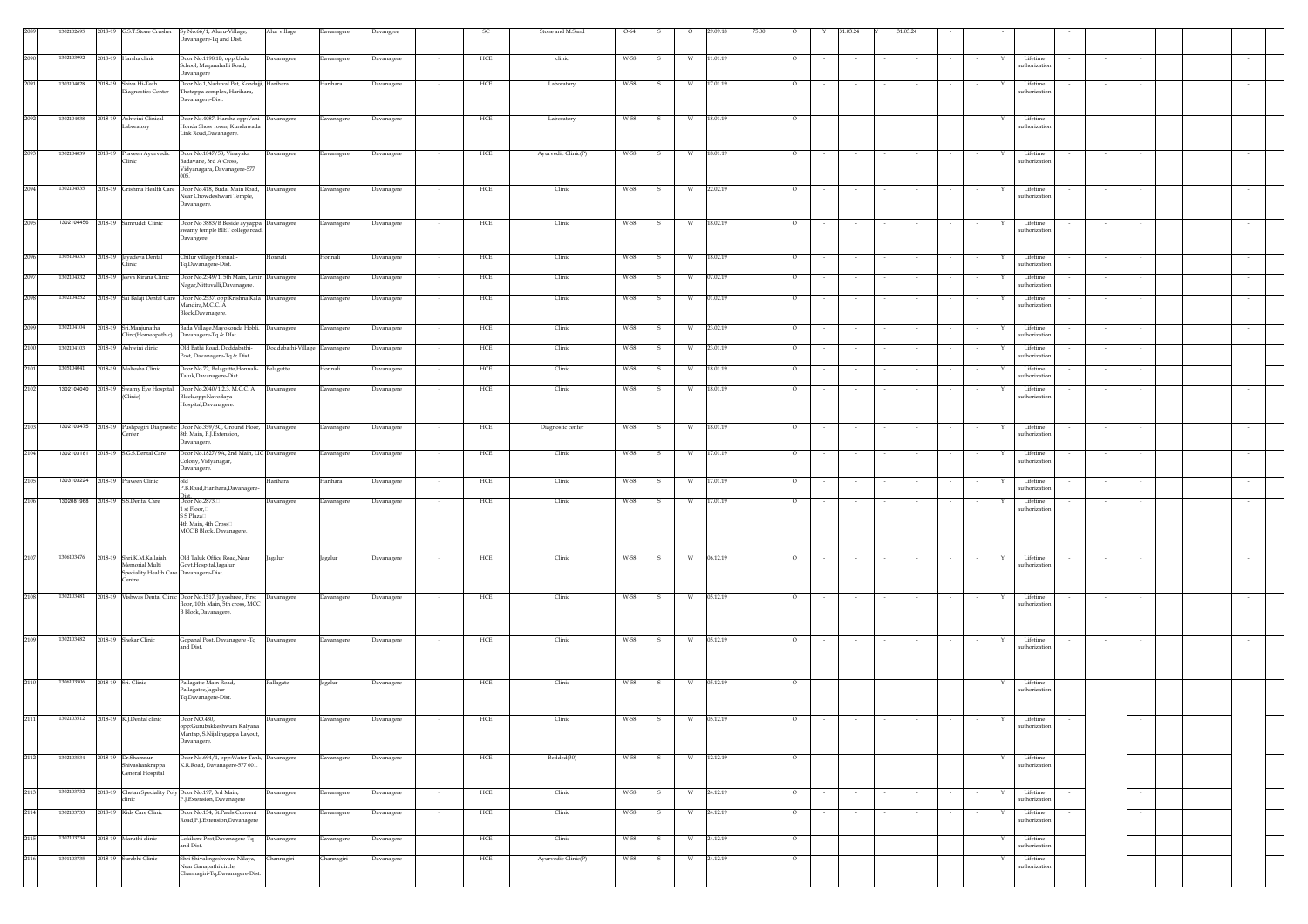|      | 02102695           |         | 2018-19 G.S.T.Stone Crusher                                                                    | Sy.No.66/1, Aluru-Village,<br>Davanagere-Tq and Dist.                                                                               | Alur village                  | Davanagere        | Davangere  |                          | SC          | Stone and M.Sand    | $O-64$ |              |           | 29.09.18 | 75.00 |                |        | 31.03.24 |        | \$1.03.24        |        |   |                                         |                          |        |  |        |
|------|--------------------|---------|------------------------------------------------------------------------------------------------|-------------------------------------------------------------------------------------------------------------------------------------|-------------------------------|-------------------|------------|--------------------------|-------------|---------------------|--------|--------------|-----------|----------|-------|----------------|--------|----------|--------|------------------|--------|---|-----------------------------------------|--------------------------|--------|--|--------|
| 2090 | 1302103992         | 2018-19 | Harsha clinic                                                                                  | Door No.1198,1B, opp:Urdu<br>School, Maganahalli Road,                                                                              | Davanagere                    | Davanagere        | Davanagere | $\sim$                   | HCE         | clinic              | W-58   | s            | W         | 11.01.19 |       | $\circ$        |        | $\sim$   |        | $\sim$           |        | Y | Lifetime<br>uthorizatio                 | $\sim$                   | $\sim$ |  |        |
| 2091 | 1303104028         | 2018-19 | Shiva Hi-Tech<br>iagnostics Center                                                             | Davanagere<br>Door No.1, Naduval Pet, Kondajji, Harihara<br>Thotappa complex, Harihara,<br>Davanagere-Dist.                         |                               | Iarihara          | Davanagere | $\sim$                   | HCE         | Laboratory          | W-58   | -S           | W         | 17.01.19 |       | $\circ$        | $\sim$ | $\sim$   |        | $\sim$           | $\sim$ | Y | Lifetime<br>uthorizatio                 | $\sim$                   | $\sim$ |  | $\sim$ |
| 2092 | 1302104038         |         | 2018-19 Ashwini Clinical<br>.aboratory                                                         | Door No.4087, Harsha opp: Vani Davanagere<br>Honda Show room, Kundawada<br>Link Road, Davanagere.                                   |                               | Davanagere        | Davanagere | $\sim$                   | ${\rm HCE}$ | Laboratory          | W-58   | $\mathbf{s}$ | ${\rm W}$ | 18.01.19 |       | $\circ$        |        | $\sim$   |        |                  | $\sim$ | Y | Lifetime<br>uthorization                | $\sim$                   | $\sim$ |  | $\sim$ |
| 2093 | 1302104039         | 2018-19 | Praveen Ayurvedic<br>linic                                                                     | Door No.1847/58, Vinayaka<br>Badavane, 3rd A Cross,<br>Vidyanagara, Davanagere-577                                                  | Davanagere                    | <b>Davanagere</b> | Davanagere | $\sim$                   | HCE         | Ayurvedic Clinic(P) | W-58   | s.           | W         | 18.01.19 |       | $\circ$        |        | $\sim$   |        |                  |        | Y | Lifetime<br>uthorizatio                 | $\sim$                   | $\sim$ |  |        |
| 2094 | 1302104535         |         |                                                                                                | 2018-19 Grishma Health Care Door No.418, Budal Main Road, Davanagere<br>Near Chowdeshwari Temple,<br>Davanagere.                    |                               | Davanagere        | Davanagere | $\sim$                   | HCE         | Clinic              | W-58   | - S          | W         | 22.02.19 |       | $\circ$        |        | $\sim$   |        |                  | $\sim$ | Y | Lifetime<br>authorization               | $\sim$                   | $\sim$ |  |        |
| 2095 |                    |         | 1302104456 2018-19 Samruddi Clinic                                                             | Door No 3883/B Beside ayyappa Davanagere<br>swamy temple BIET college road,<br>Davangere                                            |                               | Davanagere        | Davanagere |                          | ${\rm HCE}$ | Clinic              | W-58   | S            | W         | 18.02.19 |       | $\circ$        |        | $\sim$   |        |                  |        | Y | Lifetime<br>uthorizatio                 |                          |        |  |        |
| 2096 | 1305104333         |         | 2018-19 Javadeva Dental                                                                        | Chilur village, Honnali-<br>Tq,Davanagere-Dist.                                                                                     | Honnali                       | Honnali           | Davanagere | $\sim$                   | HCE         | Clinic              | W-58   | s            | W         | 18.02.19 |       | $\circ$        |        | $\sim$   |        |                  |        | Y | Lifetime<br>uthorizatio                 |                          |        |  | $\sim$ |
| 2097 | 1302104332         | 2018-19 | Jeeva Kirana Clinic                                                                            | Door No.2349/1, 5th Main, Lenin Davanagere<br>Nagar, Nittuvalli, Davanagere.                                                        |                               | <b>Davanagere</b> | Davanagere |                          | HCE         | Clinic              | W-58   | s            | W         | 07.02.19 |       | $\circ$        |        | $\sim$   |        |                  |        | Y | Lifetime<br>uthorization                |                          |        |  |        |
| 2098 | 302104252          | 2018-19 |                                                                                                | Sai Balaji Dental Care   Door No.2537, opp:Krishna Kala   Davanagere<br>Mandira, M.C.C. A<br>Block, Davanagere.                     |                               | Davanagere        | Davanagere | $\sim$                   | ${\rm HCE}$ | Clinic              | W-58   | -S           | W         | 01.02.19 |       | $\circ$        |        | $\sim$   |        |                  |        | Y | Lifetime<br>uthorizatio                 | $\overline{\phantom{a}}$ | $\sim$ |  |        |
| 2099 | 1302104104         | 2018-19 | Sri.Manjunatha<br>linc(Homeopathic)                                                            | Bada Village, Mayokonda Hobli, Davanagere<br>Davanagere-Tq & DIst.                                                                  |                               | Davanagere        | Davanagere | $\overline{\phantom{a}}$ | ${\rm HCE}$ | Clinic              | W-58   | s            | W         | 23.02.19 |       | $\circ$        |        | $\sim$   |        |                  |        | Y | Lifetime<br>uthorizatio                 |                          |        |  |        |
| 2100 | 1302104103         |         | 2018-19 Ashwini clinic                                                                         | Old Bathi Road, Doddabathi-<br>Post, Davanagere-Tq & Dist.                                                                          | Doddabathi-Village Davanagere |                   | Davanagere |                          | HCE         | Clinic              | W-58   | s            | W         | 23.01.19 |       | $\circ$        |        |          |        |                  |        |   | Lifetime<br>uthorizatio                 |                          |        |  |        |
| 2101 | 1305104041         | 2018-19 | Maltesha Clinic                                                                                | Door No.72, Belagutte, Honnali- Belagutte<br>Taluk,Davanagere-Dist.                                                                 |                               | Ionnali           | Davanagere |                          | HCE         | Clinic              | W-58   | -S           | W         | 18.01.19 |       | $\circ$        |        | $\sim$   |        |                  |        | Y | Lifetime<br>uthorizatio                 |                          |        |  |        |
| 2102 |                    |         | (Clinic)                                                                                       | 1302104040 2018-19 Swamy Eye Hospital Door No.2040/1,2,3, M.C.C. A Davanagere<br>Block, opp:Navodaya<br>Hospital,Davanagere.        |                               | Davanagere        | Davanagere | $\sim$                   | HCE         | Clinic              | W-58   | - S          | W         | 18.01.19 |       | $\overline{0}$ | $\sim$ | $\sim$   |        |                  | $\sim$ | Y | Lifetime<br>authorization               | $\sim$                   | $\sim$ |  | $\sim$ |
| 2103 |                    |         | enter                                                                                          | 1302103475 2018-19 Pushpagiri Diagnostic Door No.359/3C, Ground Floor, Davanagere<br>8th Main, P.J.Extension,<br>Davanagere.        |                               | Davanagere        | Davanagere |                          | HCE         | Diagnostic center   | W-58   | s            | W         | 18.01.19 |       | $\circ$        |        |          |        |                  |        | Y | Lifetime<br>uthorization                |                          |        |  |        |
| 2104 | 1302103181 2018-19 |         | S.G.S.Dental Care                                                                              | Door No.1827/9A, 2nd Main, LIC Davanagere<br>Colony, Vidyanagar,<br>Davanagere.                                                     |                               | Javanagere        | Davanagere |                          | HCE         | Clinic              | W-58   |              | W         | 17.01.19 |       | $\circ$        |        |          |        |                  |        |   | Lifetim<br>uthorizatio                  |                          |        |  |        |
| 2105 | 1303103224 2018-19 |         | Praveen Clinic                                                                                 | old<br>P.B.Road, Harihara, Davanagere-                                                                                              | Harihara                      | Harihara          | Davanagere |                          | HCE         | Clinic              | W-58   | s            | W         | 17.01.19 |       | $\circ$        |        | $\sim$   |        |                  |        | Y | Lifetime<br>uthorizatio                 |                          |        |  |        |
| 2106 |                    |         | 1302081968 2018-19 S.S.Dental Care                                                             | Door No.2873.<br>1 st Floor,□<br>S S Plaza□<br>4th Main, 4th Cross<br>MCC B Block, Davanagere.                                      | Davanagere                    | Davanagere        | Davanagere |                          | HCE         | Clinic              | W-58   | - S          | W         | 17.01.19 |       | $\circ$        |        | $\sim$   |        |                  |        | Y | Lifetime<br>uthorization                |                          |        |  | $\sim$ |
| 2107 | 1306103476         |         | 2018-19 Shri.K.M.Kallaiah<br>Memorial Multi<br>peciality Health Care Davanagere-Dist.<br>entre | Old Taluk Office Road, Near<br>Govt.Hospital,Jagalur,                                                                               | Jagalur                       | Jagalur           | Davanagere |                          | HCE         | Clinic              | W-58   | $\mathbf{s}$ | W         | 06.12.19 |       | $\circ$        |        | $\sim$   |        |                  |        | Y | Lifetime<br>uthorization                |                          |        |  |        |
| 2108 | 1302103481         |         |                                                                                                | 2018-19 Vishwas Dental Clinic Door No.1517, Jayashree, First Davanagere<br>floor, 10th Main, 5th cross, MCC<br>B Block, Davanagere. |                               | Davanagere        | Davanagere | $\sim$                   | HCE         | Clinic              | W-58   | $\mathbf{s}$ | W         | 05.12.19 |       | $\circ$        | $\sim$ | $\sim$   | $\sim$ | $\sim$<br>$\sim$ | $\sim$ | Y | Lifetime<br>authorization               | $\sim$                   | $\sim$ |  | $\sim$ |
| 2109 | 1302103482         | 2018-19 | <b>Shekar Clinic</b>                                                                           | Gopanal Post, Davanagere -Tq<br>and Dist.                                                                                           | Davanagere                    | <b>Davanagere</b> | Davanagere |                          | HCE         | Clinic              | W-58   |              | W         | 05.12.19 |       | $\circ$        |        |          |        |                  |        |   | Lifetime<br>uthorizatio                 |                          |        |  |        |
| 2110 | 1306103506         |         | 2018-19 Sri. Clinic                                                                            | Pallagatte Main Road,<br>Pallagatee,Jagalur-<br>Tq,Davanagere-Dist.                                                                 | Pallagate                     | Jagalur           | Davanagere | $\sim$                   | HCE         | Clinic              | W-58   | $\mathbf{s}$ | W         | 05.12.19 |       | $\circ$        |        |          |        |                  |        | Y | Lifetime<br>authorization               |                          |        |  |        |
| 2111 |                    |         | 1302103512 2018-19 K.J.Dental clinic                                                           | Door NO.430,<br>opp:Gurubakkeshwara Kalyana<br>Mantap, S.Nijalingappa Layout,<br>Davanagere.                                        | Davanagere                    | Davanagere        | Davanagere |                          | HCE         | Clinis              | W-58   | S            | W         | 05.12.19 |       |                |        |          |        |                  |        |   | Lifetime<br>authorization               |                          |        |  |        |
| 2112 | 1302103534         |         | 2018-19 Dr.Shamnur<br>Shivashankrappa<br>General Hospital                                      | Door No.694/1, opp:Water Tank, Davanagere<br>K.R.Road, Davanagere-577 001.                                                          |                               | Davanagere        | Davanagere |                          | HCE         | Bedded(30)          | W-58   | $\mathbf{s}$ | W         | 12.12.19 |       | $\circ$        |        | $\sim$   |        |                  |        | Y | Lifetime<br>authorization               |                          | $\sim$ |  |        |
| 2113 | 1302103732         |         | nic                                                                                            | 2018-19 Chetan Speciality Poly Door No.197, 3rd Main,<br>2.J.Extension, Davanagere                                                  | Davanagere                    | <b>Javanagere</b> | Davanagere | $\sim$                   | HCE         | Clinic              | W-58   | -S           | W         | 24.12.19 |       | $\circ$        | $\sim$ | $\sim$   |        | $\sim$           | $\sim$ | Y | Lifetime<br>uthorizatio                 |                          | $\sim$ |  |        |
| 2114 | 1302103733         |         | 2018-19 Kids Care Clinic                                                                       | Door No.154, St.Pauls Convent<br>Road, P.J. Extension, Davanagere                                                                   | Davanagere                    | Davanagere        | Davanagere |                          | HCE         | Clinic              | W-58   | s            | W         | 24.12.19 |       | $\circ$        |        | $\sim$   |        |                  |        |   | Lifetime<br>authorization               |                          | $\sim$ |  |        |
| 2115 | 1302103734         |         | 2018-19 Maruthi clinic                                                                         | Lokikere Post, Davanagere-Tq                                                                                                        | Davanagere                    | avanagere         | Davanagere | $\sim$                   | HCE         | Clinic              | W-58   | s            | W         | 24.12.19 |       | $\circ$        | $\sim$ | $\sim$   |        | $\sim$           | $\sim$ | Y | Lifetime                                |                          | $\sim$ |  |        |
| 2116 | 1301103735         |         | 2018-19 Surabhi Clinic                                                                         | and Dist.<br>5hri Shivalingeshwara Nilaya,<br>Near Ganapathi circle,                                                                | Channagiri                    | <b>Channagiri</b> | Davanagere |                          | HCE         | Ayurvedic Clinic(P) | W-58   | s            | W         | 24.12.19 |       | $\circ$        |        | $\sim$   |        |                  |        |   | uthorizatio<br>Lifetime<br>uthorization |                          |        |  |        |
|      |                    |         |                                                                                                | Channagiri-Tq,Davanagere-Dist.                                                                                                      |                               |                   |            |                          |             |                     |        |              |           |          |       |                |        |          |        |                  |        |   |                                         |                          |        |  |        |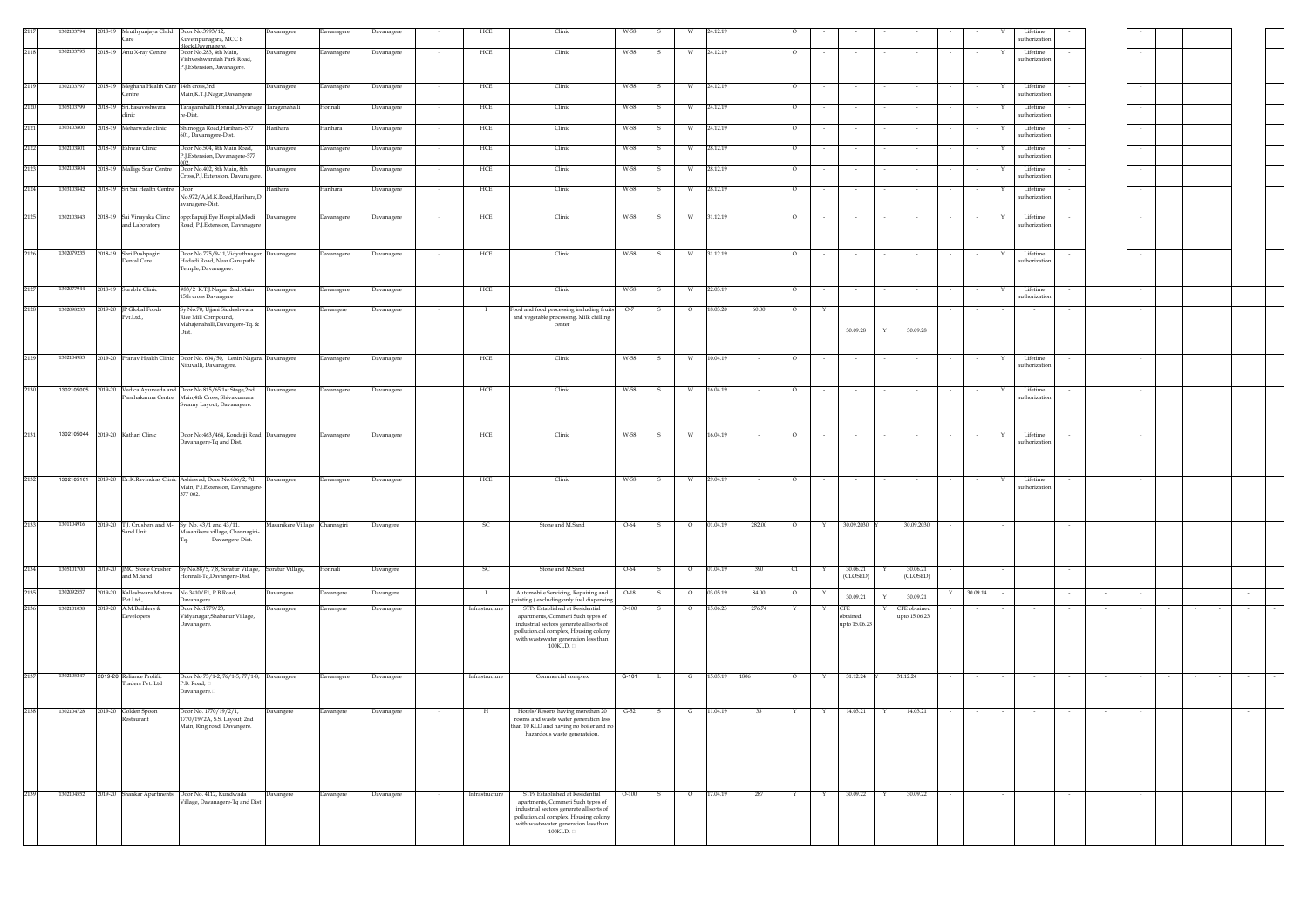|      | 1302103794 | 2018-19 Mruthyunjaya Child Door No.3993/12,<br>are | uvempunagara, MCC B                                                              | Davanagere                    | Davanagere | Davanagere | HCE            | Clinic                                                                                                                    | W-58    |               |         | 14.12.19 |        |         |   |                 |   |                               |          |   | uthorizatio               |  |  |  |
|------|------------|----------------------------------------------------|----------------------------------------------------------------------------------|-------------------------------|------------|------------|----------------|---------------------------------------------------------------------------------------------------------------------------|---------|---------------|---------|----------|--------|---------|---|-----------------|---|-------------------------------|----------|---|---------------------------|--|--|--|
| 2118 | 1302103795 | 2018-19 Anu X-ray Centre                           | <b>Block Davanagere</b><br>Door No.283, 4th Main,                                | Davanagere                    | Davanagere | Davanagere | HCE            | Clinic                                                                                                                    | W-58    | $\mathcal{S}$ | W       | 24.12.19 |        | $\circ$ |   |                 |   |                               |          |   | Lifetime                  |  |  |  |
|      |            |                                                    | 'ishveshwaraiah Park Road,<br><sup>2</sup> .J.Extension,Davanagere.              |                               |            |            |                |                                                                                                                           |         |               |         |          |        |         |   |                 |   |                               |          |   | uthorization              |  |  |  |
| 2119 | 1302103797 | 2018-19 Meghana Health Care 14th cross,3rd         |                                                                                  | Davanagere                    | Davanagere | Davanagere | HCE            | Clinic                                                                                                                    | W-58    | - S           | W       | 24.12.19 |        | $\circ$ |   |                 |   |                               |          |   | Lifetime                  |  |  |  |
|      |            | Centre                                             | Main, K.T.J.Nagar, Davangere                                                     |                               |            |            |                |                                                                                                                           |         |               |         |          |        |         |   |                 |   |                               |          |   | authorization             |  |  |  |
| 2120 | 305103799  | 2018-19 Sri.Basaveshwara                           | Taraganahalli,Honnali,Davanage Taraganahalli<br>e-Dist.                          |                               | Honnali    | Davanagere | HCE<br>$\sim$  | Clinic                                                                                                                    | W-58    | - S           | w       | 24.12.19 |        | $\circ$ |   |                 |   |                               |          |   | Lifetime<br>uthorization  |  |  |  |
| 2121 | 03103800   | 2018-19 Meharwade clinic                           | Shimogga Road, Harihara-577<br>501, Davanagere-Dist.                             | Harihara                      | Harihara   | Davanagere | HCE            | Clinic                                                                                                                    | W-58    |               | W       | 24.12.19 |        | $\circ$ |   |                 |   |                               |          |   | Lifetime<br>authorization |  |  |  |
| 2122 | 1302103801 | 2018-19 Eshwar Clinic                              | Door No.504, 4th Main Road,<br>J.Extension, Davanagere-577                       | Davanagere                    | Davanagere | Davanagere | HCE            | Clinic                                                                                                                    | W-58    |               | W       | 28.12.19 |        | $\circ$ |   |                 |   |                               |          |   | Lifetime<br>authorization |  |  |  |
| 2123 | 302103804  | 2018-19 Mallige Scan Centre                        | Door No.402, 8th Main, 8th                                                       | Davanagere                    | Davanagere | Davanagere | HCE            | Clinic                                                                                                                    | W-58    |               | W       | 28.12.19 |        | $\circ$ |   |                 |   |                               |          |   | Lifetime                  |  |  |  |
| 2124 | 1303103842 | 2018-19 Sri Sai Health Centre                      | ross, P.J. Extension, Davanagere<br>Door                                         | Harihara                      | Harihara   | Davanagere | HCE            | Clinic                                                                                                                    | W-58    | - S           | W       | 28.12.19 |        | $\circ$ |   |                 |   |                               |          |   | uthorization<br>Lifetime  |  |  |  |
|      |            |                                                    | No.972/A,M.K.Road,Harihara,D<br>vanagere-Dist.                                   |                               |            |            |                |                                                                                                                           |         |               |         |          |        |         |   |                 |   |                               |          |   | authorization             |  |  |  |
| 2125 | 1302103843 | 2018-19 Sai Vinayaka Clinic<br>and Laboratory      | opp:Bapuji Eye Hospital,Modi Davanagere<br>Road, P.J.Extension, Davanagere       |                               | Davanagere | Davanagere | HCE            | Clinic                                                                                                                    | W-58    |               | W       | 31.12.19 |        | $\circ$ |   |                 |   |                               |          |   | Lifetime<br>authorization |  |  |  |
|      |            |                                                    |                                                                                  |                               |            |            |                |                                                                                                                           |         |               |         |          |        |         |   |                 |   |                               |          |   |                           |  |  |  |
| 2126 | 1302079235 | 2018-19 Shri.Pushpagiri                            | Door No.775/9-11, Vidyuthnagar, Davanagere                                       |                               | Davanagere | Davanagere | HCE            | Clinic                                                                                                                    | W-58    |               | W       | 31.12.19 |        | $\circ$ |   |                 |   |                               |          |   | Lifetime                  |  |  |  |
|      |            | Dental Care                                        | Iadadi Road, Near Ganapathi<br>Femple, Davanagere.                               |                               |            |            |                |                                                                                                                           |         |               |         |          |        |         |   |                 |   |                               |          |   | authorization             |  |  |  |
| 2127 | 1302077944 | 2018-19 Surabhi Clinic                             | #83/2 K.T.J.Nagar. 2nd.Main                                                      | Davanagere                    | Davanagere | Davanagere | HCE            | Clinic                                                                                                                    | W-58    | $\mathbf{s}$  | W       | 22.03.19 |        | $\circ$ |   |                 |   |                               |          | Y | Lifetime                  |  |  |  |
| 2128 | 1302098233 | 2019-20 JP Global Foods                            | 5th cross Davangere<br>šy.No.70, Ujjani Siddeshwara                              | Davanagere                    | Davangere  | Davanagere | - 1            | Food and food processing including fruits                                                                                 | $O-7$   |               | $\circ$ | 18.03.20 | 60.00  | $\circ$ |   |                 |   |                               |          |   | uthorization              |  |  |  |
|      |            | Pvt.Ltd.,                                          | Rice Mill Compound,<br>Mahajenahalli, Davangere-Tq. &                            |                               |            |            |                | and vegetable processing, Milk chilling<br>center                                                                         |         |               |         |          |        |         |   |                 |   |                               |          |   |                           |  |  |  |
|      |            |                                                    | Diet.                                                                            |                               |            |            |                |                                                                                                                           |         |               |         |          |        |         |   | 30.09.28        |   | 30.09.28                      |          |   |                           |  |  |  |
| 2129 | 1302104983 | 2019-20 Pranav Health Clinic                       | Door No. 604/50, Lenin Nagara, Davanagere                                        |                               | Davanagere | Davanagere | HCE            | Clinic                                                                                                                    | W-58    |               |         | 10.04.19 |        |         |   |                 |   |                               |          |   | Lifetime                  |  |  |  |
|      |            |                                                    | lituvalli, Davanagere.                                                           |                               |            |            |                |                                                                                                                           |         |               |         |          |        |         |   |                 |   |                               |          |   | uthorization              |  |  |  |
| 2130 |            | 1302105005 2019-20 Vedica Ayurveda and             | Door No.815/65,1st Stage,2nd                                                     | Davanagere                    | Davanagere | Davanagere | HCE            | Clinic                                                                                                                    | W-58    |               | W       | 16.04.19 |        | $\circ$ |   |                 |   |                               |          |   | Lifetime                  |  |  |  |
|      |            | Panchakarma Centre                                 | Main,4th Cross, Shivakumara<br>Swamy Layout, Davanagere.                         |                               |            |            |                |                                                                                                                           |         |               |         |          |        |         |   |                 |   |                               |          |   | authorization             |  |  |  |
|      |            |                                                    |                                                                                  |                               |            |            |                |                                                                                                                           |         |               |         |          |        |         |   |                 |   |                               |          |   |                           |  |  |  |
| 2131 |            | 1302105044 2019-20 Kathari Clinic                  | Door No:463/464, Kondajji Road, Davanagere<br>Davanagere-Tq and Dist.            |                               | Davanagere | Davanagere | HCE            | Clinic                                                                                                                    | W-58    | - S           | W       | 16.04.19 | $\sim$ | $\circ$ |   |                 |   |                               |          | Y | Lifetime<br>authorization |  |  |  |
|      |            |                                                    |                                                                                  |                               |            |            |                |                                                                                                                           |         |               |         |          |        |         |   |                 |   |                               |          |   |                           |  |  |  |
| 2132 |            |                                                    | 1302105161 2019-20 Dr.K.Ravindras Clinic Ashirwad, Door No.636/2, 7th Davanagere |                               | Davanagere | Davanagere | HCE            | Clinic                                                                                                                    | W-58    | - S           | W       | 29.04.19 | $\sim$ | $\circ$ |   | $\sim$          |   | $\sim$                        |          | Y | Lifetime                  |  |  |  |
|      |            |                                                    | Main, P.J. Extension, Davanagere<br>577 002.                                     |                               |            |            |                |                                                                                                                           |         |               |         |          |        |         |   |                 |   |                               |          |   | uthorization              |  |  |  |
|      |            |                                                    |                                                                                  |                               |            |            |                |                                                                                                                           |         |               |         |          |        |         |   |                 |   |                               |          |   |                           |  |  |  |
| 2133 | 1301104916 | 2019-20 T.J. Crushers and M-<br>Sand Unit          | Sy. No. 43/1 and 43/11,<br>Aasanikere village, Channagiri-                       | Masanikere Village Channagiri |            | Davangere  | SC             | Stone and M.Sand                                                                                                          | O-64    |               | $\circ$ | 01.04.19 | 282.00 | $\circ$ |   | 30.09.2030      |   | 30.09.2030                    |          |   |                           |  |  |  |
|      |            |                                                    | Davangere-Dist.                                                                  |                               |            |            |                |                                                                                                                           |         |               |         |          |        |         |   |                 |   |                               |          |   |                           |  |  |  |
|      |            |                                                    |                                                                                  |                               |            |            |                | Stone and M.Sand                                                                                                          |         | $\mathbf{s}$  |         |          |        |         | Y | 30.06.21        |   | 30.06.21                      |          |   |                           |  |  |  |
| 2134 | 1305101700 | 2019-20 JMC Stone Crusher<br>and M.Sand            | Sy.No.88/5, 7,8, Soratur Village,<br>onnali-Tq,Davangere-Dist.                   | Soratur Village,              | Honnali    | Davangere  | SC.            |                                                                                                                           | O-64    |               | $\circ$ | 01.04.19 | 390    | C1      |   | (CLOSED)        |   | (CLOSED)                      |          |   |                           |  |  |  |
| 2135 | 1302092557 | 2019-20 Kalleshwara Motors<br>Pvt.Ltd.,            | No.3410/F1, P.B.Road,<br>avanagere                                               | Davangere                     | Davangere  | Davangere  | $\mathbf{I}$   | Automobile Servicing, Repairing and<br>inting (excluding only fuel dispensing                                             | $O-18$  | -S            | $\circ$ | 03.05.19 | 84.00  | $\circ$ |   | 30.09.21        |   | 30.09.21                      | 30.09.14 |   |                           |  |  |  |
| 2136 | 1302101038 | 2019-20 A.M.Builders &<br>Developers               | Door No.1779/23,<br>/idyanagar,Shabanur Village,                                 | Davanagere                    | Davangere  | Davanagere | Infrastructure | STPs Established at Residential<br>apartments, Commeri Such types of                                                      | $O-100$ |               | $\circ$ | 15.06.23 | 276.74 |         |   | CFF<br>obtained |   | CFE obtained<br>upto 15.06.23 |          |   |                           |  |  |  |
|      |            |                                                    | Javanagere.                                                                      |                               |            |            |                | industrial sectors generate all sorts of<br>pollution.cal complex, Housing colony                                         |         |               |         |          |        |         |   | upto 15.06.23   |   |                               |          |   |                           |  |  |  |
|      |            |                                                    |                                                                                  |                               |            |            |                | with wastewater generation less than<br>100KLD.                                                                           |         |               |         |          |        |         |   |                 |   |                               |          |   |                           |  |  |  |
|      |            |                                                    |                                                                                  |                               |            |            |                |                                                                                                                           |         |               |         |          |        |         |   |                 |   |                               |          |   |                           |  |  |  |
| 2137 | 1302105247 | 2019-20 Reliance Prolific<br>raders Pvt. Ltd       | Door No 75/1-2, 76/1-5, 77/1-8, Davanagere<br>P.B. Road,                         |                               | Davanagere | Davanagere | Infrastructure | Commercial complex                                                                                                        | $G-101$ | L.            | G       | 15.05.19 | 1806   | $\circ$ | Y | 31.12.24        |   | 31.12.24                      |          |   |                           |  |  |  |
|      |            |                                                    | Javanagere.                                                                      |                               |            |            |                |                                                                                                                           |         |               |         |          |        |         |   |                 |   |                               |          |   |                           |  |  |  |
| 2138 | 1302104728 | 2019-20 Golden Spoon                               | Door No. 1770/19/2/1,<br>770/19/2A, S.S. Layout, 2nd                             | Davangere                     | Davangere  | Davanagere | H              | Hotels/Resorts having morethan 20<br>rooms and waste water generation less                                                | $G-52$  | S             | G       | 11.04.19 | 33     | Y       | Y | 14.03.21        | Y | 14.03.21                      |          |   |                           |  |  |  |
|      |            |                                                    | Main, Ring road, Davangere.                                                      |                               |            |            |                | than 10 KLD and having no boiler and no<br>hazardous waste generateion.                                                   |         |               |         |          |        |         |   |                 |   |                               |          |   |                           |  |  |  |
|      |            |                                                    |                                                                                  |                               |            |            |                |                                                                                                                           |         |               |         |          |        |         |   |                 |   |                               |          |   |                           |  |  |  |
|      |            |                                                    |                                                                                  |                               |            |            |                |                                                                                                                           |         |               |         |          |        |         |   |                 |   |                               |          |   |                           |  |  |  |
|      |            |                                                    |                                                                                  |                               |            |            |                |                                                                                                                           |         |               |         |          |        |         |   |                 |   |                               |          |   |                           |  |  |  |
| 2139 | 1302104552 | 2019-20 Shankar Apartments                         | Door No. 4112, Kundwada<br>Village, Davanagere-Tq and Dist                       | Davangere                     | Davangere  | Davanagere | Infrastructure | STPs Established at Residential<br>apartments, Commeri Such types of                                                      | $O-100$ | - S           | $\circ$ | 17.04.19 | 287    | Y       | Y | 30.09.22        | Y | 30.09.22                      |          |   |                           |  |  |  |
|      |            |                                                    |                                                                                  |                               |            |            |                | industrial sectors generate all sorts of<br>pollution.cal complex, Housing colony<br>with wastewater generation less than |         |               |         |          |        |         |   |                 |   |                               |          |   |                           |  |  |  |
|      |            |                                                    |                                                                                  |                               |            |            |                | 100KLD.                                                                                                                   |         |               |         |          |        |         |   |                 |   |                               |          |   |                           |  |  |  |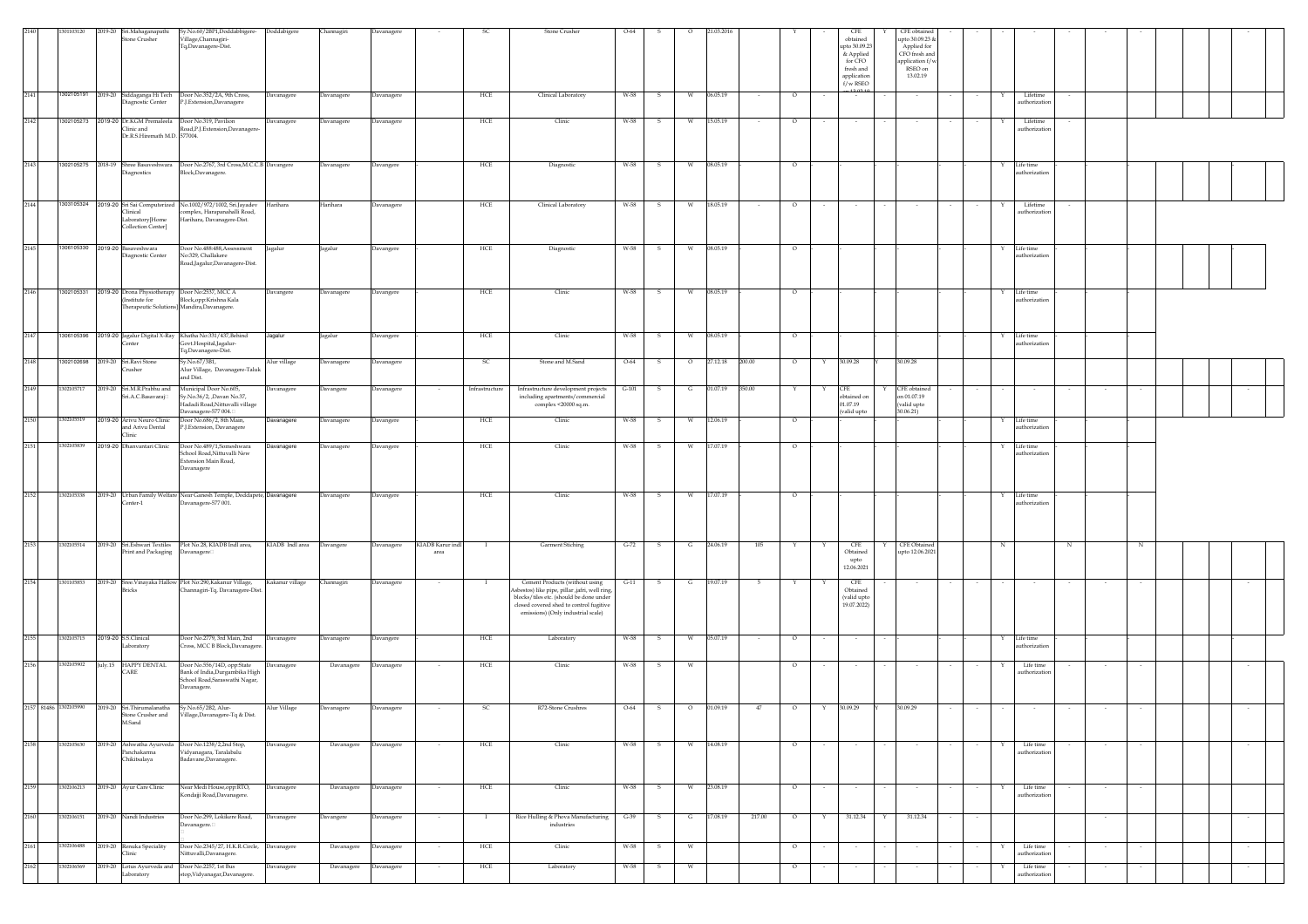| 2140 | 1301103120 |                                                                                                                                          | Sy.No.60/2BP1,Doddabbigere-                                                                                   |                   |            | Davanager         |                          |                | Stone Crusher                                                                                                                                                                                                | $O-64$  |              |           | 21.03.201 |        |         |        | CFE                                                                             |   | CFE obtained                                                                              |   |                                  |   |                          |  |        |
|------|------------|------------------------------------------------------------------------------------------------------------------------------------------|---------------------------------------------------------------------------------------------------------------|-------------------|------------|-------------------|--------------------------|----------------|--------------------------------------------------------------------------------------------------------------------------------------------------------------------------------------------------------------|---------|--------------|-----------|-----------|--------|---------|--------|---------------------------------------------------------------------------------|---|-------------------------------------------------------------------------------------------|---|----------------------------------|---|--------------------------|--|--------|
|      |            | 2019-20 Sri.Mahaganapathi<br>Stone Crusher                                                                                               | Village, Channagiri-<br>Tq,Davanagere-Dist.                                                                   | Doddabigere       | Channagiri |                   |                          |                |                                                                                                                                                                                                              |         |              |           |           |        |         |        | $obtained$<br>upto 30.09.23<br>& Applied<br>for CFO<br>fresh and<br>application |   | upto 30.09.23 &<br>Applied for<br>CFO fresh and<br>application f/v<br>RSEO on<br>13.02.19 |   |                                  |   |                          |  |        |
| 2141 |            | 1302105191 2019-20 Siddaganga Hi Tech Door No.352/2A, 9th Cross,<br>Diagnostic Center                                                    | P.J.Extension,Davanagere                                                                                      | Davanagere        | Davanagere | Davanagere        |                          | ${\rm HCE}$    | Clinical Laboratory                                                                                                                                                                                          | W-58    | $\mathbf{s}$ | ${\bf W}$ | 06.05.19  | $\sim$ | $\circ$ |        | $f/w$ RSEO<br>$\sim$                                                            |   |                                                                                           | Y | Lifetime<br>authorizatic         |   |                          |  |        |
| 2142 |            | 1302105273 2019-20 Dr.KGM Premaleela                                                                                                     | Door No.319, Pavilion                                                                                         | <b>Davanagere</b> | Davanagere | Davanagere        |                          | HCE            | Clinic                                                                                                                                                                                                       | W-58    | s.           | W         | 15.05.19  | $\sim$ | $\circ$ | $\sim$ | $\sim$                                                                          |   | $\sim$                                                                                    | Y | Lifetime                         |   |                          |  |        |
|      |            | Clinic and<br>Dr.R.S.Hiremath M.D. 577004.                                                                                               | Road, P.J. Extension, Davanagere-                                                                             |                   |            |                   |                          |                |                                                                                                                                                                                                              |         |              |           |           |        |         |        |                                                                                 |   |                                                                                           |   | authorizatio                     |   |                          |  |        |
| 2143 |            | )iagnostics                                                                                                                              | 1302105275 2018-19 Shree Basaveshwara Door No.2767, 3rd Cross, M.C.C.B Davangere<br>Block, Davanagere.        |                   | Davanagere | Davangere         |                          | HCE            | Diagnostic                                                                                                                                                                                                   | W-58    | s            | W         | 08.05.19  |        | $\circ$ |        |                                                                                 |   |                                                                                           |   | Life time<br><i>athorization</i> |   |                          |  |        |
| 2144 |            | 1303105324 2019-20 Sri Sai Computerized No.1002/972/1002, Sri Jayadev<br>Clinical<br>Laboratory <sup>[Home</sup> ]<br>Collection Center] | omplex, Harapanahalli Road,<br>Harihara, Davanagere-Dist.                                                     | Iarihara          | Harihara   | <b>Davanagere</b> |                          | HCE            | Clinical Laboratory                                                                                                                                                                                          | W-58    | S.           | W         | 18.05.19  |        | $\circ$ |        | $\sim$                                                                          |   |                                                                                           |   | Lifetime<br>authorization        |   |                          |  |        |
| 2145 |            | 1306105330 2019-20 Basaveshwara<br>Diagnostic Center                                                                                     | Door No.488:488, Assessment<br>No:329, Challakere<br>Road,Jagalur,Davanagere-Dist.                            | Jagalur           | Jagalur    | Davangere         |                          | HCE            | Diagnostic                                                                                                                                                                                                   | W-58    | s            | W         | 08.05.19  |        | $\circ$ |        |                                                                                 |   |                                                                                           | Y | Life time<br>thorizatio          |   |                          |  |        |
| 2146 |            | 1302105331 2019-20 Drona Physiotherapy Door No:2537, MCC A<br>(Institute for                                                             | Block, opp: Krishna Kala<br>Therapeutic Solutions] Mandira, Davanagere.                                       | Davangere         | Davanagere | Davangere         |                          | HCE            | Clinic                                                                                                                                                                                                       | W-58    | -S           | w         | 08.05.19  |        | $\circ$ |        |                                                                                 |   |                                                                                           | Y | Life time<br>authorization       |   |                          |  |        |
| 2147 |            | 1306105396 2019-20 Jagalur Digital X-Ray Khatha No:331/437, Behind<br>Center                                                             | Govt.Hospital,Jagalur<br>Tq,Davanagere-Dist.                                                                  | Jagalur           | Jagalur    | Davangere         |                          | HCE            | Clinic                                                                                                                                                                                                       | W-58    | S.           | W         | 08.05.19  |        | $\circ$ |        |                                                                                 |   |                                                                                           | Y | Life time<br>ıthorizatio         |   |                          |  |        |
| 2148 |            | 1302102698 2019-20 Sri.Ravi Stone<br>Crusher                                                                                             | Sy.No.67/3B1,<br>Alur Village, Davanagere-Taluk<br>and Dist.                                                  | Alur village      | Davanagere | Davanagere        |                          | SC             | Stone and M.Sand                                                                                                                                                                                             | $O-64$  | $\mathbf{s}$ | $\circ$   | 27.12.18  | 200.00 | $\circ$ | Y      | 30.09.28                                                                        |   | 30.09.28                                                                                  |   |                                  |   |                          |  |        |
| 2149 | 1302105717 | 2019-20 Sri.M.R.Prabhu and<br>Sri.A.C.Basavaraj□                                                                                         | Municipal Door No.605,<br>Sv.No.36/2. Davan No.37.<br>Hadadi Road, Nittuvalli village<br>Davanagere-577 004.  | Davanagere        | Davangere  | Davanagere        |                          | Infrastructure | Infrastructure development projects<br>including apartments/commercial<br>complex <20000 sq.m.                                                                                                               | $G-101$ | S.           | G         | 01.07.19  | 350.00 | Y       | Y      | CFE<br>obtained on<br>01.07.19<br>valid upto                                    |   | CFE obtained<br>on 01.07.19<br>(valid upto<br>30.06.21)                                   |   | $\sim$                           |   | $\sim$                   |  |        |
| 2150 | 1302105519 | 2019-20 Arivu Neuro Clinic<br>and Arivu Dental<br>Clinic                                                                                 | Door No.686/2, 8th Main,<br>P.J.Extension, Davanagere                                                         | Davanagere        | Davanagere | Davangere         |                          | HCE            | Clinic                                                                                                                                                                                                       | W-58    | S.           | W         | 12.06.19  |        | $\circ$ |        |                                                                                 |   |                                                                                           | Y | Life time<br><b>ithorizatio</b>  |   |                          |  |        |
| 2151 | 1302105839 | 2019-20 Dhanvantari Clinic                                                                                                               | Door No.489/1,Someshwara<br>School Road, Nittuvalli New<br>Extension Main Road,<br>Davanagere                 | Davanagere        | Davanagere | Davangere         |                          | HCE            | Clinic                                                                                                                                                                                                       | W-58    | $\mathbf{s}$ | W         | 17.07.19  |        | $\circ$ |        |                                                                                 |   |                                                                                           | Y | Life time<br><i>athorization</i> |   |                          |  |        |
| 2152 | 1302105338 | Center-1                                                                                                                                 | 2019-20 Urban Family Welfare Near Ganesh Temple, Doddapete, Davanagere<br>Davanagere-577 001.                 |                   | Davanagere | Davangere         |                          | ${\rm HCE}$    | Clinic                                                                                                                                                                                                       | W-58    | $\mathbf{s}$ | W         | 17.07.19  |        | $\circ$ |        |                                                                                 |   |                                                                                           | Y | Life time<br><i>athorization</i> |   |                          |  |        |
| 2153 | 1302105514 | 2019-20 Sri.Eshwari Textiles<br>Print and Packaging                                                                                      | Plot No.28, KIADB Indl area,<br>Davanagere                                                                    | KIADB Indl area   | Davangere  | avanagere         | KIADB Karur ind<br>area  |                | Garment Stiching                                                                                                                                                                                             | $G-72$  | $\mathbf{S}$ | G         | 24.06.19  | 105    |         |        | CFE<br>Obtained<br>upto<br>12.06.2021                                           |   | CFE Obtained<br>upto 12.06.2021                                                           | N |                                  | N |                          |  |        |
| 2154 | 1301105853 | 2019-20 Sree.Vinayaka Hallow Plot No:290,Kakanur Village,<br>Bricks                                                                      | Channagiri-Tq, Davanagere-Dist                                                                                | Kakanur village   | Channagiri | <b>Davanagere</b> |                          |                | Cement Products (without using<br>Asbestos) like pipe, pillar ,jafri, well ring,<br>blocks/tiles etc. (should be done under<br>closed covered shed to control fugitive<br>emissions) (Only industrial scale) | $G-11$  |              | G         | 19.07.19  |        |         |        | CFE<br>Obtained<br>(valid upto<br>19.07.2022)                                   |   |                                                                                           |   |                                  |   |                          |  |        |
| 2155 | 1302105715 | 2019-20 S.S.Clinical<br>Laboratory                                                                                                       | Door No.2779, 3rd Main, 2nd<br>Cross, MCC B Block, Davanagere                                                 | <b>Davanagere</b> | Davanagere | Davangere         |                          | HCE            | Laboratory                                                                                                                                                                                                   | W-58    | s            | W         | 05.07.19  | $\sim$ | $\circ$ |        | $\sim$                                                                          |   |                                                                                           | Y | Life time<br>uthorization        |   |                          |  |        |
| 2156 | 1302105902 | July.15 HAPPY DENTAL<br>CARE                                                                                                             | Door No.556/14D, opp:State<br>Bank of India, Durgambika High<br>School Road, Saraswathi Nagar,<br>Davanagere. | Davanagere        | Davanagere | Davanagere        |                          | HCE            | Clinic                                                                                                                                                                                                       | W-58    | s            | W         |           |        | $\circ$ |        |                                                                                 |   |                                                                                           |   | Life time<br>uthorizatio         |   |                          |  |        |
|      |            | 2157 81486 1302105990 2019-20 Sri.Thirumalanatha<br>Stone Crusher and<br>M.Sand                                                          | Sy.No.65/2B2, Alur-<br>Village, Davanagere-Tq & Dist.                                                         | Alur Village      | Davanagere | Davanagere        | $\overline{\phantom{a}}$ | SC             | R72-Stone Crushres                                                                                                                                                                                           | $O-64$  | S.           | $\circ$   | 01.09.19  | 47     | $\circ$ | Y      | 30.09.29                                                                        |   | 30.09.29                                                                                  |   |                                  |   |                          |  |        |
| 2158 | 1302105630 | 2019-20 Ashwatha Ayurveda Door No.1238/2,2nd Stop,<br>Panchakarma<br>Chikitsalaya                                                        | Vidyanagara, Taralabalu<br>Badavane, Davanagere.                                                              | <b>Javanagere</b> | Davanagere | Davanagere        |                          | HCE            | Clinic                                                                                                                                                                                                       | W-58    | s            | W         | 14.08.19  |        | $\circ$ |        | $\sim$                                                                          |   |                                                                                           |   | Life time<br>authorization       |   |                          |  | $\sim$ |
| 2159 | 1302106213 | 2019-20 Ayur Care Clinic                                                                                                                 | Near Medi House, opp: RTO,<br>Kondajji Road, Davanagere.                                                      | Davanagere        | Davanagere | Davanagere        |                          | HCE            | Clinic                                                                                                                                                                                                       | W-58    | s            | W         | 23.08.19  |        | $\circ$ |        | $\sim$                                                                          |   |                                                                                           |   | Life time<br>authorizatio        |   | $\overline{\phantom{a}}$ |  |        |
| 2160 | 1302106151 | 2019-20 Nandi Industries                                                                                                                 | Door No.299, Lokikere Road,<br>Davanagere.                                                                    | <b>Davanagere</b> | Davangere  | Davanagere        | $\sim$                   | $\mathbf{I}$   | Rice Hulling & Phova Manufacturing<br>industries                                                                                                                                                             | $G-39$  | $\mathbf{s}$ | G         | 17.08.19  | 217.00 | $\circ$ | Y      | 31.12.34                                                                        | Y | 31.12.34                                                                                  |   |                                  |   | $\sim$                   |  | $\sim$ |
| 2161 | 1302106488 | 2019-20 Renuka Speciality<br>Clinic                                                                                                      | Door No.2345/27, H.K.R.Circle, Davanagere<br>Nittuvalli, Davanagere.                                          |                   | Davanagere | Davanagere        |                          | HCE            | Clinic                                                                                                                                                                                                       | W-58    | -S           | W         |           |        | $\circ$ |        | $\sim$                                                                          |   |                                                                                           | Y | Life time<br>authorization       |   |                          |  | $\sim$ |
| 2162 | 1302106569 | 2019-20 Lotus Ayurveda and Door No.2257, 1st Bus<br>Laboratory                                                                           | stop,Vidyanagar,Davanagere.                                                                                   | Davanagere        | Davanagere | Davanagere        | $\sim$                   | HCE            | Laboratory                                                                                                                                                                                                   | W-58    | S.           | W         |           |        | $\circ$ |        | $\sim$                                                                          |   |                                                                                           | Y | Life time<br>uthorizatio         |   | $\sim$<br>$\sim$         |  | $\sim$ |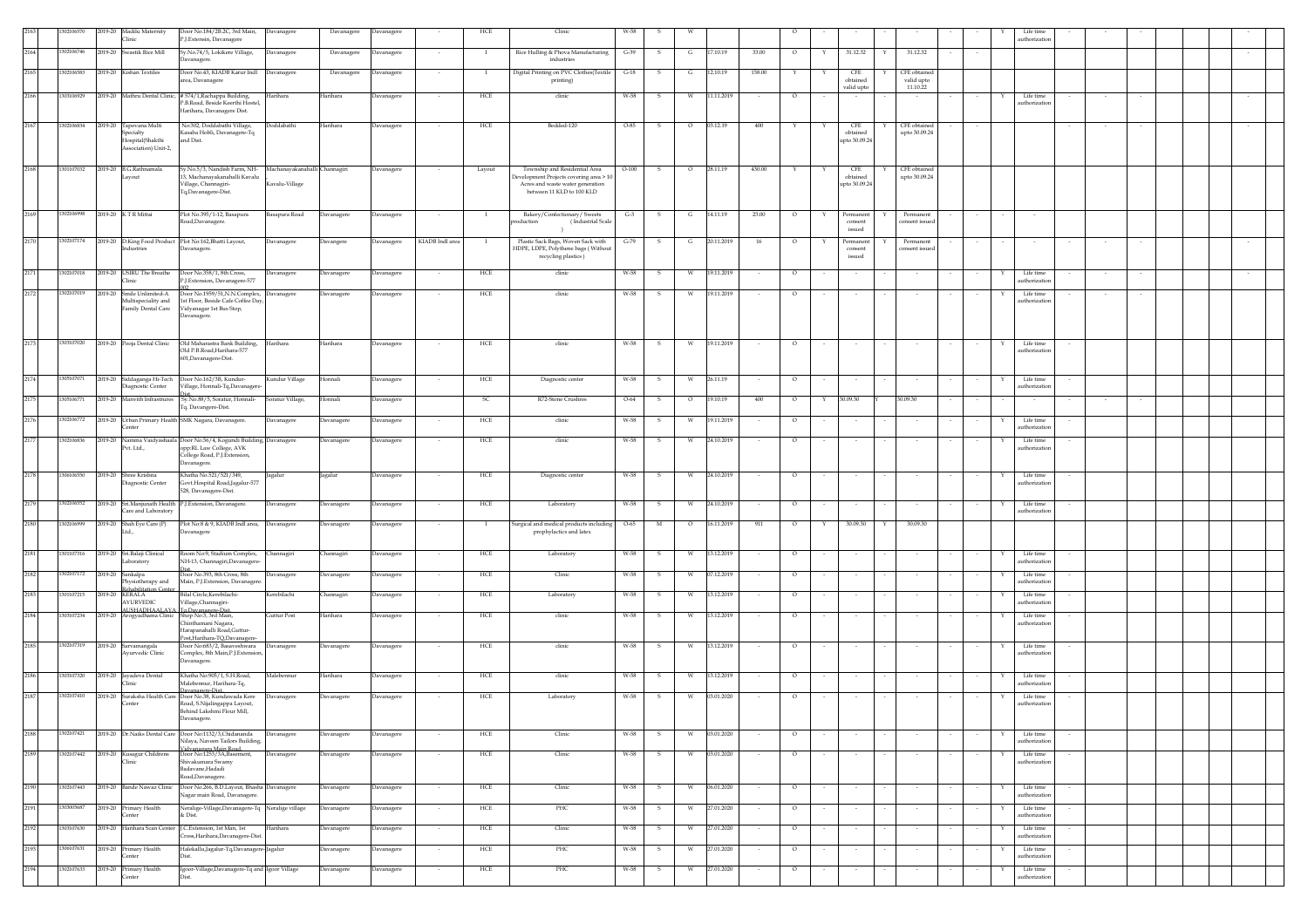|          | 02106570   | 2019-20 Madilu Maternity<br>Clinic                                               | Door No.184/2B.2C, 3rd Main, Davanagere<br><sup>2</sup> .J.Extensin, Davanagere                        |                  | Davanagere | Davanagere        |                          | HCE      | Clinic                                                                                                  | W-58    |              |         |            |        |         |             |                                |                               |   | Life time<br>authorization |        |  |  |
|----------|------------|----------------------------------------------------------------------------------|--------------------------------------------------------------------------------------------------------|------------------|------------|-------------------|--------------------------|----------|---------------------------------------------------------------------------------------------------------|---------|--------------|---------|------------|--------|---------|-------------|--------------------------------|-------------------------------|---|----------------------------|--------|--|--|
| 2164     | 02106746   | Swastik Rice Mill<br>2019-20                                                     | Sy.No.74/5, Lokikere Village,<br>avanagere                                                             | Javanagere       | Davanagere | Davanagere        | $\sim$                   | $\bf{I}$ | Rice Hulling & Phova Manufacturing<br>industries                                                        | $G-39$  | -S           | G       | 7.10.19    | 33.00  | $\circ$ | Y           | 31.12.32<br>Y                  | 31.12.32                      |   |                            |        |  |  |
| 2165     | 1302106583 | 2019-20 Kishan Textiles                                                          | Door No.43, KIADB Karur Indl Davanagere<br>rea, Davanagere                                             |                  | Davanagere | Davanagere        |                          |          | Digital Printing on PVC Clothes(Textile<br>printing)                                                    | $G-18$  | s            | G       | 12.10.19   | 158.00 |         |             | CFE<br>obtained                | CFE obtained<br>valid upto    |   |                            |        |  |  |
| 2166     | 303106929  |                                                                                  | 2019-20 Mathru Dental Clinic, #574/1, Rachappa Building,<br>Harihara                                   |                  | Harihara   | Davanagere        |                          | HCE      | clinic                                                                                                  | W-58    | s            | W       | 11.11.2019 | $\sim$ | $\circ$ |             | valid upto                     | 11.10.22                      |   | Life time                  |        |  |  |
|          |            |                                                                                  | B.Road, Beside Keerthi Hostel,<br>Harihara, Davanagere Dist.                                           |                  |            |                   |                          |          |                                                                                                         |         |              |         |            |        |         |             |                                |                               |   | authorization              |        |  |  |
| 2167     | 1302106834 | 2019-20 Tapovana Multi<br>specialty                                              | No:302, Doddabathi Village,<br>Casaba Hobli, Davanagere-Tq                                             | Doddabathi       | Harihara   | Davanagere        |                          | HCE      | Bedded-120                                                                                              | O-85    |              |         | 03.12.19   | 400    |         |             | CFE<br>obtained                | CFE obtained<br>upto 30.09.24 |   |                            |        |  |  |
|          |            | lospital(Shakthi<br>Association) Unit-2                                          | nd Dist.                                                                                               |                  |            |                   |                          |          |                                                                                                         |         |              |         |            |        |         |             | apto 30.09.24                  |                               |   |                            |        |  |  |
| 2168     | 1301107032 | 2019-20 B.G.Rathnamala                                                           | Sy.No.5/3, Nandish Farm, NH- Machanayakanahalli Channagiri                                             |                  |            | Davanagere        | $\sim$                   | Layout   | Township and Residential Area                                                                           | $O-100$ | $\mathbf{S}$ | $\circ$ | 28.11.19   | 430.00 |         | Y           | CFE                            | CFE obtained                  |   |                            |        |  |  |
|          |            | ayout                                                                            | .<br>3, Machanayakanahalli Kavalu<br>'illage, Channagiri-<br>Tq,Davanagere-Dist.                       | Kavalu-Village   |            |                   |                          |          | evelopment Projects covering area > 10<br>Acres and waste water generation<br>between 11 KLD to 100 KLD |         |              |         |            |        |         |             | obtained<br>upto 30.09.24      | upto 30.09.24                 |   |                            |        |  |  |
|          |            |                                                                                  |                                                                                                        |                  |            |                   |                          |          |                                                                                                         |         |              |         |            |        |         |             |                                |                               |   |                            |        |  |  |
| 2169     | 1302106998 | 2019-20 K T R Mittai                                                             | Plot No.395/1-12, Basapura<br>Road, Davanagere.                                                        | Basapura Road    | Davanagere | Davanagere        |                          | -1       | Bakery/Confectionary/ Sweets<br>roduction<br>(Industrial Scale<br>$\rightarrow$                         | $G-3$   | s            | G       | 14.11.19   | 23.00  | $\circ$ | $\mathbf Y$ | Permanent<br>consent<br>issued | Permanent<br>onsent issued    |   |                            |        |  |  |
| 2170     |            | 1302107174 2019-20 D.King Food Product Plot No:162, Bhatti Layout,<br>Industries | Davanagere.                                                                                            | Davanagere       | Davangere  | Davanagere        | KIADB Indl area          | - 1      | Plastic Sack Bags, Woven Sack with<br>HDPE, LDPE, Polythene bags (Without                               | $G-79$  | - S          | G       | 20.11.2019 | 16     | $\circ$ | Y           | Permanent<br>consent           | Permanent<br>consent issued   |   |                            |        |  |  |
|          |            |                                                                                  |                                                                                                        |                  |            |                   |                          |          | recycling plastics)                                                                                     |         |              |         |            |        |         |             | issued                         |                               |   |                            |        |  |  |
| 2171     | 302107018  | 2019-20 USIRU The Breathe<br><b>linic</b>                                        | Door No.358/1, 8th Cross,<br>J.Extension, Davanagere-577                                               | Davanagere       | Davanagere | Davanagere        |                          | HCE      | clinic                                                                                                  | W-58    | s            |         | 19.11.2019 |        | $\circ$ |             | $\sim$                         |                               |   | Life time<br>authorization |        |  |  |
| 2172     | 1302107019 | 2019-20 Smile Unlimited-A<br>Multispeciality and                                 | Door No.1959/51, N.N.Complex, Davanagere<br>1st Floor, Beside Cafe Coffee Day,                         |                  | Davanagere | Davanagere        |                          | HCE      | clinic                                                                                                  | W-58    | s            | W       | 19.11.2019 |        | $\circ$ |             |                                |                               |   | Life time<br>uthorizatio   |        |  |  |
|          |            | amily Dental Care                                                                | Vidyanagar 1st Bus Stop,<br>avanagere.                                                                 |                  |            |                   |                          |          |                                                                                                         |         |              |         |            |        |         |             |                                |                               |   |                            |        |  |  |
| 2173     | 1303107020 | 2019-20 Pooja Dental Clinic                                                      | Old Maharastra Bank Building,                                                                          | Harihara         | Harihara   | Davanagere        | $\sim$                   | HCE      | clinic                                                                                                  | W-58    | S.           | W       | 19.11.2019 | $\sim$ | $\circ$ |             |                                |                               | Y | Life time                  |        |  |  |
|          |            |                                                                                  | Old P.B.Road, Harihara-577<br>601, Davanagere-Dist.                                                    |                  |            |                   |                          |          |                                                                                                         |         |              |         |            |        |         |             |                                |                               |   | authorization              |        |  |  |
| 2174     | 305107071  | 2019-20 Siddaganga Hi-Tech                                                       | Door No.162/3B, Kundur-                                                                                | Kundur Village   | Honnali    | Davanagere        |                          | HCE      | Diagnostic center                                                                                       | W-58    | $\mathbf{s}$ | W       | 26.11.19   |        | $\circ$ |             |                                |                               | Y | Life time                  |        |  |  |
| 2175     | 1305106771 | Diagnostic Center                                                                | illage, Honnali-Tq,Davanage<br>2019-20 Manvith Infrastrures Sy.No.88/5, Soratur, Honnali-              | Soratur Village, | Honnali    | Davanagere        |                          | -SC      | R72-Stone Crushres                                                                                      | $O-64$  | - S          | $\circ$ | 19.10.19   | 400    | $\circ$ | Y           | 30.09.30                       | 30.09.30                      |   | uthorization<br>$\sim$     | $\sim$ |  |  |
| 2176     | 302106772  | 2019-20 Urban Primary Health SMK Nagara, Davanagere.                             | Iq. Davangere-Dist.                                                                                    | Davanagere       | Davanagere | Davanagere        |                          | HCE      | clinic                                                                                                  | W-58    | s            | W       | 19.11.2019 |        | $\circ$ |             |                                |                               |   | Life time                  |        |  |  |
|          |            | enter                                                                            |                                                                                                        |                  |            |                   |                          |          |                                                                                                         |         |              |         |            |        |         |             |                                |                               |   | authorization              |        |  |  |
| 2177     | 1302106836 | 019-20<br>Namma Vaidyashaal<br>Pvt. Ltd.,                                        | Door No.56/4, Kogundi Building, Davanagere<br>opp:RL Law College, AVK<br>College Road, P.J. Extension, |                  | Davanagere | Davanagere        |                          | HCE      | clinic                                                                                                  | W-58    |              |         | 24.10.2019 |        | $\circ$ |             |                                |                               |   | Life time<br>authorization |        |  |  |
| 2178     | 306106550  | 2019-20 Shree Krishna                                                            | avanagere.<br>hatha No.521/521/349,<br>agalur                                                          |                  | agalur     | <b>Javanagere</b> |                          | HCE      | Diagnostic center                                                                                       | W-58    | s            | W       | 24.10.2019 |        | $\circ$ |             |                                |                               |   | Life time                  |        |  |  |
|          |            | Viagnostic Center                                                                | Govt.Hospital Road,Jagalur-577<br>528, Davanagere-Dist.                                                |                  |            |                   |                          |          |                                                                                                         |         |              |         |            |        |         |             |                                |                               |   | authorization              |        |  |  |
| 2179     | 302106552  | 2019-20 Sri.Manjunath Health<br>Tare and Laboratory                              | P.J.Extension, Davanagere.                                                                             | Davanagere       | Davanagere | Davanagere        |                          | HCE      | Laboratory                                                                                              | W-58    | s            | W       | 24.10.2019 |        | $\circ$ |             | $\sim$                         |                               |   | Life time<br>authorization |        |  |  |
| 2180     | 302106999  | 2019-20 Shah Eye Care (P)<br>td.                                                 | Plot No:8 & 9, KIADB Indl area,<br>avanagere                                                           | Davanagere       | Davanagere | Davanagere        |                          |          | urgical and medical products including<br>prophylactics and latex                                       | $O-65$  | M            | $\circ$ | 16.11.2019 | 911    | $\circ$ |             | 30.09.30                       | 30.09.30                      |   |                            |        |  |  |
| 2181     | 1301107316 | 2019-20 Sri.Balaji Clinical                                                      | Room No:9, Stadium Complex,                                                                            | <b>hannagiri</b> | Channagiri | Davanagere        |                          | HCE      | Laboratory                                                                                              | W-58    |              |         | 13.12.2019 |        |         |             |                                |                               |   | Life time                  |        |  |  |
| 2182     | 1302107172 | Laboratory<br>2019-20 Sankalpa                                                   | NH-13, Channagiri, Davanagere<br>Joor No.393, 8th Cross, 8th                                           |                  |            |                   |                          | HCE      | Clinic                                                                                                  | W-58    | -S           | w       | 07.12.2019 |        | $\circ$ |             |                                |                               |   | uthorization<br>Life time  |        |  |  |
|          |            | hysiotherapy and<br>ehabilitation Cente                                          | Main, P.J. Extension, Davanager                                                                        | Davanagere       | Davanagere | Davanagere        |                          |          |                                                                                                         |         |              |         |            |        |         |             |                                |                               |   | uthorization               |        |  |  |
| 2183     | 1301107215 | 2019-20 KERALA<br><b>AYURVEDIC</b>                                               | Bilal Circle, Kerebilachi-<br>'illage.Channagiri-<br><b>USHADHAALAYA To.Davanagere-Dist</b>            | Kerebilachi      | Channagiri | Davanagere        | $\sim$                   | HCE      | Laboratory                                                                                              | W-58    | s            | W       | 13.12.2019 | $\sim$ | $\circ$ |             | $\sim$                         |                               | Y | Life time<br>authorization |        |  |  |
| 2184     | 303107234  | 2019-20 Arogyadhama Clinic                                                       | Shop No:3, 3rd Main,<br>hinthamani Nagara,<br>Jarapanahalli Road.Guttur-                               | Guttur Post      | Harihara   | Davanagere        | $\overline{\phantom{a}}$ | HCE      | clinic                                                                                                  | W-58    | s            | W       | 13.12.2019 | $\sim$ | $\circ$ |             | $\sim$                         |                               |   | Life time<br>authorization |        |  |  |
| 2185     | 302107319  | 2019-20 Sarvamangala                                                             | Post, Harihara-TQ, Davanagere-<br>Door No:683/2, Basaveshwara Davanagere                               |                  | Davanagere | Davanagere        |                          | HCE      | clinic                                                                                                  | W-58    | s            | W       | 13.12.2019 |        | $\circ$ |             |                                |                               | Y | Life time                  |        |  |  |
|          |            | Avurvedic Clinic                                                                 | Complex, 8th Main, P.J. Extension,<br>avanagere.                                                       |                  |            |                   |                          |          |                                                                                                         |         |              |         |            |        |         |             |                                |                               |   | authorization              |        |  |  |
| 2186     | 303107320  | 2019-20 Jayadeva Dental<br>linic                                                 | Khatha No:905/1, S.H.Road,<br>falebennur, Harihara-Tq,                                                 | Malebennur       | Harihara   | Davanagere        |                          | HCE      | clinic                                                                                                  | W-58    | s            |         | 13.12.2019 |        | $\circ$ |             |                                |                               |   | Life time<br>uthorizati    |        |  |  |
| $2187\,$ | 1302107410 | 2019-20<br>Suraksha Health Care<br>enter                                         | vanagere-Dist<br>Door No.38, Kundawada Kere<br>load, S.Nijalingappa Layout,                            | Davanagere       | Davanagere | Davanagere        |                          | HCE      | Laboratory                                                                                              | W-58    | s            | W       | 03.01.2020 |        | $\circ$ |             |                                |                               |   | Life time<br>uthorizatio   |        |  |  |
|          |            |                                                                                  | Behind Lakshmi Flour Mill,                                                                             |                  |            |                   |                          |          |                                                                                                         |         |              |         |            |        |         |             |                                |                               |   |                            |        |  |  |
| 2188     | 1302107421 |                                                                                  | 2019-20 Dr.Naiks Dental Care Door No:1132/3,Chidananda<br>Nilaya, Naveen Tailors Building,             | Davanagere       | Davanagere | Davanagere        |                          | HCE      | Clinic                                                                                                  | W-58    |              |         | 03.01.2020 |        | $\circ$ |             |                                |                               |   | Life time<br>authorization |        |  |  |
| 2189     | 1302107442 | 2019-20 Kusagur Childrens<br>Clinic                                              | .<br>Vanagara Main Road<br>Door No:1253/3A, Basement,<br>Shivakumara Swamy                             | Davanagere       | Davanagere | Davanagere        |                          | HCE      | Clinic                                                                                                  | W-58    | s            | W       | 03.01.2020 |        | $\circ$ |             |                                |                               |   | Life time<br>authorization |        |  |  |
|          |            |                                                                                  | adavane, Hadadi<br>Road, Davanagere.                                                                   |                  |            |                   |                          |          |                                                                                                         |         |              |         |            |        |         |             |                                |                               |   |                            |        |  |  |
| 2190     | 1302107443 | 2019-20 Bande Nawaz Clinic                                                       | Door No.266, B.D.Layout, Bhasha Davanagere<br>lagar main Road, Davanagere.                             |                  | Davanagere | Davanagere        |                          | HCE      | Clinic                                                                                                  | W-58    | s            |         | 06.01.2020 |        | $\circ$ |             |                                |                               |   | Life time<br>uthorization  |        |  |  |
| 2191     | 303005687  | 2019-20 Primary Health<br>enter                                                  | Veralige-Village, Davanagere-Tq Neralige village<br>r Dist.                                            |                  | Davanagere | Davanagere        |                          | HCE      | PHC                                                                                                     | W-58    |              | W       | 27.01.2020 |        | $\circ$ |             |                                |                               |   | Life time<br>authorization |        |  |  |
| 2192     | 1303107630 | 2019-20 Harihara Scan Center                                                     | J.C.Extension, 1st Man, 1st<br>Harihara<br>Cross, Harihara, Davanagere-Dist.                           |                  | Davanagere | Davanagere        |                          | HCE      | Clinic                                                                                                  | W-58    | -S           | W       | 27.01.2020 | $\sim$ | $\circ$ |             | $\sim$                         |                               |   | Life time<br>authorization |        |  |  |
| 2193     | 306107631  | 2019-20 Primary Health<br><b>Center</b>                                          | Ialekallu, Jagalur-Tq, Davanagere-Jagalur                                                              |                  | Davanagere | Davanagere        | $\sim$                   | HCE      | PHC                                                                                                     | W-58    | s            | W       | 27.01.2020 | $\sim$ | $\circ$ |             | $\sim$                         | $\sim$                        | ¥ | Life time<br>authorization |        |  |  |
| 2194     | 1302107633 | 2019-20 Primary Health<br>Center                                                 | Igoor-Village, Davanagere-Tq and Igoor Village                                                         |                  | Davanagere | Davanagere        | $\sim$                   | HCE      | PHC                                                                                                     | W-58    | s            | W       | 27.01.2020 | $\sim$ | $\circ$ |             | $\sim$                         |                               |   | Life time<br>authorization |        |  |  |
|          |            |                                                                                  |                                                                                                        |                  |            |                   |                          |          |                                                                                                         |         |              |         |            |        |         |             |                                |                               |   |                            |        |  |  |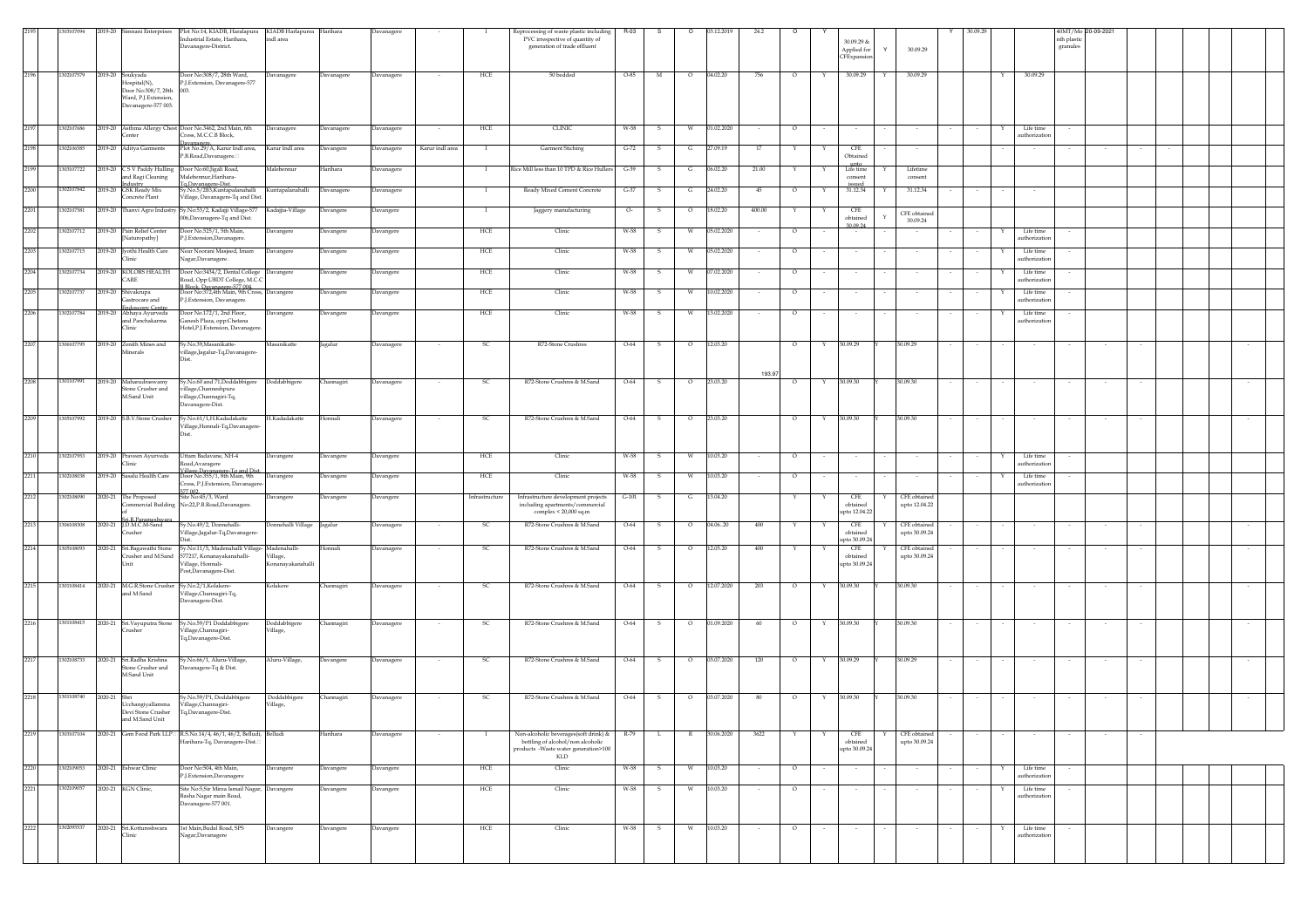|      | 303107094  | 2019-20      | imnani Enterprises                                                                                     | Plot No:14, KIADB, Haralapura KIADB Harlapurea Harihara<br>Industrial Estate, Harihara,<br>Davanagere-District. | indl area                     |                   | Davanagere       |                 |                | Reprocessing of waste plastic including<br>PVC irrespective of quantity of<br>generation of trade effluent                | R-03    | s            | 13.12.2019<br>$\circ$ |                      | 24.2   |                   | CFExpansi | 30.09.29 &<br>Applied for               | 30.09.29                      |        |   |                            | 40MT/Mo 20-09-2021<br>nth plastic<br>granules |        |  |        |  |
|------|------------|--------------|--------------------------------------------------------------------------------------------------------|-----------------------------------------------------------------------------------------------------------------|-------------------------------|-------------------|------------------|-----------------|----------------|---------------------------------------------------------------------------------------------------------------------------|---------|--------------|-----------------------|----------------------|--------|-------------------|-----------|-----------------------------------------|-------------------------------|--------|---|----------------------------|-----------------------------------------------|--------|--|--------|--|
| 2196 | 1302107579 |              | 2019-20 Soukyada<br>lospital(N),<br>Door No:308/7, 28th<br>Ward, P.J.Extension,<br>Davanagere-577 003. | Door No:308/7, 28th Ward,<br>P.J.Extension, Davanagere-577                                                      | Davanagere                    | Davanagere        | Davanagere       |                 | HCE            | 50 bedded                                                                                                                 | O-85    | M            | $\circ$<br>04.02.20   |                      | 756    | $\circ$           |           | 30.09.29                                | 30.09.29                      |        |   | 30.09.29                   |                                               |        |  |        |  |
| 2197 | 1302107686 |              | enter                                                                                                  | 2019-20 Asthma Allergy Chest Door No.3462, 2nd Main, 6th<br>Tross, M.C.C.B Block.                               | Davanagere                    | Davanagere        | Davanagere       |                 | HCE            | <b>CLINIC</b>                                                                                                             | W-58    | S.           | W                     | 01.02.2020<br>$\sim$ |        | $\circ$           |           |                                         |                               |        | Y | Life time<br>uthorization  |                                               |        |  |        |  |
| 2198 | 1302106585 |              | 2019-20 Aditya Garments                                                                                | Plot No.29/A, Karur Indl area,<br>P.B.Road,Davanagere.                                                          | Karur Indl area               | Davangere         | Davanagere       | Karur indl area | $\mathbf{I}$   | <b>Garment Stiching</b>                                                                                                   | $G-72$  | S.           | 27.09.19<br>G         |                      | 17     | Y<br>Y            |           | CFE<br>Obtained                         |                               |        |   |                            |                                               |        |  |        |  |
| 2199 | 303107722  |              | 2019-20 CSV Paddy Hulling<br>and Ragi Cleaning                                                         | Door No:60, Jigali Road,<br>Malebennur-Haribara-                                                                | Malebennur                    | Iarihara          | Davanagere       |                 | $\mathbf{I}$   | Rice Mill less than 10 TPD & Rice Hullers                                                                                 | $G-39$  | -S           | 06.02.20<br>G         |                      | 21.00  | Y<br>Y            |           | upto<br>Life time<br>Y<br>consent       | Lifetime<br>consent           |        |   |                            |                                               |        |  |        |  |
| 2200 | 1302107842 |              | ndustry<br>2019-20 GSK Ready Mix<br>Concrete Plant                                                     | G.Davanagere-Dist<br>Sy.No.5/2B3, Kuntapalanahalli<br>Village, Davanagere-Tq and Dist.                          | Kuntapalanahalli              | Davanagere        | Davanagere       |                 |                | Ready Mixed Cement Concrete                                                                                               | $G-37$  |              | 24.02.20<br>G         |                      | 45     | $\circ$           |           | issued<br>31.12.34                      | 31.12.34                      |        |   |                            |                                               |        |  |        |  |
| 2201 | 1302107581 |              | 2019-20 Thanvi Agro Industry                                                                           | Sy.No:53/2, Kadajji Village-577<br>006, Davanagere-Tq and Dist.                                                 | Kadajjia-Village              | lavangere         | Davanger         |                 |                | Jaggery manufacturing                                                                                                     | о.      |              | 18.02.20<br>$\circ$   | 400.00               |        |                   |           | <b>CFE</b><br>obtained                  | CFE obtained                  |        |   |                            |                                               |        |  |        |  |
| 2202 | 1302107712 |              | 2019-20 Pain Relief Center<br>Jaturopathy]                                                             | Door No.525/1, 5th Main.<br>P.J.Extension,Davanagere.                                                           | Davangere                     | Davangere         | Davangere        |                 | HCE            | Clinic                                                                                                                    | W-58    | -S           | 05.02.2020<br>W       |                      |        | $\circ$           |           | 30.09.24                                | 30.09.24                      |        |   | Life time<br>uthorization  |                                               |        |  |        |  |
| 2203 | 1302107715 |              | 2019-20 Jyothi Health Care<br>linic                                                                    | Near Noorani Masjeed, Imam<br>Vagar, Davanagere.                                                                | Davangere                     | Davangere         | Davangere        |                 | HCE            | Clinic                                                                                                                    | W-58    | -S           | 05.02.2020<br>W       |                      | $\sim$ | $\circ$<br>$\sim$ |           | $\sim$                                  | $\sim$                        |        | Y | Life time<br>authorization |                                               |        |  |        |  |
| 2204 | 1302107734 |              | 2019-20 KOLORS HEALTH<br>CARE                                                                          | Door No:3434/2, Dental College Davangere<br>Road, Opp:UBDT College, M.C.C.                                      |                               | <b>Davangere</b>  | Davangere        |                 | HCE            | Clinic                                                                                                                    | W-58    | -S           | 07.02.2020<br>W       |                      | $\sim$ | $\circ$           |           | $\sim$                                  |                               |        | Y | Life time<br>authorization |                                               |        |  |        |  |
| 2205 | 1302107737 |              | 2019-20 Shivakrupa                                                                                     | B Block, Davanagere-577 004.<br>Door No:372,4th Main, 9th Cross, Davangere                                      |                               | <b>Davangere</b>  | Davangere        |                 | HCE            | Clinic                                                                                                                    | W-58    | s            | 10.02.2020<br>W       |                      |        | $\circ$           |           |                                         |                               |        | Y | Life time                  |                                               |        |  |        |  |
| 2206 | 1302107784 |              | astrocare and<br>doscony Cent<br>2019-20 Abhaya Ayurveda                                               | <sup>2</sup> .J.Extension, Davanagere.<br>Door No.172/1, 2nd Floor,                                             | Davangere                     | Davangere         | Davangere        |                 | HCE            | Clinic                                                                                                                    | W-58    | s            | 13.02.2020<br>W       |                      |        | $\circ$           |           |                                         |                               |        |   | authorization<br>Life time |                                               |        |  |        |  |
|      |            |              | and Panchakarma<br>linic                                                                               | ianesh Plaza, opp:Chetana<br>Hotel,P.J.Extension, Davanagere.                                                   |                               |                   |                  |                 |                |                                                                                                                           |         |              |                       |                      |        |                   |           |                                         |                               |        |   | authorization              |                                               |        |  |        |  |
| 2207 | 1306107795 |              | 2019-20 Zenith Mines and<br>Minerals                                                                   | Sy.No.39,Masanikatte-<br>village,Jagalur-Tq,Davanagere-                                                         | Masanikatte                   | Jagalur           | Davanagere       |                 | SC.            | R72-Stone Crushres                                                                                                        | $O-64$  | $\mathbf{s}$ | 12.03.20<br>$\circ$   |                      | 193.97 | $\circ$<br>Y      | 30.09.29  |                                         | 30.09.29                      | $\sim$ |   | $\sim$                     |                                               | $\sim$ |  | $\sim$ |  |
| 2208 | 1301107991 |              | 2019-20 Maharudraswamy<br>Stone Crusher and<br>M.Sand Unit                                             | y.No.60 and 71,Doddabbigere  Doddabbigere<br>illage,Channeshpura<br>village,Channagiri-Tq,<br>Davanagere-Dist.  |                               | Channagiri        | Davanagere       |                 | -SC            | R72-Stone Crushres & M.Sand                                                                                               | $O-64$  | S            | 23.03.20<br>$\circ$   |                      |        | $\circ$<br>Y      | 30.09.30  |                                         | 30.09.30                      |        |   |                            |                                               |        |  |        |  |
| 2209 | 1305107992 |              | 2019-20 S.B.V.Stone Crusher                                                                            | Sy.No.61/1,H.Kadadakatte<br>Village, Honnali-Tq, Davanagere-                                                    | H.Kadadakatte                 | Honnali           | Davanagere       |                 | <sub>SC</sub>  | R72-Stone Crushres & M.Sand                                                                                               | $O-64$  | $\mathbf{s}$ | 23.03.20<br>$\circ$   |                      |        | $\circ$<br>Y      | 30.09.30  |                                         | 30.09.30                      |        |   |                            |                                               |        |  |        |  |
| 2210 | 1302107953 |              | 2019-20 Praveen Ayurveda<br><b>Hinic</b>                                                               | Uttam Badavane, NH-4<br>Road, Avaragere                                                                         | Davangere                     | Davangere         | Davangere        |                 | $HCE$          | Clinic                                                                                                                    | W-58    | $\mathbf{s}$ | W<br>10.03.20         | $\sim$               |        | $\circ$           |           | $\sim$                                  |                               |        | Y | Life time<br>authorization |                                               |        |  |        |  |
| 2211 | 1302108038 | 2019-20      | asalu Health Care                                                                                      | /illage.Davanagere-To and Dist.<br>Joor No.355/1, 8th Main, 9th<br>ross, P.J. Extension, Davanager              | Davangere                     | Javangere         | <b>Davangere</b> |                 | HCE            | Clinic                                                                                                                    | W-58    | s            | 10.03.20<br>W         |                      |        | $\circ$           |           |                                         |                               |        |   | Life time<br>authorization |                                               |        |  |        |  |
| 2212 | 1302108090 |              | 2020-21 The Proposed<br>ommercial Building                                                             | 77.002<br>Site No:45/3, Ward<br>No:22,P.B.Road,Davanagere.                                                      | Davangere                     | Davangere         | Davangere        |                 | Infrastructure | Infrastructure development projects<br>including apartments/commercial                                                    | $G-101$ | S.           | G<br>13.04.20         |                      |        |                   |           | CFE<br>obtained                         | CFE obtained<br>upto 12.04.22 |        |   |                            |                                               |        |  |        |  |
| 2213 | 1306108308 |              | i R Par<br>2020-21 J.D.M.C.M-Sand<br>rusher                                                            | Sy.No.49/2, Donnehalli-<br>/illage,Jagalur-Tq,Davanagere                                                        | Donnehalli Village            | Jagalur           | Davanagere       |                 | SC             | complex < $20,000$ sq.m<br>R72-Stone Crushres & M.Sand                                                                    | $O-64$  | s            | $\circ$<br>04.0620    |                      | 400    |                   |           | upto 12.04.22<br><b>CFE</b><br>obtained | CFE obtained<br>upto 30.09.24 |        |   |                            |                                               |        |  |        |  |
| 2214 | 1305108093 |              | 2020-21 Sri.Bagawathi Stone                                                                            | Sy.No:11/5, Madenahalli Village-Madenahalli-                                                                    |                               | Honnali           | Davanagere       |                 | SC             | R72-Stone Crushres & M.Sand                                                                                               | $O-64$  | s            | 12.05.20<br>$\circ$   |                      | 400    |                   |           | upto 30.09.24<br>CFE                    | CFE obtained                  |        |   |                            |                                               |        |  |        |  |
|      |            |              | Crusher and M.Sand<br>Init                                                                             | 577217, Konanayakanahalli-<br>/illage, Honnali-<br>Post,Davanagere-Dist.                                        | Village,<br>Konanayakanahalli |                   |                  |                 |                |                                                                                                                           |         |              |                       |                      |        |                   |           | obtained<br>upto 30.09.2                | upto 30.09.24                 |        |   |                            |                                               |        |  |        |  |
| 2215 |            |              | 1301108414 2020-21 M.G.R.Stone Crusher<br>and M.Sand                                                   | Sy.No.2/1,Kolakere-<br>Village, Channagiri-Tq,<br>Davanagere-Dist.                                              | Kolakere                      | <b>hannagiri</b>  | Davanagere       |                 | <sub>SC</sub>  | R72-Stone Crushres & M.Sand                                                                                               | $O-64$  | s            | 12.07.2020<br>$\circ$ | 203                  |        | $\circ$<br>Y      | 30.09.30  |                                         | 30.09.30                      |        |   |                            |                                               |        |  |        |  |
| 2216 | 1301108415 |              | 2020-21 Sri.Vayuputra Stone<br>rusher                                                                  | Sy.No.59/P1 Doddabbigere<br>illage,Channagiri-<br>Tq,Davanagere-Dist.                                           | Doddabbigere<br>Village,      | <b>Channagiri</b> | Davanagere       |                 | <sub>SC</sub>  | R72-Stone Crushres & M.Sand                                                                                               | $O-64$  | $\mathbf{s}$ | 01.09.2020<br>$\circ$ |                      | 60     | $\circ$<br>Y      | 30.09.30  |                                         | 30.09.30                      |        |   |                            |                                               | $\sim$ |  | $\sim$ |  |
| 2217 | 1302108733 |              | 2020-21 Sri.Radha Krishna<br>itone Crusher and<br>M.Sand Unit                                          | Sy.No.66/1, Aluru-Village,<br>Davanagere-Tq & Dist.                                                             | Aluru-Village,                | Davangere         | Davanagere       |                 | SC             | R72-Stone Crushres & M.Sand                                                                                               | $O-64$  | S            | $\circ$<br>03.07.2020 | 120                  |        | $\circ$<br>Y      | 30.09.29  |                                         | 30.09.29                      |        |   |                            |                                               |        |  |        |  |
| 2218 | 1301108740 | 2020-21 Shri | cchangiyallamma<br>Devi Stone Crusher<br>and M.Sand Unit                                               | Sy.No.59/P1, Doddabbigere<br>Village, Channagiri-<br>Tq,Davanagere-Dist.                                        | Doddabbigere<br>/illage,      | <b>Channagiri</b> | Davanagere       |                 | <sub>SC</sub>  | R72-Stone Crushres & M.Sand                                                                                               | $O-64$  | S.           | $\circ$<br>03.07.2020 |                      | 80     | $\circ$           | 30.09.30  |                                         | 30.09.30                      |        |   |                            |                                               |        |  |        |  |
| 2219 | 1303107104 |              |                                                                                                        | 2020-21 Gem Food Park LLP RS.No.14/4, 46/1, 46/2, Belludi, Belludi<br>Harihara-Tq, Davanagere-Dist.             |                               | Harihara          | Davanagere       |                 | $\mathbf{I}$   | Non-alcoholic beverages(soft drink) &<br>bottling of alcohol/non alcoholic<br>products -Waste water generation>100<br>KLD | R-79    | L.           | R                     | 30.06.2020           | 3622   | Y                 |           | CFE<br>obtained<br>upto 30.09.24        | CFE obtained<br>upto 30.09.24 |        |   |                            |                                               |        |  |        |  |
| 2220 | 1302109053 |              | 2020-21 Eshwar Clinic                                                                                  | Door No:504, 4th Main,<br>P.I.Extension,Davanagere                                                              | Davangere                     | Davangere         | Davangere        |                 | HCE            | Clinic                                                                                                                    | W-58    | -S           | 10.03.20<br>W         |                      |        | $\circ$           |           | $\sim$                                  |                               |        | Y | Life time<br>authorization |                                               |        |  |        |  |
| 2221 | 1302109057 |              | 2020-21 KGN Clinic,                                                                                    | Site No:5,Sir Mirza Ismail Nagar, Davangere<br>Basha Nagar main Road,<br>Davanagere-577 001.                    |                               | Javangere         | Davangere        |                 | HCE            | Clinic                                                                                                                    | W-58    | 5            | 10.03.20<br>W         |                      |        | $\circ$           |           |                                         |                               |        |   | Life time<br>authorization |                                               |        |  |        |  |
| 2222 | 1302095537 |              | 2020-21 Sri.Kottureshwara<br>linic                                                                     | 1st Main, Budal Road, SPS<br>Vagar, Davanagere                                                                  | Davangere                     | Davangere         | Davangere        |                 | ${\rm HCE}$    | Clinic                                                                                                                    | W-58    | S.           | 10.03.20<br>W         |                      |        | $\circ$           |           |                                         |                               |        | Y | Life time<br>uthorization  |                                               |        |  |        |  |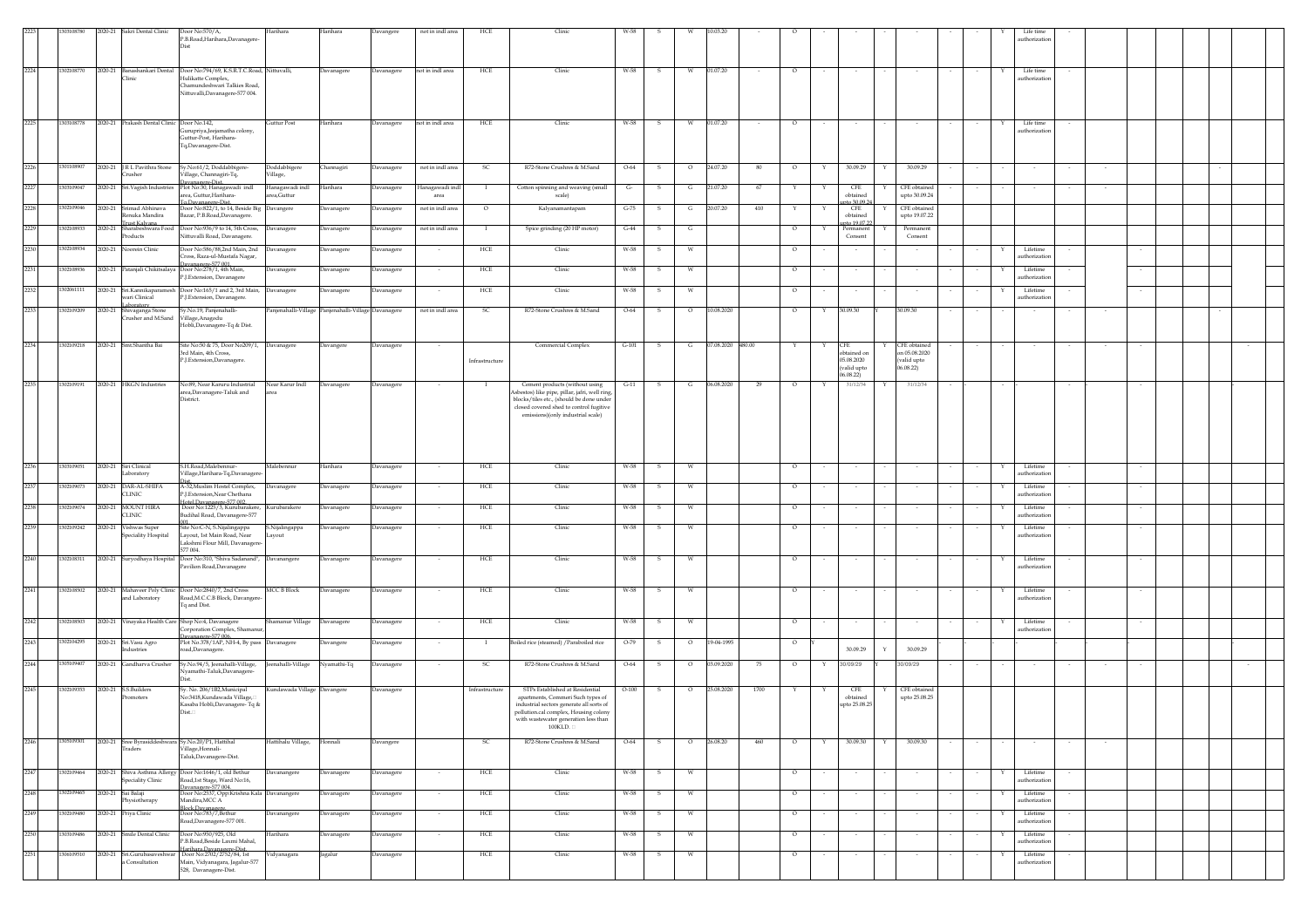|      |            |         | 2020-21 Sakri Dental Clinic                       | Door No:570/A,<br>P.B.Road, Harihara, Davanagere-<br>Dist                                                                            | Harihara                                             | Harihara    | Davangere  | not in indl area         | HCE            | Clinic                                                                                                                                                                                                       | W-58    |              |         |                   |      |         |   |                                                                     |            |                                            |        |   | Life time<br>uthorization |  |        |  |  |
|------|------------|---------|---------------------------------------------------|--------------------------------------------------------------------------------------------------------------------------------------|------------------------------------------------------|-------------|------------|--------------------------|----------------|--------------------------------------------------------------------------------------------------------------------------------------------------------------------------------------------------------------|---------|--------------|---------|-------------------|------|---------|---|---------------------------------------------------------------------|------------|--------------------------------------------|--------|---|---------------------------|--|--------|--|--|
| 2224 | 1302108770 |         | 2020-21 Banashankari Dental<br>Clinic             | Door No:794/69, K.S.R.T.C.Road, Nittuvalli,<br>Hulikatte Complex,<br>Chamundeshwari Talkies Road,<br>Nittuvalli, Davanagere-577 004. |                                                      | Davanagere  | Davanagere | not in indl area         | HCE            | Clinic                                                                                                                                                                                                       | W-58    |              |         | 01.07.20          |      |         |   |                                                                     |            |                                            |        |   | Life time<br>uthorizatio  |  |        |  |  |
| 2225 | 1303108778 |         | 2020-21 Prakash Dental Clinic Door No.142.        | urupriya,Jeejamatha colony,<br>Guttur-Post, Harihara-<br>Tq,Davanagere-Dist.                                                         | Guttur Post                                          | Harihara    | Davanagere | not in indl area         | HCE            | Clinic                                                                                                                                                                                                       | W-58    | -S           | W       | 01.07.20          |      | $\circ$ |   |                                                                     |            |                                            |        |   | Life time<br>uthorization |  |        |  |  |
| 2226 | 1301108907 |         | 2020-21 J R L Pavithra Stone<br>Crusher           | Sy.No:61/2, Doddabbigere-<br>Village, Channagiri-Tq,                                                                                 | Doddabbigere<br>/illage,                             | Channagiri  | Davanagere | not in indl area         | - SC           | R72-Stone Crushres & M.Sand                                                                                                                                                                                  | $O-64$  | $\mathbf{s}$ | $\circ$ | 24.07.20          | 80   | $\circ$ | Y | 30.09.29                                                            | Y          | 30.09.29                                   | $\sim$ |   |                           |  |        |  |  |
| 2227 | 1303109047 |         | 2020-21 Sri. Vagish Industries                    | Davanagere-Dist.<br>Plot No:30, Hanagawadi indl<br>rea, Guttur, Harihara-<br>To.Davanagere-Dist.                                     | Hanagawadi indl<br>rea.Guttur                        | Harihara    | Davanagere | anagawadi ind<br>area    |                | Cotton spinning and weaving (small<br>scale)                                                                                                                                                                 | $G$ -   | -S           | G       | 21.07.20          | 67   |         |   | <b>CFE</b><br>obtained<br>to 30.09.2                                |            | CFE obtained<br>upto 30.09.24              |        |   |                           |  |        |  |  |
| 2228 | 1302109046 | 2020-21 | Srimad Abhinava<br>Renuka Mandira<br>rust Kalvana | Door No:822/1, to 14, Beside Big<br>Bazar, P.B.Road, Davanagere.                                                                     | Davangere                                            | Davanagere  | Davanagere | not in indl area         | $\circ$        | Kalyanamantapam                                                                                                                                                                                              | $G-75$  |              | G       | 20.07.20          | 410  |         |   | CFE<br>obtained<br>to 19.07                                         |            | CFE obtained<br>upto 19.07.22              |        |   |                           |  |        |  |  |
| 2229 | 1302108933 |         | Products                                          | 2020-21 Sharabeshwara Food Door No:936/9 to 14, 5th Cross,<br>Nittuvalli Road, Davanagere.                                           | Davanagere                                           | Davanagere  | Davanagere | not in indl area         |                | Spice grinding (20 HP motor)                                                                                                                                                                                 | $G-44$  |              |         |                   |      | $\circ$ |   | Consent                                                             |            | Permanent<br>Consent                       |        |   |                           |  |        |  |  |
| 2230 | 1302108934 |         | 2020-21 Noorein Clinic                            | Door No:586/88.2nd Main, 2nd<br>Cross, Raza-ul-Mustafa Nagar,                                                                        | Davanagere                                           | Davanagere  | Davanagere | $\sim$                   | HCE            | Clinic                                                                                                                                                                                                       | W-58    | -S           |         |                   |      | $\circ$ |   | $\sim$                                                              |            | $\sim$                                     |        |   | Lifetime<br>athorizatio   |  |        |  |  |
| 2231 | 1302108936 |         |                                                   | Davanagere-577 001<br>2020-21 Patanjali Chikitsalaya Door No:278/1, 4th Main,<br>P.J.Extension, Davanagere                           | Davanagere                                           | Davanagere  | Davanagere | $\overline{\phantom{a}}$ | HCE            | Clinic                                                                                                                                                                                                       | W-58    | -S           | W       |                   |      | $\circ$ |   | $\sim$                                                              |            |                                            |        | Y | Lifetime<br>uthorization  |  |        |  |  |
| 2232 | 302061111  |         | wari Clinical<br>aboratory                        | 2020-21 Sri.Kannikaparamesh Door No:165/1 and 2, 3rd Main,<br>P.J.Extension, Davanagere.                                             | Davanagere                                           | Davanagere  | Davanagere | $\sim$                   | HCE            | Clinic                                                                                                                                                                                                       | W-58    | -S           | W       |                   |      | $\circ$ |   | $\sim$                                                              |            | $\sim$                                     |        |   | Lifetime<br>uthorizatio   |  | $\sim$ |  |  |
| 2233 | 1302109209 |         | 2020-21 Shivaganga Stone<br>Crusher and M.Sand    | Sy.No.19, Panjenahalli-<br>Village, Anagodu<br>Hobli, Davanagere-Tq & Dist.                                                          | Panjenahalli-Village Panjenahalli-Village Davanagere |             |            | not in indl area         | <sub>SC</sub>  | R72-Stone Crushres & M.Sand                                                                                                                                                                                  | $O-64$  | s            | $\circ$ | 10.08.2020        |      | $\circ$ |   | 30.09.30                                                            | 30.09.30   |                                            |        |   |                           |  |        |  |  |
| 2234 | 1302109218 |         | 2020-21 Smt.Shantha Bai                           | Site No:50 & 75, Door No209/1, Davanagere<br>3rd Main, 4th Cross,<br>P.J.Extension,Davanagere.                                       |                                                      | Davangere   | Davanagere |                          | Infrastructure | Commercial Complex                                                                                                                                                                                           | $G-101$ | s            | G       | 07.08.2020 480.00 |      | Y       | Y | ${\rm CFE}$<br>obtained or<br>05.08.2020<br>(valid upto<br>06.08.22 | (06.08.22) | CFE obtained<br>n 05.08.2020<br>valid upto |        |   |                           |  |        |  |  |
| 2235 | 1302109191 |         | 2020-21 HKGN Industries                           | No:89, Near Karuru Industrial<br>rea,Davanagere-Taluk and<br>District.                                                               | Near Karur Indl                                      | Davanagere  | Davanagere | $\sim$                   | $\mathbf{I}$   | Cement products (without using<br>sbestos) like pipe, pillar, jafri, well ring,<br>blocks/tiles etc., (should be done under<br>closed covered shed to control fugitive<br>emissions)(only industrial scale)  | $G-11$  | $\mathbf{s}$ | G       | 06.08.2020        | 29   | $\circ$ | Y | 31/12/34                                                            |            | 31/12/34                                   |        |   |                           |  |        |  |  |
| 2236 | 1303109051 |         | 2020-21 Siri Clinical<br>Laboratory               | S.H.Road, Malebennur-<br>Village, Harihara-Tq, Davanager                                                                             | Malebennur                                           | Harihara    | Davanagere |                          | HCE            | Clinic                                                                                                                                                                                                       | W-58    | S            | W       |                   |      | $\circ$ |   | $\sim$                                                              |            |                                            |        | Υ | Lifetime<br>uthorizatio   |  |        |  |  |
| 2237 | 1302109073 |         | 2020-21 DAR-AL-SHIFA<br>CLINIC                    | A-32, Muslim Hostel Complex,<br>P.J.Extension, Near Chethana                                                                         | <b>Davanagere</b>                                    | Davanagere  | Davanagere |                          | HCE            | Clinic                                                                                                                                                                                                       | W-58    |              | W       |                   |      | $\circ$ |   |                                                                     |            |                                            |        |   | Lifetim<br>uthorizatio    |  |        |  |  |
| 2238 | 1302109074 |         | 2020-21 MOUNT HIRA<br><b>CLINIC</b>               | Hotel.Davanagere-577 002.<br>Door No:1225/3, Kurubarakere,<br>Budihal Road, Davanagere-577                                           | Kurubarakere                                         | Davanagere  | Davanagere |                          | HCE            | Clinic                                                                                                                                                                                                       | W-58    | -S           |         |                   |      | $\circ$ |   |                                                                     |            |                                            |        |   | Lifetime<br>uthorizatio   |  |        |  |  |
| 2239 | 1302109242 |         | 2020-21 Vishwas Super<br>peciality Hospital       | <br>Site No:C-N, S.Nijalingappa<br>Lavout, 1st Main Road, Near<br>Lakshmi Flour Mill, Davanagere<br>577 004.                         | 5.Nijalingappa<br>Lavout                             | Davanagere  | Davanagere |                          | HCE            | Clinic                                                                                                                                                                                                       | W-58    | 5            |         |                   |      | $\circ$ |   |                                                                     |            |                                            |        |   | Lifetime<br>uthorizatio   |  |        |  |  |
| 2240 | 1302108311 |         |                                                   | 2020-21 Suryodhaya Hospital Door No:310, 'Shiva Sadanand', Davanangere<br>Pavilion Road, Davanagere                                  |                                                      | Davanagere  | Davanagere |                          | HCE            | Clinic                                                                                                                                                                                                       | W-58    | s            | W       |                   |      | $\circ$ |   |                                                                     |            |                                            |        |   | Lifetime<br>uthorizatio   |  |        |  |  |
| 2241 | 1302108502 |         | 2020-21 Mahaveer Poly Clinic<br>and Laboratory    | Door No:2840/7, 2nd Cross<br>Road, M.C.C.B Block, Davangere<br>Tq and Dist.                                                          | <b>MCC B Block</b>                                   | Davanagere  | Davanagere |                          | HCE            | Clinic                                                                                                                                                                                                       | W-58    | -S           |         |                   |      | $\circ$ |   |                                                                     |            |                                            |        |   | Lifetime<br>uthorization  |  |        |  |  |
| 2242 | 1302108503 |         |                                                   | 2020-21 Vinayaka Health Care Shop No:4, Davanagere<br>orporation Complex, Shama                                                      | hamanur Village                                      | Davanagere  | Davanagere |                          | HCE            | Clinic                                                                                                                                                                                                       | W-58    | $\mathbf{s}$ | W       |                   |      | $\circ$ |   |                                                                     |            |                                            |        |   | Lifetime<br>athorizatio   |  |        |  |  |
| 2243 | 1302104295 |         | 2020-21 Sri.Vasu Agro<br>Industries               | Davanagere-577 006.<br>Plot No.378/1AP, NH-4, By pass Davanagere<br>oad,Davanagere.                                                  |                                                      | Davangere   | Davanagere |                          | - 1            | Boiled rice (steamed) / Paraboiled rice                                                                                                                                                                      | $O-79$  | - S          | $\circ$ | 19-04-1995        |      | $\circ$ |   | 30.09.29                                                            |            | 30.09.29                                   |        |   |                           |  |        |  |  |
| 2244 | 1305109407 |         | 2020-21 Gandharva Crusher                         | Sy.No.94/5, Jeenahalli-Village,<br>Vyamathi-Taluk,Davanagere-                                                                        | eenahalli-Village                                    | Nyamathi-Tq | Davanagere |                          | S(             | R72-Stone Crushres & M.Sand                                                                                                                                                                                  | $O-64$  | s            | $\circ$ | 03.09.2020        |      | $\circ$ |   | 30/09/29                                                            | 30/09/29   |                                            |        |   |                           |  |        |  |  |
| 2245 | 1302109353 |         | 2020-21 S.S.Builders                              | sy. No. 206/1B2, Municipal<br>No:3418, Kundawada Village,<br>Kasaba Hobli, Davanagere- Tq &<br>Dist.                                 | Gundawada Village Davangere                          |             | Davanagere |                          | Infrastructure | STPs Established at Residential<br>apartments, Commeri Such types of<br>industrial sectors generate all sorts of<br>pollution.cal complex, Housing colony<br>with wastewater generation less than<br>100KLD. | $O-100$ | s            | $\circ$ | 25.08.2020        | 1700 |         |   | CFE<br>$obtained$<br>upto 25.08.25                                  |            | CFE obtained<br>upto 25.08.25              |        |   |                           |  |        |  |  |
| 2246 | 1305109301 |         | Traders                                           | 2020-21 Sree Byrasiddeshwara Sy.No.20/P1, Hattihal<br>Village.Honnali-<br>Taluk,Davanagere-Dist.                                     | Hattihalu Village,                                   | Honnali     | Davangere  |                          | SC.            | R72-Stone Crushres & M.Sand                                                                                                                                                                                  | $O-64$  | S.           | $\circ$ | 26.08.20          | 460  | $\circ$ | Y | 30.09.30                                                            | Y          | 30.09.30                                   |        |   |                           |  |        |  |  |
| 2247 | 1302109464 |         | <b>Speciality Clinic</b>                          | 2020-21 Shiva Asthma Allergy Door No:1646/1, old Bethur<br>Road,1st Stage, Ward No:16,                                               | Davanangere                                          | Davanagere  | Davanagere | $\overline{\phantom{a}}$ | HCE            | Clinic                                                                                                                                                                                                       | W-58    | - S          | W       |                   |      | $\circ$ |   | $\sim$                                                              |            |                                            |        | Y | Lifetime<br>uthorization  |  |        |  |  |
| 2248 | 1302109465 |         | 2020-21 Sai Balaji<br>Physiotherapy               | Davanagere-577 004.<br>Door No:2537, Opp:Krishna Kala Davanangere<br>Mandira, MCC A                                                  |                                                      | Davanagere  | Davanagere |                          | HCE            | Clinic                                                                                                                                                                                                       | W-58    | s            | w       |                   |      | $\circ$ |   |                                                                     |            |                                            |        |   | Lifetime<br>uthorization  |  |        |  |  |
| 2249 | 1302109480 |         | 2020-21 Priya Clinic                              | Block Davanagere<br>Door No:783/7,Bethur<br>Road, Davanagere-577 001.                                                                | <b>Davanangere</b>                                   | Davanagere  | Davanagere |                          | HCE            | Clinic                                                                                                                                                                                                       | W-58    | s            |         |                   |      | $\circ$ |   | $\sim$                                                              |            |                                            |        |   | Lifetime<br>uthorization  |  |        |  |  |
| 2250 | 1303109486 |         | 2020-21 Smile Dental Clinic                       | Door No:950/925, Old<br>P.B.Road, Beside Laxmi Mahal,<br>arihara Davanagere-Dist                                                     | Harihara                                             | Davanagere  | Davanagere |                          | HCE            | Clinic                                                                                                                                                                                                       | W-58    | s            | W       |                   |      | $\circ$ |   |                                                                     |            |                                            |        |   | Lifetime<br>uthorizatio   |  |        |  |  |
| 2251 | 1306109510 |         | a Consultation                                    | 2020-21 Sri.Gurubasaveshwar Door No:2702/2752/84, 1st<br>Main, Vidyanagara, Jagalur-577<br>528, Davanagere-Dist.                     | Vidyanagara                                          | Jagalur     | Davanagere |                          | HCE            | Clinic                                                                                                                                                                                                       | W-58    | s            | W       |                   |      | $\circ$ |   | $\sim$                                                              |            | $\sim$                                     |        | Y | Lifetime<br>uthorizatio   |  |        |  |  |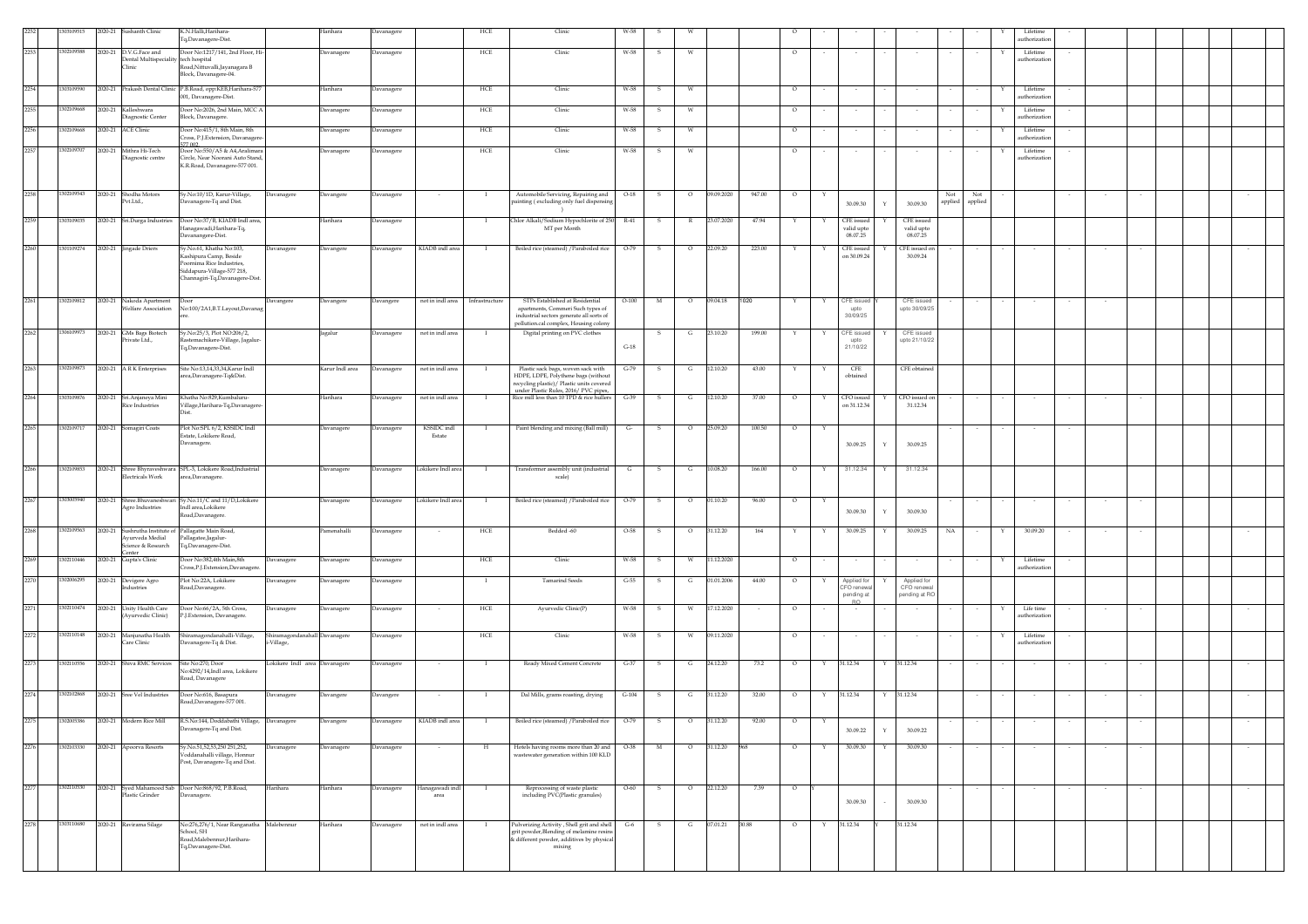|      | 303109515  |  | 2020-21 Sushanth Clinic                                        | K.N.Halli,Harihara-<br>Tq,Davanagere-Dist.                                                                          | Harihara          | Davanagere        |                         | HCE            | Clinic                                                                                                                                        |                |              |                |            |        |                                                                                                                       |              |                                         |             |                                             |                |                |   | Lifetim<br>uthorizatio   |        |  |        |  |
|------|------------|--|----------------------------------------------------------------|---------------------------------------------------------------------------------------------------------------------|-------------------|-------------------|-------------------------|----------------|-----------------------------------------------------------------------------------------------------------------------------------------------|----------------|--------------|----------------|------------|--------|-----------------------------------------------------------------------------------------------------------------------|--------------|-----------------------------------------|-------------|---------------------------------------------|----------------|----------------|---|--------------------------|--------|--|--------|--|
| 2253 | 1302109588 |  | 2020-21 D.V.G.Face and<br>Dental Multispeciality tech hospital | Door No:1217/141, 2nd Floor, Hi-                                                                                    | Davanagere        | Davanagere        |                         | HCE            | Clinic                                                                                                                                        | W-58           |              |                |            |        | $\circ$                                                                                                               |              |                                         |             |                                             |                |                |   | Lifetime<br>uthorization |        |  |        |  |
|      |            |  | Clinic                                                         | Road, Nittuvalli, Jayanagara B<br>Block, Davanagere-04.                                                             |                   |                   |                         |                |                                                                                                                                               |                |              |                |            |        |                                                                                                                       |              |                                         |             |                                             |                |                |   |                          |        |  |        |  |
| 2254 | 1303109590 |  |                                                                | 2020-21 Prakash Dental Clinic P.B.Road, opp:KEB,Harihara-577<br>001, Davanagere-Dist.                               | Harihara          | Davanagere        |                         | HCE            | Clinic                                                                                                                                        | W-58           | s            |                |            |        | $\circ$                                                                                                               |              |                                         |             |                                             |                |                |   | Lifetime<br>uthorizatio  |        |  |        |  |
| 2255 | 1302109668 |  | 2020-21 Kalleshwara                                            | Door No:2026, 2nd Main, MCC A                                                                                       | Davanagere        | Davanagere        |                         | HCE            | Clinic                                                                                                                                        | W-58           | -S           |                |            |        | $\circ$                                                                                                               |              | $\sim$                                  |             |                                             |                |                |   | Lifetime<br>uthorizatio  |        |  |        |  |
| 2256 | 1302109668 |  | iagnostic Center<br>2020-21 ACE Clinic                         | Block, Davanagere<br>Door No:415/1, 8th Main, 8th                                                                   | Davanagere        | Davanagere        |                         | HCE            | Clinic                                                                                                                                        | W-58           | -S           | W              |            |        | $\overline{\circ}$                                                                                                    |              |                                         |             |                                             |                |                |   | Lifetime                 |        |  |        |  |
| 2257 | 1302109707 |  | 2020-21 Mithra Hi-Tech                                         | Cross, P.J. Extension, Davanager<br>77.002<br>Door No:550/A5 & A4,Aralimara                                         | <b>Javanagere</b> | Davanagere        |                         | HCE            | Clinic                                                                                                                                        | W-58           | s            | W              |            |        | $\circ$                                                                                                               |              |                                         |             |                                             |                |                |   | uthorization<br>Lifetime |        |  |        |  |
|      |            |  | liagnostic centre                                              | Circle, Near Noorani Auto Stand,<br>K.R.Road, Davanagere-577 001.                                                   |                   |                   |                         |                |                                                                                                                                               |                |              |                |            |        |                                                                                                                       |              |                                         |             |                                             |                |                |   | uthorization             |        |  |        |  |
| 2258 | 1302109543 |  | 2020-21 Shodha Motors<br>Pvt.Ltd.,                             | Sy.No:10/1D, Karur-Village,<br>Davanagere<br>Davanagere-Tq and Dist.                                                | Davangere         | Davanagere        |                         |                | Automobile Servicing, Repairing and<br>painting (excluding only fuel dispensin                                                                | $O-18$         | s            | $\circ$        | 09.09.2020 | 947.00 | $\circ$                                                                                                               |              | 30.09.30                                | Y           | 30.09.30                                    | Not<br>applied | Not<br>applied |   |                          |        |  |        |  |
| 2259 | 1303109035 |  | 2020-21 Sri.Durga Industries                                   | Door No:37/B, KIADB Indl area,<br>Hanagawadi,Harihara-Tq.                                                           | Harihara          | <b>Davanagere</b> |                         |                | Chlor Alkali/Sodium Hypochlorite of 250<br>MT per Month                                                                                       | $R-41$         | s            |                | 23.07.2020 | 47.94  |                                                                                                                       |              | CFE issued<br>valid upto                |             | CFE issued<br>valid upto                    |                |                |   |                          |        |  |        |  |
| 2260 | 1301109274 |  | 2020-21 Jingade Driers                                         | Davanangere-Dist.<br>Sy.No.61, Khatha No:103,<br>Davanagere                                                         | Davangere         | Davanagere        | KIADB indl area         |                | Boiled rice (steamed) / Paraboiled rice                                                                                                       | O-79           | 5            |                | 22.09.20   | 223.00 |                                                                                                                       |              | 08.07.25<br>CFE issued                  |             | 08.07.25<br>CFE issued on                   |                |                |   |                          |        |  |        |  |
|      |            |  |                                                                | Kashipura Camp, Beside<br>Poornima Rice Industries,<br>Siddapura-Village-577 218,<br>Channagiri-Tq,Davanagere-Dist. |                   |                   |                         |                |                                                                                                                                               |                |              |                |            |        |                                                                                                                       |              | on 30.09.24                             |             | 30.09.24                                    |                |                |   |                          |        |  |        |  |
| 2261 | 1302109812 |  | 2020-21 Nakoda Apartment<br>Welfare Association                | Door<br>Davangere<br>No:100/2A1,B.T.Layout,Davanag                                                                  | Davangere         | Davangere         | not in indl area        | Infrastructure | STPs Established at Residential<br>apartments, Commeri Such types of<br>industrial sectors generate all sorts of                              | $O-100$        | M            | $\circ$        | 09.04.18   | 1020   |                                                                                                                       | $\mathbf{Y}$ | CFE issued<br>upto<br>30/09/25          |             | CFE issued<br>upto 30/09/25                 |                | $\sim$         |   |                          | $\sim$ |  |        |  |
| 2262 | 1306109973 |  | 2020-21 GMs Bags Biotech<br>Private Ltd.,                      | Sy.No:25/3, Plot NO:206/2,<br>.<br>kastemachikere-Village, Jagalur                                                  | agalur            | Davanagere        | not in indl area        |                | pollution.cal complex, Housing colony<br>Digital printing on PVC clothes                                                                      |                |              | G              | 23.10.20   | 199.00 |                                                                                                                       |              | CFE issue<br>upto                       |             | CFE issued<br>upto 21/10/22                 |                |                |   |                          |        |  |        |  |
|      |            |  |                                                                | Tq,Davanagere-Dist.                                                                                                 |                   |                   |                         |                |                                                                                                                                               | $G-18$         |              |                |            |        |                                                                                                                       |              | 21/10/22                                |             |                                             |                |                |   |                          |        |  |        |  |
| 2263 | 1302109873 |  | 2020-21 A R K Enterprises                                      | Site No:13,14,33,34, Karur Indl<br>area,Davanagere-Tq&Dist.                                                         | Karur Indl area   | Davanagere        | not in indl area        |                | Plastic sack bags, woven sack with<br>HDPE, LDPE, Polythene bags (without                                                                     | G-79           | - S          | G              | 12.10.20   | 43.00  |                                                                                                                       |              | CFE<br>obtained                         |             | CFE obtained                                |                |                |   |                          |        |  |        |  |
| 2264 | 03109876   |  | 2020-21 Sri.Anjaneya Mini                                      | Khatha No:829, Kumbaluru-                                                                                           | Harihara          | Davanagere        | not in indl area        | - 1            | recycling plastic)/ Plastic units covered<br>under Plastic Rules, 2016/ PVC pipes,<br>Rice mill less than 10 TPD & rice hullers               | $G-39$         | s            | G              | 12.10.20   | 37.00  | $\circ$                                                                                                               |              | CFO issued                              |             | CFO issued on                               |                |                |   |                          |        |  |        |  |
| 2265 | 1302109717 |  | <b>Rice Industries</b><br>2020-21 Somagiri Coats               | Village, Harihara-Tq, Davanager<br>Plot No:SPL 6/2, KSSIDC Indl                                                     | Davanagere        | Davanagere        | KSSIDC indl             |                | Paint blending and mixing (Ball mill)                                                                                                         | G <sub>r</sub> | S            | $\circ$        | 25.09.20   | 100.50 | $\circ$                                                                                                               | Y            | on 31.12.34                             |             | 31.12.34                                    |                |                |   |                          |        |  |        |  |
|      |            |  |                                                                | Estate, Lokikere Road,<br>Davanagere.                                                                               |                   |                   | Estate                  |                |                                                                                                                                               |                |              |                |            |        |                                                                                                                       |              | 30.09.25                                | Y           | 30.09.25                                    |                |                |   |                          |        |  |        |  |
| 2266 | 1302109853 |  | Electricals Work                                               | 2020-21 Shree Bhyraveshwara SPL-3, Lokikere Road, Industrial<br>area,Davanagere.                                    | Davanagere        | Davanagere        | Lokikere Indl area      |                | Transformer assembly unit (industrial<br>scale)                                                                                               | G              | $\mathbf{s}$ | G              | 10.08.20   | 166.00 | $\circ$                                                                                                               |              | 31.12.34                                |             | 31.12.34                                    |                |                |   |                          |        |  |        |  |
| 2267 | 1303005940 |  | <b>Agro Industries</b>                                         | 2020-21 Shree.Bhuvaneshwari Sy.No.11/C and 11/D,Lokikere<br>Indl area.Lokikere<br>Road, Davanagere                  | Davanagere        | Davanagere        | Lokikere Indl area      | $\bf{I}$       | Boiled rice (steamed) / Paraboiled rice                                                                                                       | $O-79$         | s.           | $\circ$        | 01.10.20   | 96.00  | $\circ$                                                                                                               |              | 30.09.30                                | Y           | 30.09.30                                    |                |                |   |                          |        |  |        |  |
| 2268 | 1302109563 |  | Avurveda Medial<br>Science & Research                          | 2020-21 Sushrutha Institute of Pallagatte Main Road,<br>Pallagatee,Jagalur-<br>Tq,Davanagere-Dist.                  | Pamenahalli       | Davanagere        |                         | HCE            | Bedded -60                                                                                                                                    | $O-58$         | -S           | $\circ$        | 31.12.20   | 164    |                                                                                                                       | Y            | 30.09.25                                | Y           | 30.09.25                                    | NA             |                | Y | 30.09.20                 |        |  |        |  |
| 2269 | 1302110446 |  | enter<br>2020-21 Gupta's Clinic                                | Door No:382,4th Main,8th<br><b>Javanagere</b><br>Cross,P.J.Extension,Davanagere                                     | Davanagere        | Davanagere        |                         | HCE            | Clinic                                                                                                                                        | W-58           | s            | W              | 11.12.2020 |        | $\circ$                                                                                                               |              |                                         |             |                                             |                |                |   | Lifetime<br>uthorization |        |  |        |  |
| 2270 | 1302006295 |  | 2020-21 Devigere Agro<br>ndustries                             | Plot No:22A, Lokikere<br>Davanagere<br>Road,Davanagere.                                                             | Davanagere        | Davanagere        |                         | $\bf{I}$       | <b>Tamarind Seeds</b>                                                                                                                         | $G-55$         | s            | G              | 01.01.2006 | 44.00  | $\circ$                                                                                                               | Y            | Applied for<br>CFO renewa<br>pending at |             | Applied for<br>CFO renewal<br>pending at RO |                |                |   |                          |        |  |        |  |
| 2271 | 1302110474 |  | 2020-21 Unity Health Care<br>(Ayurvedic Clinic)                | Door No:66/2A, 5th Cross,<br>Davanagere<br>P.J.Extension, Davanagere.                                               | Davanagere        | Davanagere        | $\cdot$                 | HCE            | Ayurvedic Clinic(P)                                                                                                                           | W-58           | $\mathbf{s}$ | W              | 17.12.2020 |        | $\circ$                                                                                                               |              | <b>RO</b>                               |             |                                             |                |                | Y | Life time<br>uthorizatio | $\sim$ |  | $\sim$ |  |
| 2272 | 302110148  |  | 2020-21 Manjunatha Health<br>Care Clinic                       | Shiramagondanahalli-Village,<br>Shiramagondanahall Davanagere<br>Davanagere-Tq & Dist.<br>-Village,                 |                   | Davanagere        |                         | HCE            | Clinic                                                                                                                                        | W-58           | -S           | W              | 09.11.2020 |        | $\circ$                                                                                                               |              | $\sim$                                  |             | $\sim$                                      |                |                | x | Lifetime<br>uthorizatio  |        |  |        |  |
| 2273 | 1302110556 |  | 2020-21 Shiva RMC Services                                     | Lokikere Indl area Davanagere<br>Site No:270, Door<br>No:4292/14,Indl area, Lokikere<br>Road, Davanagere            |                   | Davanagere        |                         | - 1            | Ready Mixed Cement Concrete                                                                                                                   | $G-37$         | S.           | G              | 24.12.20   | 73.2   | $\circ$                                                                                                               | Y            | 31.12.34                                | Y           | 31.12.34                                    |                |                |   |                          |        |  |        |  |
| 2274 | 1302102868 |  | 2020-21 Sree Vel Industries                                    | Door No:616, Basapura<br>Davanagere<br>Road, Davanagere-577 001.                                                    | Davangere         | Davangere         |                         | $\mathbf I$    | Dal Mills, grams roasting, drying                                                                                                             | $G-104$        | $\mathbf{s}$ | G              | 31.12.20   | 32.00  | $\circ$                                                                                                               | Y            | 31.12.34                                | Y           | 31.12.34                                    |                |                |   |                          |        |  |        |  |
| 2275 |            |  |                                                                | 1302005386 2020-21 Modern Rice Mill R.S.No:144, Doddabathi Village, Davanagere<br>Davanagere-Tq and Dist.           | Davangere         | Davanagere        | KIADB indl area         |                | Boiled rice (steamed) / Paraboiled rice 0-79 5 0 31.12.20 92.00                                                                               |                |              |                |            |        | $\begin{array}{c c} \hline \end{array}$ o $\begin{array}{c} \hline \end{array}$ $\begin{array}{c} \hline \end{array}$ |              | 30.09.22                                | $\mathbf Y$ | 30.09.22                                    |                |                |   |                          |        |  |        |  |
| 2276 | 1302103330 |  | 2020-21 Apoorva Resorts                                        | Sy.No.51,52,53,250 251,252,<br>Javanagere                                                                           | Davanagere        | Davanagere        |                         | H              | Hotels having rooms more than 20 and                                                                                                          | $O-38$         | M            | $\overline{O}$ | 31.12.20   | 968    | $\circ$                                                                                                               | Y            | 30.09.30                                | Y           | 30.09.30                                    |                |                |   |                          |        |  | $\sim$ |  |
|      |            |  |                                                                | ,<br>voddanahalli village, Honnur<br>Post, Davanagere-Tq and Dist.                                                  |                   |                   |                         |                | wastewater generation within 100 KLD                                                                                                          |                |              |                |            |        |                                                                                                                       |              |                                         |             |                                             |                |                |   |                          |        |  |        |  |
| 2277 | 1302110530 |  | Plastic Grinder                                                | 2020-21 Syed Mahamood Sab Door No:868/92, P.B.Road,<br>Harihara<br>Davanagere.                                      | Harihara          | Davanagere        | Ianagawadi indl<br>area |                | Reprocessing of waste plastic<br>including PVC(Plastic granules)                                                                              | $O - 60$       |              |                | 22.12.20   | 7.39   | $\circ$                                                                                                               |              | 30.09.30                                |             | 30.09.30                                    |                |                |   |                          |        |  |        |  |
| 2278 | 1303110680 |  | 2020-21 Ravirama Silage                                        | No:276,276/1, Near Ranganatha Malebennur<br>School, SH<br>Road, Malebennur, Harihara-<br>Tq,Davanagere-Dist.        | Harihara          | Davanagere        | not in indl area        |                | Pulverizing Activity, Shell grit and shell<br>grit powder, Blending of melamine resins<br>& different powder, additives by physical<br>mixing | $G-6$          | S.           | G              | 07.01.21   | 30.88  | $\circ$                                                                                                               | $\mathbf{Y}$ | 31.12.34                                |             | 31.12.34                                    |                |                |   |                          |        |  |        |  |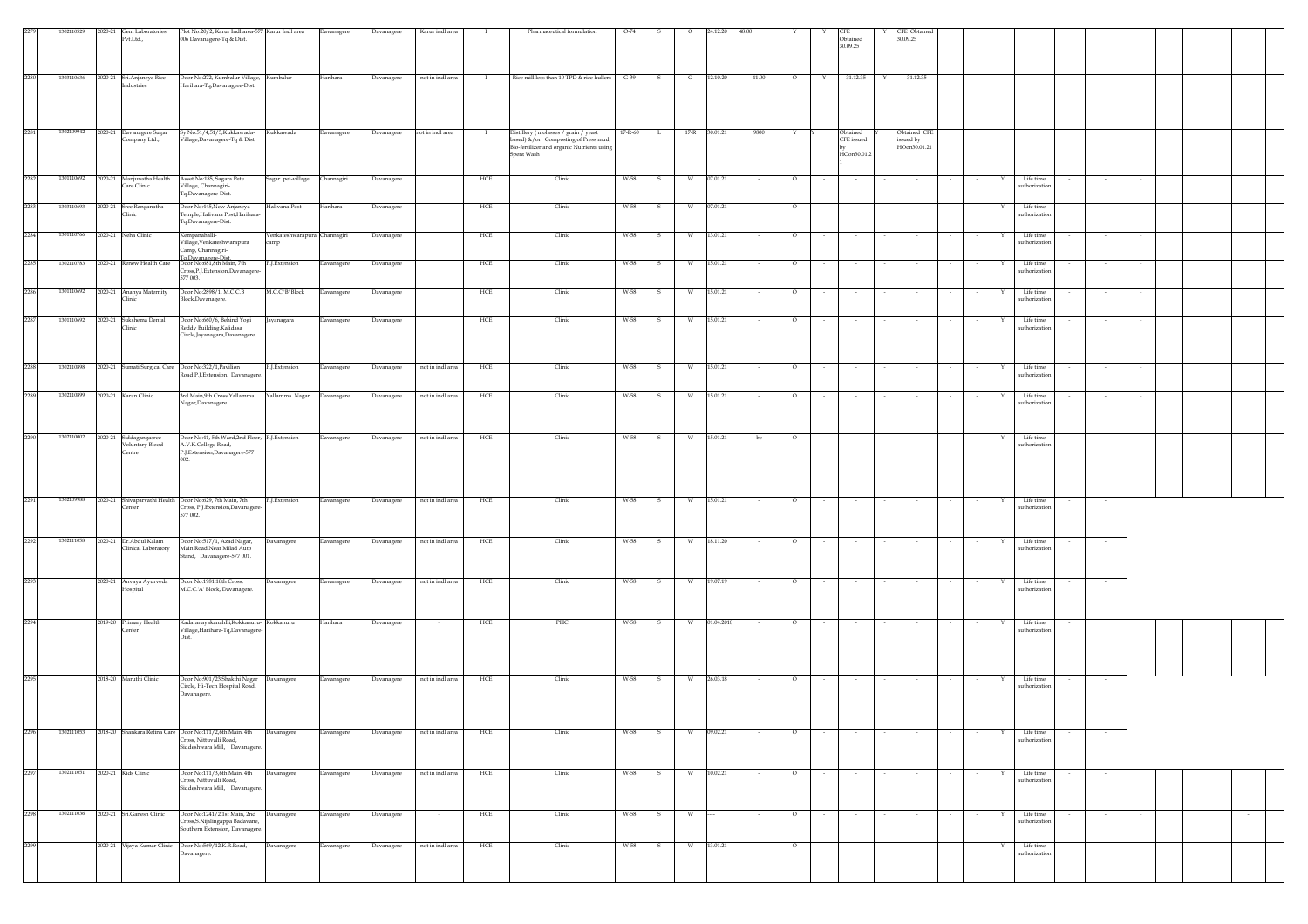| 2279 | 1302110529                     | 2020-21 Gem Laboratories<br>Pvt.Ltd.,               | Plot No:20/2, Karur Indl area-577 Karur Indl area<br>006 Davanagere-Tq & Dist.                                       |                           | Davanagere        | Davanagere | Karur indl area  | л.           | Pharmaceutical formulation                                                                                                              | $O-74$  |              |               | 24.12.20   |        |         |        | Obtained<br>30.09.25    |        | CFE Obtained<br>30.09.25                 |        |             |                            |               |  |        |  |
|------|--------------------------------|-----------------------------------------------------|----------------------------------------------------------------------------------------------------------------------|---------------------------|-------------------|------------|------------------|--------------|-----------------------------------------------------------------------------------------------------------------------------------------|---------|--------------|---------------|------------|--------|---------|--------|-------------------------|--------|------------------------------------------|--------|-------------|----------------------------|---------------|--|--------|--|
| 2280 | 1303110636                     | 2020-21 Sri.Anjaneya Rice<br>Industries             | Door No:272, Kumbalur Village, Kumbalur<br>Harihara-Tq, Davanagere-Dist.                                             |                           | Harihara          | Davanagere | not in indl area | $\mathbf{I}$ | Rice mill less than 10 TPD & rice hullers G-39                                                                                          |         | $\mathbf{s}$ | G             | 12.10.20   | 41.00  | $\circ$ | Y      | 31.12.35                | Y      | 31.12.35                                 |        |             |                            |               |  |        |  |
| 2281 | 1302109942                     | 2020-21 Davanagere Sugar<br>Company Ltd.,           | Sy.No:51/4,51/5,Kukkawada-<br>Village, Davanagere-Tq & Dist.                                                         | Kukkawada                 | Davanagere        | Davanagere | not in indl area |              | Distillery (molasses / grain / yeast<br>ased) &/or Composting of Press mud,<br>Bio-fertilizer and organic Nutrients using<br>Spent Wash | 17-R-60 | L.           | 17-R 30.01.21 |            | 9800   |         |        | Obtained<br>HOon30.01.2 |        | Obtained CFE<br>ssued by<br>HOon30.01.21 |        |             |                            |               |  |        |  |
| 2282 | 1301110692                     | 2020-21 Manjunatha Health<br>Care Clinic            | Asset No:185, Sagara Pete<br>/illage, Channagiri-<br>Tq,Davanagere-Dist.                                             | Sagar pet-village         | Channagiri        | Davanagere |                  | HCE          | Clinic                                                                                                                                  | W-58    | -S           | W             | 07.01.21   | $\sim$ | $\circ$ |        | $\sim$                  |        | $\sim$                                   |        | Y           | Life time<br>uthorization  | $\sim$        |  |        |  |
| 2283 | 1303110693                     | 2020-21 Sree Ranganatha<br>Clinic                   | Door No:445,New Anjaneya<br>Temple, Halivana Post, Harihara-<br>Tq,Davanagere-Dist.                                  | Halivana-Post             | Harihara          | Davanagere |                  | HCE          | Clinic                                                                                                                                  | W-58    | s            | W             | 07.01.21   |        | $\circ$ |        | $\sim$                  |        |                                          |        |             | Life time<br>authorization |               |  |        |  |
| 2284 | 1301110766                     | 2020-21 Neha Clinic                                 | Kempanahalli-<br>illage, Venkateshwarapura<br>Camp, Channagiri-                                                      | Venkateshwarapura<br>camp | Channagiri        | Davanagere |                  | HCE          | Clinic                                                                                                                                  | W-58    |              |               | 13.01.21   |        | $\circ$ |        |                         |        |                                          |        |             | Life time<br>authorization | $\sim$        |  |        |  |
| 2285 | 1302110783                     | 2020-21 Renew Health Care                           | To.Davanagere-Dist.<br>Door No:681,8th Main, 7th<br>Cross, P.J. Extension, Davanagere<br>577 003.                    | P.J.Extension             | Davanagere        | Davanagere |                  | HCE          | Clinic                                                                                                                                  | W-58    | s            | W             | 15.01.21   |        | $\circ$ |        | $\sim$                  |        |                                          |        |             | Life time<br>authorization | $\sim$        |  |        |  |
| 2286 | 1301110692                     | 2020-21 Ananya Maternity<br>Clinic                  | Door No:2898/1, M.C.C.B<br>Block, Davanagere.                                                                        | M.C.C.'B' Block           | Davanagere        | Davanagere |                  | HCE          | Clinic                                                                                                                                  | W-58    | - S          | w             | 15.01.21   | $\sim$ | $\circ$ |        | $\sim$                  |        |                                          |        | Y           | Life time<br>authorization | $\sim$        |  |        |  |
| 2287 | 1301110692                     | 2020-21 Sukshema Dental<br>Clinic                   | Door No:660/6, Behind Yogi<br>Reddy Building, Kalidasa<br>Circle,Jayanagara,Davanagere.                              | Jayanagara                | Davanagere        | Davanagere |                  | HCE          | Clinic                                                                                                                                  | W-58    | - S          | W             | 15.01.21   |        | $\circ$ |        | $\sim$                  |        |                                          |        | Y           | Life time<br>authorization | $\sim$        |  |        |  |
| 2288 | 1302110898                     |                                                     | 2020-21 Sumati Surgical Care Door No:322/1, Pavilion<br>Road, P.J. Extension, Davanagere.                            | P.J.Extension             | Davanagere        | Davanagere | not in indl area | HCE          | Clinic                                                                                                                                  | W-58    | -S           | w             | 15.01.21   |        | $\circ$ |        |                         |        |                                          |        |             | Life time<br>authorization |               |  |        |  |
| 2289 | 1302110899                     | 2020-21 Karan Clinic                                | 3rd Main,9th Cross,Yallamma<br>Nagar,Davanagere.                                                                     | Yallamma Nagar            | Davanagere        | Davanagere | not in indl area | HCE          | Clinic                                                                                                                                  | W-58    |              |               | 15.01.21   |        | O       |        |                         |        |                                          |        |             | Life time<br>authorization |               |  |        |  |
| 2290 | 1302110002                     | 2020-21 Siddagangasree<br>Voluntary Blood<br>Centre | Door No:41, 5th Ward, 2nd Floor, P.J. Extension<br>A.V.K.College Road,<br>P.J.Extension,Davanagere-577               |                           | Davanagere        | Davanagere | not in indl area | HCE          | Clinic                                                                                                                                  | W-58    | - S          | W             | 15.01.21   | be     | $\circ$ |        |                         |        |                                          |        |             | Life time<br>authorization |               |  |        |  |
| 2291 | 1302109988                     | Center                                              | 2020-21 Shivaparvathi Health Door No:629, 7th Main, 7th<br>Cross, P.J. Extension, Davanagere<br>577 002.             | P.J.Extension             | Davanagere        | Davanagere | not in indl area | HCE          | Clinic                                                                                                                                  | W-58    | -S           | W             | 15.01.21   |        | $\circ$ |        |                         |        |                                          |        | Y           | Life time<br>uthorization  |               |  |        |  |
| 2292 | 1302111058                     | 2020-21 Dr. Abdul Kalam<br>Clinical Laboratory      | Door No:517/1, Azad Nagar,<br>Main Road, Near Milad Auto<br>Stand, Davanagere-577 001.                               | Davanagere                | <b>Davanagere</b> | Davanagere | not in indl area | HCE          | Clinic                                                                                                                                  | W-58    | s            | W             | 18.11.20   |        | $\circ$ | $\sim$ | $\sim$                  |        |                                          |        | Y           | Life time<br>authorization | $\sim$        |  |        |  |
| 2293 |                                | 2020-21 Anvaya Ayurveda<br>Hospital                 | Door No:1981,10th Cross,<br>M.C.C.'A' Block, Davanagere.                                                             | Davanagere                | Davanagere        | Davanagere | not in indl area | HCE          | Clinic                                                                                                                                  | W-58    | s            |               | 19.07.19   |        | $\circ$ |        |                         |        |                                          |        |             | Life time<br>authorization |               |  |        |  |
| 2294 |                                | 2019-20 Primary Health<br>Center                    | Kadaranayakanahlli, Kokkanuru- Kokkanuru<br>Village, Harihara-Tq, Davanagere-<br>Dist.                               |                           | Harihara          | Davanagere |                  | HCE          | PHC                                                                                                                                     | W-58    | -S           | W             | 01.04.2018 |        | $\circ$ |        |                         |        |                                          |        |             | Life time<br>authorization |               |  |        |  |
| 2295 |                                | 2018-20 Maruthi Clinic                              | Door No:901/23, Shakthi Nagar Davanagere<br>Circle, Hi-Tech Hospital Road,<br>Davanagere.                            |                           | Davanagere        | Davanagere | not in indl area | HCE          | Clinic                                                                                                                                  | W-58    | S.           | W             | 26.03.18   | $\sim$ | $\circ$ | $\sim$ | $\sim$                  | $\sim$ |                                          |        | Y           | Life time<br>authorization | $\sim$ $\sim$ |  |        |  |
| 2296 | 1302111053                     |                                                     | 2018-20 Shankara Retina Care Door No:111/2,6th Main, 4th<br>Cross, Nittuvalli Road.<br>Siddeshwara Mill, Davanagere. | Davanagere                | Davanagere        | Davanagere | not in indl area | HCE          | Clinic                                                                                                                                  | W-58    | s            |               | 09.02.21   |        | $\circ$ |        |                         |        |                                          |        |             | Life time<br>authorization | $\sim$        |  |        |  |
| 2297 | 1302111051 2020-21 Kids Clinic |                                                     | Door No:111/3,6th Main, 4th<br>Cross, Nittuvalli Road,                                                               | Davanagere                | Davanagere        | Davanagere | not in indl area | HCE          | Clinic                                                                                                                                  | W-58    | s.           | W             | 10.02.21   |        | $\circ$ |        |                         |        |                                          |        |             | Life time                  |               |  |        |  |
|      |                                |                                                     | Siddeshwara Mill, Davanagere.                                                                                        |                           |                   |            |                  |              |                                                                                                                                         |         |              |               |            |        |         |        |                         |        |                                          |        |             | authorization              |               |  |        |  |
| 2298 | 1302111036                     | 2020-21 Sri.Ganesh Clinic                           | Door No:1241/2,1st Main, 2nd Davanagere<br>Cross, S.Nijalingappa Badavane,<br>Southern Extension, Davanagere         |                           | Davanagere        | Davanagere | $\sim$           | HCE          | Clinic                                                                                                                                  | W-58    | $\mathbf{s}$ | W             |            | $\sim$ | $\circ$ | $\sim$ | $\sim$                  | $\sim$ | $\sim$                                   | $\sim$ | $\sim$<br>Y | Life time<br>authorization | $\sim$        |  | $\sim$ |  |
| 2299 |                                |                                                     | 2020-21 Vijaya Kumar Clinic Door No:569/12,K.R.Road,<br>Davanagere.                                                  | Davanagere                | Davanagere        | Davanagere | not in indl area | HCE          | Clinic                                                                                                                                  | W-58    | s            | W             | 13.01.21   |        | $\circ$ |        | $\sim$                  |        |                                          |        | Υ           | Life time<br>authorization | $\sim$        |  |        |  |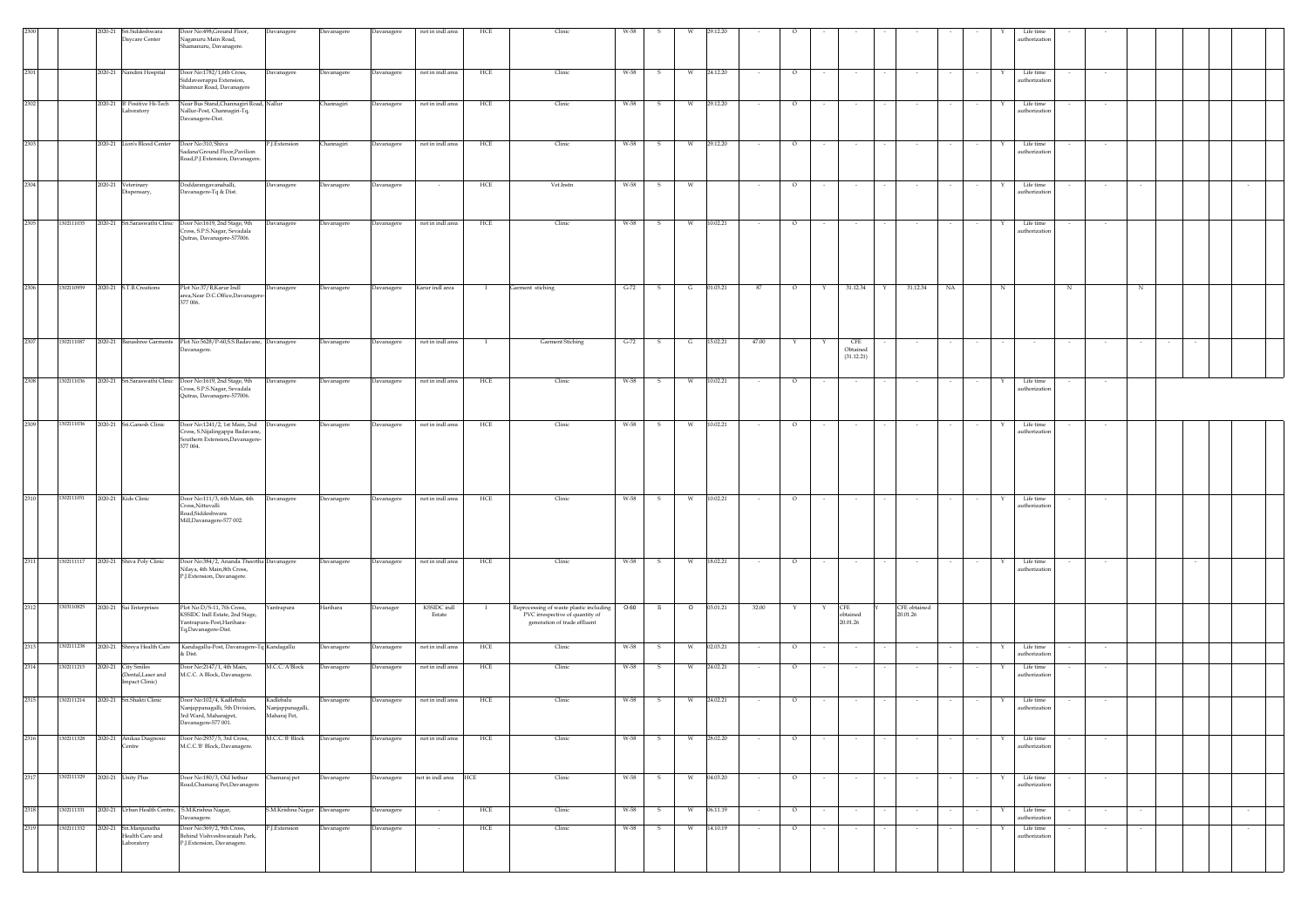|      |                               | 2020-21 Sri.Siddeshwara<br>Daycare Center                  | Door No:498, Ground Floor,<br>Naganuru Main Road,<br>Shamanuru, Davanagere.                                              | Davanagere                                    | Davanagere | Davanagere | not in indl area      | HCE               | Clinic                                                                                                     | W-58   |              |         |            |        |         |        |                                      |                          |    |             | Life time<br>authorization |        |   |        |
|------|-------------------------------|------------------------------------------------------------|--------------------------------------------------------------------------------------------------------------------------|-----------------------------------------------|------------|------------|-----------------------|-------------------|------------------------------------------------------------------------------------------------------------|--------|--------------|---------|------------|--------|---------|--------|--------------------------------------|--------------------------|----|-------------|----------------------------|--------|---|--------|
| 2301 |                               | 2020-21 Nandini Hospital                                   | Door No:1782/1,6th Cross,<br>Siddaveerappa Extension,<br>Shamnur Road, Davanagere                                        | Davanagere                                    | Davanagere | Davanagere | not in indl area      | HCE               | Clinic                                                                                                     | W-58   | s            | W       | 24.12.20   |        | $\circ$ |        |                                      |                          |    |             | Life time<br>authorization |        |   |        |
| 2302 |                               | 2020-21 B' Positive Hi-Tech<br>Laboratory                  | Near Bus Stand, Channagiri Road, Nallur<br>Nallur-Post, Channagiri-Tq,<br>Davanagere-Dist.                               |                                               | Channagiri | Davanagere | not in indl area      | HCE               | Clinic                                                                                                     | W-58   | -S           | w       | 29.12.20   |        | $\circ$ |        |                                      |                          |    |             | Life time<br>authorization | $\sim$ |   |        |
| 2303 |                               | 2020-21 Lion's Blood Center                                | Door No:310, Shiva<br>Sadana'Ground Floor, Pavilion<br>Road, P.J. Extension, Davanagere.                                 | P.J.Extension                                 | Channagiri | Davanagere | not in indl area      | HCE               | Clinic                                                                                                     | W-58   |              |         | 29.12.20   |        | $\circ$ |        |                                      |                          |    |             | Life time<br>authorization |        |   |        |
| 2304 |                               | 2020-21 Veterinary<br>Dispensary,                          | Doddarangavanahalli,<br>Davanagere-Tq $\&$ Dist.                                                                         | Davanagere                                    | Davanagere | Davanagere | $\sim$                | HCE               | Vet.Instn                                                                                                  | W-58   | $\mathbf{s}$ | W       |            |        | $\circ$ | $\sim$ | $\sim$                               |                          |    | Y           | Life time<br>authorization | $\sim$ |   |        |
| 2305 | 1302111035                    |                                                            | 2020-21 Sri.Saraswathi Clinic Door No:1619, 2nd Stage, 9th<br>Cross, S.P.S.Nagar, Sevadala<br>Qutras, Davanagere-577006. | <b>Javanagere</b>                             | Davanagere | Davanagere | not in indl area      | HCE               | Clinic                                                                                                     | W-58   | - S          | W       | 10.02.21   |        | $\circ$ |        |                                      |                          |    |             | Life time<br>authorization |        |   |        |
| 2306 | 1302110959                    | 2020-21 S.T.B.Creations                                    | Plot No:37/B, Karur Indl<br>area, Near D.C.Office, Davanager<br>577 006.                                                 | Davanagere                                    | Davanagere | Davanagere | Karur indl area       | - 11              | Garment stiching                                                                                           | $G-72$ | - S          | G       | 01.03.21   | 87     | $\circ$ | Y      | 31.12.34                             | 31.12.34<br>Y            | NA | $_{\rm N}$  |                            | N      | N |        |
| 2307 | 302111087                     |                                                            | 2020-21 Banashree Garments Plot No:5628/P-60, S.S. Badavane, Davanagere<br>Davanagere.                                   |                                               | Davanagere | Davanagere | not in indl area      |                   | Garment Stiching                                                                                           | $G-72$ |              | G       | 15.02.21   | 47.00  |         |        | <b>CFE</b><br>Obtained<br>(31.12.21) |                          |    |             |                            |        |   |        |
| 2308 | 1302111036                    |                                                            | 2020-21 Sri Saraswathi Clinic Door No:1619, 2nd Stage, 9th<br>Cross, S.P.S.Nagar, Sevadala<br>Qutras, Davanagere-577006. | Davanagere                                    | Davanagere | Davanagere | not in indl area      | HCE               | Clinic                                                                                                     | W-58   | - S          | W       | 10.02.21   |        | $\circ$ |        | $\sim$                               |                          |    |             | Life time<br>authorization |        |   |        |
| 2309 | 1302111036                    | 2020-21 Sri.Ganesh Clinic                                  | Door No:1241/2, 1st Main, 2nd<br>Cross, S.Nijalingappa Badavane,<br>Southern Extension, Davanagere-<br>577 004.          | Davanagere                                    | Davanagere | Davanagere | not in indl area      | HCE               | Clinic                                                                                                     | W-58   |              |         | 10.02.21   |        | $\circ$ |        |                                      |                          |    |             | Life time<br>authorization |        |   |        |
| 2310 | 1302111051                    | 2020-21 Kids Clinic                                        | Door No:111/3, 6th Main, 4th<br>Cross,Nittuvalli<br>Road, Siddeshwara<br>Mill, Davanagere-577 002.                       | Davanagere                                    | Davanagere | Davanagere | not in indl area      | $_{\mathrm{HCE}}$ | Clinic                                                                                                     | W-58   | -S           | W       | 10.02.21   |        | $\circ$ |        |                                      |                          |    |             | Life time<br>authorization |        |   |        |
| 2311 | 1302111117                    | 2020-21 Shiva Poly Clinic                                  | Door No:384/2, Ananda Theertha Davanagere<br>Nilaya, 4th Main,8th Cross,<br>P.J.Extension, Davanagere.                   |                                               | Davanagere | Davanagere | not in indl area      | HCE               | Clinic                                                                                                     | W-58   | $\mathbf{s}$ | W       | 18.02.21   | $\sim$ | $\circ$ | $\sim$ | $\sim$                               | $\sim$                   |    | Y           | Life time<br>authorization | $\sim$ |   |        |
| 2312 |                               | 1303110825 2020-21 Sai Enterprises                         | Plot No:D/S-11, 7th Cross,<br>KSSIDC Indl Estate, 2nd Stage,<br>Yantrapura-Post, Harihara-<br>Tq,Davanagere-Dist.        | fantrapura                                    | Harihara   | Davanager  | KSSIDC indl<br>Estate |                   | Reprocessing of waste plastic including<br>PVC irrespective of quantity of<br>generation of trade effluent | $O-60$ | S            | $\circ$ | 03.01.21   | 32.00  |         |        | <b>CFE</b><br>obtained<br>20.01.26   | CFE obtained<br>20.01.26 |    |             |                            |        |   |        |
| 2313 | 1302111238                    |                                                            | 2020-21 Shreya Health Care Kandagallu-Post, Davanagere-Tq Kandagallu<br>$&$ Dist.                                        |                                               | Davanagere | Davanagere | not in indl area      | HCE               | Clinic                                                                                                     | W-58   | - S          | W       | 02.03.21   |        | $\circ$ |        |                                      |                          |    |             | Life time<br>authorization |        |   |        |
| 2314 | 1302111215                    | 2020-21 City Smiles<br>Dental, Laser and<br>Impact Clinic) | Door No:2147/1, 4th Main,<br>M.C.C. A Block, Davanagere.                                                                 | M.C.C.'A'Block                                | Davanagere | Davanagere | not in indl area      | HCE               | Clinic                                                                                                     | W-58   | -S           | w       | 24.02.21   | $\sim$ | $\circ$ | $\sim$ | $\sim$                               | $\sim$                   |    | Y           | Life time<br>authorization | $\sim$ |   |        |
| 2315 | 1302111214                    | 2020-21 Sri.Shakti Clinic                                  | Door No:102/4, Kadlebalu<br>Nanjappanagalli, 5th Division,<br>3rd Ward, Maharajpet,<br>)avanagere-577 001.               | Kadlebalu<br>Nanjappanagalli,<br>Maharaj Pet, | Davanagere | Davanagere | not in indl area      | HCE               | Clinic                                                                                                     | W-58   | S            | W       | 24.02.21   | $\sim$ | $\circ$ | $\sim$ | $\sim$                               | $\sim$                   |    | Y           | Life time<br>uthorization  | $\sim$ |   |        |
| 2316 | 1302111328                    | 2020-21 Anikaa Diagnosic<br>Centre                         | Door No:2937/5, 3rd Cross,<br>M.C.C.'B' Block, Davanagere.                                                               | M.C.C.'B' Block                               | Davanagere | Davanagere | not in indl area      | HCE               | Clinic                                                                                                     | W-58   | S            | W       | 28.02.20   | $\sim$ | $\circ$ | $\sim$ | $\sim$                               | $\sim$<br>$\sim$         |    | $\sim$<br>Y | Life time<br>authorization | $\sim$ |   |        |
| 2317 | 1302111329 2020-21 Unity Plus |                                                            | Door No:180/3, Old bethur<br>Road, Chamaraj Pet, Davanagere                                                              | Chamaraj pet                                  | Davanagere | Davanagere | not in indl area HCE  |                   | Clinic                                                                                                     | W-58   | S            |         | W 04.03.20 |        | $\circ$ |        |                                      |                          |    | Y           | Life time<br>authorization |        |   |        |
| 2318 |                               | 1302111331 2020-21 Urban Health Centre, S.M.Krishna Nagar, | Davanagere.                                                                                                              | S.M.Krishna Nagar Davanagere                  |            | Davanagere |                       | HCE               | Clinic                                                                                                     | W-58   | $\mathbf{s}$ | W       | 06.11.19   |        | $\circ$ |        |                                      |                          |    |             | Life time<br>authorization |        |   |        |
| 2319 | 1302111332                    | 2020-21 Sri.Manjunatha<br>Health Care and<br>Laboratory    | Door No:369/2, 9th Cross,<br>Behind Vishveshwaraiah Park,<br>P.J.Extension, Davanagere.                                  | P.J.Extension                                 | Davanagere | Davanagere |                       | HCE               | Clinic                                                                                                     | W-58   | - S          |         | W 14.10.19 | $\sim$ | $\circ$ |        | $\sim$                               | $\sim$                   |    |             | Life time<br>authorization |        |   | $\sim$ |